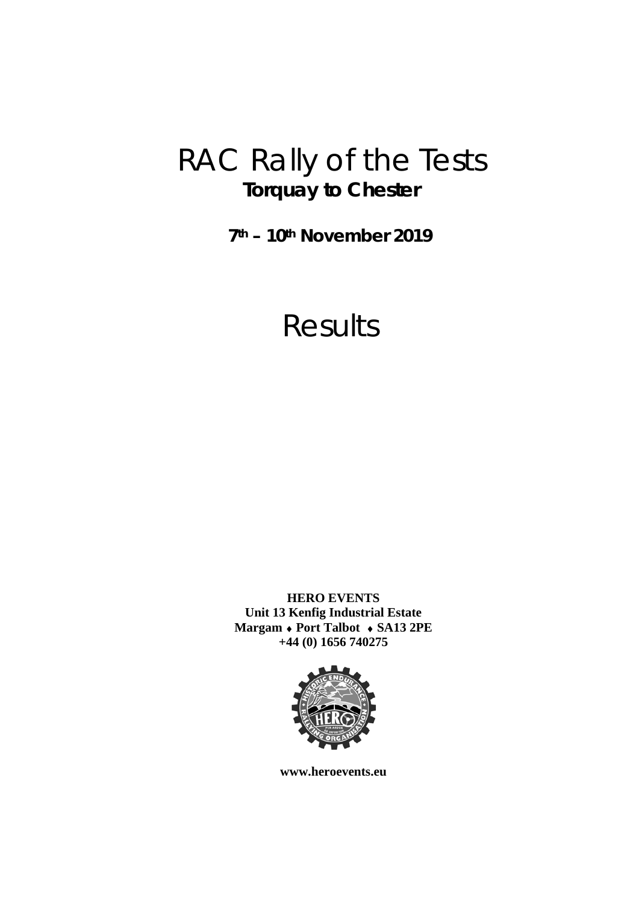# RAC Rally of the Tests **Torquay to Chester**

**7th – 10th November 2019** 

# Results

**HERO EVENTS Unit 13 Kenfig Industrial Estate Margam Port Talbot SA13 2PE +44 (0) 1656 740275** 



**www.heroevents.eu**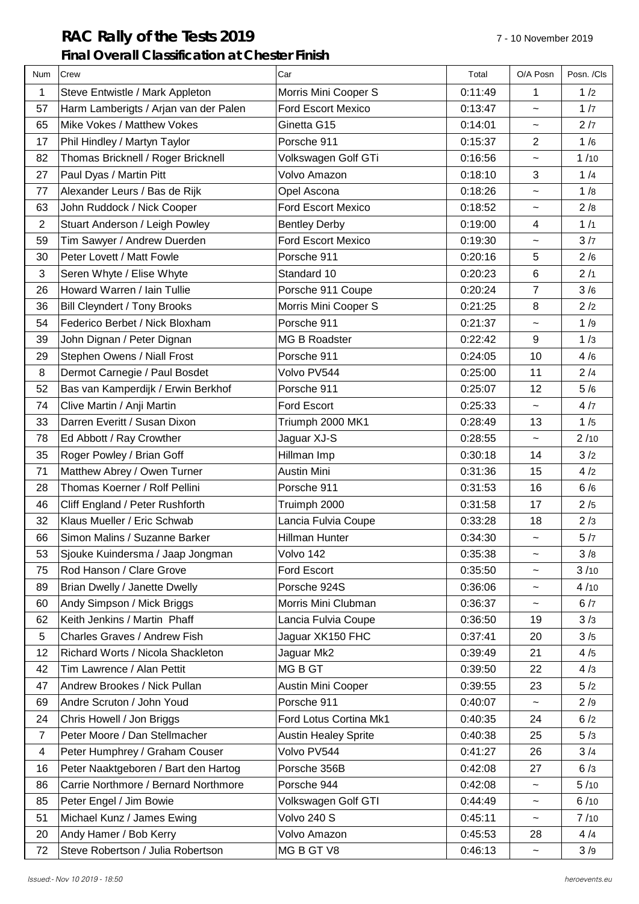# **RAC Rally of the Tests 2019** 7 - 10 November 2019 **Final Overall Classification at Chester Finish**

| Num            | Crew                                  | Car                         | Total   | O/A Posn                  | Posn. /Cls |
|----------------|---------------------------------------|-----------------------------|---------|---------------------------|------------|
| 1              | Steve Entwistle / Mark Appleton       | Morris Mini Cooper S        | 0:11:49 | 1                         | 1/2        |
| 57             | Harm Lamberigts / Arjan van der Palen | <b>Ford Escort Mexico</b>   | 0:13:47 | $\tilde{\phantom{a}}$     | 1/7        |
| 65             | Mike Vokes / Matthew Vokes            | Ginetta G15                 | 0:14:01 | $\tilde{}$                | 2/7        |
| 17             | Phil Hindley / Martyn Taylor          | Porsche 911                 | 0:15:37 | $\overline{c}$            | 1/6        |
| 82             | Thomas Bricknell / Roger Bricknell    | Volkswagen Golf GTi         | 0:16:56 | $\widetilde{\phantom{m}}$ | 1/10       |
| 27             | Paul Dyas / Martin Pitt               | Volvo Amazon                | 0:18:10 | 3                         | 1/4        |
| 77             | Alexander Leurs / Bas de Rijk         | Opel Ascona                 | 0:18:26 | $\tilde{\phantom{a}}$     | 1/8        |
| 63             | John Ruddock / Nick Cooper            | <b>Ford Escort Mexico</b>   | 0:18:52 | $\widetilde{\phantom{m}}$ | 2/8        |
| $\overline{2}$ | Stuart Anderson / Leigh Powley        | <b>Bentley Derby</b>        | 0:19:00 | 4                         | 1/1        |
| 59             | Tim Sawyer / Andrew Duerden           | <b>Ford Escort Mexico</b>   | 0:19:30 | $\tilde{}$                | 3/7        |
| 30             | Peter Lovett / Matt Fowle             | Porsche 911                 | 0:20:16 | $\overline{5}$            | 2/6        |
| 3              | Seren Whyte / Elise Whyte             | Standard 10                 | 0:20:23 | $6\phantom{1}$            | 2/1        |
| 26             | Howard Warren / Iain Tullie           | Porsche 911 Coupe           | 0:20:24 | 7                         | 3/6        |
| 36             | <b>Bill Cleyndert / Tony Brooks</b>   | Morris Mini Cooper S        | 0:21:25 | 8                         | 2/2        |
| 54             | Federico Berbet / Nick Bloxham        | Porsche 911                 | 0:21:37 | $\tilde{}$                | 1/9        |
| 39             | John Dignan / Peter Dignan            | <b>MG B Roadster</b>        | 0:22:42 | 9                         | 1/3        |
| 29             | Stephen Owens / Niall Frost           | Porsche 911                 | 0:24:05 | 10                        | 4/6        |
| 8              | Dermot Carnegie / Paul Bosdet         | Volvo PV544                 | 0:25:00 | 11                        | 2/4        |
| 52             | Bas van Kamperdijk / Erwin Berkhof    | Porsche 911                 | 0:25:07 | 12                        | 5/6        |
| 74             | Clive Martin / Anji Martin            | Ford Escort                 | 0:25:33 | $\tilde{\phantom{a}}$     | 4/7        |
| 33             | Darren Everitt / Susan Dixon          | Triumph 2000 MK1            | 0:28:49 | 13                        | 1/5        |
| 78             | Ed Abbott / Ray Crowther              | Jaguar XJ-S                 | 0:28:55 | $\widetilde{\phantom{m}}$ | 2/10       |
| 35             | Roger Powley / Brian Goff             | Hillman Imp                 | 0:30:18 | 14                        | 3/2        |
| 71             | Matthew Abrey / Owen Turner           | Austin Mini                 | 0:31:36 | 15                        | 4/2        |
| 28             | Thomas Koerner / Rolf Pellini         | Porsche 911                 | 0:31:53 | 16                        | 6/6        |
| 46             | Cliff England / Peter Rushforth       | Truimph 2000                | 0:31:58 | 17                        | 2/5        |
| 32             | Klaus Mueller / Eric Schwab           | Lancia Fulvia Coupe         | 0:33:28 | 18                        | 2/3        |
| 66             | Simon Malins / Suzanne Barker         | <b>Hillman Hunter</b>       | 0:34:30 | $\tilde{\phantom{a}}$     | 5/7        |
| 53             | Sjouke Kuindersma / Jaap Jongman      | Volvo 142                   | 0:35:38 | $\tilde{\phantom{a}}$     | 3/8        |
| 75             | Rod Hanson / Clare Grove              | Ford Escort                 | 0:35:50 | $\tilde{\phantom{a}}$     | 3/10       |
| 89             | Brian Dwelly / Janette Dwelly         | Porsche 924S                | 0:36:06 | $\tilde{}$                | 4/10       |
| 60             | Andy Simpson / Mick Briggs            | Morris Mini Clubman         | 0:36:37 | $\tilde{\phantom{a}}$     | 6/7        |
| 62             | Keith Jenkins / Martin Phaff          | Lancia Fulvia Coupe         | 0:36:50 | 19                        | 3/3        |
| 5              | Charles Graves / Andrew Fish          | Jaguar XK150 FHC            | 0:37:41 | 20                        | 3/5        |
| 12             | Richard Worts / Nicola Shackleton     | Jaguar Mk2                  | 0:39:49 | 21                        | 4/5        |
| 42             | Tim Lawrence / Alan Pettit            | MG B GT                     | 0:39:50 | 22                        | 4/3        |
| 47             | Andrew Brookes / Nick Pullan          | Austin Mini Cooper          | 0:39:55 | 23                        | 5/2        |
| 69             | Andre Scruton / John Youd             | Porsche 911                 | 0:40:07 | $\tilde{}$                | 2/9        |
| 24             | Chris Howell / Jon Briggs             | Ford Lotus Cortina Mk1      | 0:40:35 | 24                        | 6/2        |
| $\overline{7}$ | Peter Moore / Dan Stellmacher         | <b>Austin Healey Sprite</b> | 0:40:38 | 25                        | 5/3        |
| $\overline{4}$ | Peter Humphrey / Graham Couser        | Volvo PV544                 | 0:41:27 | 26                        | 3/4        |
| 16             | Peter Naaktgeboren / Bart den Hartog  | Porsche 356B                | 0:42:08 | 27                        | 6/3        |
| 86             | Carrie Northmore / Bernard Northmore  | Porsche 944                 | 0:42:08 | $\tilde{\phantom{a}}$     | 5/10       |
| 85             | Peter Engel / Jim Bowie               | Volkswagen Golf GTI         | 0:44:49 | $\tilde{}$                | 6/10       |
| 51             | Michael Kunz / James Ewing            | Volvo 240 S                 | 0:45:11 | $\tilde{}$                | 7/10       |
| 20             | Andy Hamer / Bob Kerry                | Volvo Amazon                | 0:45:53 | 28                        | 4/4        |
| 72             | Steve Robertson / Julia Robertson     | MG B GT V8                  | 0:46:13 | $\tilde{}$                | 3/9        |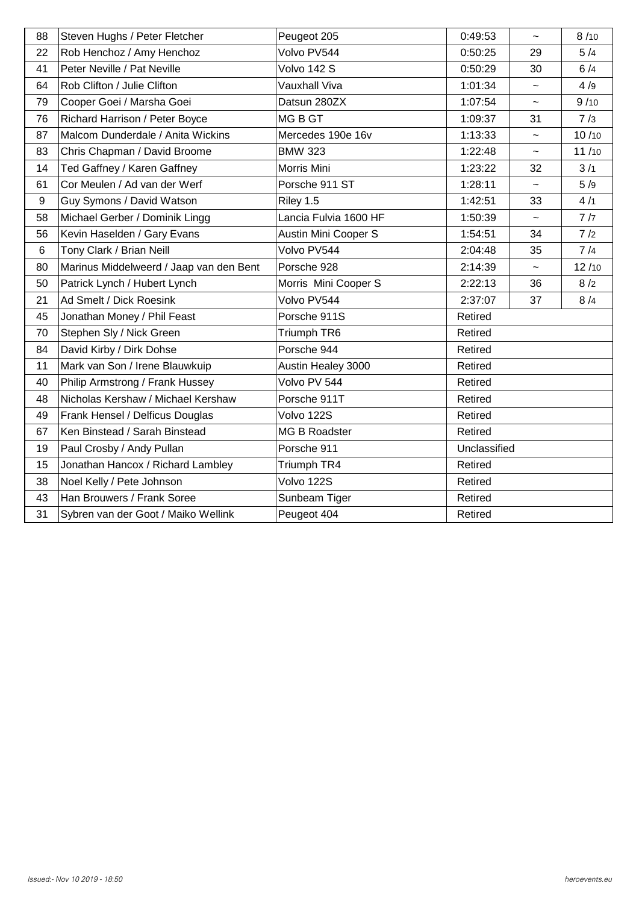| 88               | Steven Hughs / Peter Fletcher           | Peugeot 205                 | 0:49:53      | $\tilde{\phantom{a}}$     | 8/10  |
|------------------|-----------------------------------------|-----------------------------|--------------|---------------------------|-------|
| 22               | Rob Henchoz / Amy Henchoz               | Volvo PV544                 | 0:50:25      | 29                        | 5/4   |
| 41               | Peter Neville / Pat Neville             | Volvo 142 S                 | 0:50:29      | 30                        | 6/4   |
| 64               | Rob Clifton / Julie Clifton             | Vauxhall Viva               | 1:01:34      | $\widetilde{\phantom{m}}$ | 4/9   |
| 79               | Cooper Goei / Marsha Goei               | Datsun 280ZX                | 1:07:54      | $\widetilde{\phantom{m}}$ | 9/10  |
| 76               | Richard Harrison / Peter Boyce          | MG B GT                     | 1:09:37      | 31                        | 7/3   |
| 87               | Malcom Dunderdale / Anita Wickins       | Mercedes 190e 16v           | 1:13:33      | $\widetilde{\phantom{m}}$ | 10/10 |
| 83               | Chris Chapman / David Broome            | <b>BMW 323</b>              | 1:22:48      | $\tilde{\phantom{a}}$     | 11/10 |
| 14               | Ted Gaffney / Karen Gaffney             | Morris Mini                 | 1:23:22      | 32                        | 3/1   |
| 61               | Cor Meulen / Ad van der Werf            | Porsche 911 ST              | 1:28:11      | $\tilde{\phantom{a}}$     | 5/9   |
| $\boldsymbol{9}$ | Guy Symons / David Watson               | Riley 1.5                   | 1:42:51      | 33                        | 4/1   |
| 58               | Michael Gerber / Dominik Lingg          | Lancia Fulvia 1600 HF       | 1:50:39      | $\tilde{\phantom{a}}$     | 7/7   |
| 56               | Kevin Haselden / Gary Evans             | <b>Austin Mini Cooper S</b> | 1:54:51      | 34                        | 7/2   |
| $\,6$            | Tony Clark / Brian Neill                | Volvo PV544                 | 2:04:48      | 35                        | 7/4   |
| 80               | Marinus Middelweerd / Jaap van den Bent | Porsche 928                 | 2:14:39      | $\widetilde{\phantom{m}}$ | 12/10 |
| 50               | Patrick Lynch / Hubert Lynch            | Morris Mini Cooper S        | 2:22:13      | 36                        | 8/2   |
| 21               | Ad Smelt / Dick Roesink                 | Volvo PV544                 | 2:37:07      | 37                        | 8/4   |
| 45               | Jonathan Money / Phil Feast             | Porsche 911S                | Retired      |                           |       |
| 70               | Stephen Sly / Nick Green                | Triumph TR6                 | Retired      |                           |       |
| 84               | David Kirby / Dirk Dohse                | Porsche 944                 | Retired      |                           |       |
| 11               | Mark van Son / Irene Blauwkuip          | Austin Healey 3000          | Retired      |                           |       |
| 40               | Philip Armstrong / Frank Hussey         | Volvo PV 544                | Retired      |                           |       |
| 48               | Nicholas Kershaw / Michael Kershaw      | Porsche 911T                | Retired      |                           |       |
| 49               | Frank Hensel / Delficus Douglas         | Volvo 122S                  | Retired      |                           |       |
| 67               | Ken Binstead / Sarah Binstead           | <b>MG B Roadster</b>        | Retired      |                           |       |
| 19               | Paul Crosby / Andy Pullan               | Porsche 911                 | Unclassified |                           |       |
| 15               | Jonathan Hancox / Richard Lambley       | Triumph TR4                 | Retired      |                           |       |
| 38               | Noel Kelly / Pete Johnson               | Volvo 122S                  | Retired      |                           |       |
| 43               | Han Brouwers / Frank Soree              | Sunbeam Tiger               | Retired      |                           |       |
| 31               | Sybren van der Goot / Maiko Wellink     | Peugeot 404                 | Retired      |                           |       |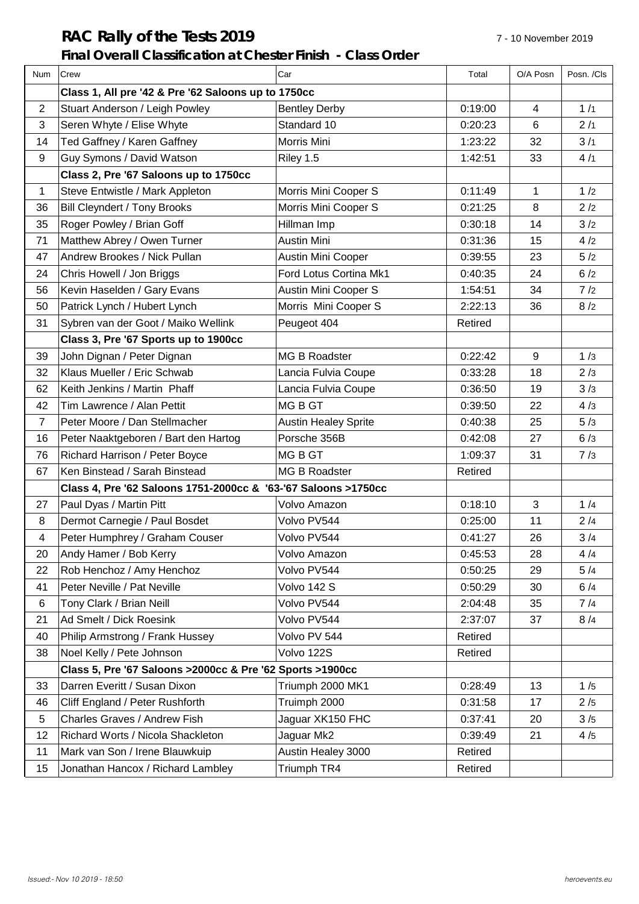# **RAC Rally of the Tests 2019** 7-10 November 2019

## **Final Overall Classification at Chester Finish - Class Order**

| Num            | Crew                                                           | Car                         | Total   | O/A Posn       | Posn. /Cls |
|----------------|----------------------------------------------------------------|-----------------------------|---------|----------------|------------|
|                | Class 1, All pre '42 & Pre '62 Saloons up to 1750cc            |                             |         |                |            |
| $\overline{2}$ | Stuart Anderson / Leigh Powley                                 | <b>Bentley Derby</b>        | 0:19:00 | $\overline{4}$ | 1/1        |
| 3              | Seren Whyte / Elise Whyte                                      | Standard 10                 | 0:20:23 | 6              | 2/1        |
| 14             | Ted Gaffney / Karen Gaffney                                    | Morris Mini                 | 1:23:22 | 32             | 3/1        |
| 9              | Guy Symons / David Watson                                      | Riley 1.5                   | 1:42:51 | 33             | 4/1        |
|                | Class 2, Pre '67 Saloons up to 1750cc                          |                             |         |                |            |
| 1              | Steve Entwistle / Mark Appleton                                | Morris Mini Cooper S        | 0:11:49 | 1              | 1/2        |
| 36             | <b>Bill Cleyndert / Tony Brooks</b>                            | Morris Mini Cooper S        | 0:21:25 | 8              | 2/2        |
| 35             | Roger Powley / Brian Goff                                      | Hillman Imp                 | 0:30:18 | 14             | 3/2        |
| 71             | Matthew Abrey / Owen Turner                                    | <b>Austin Mini</b>          | 0:31:36 | 15             | 4/2        |
| 47             | Andrew Brookes / Nick Pullan                                   | Austin Mini Cooper          | 0:39:55 | 23             | 5/2        |
| 24             | Chris Howell / Jon Briggs                                      | Ford Lotus Cortina Mk1      | 0:40:35 | 24             | 6/2        |
| 56             | Kevin Haselden / Gary Evans                                    | Austin Mini Cooper S        | 1:54:51 | 34             | 7/2        |
| 50             | Patrick Lynch / Hubert Lynch                                   | Morris Mini Cooper S        | 2:22:13 | 36             | 8/2        |
| 31             | Sybren van der Goot / Maiko Wellink                            | Peugeot 404                 | Retired |                |            |
|                | Class 3, Pre '67 Sports up to 1900cc                           |                             |         |                |            |
| 39             | John Dignan / Peter Dignan                                     | MG B Roadster               | 0:22:42 | 9              | 1/3        |
| 32             | Klaus Mueller / Eric Schwab                                    | Lancia Fulvia Coupe         | 0:33:28 | 18             | 2/3        |
| 62             | Keith Jenkins / Martin Phaff                                   | Lancia Fulvia Coupe         | 0:36:50 | 19             | 3/3        |
| 42             | Tim Lawrence / Alan Pettit                                     | <b>MGBGT</b>                | 0:39:50 | 22             | 4/3        |
| $\overline{7}$ | Peter Moore / Dan Stellmacher                                  | <b>Austin Healey Sprite</b> | 0:40:38 | 25             | 5/3        |
| 16             | Peter Naaktgeboren / Bart den Hartog                           | Porsche 356B                | 0:42:08 | 27             | 6/3        |
| 76             | Richard Harrison / Peter Boyce                                 | MG B GT                     | 1:09:37 | 31             | 7/3        |
| 67             | Ken Binstead / Sarah Binstead                                  | MG B Roadster               | Retired |                |            |
|                | Class 4, Pre '62 Saloons 1751-2000cc & '63-'67 Saloons >1750cc |                             |         |                |            |
| 27             | Paul Dyas / Martin Pitt                                        | Volvo Amazon                | 0:18:10 | 3              | 1/4        |
| 8              | Dermot Carnegie / Paul Bosdet                                  | Volvo PV544                 | 0:25:00 | 11             | 2/4        |
| 4              | Peter Humphrey / Graham Couser                                 | Volvo PV544                 | 0:41:27 | 26             | 3/4        |
| 20             | Andy Hamer / Bob Kerry                                         | Volvo Amazon                | 0:45:53 | 28             | 4/4        |
| 22             | Rob Henchoz / Amy Henchoz                                      | Volvo PV544                 | 0:50:25 | 29             | 5/4        |
| 41             | Peter Neville / Pat Neville                                    | Volvo 142 S                 | 0:50:29 | 30             | 6/4        |
| 6              | Tony Clark / Brian Neill                                       | Volvo PV544                 | 2:04:48 | 35             | 7/4        |
| 21             | Ad Smelt / Dick Roesink                                        | Volvo PV544                 | 2:37:07 | 37             | 8/4        |
| 40             | Philip Armstrong / Frank Hussey                                | Volvo PV 544                | Retired |                |            |
| 38             | Noel Kelly / Pete Johnson                                      | Volvo 122S                  | Retired |                |            |
|                | Class 5, Pre '67 Saloons > 2000cc & Pre '62 Sports > 1900cc    |                             |         |                |            |
| 33             | Darren Everitt / Susan Dixon                                   | Triumph 2000 MK1            | 0:28:49 | 13             | 1/5        |
| 46             | Cliff England / Peter Rushforth                                | Truimph 2000                | 0:31:58 | 17             | 2/5        |
| 5              | Charles Graves / Andrew Fish                                   | Jaguar XK150 FHC            | 0:37:41 | 20             | 3/5        |
| 12             | Richard Worts / Nicola Shackleton                              | Jaguar Mk2                  | 0:39:49 | 21             | 4/5        |
| 11             | Mark van Son / Irene Blauwkuip                                 | Austin Healey 3000          | Retired |                |            |
| 15             | Jonathan Hancox / Richard Lambley                              | Triumph TR4                 | Retired |                |            |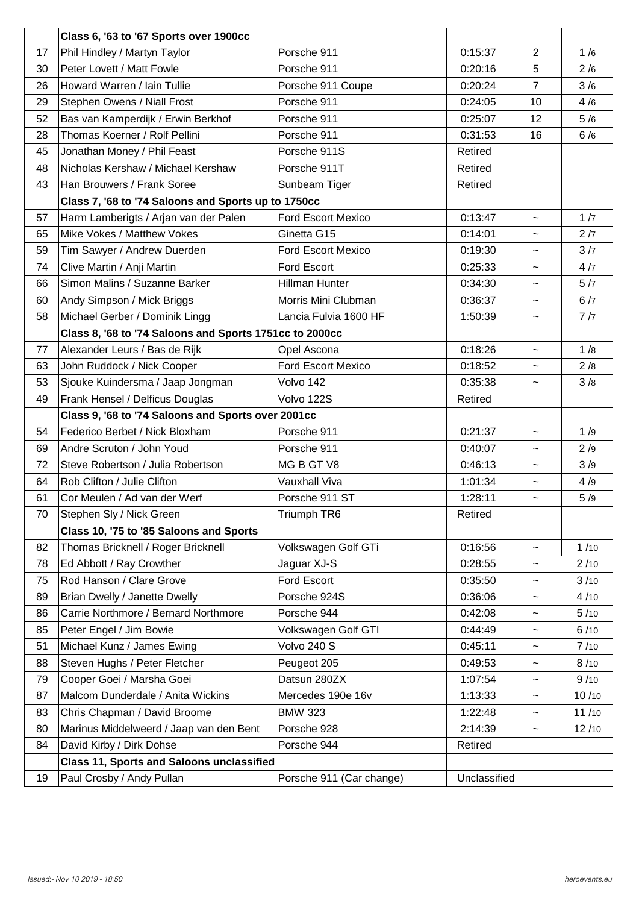|    | Class 6, '63 to '67 Sports over 1900cc                  |                           |         |                           |       |
|----|---------------------------------------------------------|---------------------------|---------|---------------------------|-------|
| 17 | Phil Hindley / Martyn Taylor                            | Porsche 911               | 0:15:37 | 2                         | 1/6   |
| 30 | Peter Lovett / Matt Fowle                               | Porsche 911               | 0:20:16 | 5                         | 2/6   |
| 26 | Howard Warren / Iain Tullie                             | Porsche 911 Coupe         | 0:20:24 | $\overline{7}$            | 3/6   |
| 29 | Stephen Owens / Niall Frost                             | Porsche 911               | 0:24:05 | 10                        | 4/6   |
| 52 | Bas van Kamperdijk / Erwin Berkhof                      | Porsche 911               | 0:25:07 | 12                        | 5/6   |
| 28 | Thomas Koerner / Rolf Pellini                           | Porsche 911               | 0:31:53 | 16                        | 6/6   |
| 45 | Jonathan Money / Phil Feast                             | Porsche 911S              | Retired |                           |       |
| 48 | Nicholas Kershaw / Michael Kershaw                      | Porsche 911T              | Retired |                           |       |
| 43 | Han Brouwers / Frank Soree                              | Sunbeam Tiger             | Retired |                           |       |
|    | Class 7, '68 to '74 Saloons and Sports up to 1750cc     |                           |         |                           |       |
| 57 | Harm Lamberigts / Arjan van der Palen                   | <b>Ford Escort Mexico</b> | 0:13:47 | $\tilde{}$                | 1/7   |
| 65 | Mike Vokes / Matthew Vokes                              | Ginetta G15               | 0:14:01 | $\tilde{}$                | 2/7   |
| 59 | Tim Sawyer / Andrew Duerden                             | <b>Ford Escort Mexico</b> | 0:19:30 | $\widetilde{\phantom{m}}$ | 3/7   |
| 74 | Clive Martin / Anji Martin                              | <b>Ford Escort</b>        | 0:25:33 | $\widetilde{\phantom{m}}$ | 4/7   |
| 66 | Simon Malins / Suzanne Barker                           | Hillman Hunter            | 0:34:30 | $\widetilde{\phantom{m}}$ | 5/7   |
| 60 | Andy Simpson / Mick Briggs                              | Morris Mini Clubman       | 0:36:37 | $\tilde{}$                | 6/7   |
| 58 | Michael Gerber / Dominik Lingg                          | Lancia Fulvia 1600 HF     | 1:50:39 | $\tilde{\phantom{a}}$     | 7/7   |
|    | Class 8, '68 to '74 Saloons and Sports 1751cc to 2000cc |                           |         |                           |       |
| 77 | Alexander Leurs / Bas de Rijk                           | Opel Ascona               | 0:18:26 | $\tilde{}$                | 1/8   |
| 63 | John Ruddock / Nick Cooper                              | <b>Ford Escort Mexico</b> | 0:18:52 | $\widetilde{\phantom{m}}$ | 2/8   |
| 53 | Sjouke Kuindersma / Jaap Jongman                        | Volvo 142                 | 0:35:38 | $\widetilde{\phantom{m}}$ | 3/8   |
| 49 | Frank Hensel / Delficus Douglas                         | Volvo 122S                | Retired |                           |       |
|    | Class 9, '68 to '74 Saloons and Sports over 2001cc      |                           |         |                           |       |
| 54 | Federico Berbet / Nick Bloxham                          | Porsche 911               | 0:21:37 | $\tilde{}$                | 1/9   |
| 69 | Andre Scruton / John Youd                               | Porsche 911               | 0:40:07 | $\widetilde{\phantom{m}}$ | 2/9   |
| 72 | Steve Robertson / Julia Robertson                       | MG B GT V8                | 0:46:13 | $\tilde{}$                | 3/9   |
| 64 | Rob Clifton / Julie Clifton                             | Vauxhall Viva             | 1:01:34 | $\tilde{}$                | 4/9   |
| 61 | Cor Meulen / Ad van der Werf                            | Porsche 911 ST            | 1:28:11 | $\tilde{}$                | 5/9   |
| 70 | Stephen Sly / Nick Green                                | Triumph TR6               | Retired |                           |       |
|    | Class 10, '75 to '85 Saloons and Sports                 |                           |         |                           |       |
| 82 | Thomas Bricknell / Roger Bricknell                      | Volkswagen Golf GTi       | 0:16:56 | $\tilde{}$                | 1/10  |
| 78 | Ed Abbott / Ray Crowther                                | Jaguar XJ-S               | 0:28:55 | $\tilde{}$                | 2/10  |
| 75 | Rod Hanson / Clare Grove                                | Ford Escort               | 0:35:50 | $\tilde{}$                | 3/10  |
| 89 | Brian Dwelly / Janette Dwelly                           | Porsche 924S              | 0:36:06 | $\tilde{}$                | 4/10  |
| 86 | Carrie Northmore / Bernard Northmore                    | Porsche 944               | 0:42:08 | $\widetilde{\phantom{m}}$ | 5/10  |
| 85 | Peter Engel / Jim Bowie                                 | Volkswagen Golf GTI       | 0:44:49 | $\tilde{}$                | 6/10  |
| 51 | Michael Kunz / James Ewing                              | Volvo 240 S               | 0:45:11 | $\tilde{}$                | 7/10  |
| 88 | Steven Hughs / Peter Fletcher                           | Peugeot 205               | 0:49:53 | $\tilde{}$                | 8/10  |
| 79 | Cooper Goei / Marsha Goei                               | Datsun 280ZX              | 1:07:54 | $\tilde{}$                | 9/10  |
| 87 | Malcom Dunderdale / Anita Wickins                       | Mercedes 190e 16v         | 1:13:33 | $\tilde{}$                | 10/10 |
| 83 | Chris Chapman / David Broome                            | <b>BMW 323</b>            | 1:22:48 | $\tilde{}$                | 11/10 |
| 80 | Marinus Middelweerd / Jaap van den Bent                 | Porsche 928               | 2:14:39 | $\tilde{}$                | 12/10 |
| 84 | David Kirby / Dirk Dohse                                | Porsche 944               | Retired |                           |       |
|    | <b>Class 11, Sports and Saloons unclassified</b>        |                           |         |                           |       |
|    |                                                         |                           |         |                           |       |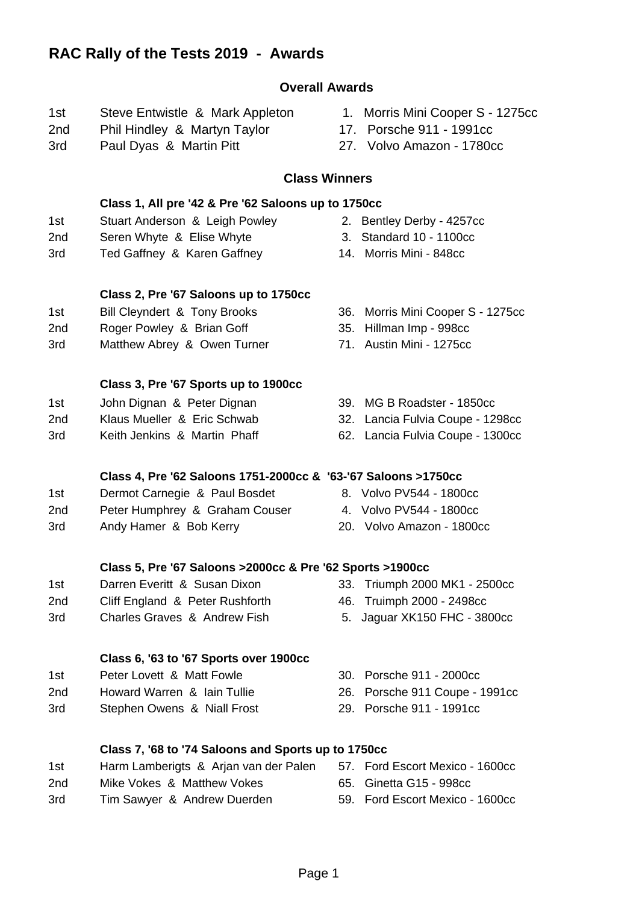# **Overall Awards**

- 1st Steve Entwistle & Mark Appleton 1. Morris Mini Cooper S 1275cc
- 2nd Phil Hindley & Martyn Taylor 17. Porsche 911 1991cc
- 3rd Paul Dyas & Martin Pitt 27. Volvo Amazon 1780cc
- 
- 
- 

#### **Class Winners**

#### **Class 1, All pre '42 & Pre '62 Saloons up to 1750cc** 1st Stuart Anderson & Leigh Powley 2. Bentley Derby - 4257cc

- 2nd Seren Whyte & Elise Whyte 3. Standard 10 1100cc
- 3rd Ted Gaffney & Karen Gaffney 14. Morris Mini 848cc
- 

### **Class 2, Pre '67 Saloons up to 1750cc**

- 1st Bill Cleyndert & Tony Brooks 36. Morris Mini Cooper S 1275cc
- 2nd Roger Powley & Brian Goff 35. Hillman Imp 998cc
- 3rd Matthew Abrey & Owen Turner 71. Austin Mini 1275cc

### **Class 3, Pre '67 Sports up to 1900cc**

- 1st John Dignan & Peter Dignan 39. MG B Roadster 1850cc
- 2nd Klaus Mueller & Eric Schwab 32. Lancia Fulvia Coupe 1298cc
- - **Class 4, Pre '62 Saloons 1751-2000cc & '63-'67 Saloons >1750cc**
- 1st Dermot Carnegie & Paul Bosdet 8. Volvo PV544 1800cc
- 2nd Peter Humphrey & Graham Couser 4. Volvo PV544 1800cc
- 3rd Andy Hamer & Bob Kerry 20. Volvo Amazon 1800cc

## **Class 5, Pre '67 Saloons >2000cc & Pre '62 Sports >1900cc**

- 1st Darren Everitt & Susan Dixon 33. Triumph 2000 MK1 2500cc
- 2nd Cliff England & Peter Rushforth 46. Truimph 2000 2498cc
- 3rd Charles Graves & Andrew Fish 5. Jaguar XK150 FHC 3800cc

#### **Class 6, '63 to '67 Sports over 1900cc**

- 1st Peter Lovett & Matt Fowle 30. Porsche 911 2000cc
- 2nd Howard Warren & Iain Tullie 26. Porsche 911 Coupe 1991cc
- 3rd Stephen Owens & Niall Frost 29. Porsche 911 1991cc

## **Class 7, '68 to '74 Saloons and Sports up to 1750cc**

- 1st Harm Lamberigts & Arjan van der Palen 57. Ford Escort Mexico 1600cc 2nd Mike Vokes & Matthew Vokes 65. Ginetta G15 - 998cc
- 3rd Tim Sawyer & Andrew Duerden 59. Ford Escort Mexico 1600cc
- 
- 
- 
- 
- 
- 
- 
- 
- 
- 
- 
- 
- 

- 
- 
- 
- 
- -
- 
- 3rd Keith Jenkins & Martin Phaff 62. Lancia Fulvia Coupe 1300cc
	-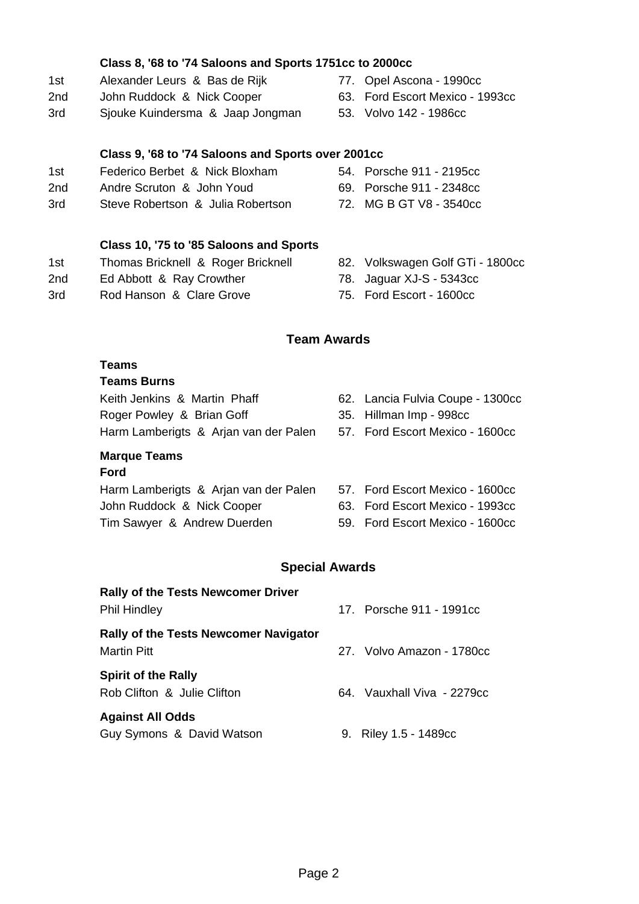### **Class 8, '68 to '74 Saloons and Sports 1751cc to 2000cc**

- 1st Alexander Leurs & Bas de Rijk 77. Opel Ascona 1990cc
- 2nd John Ruddock & Nick Cooper 63. Ford Escort Mexico 1993cc
- 3rd Sjouke Kuindersma & Jaap Jongman 53. Volvo 142 1986cc

#### **Class 9, '68 to '74 Saloons and Sports over 2001cc**

- 1st Federico Berbet & Nick Bloxham 54. Porsche 911 2195cc
- 2nd Andre Scruton & John Youd 69. Porsche 911 2348cc
- 3rd Steve Robertson & Julia Robertson 72. MG B GT V8 3540cc

## **Class 10, '75 to '85 Saloons and Sports**

- 1st Thomas Bricknell & Roger Bricknell 82. Volkswagen Golf GTi 1800cc
- 2nd Ed Abbott & Ray Crowther 78. Jaguar XJ-S 5343cc
- 3rd Rod Hanson & Clare Grove 75. Ford Escort 1600cc
- 
- 
- -

# **Team Awards**

#### **Teams**

#### **Teams Burns**

Keith Jenkins & Martin Phaff 62. Lancia Fulvia Coupe - 1300cc Roger Powley & Brian Goff 35. Hillman Imp - 998cc Harm Lamberigts & Arjan van der Palen 57. Ford Escort Mexico - 1600cc

# **Marque Teams**

#### **Ford**

Harm Lamberigts & Arjan van der Palen 57. Ford Escort Mexico - 1600cc John Ruddock & Nick Cooper 63. Ford Escort Mexico - 1993cc Tim Sawyer & Andrew Duerden 59. Ford Escort Mexico - 1600cc

- 
- 
- 
- 
- 

#### **Special Awards**

**Rally of the Tests Newcomer Driver** Phil Hindley 2002 17. Porsche 911 - 1991cc **Rally of the Tests Newcomer Navigator** Martin Pitt 27. Volvo Amazon - 1780cc **Spirit of the Rally** Rob Clifton & Julie Clifton 64. Vauxhall Viva - 2279cc **Against All Odds**

Guy Symons & David Watson 9. Riley 1.5 - 1489cc

- -
- 
- 
- 
- 
- 
- 
- 
- 
-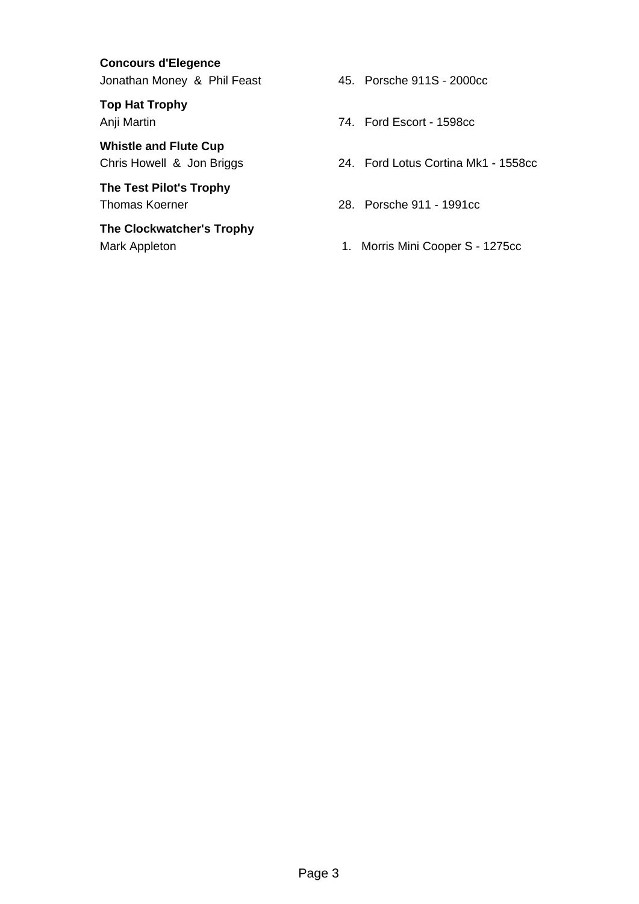**Concours d'Elegence** Jonathan Money & Phil Feast 45. Porsche 911S - 2000cc

**Top Hat Trophy**

**Whistle and Flute Cup**

**The Test Pilot's Trophy**

**The Clockwatcher's Trophy**

- 
- Anji Martin 2008 2014 12:30 74. Ford Escort 1598cc
- Chris Howell & Jon Briggs 24. Ford Lotus Cortina Mk1 1558cc
- Thomas Koerner 28. Porsche 911 1991cc
- Mark Appleton **1. Morris Mini Cooper S** 1275cc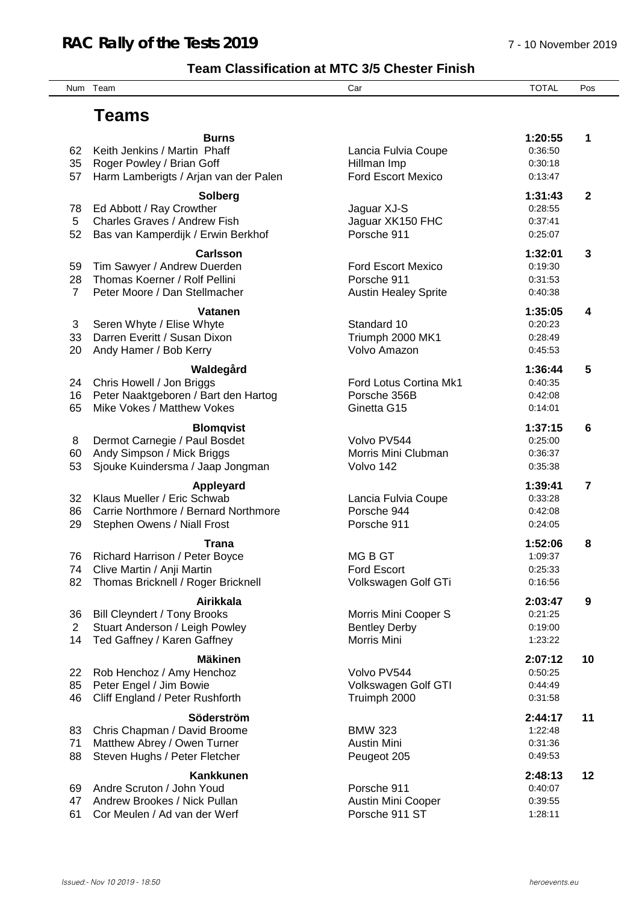# **Team Classification at MTC 3/5 Chester Finish**

Num Team Car TOTAL Pos

# **Teams**

| 62<br>35<br>57             | <b>Burns</b><br>Keith Jenkins / Martin Phaff<br>Roger Powley / Brian Goff<br>Harm Lamberigts / Arjan van der Palen       | Lancia Fulvia Coupe<br>Hillman Imp<br><b>Ford Escort Mexico</b>         | 1:20:55<br>0:36:50<br>0:30:18<br>0:13:47 | 1            |
|----------------------------|--------------------------------------------------------------------------------------------------------------------------|-------------------------------------------------------------------------|------------------------------------------|--------------|
| 78<br>5<br>52              | <b>Solberg</b><br>Ed Abbott / Ray Crowther<br>Charles Graves / Andrew Fish<br>Bas van Kamperdijk / Erwin Berkhof         | Jaguar XJ-S<br>Jaguar XK150 FHC<br>Porsche 911                          | 1:31:43<br>0:28:55<br>0:37:41<br>0:25:07 | $\mathbf{2}$ |
| 59<br>28<br>$\overline{7}$ | <b>Carlsson</b><br>Tim Sawyer / Andrew Duerden<br>Thomas Koerner / Rolf Pellini<br>Peter Moore / Dan Stellmacher         | <b>Ford Escort Mexico</b><br>Porsche 911<br><b>Austin Healey Sprite</b> | 1:32:01<br>0:19:30<br>0:31:53<br>0:40:38 | 3            |
| 3<br>33<br>20              | <b>Vatanen</b><br>Seren Whyte / Elise Whyte<br>Darren Everitt / Susan Dixon<br>Andy Hamer / Bob Kerry                    | Standard 10<br>Triumph 2000 MK1<br>Volvo Amazon                         | 1:35:05<br>0:20:23<br>0:28:49<br>0:45:53 | 4            |
| 24<br>16<br>65             | Waldegård<br>Chris Howell / Jon Briggs<br>Peter Naaktgeboren / Bart den Hartog<br>Mike Vokes / Matthew Vokes             | Ford Lotus Cortina Mk1<br>Porsche 356B<br>Ginetta G15                   | 1:36:44<br>0:40:35<br>0:42:08<br>0:14:01 | 5            |
| 8<br>60<br>53              | <b>Blomqvist</b><br>Dermot Carnegie / Paul Bosdet<br>Andy Simpson / Mick Briggs<br>Sjouke Kuindersma / Jaap Jongman      | Volvo PV544<br>Morris Mini Clubman<br>Volvo 142                         | 1:37:15<br>0:25:00<br>0:36:37<br>0:35:38 | 6            |
| 32<br>86<br>29             | Appleyard<br>Klaus Mueller / Eric Schwab<br>Carrie Northmore / Bernard Northmore<br>Stephen Owens / Niall Frost          | Lancia Fulvia Coupe<br>Porsche 944<br>Porsche 911                       | 1:39:41<br>0:33:28<br>0:42:08<br>0:24:05 | 7            |
| 76<br>74<br>82             | <b>Trana</b><br>Richard Harrison / Peter Boyce<br>Clive Martin / Anji Martin<br>Thomas Bricknell / Roger Bricknell       | MG B GT<br><b>Ford Escort</b><br>Volkswagen Golf GTi                    | 1:52:06<br>1:09:37<br>0:25:33<br>0:16:56 | 8            |
| 36<br>2<br>14              | <b>Airikkala</b><br><b>Bill Cleyndert / Tony Brooks</b><br>Stuart Anderson / Leigh Powley<br>Ted Gaffney / Karen Gaffney | Morris Mini Cooper S<br><b>Bentley Derby</b><br>Morris Mini             | 2:03:47<br>0:21:25<br>0:19:00<br>1:23:22 | 9            |
| 22<br>85<br>46             | <b>Mäkinen</b><br>Rob Henchoz / Amy Henchoz<br>Peter Engel / Jim Bowie<br>Cliff England / Peter Rushforth                | Volvo PV544<br>Volkswagen Golf GTI<br>Truimph 2000                      | 2:07:12<br>0:50:25<br>0:44:49<br>0:31:58 | 10           |
| 83<br>71<br>88             | Söderström<br>Chris Chapman / David Broome<br>Matthew Abrey / Owen Turner<br>Steven Hughs / Peter Fletcher               | <b>BMW 323</b><br><b>Austin Mini</b><br>Peugeot 205                     | 2:44:17<br>1:22:48<br>0:31:36<br>0:49:53 | 11           |
| 69                         | <b>Kankkunen</b><br>Andre Scruton / John Youd                                                                            | Porsche 911                                                             | 2:48:13<br>0:40:07                       | 12           |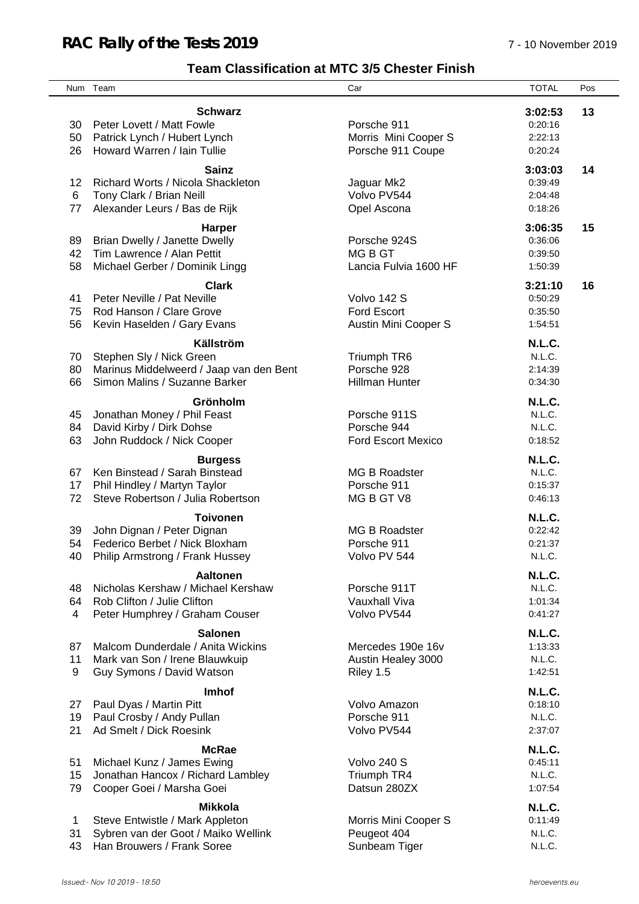# **Team Classification at MTC 3/5 Chester Finish**

|    | Num Team                                        | Car                       | <b>TOTAL</b>     | Pos |
|----|-------------------------------------------------|---------------------------|------------------|-----|
|    |                                                 |                           |                  |     |
|    | <b>Schwarz</b>                                  |                           | 3:02:53          | 13  |
| 30 | Peter Lovett / Matt Fowle                       | Porsche 911               | 0:20:16          |     |
| 50 | Patrick Lynch / Hubert Lynch                    | Morris Mini Cooper S      | 2:22:13          |     |
| 26 | Howard Warren / Iain Tullie                     | Porsche 911 Coupe         | 0:20:24          |     |
|    | <b>Sainz</b>                                    |                           | 3:03:03          | 14  |
| 12 | Richard Worts / Nicola Shackleton               | Jaguar Mk2                | 0:39:49          |     |
| 6  | Tony Clark / Brian Neill                        | Volvo PV544               | 2:04:48          |     |
| 77 | Alexander Leurs / Bas de Rijk                   | Opel Ascona               | 0:18:26          |     |
|    |                                                 |                           |                  |     |
|    | <b>Harper</b>                                   |                           | 3:06:35          | 15  |
| 89 | Brian Dwelly / Janette Dwelly                   | Porsche 924S              | 0:36:06          |     |
| 42 | Tim Lawrence / Alan Pettit                      | <b>MGBGT</b>              | 0:39:50          |     |
| 58 | Michael Gerber / Dominik Lingg                  | Lancia Fulvia 1600 HF     | 1:50:39          |     |
|    | <b>Clark</b>                                    |                           | 3:21:10          | 16  |
| 41 | Peter Neville / Pat Neville                     | Volvo 142 S               | 0:50:29          |     |
| 75 | Rod Hanson / Clare Grove                        | <b>Ford Escort</b>        | 0:35:50          |     |
| 56 | Kevin Haselden / Gary Evans                     | Austin Mini Cooper S      | 1:54:51          |     |
|    |                                                 |                           |                  |     |
|    | Källström                                       |                           | <b>N.L.C.</b>    |     |
| 70 | Stephen Sly / Nick Green                        | Triumph TR6               | N.L.C.           |     |
| 80 | Marinus Middelweerd / Jaap van den Bent         | Porsche 928               | 2:14:39          |     |
| 66 | Simon Malins / Suzanne Barker                   | <b>Hillman Hunter</b>     | 0:34:30          |     |
|    | Grönholm                                        |                           | N.L.C.           |     |
| 45 | Jonathan Money / Phil Feast                     | Porsche 911S              | N.L.C.           |     |
| 84 | David Kirby / Dirk Dohse                        | Porsche 944               | N.L.C.           |     |
| 63 | John Ruddock / Nick Cooper                      | <b>Ford Escort Mexico</b> | 0:18:52          |     |
|    |                                                 |                           |                  |     |
|    | <b>Burgess</b><br>Ken Binstead / Sarah Binstead |                           | N.L.C.<br>N.L.C. |     |
| 67 |                                                 | <b>MG B Roadster</b>      |                  |     |
| 17 | Phil Hindley / Martyn Taylor                    | Porsche 911               | 0:15:37          |     |
| 72 | Steve Robertson / Julia Robertson               | MG B GT V8                | 0:46:13          |     |
|    | <b>Toivonen</b>                                 |                           | N.L.C.           |     |
| 39 | John Dignan / Peter Dignan                      | <b>MG B Roadster</b>      | 0:22:42          |     |
| 54 | Federico Berbet / Nick Bloxham                  | Porsche 911               | 0:21:37          |     |
| 40 | Philip Armstrong / Frank Hussey                 | Volvo PV 544              | N.L.C.           |     |
|    | <b>Aaltonen</b>                                 |                           | N.L.C.           |     |
| 48 | Nicholas Kershaw / Michael Kershaw              | Porsche 911T              | N.L.C.           |     |
| 64 | Rob Clifton / Julie Clifton                     | Vauxhall Viva             | 1:01:34          |     |
| 4  | Peter Humphrey / Graham Couser                  | Volvo PV544               | 0:41:27          |     |
|    |                                                 |                           |                  |     |
|    | <b>Salonen</b>                                  |                           | N.L.C.           |     |
| 87 | Malcom Dunderdale / Anita Wickins               | Mercedes 190e 16v         | 1:13:33          |     |
| 11 | Mark van Son / Irene Blauwkuip                  | Austin Healey 3000        | N.L.C.           |     |
| 9  | Guy Symons / David Watson                       | Riley 1.5                 | 1:42:51          |     |
|    | Imhof                                           |                           | N.L.C.           |     |
| 27 | Paul Dyas / Martin Pitt                         | Volvo Amazon              | 0:18:10          |     |
| 19 | Paul Crosby / Andy Pullan                       | Porsche 911               | N.L.C.           |     |
| 21 | Ad Smelt / Dick Roesink                         | Volvo PV544               | 2:37:07          |     |
|    |                                                 |                           |                  |     |
|    | <b>McRae</b>                                    |                           | N.L.C.           |     |
| 51 | Michael Kunz / James Ewing                      | Volvo 240 S               | 0:45:11          |     |
| 15 | Jonathan Hancox / Richard Lambley               | Triumph TR4               | N.L.C.           |     |
| 79 | Cooper Goei / Marsha Goei                       | Datsun 280ZX              | 1:07:54          |     |
|    | <b>Mikkola</b>                                  |                           | N.L.C.           |     |
| 1  | Steve Entwistle / Mark Appleton                 | Morris Mini Cooper S      | 0:11:49          |     |
| 31 | Sybren van der Goot / Maiko Wellink             | Peugeot 404               | N.L.C.           |     |
| 43 | Han Brouwers / Frank Soree                      | Sunbeam Tiger             | N.L.C.           |     |
|    |                                                 |                           |                  |     |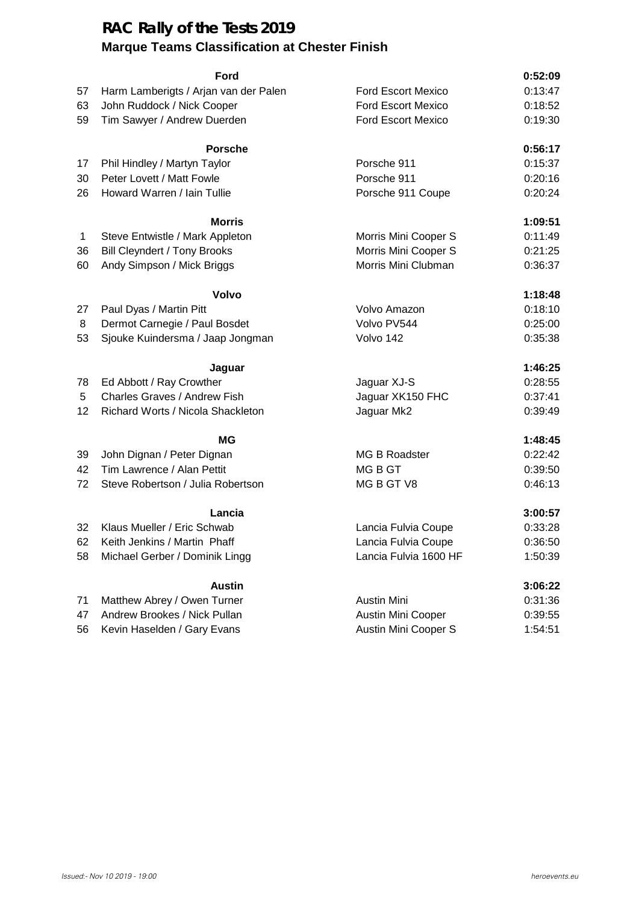## **RAC Rally of the Tests 2019 Marque Teams Classification at Chester Finish**

#### **Ford 0:52:09**

| 57           | Harm Lamberigts / Arjan van der Palen | <b>Ford Escort Mexico</b> | 0:13:47 |
|--------------|---------------------------------------|---------------------------|---------|
| 63           | John Ruddock / Nick Cooper            | <b>Ford Escort Mexico</b> | 0:18:52 |
| 59           | Tim Sawyer / Andrew Duerden           | <b>Ford Escort Mexico</b> | 0:19:30 |
|              | <b>Porsche</b>                        |                           | 0:56:17 |
| 17           | Phil Hindley / Martyn Taylor          | Porsche 911               | 0:15:37 |
| 30           | Peter Lovett / Matt Fowle             | Porsche 911               | 0:20:16 |
| 26           | Howard Warren / Iain Tullie           | Porsche 911 Coupe         | 0:20:24 |
|              | <b>Morris</b>                         |                           | 1:09:51 |
| $\mathbf{1}$ | Steve Entwistle / Mark Appleton       | Morris Mini Cooper S      | 0:11:49 |
| 36           | <b>Bill Cleyndert / Tony Brooks</b>   | Morris Mini Cooper S      | 0:21:25 |
| 60           | Andy Simpson / Mick Briggs            | Morris Mini Clubman       | 0:36:37 |
|              | Volvo                                 |                           | 1:18:48 |
| 27           | Paul Dyas / Martin Pitt               | Volvo Amazon              | 0:18:10 |
| 8            | Dermot Carnegie / Paul Bosdet         | Volvo PV544               | 0:25:00 |
| 53           | Sjouke Kuindersma / Jaap Jongman      | Volvo 142                 | 0:35:38 |
|              | Jaguar                                |                           | 1:46:25 |
| 78           | Ed Abbott / Ray Crowther              | Jaguar XJ-S               | 0:28:55 |
| 5            | Charles Graves / Andrew Fish          | Jaguar XK150 FHC          | 0:37:41 |
| 12           | Richard Worts / Nicola Shackleton     | Jaguar Mk2                | 0:39:49 |
|              | ΜG                                    |                           | 1:48:45 |
| 39           | John Dignan / Peter Dignan            | MG B Roadster             | 0:22:42 |
| 42           | Tim Lawrence / Alan Pettit            | MG B GT                   | 0:39:50 |
| 72           | Steve Robertson / Julia Robertson     | MG B GT V8                | 0:46:13 |
|              | Lancia                                |                           | 3:00:57 |
| 32           | Klaus Mueller / Eric Schwab           | Lancia Fulvia Coupe       | 0:33:28 |
| 62           | Keith Jenkins / Martin Phaff          | Lancia Fulvia Coupe       | 0:36:50 |
| 58           | Michael Gerber / Dominik Lingg        | Lancia Fulvia 1600 HF     | 1:50:39 |
|              | <b>Austin</b>                         |                           | 3:06:22 |
| 71           | Matthew Abrey / Owen Turner           | <b>Austin Mini</b>        | 0:31:36 |
| 47           | Andrew Brookes / Nick Pullan          | Austin Mini Cooper        | 0:39:55 |
| 56           | Kevin Haselden / Gary Evans           | Austin Mini Cooper S      | 1:54:51 |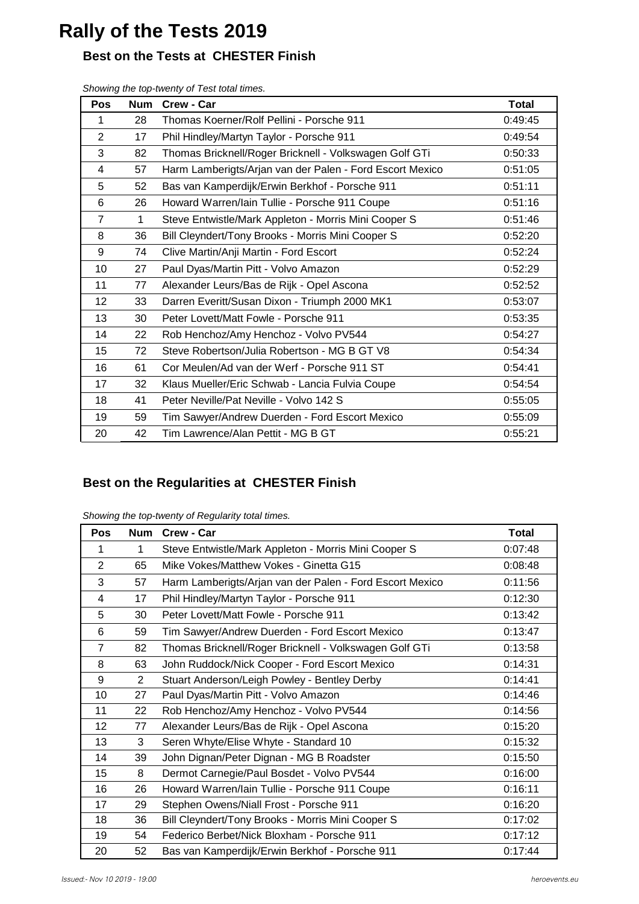# **Rally of the Tests 2019**

# **Best on the Tests at CHESTER Finish**

| <b>Pos</b>     | <b>Num</b> | Crew - Car                                               | <b>Total</b> |
|----------------|------------|----------------------------------------------------------|--------------|
| 1              | 28         | Thomas Koerner/Rolf Pellini - Porsche 911                | 0:49:45      |
| 2              | 17         | Phil Hindley/Martyn Taylor - Porsche 911                 | 0:49:54      |
| 3              | 82         | Thomas Bricknell/Roger Bricknell - Volkswagen Golf GTi   | 0:50:33      |
| 4              | 57         | Harm Lamberigts/Arjan van der Palen - Ford Escort Mexico | 0:51:05      |
| 5              | 52         | Bas van Kamperdijk/Erwin Berkhof - Porsche 911           | 0:51:11      |
| 6              | 26         | Howard Warren/Iain Tullie - Porsche 911 Coupe            | 0:51:16      |
| $\overline{7}$ | 1          | Steve Entwistle/Mark Appleton - Morris Mini Cooper S     | 0:51:46      |
| 8              | 36         | Bill Cleyndert/Tony Brooks - Morris Mini Cooper S        | 0:52:20      |
| 9              | 74         | Clive Martin/Anji Martin - Ford Escort                   | 0:52:24      |
| 10             | 27         | Paul Dyas/Martin Pitt - Volvo Amazon                     | 0:52:29      |
| 11             | 77         | Alexander Leurs/Bas de Rijk - Opel Ascona                | 0:52:52      |
| 12             | 33         | Darren Everitt/Susan Dixon - Triumph 2000 MK1            | 0:53:07      |
| 13             | 30         | Peter Lovett/Matt Fowle - Porsche 911                    | 0:53:35      |
| 14             | 22         | Rob Henchoz/Amy Henchoz - Volvo PV544                    | 0:54:27      |
| 15             | 72         | Steve Robertson/Julia Robertson - MG B GT V8             | 0:54:34      |
| 16             | 61         | Cor Meulen/Ad van der Werf - Porsche 911 ST              | 0:54:41      |
| 17             | 32         | Klaus Mueller/Eric Schwab - Lancia Fulvia Coupe          | 0:54:54      |
| 18             | 41         | Peter Neville/Pat Neville - Volvo 142 S                  | 0:55:05      |
| 19             | 59         | Tim Sawyer/Andrew Duerden - Ford Escort Mexico           | 0:55:09      |
| 20             | 42         | Tim Lawrence/Alan Pettit - MG B GT                       | 0:55:21      |

*Showing the top-twenty of Test total times.*

# **Best on the Regularities at CHESTER Finish**

| Showing the top-twenty of Regularity total times. |  |
|---------------------------------------------------|--|
|                                                   |  |

| Pos            | <b>Num</b>     | Crew - Car                                               | <b>Total</b> |
|----------------|----------------|----------------------------------------------------------|--------------|
| 1              | 1              | Steve Entwistle/Mark Appleton - Morris Mini Cooper S     | 0:07:48      |
| $\overline{2}$ | 65             | Mike Vokes/Matthew Vokes - Ginetta G15                   | 0:08:48      |
| 3              | 57             | Harm Lamberigts/Arjan van der Palen - Ford Escort Mexico | 0:11:56      |
| 4              | 17             | Phil Hindley/Martyn Taylor - Porsche 911                 | 0:12:30      |
| 5              | 30             | Peter Lovett/Matt Fowle - Porsche 911                    | 0:13:42      |
| 6              | 59             | Tim Sawyer/Andrew Duerden - Ford Escort Mexico           | 0:13:47      |
| $\overline{7}$ | 82             | Thomas Bricknell/Roger Bricknell - Volkswagen Golf GTi   | 0:13:58      |
| 8              | 63             | John Ruddock/Nick Cooper - Ford Escort Mexico            | 0:14:31      |
| 9              | $\overline{2}$ | Stuart Anderson/Leigh Powley - Bentley Derby             | 0:14:41      |
| 10             | 27             | Paul Dyas/Martin Pitt - Volvo Amazon                     | 0:14:46      |
| 11             | 22             | Rob Henchoz/Amy Henchoz - Volvo PV544                    | 0:14:56      |
| 12             | 77             | Alexander Leurs/Bas de Rijk - Opel Ascona                | 0:15:20      |
| 13             | 3              | Seren Whyte/Elise Whyte - Standard 10                    | 0:15:32      |
| 14             | 39             | John Dignan/Peter Dignan - MG B Roadster                 | 0:15:50      |
| 15             | 8              | Dermot Carnegie/Paul Bosdet - Volvo PV544                | 0:16:00      |
| 16             | 26             | Howard Warren/Iain Tullie - Porsche 911 Coupe            | 0:16:11      |
| 17             | 29             | Stephen Owens/Niall Frost - Porsche 911                  | 0:16:20      |
| 18             | 36             | Bill Cleyndert/Tony Brooks - Morris Mini Cooper S        | 0:17:02      |
| 19             | 54             | Federico Berbet/Nick Bloxham - Porsche 911               | 0:17:12      |
| 20             | 52             | Bas van Kamperdijk/Erwin Berkhof - Porsche 911           | 0:17:44      |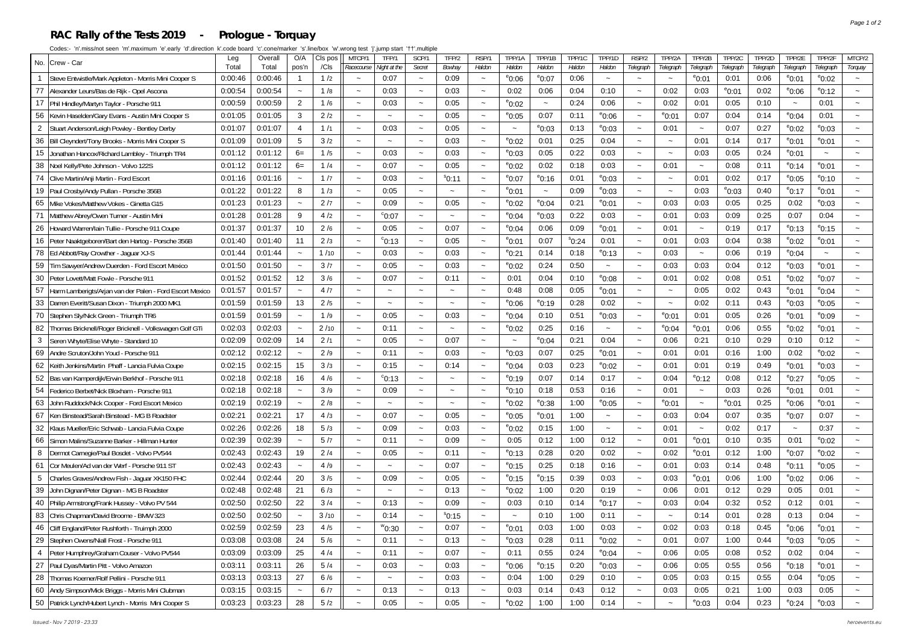#### **RAC Rally of the Tests 2019 - Prologue - Torquay**

| No. Crew - Car                                                       | Leg     | Overall | O/A                   | Cls po | MTCP/1                    | TFP/1                 | SCP/1                     | TFP/2                 | RSP/1                     | TPP/1A                | TPP/1B                    | TPP/1C          | TPP/1D                | RSP/2                     | TPP/2A                | TPP/2B                    | TPP/2C          | TPP/2D    | TPP/2E                | TPP/2F                | MTCP/2  |
|----------------------------------------------------------------------|---------|---------|-----------------------|--------|---------------------------|-----------------------|---------------------------|-----------------------|---------------------------|-----------------------|---------------------------|-----------------|-----------------------|---------------------------|-----------------------|---------------------------|-----------------|-----------|-----------------------|-----------------------|---------|
|                                                                      | Total   | Total   | pos'n                 | /Cls   | Racecourse                | Night at the          | Secret                    | Bowhay                | Haldon                    | Haldon                | Haldon                    | Haldon          | Haldon                | Telegraph                 | Telegraph             | Telegraph                 | Telegraph       | Telegraph | Telegraph             | Telegraph             | Torquay |
| Steve Entwistle/Mark Appleton - Morris Mini Cooper S<br>$\mathbf{1}$ | 0:00:46 | 0:00:46 | $\mathbf{1}$          | 1/2    | $\sim$                    | 0:07                  | $\sim$                    | 0:09                  | $\sim$                    | $^{\circ}$ 0:06       | $^{\circ}$ 0:07           | 0:06            | $\sim$                | $\sim$                    |                       | $^{\circ}$ 0:01           | 0:01            | 0:06      | $^{\circ}$ 0:01       | $^{\circ}$ 0:02       |         |
| 77<br>Alexander Leurs/Bas de Rijk - Opel Ascona                      | 0:00:54 | 0:00:54 | $\tilde{\phantom{a}}$ | 1/8    | $\tilde{\phantom{a}}$     | 0:03                  | $\tilde{\phantom{a}}$     | 0:03                  | $\tilde{\phantom{a}}$     | 0:02                  | 0:06                      | 0:04            | 0:10                  | $\tilde{\phantom{a}}$     | 0:02                  | 0:03                      | $^{\circ}$ 0:01 | 0:02      | $^{\circ}$ 0:06       | $^{\circ}$ 0:12       |         |
| 17 Phil Hindley/Martyn Taylor - Porsche 911                          | 0:00:59 | 0:00:59 | $\overline{2}$        | 1/6    | $\tilde{\phantom{a}}$     | 0:03                  | $\tilde{\phantom{a}}$     | 0:05                  | $\tilde{\phantom{a}}$     | $^{\circ}$ 0:02       | $\widetilde{\phantom{m}}$ | 0:24            | 0:06                  | $\tilde{\phantom{a}}$     | 0:02                  | 0:01                      | 0:05            | 0:10      |                       | 0:01                  |         |
| 56 Kevin Haselden/Gary Evans - Austin Mini Cooper S                  | 0:01:05 | 0:01:05 | 3                     | 2/2    | $\widetilde{\phantom{m}}$ | $\tilde{\phantom{a}}$ | $\sim$                    | 0:05                  | $\sim$                    | $^{\circ}$ 0:05       | 0:07                      | 0:11            | 0.06                  | $\widetilde{\phantom{m}}$ | $^{\circ}$ 0:01       | 0:07                      | 0:04            | 0:14      | $^{\circ}$ 0:04       | 0:01                  |         |
| $\overline{2}$<br>Stuart Anderson/Leigh Powley - Bentley Derby       | 0:01:07 | 0:01:07 | $\overline{4}$        | 1/1    | $\sim$                    | 0:03                  | $\tilde{\phantom{a}}$     | 0:05                  | $\sim$                    | $\sim$                | $^{\circ}$ 0:03           | 0:13            | $^{\rm e}$ 0:03       | $\sim$                    | 0:01                  | $\sim$                    | 0:07            | 0:27      | $^{\circ}$ 0:02       | $^{\circ}0:03$        |         |
| Bill Cleyndert/Tony Brooks - Morris Mini Cooper S<br>36              | 0:01:09 | 0:01:09 | 5                     | 3/2    | $\thicksim$               | $\tilde{\phantom{a}}$ | $\sim$                    | 0:03                  | $\sim$                    | $^{\circ}$ 0:02       | 0:01                      | 0:25            | 0:04                  | $\sim$                    | $\tilde{\phantom{a}}$ | 0:01                      | 0:14            | 0:17      | $^{\circ}$ 0:01       | $^{\circ}$ 0:01       |         |
| 15 Jonathan Hancox/Richard Lambley - Triumph TR4                     | 0:01:12 | 0:01:12 | $6=$                  | 1/5    | $\sim$                    | 0:03                  | $\sim$                    | 0:03                  | $\sim$                    | $^{\circ}$ 0:03       | 0:05                      | 0:22            | 0:03                  | $\tilde{\phantom{a}}$     | $\ddot{\phantom{0}}$  | 0:03                      | 0:05            | 0:24      | $^{\circ}$ 0:01       | $\sim$                |         |
| 38<br>Noel Kelly/Pete Johnson - Volvo 122S                           | 0:01:12 | 0:01:12 | $6=$                  | 1/4    | $\sim$                    | 0:07                  | $\sim$                    | 0:05                  | $\thicksim$               | $^{\circ}$ 0:02       | 0:02                      | 0:18            | 0:03                  | $\sim$                    | 0:01                  | $\tilde{\phantom{a}}$     | 0:08            | 0:11      | $^{\circ}$ 0:14       | $^{\circ}$ 0:01       | $\sim$  |
| 74 Clive Martin/Anji Martin - Ford Escor                             | 0:01:16 | 0:01:16 |                       | 1/7    | $\tilde{\phantom{a}}$     | 0:03                  | $\sim$                    | $^{\rm s}$ 0:11       | $\thicksim$               | $^{\circ}$ 0:07       | $^{\circ}$ 0:16           | 0:01            | $^{\circ}$ 0:03       | $\sim$                    | $\tilde{\phantom{a}}$ | 0:01                      | 0:02            | 0:17      | $^{\circ}$ 0:05       | $^{\circ}$ 0:10       |         |
| 19 Paul Crosby/Andy Pullan - Porsche 356B                            | 0:01:22 | 0:01:22 | 8                     | 1/3    | $\tilde{\phantom{a}}$     | 0:05                  | $\widetilde{\phantom{m}}$ | $\sim$                | $\sim$                    | $^{\circ}$ 0:01       | $\tilde{\phantom{a}}$     | 0:09            | $e_{0:03}$            | $\tilde{\phantom{a}}$     | $\tilde{\phantom{a}}$ | 0:03                      | $^{\circ}$ 0:03 | 0:40      | $^{\circ}$ 0:17       | $^{\rm e}$ 0:01       |         |
| Mike Vokes/Matthew Vokes - Ginetta G15<br>65                         | 0:01:23 | 0:01:23 | $\sim$                | 2/7    | $\widetilde{\phantom{m}}$ | 0:09                  | $\sim$                    | 0:05                  | $\thicksim$               | $^{\rm e}$ 0:02       | $^{\circ}$ 0:04           | 0:21            | $^{\rm e}$ 0:01       | $\sim$                    | 0:03                  | 0:03                      | 0:05            | 0:25      | 0:02                  | $^{\circ}$ 0:03       | $\sim$  |
| 71 Matthew Abrey/Owen Turner - Austin Mini                           | 0:01:28 | 0:01:28 | 9                     | 4/2    | $\sim$                    | $^{\circ}$ 0:07       | $\sim$                    | $\sim$                | $\sim$                    | $^{\circ}$ 0:04       | $^{\circ}$ 0:03           | 0:22            | 0:03                  | $\sim$                    | 0:01                  | 0:03                      | 0:09            | 0:25      | 0:07                  | 0:04                  |         |
| 26<br>Howard Warren/lain Tullie - Porsche 911 Coupe                  | 0:01:37 | 0:01:37 | 10                    | 2/6    | $\thicksim$               | 0:05                  | $\sim$                    | 0:07                  | $\sim$                    | $^{\circ}$ 0:04       | 0:06                      | 0:09            | $^{\rm e}$ 0:01       | $\tilde{\phantom{a}}$     | 0:01                  | $\widetilde{\phantom{m}}$ | 0:19            | 0:17      | $^{\circ}$ 0:13       | $^{\circ}$ 0:15       | $\sim$  |
| Peter Naaktgeboren/Bart den Hartog - Porsche 356B<br>16              | 0:01:40 | 0:01:40 | 11                    | 2/3    | $\tilde{\phantom{a}}$     | $\degree$ 0:13        | $\sim$                    | 0:05                  | $\widetilde{\phantom{m}}$ | $^{\circ}$ 0:01       | 0:07                      | $^{\circ}$ 0:24 | 0:01                  | $\tilde{\phantom{a}}$     | 0:01                  | 0:03                      | 0:04            | 0:38      | $^{\circ}$ 0:02       | $^{\rm e}$ 0:01       |         |
| 78 Ed Abbott/Ray Crowther - Jaguar XJ-S                              | 0:01:44 | 0:01:44 |                       | 1/10   | $\tilde{\phantom{a}}$     | 0:03                  | $\widetilde{\phantom{m}}$ | 0:03                  | $\thicksim$               | $^{\circ}$ 0:21       | 0:14                      | 0:18            | $^{\rm e}$ 0:13       | $\tilde{\phantom{a}}$     | 0:03                  | $\tilde{\phantom{a}}$     | 0:06            | 0:19      | $^{\circ}$ 0:04       | $\tilde{\phantom{a}}$ |         |
| 59<br>Tim Sawyer/Andrew Duerden - Ford Escort Mexico                 | 0:01:50 | 0:01:50 | $\sim$                | 3/7    | $\sim$                    | 0:05                  | $\sim$                    | 0:03                  | $\thicksim$               | $^{\circ}$ 0:02       | 0:24                      | 0:50            | $\sim$                | $\sim$                    | 0:03                  | 0:03                      | 0:04            | 0:12      | $^{\circ}$ 0:03       | $^{\circ}$ 0:01       | $\sim$  |
| 30<br>Peter Lovett/Matt Fowle - Porsche 911                          | 0:01:52 | 0:01:52 | 12                    | 3/6    | $\tilde{\phantom{a}}$     | 0:07                  | $\sim$                    | 0:11                  | $\sim$                    | 0:01                  | 0:04                      | 0:10            | $^{\circ}$ 0:08       | $\tilde{\phantom{a}}$     | 0:01                  | 0:02                      | 0:08            | 0:51      | $^{\circ}$ 0:02       | $^{\circ}$ 0:07       |         |
| 57<br>Harm Lamberigts/Arjan van der Palen - Ford Escort Mexico       | 0:01:57 | 0:01:57 |                       | 4/7    | $\tilde{\phantom{a}}$     |                       | $\sim$                    | $\sim$                | $\sim$                    | 0:48                  | 0:08                      | 0:05            | $^{\circ}$ 0:01       | $\tilde{}$                | $\tilde{\phantom{a}}$ | 0:05                      | 0:02            | 0:43      | $e_{0:01}$            | $^{\circ}$ 0:04       |         |
| 33<br>Darren Everitt/Susan Dixon - Triumph 2000 MK1                  | 0:01:59 | 0:01:59 | 13                    | 2/5    | $\sim$                    | $\tilde{\phantom{a}}$ | $\tilde{\phantom{a}}$     | $\tilde{\phantom{a}}$ | $\sim$                    | $^{\circ}$ 0:06       | $^{\circ}$ 0:19           | 0:28            | 0:02                  | $\tilde{\phantom{a}}$     | $\sim$                | 0:02                      | 0:11            | 0:43      | $^{\circ}$ 0:03       | $^{\circ}$ 0:05       |         |
| 70<br>Stephen Sly/Nick Green - Triumph TR6                           | 0:01:59 | 0:01:59 |                       | 1/9    | $\sim$                    | 0:05                  | $\sim$                    | 0:03                  | $\sim$                    | $^{\circ}$ 0:04       | 0:10                      | 0:51            | $^{\rm e}$ 0:03       | $\sim$                    | $^{\rm e}$ 0:01       | 0:01                      | 0:05            | 0:26      | $^{\circ}$ 0:01       | $^{\circ}$ 0:09       |         |
| 82<br>Thomas Bricknell/Roger Bricknell - Volkswagen Golf GTi         | 0:02:03 | 0:02:03 |                       | 2/10   | $\tilde{\phantom{a}}$     | 0:11                  | $\sim$                    | $\sim$                | $\tilde{\phantom{a}}$     | $^{\circ}$ 0:02       | 0:25                      | 0:16            | $\tilde{\phantom{a}}$ | $\tilde{\phantom{a}}$     | $^{\circ}$ 0:04       | $^{\circ}$ 0:01           | 0:06            | 0:55      | $^{\circ}$ 0:02       | $^{\circ}$ 0:01       |         |
| 3<br>Seren Whyte/Elise Whyte - Standard 10                           | 0:02:09 | 0:02:09 | 14                    | 2/1    | $\tilde{}$                | 0:05                  | $\tilde{}$                | 0:07                  | $\tilde{\phantom{a}}$     | $\sim$                | $^{\circ}$ 0:04           | 0:21            | 0:04                  | $\tilde{\phantom{a}}$     | 0:06                  | 0:21                      | 0:10            | 0:29      | 0:10                  | 0:12                  |         |
| 69<br>Andre Scruton/John Youd - Porsche 911                          | 0:02:12 | 0:02:12 |                       | 2/9    | $\tilde{\phantom{a}}$     | 0:11                  | $\sim$                    | 0:03                  | $\tilde{\phantom{a}}$     | $^{\circ}$ 0:03       | 0:07                      | 0:25            | $^{\circ}$ 0:01       | $\tilde{\phantom{a}}$     | 0:01                  | 0:01                      | 0:16            | 1:00      | 0:02                  | $^{\circ}$ 0:02       |         |
| 62<br>Keith Jenkins/Martin Phaff - Lancia Fulvia Coupe               | 0:02:15 | 0:02:15 | 15                    | 3/3    | $\tilde{\phantom{a}}$     | 0:15                  | $\sim$                    | 0:14                  | $\sim$                    | $^{\circ}$ 0:04       | 0:03                      | 0:23            | $^{\circ}$ 0:02       | $\sim$                    | 0:01                  | 0:01                      | 0:19            | 0:49      | $^{\circ}$ 0:01       | $^{\circ}$ 0:03       |         |
| 52<br>Bas van Kamperdijk/Erwin Berkhof - Porsche 911                 | 0:02:18 | 0:02:18 | 16                    | 4/6    | $\tilde{\phantom{a}}$     | $\degree$ 0:13        | $\sim$                    |                       | $\sim$                    | $^{\circ}$ 0:19       | 0:07                      | 0:14            | 0:17                  | $\tilde{\phantom{a}}$     | 0:04                  | $^{\circ}$ 0:12           | 0:08            | 0:12      | $e_{0:27}$            | $^{\circ}$ 0:05       |         |
| 54<br>Federico Berbet/Nick Bloxham - Porsche 911                     | 0:02:18 | 0:02:18 |                       | 3/9    | $\tilde{}$                | 0:09                  | $\widetilde{\phantom{m}}$ | $\sim$                | $\thicksim$               | $^{\circ}$ 0:10       | 0:18                      | 0:53            | 0:16                  | $\tilde{}$                | 0:01                  |                           | 0:03            | 0:26      | $^{\circ}$ 0:01       | 0:01                  |         |
| John Ruddock/Nick Cooper - Ford Escort Mexico<br>63                  | 0:02:19 | 0:02:19 |                       | 2/8    | $\sim$                    | $\sim$                | $\sim$                    | $\sim$                | $\sim$                    | $^{\circ}$ 0:02       | $^{\circ}$ 0:38           | 1:00            | $^{\rm e}$ 0:05       | $\sim$                    | $^{\circ}$ 0:01       | $\sim$                    | $^{\circ}$ 0:01 | 0:25      | $^{\circ}$ 0:06       | $^{\circ}$ 0:01       | $\sim$  |
| 67<br>Ken Binstead/Sarah Binstead - MG B Roadster                    | 0:02:21 | 0:02:21 | 17                    | 4/3    | $\tilde{\phantom{a}}$     | 0:07                  | $\sim$                    | 0:05                  | $\sim$                    | $^{\circ}$ 0:05       | $^{\circ}$ 0:01           | 1:00            | $\sim$                | $\tilde{\phantom{a}}$     | 0:03                  | 0:04                      | 0:07            | 0:35      | $^{\circ}$ 0:07       | 0:07                  |         |
| 32<br>Klaus Mueller/Eric Schwab - Lancia Fulvia Coupe                | 0:02:26 | 0:02:26 | 18                    | 5/3    | $\tilde{\phantom{a}}$     | 0:09                  | $\tilde{}$                | 0:03                  | $\tilde{\phantom{a}}$     | $^{\circ}$ 0:02       | 0:15                      | 1:00            | $\tilde{}$            | $\tilde{\phantom{a}}$     | 0:01                  | $\tilde{\phantom{a}}$     | 0:02            | 0:17      | $\tilde{\phantom{a}}$ | 0:37                  |         |
| 66<br>Simon Malins/Suzanne Barker - Hillman Hunter                   | 0:02:39 | 0:02:39 | $\tilde{\phantom{a}}$ | 5/7    | $\tilde{\phantom{a}}$     | 0:11                  | $\tilde{}$                | 0:09                  | $\tilde{\phantom{a}}$     | 0:05                  | 0:12                      | 1:00            | 0:12                  | $\tilde{\phantom{a}}$     | 0:01                  | $^{\circ}$ 0:01           | 0:10            | 0:35      | 0:01                  | $^{\circ}$ 0:02       |         |
| Dermot Carnegie/Paul Bosdet - Volvo PV544<br>8                       | 0:02:43 | 0:02:43 | 19                    | 2/4    | $\tilde{\phantom{a}}$     | 0:05                  | $\sim$                    | 0:11                  | $\sim$                    | $^{\circ}$ 0:13       | 0:28                      | 0:20            | 0:02                  | $\tilde{\phantom{a}}$     | 0:02                  | $^{\circ}$ 0:01           | 0:12            | 1:00      | $^{\circ}$ 0:07       | $^{\circ}$ 0:02       |         |
| 61<br>Cor Meulen/Ad van der Werf - Porsche 911 ST                    | 0:02:43 | 0:02:43 |                       | 4/9    | $\sim$                    |                       | $\sim$                    | 0:07                  | $\sim$                    | $^{\rm e}$ 0:15       | 0:25                      | 0:18            | 0:16                  | $\sim$                    | 0:01                  | 0:03                      | 0:14            | 0:48      | $^{\circ}$ 0:11       | $^{\circ}$ 0:05       |         |
| 5<br>Charles Graves/Andrew Fish - Jaquar XK150 FHC                   | 0:02:44 | 0:02:44 | 20                    | 3/5    | $\sim$                    | 0:09                  | $\sim$                    | 0:05                  | $\sim$                    | $^{\circ}$ 0:15       | $^{\circ}$ 0:15           | 0:39            | 0:03                  | $\sim$                    | 0:03                  | $^{\circ}$ 0:01           | 0:06            | 1:00      | $^{\circ}$ 0:02       | 0:06                  |         |
| 39<br>John Dignan/Peter Dignan - MG B Roadster                       | 0:02:48 | 0:02:48 | 21                    | 6/3    | $\sim$                    |                       | $\sim$                    | 0:13                  | $\tilde{\phantom{a}}$     | $^{\circ}$ 0:02       | 1:00                      | 0:20            | 0:19                  | $\tilde{\phantom{a}}$     | 0:06                  | 0:01                      | 0:12            | 0:29      | 0:05                  | 0:01                  |         |
| 40 Philip Armstrong/Frank Hussey - Volvo PV 544                      | 0:02:50 | 0:02:50 | 22                    | 3/4    | $\tilde{\phantom{a}}$     | 0:13                  | $\tilde{}$                | 0:09                  | $\tilde{\phantom{a}}$     | 0:03                  | 0:10                      | 0:14            | $^{\rm e}$ 0:17       | $\tilde{\phantom{a}}$     | 0:03                  | 0:04                      | 0:32            | 0:52      | 0:12                  | 0:01                  |         |
| 83<br>Chris Chapman/David Broome - BMW 323                           | 0:02:50 | 0:02:50 | $\sim$                | 3/10   | $\tilde{\phantom{a}}$     | 0:14                  | $\tilde{\phantom{a}}$     | $^{\circ}$ 0:15       | $\tilde{\phantom{a}}$     | $\tilde{\phantom{a}}$ | 0:10                      | 1:00            | 0:11                  | $\tilde{\phantom{a}}$     | $\tilde{}$            | 0:14                      | 0:01            | 0:28      | 0:13                  | 0:04                  | $\sim$  |
| 46<br>Cliff England/Peter Rushforth - Truimph 2000                   | 0:02:59 | 0:02:59 | 23                    | 4/5    | $\tilde{\phantom{a}}$     | $^{\rm w}$ 0:30       | $\sim$                    | 0:07                  | $\thicksim$               | $^{\circ}$ 0:01       | 0:03                      | 1:00            | 0:03                  | $\tilde{\phantom{a}}$     | 0:02                  | 0:03                      | 0:18            | 0:45      | $^{\circ}$ 0:06       | $^{\circ}$ 0:01       |         |
| 29<br>Stephen Owens/Niall Frost - Porsche 911                        | 0:03:08 | 0:03:08 | 24                    | 5/6    | $\sim$                    | 0:11                  | $\tilde{\phantom{a}}$     | 0:13                  | $\sim$                    | $^{\circ}$ 0:03       | 0:28                      | 0:11            | $^{\circ}$ 0:02       | $\sim$                    | 0:01                  | 0:07                      | 1:00            | 0:44      | $^{\circ}$ 0:03       | $^{\circ}0:05$        | $\sim$  |
| 4<br>Peter Humphrey/Graham Couser - Volvo PV544                      | 0:03:09 | 0:03:09 | 25                    | 4/4    | $\tilde{\phantom{a}}$     | 0:11                  | $\sim$                    | 0:07                  | $\sim$                    | 0:11                  | 0:55                      | 0:24            | $^{\circ}$ 0:04       | $\sim$                    | 0:06                  | 0:05                      | 0:08            | 0:52      | 0:02                  | 0:04                  |         |
| 27 Paul Dyas/Martin Pitt - Volvo Amazon                              | 0:03:11 | 0:03:11 | 26                    | 5/4    | $\tilde{\phantom{a}}$     | 0:03                  | $\sim$                    | 0:03                  | $\sim$                    | $^{\circ}$ 0:06       | $^{\circ}$ 0:15           | 0:20            | $e_{0:03}$            | $\sim$                    | 0:06                  | 0:05                      | 0:55            | 0:56      | $^{\circ}$ 0:18       | $^{\circ}$ 0:01       |         |
| 28<br>Thomas Koerner/Rolf Pellini - Porsche 911                      | 0:03:13 | 0:03:13 | 27                    | 6/6    | $\sim$                    | $\sim$                | $\sim$                    | 0:03                  | $\tilde{\phantom{a}}$     | 0:04                  | 1:00                      | 0:29            | 0:10                  | $\tilde{\phantom{a}}$     | 0:05                  | 0:03                      | 0:15            | 0:55      | 0:04                  | $^{\circ}$ 0:05       |         |
| 60 Andy Simpson/Mick Briggs - Morris Mini Clubman                    | 0:03:15 | 0:03:15 |                       | 6/7    | $\tilde{\phantom{a}}$     | 0:13                  | $\tilde{\phantom{a}}$     | 0:13                  | $\sim$                    | 0:03                  | 0:14                      | 0:43            | 0:12                  | $\tilde{\phantom{a}}$     | 0:03                  | 0:05                      | 0:21            | 1:00      | 0:03                  | 0:05                  |         |
|                                                                      |         | 0:03:23 | 28                    | 5/2    |                           | 0:05                  |                           | 0:05                  |                           | $^{\circ}$ 0:02       | 1:00                      | 1:00            | 0:14                  |                           |                       | $^{\circ}$ 0:03           | 0:04            | 0:23      | $^{\circ}$ 0:24       | $e_{0:03}$            |         |
| 50 Patrick Lynch/Hubert Lynch - Morris Mini Cooper S                 | 0:03:23 |         |                       |        |                           |                       |                           |                       |                           |                       |                           |                 |                       |                           |                       |                           |                 |           |                       |                       |         |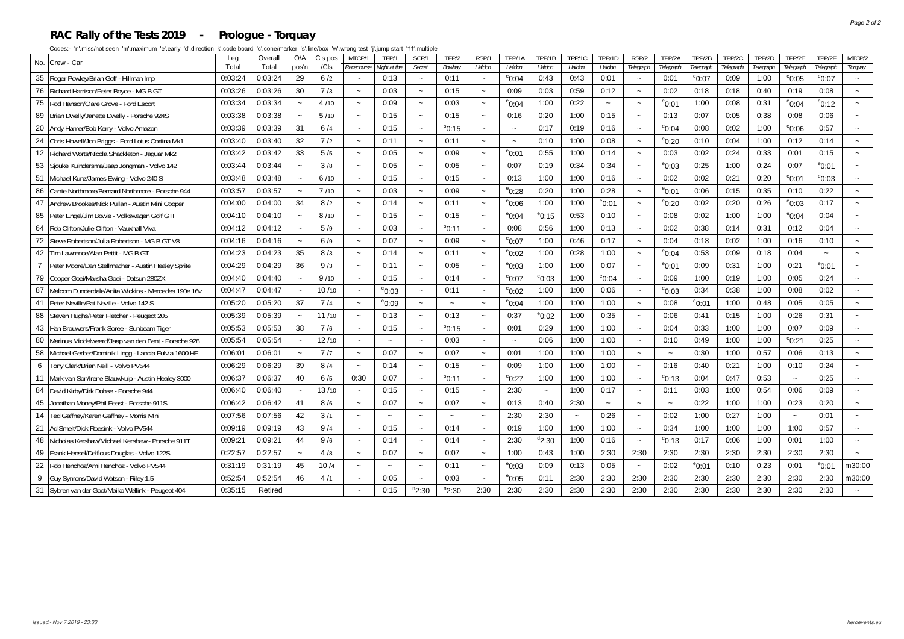#### **RAC Rally of the Tests 2019 - Prologue - Torquay**

|                 | No. Crew - Car                                          | Leg     | Overall | O/A   | CIs pos | MTCP/1                    | TFP/1                 | SCP/1                 | TFP/2           | RSP/1                     | TPP/1A                | TPP/1B          | TPP/1C                | TPP/1D          | RSP/2                     | TPP/2A          | TPP/2B          | TPP/2C    | TPP/2D    | TPP/2E                    | TPP/2F          | MTCP/2                    |
|-----------------|---------------------------------------------------------|---------|---------|-------|---------|---------------------------|-----------------------|-----------------------|-----------------|---------------------------|-----------------------|-----------------|-----------------------|-----------------|---------------------------|-----------------|-----------------|-----------|-----------|---------------------------|-----------------|---------------------------|
|                 |                                                         | Total   | Total   | pos'n | /Cls    | Racecourse                | Night at the          | Secret                | Bowhay          | Haldon                    | Haldon                | Haldon          | Haldon                | Haldon          | Telegraph                 | Telegraph       | Telegraph       | Telegrapi | Telegraph | Telegraph                 | Telegraph       | Torquay                   |
| 35              | Roger Powley/Brian Goff - Hillman Imp                   | 0:03:24 | 0:03:24 | 29    | 6/2     | $\sim$                    | 0:13                  | $\sim$                | 0:11            | $\sim$                    | °0:04                 | 0:43            | 0:43                  | 0:01            | $\widetilde{\phantom{m}}$ | 0:01            | $^{\circ}$ 0:07 | 0:09      | 1:00      | $^{\circ}$ 0:05           | $^{\circ}$ 0:07 | $\widetilde{\phantom{m}}$ |
| 76              | Richard Harrison/Peter Boyce - MG B GT                  | 0:03:26 | 0:03:26 | 30    | 7/3     | $\thicksim$               | 0:03                  | $\sim$                | 0:15            | $\tilde{\phantom{a}}$     | 0:09                  | 0:03            | 0:59                  | 0:12            | $\tilde{\phantom{a}}$     | 0:02            | 0:18            | 0:18      | 0:40      | 0:19                      | 0:08            | $\sim$                    |
| 75              | Rod Hanson/Clare Grove - Ford Escort                    | 0:03:34 | 0:03:34 |       | 4/10    | $\tilde{}$                | 0:09                  | $\sim$                | 0:03            | $\tilde{\phantom{a}}$     | $^{\circ}$ 0:04       | 1:00            | 0:22                  | $\tilde{}$      | $\widetilde{\phantom{m}}$ | $^{\circ}$ 0:01 | 1:00            | 0:08      | 0:31      | $^{\circ}$ 0:04           | $^{\circ}$ 0:12 |                           |
| 89              | Brian Dwelly/Janette Dwelly - Porsche 924S              | 0:03:38 | 0:03:38 |       | 5/10    |                           | 0:15                  | $\sim$                | 0:15            | $\tilde{\phantom{a}}$     | 0:16                  | 0:20            | 1:00                  | 0:15            | $\tilde{\phantom{a}}$     | 0:13            | 0:07            | 0:05      | 0:38      | 0:08                      | 0:06            |                           |
| 20              | Andy Hamer/Bob Kerry - Volvo Amazor                     | 0:03:39 | 0:03:39 | 31    | 6/4     | $\tilde{\phantom{a}}$     | 0:15                  | $\thicksim$           | \$0:15          | $\tilde{\phantom{a}}$     | $\tilde{\phantom{a}}$ | 0:17            | 0:19                  | 0:16            | $\tilde{\phantom{a}}$     | $^{\circ}$ 0:04 | 0:08            | 0:02      | 1:00      | $^{\circ}$ 0:06           | 0:57            | $\tilde{\phantom{a}}$     |
| 24              | Chris Howell/Jon Briggs - Ford Lotus Cortina Mk1        | 0:03:40 | 0:03:40 | 32    | 7/2     | $\tilde{\phantom{a}}$     | 0:11                  | $\sim$                | 0:11            | $\tilde{\phantom{a}}$     | $\thicksim$           | 0:10            | 1:00                  | 0:08            | $\widetilde{\phantom{m}}$ | $^{\circ}$ 0:20 | 0:10            | 0:04      | 1:00      | 0:12                      | 0:14            |                           |
| 12 <sup>2</sup> | Richard Worts/Nicola Shackleton - Jaquar Mk2            | 0:03:42 | 0:03:42 | 33    | 5/5     | $\sim$                    | 0:05                  | $\sim$                | 0:09            | $\sim$                    | $^{\circ}$ 0:01       | 0:55            | 1:00                  | 0:14            | $\sim$                    | 0:03            | 0:02            | 0:24      | 0:33      | 0:01                      | 0:15            |                           |
| 53              | Sjouke Kuindersma/Jaap Jongman - Volvo 142              | 0:03:44 | 0:03:44 |       | 3/8     | $\sim$                    | 0:05                  |                       | 0:05            | $\sim$                    | 0:07                  | 0:19            | 0:34                  | 0:34            | $\tilde{\phantom{a}}$     | $^{\circ}0:03$  | 0:25            | 1:00      | 0:24      | 0:07                      | $^{\circ}$ 0:01 |                           |
| 51              | Michael Kunz/James Ewing - Volvo 240 S                  | 0:03:48 | 0:03:48 |       | 6/10    | $\sim$                    | 0:15                  |                       | 0:15            | $\sim$                    | 0:13                  | 1:00            | 1:00                  | 0:16            | $\tilde{\phantom{a}}$     | 0:02            | 0:02            | 0:21      | 0:20      | $^{\circ}$ 0:01           | $e_{0:03}$      |                           |
| 86              | Carrie Northmore/Bernard Northmore - Porsche 944        | 0:03:57 | 0:03:57 |       | 7/10    | $\widetilde{\phantom{m}}$ | 0:03                  | $\tilde{\phantom{a}}$ | 0:09            | $\widetilde{\phantom{m}}$ | $^{\circ}$ 0:28       | 0:20            | 1:00                  | 0:28            | $\widetilde{\phantom{m}}$ | $^{\circ}$ 0:01 | 0:06            | 0:15      | 0:35      | 0:10                      | 0:22            |                           |
| 47              | Andrew Brookes/Nick Pullan - Austin Mini Cooper         | 0:04:00 | 0:04:00 | 34    | 8/2     | $\tilde{\phantom{a}}$     | 0:14                  | $\sim$                | 0:11            | $\thicksim$               | $^{\rm e}$ 0:06       | 1:00            | 1:00                  | $^{\circ}$ 0:01 | $\tilde{\phantom{a}}$     | $^{\circ}$ 0:20 | 0:02            | 0:20      | 0:26      | $^{\circ}$ 0:03           | 0:17            | $\tilde{}$                |
| 85              | Peter Engel/Jim Bowie - Volkswagen Golf GTI             | 0:04:10 | 0:04:10 |       | 8/10    | $\tilde{\phantom{a}}$     | 0:15                  | $\sim$                | 0:15            | $\tilde{\phantom{a}}$     | $^{\circ}$ 0:04       | $^{\circ}$ 0:15 | 0:53                  | 0:10            | $\tilde{\phantom{a}}$     | 0:08            | 0:02            | 1:00      | 1:00      | $^{\circ}$ 0:04           | 0:04            |                           |
| 64              | Rob Clifton/Julie Clifton - Vauxhall Viva               | 0:04:12 | 0:04:12 |       | 5/9     | $\sim$                    | 0:03                  |                       | $^{\circ}$ 0:11 | $\sim$                    | 0:08                  | 0:56            | 1:00                  | 0:13            | $\tilde{\phantom{a}}$     | 0:02            | 0:38            | 0:14      | 0:31      | 0:12                      | 0:04            |                           |
| 72              | Steve Robertson/Julia Robertson - MG B GT V8            | 0:04:16 | 0:04:16 |       | 6/9     |                           | 0:07                  | $\sim$                | 0:09            | $\sim$                    | $^{\circ}$ 0:07       | 1:00            | 0:46                  | 0:17            | $\sim$                    | 0:04            | 0:18            | 0:02      | 1:00      | 0:16                      | 0:10            |                           |
| 42              | lTim Lawrence/Alan Pettit - MG B GT                     | 0:04:23 | 0:04:23 | 35    | 8/3     |                           | 0:14                  | $\tilde{\phantom{a}}$ | 0:11            | $\widetilde{\phantom{m}}$ | $^{\circ}$ 0:02       | 1:00            | 0:28                  | 1:00            | $\widetilde{\phantom{m}}$ | $^{\circ}$ 0:04 | 0:53            | 0:09      | 0:18      | 0:04                      |                 |                           |
| 7               | Peter Moore/Dan Stellmacher - Austin Healey Sprite      | 0:04:29 | 0:04:29 | 36    | 9/3     |                           | 0:11                  | $\sim$                | 0:05            | $\widetilde{\phantom{m}}$ | $^{\circ}$ 0:03       | 1:00            | 1:00                  | 0:07            | $\widetilde{\phantom{m}}$ | $^{\circ}$ 0:01 | 0:09            | 0:31      | 1:00      | 0:21                      | $e_{0:01}$      | $\tilde{\phantom{a}}$     |
| 79              | Cooper Goei/Marsha Goei - Datsun 280ZX                  | 0:04:40 | 0:04:40 |       | 9/10    | $\sim$                    | 0:15                  | $\sim$                | 0:14            | $\sim$                    | $^{\circ}$ 0:07       | $^{\circ}$ 0:03 | 1:00                  | $^{\circ}$ 0:04 | $\tilde{\phantom{a}}$     | 0:09            | 1:00            | 0:19      | 1:00      | 0:05                      | 0:24            |                           |
| 87              | Malcom Dunderdale/Anita Wickins - Mercedes 190e 16v     | 0:04:47 | 0:04:47 |       | 10/10   | $\tilde{\phantom{a}}$     | $\degree$ 0:03        | $\sim$                | 0:11            | $\sim$                    | °0:02                 | 1:00            | 1:00                  | 0:06            | $\widetilde{\phantom{m}}$ | $^{\circ}0:03$  | 0:34            | 0:38      | 1:00      | 0:08                      | 0:02            |                           |
| 41              | Peter Neville/Pat Neville - Volvo 142 S                 | 0:05:20 | 0:05:20 | 37    | 7/4     | $\sim$                    | $^{\circ}$ 0:09       |                       |                 | $\tilde{\phantom{a}}$     | $^{\circ}$ 0:04       | 1:00            | 1:00                  | 1:00            | $\widetilde{\phantom{m}}$ | 0:08            | $^{\circ}$ 0:01 | 1:00      | 0:48      | 0:05                      | 0:05            |                           |
| 88              | Steven Hughs/Peter Fletcher - Peugeot 205               | 0:05:39 | 0:05:39 |       | 11/10   | $\widetilde{\phantom{m}}$ | 0:13                  |                       | 0:13            | $\thicksim$               | 0:37                  | $^{\circ}$ 0:02 | 1:00                  | 0:35            | $\thicksim$               | 0:06            | 0:41            | 0:15      | 1:00      | 0:26                      | 0:31            |                           |
| 43              | Han Brouwers/Frank Soree - Sunbeam Tiger                | 0:05:53 | 0:05:53 | 38    | 7/6     | $\thicksim$               | 0:15                  | $\sim$                | $^{\rm s}$ 0:15 | $\widetilde{\phantom{m}}$ | 0:01                  | 0:29            | 1:00                  | 1:00            | $\tilde{\phantom{a}}$     | 0:04            | 0:33            | 1:00      | 1:00      | 0:07                      | 0:09            |                           |
| 80              | Marinus Middelweerd/Jaap van den Bent - Porsche 928     | 0:05:54 | 0:05:54 |       | 12/10   | $\tilde{\phantom{a}}$     |                       | $\sim$                | 0:03            | $\widetilde{\phantom{m}}$ | $\tilde{\phantom{a}}$ | 0:06            | 1:00                  | 1:00            | $\widetilde{\phantom{m}}$ | 0:10            | 0:49            | 1:00      | 1:00      | $^{\circ}$ 0:21           | 0:25            |                           |
|                 | 58 Michael Gerber/Dominik Lingg - Lancia Fulvia 1600 HF | 0:06:01 | 0:06:01 |       | 7/7     |                           | 0:07                  | $\sim$                | 0:07            | $\sim$                    | 0:01                  | 1:00            | 1:00                  | 1:00            | $\sim$                    |                 | 0:30            | 1:00      | 0:57      | 0:06                      | 0:13            |                           |
| 6               | Tony Clark/Brian Neill - Volvo PV544                    | 0:06:29 | 0:06:29 | 39    | 8/4     |                           | 0:14                  | $\sim$                | 0:15            | $\tilde{\phantom{a}}$     | 0:09                  | 1:00            | 1:00                  | 1:00            | $\widetilde{\phantom{m}}$ | 0:16            | 0:40            | 0:21      | 1:00      | 0:10                      | 0:24            |                           |
| 11              | Mark van Son/Irene Blauwkuip - Austin Healey 3000       | 0:06:37 | 0:06:37 | 40    | 6/5     | 0:30                      | 0:07                  | $\sim$                | $s_{0:11}$      | $\sim$                    | $^{\circ}$ 0:27       | 1:00            | 1:00                  | 1:00            | $\tilde{\phantom{a}}$     | $^{\circ}$ 0:13 | 0:04            | 0:47      | 0:53      | $\sim$                    | 0:25            |                           |
| 84              | David Kirby/Dirk Dohse - Porsche 944                    | 0:06:40 | 0:06:40 |       | 13/10   | $\tilde{\phantom{a}}$     | 0:15                  | $\tilde{\phantom{a}}$ | 0:15            | $\tilde{\phantom{a}}$     | 2:30                  | $\sim$          | 1:00                  | 0:17            | $\tilde{\phantom{a}}$     | 0:11            | 0:03            | 1:00      | 0:54      | 0:06                      | 0:09            | $\tilde{\phantom{a}}$     |
| 45              | Jonathan Money/Phil Feast - Porsche 911S                | 0:06:42 | 0:06:42 | 41    | 8/6     | $\tilde{\phantom{a}}$     | 0:07                  | $\sim$                | 0:07            | $\sim$                    | 0:13                  | 0:40            | 2:30                  | $\tilde{}$      | $\tilde{\phantom{a}}$     |                 | 0:22            | 1:00      | 1:00      | 0:23                      | 0:20            |                           |
| 14              | Ted Gaffney/Karen Gaffney - Morris Mini                 | 0:07:56 | 0:07:56 | 42    | 3/1     |                           |                       |                       |                 | $\widetilde{\phantom{m}}$ | 2:30                  | 2:30            | $\tilde{\phantom{a}}$ | 0:26            | $\widetilde{\phantom{m}}$ | 0:02            | 1:00            | 0:27      | 1:00      | $\widetilde{\phantom{m}}$ | 0:01            |                           |
| 21              | Ad Smelt/Dick Roesink - Volvo PV544                     | 0:09:19 | 0:09:19 | 43    | 9/4     | $\sim$                    | 0:15                  |                       | 0:14            | $\sim$                    | 0:19                  | 1:00            | 1:00                  | 1:00            | $\tilde{\phantom{a}}$     | 0:34            | 1:00            | 1:00      | 1:00      | 1:00                      | 0:57            |                           |
| 48              | Nicholas Kershaw/Michael Kershaw - Porsche 911T         | 0:09:21 | 0:09:21 | 44    | 9/6     | $\widetilde{\phantom{m}}$ | 0:14                  | $\sim$                | 0:14            | $\widetilde{\phantom{m}}$ | 2:30                  | $^{d}$ 2:30     | 1:00                  | 0:16            | $\tilde{\phantom{a}}$     | $^{\circ}$ 0:13 | 0:17            | 0:06      | 1:00      | 0:01                      | 1:00            |                           |
| 49              | Frank Hensel/Delficus Douglas - Volvo 122S              | 0:22:57 | 0:22:57 |       | 4/8     | $\thicksim$               | 0:07                  | $\sim$                | 0:07            | $\widetilde{\phantom{m}}$ | 1:00                  | 0:43            | 1:00                  | 2:30            | 2:30                      | 2:30            | 2:30            | 2:30      | 2:30      | 2:30                      | 2:30            | $\thicksim$               |
|                 | Rob Henchoz/Ami Henchoz - Volvo PV544                   | 0:31:19 | 0:31:19 | 45    | 10/4    | $\tilde{}$                | $\tilde{\phantom{a}}$ | $\sim$                | 0:11            | $\thicksim$               | $^{\circ}$ 0:03       | 0:09            | 0:13                  | 0:05            | $\tilde{\phantom{a}}$     | 0:02            | $^{\circ}$ 0:01 | 0:10      | 0:23      | 0:01                      | $^{\circ}$ 0:01 | m30:00                    |
| 9               | Guy Symons/David Watson - Riley 1.5                     | 0:52:54 | 0:52:54 | 46    | 4/1     |                           | 0:05                  |                       | 0:03            | $\thicksim$               | $^{\circ}$ 0:05       | 0:11            | 2:30                  | 2:30            | 2:30                      | 2:30            | 2:30            | 2:30      | 2:30      | 2:30                      | 2:30            | m30:00                    |
|                 | 31 Sybren van der Goot/Maiko Wellink - Peugeot 404      | 0:35:15 | Retired |       |         |                           | 0:15                  | $n_{2:30}$            | $n_{2:30}$      | 2:30                      | 2:30                  | 2:30            | 2:30                  | 2:30            | 2:30                      | 2:30            | 2:30            | 2:30      | 2:30      | 2:30                      | 2:30            |                           |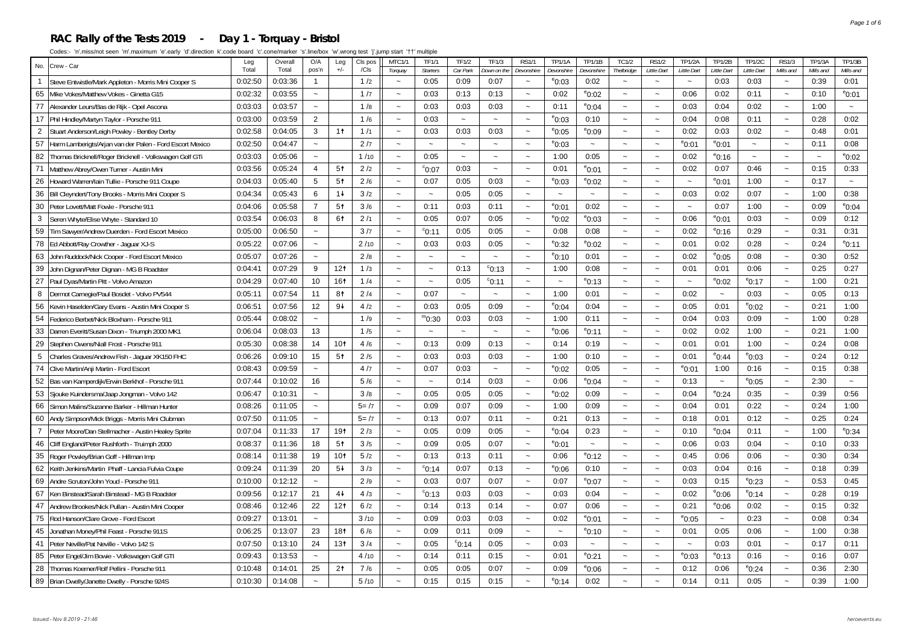#### **RAC Rally of the Tests 2019 - Day 1 - Torquay - Bristol**

| No.             | Crew - Car                                               |                  | Overall<br>Total | O/A<br>pos'n          | Leg<br>$+/-$    | CIs pos<br>/Cls | <b>MTC1/1</b>             | TF1/1<br><b>Starters</b> | TF1/2<br>Car Park | <b>TF1/3</b><br><b>Jown on the</b> | <b>RS1/1</b>          | <b>TP1/1A</b>                 | <b>TP1/1B</b>             | <b>TC1/2</b>              | <b>RS1/2</b><br>Little Dart | <b>TP1/2A</b><br>Little Dart | <b>TP1/2B</b><br>Little Dart | <b>TP1/2C</b><br>Little Dart | <b>RS1/3</b><br>Mills and | <b>TP1/3A</b><br>Mills and | <b>TP1/3B</b><br>Mills and |
|-----------------|----------------------------------------------------------|------------------|------------------|-----------------------|-----------------|-----------------|---------------------------|--------------------------|-------------------|------------------------------------|-----------------------|-------------------------------|---------------------------|---------------------------|-----------------------------|------------------------------|------------------------------|------------------------------|---------------------------|----------------------------|----------------------------|
| $\overline{1}$  | Steve Entwistle/Mark Appleton - Morris Mini Cooper S     | Total<br>0:02:50 | 0:03:36          | $\mathbf{1}$          |                 | 1/2             | Torquay<br>$\sim$         | 0:05                     | 0:09              | 0:07                               | Devonshire<br>$\sim$  | Devonshire<br>$^{\circ}$ 0:03 | Devonshire<br>0:02        | Thelbridge<br>$\sim$      | $\ddot{ }$                  | $\sim$                       | 0:03                         | 0:03                         | $\sim$                    | 0:39                       | 0:01                       |
| 65              | Mike Vokes/Matthew Vokes - Ginetta G15                   | 0:02:32          | 0:03:55          | $\sim$                |                 | 1/7             | $\tilde{\phantom{a}}$     | 0:03                     | 0:13              | 0:13                               | $\tilde{\phantom{a}}$ | 0:02                          | $^{\circ}$ 0:02           | $\tilde{\phantom{a}}$     | $\tilde{\phantom{a}}$       | 0:06                         | 0:02                         | 0:11                         | $\sim$                    | 0:10                       | $^{\circ}$ 0:01            |
| 77              | Alexander Leurs/Bas de Rijk - Opel Ascona                | 0:03:03          | 0:03:57          | $\sim$                |                 | 1/8             | $\sim$                    | 0:03                     | 0:03              | 0:03                               | $\sim$                | 0:11                          | $^{\circ}$ 0:04           | $\sim$                    | $\sim$                      | 0:03                         | 0:04                         | 0:02                         | $\ddot{ }$                | 1:00                       | $\tilde{\phantom{a}}$      |
| 17              | Phil Hindley/Martyn Taylor - Porsche 911                 | 0:03:00          | 0:03:59          | $\overline{2}$        |                 | 1/6             | $\sim$                    | 0:03                     | $\sim$            | $\tilde{\phantom{a}}$              | $\sim$                | $^{\circ}$ 0:03               | 0:10                      | $\tilde{\phantom{a}}$     | $\sim$                      | 0:04                         | 0:08                         | 0:11                         | $\sim$                    | 0:28                       | 0:02                       |
| $\overline{2}$  | Stuart Anderson/Leigh Powley - Bentley Derby             | 0:02:58          | 0:04:05          | 3                     | 1 <sup>†</sup>  | 1/1             | $\sim$                    | 0:03                     | 0:03              | 0:03                               | $\sim$                | $^{\circ}$ 0:05               | $e_{0:09}$                | $\tilde{\phantom{a}}$     | $\sim$                      | 0:02                         | 0:03                         | 0:02                         | $\sim$                    | 0:48                       | 0:01                       |
| 57              | Harm Lamberigts/Arjan van der Palen - Ford Escort Mexico | 0:02:50          | 0:04:47          | $\sim$                |                 | 2/7             | $\sim$                    | $\sim$                   | $\sim$            | $\tilde{\phantom{a}}$              | $\tilde{\phantom{a}}$ | $^{\circ}$ 0:03               | $\tilde{\phantom{a}}$     | $\tilde{\phantom{a}}$     | $\tilde{\phantom{a}}$       | $^{\circ}$ 0:01              | $^{\rm e}$ 0:01              | $\sim$                       | $\ddot{\phantom{0}}$      | 0:11                       | 0:08                       |
| 82              | Thomas Bricknell/Roger Bricknell - Volkswagen Golf GTi   | 0:03:03          | 0:05:06          | $\sim$                |                 | 1/10            | $\tilde{\phantom{a}}$     | 0:05                     | $\sim$            | $\sim$                             | $\tilde{\phantom{a}}$ | 1:00                          | 0:05                      | $\sim$                    | $\tilde{\phantom{a}}$       | 0:02                         | $^{\circ}$ 0:16              | $\tilde{\phantom{a}}$        | $\sim$                    | $\tilde{\phantom{a}}$      | $^{\circ}$ 0:02            |
| 71              | Matthew Abrey/Owen Turner - Austin Mini                  | 0:03:56          | 0:05:24          | 4                     | 5 <sup>†</sup>  | 2/2             | $\tilde{\phantom{a}}$     | $^{\circ}$ 0:07          | 0:03              | $\tilde{\phantom{a}}$              | $\tilde{\phantom{a}}$ | 0:01                          | $^{\circ}$ 0:01           | $\tilde{\phantom{a}}$     | $\sim$                      | 0:02                         | 0:07                         | 0:46                         | $\tilde{\phantom{a}}$     | 0:15                       | 0:33                       |
| 26              | Howard Warren/lain Tullie - Porsche 911 Coupe            | 0:04:03          | 0:05:40          | 5                     | 5 <sup>†</sup>  | 2/6             | $\sim$                    | 0:07                     | 0:05              | 0:03                               | $\tilde{\phantom{a}}$ | $^{\circ}$ 0:03               | $^{\circ}$ 0:02           | $\tilde{\phantom{a}}$     | $\sim$                      |                              | $^{\circ}$ 0:01              | 1:00                         | $\ddot{\phantom{0}}$      | 0:17                       | $\sim$                     |
| 36              | Bill Cleyndert/Tony Brooks - Morris Mini Cooper S        | 0:04:34          | 0:05:43          | 6                     | $1+$            | 3/2             | $\tilde{\phantom{a}}$     | $\sim$                   | 0:05              | 0:05                               | $\tilde{\phantom{a}}$ | $\thicksim$                   | $\sim$                    | $\sim$                    | $\sim$                      | 0:03                         | 0:02                         | 0:07                         | $\sim$                    | 1:00                       | 0:38                       |
| 30              | Peter Lovett/Matt Fowle - Porsche 911                    | 0:04:06          | 0:05:58          | $\overline{7}$        | 5 <sup>†</sup>  | 3/6             | $\sim$                    | 0:11                     | 0:03              | 0:11                               | $\tilde{\phantom{a}}$ | $^{\circ}$ 0:01               | 0:02                      | $\tilde{\phantom{a}}$     | $\sim$                      |                              | 0:07                         | 1:00                         | $\sim$                    | 0:09                       | $^{\circ}$ 0:04            |
| 3               | Seren Whyte/Elise Whyte - Standard 10                    | 0:03:54          | 0:06:03          | 8                     | 61              | 2/1             | $\sim$                    | 0:05                     | 0:07              | 0:05                               | $\tilde{\phantom{a}}$ | $^{\circ}$ 0:02               | °0:03                     | $\tilde{\phantom{a}}$     | $\tilde{\phantom{a}}$       | 0:06                         | $^{\rm e}$ 0:01              | 0:03                         | $\sim$                    | 0:09                       | 0:12                       |
| 59              | Tim Sawyer/Andrew Duerden - Ford Escort Mexico           | 0:05:00          | 0:06:50          | $\sim$                |                 | 3/7             | $\sim$                    | $^{\circ}$ 0:11          | 0:05              | 0:05                               | $\tilde{\phantom{a}}$ | 0:08                          | 0:08                      | $\tilde{\phantom{a}}$     | $\thicksim$                 | 0:02                         | $^{\circ}$ 0:16              | 0:29                         | $\sim$                    | 0:31                       | 0:31                       |
| 78              | Ed Abbott/Ray Crowther - Jaguar XJ-S                     | 0:05:22          | 0:07:06          | $\tilde{\phantom{a}}$ |                 | 2/10            | $\sim$                    | 0:03                     | 0:03              | 0:05                               | $\tilde{\phantom{a}}$ | $^{\circ}$ 0:32               | °0:02                     | $\widetilde{\phantom{m}}$ | $\tilde{\phantom{a}}$       | 0:01                         | 0:02                         | 0:28                         | $\tilde{\phantom{a}}$     | 0:24                       | $^{\circ}$ 0:11            |
| 63              | John Ruddock/Nick Cooper - Ford Escort Mexico            | 0:05:07          | 0:07:26          | $\sim$                |                 | 2/8             | $\sim$                    | $\sim$                   | $\sim$            | $\sim$                             | $\tilde{\phantom{a}}$ | $^{\circ}$ 0:10               | 0:01                      | $\tilde{\phantom{a}}$     | $\thicksim$                 | 0:02                         | $^{\circ}$ 0:05              | 0:08                         | $\ddot{\phantom{0}}$      | 0:30                       | 0:52                       |
| 39              | John Dignan/Peter Dignan - MG B Roadster                 | 0:04:41          | 0:07:29          | 9                     | 12 <sub>t</sub> | 1/3             | $\tilde{\phantom{a}}$     | $\tilde{\phantom{a}}$    | 0:13              | $\degree$ 0:13                     | $\tilde{\phantom{a}}$ | 1:00                          | 0:08                      | $\tilde{\phantom{a}}$     | $\sim$                      | 0:01                         | 0:01                         | 0:06                         | $\sim$                    | 0:25                       | 0:27                       |
| 27              | Paul Dyas/Martin Pitt - Volvo Amazon                     | 0:04:29          | 0:07:40          | 10                    | 161             | 1/4             | $\sim$                    | $\sim$                   | 0:05              | $\degree$ 0:11                     | $\tilde{\phantom{a}}$ | $\sim$                        | $^{\circ}$ 0:13           | $\tilde{\phantom{a}}$     | $\sim$                      |                              | $^{\circ}$ 0:02              | $^{\rm e}$ 0:17              | $\sim$                    | 1:00                       | 0:21                       |
| 8               | Dermot Carnegie/Paul Bosdet - Volvo PV544                | 0:05:11          | 0:07:54          | 11                    | 81              | 2/4             | $\sim$                    | 0:07                     | $\sim$            | $\sim$                             | $\tilde{\phantom{a}}$ | 1:00                          | 0:01                      | $\tilde{\phantom{a}}$     | $\thicksim$                 | 0:02                         | $\sim$                       | 0:03                         | $\sim$                    | 0:05                       | 0:13                       |
| 56              | Kevin Haselden/Gary Evans - Austin Mini Cooper S         | 0:06:51          | 0:07:56          | 12                    | $9+$            | 4/2             | $\sim$                    | 0:03                     | 0:05              | 0:09                               | $\tilde{\phantom{a}}$ | $^{\circ}$ 0:04               | 0:04                      | $\tilde{\phantom{a}}$     | $\thicksim$                 | 0:05                         | 0:01                         | $^{\circ}$ 0:02              | $\tilde{\phantom{a}}$     | 0:21                       | 1:00                       |
| 54              | Federico Berbet/Nick Bloxham - Porsche 911               | 0:05:44          | 0:08:02          | $\sim$                |                 | 1/9             | $\tilde{\phantom{a}}$     | $m_{0:30}$               | 0:03              | 0:03                               | $\tilde{\phantom{a}}$ | 1:00                          | 0:11                      | $\tilde{\phantom{a}}$     | $\tilde{\phantom{a}}$       | 0:04                         | 0:03                         | 0:09                         | $\sim$                    | 1:00                       | 0:28                       |
| 33              | Darren Everitt/Susan Dixon - Triumph 2000 MK1            | 0:06:04          | 0:08:03          | 13                    |                 | 1/5             | $\sim$                    | $\sim$                   | $\sim$            | $\sim$                             | $\tilde{\phantom{a}}$ | $^{\circ}$ 0:06               | <sup>e</sup> 0:11         | $\tilde{\phantom{a}}$     | $\sim$                      | 0:02                         | 0:02                         | 1:00                         | $\tilde{\phantom{a}}$     | 0:21                       | 1:00                       |
| 29              | Stephen Owens/Niall Frost - Porsche 911                  | 0:05:30          | 0:08:38          | 14                    | 10 <sub>1</sub> | 4/6             | $\sim$                    | 0:13                     | 0:09              | 0:13                               | $\sim$                | 0:14                          | 0:19                      | $\tilde{\phantom{a}}$     | $\sim$                      | 0:01                         | 0:01                         | 1:00                         | $\sim$                    | 0:24                       | 0:08                       |
| $5\phantom{.0}$ | Charles Graves/Andrew Fish - Jaguar XK150 FHC            | 0:06:26          | 0:09:10          | 15                    | 5 <sup>†</sup>  | 2/5             | $\sim$                    | 0:03                     | 0:03              | 0:03                               | $\sim$                | 1:00                          | 0:10                      | $\sim$                    | $\sim$                      | 0:01                         | $^{\circ}$ 0:44              | $^{\circ}$ 0:03              | $\sim$                    | 0:24                       | 0:12                       |
| 74              | Clive Martin/Anji Martin - Ford Escort                   | 0:08:43          | 0:09:59          | $\sim$                |                 | 4/7             | $\tilde{\phantom{a}}$     | 0:07                     | 0:03              | $\sim$                             | $\sim$                | $^{\circ}$ 0:02               | 0:05                      | $\tilde{\phantom{a}}$     | $\sim$                      | $^{\circ}$ 0:01              | 1:00                         | 0:16                         | $\tilde{\phantom{a}}$     | 0:15                       | 0:38                       |
| 52              | Bas van Kamperdijk/Erwin Berkhof - Porsche 911           | 0:07:44          | 0:10:02          | 16                    |                 | 5/6             |                           | $\sim$                   | 0:14              | 0:03                               | $\tilde{\phantom{a}}$ | 0:06                          | $^{\circ}$ 0:04           | $\tilde{\phantom{a}}$     | $\tilde{\phantom{a}}$       | 0:13                         | $\widetilde{\phantom{m}}$    | $^{\circ}$ 0:05              | $\tilde{}$                | 2:30                       | $\tilde{}$                 |
| 53              | Sjouke Kuindersma/Jaap Jongman - Volvo 142               | 0:06:47          | 0:10:31          | $\sim$                |                 | 3/8             | $\sim$                    | 0:05                     | 0:05              | 0:05                               | $\tilde{\phantom{a}}$ | $^{\circ}$ 0:02               | 0:09                      | $\sim$                    | $\sim$                      | 0:04                         | $^{\circ}$ 0:24              | 0:35                         | $\tilde{}$                | 0:39                       | 0:56                       |
| 66              | Simon Malins/Suzanne Barker - Hillman Hunter             | 0:08:26          | 0:11:05          | $\sim$                |                 | $5 = /7$        | $\sim$                    | 0:09                     | 0:07              | 0:09                               | $\tilde{\phantom{a}}$ | 1:00                          | 0:09                      | $\tilde{\phantom{a}}$     | $\thicksim$                 | 0:04                         | 0:01                         | 0:22                         | $\sim$                    | 0:24                       | 1:00                       |
| 60              | Andy Simpson/Mick Briggs - Morris Mini Clubman           | 0:07:50          | 0:11:05          | $\sim$                |                 | $5 = /7$        | $\sim$                    | 0:13                     | 0:07              | 0:11                               | $\sim$                | 0:21                          | 0:13                      | $\sim$                    | $\sim$                      | 0:18                         | 0:01                         | 0:12                         | $\sim$                    | 0:25                       | 0:24                       |
| $\overline{7}$  | Peter Moore/Dan Stellmacher - Austin Healey Sprite       | 0:07:04          | 0:11:33          | 17                    | 191             | 2/3             | $\sim$                    | 0:05                     | 0:09              | 0:05                               | $\tilde{\phantom{a}}$ | $^{\circ}$ 0:04               | 0:23                      | $\sim$                    | $\sim$                      | 0:10                         | $^{\circ}$ 0:04              | 0:11                         | $\sim$                    | 1:00                       | $^{\rm e}$ 0:34            |
| 46              | Cliff England/Peter Rushforth - Truimph 2000             | 0:08:37          | 0:11:36          | 18                    | 5 <sup>†</sup>  | 3/5             | $\sim$                    | 0:09                     | 0:05              | 0:07                               | $\tilde{\phantom{a}}$ | $^{\circ}$ 0:01               | $\tilde{\phantom{a}}$     | $\tilde{\phantom{a}}$     | $\sim$                      | 0:06                         | 0:03                         | 0:04                         | $\sim$                    | 0:10                       | 0:33                       |
| 35              | Roger Powley/Brian Goff - Hillman Imp                    | 0:08:14          | 0:11:38          | 19                    | 10 <sub>1</sub> | 5/2             | $\widetilde{\phantom{m}}$ | 0:13                     | 0:13              | 0:11                               | $\tilde{\phantom{a}}$ | 0:06                          | $^{\rm e}$ 0:12           | $\widetilde{\phantom{m}}$ | $\tilde{\phantom{a}}$       | 0:45                         | 0:06                         | 0:06                         | $\ddot{\phantom{0}}$      | 0:30                       | 0:34                       |
| 62              | Keith Jenkins/Martin Phaff - Lancia Fulvia Coupe         | 0:09:24          | 0:11:39          | 20                    | $5+$            | 3/3             | $\sim$                    | $^{\circ}$ 0:14          | 0:07              | 0:13                               | $\tilde{\phantom{a}}$ | $^{\rm e}$ 0:06               | 0:10                      | $\tilde{\phantom{a}}$     | $\sim$                      | 0:03                         | 0:04                         | 0:16                         | $\tilde{\phantom{a}}$     | 0:18                       | 0:39                       |
| 69              | Andre Scruton/John Youd - Porsche 911                    | 0:10:00          | 0:12:12          | $\sim$                |                 | 2/9             | $\sim$                    | 0:03                     | 0:07              | 0:07                               | $\tilde{\phantom{a}}$ | 0:07                          | $^{\circ}$ 0:07           | $\sim$                    | $\sim$                      | 0:03                         | 0:15                         | $^{\circ}$ 0:23              | $\sim$                    | 0:53                       | 0:45                       |
| 67              | Ken Binstead/Sarah Binstead - MG B Roadster              | 0:09:56          | 0:12:17          | 21                    | $4+$            | 4/3             | $\sim$                    | $^{\circ}$ 0:13          | 0:03              | 0:03                               | $\sim$                | 0:03                          | 0:04                      | $\tilde{\phantom{a}}$     | $\sim$                      | 0:02                         | $^{\rm e}$ 0:06              | $^{\circ}$ 0:14              | $\sim$                    | 0:28                       | 0:19                       |
| 47              | Andrew Brookes/Nick Pullan - Austin Mini Cooper          | 0:08:46          | 0:12:46          | 22                    | 12 <sub>t</sub> | 6/2             | $\sim$                    | 0:14                     | 0:13              | 0:14                               | $\sim$                | 0:07                          | 0:06                      | $\sim$                    | $\sim$                      | 0:21                         | $^{\circ}$ 0:06              | 0:02                         | $\sim$                    | 0:15                       | 0:32                       |
| 75              | Rod Hanson/Clare Grove - Ford Escort                     | 0:09:27          | 0:13:01          | $\sim$                |                 | 3/10            | $\sim$                    | 0:09                     | 0:03              | 0:03                               | $\sim$                | 0:02                          | $^{\rm e}$ 0:01           | $\sim$                    | $\thicksim$                 | $^{\circ}$ 0:05              | $\sim$                       | 0:23                         | $\sim$                    | 0:08                       | 0:34                       |
| 45              | Jonathan Money/Phil Feast - Porsche 911S                 | 0:06:25          | 0:13:07          | 23                    | 181             | 6/6             | $\tilde{\phantom{a}}$     | 0:09                     | 0:11              | 0:09                               | $\tilde{\phantom{a}}$ | $\tilde{\phantom{a}}$         | $^{\circ}$ 0:10           | $\tilde{\phantom{a}}$     | $\tilde{\phantom{a}}$       | 0:01                         | 0:05                         | 0:06                         | $\tilde{\phantom{a}}$     | 1:00                       | 0:38                       |
| 41              | Peter Neville/Pat Neville - Volvo 142 S                  | 0:07:50          | 0:13:10          | 24                    | 13 <sub>1</sub> | 3/4             | $\sim$                    | 0:05                     | $^{\circ}$ 0:14   | 0:05                               | $\tilde{\phantom{a}}$ | 0:03                          | $\widetilde{\phantom{m}}$ | $\tilde{\phantom{a}}$     | $\sim$                      | $\tilde{\phantom{a}}$        | 0:03                         | 0:01                         | $\sim$                    | 0:17                       | 0:11                       |
| 85              | Peter Engel/Jim Bowie - Volkswagen Golf GTI              | 0:09:43          | 0:13:53          | $\sim$                |                 | 4/10            | $\tilde{\phantom{a}}$     | 0:14                     | 0:11              | 0:15                               | $\tilde{\phantom{a}}$ | 0:01                          | $^{\rm e}$ 0:21           | $\tilde{\phantom{a}}$     | $\tilde{\phantom{a}}$       | $^{\circ}$ 0:03              | $^{\circ}$ 0:13              | 0:16                         | $\sim$                    | 0:16                       | 0:07                       |
| 28              | Thomas Koerner/Rolf Pellini - Porsche 911                | 0:10:48          | 0:14:01          | 25                    | 2 <sup>†</sup>  | 7/6             | $\sim$                    | 0:05                     | 0:05              | 0:07                               | $\sim$                | 0:09                          | $^{\circ}$ 0:06           | $\tilde{\phantom{a}}$     | $\ddot{ }$                  | 0:12                         | 0:06                         | $^{\circ}$ 0:24              | $\ddot{\phantom{0}}$      | 0:36                       | 2:30                       |
| 89              | Brian Dwelly/Janette Dwelly - Porsche 924S               | 0:10:30          | 0:14:08          |                       |                 | 5/10            |                           | 0:15                     | 0:15              | 0:15                               |                       | $^{\circ}$ 0:14               | 0:02                      |                           |                             | 0:14                         | 0:11                         | 0:05                         |                           | 0:39                       | 1:00                       |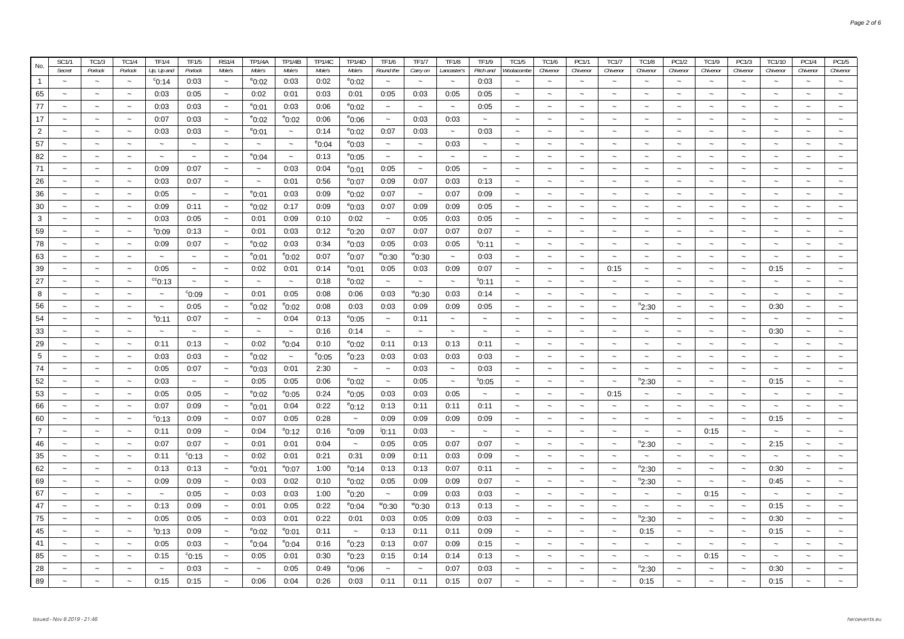| No.            | <b>SC1/1</b>          | TC1/3                     | TC1/4                 | TF1/4                     | <b>TF1/5</b>          | <b>RS1/4</b>          | <b>TP1/4A</b>         | <b>TP1/4B</b>             | <b>TP1/4C</b>   | <b>TP1/4D</b>         | <b>TF1/6</b>              | <b>TF1/7</b>          | <b>TF1/8</b> | <b>TF1/9</b>              | TC1/5                     | <b>TC1/6</b>              | PC1/1                     | <b>TC1/7</b>              | <b>TC1/8</b>              | PC1/2                     | <b>TC1/9</b>              | PC1/3                     | TC1/10                    | PC1/4                     | PC1/5                     |
|----------------|-----------------------|---------------------------|-----------------------|---------------------------|-----------------------|-----------------------|-----------------------|---------------------------|-----------------|-----------------------|---------------------------|-----------------------|--------------|---------------------------|---------------------------|---------------------------|---------------------------|---------------------------|---------------------------|---------------------------|---------------------------|---------------------------|---------------------------|---------------------------|---------------------------|
|                | Secret                | Porlock                   | Porlock               | Up, Up and                | Porlock               | Mole's                | Mole's                | Mole's                    | Mole's          | Mole's                | Round the                 | Carry on              | Lancaster's  | Pitch and                 | Woolacombe                | Chivenor                  | Chivenor                  | Chivenor                  | Chivenor                  | Chivenor                  | Chivenor                  | Chivenor                  | Chivenor                  | Chivenor                  | Chivenor                  |
| $\mathbf{1}$   | $\tilde{\phantom{a}}$ | $\sim$                    | $\sim$                | $^{\circ}$ 0:14           | 0:03                  | $\sim$                | $^{\circ}$ 0:02       | 0:03                      | 0:02            | $^{\circ}$ 0:02       | $\sim$                    | $\sim$                | $\sim$       | 0:03                      | $\tilde{\phantom{a}}$     | $\sim$                    | $\sim$                    | $\tilde{\phantom{a}}$     | $\sim$                    | $\tilde{\phantom{a}}$     | $\sim$                    | $\sim$                    | $\sim$                    | $\sim$                    | $\sim$                    |
| 65             | $\sim$                | $\sim$                    | $\sim$                | 0:03                      | 0:05                  | $\sim$                | 0:02                  | 0:01                      | 0:03            | 0:01                  | 0:05                      | 0:03                  | 0:05         | 0:05                      | $\sim$                    | $\sim$                    | $\sim$                    | $\tilde{\phantom{a}}$     | $\sim$                    | $\sim$                    | $\sim$                    | $\sim$                    | $\sim$                    | $\sim$                    |                           |
| 77             | $\sim$                | $\sim$                    | $\sim$                | 0:03                      | 0:03                  | $\sim$                | $^{\circ}$ 0:01       | 0:03                      | 0:06            | $^{\circ}$ 0:02       | $\sim$                    | $\sim$                | $\sim$       | 0:05                      | $\sim$                    | $\sim$                    | $\tilde{\phantom{a}}$     | $\tilde{\phantom{a}}$     | $\sim$                    | $\tilde{\phantom{a}}$     | $\sim$                    | $\sim$                    | $\sim$                    | $\sim$                    |                           |
| 17             |                       | $\sim$                    | $\tilde{\phantom{a}}$ | 0:07                      | 0:03                  | $\thicksim$           | $^{\circ}$ 0:02       | $^{\circ}$ 0:02           | 0:06            | $^{\circ}$ 0:06       | $\widetilde{\phantom{m}}$ | 0:03                  | 0:03         | $\thicksim$               | $\thicksim$               | $\sim$                    | $\thicksim$               | $\sim$                    | $\tilde{\phantom{a}}$     | $\sim$                    | $\tilde{\phantom{a}}$     | $\tilde{\phantom{a}}$     | $\tilde{\phantom{a}}$     | $\thicksim$               |                           |
| $\overline{2}$ | $\tilde{\phantom{a}}$ | $\sim$                    | $\sim$                | 0:03                      | 0:03                  | $\thicksim$           | $^{\circ}$ 0:01       | $\widetilde{\phantom{m}}$ | 0:14            | $^{\circ}$ 0:02       | 0:07                      | 0:03                  | $\sim$       | 0:03                      | $\sim$                    | $\thicksim$               | $\sim$                    | $\thicksim$               | $\thicksim$               | $\tilde{\phantom{a}}$     | $\tilde{\phantom{a}}$     | $\thicksim$               | $\widetilde{\phantom{m}}$ | $\thicksim$               | $\sim$                    |
| 57             |                       | $\tilde{}$                | $\sim$                | $\sim$                    | $\tilde{\phantom{a}}$ | $\tilde{\phantom{a}}$ | $\tilde{\phantom{a}}$ | $\widetilde{\phantom{m}}$ | $^{\circ}$ 0:04 | $^{\circ}$ 0:03       | $\tilde{\phantom{a}}$     | $\tilde{\phantom{a}}$ | 0:03         | $\sim$                    | $\sim$                    | $\sim$                    | $\tilde{\phantom{a}}$     | $\tilde{\phantom{a}}$     | $\tilde{\phantom{a}}$     | $\tilde{\phantom{a}}$     | $\tilde{\phantom{a}}$     | $\tilde{\phantom{a}}$     | $\tilde{}$                | $\tilde{\phantom{a}}$     |                           |
| 82             | $\tilde{\phantom{a}}$ | $\tilde{\phantom{a}}$     | $\sim$                | $\sim$                    | $\sim$                | $\sim$                | $^{\circ}$ 0:04       | $\sim$                    | 0:13            | $^{\circ}$ 0:05       | $\sim$                    | $\tilde{\phantom{a}}$ | $\sim$       | $\sim$                    | $\sim$                    | $\sim$                    | $\sim$                    | $\tilde{\phantom{a}}$     | $\tilde{\phantom{a}}$     | $\tilde{\phantom{a}}$     | $\tilde{\phantom{a}}$     | $\sim$                    | $\tilde{\phantom{a}}$     | $\sim$                    | $\widetilde{\phantom{m}}$ |
| 71             | $\sim$                | $\sim$                    | $\sim$                | 0:09                      | 0:07                  | $\sim$                | $\sim$                | 0:03                      | 0:04            | $^{\circ}$ 0:01       | 0:05                      | $\sim$                | 0:05         | $\sim$                    | $\sim$                    | $\sim$                    | $\sim$                    | $\tilde{\phantom{a}}$     | $\sim$                    | $\tilde{\phantom{a}}$     | $\sim$                    | $\sim$                    | $\tilde{\phantom{a}}$     | $\sim$                    | $\tilde{\phantom{a}}$     |
| 26             | $\tilde{\phantom{a}}$ | $\sim$                    | $\tilde{\phantom{a}}$ | 0:03                      | 0:07                  | $\sim$                | $\sim$                | 0:01                      | 0:56            | $^{\circ}$ 0:07       | 0:09                      | 0:07                  | 0:03         | 0:13                      | $\sim$                    | $\sim$                    | $\sim$                    | $\tilde{\phantom{a}}$     | $\sim$                    | $\tilde{\phantom{a}}$     | $\sim$                    | $\sim$                    | $\sim$                    | $\sim$                    | $\sim$                    |
| 36             |                       | $\sim$                    | $\sim$                | 0:05                      | $\tilde{\phantom{a}}$ | $\sim$                | $^{\circ}$ 0:01       | 0:03                      | 0:09            | $^{\circ}$ 0:02       | 0:07                      | $\sim$                | 0:07         | 0:09                      | $\sim$                    | $\sim$                    | $\sim$                    | $\sim$                    | $\sim$                    | $\tilde{\phantom{a}}$     | $\sim$                    | $\sim$                    | $\sim$                    | $\sim$                    |                           |
| 30             | $\tilde{\phantom{a}}$ | $\tilde{\phantom{a}}$     | $\sim$                | 0:09                      | 0:11                  | $\sim$                | $^{\circ}$ 0:02       | 0:17                      | 0:09            | $^{\circ}$ 0:03       | 0:07                      | 0:09                  | 0:09         | 0:05                      | $\sim$                    | $\sim$                    | $\sim$                    | $\tilde{\phantom{a}}$     | $\sim$                    | $\tilde{}$                | $\tilde{}$                | $\sim$                    | $\tilde{\phantom{a}}$     | $\sim$                    |                           |
| 3              |                       | $\sim$                    | $\sim$                | 0:03                      | 0:05                  | $\sim$                | 0:01                  | 0:09                      | 0:10            | 0:02                  | $\sim$                    | 0:05                  | 0:03         | 0:05                      | $\sim$                    | $\sim$                    | $\sim$                    | $\sim$                    | $\tilde{\phantom{a}}$     | $\sim$                    | $\sim$                    | $\sim$                    | $\sim$                    | $\sim$                    |                           |
| 59             | $\tilde{\phantom{a}}$ | $\sim$                    | $\sim$                | $^{\circ}0.09$            | 0:13                  | $\sim$                | 0:01                  | 0:03                      | 0:12            | °0:20                 | 0:07                      | 0:07                  | 0:07         | 0:07                      | $\sim$                    | $\sim$                    | $\sim$                    | $\sim$                    | $\sim$                    | $\tilde{\phantom{a}}$     | $\tilde{\phantom{a}}$     | $\sim$                    | $\sim$                    | $\sim$                    | $\widetilde{\phantom{m}}$ |
| 78             |                       | $\sim$                    | $\sim$                | 0:09                      | 0:07                  | $\sim$                | $^{\circ}$ 0:02       | 0:03                      | 0:34            | $^{\circ}$ 0:03       | 0:05                      | 0:03                  | 0:05         | $^{\rm s}$ 0:11           | $\sim$                    | $\sim$                    | $\sim$                    | $\sim$                    | $\sim$                    | $\tilde{\phantom{a}}$     | $\sim$                    | $\widetilde{\phantom{m}}$ | $\sim$                    | $\sim$                    |                           |
| 63             | $\tilde{\phantom{a}}$ | $\sim$                    | $\sim$                | $\sim$                    | $\sim$                | $\sim$                | $^{\circ}$ 0:01       | $^{\circ}$ 0:02           | 0:07            | $^{\circ}$ 0:07       | $^{\rm w}$ 0:30           | °°0:30                | $\sim$       | 0:03                      | $\sim$                    | $\sim$                    | $\sim$                    | $\sim$                    | $\sim$                    | $\tilde{\phantom{a}}$     | $\tilde{\phantom{a}}$     | $\sim$                    | $\tilde{\phantom{a}}$     | $\sim$                    | $\widetilde{\phantom{m}}$ |
| 39             |                       | $\tilde{\phantom{a}}$     | $\sim$                | 0:05                      | $\tilde{\phantom{a}}$ | $\tilde{\phantom{a}}$ | 0:02                  | 0:01                      | 0:14            | $^{\circ}$ 0:01       | 0:05                      | 0:03                  | 0:09         | 0:07                      | $\tilde{\phantom{a}}$     | $\tilde{\phantom{a}}$     | $\tilde{\phantom{a}}$     | 0:15                      | $\thicksim$               | $\tilde{\phantom{a}}$     | $\tilde{\phantom{a}}$     | $\tilde{\phantom{a}}$     | 0:15                      | $\thicksim$               | $\tilde{\phantom{a}}$     |
| 27             | $\tilde{\phantom{a}}$ | $\thicksim$               | $\sim$                | $^{\rm cc}$ 0:13          | $\sim$                | $\sim$                | $\sim$                | $\thicksim$               | 0:18            | $^{\circ}$ 0:02       | $\sim$                    | $\thicksim$           | $\sim$       | $^{\rm s}$ 0:11           | $\sim$                    | $\tilde{\phantom{a}}$     | $\sim$                    | $\tilde{\phantom{a}}$     | $\sim$                    | $\widetilde{\phantom{m}}$ | $\sim$                    | $\sim$                    | $\sim$                    | $\thicksim$               | $\tilde{\phantom{a}}$     |
| 8              |                       | $\tilde{}$                | $\thicksim$           | $\tilde{\phantom{a}}$     | 0.09                  | $\tilde{\phantom{a}}$ | 0:01                  | 0:05                      | 0:08            | 0:06                  | 0:03                      | ™0:30                 | 0:03         | 0:14                      | $\thicksim$               | $\widetilde{\phantom{m}}$ | $\tilde{}$                | $\widetilde{\phantom{m}}$ | $\tilde{\phantom{a}}$     | $\tilde{}$                | $\widetilde{\phantom{m}}$ | $\tilde{\phantom{a}}$     | $\tilde{\phantom{a}}$     | $\tilde{\phantom{a}}$     |                           |
| 56             | $\tilde{}$            | $\tilde{\phantom{a}}$     | $\thicksim$           | $\tilde{\phantom{a}}$     | 0:05                  | $\sim$                | $^{\circ}$ 0:02       | $^{\circ}$ 0:02           | 0:08            | 0:03                  | 0:03                      | 0:09                  | 0:09         | 0:05                      | $\sim$                    | $\tilde{\phantom{a}}$     | $\tilde{\phantom{a}}$     | $\tilde{\phantom{a}}$     | $n_{2:30}$                | $\tilde{}$                | $\tilde{\phantom{a}}$     | $\tilde{\phantom{a}}$     | 0:30                      | $\sim$                    | $\widetilde{\phantom{m}}$ |
| 54             |                       | $\thicksim$               | $\tilde{\phantom{a}}$ | $^{\rm s}$ 0:11           | 0:07                  | $\thicksim$           | $\tilde{\phantom{a}}$ | 0:04                      | 0:13            | $^{\circ}$ 0:05       | $\widetilde{\phantom{m}}$ | 0:11                  | $\sim$       | $\widetilde{\phantom{m}}$ | $\thicksim$               | $\widetilde{\phantom{m}}$ | $\widetilde{\phantom{m}}$ | $\widetilde{\phantom{m}}$ | $\widetilde{\phantom{m}}$ | $\tilde{\phantom{a}}$     | $\widetilde{\phantom{m}}$ | $\widetilde{\phantom{m}}$ | $\tilde{\phantom{a}}$     | $\widetilde{\phantom{m}}$ | $\widetilde{\phantom{m}}$ |
| 33             | $\tilde{}$            | $\sim$                    | $\sim$                | $\thicksim$               | $\sim$                | $\sim$                | $\sim$                | $\widetilde{\phantom{m}}$ | 0:16            | 0:14                  | $\sim$                    | $\thicksim$           | $\sim$       | $\widetilde{\phantom{m}}$ | $\sim$                    | $\widetilde{\phantom{m}}$ | $\tilde{\phantom{a}}$     | $\thicksim$               | $\thicksim$               | $\thicksim$               | $\tilde{\phantom{a}}$     | $\widetilde{\phantom{m}}$ | 0:30                      | $\thicksim$               | $\widetilde{\phantom{m}}$ |
| 29             | $\sim$                | $\sim$                    | $\sim$                | 0:11                      | 0:13                  | $\sim$                | 0:02                  | $^{\circ}$ 0:04           | 0:10            | $^{\circ}$ 0:02       | 0:11                      | 0:13                  | 0:13         | 0:11                      | $\sim$                    | $\sim$                    | $\sim$                    | $\sim$                    | $\sim$                    | $\tilde{\phantom{a}}$     | $\sim$                    | $\sim$                    | $\sim$                    | $\sim$                    | $\widetilde{\phantom{m}}$ |
| 5              | $\tilde{\phantom{a}}$ | $\tilde{\phantom{a}}$     | $\sim$                | 0:03                      | 0:03                  | $\sim$                | $^{\circ}$ 0:02       | $\sim$                    | $^{\circ}$ 0:05 | $^{\circ}$ 0:23       | 0:03                      | 0:03                  | 0:03         | 0:03                      | $\sim$                    | $\sim$                    | $\sim$                    | $\tilde{\phantom{a}}$     | $\tilde{\phantom{a}}$     | $\tilde{\phantom{a}}$     | $\tilde{\phantom{a}}$     | $\sim$                    | $\tilde{\phantom{a}}$     | $\sim$                    | $\widetilde{\phantom{m}}$ |
| 74             | $\sim$                | $\sim$                    | $\sim$                | 0:05                      | 0:07                  | $\sim$                | $^{\circ}$ 0:03       | 0:01                      | 2:30            | $\sim$                | $\sim$                    | 0:03                  | $\sim$       | 0:03                      | $\sim$                    | $\sim$                    | $\sim$                    | $\sim$                    | $\tilde{\phantom{a}}$     | $\sim$                    | $\sim$                    | $\sim$                    | $\sim$                    | $\sim$                    | $\tilde{\phantom{a}}$     |
| 52             | $\tilde{\phantom{a}}$ | $\sim$                    | $\tilde{\phantom{a}}$ | 0:03                      | $\sim$                | $\sim$                | 0:05                  | 0:05                      | 0:06            | $^{\rm e}$ 0:02       | $\sim$                    | 0:05                  | $\sim$       | $^{\circ}$ 0:05           | $\sim$                    | $\sim$                    | $\sim$                    | $\sim$                    | $n_{2:30}$                | $\tilde{\phantom{a}}$     | $\sim$                    | $\sim$                    | 0:15                      | $\sim$                    | $\widetilde{\phantom{m}}$ |
| 53             |                       | $\sim$                    | $\sim$                | 0:05                      | 0:05                  | $\sim$                | $^{\circ}$ 0:02       | $^{\circ}$ 0:05           | 0:24            | $^{\circ}$ 0:05       | 0:03                      | 0:03                  | 0:05         | $\widetilde{\phantom{m}}$ | $\sim$                    | $\sim$                    | $\sim$                    | 0:15                      | $\sim$                    | $\tilde{\phantom{a}}$     | $\sim$                    | $\sim$                    | $\sim$                    | $\tilde{\phantom{a}}$     | $\widetilde{\phantom{m}}$ |
| 66             | $\tilde{\phantom{a}}$ | $\sim$                    | $\sim$                | 0:07                      | 0:09                  | $\sim$                | $^{\circ}$ 0:01       | 0:04                      | 0:22            | $^{\circ}$ 0:12       | 0:13                      | 0:11                  | 0:11         | 0:11                      | $\sim$                    | $\sim$                    | $\sim$                    | $\sim$                    | $\sim$                    | $\tilde{}$                | $\sim$                    | $\sim$                    | $\sim$                    | $\sim$                    | $\widetilde{\phantom{m}}$ |
| 60             |                       | $\sim$                    | $\sim$                | $\degree$ 0:13            | 0:09                  | $\sim$                | 0:07                  | 0:05                      | 0:28            | $\tilde{\phantom{a}}$ | 0:09                      | 0:09                  | 0:09         | 0:09                      | $\tilde{\phantom{a}}$     | $\sim$                    | $\sim$                    | $\sim$                    | $\sim$                    | $\sim$                    | $\tilde{\phantom{a}}$     | $\sim$                    | 0:15                      | $\tilde{\phantom{a}}$     | $\tilde{\phantom{a}}$     |
| $\overline{7}$ | $\tilde{\phantom{a}}$ | $\thicksim$               | $\sim$                | 0:11                      | 0:09                  | $\sim$                | 0:04                  | $^{\circ}$ 0:12           | 0:16            | $^{\circ}$ 0:09       | 10:11                     | 0:03                  | $\sim$       | $\thicksim$               | $\sim$                    | $\tilde{\phantom{a}}$     | $\thicksim$               | $\sim$                    | $\thicksim$               | $\widetilde{\phantom{m}}$ | 0:15                      | $\thicksim$               | $\thicksim$               | $\tilde{\phantom{a}}$     | $\widetilde{\phantom{m}}$ |
| 46             |                       | $\widetilde{\phantom{m}}$ | $\sim$                | 0:07                      | 0:07                  | $\sim$                | 0:01                  | 0:01                      | 0:04            | $\tilde{\phantom{a}}$ | 0:05                      | 0:05                  | 0:07         | 0:07                      | $\thicksim$               | $\tilde{\phantom{a}}$     | $\widetilde{\phantom{m}}$ | $\thicksim$               | $n_{2:30}$                | $\tilde{\phantom{a}}$     | $\widetilde{\phantom{m}}$ | $\tilde{\phantom{a}}$     | 2:15                      | $\thicksim$               | $\tilde{\phantom{a}}$     |
| 35             | $\tilde{}$            | $\tilde{\phantom{a}}$     | $\thicksim$           | 0:11                      | $^{\circ}$ 0:13       | $\sim$                | 0:02                  | 0:01                      | 0:21            | 0:31                  | 0:09                      | 0:11                  | 0:03         | 0:09                      | $\sim$                    | $\widetilde{\phantom{m}}$ | $\sim$                    | $\thicksim$               | $\sim$                    | $\tilde{}$                | $\tilde{\phantom{a}}$     | $\tilde{\phantom{a}}$     | $\tilde{\phantom{a}}$     | $\thicksim$               | $\tilde{}$                |
| 62             |                       | $\sim$                    | $\sim$                | 0:13                      | 0:13                  | $\sim$                | $^{\circ}$ 0:01       | $^{\circ}$ 0:07           | 1:00            | $^{\circ}$ 0:14       | 0:13                      | 0:13                  | 0:07         | 0:11                      | $\widetilde{\phantom{m}}$ | $\widetilde{\phantom{m}}$ | $\widetilde{\phantom{m}}$ | $\thicksim$               | $n_{2:30}$                | $\tilde{\phantom{a}}$     | $\widetilde{\phantom{m}}$ | $\widetilde{\phantom{m}}$ | 0:30                      | $\thicksim$               | $\tilde{\phantom{a}}$     |
| 69             | $\tilde{\phantom{a}}$ | $\sim$                    | $\sim$                | 0:09                      | 0:09                  | $\thicksim$           | 0:03                  | 0:02                      | 0:10            | $^{\circ}$ 0:02       | 0:05                      | 0:09                  | 0:09         | 0:07                      | $\sim$                    | $\widetilde{\phantom{m}}$ | $\sim$                    | $\tilde{\phantom{a}}$     | "2:30"                    | $\thicksim$               | $\sim$                    | $\widetilde{\phantom{m}}$ | 0:45                      | $\thicksim$               | $\tilde{\phantom{a}}$     |
| 67             |                       | $\sim$                    | $\tilde{\phantom{a}}$ | $\widetilde{\phantom{m}}$ | 0:05                  | $\thicksim$           | 0:03                  | 0:03                      | 1:00            | $^{\circ}$ 0:20       | $\thicksim$               | 0:09                  | 0:03         | 0:03                      | $\widetilde{\phantom{m}}$ |                           | $\sim$                    | $\sim$                    | $\sim$                    | $\widetilde{\phantom{m}}$ | 0:15                      | $\widetilde{\phantom{m}}$ | $\sim$                    | $\sim$                    |                           |
| 47             | $\tilde{\phantom{a}}$ | $\widetilde{\phantom{m}}$ | $\tilde{\phantom{a}}$ | 0:13                      | 0:09                  | $\thicksim$           | 0:01                  | 0:05                      | 0:22            | $^{\circ}$ 0:04       | $^{\rm w}$ 0:30           | ™0:30                 | 0:13         | 0:13                      | $\sim$                    | $\sim$                    | $\sim$                    | $\tilde{\phantom{a}}$     | $\widetilde{\phantom{m}}$ | $\tilde{\phantom{a}}$     | $\widetilde{\phantom{m}}$ | $\widetilde{\phantom{m}}$ | 0:15                      | $\sim$                    |                           |
| 75             |                       | $\widetilde{\phantom{m}}$ | $\tilde{\phantom{a}}$ | 0:05                      | 0:05                  | $\thicksim$           | 0:03                  | 0:01                      | 0:22            | 0:01                  | 0:03                      | 0:05                  | 0:09         | 0:03                      | $\tilde{\phantom{a}}$     | $\sim$                    | $\widetilde{\phantom{m}}$ | $\thicksim$               | $n_{2:30}$                | $\tilde{}$                | $\widetilde{\phantom{m}}$ | $\tilde{\phantom{a}}$     | 0:30                      | $\sim$                    | $\tilde{\phantom{a}}$     |
| 45             | $\tilde{\phantom{a}}$ | $\sim$                    | $\tilde{\phantom{a}}$ | $^{\circ}$ 0:13           | 0:09                  | $\sim$                | $^{\circ}$ 0:02       | $^{\circ}$ 0:01           | 0:11            | $\sim$                | 0:13                      | 0:11                  | 0:11         | 0:09                      | $\sim$                    | $\sim$                    | $\widetilde{\phantom{m}}$ | $\widetilde{\phantom{m}}$ | 0:15                      | $\tilde{}$                | $\widetilde{\phantom{m}}$ | $\widetilde{\phantom{m}}$ | 0:15                      | $\thicksim$               |                           |
| 41             |                       | $\sim$                    | $\sim$                | 0:05                      | 0:03                  | $\sim$                | $^{\circ}$ 0:04       | $^{\circ}$ 0:04           | 0:16            | $^{\circ}$ 0:23       | 0:13                      | 0:07                  | 0:09         | 0:15                      | $\sim$                    |                           |                           |                           | $\sim$                    | $\tilde{\phantom{a}}$     | $\sim$                    | $\sim$                    | $\thicksim$               | $\tilde{\phantom{a}}$     | $\widetilde{\phantom{m}}$ |
| 85             | $\tilde{\phantom{a}}$ | $\sim$                    | $\tilde{\phantom{a}}$ | 0:15                      | $^{\circ}$ 0:15       | $\thicksim$           | 0:05                  | 0:01                      | 0:30            | $^{\circ}$ 0:23       | 0:15                      | 0:14                  | 0:14         | 0:13                      | $\sim$                    | $\ddot{\phantom{0}}$      | $\sim$                    | $\sim$                    | $\sim$                    | $\tilde{\phantom{a}}$     | 0:15                      | $\widetilde{\phantom{m}}$ | $\sim$                    | $\sim$                    |                           |
| 28             |                       | $\sim$                    | $\tilde{\phantom{a}}$ | $\tilde{\phantom{a}}$     | 0:03                  | $\sim$                | $\sim$                | 0:05                      | 0:49            | $^{\circ}0:06$        | $\sim$                    | $\sim$                | 0:07         | 0:03                      | $\sim$                    | $\sim$                    | $\sim$                    | $\sim$                    | $n_{2:30}$                | $\tilde{\phantom{a}}$     | $\sim$                    | $\sim$                    | 0:30                      | $\sim$                    | $\tilde{\phantom{a}}$     |
| 89             |                       | $\tilde{\phantom{a}}$     | $\sim$                | 0:15                      | 0:15                  |                       | 0:06                  | 0:04                      | 0:26            | 0:03                  | 0:11                      | 0:11                  | 0:15         | 0:07                      | $\tilde{\phantom{a}}$     |                           |                           |                           | 0:15                      |                           | $\tilde{\phantom{a}}$     | $\sim$                    | 0:15                      | $\sim$                    |                           |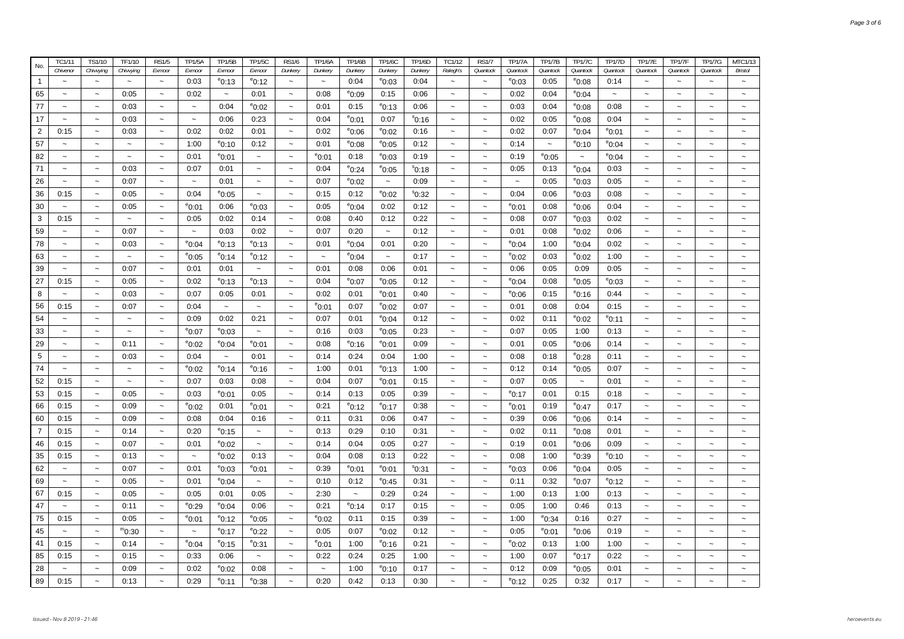| No.            | TC1/11                    | TS1/10                    | TF1/10                    | <b>RS1/5</b>              | <b>TP1/5A</b>             | <b>TP1/5B</b>             | <b>TP1/5C</b>             | <b>RS1/6</b>              | <b>TP1/6A</b>             | <b>TP1/6B</b>         | <b>TP1/6C</b>   | <b>TP1/6D</b>      | TC1/12                    | <b>RS1/7</b>              | <b>TP1/7A</b>             | <b>TP1/7B</b>             | <b>TP1/7C</b>   | <b>TP1/7D</b>   | <b>TP1/7E</b>         | <b>TP1/7F</b>         | <b>TP1/7G</b>             | MTC1/13                   |
|----------------|---------------------------|---------------------------|---------------------------|---------------------------|---------------------------|---------------------------|---------------------------|---------------------------|---------------------------|-----------------------|-----------------|--------------------|---------------------------|---------------------------|---------------------------|---------------------------|-----------------|-----------------|-----------------------|-----------------------|---------------------------|---------------------------|
|                | Chivenor                  | Chivying                  | Chivyjng                  | Exmoor                    | Exmoor                    | Exmoor                    | Exmoor                    | Dunkery                   | Dunkery                   | Dunkery               | Dunkery         | Dunkery            | Ralegh's                  | Quantock                  | Quantock                  | Quantock                  | Quantock        | Quantock        | Quantock              | Quantock              | Quantock                  | <b>Bristol</b>            |
| $\mathbf{1}$   | $\tilde{\phantom{a}}$     | $\tilde{}$                | $\tilde{\phantom{a}}$     | $\widetilde{\phantom{m}}$ | 0:03                      | $^{\rm e}$ 0:13           | $^{\circ}$ 0:12           | $\widetilde{\phantom{m}}$ | $\tilde{\phantom{a}}$     | 0:04                  | $^{\circ}$ 0:03 | 0:04               | $\tilde{\phantom{a}}$     | $\widetilde{\phantom{m}}$ | $^{\circ}$ 0:03           | 0:05                      | $^{\circ}$ 0:08 | 0:14            | $\tilde{}$            | $\tilde{\phantom{a}}$ | $\tilde{}$                | $\widetilde{\phantom{m}}$ |
| 65             |                           | $\tilde{}$                | 0:05                      | $\tilde{\phantom{a}}$     | 0:02                      | $\tilde{\phantom{a}}$     | 0:01                      | $\thicksim$               | 0:08                      | $^{\circ}$ 0:09       | 0:15            | 0:06               | $\tilde{}$                | $\widetilde{\phantom{m}}$ | 0:02                      | 0:04                      | $^{\circ}$ 0:04 | $\tilde{}$      |                       | $\tilde{\phantom{a}}$ | $\tilde{}$                |                           |
| 77             | $\tilde{\phantom{a}}$     | $\tilde{}$                | 0:03                      | $\tilde{\phantom{a}}$     | $\widetilde{\phantom{m}}$ | 0:04                      | $^{\circ}$ 0:02           | $\widetilde{\phantom{m}}$ | 0:01                      | 0:15                  | $^{\circ}$ 0:13 | 0:06               | $\tilde{\phantom{a}}$     | $\tilde{\phantom{a}}$     | 0:03                      | 0:04                      | $^{\circ}$ 0:08 | 0:08            | $\tilde{}$            | $\tilde{}$            | $\tilde{}$                |                           |
| 17             | $\ddot{\phantom{0}}$      | $\widetilde{\phantom{m}}$ | 0:03                      | $\tilde{\phantom{a}}$     | $\thicksim$               | 0:06                      | 0:23                      | $\tilde{\phantom{a}}$     | 0:04                      | $^{\circ}$ 0:01       | 0:07            | $^{\circ}$ 0:16    | $\tilde{}$                | $\widetilde{\phantom{m}}$ | 0:02                      | 0:05                      | $^{\rm e}$ 0:08 | 0:04            | $\tilde{}$            | $\tilde{\phantom{a}}$ | $\tilde{}$                | $\ddot{\phantom{0}}$      |
| $\overline{2}$ | 0:15                      | $\widetilde{\phantom{m}}$ | 0:03                      | $\tilde{}$                | 0:02                      | 0:02                      | 0:01                      | $\widetilde{\phantom{m}}$ | 0:02                      | $e_{0:06}$            | $^{\circ}$ 0:02 | 0:16               | $\widetilde{\phantom{m}}$ | $\widetilde{\phantom{m}}$ | 0:02                      | 0:07                      | $^{\rm e}$ 0:04 | $^{\circ}$ 0:01 | $\tilde{}$            | $\tilde{\phantom{a}}$ | $\tilde{}$                | $\tilde{}$                |
| 57             | $\tilde{\phantom{a}}$     | $\widetilde{\phantom{m}}$ | $\widetilde{\phantom{m}}$ | $\tilde{\phantom{a}}$     | 1:00                      | $^{\rm e}$ 0:10           | 0:12                      | $\widetilde{\phantom{m}}$ | 0:01                      | $e_{0:08}$            | $^{\circ}$ 0:05 | 0:12               | $\tilde{\phantom{a}}$     | $\widetilde{\phantom{m}}$ | 0:14                      | $\widetilde{\phantom{m}}$ | $^{\rm e}$ 0:10 | $^{\circ}$ 0:04 | $\tilde{}$            | $\sim$                | $\tilde{}$                |                           |
| 82             | $\tilde{}$                | $\thicksim$               | $\widetilde{\phantom{m}}$ | $\tilde{\phantom{a}}$     | 0:01                      | $e_{0:01}$                | $\widetilde{\phantom{m}}$ | $\widetilde{\phantom{m}}$ | $e_{0:01}$                | 0:18                  | $^{\circ}$ 0:03 | 0:19               | $\widetilde{\phantom{m}}$ | $\widetilde{\phantom{m}}$ | 0:19                      | $^{\circ}$ 0:05           | $\thicksim$     | $^{\circ}$ 0:04 | $\tilde{}$            | $\tilde{\phantom{a}}$ | $\tilde{}$                | $\tilde{}$                |
| 71             | $\tilde{}$                | $\widetilde{\phantom{m}}$ | 0:03                      | $\tilde{}$                | 0:07                      | 0:01                      | $\widetilde{\phantom{m}}$ | $\widetilde{\phantom{m}}$ | 0:04                      | $^{\circ}$ 0:24       | $^{\circ}$ 0:05 | $^{\text{S}}$ 0:18 | $\tilde{\phantom{a}}$     | $\tilde{\phantom{a}}$     | 0:05                      | 0:13                      | $^{\circ}$ 0:04 | 0:03            | $\tilde{}$            | $\tilde{\phantom{a}}$ | $\tilde{}$                | $\sim$                    |
| 26             | $\tilde{}$                | $\widetilde{\phantom{m}}$ | 0:07                      | $\tilde{\phantom{a}}$     | $\widetilde{\phantom{m}}$ | 0:01                      | $\widetilde{\phantom{m}}$ | $\tilde{}$                | 0:07                      | $e_{0:02}$            | $\sim$          | 0:09               | $\widetilde{\phantom{m}}$ | $\widetilde{\phantom{m}}$ | $\widetilde{\phantom{m}}$ | 0:05                      | $^{\circ}$ 0:03 | 0:05            | $\tilde{}$            | $\tilde{\phantom{a}}$ | $\tilde{}$                | $\thicksim$               |
| 36             | 0:15                      | $\widetilde{\phantom{m}}$ | 0:05                      | $\tilde{}$                | 0:04                      | $^{\circ}$ 0:05           | $\widetilde{\phantom{m}}$ | $\widetilde{\phantom{m}}$ | 0:15                      | 0:12                  | $^{\circ}$ 0:02 | $^{\circ}$ 0:32    | $\tilde{\phantom{a}}$     | $\widetilde{\phantom{m}}$ | 0:04                      | 0:06                      | $^{\circ}$ 0:03 | 0:08            | $\tilde{}$            | $\tilde{\phantom{a}}$ | $\tilde{}$                | $\sim$                    |
| 30             | $\tilde{\phantom{a}}$     | $\widetilde{\phantom{m}}$ | 0:05                      | $\tilde{\phantom{a}}$     | $^{\circ}$ 0:01           | 0:06                      | $^{\circ}$ 0:03           | $\widetilde{\phantom{m}}$ | 0:05                      | $^{\circ}$ 0:04       | 0:02            | 0:12               | $\widetilde{\phantom{m}}$ | $\widetilde{\phantom{m}}$ | $^{\circ}$ 0:01           | 0:08                      | $^{\circ}$ 0:06 | 0:04            | $\tilde{}$            | $\tilde{\phantom{a}}$ | $\tilde{}$                | $\tilde{}$                |
| 3              | 0:15                      | $\tilde{}$                | $\tilde{\phantom{a}}$     | $\tilde{}$                | 0:05                      | 0:02                      | 0:14                      | $\tilde{\phantom{a}}$     | 0:08                      | 0:40                  | 0:12            | 0:22               | $\tilde{\phantom{a}}$     | $\tilde{}$                | 0:08                      | 0:07                      | $^{\circ}$ 0:03 | 0:02            | $\tilde{}$            | $\tilde{\phantom{a}}$ | $\tilde{}$                | $\ddot{\phantom{1}}$      |
| 59             | $\tilde{}$                | $\tilde{\phantom{a}}$     | 0:07                      | $\tilde{}$                | $\thicksim$               | 0:03                      | 0:02                      | $\tilde{\phantom{a}}$     | 0:07                      | 0:20                  | $\thicksim$     | 0:12               | $\tilde{\phantom{a}}$     | $\widetilde{\phantom{m}}$ | 0:01                      | 0:08                      | $^{\circ}$ 0:02 | 0:06            | $\tilde{}$            | $\tilde{\phantom{a}}$ | $\tilde{}$                | $\tilde{\phantom{a}}$     |
| 78             | $\tilde{}$                | $\tilde{}$                | 0:03                      | $\tilde{}$                | $^{\circ}$ 0:04           | $^{\circ}$ 0:13           | $^{\circ}$ 0:13           | $\tilde{\phantom{a}}$     | 0:01                      | $^{\circ}$ 0:04       | 0:01            | 0:20               | $\tilde{\phantom{a}}$     | $\tilde{}$                | $^{\circ}$ 0:04           | 1:00                      | $^{\circ}$ 0:04 | 0:02            | $\tilde{}$            | $\tilde{\phantom{a}}$ | $\tilde{}$                |                           |
| 63             | $\tilde{\phantom{a}}$     | $\sim$                    | $\tilde{\phantom{a}}$     | $\tilde{\phantom{a}}$     | $^{\circ}$ 0:05           | $^{\rm e}$ 0:14           | $^{\circ}$ 0:12           | $\widetilde{\phantom{m}}$ | $\widetilde{\phantom{m}}$ | $^{\circ}$ 0:04       | $\thicksim$     | 0:17               | $\tilde{\phantom{a}}$     | $\tilde{}$                | $^{\circ}$ 0:02           | 0:03                      | $^{\circ}$ 0:02 | 1:00            | $\tilde{\phantom{a}}$ | $\sim$                | $\tilde{}$                | $\sim$                    |
| 39             | $\tilde{\phantom{a}}$     | $\tilde{}$                | 0:07                      | $\tilde{\phantom{a}}$     | 0:01                      | 0:01                      | $\tilde{\phantom{a}}$     | $\tilde{\phantom{a}}$     | 0:01                      | 0:08                  | 0:06            | 0:01               | $\tilde{\phantom{a}}$     | $\tilde{}$                | 0:06                      | 0:05                      | 0:09            | 0:05            | $\tilde{\phantom{a}}$ | $\tilde{}$            | $\tilde{\phantom{a}}$     | $\tilde{}$                |
| 27             | 0:15                      | $\tilde{\phantom{a}}$     | 0:05                      | $\tilde{\phantom{a}}$     | 0:02                      | $^{\circ}$ 0:13           | $^{\circ}$ 0:13           | $\tilde{\phantom{a}}$     | 0:04                      | $^{\circ}$ 0:07       | $^{\circ}$ 0:05 | 0:12               | $\sim$                    | $\sim$                    | $^{\circ}$ 0:04           | 0:08                      | $^{\circ}$ 0:05 | $^{\circ}$ 0:03 | $\tilde{\phantom{a}}$ | $\sim$                | $\tilde{}$                | $\tilde{}$                |
| 8              | $\sim$                    | $\tilde{\phantom{a}}$     | 0:03                      | $\tilde{\phantom{a}}$     | 0:07                      | 0:05                      | 0:01                      | $\thicksim$               | 0:02                      | 0:01                  | $^{\circ}$ 0:01 | 0:40               | $\sim$                    | $\tilde{\phantom{a}}$     | $^{\circ}$ 0:06           | 0:15                      | $^{\circ}$ 0:16 | 0:44            | $\tilde{\phantom{a}}$ | $\sim$                | $\tilde{}$                | $\ddot{\phantom{0}}$      |
| 56             | 0:15                      | $\thicksim$               | 0:07                      | $\tilde{\phantom{a}}$     | 0:04                      | $\widetilde{\phantom{m}}$ | $\sim$                    | $\thicksim$               | <sup>e</sup> 0:01         | 0:07                  | $^{\circ}$ 0:02 | 0:07               | $\sim$                    | $\sim$                    | 0:01                      | 0:08                      | 0:04            | 0:15            | $\tilde{\phantom{a}}$ | $\sim$                | $\tilde{\phantom{a}}$     | $\tilde{\phantom{a}}$     |
| 54             | $\tilde{\phantom{a}}$     | $\tilde{\phantom{a}}$     | $\tilde{\phantom{a}}$     | $\tilde{\phantom{a}}$     | 0:09                      | 0:02                      | 0:21                      | $\thicksim$               | 0:07                      | 0:01                  | $^{\circ}$ 0:04 | 0:12               | $\tilde{\phantom{a}}$     | $\tilde{\phantom{a}}$     | 0:02                      | 0:11                      | $^{\circ}$ 0:02 | $^{\circ}$ 0:11 | $\tilde{\phantom{a}}$ | $\sim$                | $\tilde{}$                | $\ddot{\phantom{0}}$      |
| 33             | $\tilde{\phantom{a}}$     | $\tilde{\phantom{a}}$     | $\tilde{\phantom{a}}$     | $\tilde{\phantom{a}}$     | $^{\circ}$ 0:07           | $^{\circ}$ 0:03           | $\sim$                    | $\widetilde{\phantom{m}}$ | 0:16                      | 0:03                  | $^{\circ}$ 0:05 | 0:23               | $\sim$                    | $\tilde{}$                | 0:07                      | 0:05                      | 1:00            | 0:13            | $\sim$                | $\sim$                | $\tilde{\phantom{a}}$     | $\tilde{}$                |
| 29             | $\sim$                    | $\tilde{\phantom{a}}$     | 0:11                      | $\tilde{\phantom{a}}$     | $^{\circ}$ 0:02           | $^{\circ}$ 0:04           | $^{\circ}$ 0:01           | $\tilde{\phantom{a}}$     | 0:08                      | <sup>e</sup> 0:16     | $^{\circ}$ 0:01 | 0:09               | $\sim$                    | $\sim$                    | 0:01                      | 0:05                      | $^{\circ}$ 0:06 | 0:14            | $\sim$                | $\sim$                | $\sim$                    | $\sim$                    |
| 5              | $\sim$                    | $\tilde{}$                | 0:03                      | $\tilde{\phantom{a}}$     | 0:04                      | $\tilde{\phantom{a}}$     | 0:01                      | $\sim$                    | 0:14                      | 0:24                  | 0:04            | 1:00               | $\sim$                    | $\tilde{\phantom{a}}$     | 0:08                      | 0:18                      | $^{\circ}$ 0:28 | 0:11            | $\sim$                | $\sim$                | $\tilde{\phantom{a}}$     |                           |
| 74             | $\sim$                    | $\sim$                    | $\tilde{\phantom{a}}$     | $\sim$                    | $^{\circ}$ 0:02           | $^{\circ}$ 0:14           | $^{\circ}$ 0:16           | $\tilde{\phantom{a}}$     | 1:00                      | 0:01                  | $^{\circ}$ 0:13 | 1:00               | $\sim$                    | $\tilde{\phantom{a}}$     | 0:12                      | 0:14                      | $^{\circ}$ 0:05 | 0:07            | $\sim$                | $\sim$                | $\sim$                    | $\sim$                    |
| 52             | 0:15                      | $\widetilde{\phantom{m}}$ | $\tilde{\phantom{a}}$     | $\tilde{\phantom{a}}$     | 0:07                      | 0:03                      | 0:08                      | $\widetilde{\phantom{m}}$ | 0:04                      | 0:07                  | $^{\circ}$ 0:01 | 0:15               | $\tilde{\phantom{a}}$     | $\widetilde{\phantom{m}}$ | 0:07                      | 0:05                      | $\thicksim$     | 0:01            | $\tilde{\phantom{a}}$ | $\tilde{\phantom{a}}$ | $\widetilde{\phantom{m}}$ | $\tilde{\phantom{a}}$     |
| 53             | 0:15                      | $\tilde{\phantom{a}}$     | 0:05                      | $\tilde{\phantom{a}}$     | 0:03                      | $^{\rm e}$ 0:01           | 0:05                      | $\tilde{\phantom{a}}$     | 0:14                      | 0:13                  | 0:05            | 0:39               | $\sim$                    | $\sim$                    | $^{\circ}$ 0:17           | 0:01                      | 0:15            | 0:18            | $\tilde{\phantom{a}}$ | $\sim$                | $\tilde{\phantom{a}}$     | $\sim$                    |
| 66             | 0:15                      | $\sim$                    | 0:09                      | $\tilde{\phantom{a}}$     | $^{\circ}$ 0:02           | 0:01                      | $^{\circ}$ 0:01           | $\sim$                    | 0:21                      | $^{\rm e}$ 0:12       | $^{\circ}$ 0:17 | 0:38               | $\sim$                    | $\tilde{\phantom{a}}$     | $^{\circ}$ 0:01           | 0:19                      | $^{\circ}$ 0:47 | 0:17            | $\sim$                | $\sim$                | $\tilde{\phantom{a}}$     |                           |
| 60             | 0:15                      | $\tilde{\phantom{a}}$     | 0:09                      | $\tilde{\phantom{a}}$     | 0:08                      | 0:04                      | 0:16                      | $\tilde{\phantom{a}}$     | 0:11                      | 0:31                  | 0:06            | 0:47               | $\sim$                    | $\tilde{\phantom{a}}$     | 0:39                      | 0:06                      | $^{\circ}$ 0:06 | 0:14            | $\tilde{\phantom{a}}$ | $\sim$                | $\tilde{}$                |                           |
| $\overline{7}$ | 0:15                      | $\tilde{\phantom{a}}$     | 0:14                      | $\tilde{\phantom{a}}$     | 0:20                      | $^{\circ}$ 0:15           | $\thicksim$               | $\tilde{\phantom{a}}$     | 0:13                      | 0:29                  | 0:10            | 0:31               | $\tilde{\phantom{a}}$     | $\widetilde{\phantom{m}}$ | 0:02                      | 0:11                      | $^{\circ}$ 0:08 | 0:01            | $\tilde{}$            | $\sim$                | $\tilde{}$                | $\tilde{\phantom{a}}$     |
| 46             | 0:15                      | $\sim$                    | 0:07                      | $\tilde{\phantom{a}}$     | 0:01                      | $^{\circ}$ 0:02           | $\tilde{\phantom{a}}$     | $\tilde{\phantom{a}}$     | 0:14                      | 0:04                  | 0:05            | 0:27               | $\tilde{\phantom{a}}$     | $\widetilde{\phantom{m}}$ | 0:19                      | 0:01                      | $^{\circ}$ 0:06 | 0:09            | $\tilde{}$            | $\sim$                | $\tilde{}$                |                           |
| 35             | 0:15                      | $\sim$                    | 0:13                      | $\sim$                    | $\sim$                    | $^{\circ}$ 0:02           | 0:13                      | $\tilde{\phantom{a}}$     | 0:04                      | 0:08                  | 0:13            | 0:22               | $\tilde{\phantom{a}}$     | $\tilde{\phantom{a}}$     | 0:08                      | 1:00                      | $^{\rm e}$ 0:39 | $^{\circ}$ 0:10 | $\sim$                | $\tilde{\phantom{a}}$ | $\tilde{\phantom{a}}$     |                           |
| 62             | $\sim$                    | $\tilde{\phantom{a}}$     | 0:07                      | $\tilde{\phantom{a}}$     | 0:01                      | $^{\rm e}$ 0:03           | $^{\circ}$ 0:01           | $\widetilde{\phantom{m}}$ | 0:39                      | $^{\rm e}$ 0:01       | $^{\circ}$ 0:01 | $^{\rm s}$ 0:31    | $\tilde{\phantom{a}}$     | $\tilde{\phantom{a}}$     | $^{\circ}$ 0:03           | 0:06                      | $^{\circ}$ 0:04 | 0:05            | $\sim$                | $\sim$                | $\tilde{}$                |                           |
| 69             | $\tilde{}$                | $\widetilde{\phantom{m}}$ | 0:05                      | $\tilde{\phantom{a}}$     | 0:01                      | $^{\circ}$ 0:04           | $\thicksim$               | $\widetilde{\phantom{m}}$ | 0:10                      | 0:12                  | $^{\circ}$ 0:45 | 0:31               | $\tilde{\phantom{a}}$     | $\widetilde{\phantom{m}}$ | 0:11                      | 0:32                      | $^{\rm e}$ 0:07 | $^{\circ}$ 0:12 | $\tilde{}$            | $\tilde{\phantom{a}}$ | $\tilde{}$                | $\tilde{\phantom{a}}$     |
| 67             | 0:15                      | $\widetilde{\phantom{m}}$ | 0:05                      | $\tilde{\phantom{a}}$     | 0:05                      | 0:01                      | 0:05                      | $\tilde{\phantom{a}}$     | 2:30                      | $\tilde{\phantom{a}}$ | 0:29            | 0:24               | $\tilde{\phantom{a}}$     | $\widetilde{\phantom{m}}$ | 1:00                      | 0:13                      | 1:00            | 0:13            | $\tilde{\phantom{a}}$ | $\tilde{\phantom{a}}$ | $\tilde{\phantom{a}}$     |                           |
| 47             | $\tilde{\phantom{a}}$     | $\tilde{\phantom{a}}$     | 0:11                      | $\tilde{\phantom{a}}$     | $^{\circ}$ 0:29           | $^{\circ}$ 0:04           | 0:06                      | $\widetilde{\phantom{m}}$ | 0:21                      | $^{\circ}$ 0:14       | 0:17            | 0:15               | $\tilde{\phantom{a}}$     | $\tilde{\phantom{a}}$     | 0:05                      | 1:00                      | 0:46            | 0:13            | $\tilde{}$            | $\tilde{\phantom{a}}$ | $\tilde{\phantom{a}}$     |                           |
| 75             | 0:15                      | $\thicksim$               | 0:05                      | $\sim$                    | $^{\circ}$ 0:01           | $^{\circ}$ 0:12           | $^{\circ}$ 0:05           | $\tilde{\phantom{a}}$     | $^{\circ}$ 0:02           | 0:11                  | 0:15            | 0:39               | $\tilde{\phantom{a}}$     | $\widetilde{\phantom{m}}$ | 1:00                      | $^{\circ}$ 0:34           | 0:16            | 0:27            | $\tilde{}$            | $\tilde{\phantom{a}}$ | $\tilde{}$                |                           |
| 45             | $\widetilde{\phantom{m}}$ | $\thicksim$               | $^{\rm m}$ 0:30           | $\tilde{\phantom{a}}$     | $\widetilde{\phantom{m}}$ | $^{\rm e}$ 0:17           | $^{\circ}$ 0:22           | $\widetilde{\phantom{m}}$ | 0:05                      | 0:07                  | $^{\circ}$ 0:02 | 0:12               | $\tilde{\phantom{a}}$     | $\widetilde{\phantom{m}}$ | 0:05                      | $^{\rm e}$ 0:01           | $^{\circ}$ 0:06 | 0:19            | $\tilde{}$            | $\tilde{\phantom{a}}$ | $\widetilde{\phantom{m}}$ | $\tilde{\phantom{a}}$     |
| 41             | 0:15                      | $\thicksim$               | 0:14                      | $\tilde{\phantom{a}}$     | $^{\circ}$ 0:04           | $^{\rm e}$ 0:15           | $^{\rm e}$ 0:31           | $\widetilde{\phantom{m}}$ | °0:01                     | 1:00                  | $^{\circ}$ 0:16 | 0:21               | $\tilde{\phantom{a}}$     | $\thicksim$               | $^{\circ}$ 0:02           | 0:13                      | 1:00            | 1:00            | $\tilde{}$            | $\tilde{\phantom{a}}$ | $\tilde{\phantom{a}}$     |                           |
| 85             | 0:15                      | $\thicksim$               | 0:15                      | $\tilde{\phantom{a}}$     | 0:33                      | 0:06                      | $\tilde{\phantom{a}}$     | $\tilde{\phantom{a}}$     | 0:22                      | 0:24                  | 0:25            | 1:00               | $\tilde{\phantom{a}}$     | $\tilde{\phantom{a}}$     | 1:00                      | 0:07                      | $^{\rm e}$ 0:17 | 0:22            | $\tilde{\phantom{a}}$ | $\tilde{\phantom{a}}$ | $\tilde{}$                |                           |
| 28             |                           | $\widetilde{\phantom{m}}$ | 0:09                      |                           | 0:02                      | $e_{0:02}$                | 0:08                      | $\tilde{}$                | $\tilde{}$                | 1:00                  | $^{\circ}$ 0:10 | 0:17               | $\tilde{}$                | $\ddot{\phantom{1}}$      | 0:12                      | 0:09                      | $^{\circ}$ 0:05 | 0:01            | $\tilde{}$            | $\tilde{\phantom{a}}$ | $\tilde{}$                |                           |
| 89             | 0:15                      | $\widetilde{\phantom{m}}$ | 0:13                      | $\tilde{\phantom{a}}$     | 0:29                      | $^{\circ}$ 0:11           | $^{\rm e}$ 0:38           | $\widetilde{\phantom{m}}$ | 0:20                      | 0:42                  | 0:13            | 0:30               | $\tilde{\phantom{a}}$     | $\sim$                    | $^{\circ}$ 0:12           | 0:25                      | 0:32            | 0:17            |                       | $\sim$                | $\tilde{\phantom{a}}$     |                           |
|                |                           |                           |                           |                           |                           |                           |                           |                           |                           |                       |                 |                    |                           |                           |                           |                           |                 |                 |                       |                       |                           |                           |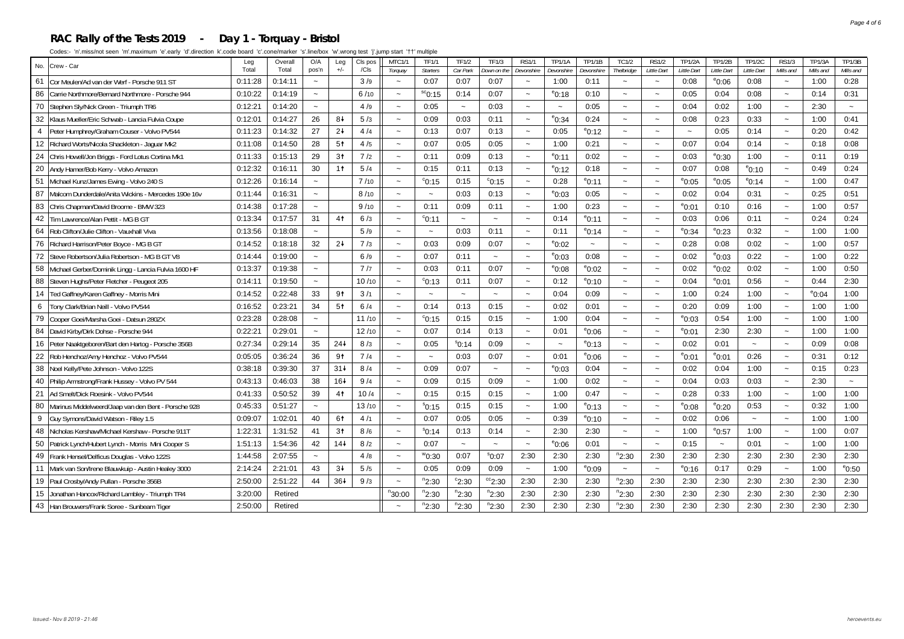#### **RAC Rally of the Tests 2019 - Day 1 - Torquay - Bristol**

| No.            | Crew - Car                                           | Leg<br>Total                        | Overall<br>Total | O/A<br>pos'n              | Leg<br>$+/-$    | CIs pos<br>/ <sub>cls</sub> | MTC1/1                    | <b>TF1/1</b><br><b>Starters</b> | <b>TF1/2</b><br>Car Park | <b>TF1/3</b>              | RS1/                      | <b>TP1/1A</b>             | <b>TP1/1B</b>      | <b>TC1/2</b>                        | <b>RS1/2</b><br>Little Dart | <b>TP1/2A</b><br>Little Dart | <b>TP1/2B</b><br>Little Dart | <b>TP1/2C</b><br>Little Dart | <b>RS1/3</b><br>Mills and | <b>TP1/3A</b><br>Mills and | <b>TP1/3B</b><br>Mills and |
|----------------|------------------------------------------------------|-------------------------------------|------------------|---------------------------|-----------------|-----------------------------|---------------------------|---------------------------------|--------------------------|---------------------------|---------------------------|---------------------------|--------------------|-------------------------------------|-----------------------------|------------------------------|------------------------------|------------------------------|---------------------------|----------------------------|----------------------------|
| 61             | Cor Meulen/Ad van der Werf - Porsche 911 ST          | 0:11:28                             | 0:14:11          | $\tilde{\phantom{a}}$     |                 | 3/9                         | Torquay<br>$\sim$         | 0:07                            | 0:07                     | Down on the<br>0:07       | Devonshire<br>$\sim$      | Devonshire<br>1:00        | Devonshire<br>0:11 | Thelbridge<br>$\tilde{\phantom{a}}$ | $\tilde{\phantom{a}}$       | 0:08                         | $^{\circ}$ 0:06              | 0:08                         | $\tilde{\phantom{a}}$     | 1:00                       | 0:28                       |
| 86             | Carrie Northmore/Bernard Northmore - Porsche 944     | 0:10:22                             | 0:14:19          | $\sim$                    |                 | 6/10                        | $\sim$                    | ${}^{sc}$ 0:15                  | 0:14                     | 0:07                      | $\sim$                    | $^{\rm e}$ 0:18           | 0:10               | $\sim$                              | $\sim$                      | 0:05                         | 0:04                         | 0:08                         | $\sim$                    | 0:14                       | 0:31                       |
| 70             | Stephen Sly/Nick Green - Triumph TR6                 | 0:12:21                             | 0:14:20          | $\sim$                    |                 | 4/9                         | $\sim$                    | 0:05                            | $\tilde{\phantom{a}}$    | 0:03                      | $\sim$                    | $\widetilde{\phantom{m}}$ | 0:05               | $\sim$                              | $\sim$                      | 0:04                         | 0:02                         | 1:00                         | $\sim$                    | 2:30                       | $\sim$                     |
| 32             | Klaus Mueller/Eric Schwab - Lancia Fulvia Coupe      | 0:12:01                             | 0:14:27          | 26                        | 84              | 5/3                         |                           | 0:09                            | 0:03                     | 0:11                      | $\sim$                    | $^{\rm e}$ 0:34           | 0:24               | $\tilde{\phantom{a}}$               | $\sim$                      | 0:08                         | 0:23                         | 0:33                         | $\sim$                    | 1:00                       | 0:41                       |
| $\overline{4}$ | Peter Humphrey/Graham Couser - Volvo PV544           | 0:11:23                             | 0:14:32          | 27                        | $2+$            | 4/4                         | $\tilde{\phantom{a}}$     | 0:13                            | 0:07                     | 0:13                      | $\sim$                    | 0:05                      | $^{\circ}$ 0:12    | $\sim$                              | $\sim$                      |                              | 0:05                         | 0:14                         | $\sim$                    | 0:20                       | 0:42                       |
| 12             | Richard Worts/Nicola Shackleton - Jaquar Mk2         | 0:11:08                             | 0:14:50          | 28                        | 5 <sup>†</sup>  | 4/5                         | $\sim$                    | 0:07                            | 0:05                     | 0:05                      | $\sim$                    | 1:00                      | 0:21               | $\sim$                              | $\sim$                      | 0:07                         | 0:04                         | 0:14                         | $\sim$                    | 0:18                       | 0:08                       |
| 24             | Chris Howell/Jon Briggs - Ford Lotus Cortina Mk1     | 0:11:33                             | 0:15:13          | 29                        | 3 <sup>†</sup>  | 7/2                         | $\tilde{\phantom{a}}$     | 0:11                            | 0:09                     | 0:13                      | $\sim$                    | $e_{0:11}$                | 0:02               | $\tilde{\phantom{a}}$               | $\sim$                      | 0:03                         | $^{\circ}$ 0:30              | 1:00                         | $\sim$                    | 0:11                       | 0:19                       |
| 20             | Andy Hamer/Bob Kerry - Volvo Amazon                  | 0:12:32                             | 0:16:11          | 30                        | 1 <sup>†</sup>  | 5/4                         | $\sim$                    | 0:15                            | 0:11                     | 0:13                      | $\tilde{\phantom{a}}$     | $^{\circ}$ 0:12           | 0:18               | $\tilde{\phantom{a}}$               | $\sim$                      | 0:07                         | 0:08                         | $^{\circ}$ 0:10              | $\tilde{\phantom{a}}$     | 0:49                       | 0:24                       |
| 51             | Michael Kunz/James Ewing - Volvo 240 S               | 0:12:26                             | 0:16:14          | $\tilde{\phantom{a}}$     |                 | 7/10                        |                           | $^{\circ}$ 0:15                 | 0:15                     | $^{\circ}$ 0:15           | $\tilde{\phantom{a}}$     | 0:28                      | $^{\circ}$ 0:11    | $\tilde{\phantom{a}}$               |                             | $^{\circ}$ 0:05              | $^{\circ}$ 0:05              | $e_{0:14}$                   | $\tilde{\phantom{a}}$     | 1:00                       | 0:47                       |
| 87             | Malcom Dunderdale/Anita Wickins - Mercedes 190e 16v  | 0:11:44                             | 0:16:31          | $\sim$                    |                 | 8/10                        |                           |                                 | 0:03                     | 0:13                      | $\sim$                    | $^{\circ}$ 0:03           | 0:05               | $\tilde{\phantom{a}}$               |                             | 0:02                         | 0:04                         | 0:31                         | $\sim$                    | 0:25                       | 0:51                       |
| 83             | Chris Chapman/David Broome - BMW 323                 | 0:14:38                             | 0:17:28          | $\sim$                    |                 | 9/10                        | $\tilde{\phantom{a}}$     | 0:11                            | 0:09                     | 0:11                      | $\tilde{\phantom{a}}$     | 1:00                      | 0:23               | $\tilde{}$                          | $\tilde{\phantom{a}}$       | $^{\circ}$ 0:01              | 0:10                         | 0:16                         | $\widetilde{\phantom{m}}$ | 1:00                       | 0:57                       |
| 42             | Tim Lawrence/Alan Pettit - MG B GT                   | 0:13:34                             | 0:17:57          | 31                        | 41              | 6/3                         | $\tilde{\phantom{a}}$     | $^{\circ}$ 0:11                 | $\tilde{\phantom{a}}$    | $\thicksim$               | $\tilde{\phantom{a}}$     | 0:14                      | $^{\rm e}$ 0:11    | $\tilde{\phantom{a}}$               | $\sim$                      | 0:03                         | 0:06                         | 0:11                         | $\sim$                    | 0:24                       | 0:24                       |
| 64             | Rob Clifton/Julie Clifton - Vauxhall Viva            | 0:13:56                             | 0:18:08          | $\tilde{\phantom{a}}$     |                 | 5/9                         | $\tilde{\phantom{a}}$     | $\tilde{\phantom{a}}$           | 0:03                     | 0:11                      | $\tilde{\phantom{a}}$     | 0:11                      | $^{\rm e}$ 0:14    | $\tilde{}$                          | $\tilde{\phantom{a}}$       | $^{\circ}$ 0:34              | $^{\circ}$ 0:23              | 0:32                         | $\tilde{\phantom{a}}$     | 1:00                       | 1:00                       |
| 76             | Richard Harrison/Peter Boyce - MG B GT               | 0:14:52                             | 0:18:18          | 32                        | $2+$            | 7/3                         | $\tilde{\phantom{a}}$     | 0:03                            | 0:09                     | 0:07                      | $\tilde{\phantom{a}}$     | $^{\circ}$ 0:02           | $\thicksim$        | $\tilde{\phantom{a}}$               | $\tilde{\phantom{a}}$       | 0:28                         | 0:08                         | 0:02                         | $\tilde{\phantom{a}}$     | 1:00                       | 0:57                       |
| 72             | Steve Robertson/Julia Robertson - MG B GT V8         | 0:14:44                             | 0:19:00          | $\widetilde{\phantom{m}}$ |                 | 6/9                         | $\tilde{\phantom{a}}$     | 0:07                            | 0:11                     | $\tilde{\phantom{a}}$     | $\tilde{\phantom{a}}$     | $^{\circ}$ 0:03           | 0:08               | $\tilde{\phantom{a}}$               | $\tilde{\phantom{a}}$       | 0:02                         | $^{\circ}$ 0:03              | 0:22                         | $\widetilde{\phantom{m}}$ | 1:00                       | 0:22                       |
| 58             | Michael Gerber/Dominik Lingg - Lancia Fulvia 1600 HF | 0:13:37                             | 0:19:38          | $\tilde{\phantom{a}}$     |                 | 7/7                         | $\sim$                    | 0:03                            | 0:11                     | 0:07                      | $\sim$                    | $e_{0:08}$                | $^{\rm e}$ 0:02    | $\sim$                              | $\sim$                      | 0:02                         | $^{\circ}$ 0:02              | 0:02                         | $\sim$                    | 1:00                       | 0:50                       |
| 88             | Steven Hughs/Peter Fletcher - Peugeot 205            | 0:14:11                             | 0:19:50          | $\sim$                    |                 | 10/10                       | $\sim$                    | $\degree$ 0:13                  | 0:11                     | 0:07                      | $\sim$                    | 0:12                      | $^{\circ}$ 0:10    | $\sim$                              | $\sim$                      | 0:04                         | $^{\circ}$ 0:01              | 0:56                         | $\sim$                    | 0:44                       | 2:30                       |
| 14             | Ted Gaffney/Karen Gaffney - Morris Mini              | 0:14:52                             | 0:22:48          | 33                        | 91              | 3/1                         | $\sim$                    | $\sim$                          | $\sim$                   | $\sim$                    | $\sim$                    | 0:04                      | 0:09               | $\sim$                              | $\sim$                      | 1:00                         | 0:24                         | 1:00                         | $\sim$                    | $^{\circ}$ 0:04            | 1:00                       |
| 6              | Tony Clark/Brian Neill - Volvo PV544                 | 0:16:52                             | 0:23:21          | 34                        | 5 <sup>†</sup>  | 6/4                         |                           | 0:14                            | 0:13                     | 0:15                      | $\tilde{\phantom{a}}$     | 0:02                      | 0:01               | $\tilde{\phantom{a}}$               |                             | 0:20                         | 0:09                         | 1:00                         | $\sim$                    | 1:00                       | 1:00                       |
| 79             | Cooper Goei/Marsha Goei - Datsun 280ZX               | 0:23:28                             | 0:28:08          | $\widetilde{\phantom{m}}$ |                 | 11/10                       |                           | $^{\circ}$ 0:15                 | 0:15                     | 0:15                      | $\sim$                    | 1:00                      | 0:04               | $\tilde{\phantom{a}}$               | $\sim$                      | $^{\rm e}$ 0:03              | 0:54                         | 1:00                         | $\sim$                    | 1:00                       | 1:00                       |
| 84             | David Kirby/Dirk Dohse - Porsche 944                 | 0:22:21                             | 0:29:01          | $\sim$                    |                 | 12/10                       |                           | 0:07                            | 0:14                     | 0:13                      | $\tilde{\phantom{a}}$     | 0:01                      | $^{\rm e}$ 0:06    | $\tilde{\phantom{a}}$               | $\tilde{\phantom{a}}$       | $^{\rm e}$ 0:01              | 2:30                         | 2:30                         | $\ddot{\phantom{1}}$      | 1:00                       | 1:00                       |
| 16             | Peter Naaktgeboren/Bart den Hartog - Porsche 356B    | 0:27:34                             | 0:29:14          | 35                        | $24+$           | 8/3                         |                           | 0:05                            | $^{\rm s}$ 0:14          | 0:09                      | $\sim$                    | $\sim$                    | $^{\rm e}$ 0:13    | $\tilde{\phantom{a}}$               | $\sim$                      | 0:02                         | 0:01                         | $\tilde{\phantom{a}}$        | $\sim$                    | 0:09                       | 0:08                       |
| 22             | Rob Henchoz/Amy Henchoz - Volvo PV544                | 0:05:05                             | 0:36:24          | 36                        | 9 <sup>†</sup>  | 7/4                         |                           |                                 | 0:03                     | 0:07                      | $\tilde{\phantom{a}}$     | 0:01                      | $^{\rm e}$ 0:06    | $\tilde{\phantom{a}}$               | $\tilde{\phantom{a}}$       | $^{\circ}$ 0:01              | $^{\circ}$ 0:01              | 0:26                         | $\ddot{\phantom{1}}$      | 0:31                       | 0:12                       |
| 38             | Noel Kelly/Pete Johnson - Volvo 122S                 | 0:38:18                             | 0:39:30          | 37                        | $31+$           | 8/4                         | $\widetilde{\phantom{m}}$ | 0:09                            | 0:07                     | $\widetilde{\phantom{m}}$ | $\tilde{\phantom{a}}$     | $^{\rm e}$ 0:03           | 0:04               | $\widetilde{\phantom{m}}$           | $\tilde{\phantom{a}}$       | 0:02                         | 0:04                         | 1:00                         | $\sim$                    | 0:15                       | 0:23                       |
| 40             | Philip Armstrong/Frank Hussey - Volvo PV 544         | 0:43:13                             | 0:46:03          | 38                        | $16+$           | 9/4                         | $\tilde{\phantom{a}}$     | 0:09                            | 0:15                     | 0:09                      | $\tilde{\phantom{a}}$     | 1:00                      | 0:02               | $\tilde{\phantom{a}}$               | $\tilde{\phantom{a}}$       | 0:04                         | 0:03                         | 0:03                         | $\sim$                    | 2:30                       | $\sim$                     |
| 21             | Ad Smelt/Dick Roesink - Volvo PV544                  | 0:41:33                             | 0:50:52          | 39                        | 4 <sup>†</sup>  | 10/4                        | $\sim$                    | 0:15                            | 0:15                     | 0:15                      | $\tilde{\phantom{a}}$     | 1:00                      | 0:47               | $\tilde{\phantom{a}}$               | $\sim$                      | 0:28                         | 0:33                         | 1:00                         | $\sim$                    | 1:00                       | 1:00                       |
| 80             | Marinus Middelweerd/Jaap van den Bent - Porsche 928  | 0:45:33                             | 0:51:27          | $\tilde{\phantom{a}}$     |                 | 13/10                       | $\sim$                    | $^{\rm s}$ 0:15                 | 0:15                     | 0:15                      | $\sim$                    | 1:00                      | $^{\rm e}$ 0:13    | $\tilde{\phantom{a}}$               | $\sim$                      | $^{\rm e}$ 0:08              | $^{\circ}$ 0:20              | 0:53                         | $\sim$                    | 0:32                       | 1:00                       |
| 9              | Guy Symons/David Watson - Riley 1.5                  | 0:09:07                             | 1:02:01          | 40                        | 61              | 4/1                         | $\tilde{\phantom{a}}$     | 0:07                            | 0:05                     | 0:05                      | $\widetilde{\phantom{m}}$ | 0:39                      | $^{\circ}$ 0:10    | $\tilde{\phantom{a}}$               | $\sim$                      | 0:02                         | 0:06                         | $\tilde{\phantom{a}}$        | $\sim$                    | 1:00                       | 1:00                       |
| 48             | Nicholas Kershaw/Michael Kershaw - Porsche 911T      | 1:22:31                             | 1:31:52          | 41                        | 3 <sup>†</sup>  | 8/6                         | $\tilde{\phantom{a}}$     | $^{\rm s}$ 0:14                 | 0:13                     | 0:14                      | $\tilde{\phantom{a}}$     | 2:30                      | 2:30               | $\tilde{\phantom{a}}$               | $\sim$                      | 1:00                         | $^{\circ}$ 0:57              | 1:00                         | $\tilde{\phantom{a}}$     | 1:00                       | 0:07                       |
| 50             | Patrick Lynch/Hubert Lynch - Morris Mini Cooper S    | 1:51:13                             | 1:54:36          | 42                        | $14+$           | 8/2                         | $\sim$                    | 0:07                            | $\tilde{}$               | $\sim$                    | $\tilde{\phantom{a}}$     | $^{\circ}$ 0:06           | 0:01               | $\widetilde{\phantom{m}}$           | $\sim$                      | 0:15                         | $\widetilde{\phantom{m}}$    | 0:01                         | $\sim$                    | 1:00                       | 1:00                       |
| 49             | Frank Hensel/Delficus Douglas - Volvo 122S           | 2:07:55<br>4/8<br>1:44:58<br>$\sim$ |                  | $\sim$                    | $^{\rm w}$ 0:30 | 0:07                        | $^{\circ}$ 0:07           | 2:30                            | 2:30                     | 2:30                      | $n_{2:30}$                | 2:30                      | 2:30               | 2:30                                | 2:30                        | 2:30                         | 2:30                         | 2:30                         |                           |                            |                            |
| 11             | Mark van Son/Irene Blauwkuip - Austin Healey 3000    | 2:14:24                             |                  | 43                        | $3+$            | 5/5                         |                           | 0:05                            | 0:09                     | 0:09                      | $\sim$                    | 1:00                      | $^{\circ}$ 0:09    | $\sim$                              | $\sim$                      | $e$ 0:16                     | 0:17                         | 0:29                         | $\sim$                    | 1:00                       | $^{\circ}$ 0:50            |
| 19             | Paul Crosby/Andy Pullan - Porsche 356B               | 2:50:00                             | 2:51:22          | 44                        | 36+             | 9/3                         |                           | $n_{2:30}$                      | $\degree$ 2:30           | $\mathrm{^{cc}2:30}$      | 2:30                      | 2:30                      | 2:30               | <sup>n</sup> 2:30                   | 2:30                        | 2:30                         | 2:30                         | 2:30                         | 2:30                      | 2:30                       | 2:30                       |
| 15             | Jonathan Hancox/Richard Lambley - Triumph TR4        | 3:20:00                             | Retired          |                           |                 |                             | $n_{30:00}$               | $n_{2:30}$                      | $n_{2:30}$               | $n_{2:30}$                | 2:30                      | 2:30                      | 2:30               | $n_{2:30}$                          | 2:30                        | 2:30                         | 2:30                         | 2:30                         | 2:30                      | 2:30                       | 2:30                       |
|                | 43 Han Brouwers/Frank Soree - Sunbeam Tiger          | 2:50:00<br>Retired                  |                  |                           |                 | $n_{2:30}$                  | $n_{2:30}$                | $n_{2:30}$                      | 2:30                     | 2:30                      | 2:30                      | $n_{2:30}$                | 2:30               | 2:30                                | 2:30                        | 2:30                         | 2:30                         | 2:30                         | 2:30                      |                            |                            |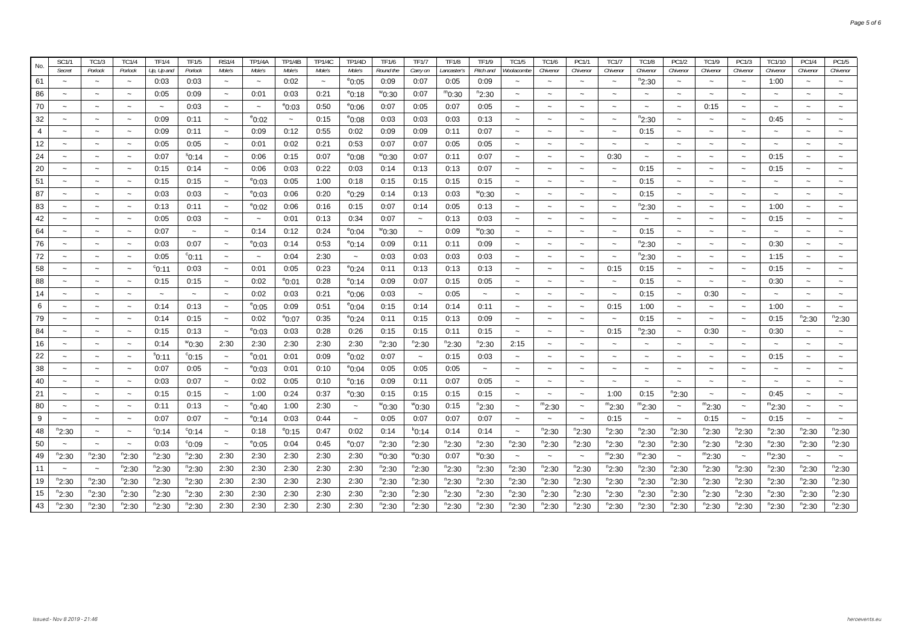| No. | <b>SC1/1</b>             | <b>TC1/3</b>              | <b>TC1/4</b>              | <b>TF1/4</b>    | <b>TF1/5</b>          | <b>RS1/4</b>             | <b>TP1/4A</b>         | <b>TP1/4B</b>         | <b>TP1/4C</b>         | <b>TP1/4D</b>             | <b>TF1/6</b>      | <b>TF1/7</b>          | <b>TF1/8</b> | <b>TF1/9</b>           | <b>TC1/5</b>          | <b>TC1/6</b>          | PC1/1                 | <b>TC1/7</b>              | <b>TC1/8</b>             | PC1/2                 | <b>TC1/9</b>          | PC1/3                     | TC1/10                | <b>PC1/4</b>              | PC1/5      |
|-----|--------------------------|---------------------------|---------------------------|-----------------|-----------------------|--------------------------|-----------------------|-----------------------|-----------------------|---------------------------|-------------------|-----------------------|--------------|------------------------|-----------------------|-----------------------|-----------------------|---------------------------|--------------------------|-----------------------|-----------------------|---------------------------|-----------------------|---------------------------|------------|
|     | Secret                   | Porlock                   | Porlock                   | Up, Up and      | Porlock               | Mole's                   | Mole's                | Mole's                | Mole's                | Mole's                    | Round the         | Carry on              | Lancaster':  | Pitch and              | Noolacombe            | Chivenor              | Chivenor              | Chivenor                  | Chivenor                 | Chivenor              | Chivenor              | Chivenor                  | Chivenor              | Chivenor                  | Chivenor   |
| 61  | $\sim$                   | $\sim$                    | $\thicksim$               | 0:03            | 0:03                  | $\sim$                   | $\tilde{\phantom{a}}$ | 0:02                  | $\tilde{\phantom{a}}$ | $^{\circ}$ 0:05           | 0:09              | 0:07                  | 0:05         | 0:09                   | $\sim$                | $\sim$                | $\sim$                | $\tilde{\phantom{a}}$     | "2:30                    | $\sim$                | $\sim$                | $\tilde{\phantom{a}}$     | 1:00                  | $\sim$                    | $\sim$     |
| 86  | $\sim$                   | $\thicksim$               | $\thicksim$               | 0:05            | 0:09                  | $\tilde{\phantom{a}}$    | 0:01                  | 0:03                  | 0:21                  | $^{\circ}$ 0:18           | °0:30             | 0:07                  | m0:30        | <sup>n</sup> 2:30      | $\tilde{\phantom{a}}$ | $\sim$                | $\sim$                | $\tilde{\phantom{a}}$     | $\sim$                   | $\sim$                | $\sim$                | $\tilde{\phantom{a}}$     | $\sim$                | $\tilde{\phantom{a}}$     | $\sim$     |
| 70  | $\sim$                   | $\tilde{\phantom{a}}$     | $\tilde{\phantom{a}}$     | $\sim$          | 0:03                  | $\tilde{\phantom{a}}$    | $\tilde{\phantom{a}}$ | $^{\rm e}$ 0:03       | 0:50                  | $^{\circ}$ 0:06           | 0:07              | 0:05                  | 0:07         | 0:05                   | $\tilde{\phantom{a}}$ | $\tilde{\phantom{a}}$ | $\sim$                | $\tilde{\phantom{a}}$     | $\sim$                   | $\tilde{\phantom{a}}$ | 0:15                  | $\tilde{\phantom{a}}$     | $\sim$                | $\tilde{\phantom{a}}$     |            |
| 32  |                          | $\widetilde{\phantom{m}}$ | $\widetilde{\phantom{m}}$ | 0:09            | 0:11                  |                          | $^{\circ}$ 0:02       | $\tilde{\phantom{a}}$ | 0:15                  | $^{\circ}$ 0:08           | 0:03              | 0:03                  | 0:03         | 0:13                   | $\tilde{}$            |                       |                       |                           | <sup>n</sup> 2:30        |                       |                       | $\widetilde{\phantom{m}}$ | 0:45                  | $\widetilde{\phantom{m}}$ |            |
| 4   |                          | $\tilde{}$                | $\tilde{}$                | 0:09            | 0:11                  |                          | 0:09                  | 0:12                  | 0:55                  | 0:02                      | 0:09              | 0:09                  | 0:11         | 0:07                   | $\tilde{\phantom{a}}$ |                       |                       |                           | 0:15                     |                       |                       | $\tilde{\phantom{a}}$     | $\tilde{\phantom{a}}$ | $\tilde{}$                |            |
| 12  |                          | $\tilde{}$                | $\tilde{\phantom{a}}$     | 0:05            | 0:05                  |                          | 0:01                  | 0:02                  | 0:21                  | 0:53                      | 0:07              | 0:07                  | 0:05         | 0:05                   | $\tilde{\phantom{a}}$ |                       |                       |                           | $\tilde{\phantom{a}}$    |                       |                       | $\tilde{\phantom{a}}$     | $\tilde{\phantom{a}}$ | $\sim$                    |            |
| 24  |                          | $\tilde{}$                | $\tilde{\phantom{a}}$     | 0:07            | $^{\rm s}$ 0:14       | $\sim$                   | 0:06                  | 0:15                  | 0:07                  | $^{\circ}$ 0:08           | <sup>w</sup> 0:30 | 0:07                  | 0:11         | 0:07                   |                       |                       |                       | 0:30                      | $\tilde{}$               |                       |                       | $\tilde{\phantom{a}}$     | 0:15                  | $\tilde{}$                |            |
| 20  |                          | $\tilde{}$                | $\tilde{\phantom{a}}$     | 0:15            | 0:14                  | $\ddot{\phantom{1}}$     | 0:06                  | 0:03                  | 0:22                  | 0:03                      | 0:14              | 0:13                  | 0:13         | 0:07                   |                       |                       |                       | $\sim$                    | 0:15                     | $\sim$                |                       | $\tilde{\phantom{a}}$     | 0:15                  | $\tilde{}$                |            |
| 51  |                          | $\sim$                    | $\sim$                    | 0:15            | 0:15                  | $\sim$                   | $^{\circ}$ 0:03       | 0:05                  | 1:00                  | 0:18                      | 0:15              | 0:15                  | 0:15         | 0:15                   | $\sim$                |                       |                       | $\sim$                    | 0:15                     | $\sim$                | $\sim$                | $\sim$                    | $\sim$                | $\sim$                    |            |
| 87  | $\ddot{ }$               | $\sim$                    | $\tilde{\phantom{a}}$     | 0:03            | 0:03                  | $\sim$                   | $^{\circ}$ 0:03       | 0:06                  | 0:20                  | $^{\circ}$ 0:29           | 0:14              | 0:13                  | 0:03         | ™0:30                  | $\sim$                |                       | $\sim$                | $\tilde{\phantom{a}}$     | 0:15                     | $\sim$                | $\sim$                | $\sim$                    | $\sim$                | $\sim$                    |            |
| 83  | $\overline{\phantom{0}}$ | $\tilde{\phantom{a}}$     | $\tilde{\phantom{a}}$     | 0:13            | 0:11                  | $\tilde{\phantom{a}}$    | $^{\circ}$ 0:02       | 0:06                  | 0:16                  | 0:15                      | 0:07              | 0:14                  | 0:05         | 0:13                   | $\tilde{\phantom{a}}$ | $\sim$                | $\sim$                | $\tilde{\phantom{a}}$     | $n_{2:30}$               | $\tilde{\phantom{a}}$ | $\sim$                | $\tilde{\phantom{a}}$     | 1:00                  | $\tilde{\phantom{a}}$     |            |
| 42  | $\overline{\phantom{0}}$ | $\tilde{}$                | $\tilde{\phantom{a}}$     | 0:05            | 0:03                  | $\tilde{\phantom{a}}$    | $\sim$                | 0:01                  | 0:13                  | 0:34                      | 0:07              | $\tilde{\phantom{a}}$ | 0:13         | 0:03                   | $\tilde{\phantom{a}}$ | $\tilde{}$            | $\tilde{\phantom{a}}$ | $\tilde{\phantom{a}}$     | $\tilde{\phantom{a}}$    | $\tilde{\phantom{a}}$ | $\tilde{\phantom{a}}$ | $\tilde{\phantom{a}}$     | 0:15                  | $\thicksim$               |            |
| 64  | $\sim$                   | $\sim$                    | $\thicksim$               | 0:07            | $\tilde{\phantom{a}}$ | $\tilde{\phantom{a}}$    | 0:14                  | 0:12                  | 0:24                  | $^{\circ}$ 0:04           | ™0:30             | $\thicksim$           | 0:09         | $^{\prime\prime}$ 0:30 | $\tilde{\phantom{a}}$ | $\tilde{\phantom{a}}$ | $\tilde{\phantom{a}}$ | $\tilde{\phantom{a}}$     | 0:15                     | $\tilde{\phantom{a}}$ | $\tilde{\phantom{a}}$ | $\sim$                    | $\sim$                | $\tilde{\phantom{a}}$     |            |
| 76  | $\sim$                   | $\tilde{}$                | $\tilde{\phantom{a}}$     | 0:03            | 0:07                  | $\tilde{\phantom{a}}$    | $^{\circ}$ 0:03       | 0:14                  | 0:53                  | °0:14                     | 0:09              | 0:11                  | 0:11         | 0:09                   | $\tilde{\phantom{a}}$ | $\sim$                | $\sim$                | $\tilde{\phantom{a}}$     | $n_{2:30}$               | $\tilde{\phantom{a}}$ | $\sim$                | $\tilde{\phantom{a}}$     | 0:30                  | $\tilde{\phantom{a}}$     |            |
| 72  | $\overline{\phantom{0}}$ | $\tilde{\phantom{a}}$     | $\tilde{}$                | 0:05            | $^{\circ}$ 0:11       | $\tilde{}$               | $\tilde{\phantom{a}}$ | 0:04                  | 2:30                  | $\widetilde{\phantom{m}}$ | 0:03              | 0:03                  | 0:03         | 0:03                   | $\tilde{}$            | $\ddot{\phantom{1}}$  |                       | $\tilde{}$                | $n_{2:30}$               | $\tilde{\phantom{a}}$ |                       | $\tilde{\phantom{a}}$     | 1:15                  | $\tilde{}$                |            |
| 58  | $\tilde{\phantom{a}}$    | $\tilde{\phantom{a}}$     | $\tilde{}$                | $^{\circ}$ 0:11 | 0:03                  | $\ddot{\phantom{0}}$     | 0:01                  | 0:05                  | 0:23                  | $^{\circ}$ 0:24           | 0:11              | 0:13                  | 0:13         | 0:13                   | $\tilde{\phantom{a}}$ | $\tilde{\phantom{a}}$ |                       | 0:15                      | 0:15                     | $\tilde{\phantom{a}}$ |                       | $\tilde{}$                | 0:15                  | $\widetilde{\phantom{m}}$ |            |
| 88  | $\tilde{\phantom{a}}$    | $\tilde{}$                |                           | 0:15            | 0:15                  | $\overline{\phantom{0}}$ | 0:02                  | $^{\rm e}$ 0:01       | 0:28                  | $^{\circ}$ 0:14           | 0:09              | 0:07                  | 0:15         | 0:05                   |                       |                       |                       | $\tilde{\phantom{a}}$     | 0:15                     | $\tilde{\phantom{a}}$ |                       | $\tilde{}$                | 0:30                  | $\widetilde{\phantom{m}}$ |            |
| 14  | $\tilde{}$               |                           |                           |                 |                       | $\overline{\phantom{a}}$ | 0:02                  | 0:03                  | 0:21                  | $^{\circ}$ 0:06           | 0:03              | $\tilde{}$            | 0:05         | $\tilde{}$             |                       |                       |                       | $\widetilde{\phantom{m}}$ | 0:15                     | $\tilde{}$            | 0:30                  | $\tilde{\phantom{a}}$     |                       | $\tilde{}$                |            |
| 6   | $\tilde{\phantom{a}}$    | $\tilde{}$                | $\tilde{}$                | 0:14            | 0:13                  | $\tilde{\phantom{a}}$    | $^{\circ}$ 0:05       | 0:09                  | 0:51                  | °0:04                     | 0:15              | 0:14                  | 0:14         | 0:11                   |                       |                       |                       | 0:15                      | 1:00                     | $\tilde{}$            |                       | $\tilde{\phantom{a}}$     | 1:00                  | $\widetilde{\phantom{m}}$ |            |
| 79  | $\tilde{\phantom{a}}$    | $\tilde{\phantom{a}}$     | $\tilde{}$                | 0:14            | 0:15                  | $\tilde{\phantom{a}}$    | 0:02                  | $^{\rm e}$ 0:07       | 0:35                  | °0:24                     | 0:11              | 0:15                  | 0:13         | 0:09                   |                       | $\tilde{\phantom{a}}$ |                       | $\tilde{\phantom{a}}$     | 0:15                     | $\tilde{\phantom{a}}$ |                       | $\tilde{\phantom{a}}$     | 0:15                  | <sup>n</sup> 2:30         | $n_{2:30}$ |
| 84  | $\tilde{\phantom{a}}$    | $\tilde{}$                | $\tilde{}$                | 0:15            | 0:13                  | $\tilde{\phantom{a}}$    | $^{\circ}$ 0:03       | 0:03                  | 0:28                  | 0:26                      | 0:15              | 0:15                  | 0:11         | 0:15                   |                       | $\tilde{\phantom{a}}$ |                       | 0:15                      | <sup>n</sup> 2:30        | $\tilde{\phantom{a}}$ | 0:30                  | $\tilde{\phantom{a}}$     | 0:30                  | $\tilde{}$                |            |
| 16  | $\tilde{}$               | $\tilde{\phantom{a}}$     | $\tilde{\phantom{a}}$     | 0:14            | ™0:30                 | 2:30                     | 2:30                  | 2:30                  | 2:30                  | 2:30                      | <sup>n</sup> 2:30 | °2:30                 | $n_{2:30}$   | <sup>n</sup> 2:30      | 2:15                  | $\tilde{\phantom{a}}$ | $\tilde{\phantom{a}}$ | $\tilde{\phantom{a}}$     | $\tilde{\phantom{a}}$    | $\tilde{\phantom{a}}$ | $\tilde{\phantom{a}}$ | $\tilde{\phantom{a}}$     | $\tilde{\phantom{a}}$ | $\tilde{\phantom{a}}$     |            |
| 22  | $\tilde{\phantom{a}}$    | $\tilde{\phantom{a}}$     | $\tilde{\phantom{a}}$     | $^{\rm s}$ 0:11 | $^{\circ}$ 0:15       | $\tilde{\phantom{a}}$    | $^{\circ}$ 0:01       | 0:01                  | 0:09                  | $^{\circ}$ 0:02           | 0:07              | $\thicksim$           | 0:15         | 0:03                   | $\tilde{\phantom{a}}$ | $\tilde{\phantom{a}}$ | $\tilde{}$            | $\tilde{\phantom{a}}$     | $\tilde{\phantom{a}}$    | $\tilde{\phantom{a}}$ | $\tilde{\phantom{a}}$ | $\tilde{\phantom{a}}$     | 0:15                  | $\tilde{\phantom{a}}$     |            |
| 38  | $\tilde{\phantom{a}}$    | $\tilde{\phantom{a}}$     | $\tilde{\phantom{a}}$     | 0:07            | 0:05                  | $\tilde{\phantom{a}}$    | $^{\circ}$ 0:03       | 0:01                  | 0:10                  | $^{\circ}$ 0:04           | 0:05              | 0:05                  | 0:05         | $\tilde{\phantom{a}}$  | $\sim$                | $\sim$                | $\tilde{\phantom{a}}$ | $\tilde{\phantom{a}}$     | $\overline{\phantom{0}}$ | $\tilde{\phantom{a}}$ | $\tilde{\phantom{a}}$ | $\tilde{\phantom{a}}$     | $\sim$                | $\sim$                    |            |
| 40  | $\sim$                   | $\tilde{\phantom{a}}$     | $\tilde{}$                | 0:03            | 0:07                  | $\tilde{\phantom{a}}$    | 0:02                  | 0:05                  | 0:10                  | $^{\circ}$ 0:16           | 0:09              | 0:11                  | 0:07         | 0:05                   | $\sim$                | $\sim$                | $\sim$                | $\tilde{\phantom{a}}$     | $\sim$                   | $\sim$                | $\sim$                | $\tilde{\phantom{a}}$     | $\sim$                | $\sim$                    |            |
| 21  | $\tilde{\phantom{a}}$    | $\tilde{\phantom{a}}$     |                           | 0:15            | 0:15                  | $\tilde{}$               | 1:00                  | 0:24                  | 0:37                  | °0:30                     | 0:15              | 0:15                  | 0:15         | 0:15                   |                       | $\tilde{}$            | $\tilde{\phantom{a}}$ | 1:00                      | 0:15                     | $n_{2:30}$            | $\tilde{}$            | $\tilde{\phantom{a}}$     | 0:45                  | $\tilde{\phantom{a}}$     |            |
| 80  | $\tilde{\phantom{a}}$    | $\tilde{\phantom{a}}$     |                           | 0:11            | 0:13                  |                          | $^{\circ}$ 0:40       | 1:00                  | 2:30                  |                           | ™0:30             | °°0:30                | 0:15         | <sup>n</sup> 2:30      |                       | $m_{2:30}$            |                       | $m_{2:30}$                | $m_{2:30}$               | $\tilde{}$            | m <sub>2:30</sub>     | $\tilde{\phantom{a}}$     | m <sub>2:30</sub>     | $\tilde{}$                |            |
| 9   | $\sim$                   | $\tilde{\phantom{a}}$     |                           | 0:07            | 0:07                  |                          | $^{\circ}$ 0:14       | 0:03                  | 0:44                  |                           | 0:05              | 0:07                  | 0:07         | 0:07                   |                       |                       |                       | 0:15                      | $\tilde{\phantom{a}}$    | $\sim$                | 0:15                  | $\thicksim$               | 0:15                  | $\tilde{\phantom{a}}$     |            |
| 48  | $n_{2:30}$               | $\tilde{}$                | $\tilde{\phantom{a}}$     | $^{\circ}$ 0:14 | $^{\circ}$ 0:14       |                          | 0:18                  | $^{\circ}$ 0:15       | 0:47                  | 0:02                      | 0:14              | °0:14                 | 0:14         | 0:14                   |                       | $n_{2:30}$            | $n_{2:30}$            | $n_{2:30}$                | $n_{2:30}$               | $n_{2:30}$            | $n_{2:30}$            | $n_{2:30}$                | $n_{2:30}$            | $n_{2:30}$                | $n_{2:30}$ |
| 50  | $\tilde{\phantom{a}}$    | $\tilde{}$                |                           | 0:03            | $^{\circ}$ 0:09       |                          | $^{\circ}$ 0:05       | 0:04                  | 0:45                  | $^{\rm e}$ 0:07           | $n_{2:30}$        | $n_{2:30}$            | $n_{2:30}$   | $n_{2:30}$             | $n_{2:30}$            | $n_{2:30}$            | $n_{2:30}$            | $n_{2:30}$                | $n_{2:30}$               | $n_{2:30}$            | $n_{2:30}$            | $n_{2:30}$                | "2:30                 | $n_{2:30}$                | $n_{2:30}$ |
| 49  | $n_{2:30}$               | <sup>n</sup> 2:30         | $n_{2:30}$                | $n_{2:30}$      | $n_{2:30}$            | 2:30                     | 2:30                  | 2:30                  | 2:30                  | 2:30                      | ™0:30             | ™0:30                 | 0:07         | ″0:30                  | $\sim$                |                       |                       | $m_{2:30}$                | $m_{2:30}$               | $\tilde{\phantom{a}}$ | $m_{2:30}$            | $\tilde{\phantom{a}}$     | $m_{2:30}$            | $\tilde{\phantom{a}}$     |            |
| 11  | $\sim$                   | $\thicksim$               | <sup>n</sup> 2:30         | $n_{2:30}$      | $n_{2:30}$            | 2:30                     | 2:30                  | 2:30                  | 2:30                  | 2:30                      | "2:30             | "2:30                 | "2:30        | "2:30                  | $n_{2:30}$            | $n_{2:30}$            | $n_{2:30}$            | $n_{2:30}$                | $n_{2:30}$               | $n_{2:30}$            | $n_{2:30}$            | $n_{2:30}$                | "2:30                 | "2:30                     | $n_{2:30}$ |
| 19  | °2:30                    | "2:30                     | <sup>n</sup> 2:30         | $n_{2:30}$      | $n_{2:30}$            | 2:30                     | 2:30                  | 2:30                  | 2:30                  | 2:30                      | "2:30             | "2:30                 | $n_{2:30}$   | "2:30                  | $n_{2:30}$            | $n_{2:30}$            | $n_{2:30}$            | $n_{2:30}$                | <sup>n</sup> 2:30        | $n_{2:30}$            | <sup>n</sup> 2:30     | '2:30                     | "2:30                 | "2:30                     | $n_{2:30}$ |
| 15  | "2:30                    | "2:30                     | "2:30                     | $n_{2:30}$      | $n_{2:30}$            | 2:30                     | 2:30                  | 2:30                  | 2:30                  | 2:30                      | "2:30             | "2:30                 | $n_{2:30}$   | "2:30                  | $n_{2:30}$            | $n_{2:30}$            | $n_{2:30}$            | $n_{2:30}$                | <sup>n</sup> 2:30        | $n_{2:30}$            | <sup>n</sup> 2:30     | 2:30                      | "2:30                 | "2:30                     | $n_{2:30}$ |
| 43  | <sup>n</sup> 2:30        | "2:30                     | <sup>n</sup> 2:30         | $n_{2:30}$      | $n_{2:30}$            | 2:30                     | 2:30                  | 2:30                  | 2:30                  | 2:30                      | "2:30             | "2:30                 | $n_{2:30}$   | $n_{2:30}$             | $n_{2:30}$            | <sup>n</sup> 2:30     | $n_{2:30}$            | $n_{2:30}$                | <sup>n</sup> 2:30        | $n_{2:30}$            | <sup>n</sup> 2:30     | <sup>n</sup> 2:30         | $n_{2:30}$            | $n_{2:30}$                | $n_{2:30}$ |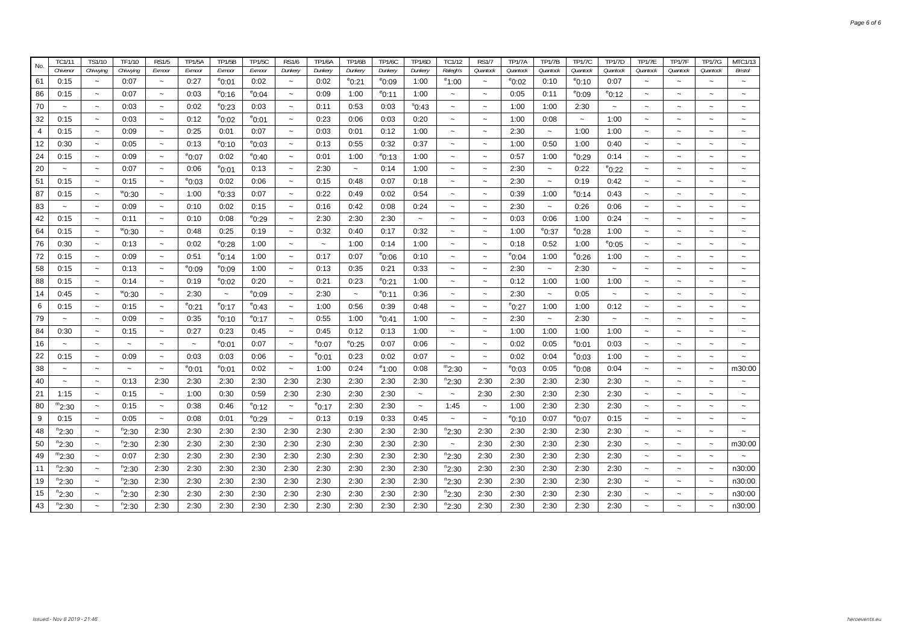| Chivenor<br>Chivying<br>Exmoor<br>Dunkery<br>Dunkery<br>Dunkery<br>Dunkery<br>Ralegh's<br>Quantock<br>Quantock<br>Quantock<br>Quantock<br>Quantock<br>Quantock<br>Quantock<br>Chivvying<br>Exmoor<br>Exmoor<br>Exmoor<br>Dunkery<br>61<br>0:15<br>0:07<br>0:27<br>$^{\circ}$ 0:01<br>0:02<br>0:02<br>1:00<br>$^{\circ}1:00$<br>0:10<br>0:07<br>°0:21<br>$^{\circ}$ 0:09<br>$^{\circ}$ 0:02<br>°0:10<br>$\thicksim$<br>$\tilde{}$<br>$\thicksim$<br>$\thicksim$<br>$\sim$<br>$\tilde{\phantom{a}}$<br>86<br>0:15<br>0:07<br>0:03<br>0:09<br>1:00<br>1:00<br>0:05<br>0:11<br>$^{\circ}$ 0:16<br>$^{\rm e}$ 0:04<br>$^{\circ}$ 0:11<br>$e_{0:09}$<br>$^{\circ}$ 0:12<br>$\widetilde{\phantom{m}}$<br>$\widetilde{\phantom{m}}$<br>$\tilde{\phantom{a}}$<br>$\tilde{}$<br>$\tilde{}$<br>$\tilde{}$<br>$\tilde{}$<br>70<br>0:03<br>0:53<br>1:00<br>2:30<br>0:03<br>0:02<br>$^{\circ}$ 0:23<br>0:11<br>0:03<br>\$0:43<br>1:00<br>$\tilde{\phantom{a}}$<br>$\tilde{\phantom{a}}$<br>$\sim$<br>$\widetilde{\phantom{m}}$<br>$\widetilde{\phantom{m}}$<br>$\widetilde{\phantom{m}}$<br>$\tilde{\phantom{a}}$<br>$\sim$<br>$\sim$<br>32<br>0:12<br>$^{\circ}$ 0:02<br>$^{\circ}$ 0:01<br>0:23<br>0:06<br>0:20<br>1:00<br>0:08<br>1:00<br>0:15<br>0:03<br>0:03<br>$\tilde{}$<br>$\tilde{}$<br>$\widetilde{\phantom{m}}$<br>$\tilde{}$<br>$\tilde{\phantom{a}}$<br>$\ddot{\phantom{1}}$<br>$\tilde{}$<br>$\tilde{\phantom{a}}$<br>1:00<br>4<br>0:15<br>0:09<br>0:25<br>0:01<br>0:07<br>0:03<br>0:01<br>0:12<br>1:00<br>2:30<br>1:00<br>$\widetilde{\phantom{m}}$<br>$\sim$<br>$\tilde{\phantom{a}}$<br>$\widetilde{\phantom{m}}$<br>$\tilde{}$<br>$\tilde{}$<br>$\tilde{\phantom{a}}$<br>12<br>$^{\circ}$ 0:10<br>$^{\circ}$ 0:03<br>0:37<br>0:40<br>0:30<br>0:05<br>0:13<br>0:13<br>0:55<br>0:32<br>1:00<br>0:50<br>1:00<br>$\tilde{}$<br>$\widetilde{\phantom{m}}$<br>$\tilde{}$<br>$\tilde{\phantom{a}}$<br>$\sim$<br>$\sim$<br>$\tilde{\phantom{a}}$<br>24<br>0:15<br>0:09<br>$^{\rm e}$ 0:07<br>0:02<br>°0:40<br>0:01<br>1:00<br>$^{\circ}$ 0:13<br>1:00<br>0:57<br>°0:29<br>0:14<br>1:00<br>$\widetilde{\phantom{m}}$<br>$\tilde{\phantom{a}}$<br>$\tilde{}$<br>$\tilde{}$<br>$\tilde{}$<br>$\tilde{}$<br>20<br>$^{\circ}$ 0:01<br>0:07<br>0:13<br>2:30<br>0:14<br>1:00<br>2:30<br>0:22<br>$^{\circ}$ 0:22<br>0:06<br>$\tilde{}$<br>$\thicksim$<br>$\tilde{}$<br>$\tilde{}$<br>$\tilde{\phantom{a}}$<br>$\tilde{\phantom{a}}$<br>$\tilde{\phantom{a}}$<br>$\tilde{}$<br>$\tilde{\phantom{a}}$<br>$\tilde{}$<br>51<br>$^{\circ}$ 0:03<br>0:02<br>0:15<br>0:15<br>0:06<br>0:15<br>0:48<br>0:07<br>0:18<br>2:30<br>0:19<br>0:42<br>$\widetilde{\phantom{m}}$<br>$\widetilde{\phantom{m}}$<br>$\widetilde{\phantom{m}}$<br>$\tilde{}$<br>$\tilde{}$<br>$\tilde{}$<br>$\tilde{}$<br>$\tilde{}$<br>87<br>0:22<br>0:15<br>$^{\rm w}$ 0:30<br>1:00<br>$^{\circ}$ 0:33<br>0:07<br>0:49<br>0:02<br>0:54<br>0:39<br>1:00<br><sup>e</sup> 0:14<br>0:43<br>$\tilde{\phantom{a}}$<br>$\tilde{}$<br>$\tilde{\phantom{a}}$<br>$\widetilde{\phantom{m}}$<br>$\widetilde{\phantom{m}}$<br>$\widetilde{\phantom{m}}$<br>$\widetilde{\phantom{m}}$<br>83<br>0:09<br>0:02<br>0:16<br>0:42<br>0:08<br>0:24<br>2:30<br>0:26<br>0:06<br>0:10<br>0:15<br>$\widetilde{\phantom{m}}$<br>$\tilde{\phantom{a}}$<br>$\tilde{}$<br>$\tilde{}$<br>$\widetilde{\phantom{m}}$<br>$\tilde{}$<br>$\tilde{\phantom{a}}$<br>$\tilde{}$<br>42<br>0:08<br>2:30<br>2:30<br>2:30<br>0:03<br>0:06<br>1:00<br>0:24<br>0:15<br>0:11<br>0:10<br>$^{\circ}$ 0:29<br>$\tilde{\phantom{a}}$<br>$\widetilde{\phantom{m}}$<br>$\widetilde{\phantom{m}}$<br>$\tilde{}$<br>$\widetilde{\phantom{m}}$<br>$\tilde{\phantom{a}}$<br>$\widetilde{\phantom{m}}$<br>$\tilde{\phantom{a}}$<br>0:25<br>64<br>0:15<br>0:48<br>0:19<br>0:32<br>0:17<br>0:32<br>1:00<br>$^{\circ}$ 0:37<br>1:00<br>°0:30<br>0:40<br>°0:28<br>$\widetilde{\phantom{m}}$<br>$\tilde{}$<br>$\widetilde{\phantom{m}}$<br>$\widetilde{\phantom{m}}$<br>$\tilde{}$<br>$\widetilde{\phantom{m}}$<br>$\tilde{}$<br>0:52<br>76<br>0:30<br>0:13<br>0:02<br>$^{\rm e}$ 0:28<br>1:00<br>1:00<br>0:14<br>1:00<br>0:18<br>1:00<br>$^{\circ}$ 0:05<br>$\sim$<br>$\widetilde{\phantom{m}}$<br>$\widetilde{\phantom{m}}$<br>$\tilde{}$<br>$\thicksim$<br>$\tilde{}$<br>$\widetilde{\phantom{m}}$<br>$\sim$<br>72<br>$^{\circ}$ 0:14<br>0:17<br>0:07<br>0:15<br>0:09<br>0:51<br>1:00<br>$^{\circ}$ 0:06<br>0:10<br>$^{\circ}$ 0:04<br>1:00<br>°0:26<br>1:00<br>$\thicksim$<br>$\tilde{}$<br>$\widetilde{\phantom{m}}$<br>$\widetilde{\phantom{m}}$<br>$\widetilde{\phantom{m}}$<br>$\tilde{}$<br>$\tilde{\phantom{a}}$<br>58<br>0:15<br>0:13<br>1:00<br>0:13<br>0:35<br>0:21<br>0:33<br>2:30<br>2:30<br>$^{\rm e}$ 0:09<br>$^{\rm e}$ 0:09<br>$\widetilde{\phantom{m}}$<br>$\tilde{\phantom{a}}$<br>$\tilde{\phantom{a}}$<br>$\tilde{\phantom{a}}$<br>$\tilde{\phantom{a}}$<br>$\sim$<br>$\tilde{\phantom{a}}$<br>$\widetilde{\phantom{m}}$<br>$\sim$<br>88<br>0:15<br>0:14<br>0:19<br>0:20<br>0:21<br>0:23<br>1:00<br>0:12<br>1:00<br>1:00<br>1:00<br>$^{\circ}$ 0:02<br>$^{\circ}$ 0:21<br>$\tilde{}$<br>$\widetilde{\phantom{m}}$<br>$\widetilde{\phantom{m}}$<br>$\widetilde{\phantom{m}}$<br>$\tilde{\phantom{a}}$<br>$\tilde{\phantom{a}}$<br>$\tilde{}$<br>2:30<br>2:30<br>2:30<br>0:05<br>14<br>0:45<br>$^{\rm w}$ 0:30<br>$\sim$<br>$^{\circ}0:09$<br>$^{\circ}$ 0:11<br>0:36<br>$\sim$<br>$\tilde{\phantom{a}}$<br>$\tilde{\phantom{a}}$<br>$\tilde{\phantom{a}}$<br>$\sim$<br>$\tilde{}$<br>$\thicksim$<br>$\widetilde{\phantom{m}}$<br>$\widetilde{\phantom{m}}$<br>$\thicksim$<br>6<br>0:15<br>0:15<br>1:00<br>0:56<br>0:39<br>0:48<br>$^{\circ}$ 0:27<br>1:00<br>1:00<br>0:12<br>°0:21<br>$^{\circ}$ 0:17<br>$^{\circ}$ 0:43<br>$\tilde{\phantom{a}}$<br>$\widetilde{\phantom{m}}$<br>$\tilde{}$<br>$\widetilde{\phantom{m}}$<br>$\sim$<br>$\tilde{}$<br>$\tilde{\phantom{a}}$<br>79<br>0:09<br>0:55<br>1:00<br>2:30<br>2:30<br>0:35<br>$^{\circ}$ 0:41<br>1:00<br>$^{\circ}$ 0:10<br>$^{\circ}$ 0:17<br>$\sim$<br>$\sim$<br>$\tilde{\phantom{a}}$<br>$\tilde{\phantom{a}}$<br>$\sim$<br>$\sim$<br>$\widetilde{\phantom{m}}$<br>$\tilde{\phantom{a}}$<br>$\widetilde{\phantom{m}}$<br>84<br>0:30<br>0:15<br>0:27<br>0:23<br>0:45<br>0:12<br>1:00<br>1:00<br>1:00<br>1:00<br>1:00<br>0:45<br>0:13<br>$\tilde{\phantom{a}}$<br>$\tilde{}$<br>$\widetilde{\phantom{m}}$<br>$\sim$<br>$\tilde{\phantom{a}}$<br>$\widetilde{\phantom{m}}$<br>$\tilde{\phantom{a}}$<br>16<br>$^{\circ}$ 0:01<br>$^{\circ}$ 0:07<br>$^{\circ}$ 0:25<br>0:07<br>0:07<br>0:06<br>0:02<br>0:05<br>$^{\rm e}$ 0:01<br>0:03<br>$\tilde{\phantom{a}}$<br>$\tilde{\phantom{a}}$<br>$\widetilde{\phantom{m}}$<br>$\tilde{\phantom{a}}$<br>$\tilde{}$<br>$\tilde{}$<br>$\tilde{}$<br>$\tilde{}$<br>22<br>0:03<br>$^{\circ}$ 0:01<br>0:02<br>$^{\circ}$ 0:03<br>0:15<br>0:09<br>0:03<br>0:06<br>0:23<br>0:02<br>0:07<br>0:04<br>1:00<br>$\thicksim$<br>$\tilde{}$<br>$\tilde{}$<br>$\widetilde{\phantom{m}}$<br>$\tilde{}$<br>$\tilde{}$<br>$\tilde{}$<br>38<br>$m_{2:30}$<br>$^{\circ}$ 0:01<br>$^{\circ}$ 0:01<br>0:24<br>$^{\circ}1:00$<br>$^{\circ}$ 0:03<br>$^{\circ}$ 0:08<br>0:02<br>1:00<br>0:08<br>0:05<br>0:04<br>$\widetilde{\phantom{m}}$<br>$\tilde{}$<br>$\tilde{}$<br>$\tilde{\phantom{a}}$<br>$\tilde{}$<br>$\tilde{\phantom{a}}$<br>$\tilde{}$ | Quantock<br><b>Bristol</b><br>$\tilde{}$<br>$\sim$<br>$\tilde{}$<br>$\thicksim$ |
|--------------------------------------------------------------------------------------------------------------------------------------------------------------------------------------------------------------------------------------------------------------------------------------------------------------------------------------------------------------------------------------------------------------------------------------------------------------------------------------------------------------------------------------------------------------------------------------------------------------------------------------------------------------------------------------------------------------------------------------------------------------------------------------------------------------------------------------------------------------------------------------------------------------------------------------------------------------------------------------------------------------------------------------------------------------------------------------------------------------------------------------------------------------------------------------------------------------------------------------------------------------------------------------------------------------------------------------------------------------------------------------------------------------------------------------------------------------------------------------------------------------------------------------------------------------------------------------------------------------------------------------------------------------------------------------------------------------------------------------------------------------------------------------------------------------------------------------------------------------------------------------------------------------------------------------------------------------------------------------------------------------------------------------------------------------------------------------------------------------------------------------------------------------------------------------------------------------------------------------------------------------------------------------------------------------------------------------------------------------------------------------------------------------------------------------------------------------------------------------------------------------------------------------------------------------------------------------------------------------------------------------------------------------------------------------------------------------------------------------------------------------------------------------------------------------------------------------------------------------------------------------------------------------------------------------------------------------------------------------------------------------------------------------------------------------------------------------------------------------------------------------------------------------------------------------------------------------------------------------------------------------------------------------------------------------------------------------------------------------------------------------------------------------------------------------------------------------------------------------------------------------------------------------------------------------------------------------------------------------------------------------------------------------------------------------------------------------------------------------------------------------------------------------------------------------------------------------------------------------------------------------------------------------------------------------------------------------------------------------------------------------------------------------------------------------------------------------------------------------------------------------------------------------------------------------------------------------------------------------------------------------------------------------------------------------------------------------------------------------------------------------------------------------------------------------------------------------------------------------------------------------------------------------------------------------------------------------------------------------------------------------------------------------------------------------------------------------------------------------------------------------------------------------------------------------------------------------------------------------------------------------------------------------------------------------------------------------------------------------------------------------------------------------------------------------------------------------------------------------------------------------------------------------------------------------------------------------------------------------------------------------------------------------------------------------------------------------------------------------------------------------------------------------------------------------------------------------------------------------------------------------------------------------------------------------------------------------------------------------------------------------------------------------------------------------------------------------------------------------------------------------------------------------------------------------------------------------------------------------------------------------------------------------------------------------------------------------------------------------------------------------------------------------------------------------------------------------------------------------------------------------------------------------------------------------------------------------------------------------------------------------------------------------------------------------------------------------------------------------------------------------------------------------------------------------------------------------------------------------------------------------------------------------------------------------------------------------------------------------------------------------------------------------------------------------------------------------------------------------------------------------------------------------------------------------------------------------------------------------------------------------------------------------------------------------------------------------------------------------------------------------------------------------------------------------------------------------------------------------------------------------------------------------------------------------------------------------------------------------------------------------------------------------------------------------------------------------|---------------------------------------------------------------------------------|
|                                                                                                                                                                                                                                                                                                                                                                                                                                                                                                                                                                                                                                                                                                                                                                                                                                                                                                                                                                                                                                                                                                                                                                                                                                                                                                                                                                                                                                                                                                                                                                                                                                                                                                                                                                                                                                                                                                                                                                                                                                                                                                                                                                                                                                                                                                                                                                                                                                                                                                                                                                                                                                                                                                                                                                                                                                                                                                                                                                                                                                                                                                                                                                                                                                                                                                                                                                                                                                                                                                                                                                                                                                                                                                                                                                                                                                                                                                                                                                                                                                                                                                                                                                                                                                                                                                                                                                                                                                                                                                                                                                                                                                                                                                                                                                                                                                                                                                                                                                                                                                                                                                                                                                                                                                                                                                                                                                                                                                                                                                                                                                                                                                                                                                                                                                                                                                                                                                                                                                                                                                                                                                                                                                                                                                                                                                                                                                                                                                                                                                                                                                                                                                                                                                                                                                                                                                                                                                                                                                                                                                                                                                                                                                                                                                                                                                                                      |                                                                                 |
|                                                                                                                                                                                                                                                                                                                                                                                                                                                                                                                                                                                                                                                                                                                                                                                                                                                                                                                                                                                                                                                                                                                                                                                                                                                                                                                                                                                                                                                                                                                                                                                                                                                                                                                                                                                                                                                                                                                                                                                                                                                                                                                                                                                                                                                                                                                                                                                                                                                                                                                                                                                                                                                                                                                                                                                                                                                                                                                                                                                                                                                                                                                                                                                                                                                                                                                                                                                                                                                                                                                                                                                                                                                                                                                                                                                                                                                                                                                                                                                                                                                                                                                                                                                                                                                                                                                                                                                                                                                                                                                                                                                                                                                                                                                                                                                                                                                                                                                                                                                                                                                                                                                                                                                                                                                                                                                                                                                                                                                                                                                                                                                                                                                                                                                                                                                                                                                                                                                                                                                                                                                                                                                                                                                                                                                                                                                                                                                                                                                                                                                                                                                                                                                                                                                                                                                                                                                                                                                                                                                                                                                                                                                                                                                                                                                                                                                                      |                                                                                 |
|                                                                                                                                                                                                                                                                                                                                                                                                                                                                                                                                                                                                                                                                                                                                                                                                                                                                                                                                                                                                                                                                                                                                                                                                                                                                                                                                                                                                                                                                                                                                                                                                                                                                                                                                                                                                                                                                                                                                                                                                                                                                                                                                                                                                                                                                                                                                                                                                                                                                                                                                                                                                                                                                                                                                                                                                                                                                                                                                                                                                                                                                                                                                                                                                                                                                                                                                                                                                                                                                                                                                                                                                                                                                                                                                                                                                                                                                                                                                                                                                                                                                                                                                                                                                                                                                                                                                                                                                                                                                                                                                                                                                                                                                                                                                                                                                                                                                                                                                                                                                                                                                                                                                                                                                                                                                                                                                                                                                                                                                                                                                                                                                                                                                                                                                                                                                                                                                                                                                                                                                                                                                                                                                                                                                                                                                                                                                                                                                                                                                                                                                                                                                                                                                                                                                                                                                                                                                                                                                                                                                                                                                                                                                                                                                                                                                                                                                      |                                                                                 |
|                                                                                                                                                                                                                                                                                                                                                                                                                                                                                                                                                                                                                                                                                                                                                                                                                                                                                                                                                                                                                                                                                                                                                                                                                                                                                                                                                                                                                                                                                                                                                                                                                                                                                                                                                                                                                                                                                                                                                                                                                                                                                                                                                                                                                                                                                                                                                                                                                                                                                                                                                                                                                                                                                                                                                                                                                                                                                                                                                                                                                                                                                                                                                                                                                                                                                                                                                                                                                                                                                                                                                                                                                                                                                                                                                                                                                                                                                                                                                                                                                                                                                                                                                                                                                                                                                                                                                                                                                                                                                                                                                                                                                                                                                                                                                                                                                                                                                                                                                                                                                                                                                                                                                                                                                                                                                                                                                                                                                                                                                                                                                                                                                                                                                                                                                                                                                                                                                                                                                                                                                                                                                                                                                                                                                                                                                                                                                                                                                                                                                                                                                                                                                                                                                                                                                                                                                                                                                                                                                                                                                                                                                                                                                                                                                                                                                                                                      |                                                                                 |
|                                                                                                                                                                                                                                                                                                                                                                                                                                                                                                                                                                                                                                                                                                                                                                                                                                                                                                                                                                                                                                                                                                                                                                                                                                                                                                                                                                                                                                                                                                                                                                                                                                                                                                                                                                                                                                                                                                                                                                                                                                                                                                                                                                                                                                                                                                                                                                                                                                                                                                                                                                                                                                                                                                                                                                                                                                                                                                                                                                                                                                                                                                                                                                                                                                                                                                                                                                                                                                                                                                                                                                                                                                                                                                                                                                                                                                                                                                                                                                                                                                                                                                                                                                                                                                                                                                                                                                                                                                                                                                                                                                                                                                                                                                                                                                                                                                                                                                                                                                                                                                                                                                                                                                                                                                                                                                                                                                                                                                                                                                                                                                                                                                                                                                                                                                                                                                                                                                                                                                                                                                                                                                                                                                                                                                                                                                                                                                                                                                                                                                                                                                                                                                                                                                                                                                                                                                                                                                                                                                                                                                                                                                                                                                                                                                                                                                                                      |                                                                                 |
|                                                                                                                                                                                                                                                                                                                                                                                                                                                                                                                                                                                                                                                                                                                                                                                                                                                                                                                                                                                                                                                                                                                                                                                                                                                                                                                                                                                                                                                                                                                                                                                                                                                                                                                                                                                                                                                                                                                                                                                                                                                                                                                                                                                                                                                                                                                                                                                                                                                                                                                                                                                                                                                                                                                                                                                                                                                                                                                                                                                                                                                                                                                                                                                                                                                                                                                                                                                                                                                                                                                                                                                                                                                                                                                                                                                                                                                                                                                                                                                                                                                                                                                                                                                                                                                                                                                                                                                                                                                                                                                                                                                                                                                                                                                                                                                                                                                                                                                                                                                                                                                                                                                                                                                                                                                                                                                                                                                                                                                                                                                                                                                                                                                                                                                                                                                                                                                                                                                                                                                                                                                                                                                                                                                                                                                                                                                                                                                                                                                                                                                                                                                                                                                                                                                                                                                                                                                                                                                                                                                                                                                                                                                                                                                                                                                                                                                                      |                                                                                 |
|                                                                                                                                                                                                                                                                                                                                                                                                                                                                                                                                                                                                                                                                                                                                                                                                                                                                                                                                                                                                                                                                                                                                                                                                                                                                                                                                                                                                                                                                                                                                                                                                                                                                                                                                                                                                                                                                                                                                                                                                                                                                                                                                                                                                                                                                                                                                                                                                                                                                                                                                                                                                                                                                                                                                                                                                                                                                                                                                                                                                                                                                                                                                                                                                                                                                                                                                                                                                                                                                                                                                                                                                                                                                                                                                                                                                                                                                                                                                                                                                                                                                                                                                                                                                                                                                                                                                                                                                                                                                                                                                                                                                                                                                                                                                                                                                                                                                                                                                                                                                                                                                                                                                                                                                                                                                                                                                                                                                                                                                                                                                                                                                                                                                                                                                                                                                                                                                                                                                                                                                                                                                                                                                                                                                                                                                                                                                                                                                                                                                                                                                                                                                                                                                                                                                                                                                                                                                                                                                                                                                                                                                                                                                                                                                                                                                                                                                      |                                                                                 |
|                                                                                                                                                                                                                                                                                                                                                                                                                                                                                                                                                                                                                                                                                                                                                                                                                                                                                                                                                                                                                                                                                                                                                                                                                                                                                                                                                                                                                                                                                                                                                                                                                                                                                                                                                                                                                                                                                                                                                                                                                                                                                                                                                                                                                                                                                                                                                                                                                                                                                                                                                                                                                                                                                                                                                                                                                                                                                                                                                                                                                                                                                                                                                                                                                                                                                                                                                                                                                                                                                                                                                                                                                                                                                                                                                                                                                                                                                                                                                                                                                                                                                                                                                                                                                                                                                                                                                                                                                                                                                                                                                                                                                                                                                                                                                                                                                                                                                                                                                                                                                                                                                                                                                                                                                                                                                                                                                                                                                                                                                                                                                                                                                                                                                                                                                                                                                                                                                                                                                                                                                                                                                                                                                                                                                                                                                                                                                                                                                                                                                                                                                                                                                                                                                                                                                                                                                                                                                                                                                                                                                                                                                                                                                                                                                                                                                                                                      |                                                                                 |
|                                                                                                                                                                                                                                                                                                                                                                                                                                                                                                                                                                                                                                                                                                                                                                                                                                                                                                                                                                                                                                                                                                                                                                                                                                                                                                                                                                                                                                                                                                                                                                                                                                                                                                                                                                                                                                                                                                                                                                                                                                                                                                                                                                                                                                                                                                                                                                                                                                                                                                                                                                                                                                                                                                                                                                                                                                                                                                                                                                                                                                                                                                                                                                                                                                                                                                                                                                                                                                                                                                                                                                                                                                                                                                                                                                                                                                                                                                                                                                                                                                                                                                                                                                                                                                                                                                                                                                                                                                                                                                                                                                                                                                                                                                                                                                                                                                                                                                                                                                                                                                                                                                                                                                                                                                                                                                                                                                                                                                                                                                                                                                                                                                                                                                                                                                                                                                                                                                                                                                                                                                                                                                                                                                                                                                                                                                                                                                                                                                                                                                                                                                                                                                                                                                                                                                                                                                                                                                                                                                                                                                                                                                                                                                                                                                                                                                                                      |                                                                                 |
|                                                                                                                                                                                                                                                                                                                                                                                                                                                                                                                                                                                                                                                                                                                                                                                                                                                                                                                                                                                                                                                                                                                                                                                                                                                                                                                                                                                                                                                                                                                                                                                                                                                                                                                                                                                                                                                                                                                                                                                                                                                                                                                                                                                                                                                                                                                                                                                                                                                                                                                                                                                                                                                                                                                                                                                                                                                                                                                                                                                                                                                                                                                                                                                                                                                                                                                                                                                                                                                                                                                                                                                                                                                                                                                                                                                                                                                                                                                                                                                                                                                                                                                                                                                                                                                                                                                                                                                                                                                                                                                                                                                                                                                                                                                                                                                                                                                                                                                                                                                                                                                                                                                                                                                                                                                                                                                                                                                                                                                                                                                                                                                                                                                                                                                                                                                                                                                                                                                                                                                                                                                                                                                                                                                                                                                                                                                                                                                                                                                                                                                                                                                                                                                                                                                                                                                                                                                                                                                                                                                                                                                                                                                                                                                                                                                                                                                                      |                                                                                 |
|                                                                                                                                                                                                                                                                                                                                                                                                                                                                                                                                                                                                                                                                                                                                                                                                                                                                                                                                                                                                                                                                                                                                                                                                                                                                                                                                                                                                                                                                                                                                                                                                                                                                                                                                                                                                                                                                                                                                                                                                                                                                                                                                                                                                                                                                                                                                                                                                                                                                                                                                                                                                                                                                                                                                                                                                                                                                                                                                                                                                                                                                                                                                                                                                                                                                                                                                                                                                                                                                                                                                                                                                                                                                                                                                                                                                                                                                                                                                                                                                                                                                                                                                                                                                                                                                                                                                                                                                                                                                                                                                                                                                                                                                                                                                                                                                                                                                                                                                                                                                                                                                                                                                                                                                                                                                                                                                                                                                                                                                                                                                                                                                                                                                                                                                                                                                                                                                                                                                                                                                                                                                                                                                                                                                                                                                                                                                                                                                                                                                                                                                                                                                                                                                                                                                                                                                                                                                                                                                                                                                                                                                                                                                                                                                                                                                                                                                      |                                                                                 |
|                                                                                                                                                                                                                                                                                                                                                                                                                                                                                                                                                                                                                                                                                                                                                                                                                                                                                                                                                                                                                                                                                                                                                                                                                                                                                                                                                                                                                                                                                                                                                                                                                                                                                                                                                                                                                                                                                                                                                                                                                                                                                                                                                                                                                                                                                                                                                                                                                                                                                                                                                                                                                                                                                                                                                                                                                                                                                                                                                                                                                                                                                                                                                                                                                                                                                                                                                                                                                                                                                                                                                                                                                                                                                                                                                                                                                                                                                                                                                                                                                                                                                                                                                                                                                                                                                                                                                                                                                                                                                                                                                                                                                                                                                                                                                                                                                                                                                                                                                                                                                                                                                                                                                                                                                                                                                                                                                                                                                                                                                                                                                                                                                                                                                                                                                                                                                                                                                                                                                                                                                                                                                                                                                                                                                                                                                                                                                                                                                                                                                                                                                                                                                                                                                                                                                                                                                                                                                                                                                                                                                                                                                                                                                                                                                                                                                                                                      |                                                                                 |
|                                                                                                                                                                                                                                                                                                                                                                                                                                                                                                                                                                                                                                                                                                                                                                                                                                                                                                                                                                                                                                                                                                                                                                                                                                                                                                                                                                                                                                                                                                                                                                                                                                                                                                                                                                                                                                                                                                                                                                                                                                                                                                                                                                                                                                                                                                                                                                                                                                                                                                                                                                                                                                                                                                                                                                                                                                                                                                                                                                                                                                                                                                                                                                                                                                                                                                                                                                                                                                                                                                                                                                                                                                                                                                                                                                                                                                                                                                                                                                                                                                                                                                                                                                                                                                                                                                                                                                                                                                                                                                                                                                                                                                                                                                                                                                                                                                                                                                                                                                                                                                                                                                                                                                                                                                                                                                                                                                                                                                                                                                                                                                                                                                                                                                                                                                                                                                                                                                                                                                                                                                                                                                                                                                                                                                                                                                                                                                                                                                                                                                                                                                                                                                                                                                                                                                                                                                                                                                                                                                                                                                                                                                                                                                                                                                                                                                                                      |                                                                                 |
|                                                                                                                                                                                                                                                                                                                                                                                                                                                                                                                                                                                                                                                                                                                                                                                                                                                                                                                                                                                                                                                                                                                                                                                                                                                                                                                                                                                                                                                                                                                                                                                                                                                                                                                                                                                                                                                                                                                                                                                                                                                                                                                                                                                                                                                                                                                                                                                                                                                                                                                                                                                                                                                                                                                                                                                                                                                                                                                                                                                                                                                                                                                                                                                                                                                                                                                                                                                                                                                                                                                                                                                                                                                                                                                                                                                                                                                                                                                                                                                                                                                                                                                                                                                                                                                                                                                                                                                                                                                                                                                                                                                                                                                                                                                                                                                                                                                                                                                                                                                                                                                                                                                                                                                                                                                                                                                                                                                                                                                                                                                                                                                                                                                                                                                                                                                                                                                                                                                                                                                                                                                                                                                                                                                                                                                                                                                                                                                                                                                                                                                                                                                                                                                                                                                                                                                                                                                                                                                                                                                                                                                                                                                                                                                                                                                                                                                                      | $\tilde{}$<br>$\sim$                                                            |
|                                                                                                                                                                                                                                                                                                                                                                                                                                                                                                                                                                                                                                                                                                                                                                                                                                                                                                                                                                                                                                                                                                                                                                                                                                                                                                                                                                                                                                                                                                                                                                                                                                                                                                                                                                                                                                                                                                                                                                                                                                                                                                                                                                                                                                                                                                                                                                                                                                                                                                                                                                                                                                                                                                                                                                                                                                                                                                                                                                                                                                                                                                                                                                                                                                                                                                                                                                                                                                                                                                                                                                                                                                                                                                                                                                                                                                                                                                                                                                                                                                                                                                                                                                                                                                                                                                                                                                                                                                                                                                                                                                                                                                                                                                                                                                                                                                                                                                                                                                                                                                                                                                                                                                                                                                                                                                                                                                                                                                                                                                                                                                                                                                                                                                                                                                                                                                                                                                                                                                                                                                                                                                                                                                                                                                                                                                                                                                                                                                                                                                                                                                                                                                                                                                                                                                                                                                                                                                                                                                                                                                                                                                                                                                                                                                                                                                                                      | $\widetilde{\phantom{m}}$<br>$\tilde{\phantom{a}}$                              |
|                                                                                                                                                                                                                                                                                                                                                                                                                                                                                                                                                                                                                                                                                                                                                                                                                                                                                                                                                                                                                                                                                                                                                                                                                                                                                                                                                                                                                                                                                                                                                                                                                                                                                                                                                                                                                                                                                                                                                                                                                                                                                                                                                                                                                                                                                                                                                                                                                                                                                                                                                                                                                                                                                                                                                                                                                                                                                                                                                                                                                                                                                                                                                                                                                                                                                                                                                                                                                                                                                                                                                                                                                                                                                                                                                                                                                                                                                                                                                                                                                                                                                                                                                                                                                                                                                                                                                                                                                                                                                                                                                                                                                                                                                                                                                                                                                                                                                                                                                                                                                                                                                                                                                                                                                                                                                                                                                                                                                                                                                                                                                                                                                                                                                                                                                                                                                                                                                                                                                                                                                                                                                                                                                                                                                                                                                                                                                                                                                                                                                                                                                                                                                                                                                                                                                                                                                                                                                                                                                                                                                                                                                                                                                                                                                                                                                                                                      | $\tilde{}$<br>$\tilde{\phantom{a}}$                                             |
|                                                                                                                                                                                                                                                                                                                                                                                                                                                                                                                                                                                                                                                                                                                                                                                                                                                                                                                                                                                                                                                                                                                                                                                                                                                                                                                                                                                                                                                                                                                                                                                                                                                                                                                                                                                                                                                                                                                                                                                                                                                                                                                                                                                                                                                                                                                                                                                                                                                                                                                                                                                                                                                                                                                                                                                                                                                                                                                                                                                                                                                                                                                                                                                                                                                                                                                                                                                                                                                                                                                                                                                                                                                                                                                                                                                                                                                                                                                                                                                                                                                                                                                                                                                                                                                                                                                                                                                                                                                                                                                                                                                                                                                                                                                                                                                                                                                                                                                                                                                                                                                                                                                                                                                                                                                                                                                                                                                                                                                                                                                                                                                                                                                                                                                                                                                                                                                                                                                                                                                                                                                                                                                                                                                                                                                                                                                                                                                                                                                                                                                                                                                                                                                                                                                                                                                                                                                                                                                                                                                                                                                                                                                                                                                                                                                                                                                                      | $\tilde{}$                                                                      |
|                                                                                                                                                                                                                                                                                                                                                                                                                                                                                                                                                                                                                                                                                                                                                                                                                                                                                                                                                                                                                                                                                                                                                                                                                                                                                                                                                                                                                                                                                                                                                                                                                                                                                                                                                                                                                                                                                                                                                                                                                                                                                                                                                                                                                                                                                                                                                                                                                                                                                                                                                                                                                                                                                                                                                                                                                                                                                                                                                                                                                                                                                                                                                                                                                                                                                                                                                                                                                                                                                                                                                                                                                                                                                                                                                                                                                                                                                                                                                                                                                                                                                                                                                                                                                                                                                                                                                                                                                                                                                                                                                                                                                                                                                                                                                                                                                                                                                                                                                                                                                                                                                                                                                                                                                                                                                                                                                                                                                                                                                                                                                                                                                                                                                                                                                                                                                                                                                                                                                                                                                                                                                                                                                                                                                                                                                                                                                                                                                                                                                                                                                                                                                                                                                                                                                                                                                                                                                                                                                                                                                                                                                                                                                                                                                                                                                                                                      | $\tilde{}$                                                                      |
|                                                                                                                                                                                                                                                                                                                                                                                                                                                                                                                                                                                                                                                                                                                                                                                                                                                                                                                                                                                                                                                                                                                                                                                                                                                                                                                                                                                                                                                                                                                                                                                                                                                                                                                                                                                                                                                                                                                                                                                                                                                                                                                                                                                                                                                                                                                                                                                                                                                                                                                                                                                                                                                                                                                                                                                                                                                                                                                                                                                                                                                                                                                                                                                                                                                                                                                                                                                                                                                                                                                                                                                                                                                                                                                                                                                                                                                                                                                                                                                                                                                                                                                                                                                                                                                                                                                                                                                                                                                                                                                                                                                                                                                                                                                                                                                                                                                                                                                                                                                                                                                                                                                                                                                                                                                                                                                                                                                                                                                                                                                                                                                                                                                                                                                                                                                                                                                                                                                                                                                                                                                                                                                                                                                                                                                                                                                                                                                                                                                                                                                                                                                                                                                                                                                                                                                                                                                                                                                                                                                                                                                                                                                                                                                                                                                                                                                                      | $\tilde{\phantom{a}}$<br>$\sim$                                                 |
|                                                                                                                                                                                                                                                                                                                                                                                                                                                                                                                                                                                                                                                                                                                                                                                                                                                                                                                                                                                                                                                                                                                                                                                                                                                                                                                                                                                                                                                                                                                                                                                                                                                                                                                                                                                                                                                                                                                                                                                                                                                                                                                                                                                                                                                                                                                                                                                                                                                                                                                                                                                                                                                                                                                                                                                                                                                                                                                                                                                                                                                                                                                                                                                                                                                                                                                                                                                                                                                                                                                                                                                                                                                                                                                                                                                                                                                                                                                                                                                                                                                                                                                                                                                                                                                                                                                                                                                                                                                                                                                                                                                                                                                                                                                                                                                                                                                                                                                                                                                                                                                                                                                                                                                                                                                                                                                                                                                                                                                                                                                                                                                                                                                                                                                                                                                                                                                                                                                                                                                                                                                                                                                                                                                                                                                                                                                                                                                                                                                                                                                                                                                                                                                                                                                                                                                                                                                                                                                                                                                                                                                                                                                                                                                                                                                                                                                                      | $\tilde{}$                                                                      |
|                                                                                                                                                                                                                                                                                                                                                                                                                                                                                                                                                                                                                                                                                                                                                                                                                                                                                                                                                                                                                                                                                                                                                                                                                                                                                                                                                                                                                                                                                                                                                                                                                                                                                                                                                                                                                                                                                                                                                                                                                                                                                                                                                                                                                                                                                                                                                                                                                                                                                                                                                                                                                                                                                                                                                                                                                                                                                                                                                                                                                                                                                                                                                                                                                                                                                                                                                                                                                                                                                                                                                                                                                                                                                                                                                                                                                                                                                                                                                                                                                                                                                                                                                                                                                                                                                                                                                                                                                                                                                                                                                                                                                                                                                                                                                                                                                                                                                                                                                                                                                                                                                                                                                                                                                                                                                                                                                                                                                                                                                                                                                                                                                                                                                                                                                                                                                                                                                                                                                                                                                                                                                                                                                                                                                                                                                                                                                                                                                                                                                                                                                                                                                                                                                                                                                                                                                                                                                                                                                                                                                                                                                                                                                                                                                                                                                                                                      |                                                                                 |
|                                                                                                                                                                                                                                                                                                                                                                                                                                                                                                                                                                                                                                                                                                                                                                                                                                                                                                                                                                                                                                                                                                                                                                                                                                                                                                                                                                                                                                                                                                                                                                                                                                                                                                                                                                                                                                                                                                                                                                                                                                                                                                                                                                                                                                                                                                                                                                                                                                                                                                                                                                                                                                                                                                                                                                                                                                                                                                                                                                                                                                                                                                                                                                                                                                                                                                                                                                                                                                                                                                                                                                                                                                                                                                                                                                                                                                                                                                                                                                                                                                                                                                                                                                                                                                                                                                                                                                                                                                                                                                                                                                                                                                                                                                                                                                                                                                                                                                                                                                                                                                                                                                                                                                                                                                                                                                                                                                                                                                                                                                                                                                                                                                                                                                                                                                                                                                                                                                                                                                                                                                                                                                                                                                                                                                                                                                                                                                                                                                                                                                                                                                                                                                                                                                                                                                                                                                                                                                                                                                                                                                                                                                                                                                                                                                                                                                                                      |                                                                                 |
|                                                                                                                                                                                                                                                                                                                                                                                                                                                                                                                                                                                                                                                                                                                                                                                                                                                                                                                                                                                                                                                                                                                                                                                                                                                                                                                                                                                                                                                                                                                                                                                                                                                                                                                                                                                                                                                                                                                                                                                                                                                                                                                                                                                                                                                                                                                                                                                                                                                                                                                                                                                                                                                                                                                                                                                                                                                                                                                                                                                                                                                                                                                                                                                                                                                                                                                                                                                                                                                                                                                                                                                                                                                                                                                                                                                                                                                                                                                                                                                                                                                                                                                                                                                                                                                                                                                                                                                                                                                                                                                                                                                                                                                                                                                                                                                                                                                                                                                                                                                                                                                                                                                                                                                                                                                                                                                                                                                                                                                                                                                                                                                                                                                                                                                                                                                                                                                                                                                                                                                                                                                                                                                                                                                                                                                                                                                                                                                                                                                                                                                                                                                                                                                                                                                                                                                                                                                                                                                                                                                                                                                                                                                                                                                                                                                                                                                                      |                                                                                 |
|                                                                                                                                                                                                                                                                                                                                                                                                                                                                                                                                                                                                                                                                                                                                                                                                                                                                                                                                                                                                                                                                                                                                                                                                                                                                                                                                                                                                                                                                                                                                                                                                                                                                                                                                                                                                                                                                                                                                                                                                                                                                                                                                                                                                                                                                                                                                                                                                                                                                                                                                                                                                                                                                                                                                                                                                                                                                                                                                                                                                                                                                                                                                                                                                                                                                                                                                                                                                                                                                                                                                                                                                                                                                                                                                                                                                                                                                                                                                                                                                                                                                                                                                                                                                                                                                                                                                                                                                                                                                                                                                                                                                                                                                                                                                                                                                                                                                                                                                                                                                                                                                                                                                                                                                                                                                                                                                                                                                                                                                                                                                                                                                                                                                                                                                                                                                                                                                                                                                                                                                                                                                                                                                                                                                                                                                                                                                                                                                                                                                                                                                                                                                                                                                                                                                                                                                                                                                                                                                                                                                                                                                                                                                                                                                                                                                                                                                      |                                                                                 |
|                                                                                                                                                                                                                                                                                                                                                                                                                                                                                                                                                                                                                                                                                                                                                                                                                                                                                                                                                                                                                                                                                                                                                                                                                                                                                                                                                                                                                                                                                                                                                                                                                                                                                                                                                                                                                                                                                                                                                                                                                                                                                                                                                                                                                                                                                                                                                                                                                                                                                                                                                                                                                                                                                                                                                                                                                                                                                                                                                                                                                                                                                                                                                                                                                                                                                                                                                                                                                                                                                                                                                                                                                                                                                                                                                                                                                                                                                                                                                                                                                                                                                                                                                                                                                                                                                                                                                                                                                                                                                                                                                                                                                                                                                                                                                                                                                                                                                                                                                                                                                                                                                                                                                                                                                                                                                                                                                                                                                                                                                                                                                                                                                                                                                                                                                                                                                                                                                                                                                                                                                                                                                                                                                                                                                                                                                                                                                                                                                                                                                                                                                                                                                                                                                                                                                                                                                                                                                                                                                                                                                                                                                                                                                                                                                                                                                                                                      | m30:00                                                                          |
| 2:30<br>$n_{2:30}$<br>2:30<br>40<br>0:13<br>2:30<br>2:30<br>2:30<br>2:30<br>2:30<br>2:30<br>2:30<br>2:30<br>2:30<br>2:30<br>2:30<br>2:30<br>$\widetilde{\phantom{m}}$<br>$\tilde{}$<br>$\thicksim$<br>$\widetilde{\phantom{m}}$                                                                                                                                                                                                                                                                                                                                                                                                                                                                                                                                                                                                                                                                                                                                                                                                                                                                                                                                                                                                                                                                                                                                                                                                                                                                                                                                                                                                                                                                                                                                                                                                                                                                                                                                                                                                                                                                                                                                                                                                                                                                                                                                                                                                                                                                                                                                                                                                                                                                                                                                                                                                                                                                                                                                                                                                                                                                                                                                                                                                                                                                                                                                                                                                                                                                                                                                                                                                                                                                                                                                                                                                                                                                                                                                                                                                                                                                                                                                                                                                                                                                                                                                                                                                                                                                                                                                                                                                                                                                                                                                                                                                                                                                                                                                                                                                                                                                                                                                                                                                                                                                                                                                                                                                                                                                                                                                                                                                                                                                                                                                                                                                                                                                                                                                                                                                                                                                                                                                                                                                                                                                                                                                                                                                                                                                                                                                                                                                                                                                                                                                                                                                                                                                                                                                                                                                                                                                                                                                                                                                                                                                                                      | $\tilde{}$                                                                      |
| 21<br>0:15<br>1:00<br>0:30<br>0:59<br>2:30<br>2:30<br>2:30<br>2:30<br>2:30<br>2:30<br>2:30<br>2:30<br>2:30<br>1:15<br>$\tilde{}$<br>$\widetilde{\phantom{m}}$<br>$\tilde{\phantom{a}}$<br>$\tilde{}$<br>$\tilde{}$<br>$\tilde{\phantom{a}}$                                                                                                                                                                                                                                                                                                                                                                                                                                                                                                                                                                                                                                                                                                                                                                                                                                                                                                                                                                                                                                                                                                                                                                                                                                                                                                                                                                                                                                                                                                                                                                                                                                                                                                                                                                                                                                                                                                                                                                                                                                                                                                                                                                                                                                                                                                                                                                                                                                                                                                                                                                                                                                                                                                                                                                                                                                                                                                                                                                                                                                                                                                                                                                                                                                                                                                                                                                                                                                                                                                                                                                                                                                                                                                                                                                                                                                                                                                                                                                                                                                                                                                                                                                                                                                                                                                                                                                                                                                                                                                                                                                                                                                                                                                                                                                                                                                                                                                                                                                                                                                                                                                                                                                                                                                                                                                                                                                                                                                                                                                                                                                                                                                                                                                                                                                                                                                                                                                                                                                                                                                                                                                                                                                                                                                                                                                                                                                                                                                                                                                                                                                                                                                                                                                                                                                                                                                                                                                                                                                                                                                                                                          | $\widetilde{\phantom{m}}$<br>$\tilde{\phantom{a}}$                              |
| $m_{2:30}$<br>0:38<br>$^{\circ}$ 0:12<br>$^{\circ}$ 0:17<br>2:30<br>2:30<br>1:00<br>2:30<br>2:30<br>2:30<br>80<br>0:15<br>0:46<br>1:45<br>$\thicksim$<br>$\tilde{\phantom{a}}$<br>$\thicksim$<br>$\tilde{\phantom{a}}$<br>$\widetilde{\phantom{m}}$<br>$\tilde{\phantom{a}}$<br>$\tilde{\phantom{a}}$                                                                                                                                                                                                                                                                                                                                                                                                                                                                                                                                                                                                                                                                                                                                                                                                                                                                                                                                                                                                                                                                                                                                                                                                                                                                                                                                                                                                                                                                                                                                                                                                                                                                                                                                                                                                                                                                                                                                                                                                                                                                                                                                                                                                                                                                                                                                                                                                                                                                                                                                                                                                                                                                                                                                                                                                                                                                                                                                                                                                                                                                                                                                                                                                                                                                                                                                                                                                                                                                                                                                                                                                                                                                                                                                                                                                                                                                                                                                                                                                                                                                                                                                                                                                                                                                                                                                                                                                                                                                                                                                                                                                                                                                                                                                                                                                                                                                                                                                                                                                                                                                                                                                                                                                                                                                                                                                                                                                                                                                                                                                                                                                                                                                                                                                                                                                                                                                                                                                                                                                                                                                                                                                                                                                                                                                                                                                                                                                                                                                                                                                                                                                                                                                                                                                                                                                                                                                                                                                                                                                                                | $\widetilde{\phantom{m}}$<br>$\tilde{}$                                         |
| $\boldsymbol{9}$<br>$^{\circ}$ 0:29<br>0:45<br>$^{\circ}$ 0:10<br>0:07<br>$^{\circ}$ 0:07<br>0:15<br>0:05<br>0:08<br>0:01<br>0:13<br>0:19<br>0:33<br>0:15<br>$\thicksim$<br>$\tilde{\phantom{a}}$<br>$\tilde{}$<br>$\widetilde{\phantom{m}}$<br>$\widetilde{\phantom{m}}$<br>$\tilde{\phantom{a}}$<br>$\tilde{}$                                                                                                                                                                                                                                                                                                                                                                                                                                                                                                                                                                                                                                                                                                                                                                                                                                                                                                                                                                                                                                                                                                                                                                                                                                                                                                                                                                                                                                                                                                                                                                                                                                                                                                                                                                                                                                                                                                                                                                                                                                                                                                                                                                                                                                                                                                                                                                                                                                                                                                                                                                                                                                                                                                                                                                                                                                                                                                                                                                                                                                                                                                                                                                                                                                                                                                                                                                                                                                                                                                                                                                                                                                                                                                                                                                                                                                                                                                                                                                                                                                                                                                                                                                                                                                                                                                                                                                                                                                                                                                                                                                                                                                                                                                                                                                                                                                                                                                                                                                                                                                                                                                                                                                                                                                                                                                                                                                                                                                                                                                                                                                                                                                                                                                                                                                                                                                                                                                                                                                                                                                                                                                                                                                                                                                                                                                                                                                                                                                                                                                                                                                                                                                                                                                                                                                                                                                                                                                                                                                                                                     | $\widetilde{\phantom{m}}$<br>$\tilde{\phantom{a}}$                              |
| $n_{2:30}$<br>2:30<br>2:30<br>2:30<br>2:30<br>2:30<br>2:30<br>2:30<br>$n_{2:30}$<br>2:30<br>2:30<br>2:30<br>2:30<br>2:30<br>48<br>$n_{2:30}$<br>2:30<br>2:30<br>$\thicksim$<br>$\tilde{\phantom{a}}$<br>$\widetilde{\phantom{m}}$                                                                                                                                                                                                                                                                                                                                                                                                                                                                                                                                                                                                                                                                                                                                                                                                                                                                                                                                                                                                                                                                                                                                                                                                                                                                                                                                                                                                                                                                                                                                                                                                                                                                                                                                                                                                                                                                                                                                                                                                                                                                                                                                                                                                                                                                                                                                                                                                                                                                                                                                                                                                                                                                                                                                                                                                                                                                                                                                                                                                                                                                                                                                                                                                                                                                                                                                                                                                                                                                                                                                                                                                                                                                                                                                                                                                                                                                                                                                                                                                                                                                                                                                                                                                                                                                                                                                                                                                                                                                                                                                                                                                                                                                                                                                                                                                                                                                                                                                                                                                                                                                                                                                                                                                                                                                                                                                                                                                                                                                                                                                                                                                                                                                                                                                                                                                                                                                                                                                                                                                                                                                                                                                                                                                                                                                                                                                                                                                                                                                                                                                                                                                                                                                                                                                                                                                                                                                                                                                                                                                                                                                                                    | $\tilde{\phantom{a}}$                                                           |
| 50<br>$n_{2:30}$<br>$n_{2:30}$<br>2:30<br>2:30<br>2:30<br>2:30<br>2:30<br>2:30<br>2:30<br>2:30<br>2:30<br>2:30<br>2:30<br>2:30<br>2:30<br>2:30<br>$\widetilde{\phantom{m}}$<br>$\thicksim$<br>$\tilde{\phantom{a}}$<br>$\tilde{}$                                                                                                                                                                                                                                                                                                                                                                                                                                                                                                                                                                                                                                                                                                                                                                                                                                                                                                                                                                                                                                                                                                                                                                                                                                                                                                                                                                                                                                                                                                                                                                                                                                                                                                                                                                                                                                                                                                                                                                                                                                                                                                                                                                                                                                                                                                                                                                                                                                                                                                                                                                                                                                                                                                                                                                                                                                                                                                                                                                                                                                                                                                                                                                                                                                                                                                                                                                                                                                                                                                                                                                                                                                                                                                                                                                                                                                                                                                                                                                                                                                                                                                                                                                                                                                                                                                                                                                                                                                                                                                                                                                                                                                                                                                                                                                                                                                                                                                                                                                                                                                                                                                                                                                                                                                                                                                                                                                                                                                                                                                                                                                                                                                                                                                                                                                                                                                                                                                                                                                                                                                                                                                                                                                                                                                                                                                                                                                                                                                                                                                                                                                                                                                                                                                                                                                                                                                                                                                                                                                                                                                                                                                    | m30:00<br>$\tilde{\phantom{a}}$                                                 |
| $m_{2:30}$<br>$n_{2:30}$<br>49<br>0:07<br>2:30<br>2:30<br>2:30<br>2:30<br>2:30<br>2:30<br>2:30<br>2:30<br>2:30<br>2:30<br>2:30<br>2:30<br>2:30<br>2:30<br>$\sim$<br>$\sim$<br>$\sim$                                                                                                                                                                                                                                                                                                                                                                                                                                                                                                                                                                                                                                                                                                                                                                                                                                                                                                                                                                                                                                                                                                                                                                                                                                                                                                                                                                                                                                                                                                                                                                                                                                                                                                                                                                                                                                                                                                                                                                                                                                                                                                                                                                                                                                                                                                                                                                                                                                                                                                                                                                                                                                                                                                                                                                                                                                                                                                                                                                                                                                                                                                                                                                                                                                                                                                                                                                                                                                                                                                                                                                                                                                                                                                                                                                                                                                                                                                                                                                                                                                                                                                                                                                                                                                                                                                                                                                                                                                                                                                                                                                                                                                                                                                                                                                                                                                                                                                                                                                                                                                                                                                                                                                                                                                                                                                                                                                                                                                                                                                                                                                                                                                                                                                                                                                                                                                                                                                                                                                                                                                                                                                                                                                                                                                                                                                                                                                                                                                                                                                                                                                                                                                                                                                                                                                                                                                                                                                                                                                                                                                                                                                                                                 | $\sim$                                                                          |
| 11<br>$n_{2:30}$<br>$n_{2:30}$<br>$n_{2:30}$<br>2:30<br>2:30<br>2:30<br>2:30<br>2:30<br>2:30<br>2:30<br>2:30<br>2:30<br>2:30<br>2:30<br>2:30<br>2:30<br>2:30<br>$\widetilde{\phantom{m}}$<br>$\tilde{}$<br>$\tilde{}$                                                                                                                                                                                                                                                                                                                                                                                                                                                                                                                                                                                                                                                                                                                                                                                                                                                                                                                                                                                                                                                                                                                                                                                                                                                                                                                                                                                                                                                                                                                                                                                                                                                                                                                                                                                                                                                                                                                                                                                                                                                                                                                                                                                                                                                                                                                                                                                                                                                                                                                                                                                                                                                                                                                                                                                                                                                                                                                                                                                                                                                                                                                                                                                                                                                                                                                                                                                                                                                                                                                                                                                                                                                                                                                                                                                                                                                                                                                                                                                                                                                                                                                                                                                                                                                                                                                                                                                                                                                                                                                                                                                                                                                                                                                                                                                                                                                                                                                                                                                                                                                                                                                                                                                                                                                                                                                                                                                                                                                                                                                                                                                                                                                                                                                                                                                                                                                                                                                                                                                                                                                                                                                                                                                                                                                                                                                                                                                                                                                                                                                                                                                                                                                                                                                                                                                                                                                                                                                                                                                                                                                                                                                | n30:00<br>$\tilde{}$                                                            |
| 19<br>$n_{2:30}$<br>$n_{2:30}$<br>2:30<br>2:30<br>2:30<br>2:30<br>2:30<br>2:30<br>2:30<br>2:30<br>$n_{2:30}$<br>2:30<br>2:30<br>2:30<br>2:30<br>2:30<br>2:30<br>$\sim$<br>$\thicksim$<br>$\widetilde{\phantom{m}}$                                                                                                                                                                                                                                                                                                                                                                                                                                                                                                                                                                                                                                                                                                                                                                                                                                                                                                                                                                                                                                                                                                                                                                                                                                                                                                                                                                                                                                                                                                                                                                                                                                                                                                                                                                                                                                                                                                                                                                                                                                                                                                                                                                                                                                                                                                                                                                                                                                                                                                                                                                                                                                                                                                                                                                                                                                                                                                                                                                                                                                                                                                                                                                                                                                                                                                                                                                                                                                                                                                                                                                                                                                                                                                                                                                                                                                                                                                                                                                                                                                                                                                                                                                                                                                                                                                                                                                                                                                                                                                                                                                                                                                                                                                                                                                                                                                                                                                                                                                                                                                                                                                                                                                                                                                                                                                                                                                                                                                                                                                                                                                                                                                                                                                                                                                                                                                                                                                                                                                                                                                                                                                                                                                                                                                                                                                                                                                                                                                                                                                                                                                                                                                                                                                                                                                                                                                                                                                                                                                                                                                                                                                                   | n30:00                                                                          |
| 2:30<br>2:30<br>15<br>$n_{2:30}$<br>$n_{2:30}$<br>2:30<br>2:30<br>2:30<br>2:30<br>2:30<br>2:30<br>2:30<br>2:30<br>2:30<br>$n_{2:30}$<br>2:30<br>2:30<br>2:30<br>$\tilde{}$<br>$\tilde{\phantom{a}}$<br>$\tilde{\phantom{a}}$                                                                                                                                                                                                                                                                                                                                                                                                                                                                                                                                                                                                                                                                                                                                                                                                                                                                                                                                                                                                                                                                                                                                                                                                                                                                                                                                                                                                                                                                                                                                                                                                                                                                                                                                                                                                                                                                                                                                                                                                                                                                                                                                                                                                                                                                                                                                                                                                                                                                                                                                                                                                                                                                                                                                                                                                                                                                                                                                                                                                                                                                                                                                                                                                                                                                                                                                                                                                                                                                                                                                                                                                                                                                                                                                                                                                                                                                                                                                                                                                                                                                                                                                                                                                                                                                                                                                                                                                                                                                                                                                                                                                                                                                                                                                                                                                                                                                                                                                                                                                                                                                                                                                                                                                                                                                                                                                                                                                                                                                                                                                                                                                                                                                                                                                                                                                                                                                                                                                                                                                                                                                                                                                                                                                                                                                                                                                                                                                                                                                                                                                                                                                                                                                                                                                                                                                                                                                                                                                                                                                                                                                                                         | n30:00                                                                          |
| 2:30<br>43<br>2:30<br>2:30<br>2:30<br>2:30<br>2:30<br>2:30<br>2:30<br>2:30<br>2:30<br>2:30<br>2:30<br>2:30<br>2:30<br>$n_{2:30}$<br>$n_{2:30}$<br>$n_{2:30}$                                                                                                                                                                                                                                                                                                                                                                                                                                                                                                                                                                                                                                                                                                                                                                                                                                                                                                                                                                                                                                                                                                                                                                                                                                                                                                                                                                                                                                                                                                                                                                                                                                                                                                                                                                                                                                                                                                                                                                                                                                                                                                                                                                                                                                                                                                                                                                                                                                                                                                                                                                                                                                                                                                                                                                                                                                                                                                                                                                                                                                                                                                                                                                                                                                                                                                                                                                                                                                                                                                                                                                                                                                                                                                                                                                                                                                                                                                                                                                                                                                                                                                                                                                                                                                                                                                                                                                                                                                                                                                                                                                                                                                                                                                                                                                                                                                                                                                                                                                                                                                                                                                                                                                                                                                                                                                                                                                                                                                                                                                                                                                                                                                                                                                                                                                                                                                                                                                                                                                                                                                                                                                                                                                                                                                                                                                                                                                                                                                                                                                                                                                                                                                                                                                                                                                                                                                                                                                                                                                                                                                                                                                                                                                         |                                                                                 |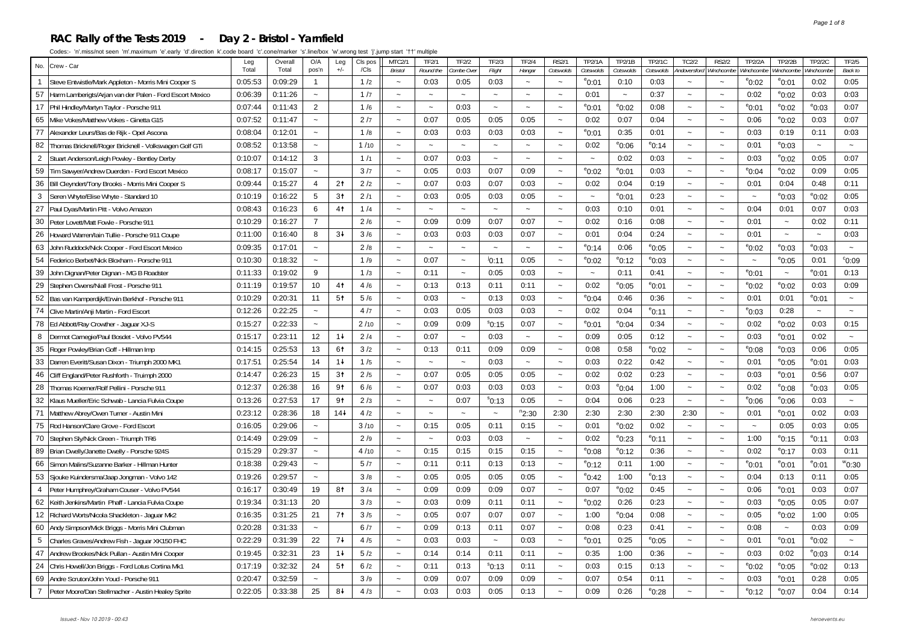#### **RAC Rally of the Tests 2019 - Day 2 - Bristol - Yarnfield**

| No.<br>Crew - Car                                            | Leg     | Overall | O/A                       | Leg            | Cls pos | MTC2/1                    | <b>TF2/1</b>          | <b>TF2/2</b>              | TF2/3                 | <b>TF2/4</b>          | <b>RS2/1</b>          | <b>TP2/1A</b>         | TP2/1B          | <b>TP2/1C</b>     | TC2/2                     | <b>RS2/2</b>             | TP2/2A                | <b>TP2/2B</b>         | TP2/2C                | TF2/5                  |
|--------------------------------------------------------------|---------|---------|---------------------------|----------------|---------|---------------------------|-----------------------|---------------------------|-----------------------|-----------------------|-----------------------|-----------------------|-----------------|-------------------|---------------------------|--------------------------|-----------------------|-----------------------|-----------------------|------------------------|
|                                                              | Total   | Total   | pos'n                     | $+/-$          | / C I s | Bristol                   | Round the             | Combe Over                | Flight                | Hangar                | Cotswolds             | Cotswolds             | Cotswolds       | Cotswolds         | Andoversford              | Winchcombe               | Winchcombe            | Ninchcombe            | Ninchcombe            | Back to                |
| 1 Steve Entwistle/Mark Appleton - Morris Mini Cooper S       | 0:05:53 | 0:09:29 | $\overline{1}$            |                | 1/2     | $\sim$                    | 0:03                  | 0:05                      | 0:03                  | $\sim$                | $\sim$                | $^{\circ}$ 0:01       | 0:10            | 0:03              | $\sim$                    | $\tilde{}$               | $^{\circ}$ 0:02       | $^{\circ}$ 0:01       | 0:02                  | 0:05                   |
| 57 Harm Lamberigts/Arjan van der Palen - Ford Escort Mexico  | 0:06:39 | 0:11:26 | $\sim$                    |                | 1/7     | $\sim$                    | $\sim$                | $\sim$                    | $\ddot{ }$            | $\sim$                | $\sim$                | 0:01                  | $\sim$          | 0:37              | $\sim$                    | $\sim$                   | 0:02                  | $^{\circ}$ 0:02       | 0:03                  | 0:03                   |
| 17 Phil Hindley/Martyn Taylor - Porsche 911                  | 0:07:44 | 0:11:43 | 2                         |                | 1/6     |                           | $\sim$                | 0:03                      | $\sim$                | $\sim$                | $\sim$                | $^{\rm e}$ 0:01       | $^{\circ}$ 0:02 | 0:08              | $\sim$                    |                          | $^{\circ}$ 0:01       | $^{\circ}$ 0:02       | $^{\circ}$ 0:03       | 0:07                   |
| 65<br>Mike Vokes/Matthew Vokes - Ginetta G15                 | 0:07:52 | 0:11:47 | $\sim$                    |                | 2/7     | $\sim$                    | 0:07                  | 0:05                      | 0:05                  | 0:05                  | $\sim$                | 0:02                  | 0:07            | 0:04              | $\sim$                    | $\sim$                   | 0:06                  | $^{\circ}$ 0:02       | 0:03                  | 0:07                   |
| 77 Alexander Leurs/Bas de Rijk - Opel Ascona                 | 0:08:04 | 0:12:01 | $\sim$                    |                | 1/8     | $\sim$                    | 0:03                  | 0:03                      | 0:03                  | 0:03                  | $\sim$                | $^{\circ}$ 0:01       | 0:35            | 0:01              | $\sim$                    | $\sim$                   | 0:03                  | 0:19                  | 0:11                  | 0:03                   |
| Thomas Bricknell/Roger Bricknell - Volkswagen Golf GTi<br>82 | 0:08:52 | 0:13:58 | $\tilde{\phantom{a}}$     |                | 1/10    | $\sim$                    |                       | $\sim$                    | $\sim$                | $\tilde{\phantom{a}}$ |                       | 0:02                  | $^{\circ}$ 0:06 | $^{\circ}$ 0:14   | $\tilde{\phantom{a}}$     | $\overline{\phantom{0}}$ | 0:01                  | $^{\circ}$ 0:03       | $\tilde{\phantom{a}}$ |                        |
| 2<br>Stuart Anderson/Leigh Powley - Bentley Derby            | 0:10:07 | 0:14:12 | 3                         |                | 1/1     | $\sim$                    | 0:07                  | 0:03                      | $\sim$                | $\sim$                | $\sim$                | $\sim$                | 0:02            | 0:03              | $\sim$                    | $\sim$                   | 0:03                  | $^{\circ}$ 0:02       | 0:05                  | 0:07                   |
| 59<br>Tim Sawyer/Andrew Duerden - Ford Escort Mexico         | 0:08:17 | 0:15:07 | $\tilde{\phantom{a}}$     |                | 3/7     | $\sim$                    | 0:05                  | 0:03                      | 0:07                  | 0:09                  | $\sim$                | $e_{0:02}$            | $^{\circ}$ 0:01 | 0:03              | $\sim$                    | $\sim$                   | $^{\circ}$ 0:04       | $^{\circ}$ 0:02       | 0:09                  | 0:05                   |
| 36<br>Bill Cleyndert/Tony Brooks - Morris Mini Cooper S      | 0:09:44 | 0:15:27 | $\overline{4}$            | 2 <sup>†</sup> | 2/2     | $\sim$                    | 0:07                  | 0:03                      | 0:07                  | 0:03                  | $\sim$                | 0:02                  | 0:04            | 0:19              | $\sim$                    | $\sim$                   | 0:01                  | 0:04                  | 0:48                  | 0:11                   |
| 3<br>Seren Whyte/Elise Whyte - Standard 10                   | 0:10:19 | 0:16:22 | 5                         | 3 <sup>†</sup> | 2/1     | $\widetilde{\phantom{m}}$ | 0:03                  | 0:05                      | 0:03                  | 0:05                  | $\sim$                | $\tilde{\phantom{a}}$ | $^{\circ}$ 0:01 | 0:23              | $\sim$                    | $\tilde{}$               | $\tilde{\phantom{a}}$ | $^{\circ}$ 0:03       | $^{\circ}$ 0:02       | 0:05                   |
| 27 Paul Dyas/Martin Pitt - Volvo Amazon                      | 0:08:43 | 0:16:23 | 6                         | 4 <sup>†</sup> | 1/4     | $\sim$                    | $\sim$                | $\sim$                    | $\sim$                | $\sim$                |                       | 0:03                  | 0:10            | 0:01              | $\sim$                    | $\sim$                   | 0:04                  | 0:01                  | 0:07                  | 0:03                   |
| 30<br>Peter Lovett/Matt Fowle - Porsche 911                  | 0:10:29 | 0:16:27 | $\overline{7}$            |                | 2/6     | $\sim$                    | 0:09                  | 0:09                      | 0:07                  | 0:07                  | $\sim$                | 0:02                  | 0:16            | 0:08              | $\sim$                    | $\ddot{\phantom{0}}$     | 0:01                  | $\tilde{\phantom{a}}$ | 0:02                  | 0:11                   |
| 26<br>Howard Warren/lain Tullie - Porsche 911 Coupe          | 0:11:00 | 0:16:40 | 8                         | $3+$           | 3/6     | $\sim$                    | 0:03                  | 0:03                      | 0:03                  | 0:07                  | $\sim$                | 0:01                  | 0:04            | 0:24              | $\sim$                    | $\sim$                   | 0:01                  | $\sim$                | $\sim$                | 0:03                   |
| 63<br>John Ruddock/Nick Cooper - Ford Escort Mexico          | 0:09:35 | 0:17:01 | $\sim$                    |                | 2/8     | $\sim$                    | $\tilde{\phantom{a}}$ | $\widetilde{\phantom{m}}$ | $\tilde{}$            | $\tilde{\phantom{a}}$ | $\sim$                | $^{\circ}$ 0:14       | 0:06            | $^{\rm e}$ 0:05   | $\sim$                    | $\tilde{}$               | $^{\circ}$ 0:02       | $^{\circ}$ 0:03       | $e_{0:03}$            | $\tilde{\phantom{a}}$  |
| 54<br>Federico Berbet/Nick Bloxham - Porsche 911             | 0:10:30 | 0:18:32 | $\sim$                    |                | 1/9     | $\sim$                    | 0:07                  | $\tilde{\phantom{a}}$     | 10:11                 | 0:05                  | $\sim$                | $^{\circ}$ 0:02       | $^{\circ}$ 0:12 | °0:03             | $\sim$                    | $\sim$                   | $\sim$                | $^{\circ}$ 0:05       | 0:01                  | $^{\circ}$ 0:09        |
| 39<br>John Dignan/Peter Dignan - MG B Roadster               | 0:11:33 | 0:19:02 | 9                         |                | 1/3     | $\sim$                    | 0:11                  | $\sim$                    | 0:05                  | 0:03                  | $\sim$                | $\thicksim$           | 0:11            | 0:41              | $\sim$                    | $\sim$                   | $^{\circ}$ 0:01       | $\tilde{\phantom{a}}$ | $^{\circ}$ 0:01       | 0:13                   |
| 29<br>Stephen Owens/Niall Frost - Porsche 911                | 0:11:19 | 0:19:57 | 10                        | 4 <sup>†</sup> | 4/6     | $\sim$                    | 0:13                  | 0:13                      | 0:11                  | 0:11                  | $\tilde{\phantom{a}}$ | 0:02                  | $^{\circ}$ 0:05 | $^{\circ}$ 0:01   | $\sim$                    | $\sim$                   | $^{\circ}$ 0:02       | $^{\circ}$ 0:02       | 0:03                  | 0:09                   |
| 52<br>Bas van Kamperdijk/Erwin Berkhof - Porsche 911         | 0:10:29 | 0:20:31 | 11                        | 5 <sup>†</sup> | 5/6     | $\tilde{\phantom{a}}$     | 0:03                  | $\tilde{\phantom{a}}$     | 0:13                  | 0:03                  | $\sim$                | $^{\circ}$ 0:04       | 0:46            | 0:36              | $\sim$                    | $\ddot{\phantom{0}}$     | 0:01                  | 0:01                  | $^{\circ}$ 0:01       | $\sim$                 |
| 74 Clive Martin/Anji Martin - Ford Escort                    | 0:12:26 | 0:22:25 | $\tilde{\phantom{a}}$     |                | 4/7     | $\tilde{\phantom{a}}$     | 0:03                  | 0:05                      | 0:03                  | 0:03                  | $\tilde{}$            | 0:02                  | 0:04            | <sup>e</sup> 0:11 | $\tilde{\phantom{a}}$     | $\tilde{}$               | $^{\circ}$ 0:03       | 0:28                  | $\tilde{\phantom{a}}$ | $\sim$                 |
| 78 Ed Abbott/Ray Crowther - Jaguar XJ-S                      | 0:15:27 | 0:22:33 | $\sim$                    |                | 2/10    | $\sim$                    | 0:09                  | 0:09                      | $^{\circ}$ 0:15       | 0:07                  | $\sim$                | $^{\rm e}$ 0:01       | $^{\rm e}$ 0:04 | 0:34              | $\sim$                    | $\sim$                   | 0:02                  | $^{\circ}$ 0:02       | 0:03                  | 0:15                   |
| Dermot Carnegie/Paul Bosdet - Volvo PV544<br>8               | 0:15:17 | 0:23:11 | 12                        | $1+$           | 2/4     | $\sim$                    | 0:07                  | $\tilde{\phantom{a}}$     | 0:03                  | $\tilde{\phantom{a}}$ | $\sim$                | 0:09                  | 0:05            | 0:12              | $\sim$                    | $\ddot{\phantom{0}}$     | 0:03                  | $^{\circ}$ 0:01       | 0:02                  | $\tilde{\phantom{a}}$  |
| 35 Roger Powley/Brian Goff - Hillman Imp                     | 0:14:15 | 0:25:53 | 13                        | 61             | 3/2     | $\sim$                    | 0:13                  | 0:11                      | 0:09                  | 0:09                  | $\sim$                | 0:08                  | 0:58            | $^{\rm e}$ 0:02   | $\tilde{\phantom{a}}$     | $\sim$                   | $^{\circ}$ 0:08       | $^{\circ}$ 0:03       | 0:06                  | 0:05                   |
| 33   Darren Everitt/Susan Dixon - Triumph 2000 MK1           | 0:17:51 | 0:25:54 | 14                        | $1+$           | 1/5     | $\widetilde{\phantom{m}}$ | $\ddot{\phantom{0}}$  | $\sim$                    | 0:03                  | $\sim$                | $\tilde{}$            | 0:03                  | 0:22            | 0:42              | $\widetilde{\phantom{m}}$ | $\tilde{}$               | 0:01                  | $^{\circ}$ 0:05       | $^{\rm e}$ 0:01       | 0:03                   |
| Cliff England/Peter Rushforth - Truimph 2000<br>46           | 0:14:47 | 0:26:23 | 15                        | 3 <sup>†</sup> | 2/5     | $\sim$                    | 0:07                  | 0:05                      | 0:05                  | 0:05                  | $\sim$                | 0:02                  | 0:02            | 0:23              | $\sim$                    | $\sim$                   | 0:03                  | $^{\circ}$ 0:01       | 0:56                  | 0:07                   |
| 28<br>Thomas Koerner/Rolf Pellini - Porsche 911              | 0:12:37 | 0:26:38 | 16                        | 9 <sub>1</sub> | 6/6     | $\sim$                    | 0:07                  | 0:03                      | 0:03                  | 0:03                  | $\sim$                | 0:03                  | $^{\circ}$ 0:04 | 1:00              | $\sim$                    | $\sim$                   | 0:02                  | $^{\circ}$ 0:08       | $e_{0:03}$            | 0:05                   |
| 32<br>Klaus Mueller/Eric Schwab - Lancia Fulvia Coupe        | 0:13:26 | 0:27:53 | 17                        | 9 <sub>1</sub> | 2/3     | $\sim$                    | $\sim$                | 0:07                      | $^{\circ}$ 0:13       | 0:05                  | $\sim$                | 0:04                  | 0:06            | 0:23              | $\sim$                    | $\sim$                   | $^{\circ}$ 0:06       | $^{\circ}$ 0:06       | 0:03                  | $\sim$                 |
| 71 Matthew Abrey/Owen Turner - Austin Mini                   | 0:23:12 | 0:28:36 | 18                        | $14+$          | 4/2     | $\sim$                    | $\tilde{\phantom{a}}$ | $\tilde{\phantom{a}}$     | $\tilde{\phantom{a}}$ | $n_{2:30}$            | 2:30                  | 2:30                  | 2:30            | 2:30              | 2:30                      | $\sim$                   | 0:01                  | $^{\circ}$ 0:01       | 0:02                  | 0:03                   |
| 75<br>Rod Hanson/Clare Grove - Ford Escort                   | 0:16:05 | 0:29:06 | $\tilde{\phantom{a}}$     |                | 3/10    | $\tilde{\phantom{a}}$     | 0:15                  | 0:05                      | 0:11                  | 0:15                  | $\sim$                | 0:01                  | $^{\circ}$ 0:02 | 0:02              | $\sim$                    | $\sim$                   | $\sim$                | 0:05                  | 0:03                  | 0:05                   |
| 70 Stephen Sly/Nick Green - Triumph TR6                      | 0:14:49 | 0:29:09 | $\sim$                    |                | 2/9     | $\sim$                    | $\sim$                | 0:03                      | 0:03                  | $\sim$                | $\sim$                | 0:02                  | $^{\circ}$ 0:23 | <sup>e</sup> 0:11 | $\sim$                    | $\sim$                   | 1:00                  | $^{\circ}$ 0:15       | $^{\rm e}$ 0:11       | 0:03                   |
| 89   Brian Dwelly/Janette Dwelly - Porsche 924S              | 0:15:29 | 0:29:37 | $\sim$                    |                | 4/10    | $\tilde{\phantom{a}}$     | 0:15                  | 0:15                      | 0:15                  | 0:15                  | $\tilde{\phantom{a}}$ | $e_{0:08}$            | $^{\circ}$ 0:12 | 0:36              | $\tilde{\phantom{a}}$     | $\sim$                   | 0:02                  | $^{\circ}$ 0:17       | 0:03                  | 0:11                   |
| 66<br>Simon Malins/Suzanne Barker - Hillman Hunter           | 0:18:38 | 0:29:43 | $\tilde{\phantom{a}}$     |                | 5/7     | $\sim$                    | 0:11                  | 0:11                      | 0:13                  | 0:13                  | $\sim$                | $^{\circ}$ 0:12       | 0:11            | 1:00              | $\sim$                    | $\ddot{\phantom{0}}$     | $^{\circ}$ 0:01       | $^{\circ}$ 0:01       | $^{\circ}$ 0:01       | $^{\prime\prime}$ 0:30 |
| 53<br>Sjouke Kuindersma/Jaap Jongman - Volvo 142             | 0:19:26 | 0:29:57 | $\tilde{}$                |                | 3/8     | $\sim$                    | 0:05                  | 0:05                      | 0:05                  | 0:05                  | $\sim$                | $^{\circ}$ 0:42       | 1:00            | <sup>e</sup> 0:13 | $\sim$                    | $\tilde{}$               | 0:04                  | 0:13                  | 0:11                  | 0:05                   |
| 4   Peter Humphrey/Graham Couser - Volvo PV544               | 0:16:17 | 0:30:49 | 19                        | 81             | 3/4     | $\sim$                    | 0:09                  | 0:09                      | 0:09                  | 0:07                  | $\sim$                | 0:07                  | $^{\circ}$ 0:02 | 0:45              | $\sim$                    | $\tilde{\phantom{a}}$    | 0:06                  | $^{\circ}$ 0:01       | 0:03                  | 0:07                   |
| 62<br>Keith Jenkins/Martin Phaff - Lancia Fulvia Coupe       | 0:19:34 | 0:31:13 | 20                        |                | 3/3     | $\tilde{\phantom{a}}$     | 0:03                  | 0:09                      | 0:11                  | 0:11                  | $\sim$                | $^{\circ}$ 0:02       | 0:26            | 0:23              | $\sim$                    | $\ddot{\phantom{0}}$     | 0:03                  | $^{\circ}$ 0:05       | 0:05                  | 0:07                   |
| 12 Richard Worts/Nicola Shackleton - Jaguar Mk2              | 0:16:35 | 0:31:25 | 21                        | 7 <sup>†</sup> | 3/5     | $\sim$                    | 0:05                  | 0:07                      | 0:07                  | 0:07                  | $\sim$                | 1:00                  | $^{\circ}$ 0:04 | 0:08              | $\sim$                    | $\sim$                   | 0:05                  | $^{\circ}$ 0:02       | 1:00                  | 0:05                   |
| 60 Andy Simpson/Mick Briggs - Morris Mini Clubman            | 0:20:28 | 0:31:33 | $\widetilde{\phantom{m}}$ |                | 6/7     | $\widetilde{\phantom{m}}$ | 0:09                  | 0:13                      | 0:11                  | 0:07                  | $\tilde{}$            | 0:08                  | 0:23            | 0:41              | $\sim$                    | $\sim$                   | 0:08                  | $\tilde{\phantom{a}}$ | 0:03                  | 0:09                   |
| 5<br>Charles Graves/Andrew Fish - Jaquar XK150 FHC           | 0:22:29 | 0:31:39 | 22                        | $7+$           | 4/5     | $\sim$                    | 0:03                  | 0:03                      | $\sim$                | 0:03                  | $\sim$                | $^{\circ}$ 0:01       | 0:25            | $^{\rm e}$ 0:05   | $\sim$                    | $\sim$                   | 0:01                  | $^{\circ}$ 0:01       | $^{\circ}$ 0:02       | $\sim$                 |
| 47 Andrew Brookes/Nick Pullan - Austin Mini Cooper           | 0:19:45 | 0:32:31 | 23                        | $1+$           | 5/2     | $\sim$                    | 0:14                  | 0:14                      | 0:11                  | 0:11                  | $\sim$                | 0:35                  | 1:00            | 0:36              | $\sim$                    | $\sim$                   | 0:03                  | 0:02                  | $e_{0:03}$            | 0:14                   |
| 24 Chris Howell/Jon Briggs - Ford Lotus Cortina Mk1          | 0:17:19 | 0:32:32 | 24                        | 5 <sup>†</sup> | 6/2     | $\sim$                    | 0:11                  | 0:13                      | $^{\rm s}$ 0:13       | 0:11                  | $\sim$                | 0:03                  | 0:15            | 0:13              | $\sim$                    | $\ddot{\phantom{0}}$     | $^{\circ}$ 0:02       | $^{\circ}$ 0:05       | $^{\circ}$ 0:02       | 0:13                   |
| 69 Andre Scruton/John Youd - Porsche 911                     | 0:20:47 | 0:32:59 | $\sim$                    |                | 3/9     | $\sim$                    | 0:09                  | 0:07                      | 0:09                  | 0:09                  | $\sim$                | 0:07                  | 0:54            | 0:11              | $\sim$                    |                          | 0:03                  | $^{\circ}$ 0:01       | 0:28                  | 0:05                   |
| 7 Peter Moore/Dan Stellmacher - Austin Healey Sprite         | 0:22:05 | 0:33:38 | 25                        | 84             | 4/3     |                           | 0:03                  | 0:03                      | 0:05                  | 0:13                  |                       | 0:09                  | 0:26            | $^{\circ}$ 0:28   |                           |                          | $^{\circ}$ 0:12       | $^{\circ}$ 0:07       | 0:04                  | 0:14                   |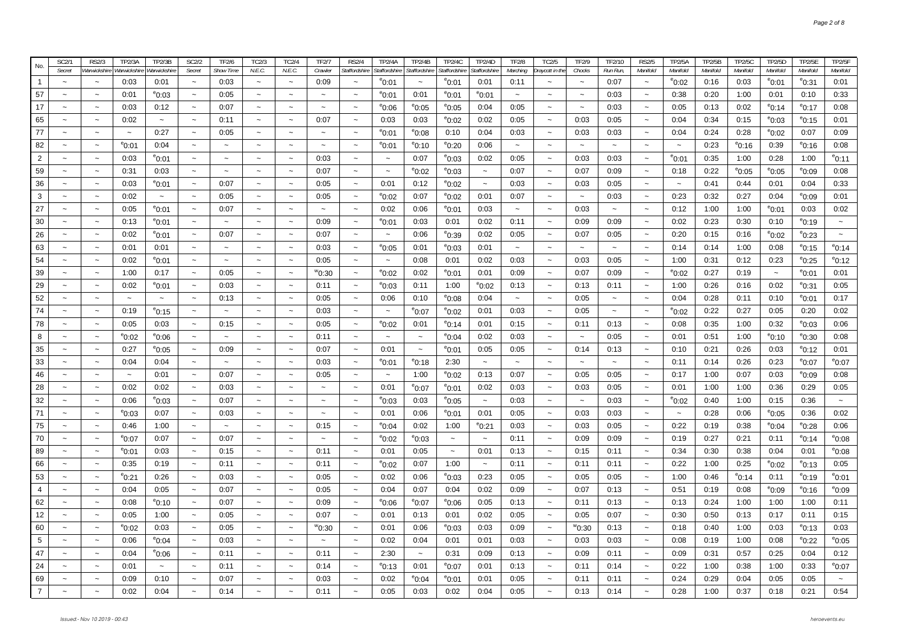| No.            | SC2/1                     | <b>RS2/3</b>              | TP2/3A                    | TP2/3B          | SC2/2                     | TF2/6                     | TC2/3                     | TC2/4                 | TF2/7                     | <b>RS2/4</b>             | TP2/4A                    | TP2/4B          | <b>TP2/4C</b>   | TP2/4D                    | <b>TF2/8</b>              | TC2/5                     | TF2/9                     | TF2/10                | <b>RS2/5</b>              | <b>TP2/5A</b>             | <b>TP2/5B</b> | <b>TP2/5C</b>   | TP2/5D          | <b>TP2/5E</b>   | <b>TP2/5F</b>             |
|----------------|---------------------------|---------------------------|---------------------------|-----------------|---------------------------|---------------------------|---------------------------|-----------------------|---------------------------|--------------------------|---------------------------|-----------------|-----------------|---------------------------|---------------------------|---------------------------|---------------------------|-----------------------|---------------------------|---------------------------|---------------|-----------------|-----------------|-----------------|---------------------------|
|                | Secret                    | Warwickshir               | Warwickshir               | Warwickshin     | Secret                    | <b>Show Time</b>          | N.E.C.                    | N.E.C.                | Crawler                   | Staffordshire            | Staffordshire             | Staffordshire   | Staffordshire   | <b>Staffordshire</b>      | Marching                  | Draycott in the           | Chocks                    | Run Run,              | Manifold                  | Manifold                  | Manifold      | Manifold        | Manifold        | Manifold        | Manifold                  |
| $\overline{1}$ | $\tilde{\phantom{a}}$     | $\widetilde{\phantom{m}}$ | 0:03                      | 0:01            | $\tilde{\phantom{a}}$     | 0:03                      | $\widetilde{\phantom{m}}$ | $\tilde{\phantom{a}}$ | 0:09                      | $\sim$                   | $^{\circ}$ 0:01           | $\sim$          | $^{\rm e}$ 0:01 | 0:01                      | 0:11                      | $\sim$                    | $\sim$                    | 0:07                  | $\widetilde{\phantom{m}}$ | $^{\circ}$ 0:02           | 0:16          | 0:03            | $^{\circ}$ 0:01 | $^{\rm e}$ 0:31 | 0:01                      |
| 57             | $\ddot{\phantom{1}}$      | $\widetilde{\phantom{m}}$ | 0:01                      | $^{\circ}$ 0:03 | $\sim$                    | 0:05                      | $\sim$                    | $\sim$                | $\sim$                    | $\sim$                   | $^{\circ}$ 0:01           | 0:01            | $^{\circ}$ 0:01 | $^{\circ}$ 0:01           | $\sim$                    | $\tilde{}$                | $\sim$                    | 0:03                  | $\sim$                    | 0:38                      | 0:20          | 1:00            | 0:01            | 0:10            | 0:33                      |
| 17             | $\widetilde{\phantom{m}}$ | $\widetilde{\phantom{m}}$ | 0:03                      | 0:12            | $\thicksim$               | 0:07                      | $\tilde{\phantom{a}}$     | $\tilde{\phantom{a}}$ | $\widetilde{\phantom{m}}$ | $\sim$                   | $^{\circ}$ 0:06           | $^{\rm e}$ 0:05 | $^{\circ}$ 0:05 | 0:04                      | 0:05                      | $\widetilde{\phantom{m}}$ | $\widetilde{\phantom{m}}$ | 0:03                  | $\sim$                    | 0:05                      | 0:13          | 0:02            | $^{\circ}$ 0:14 | $^{\circ}$ 0:17 | 0:08                      |
| 65             | $\ddot{\phantom{1}}$      | $\thicksim$               | 0:02                      | $\sim$          | $\tilde{\phantom{a}}$     | 0:11                      | $\sim$                    | $\sim$                | 0:07                      | $\sim$                   | 0:03                      | 0:03            | $^{\circ}$ 0:02 | 0:02                      | 0:05                      | $\tilde{\phantom{a}}$     | 0:03                      | 0:05                  | $\sim$                    | 0:04                      | 0:34          | 0:15            | $^{\circ}$ 0:03 | $^{\circ}$ 0:15 | 0:01                      |
| 77             | $\widetilde{\phantom{m}}$ | $\widetilde{\phantom{m}}$ | $\widetilde{\phantom{m}}$ | 0:27            | $\thicksim$               | 0:05                      | $\tilde{\phantom{a}}$     | $\tilde{\phantom{a}}$ | $\thicksim$               | $\tilde{}$               | $^{\circ}$ 0:01           | $^{\rm e}$ 0:08 | 0:10            | 0:04                      | 0:03                      | $\widetilde{\phantom{m}}$ | 0:03                      | 0:03                  | $\tilde{\phantom{a}}$     | 0:04                      | 0:24          | 0:28            | $e_{0:02}$      | 0:07            | 0:09                      |
| 82             | $\ddot{ }$                | $\sim$                    | $^{\circ}$ 0:01           | 0:04            | $\sim$                    | $\tilde{\phantom{a}}$     | $\sim$                    | $\sim$                | $\sim$                    | $\tilde{\phantom{a}}$    | $^{\circ}$ 0:01           | $^{\circ}$ 0:10 | $^{\circ}$ 0:20 | 0:06                      | $\tilde{\phantom{a}}$     | $\tilde{\phantom{a}}$     | $\sim$                    | $\thicksim$           | $\sim$                    | $\tilde{\phantom{a}}$     | 0:23          | $^{\circ}$ 0:16 | 0:39            | $^{\circ}$ 0:16 | 0:08                      |
| $\overline{2}$ | $\widetilde{\phantom{m}}$ | $\thicksim$               | 0:03                      | $^{\rm e}$ 0:01 | $\thicksim$               | $\thicksim$               | $\widetilde{\phantom{m}}$ | $\thicksim$           | 0:03                      | $\sim$                   | $\thicksim$               | 0:07            | $^{\rm e}$ 0:03 | 0:02                      | 0:05                      | $\widetilde{\phantom{m}}$ | 0:03                      | 0:03                  | $\widetilde{\phantom{m}}$ | $^{\circ}$ 0:01           | 0:35          | 1:00            | 0:28            | 1:00            | <sup>e</sup> 0:11         |
| 59             | $\sim$                    | $\tilde{\phantom{a}}$     | 0:31                      | 0:03            | $\sim$                    | $\sim$                    | $\sim$                    | $\sim$                | 0:07                      | $\sim$                   | $\tilde{\phantom{a}}$     | $^{\rm e}$ 0:02 | $^{\rm e}$ 0:03 | $\tilde{\phantom{a}}$     | 0:07                      | $\tilde{\phantom{a}}$     | 0:07                      | 0:09                  | $\sim$                    | 0:18                      | 0:22          | $^{\circ}$ 0:05 | $^{\circ}$ 0:05 | $^{\circ}$ 0:09 | 0:08                      |
| 36             | $\sim$                    | $\sim$                    | 0:03                      | $^{\circ}$ 0:01 | $\tilde{\phantom{a}}$     | 0:07                      | $\sim$                    | $\tilde{\phantom{a}}$ | 0:05                      | $\tilde{}$               | 0:01                      | 0:12            | $^{\rm e}$ 0:02 | $\sim$                    | 0:03                      | $\sim$                    | 0:03                      | 0:05                  | $\tilde{\phantom{a}}$     | $\sim$                    | 0:41          | 0:44            | 0:01            | 0:04            | 0:33                      |
| 3              | $\sim$                    | $\thicksim$               | 0:02                      | $\thicksim$     | $\sim$                    | 0:05                      | $\sim$                    | $\tilde{\phantom{a}}$ | 0:05                      | $\sim$                   | $^{\circ}$ 0:02           | 0:07            | $^{\circ}$ 0:02 | 0:01                      | 0:07                      | $\sim$                    | $\tilde{\phantom{a}}$     | 0:03                  | $\sim$                    | 0:23                      | 0:32          | 0:27            | 0:04            | $^{\circ}$ 0:09 | 0:01                      |
| 27             | $\tilde{\phantom{a}}$     | $\tilde{\phantom{a}}$     | 0:05                      | $^{\rm e}$ 0:01 | $\tilde{\phantom{a}}$     | 0:07                      | $\tilde{\phantom{a}}$     | $\tilde{\phantom{a}}$ | $\sim$                    | $\sim$                   | 0:02                      | 0:06            | $^{\rm e}$ 0:01 | 0:03                      | $\sim$                    | $\tilde{\phantom{a}}$     | 0:03                      | $\tilde{\phantom{a}}$ | $\sim$                    | 0:12                      | 1:00          | 1:00            | $^{\circ}$ 0:01 | 0:03            | 0:02                      |
| 30             | $\sim$                    | $\thicksim$               | 0:13                      | $^{\circ}$ 0:01 | $\tilde{\phantom{a}}$     |                           | $\sim$                    | $\sim$                | 0:09                      | $\sim$                   | $^{\circ}$ 0:01           | 0:03            | 0:01            | 0:02                      | 0:11                      | $\sim$                    | 0:09                      | 0:09                  | $\sim$                    | 0:02                      | 0:23          | 0:30            | 0:10            | $^{\circ}$ 0:19 | $\tilde{\phantom{a}}$     |
| 26             | $\sim$                    | $\sim$                    | 0:02                      | $^{\rm e}$ 0:01 | $\tilde{\phantom{a}}$     | 0:07                      | $\tilde{\phantom{a}}$     | $\tilde{\phantom{a}}$ | 0:07                      | $\sim$                   | $\tilde{\phantom{a}}$     | 0:06            | $^{\rm e}$ 0:39 | 0:02                      | 0:05                      | $\sim$                    | 0:07                      | 0:05                  | $\sim$                    | 0:20                      | 0:15          | 0:16            | $^{\circ}$ 0:02 | $^{\rm e}$ 0:23 | $\widetilde{\phantom{m}}$ |
| 63             | $\tilde{}$                | $\thicksim$               | 0:01                      | 0:01            | $\tilde{\phantom{a}}$     | $\widetilde{\phantom{m}}$ | $\tilde{\phantom{a}}$     | $\tilde{\phantom{a}}$ | 0:03                      | $\tilde{}$               | $^{\circ}$ 0:05           | 0:01            | $^{\circ}$ 0:03 | 0:01                      | $\tilde{\phantom{a}}$     | $\tilde{}$                |                           | $\tilde{\phantom{a}}$ | $\tilde{\phantom{a}}$     | 0:14                      | 0:14          | 1:00            | 0:08            | $^{\circ}$ 0:15 | $^{\circ}$ 0:14           |
| 54             | $\widetilde{\phantom{m}}$ | $\thicksim$               | 0:02                      | $^{\circ}$ 0:01 | $\thicksim$               | $\tilde{\phantom{a}}$     | $\tilde{\phantom{a}}$     | $\tilde{\phantom{a}}$ | 0:05                      | $\tilde{}$               | $\thicksim$               | 0:08            | 0:01            | 0:02                      | 0:03                      | $\tilde{\phantom{a}}$     | 0:03                      | 0:05                  | $\tilde{\phantom{a}}$     | 1:00                      | 0:31          | 0:12            | 0:23            | $^{\circ}$ 0:25 | $e$ 0:12                  |
| 39             | $\tilde{\phantom{a}}$     | $\sim$                    | 1:00                      | 0:17            | $\tilde{\phantom{a}}$     | 0:05                      | $\sim$                    | $\tilde{\phantom{a}}$ | ™0:30                     | $\sim$                   | $^{\circ}$ 0:02           | 0:02            | $^{\rm e}$ 0:01 | 0:01                      | 0:09                      | $\sim$                    | 0:07                      | 0:09                  | $\tilde{\phantom{a}}$     | $^{\circ}$ 0:02           | 0:27          | 0:19            | $\sim$          | $^{\circ}$ 0:01 | 0:01                      |
| 29             | $\sim$                    | $\widetilde{\phantom{m}}$ | 0:02                      | $^{\rm e}$ 0:01 | $\tilde{\phantom{a}}$     | 0:03                      | $\sim$                    | $\tilde{\phantom{a}}$ | 0:11                      | $\tilde{}$               | $^{\circ}$ 0:03           | 0:11            | 1:00            | $^{\circ}$ 0:02           | 0:13                      | $\sim$                    | 0:13                      | 0:11                  | $\widetilde{\phantom{m}}$ | 1:00                      | 0:26          | 0:16            | 0:02            | $^{\rm e}$ 0:31 | 0:05                      |
| 52             | $\tilde{\phantom{a}}$     | $\tilde{\phantom{a}}$     | $\tilde{}$                | $\sim$          | $\sim$                    | 0:13                      | $\tilde{\phantom{a}}$     | $\sim$                | 0:05                      | $\sim$                   | 0:06                      | 0:10            | $^{\circ}$ 0:08 | 0:04                      | $\sim$                    | $\sim$                    | 0:05                      | $\tilde{\phantom{a}}$ | $\sim$                    | 0:04                      | 0:28          | 0:11            | 0:10            | $^{\rm e}$ 0:01 | 0:17                      |
| 74             | $\ddot{\phantom{1}}$      | $\widetilde{\phantom{m}}$ | 0:19                      | $^{\circ}$ 0:15 | $\sim$                    | $\sim$                    | $\sim$                    | $\sim$                | 0:03                      | $\ddot{\phantom{0}}$     | $\widetilde{\phantom{m}}$ | $^{\rm e}$ 0:07 | $^{\circ}$ 0:02 | 0:01                      | 0:03                      | $\sim$                    | 0:05                      | $\sim$                | $\sim$                    | $^{\circ}$ 0:02           | 0:22          | 0:27            | 0:05            | 0:20            | 0:02                      |
| 78             | $\tilde{\phantom{a}}$     | $\thicksim$               | 0:05                      | 0:03            | $\sim$                    | 0:15                      | $\sim$                    | $\tilde{\phantom{a}}$ | 0:05                      | $\sim$                   | $^{\circ}$ 0:02           | 0:01            | $^{\circ}$ 0:14 | 0:01                      | 0:15                      | $\sim$                    | 0:11                      | 0:13                  | $\sim$                    | 0:08                      | 0:35          | 1:00            | 0:32            | $^{\circ}$ 0:03 | 0:06                      |
| 8              | $\ddot{\phantom{1}}$      | $\thicksim$               | °0:02                     | $^{\rm e}$ 0:06 |                           | $\sim$                    |                           | $\tilde{\phantom{a}}$ | 0:11                      |                          | $\sim$                    | $\sim$          | °0:04           | 0:02                      | 0:03                      |                           |                           | 0:05                  | $\sim$                    | 0:01                      | 0:51          | 1:00            | $^{\circ}$ 0:10 | $^{\circ}$ 0:30 | 0:08                      |
| 35             | $\ddot{\phantom{1}}$      | $\tilde{\phantom{a}}$     | 0:27                      | $^{\circ}$ 0:05 | $\sim$                    | 0:09                      | $\sim$                    | $\sim$                | 0:07                      | $\sim$                   | 0:01                      | $\sim$          | $^{\rm e}$ 0:01 | 0:05                      | 0:05                      | $\sim$                    | 0:14                      | 0:13                  | $\sim$                    | 0:10                      | 0:21          | 0:26            | 0:03            | $^{\circ}$ 0:12 | 0:01                      |
| 33             | $\ddot{\phantom{1}}$      | $\thicksim$               | 0:04                      | 0:04            | $\sim$                    | $\sim$                    | $\ddot{\phantom{0}}$      | $\sim$                | 0:03                      | $\sim$                   | $^{\circ}$ 0:01           | $^{\rm e}$ 0:18 | 2:30            | $\widetilde{\phantom{m}}$ | $\widetilde{\phantom{m}}$ | $\sim$                    | $\sim$                    | $\sim$                | $\sim$                    | 0:11                      | 0:14          | 0:26            | 0:23            | $^{\circ}$ 0:07 | $^{\circ}$ 0:07           |
| 46             | $\tilde{\phantom{a}}$     | $\thicksim$               | $\tilde{\phantom{a}}$     | 0:01            | $\tilde{\phantom{a}}$     | 0:07                      | $\tilde{\phantom{a}}$     | $\tilde{\phantom{a}}$ | 0:05                      | $\tilde{\phantom{a}}$    | $\tilde{\phantom{a}}$     | 1:00            | °0:02           | 0:13                      | 0:07                      | $\tilde{\phantom{a}}$     | 0:05                      | 0:05                  | $\tilde{\phantom{a}}$     | 0:17                      | 1:00          | 0:07            | 0:03            | $^{\circ}$ 0:09 | 0:08                      |
| 28             | $\ddot{\phantom{1}}$      | $\thicksim$               | 0:02                      | 0:02            | $\widetilde{\phantom{m}}$ | 0:03                      | $\ddot{\phantom{0}}$      | $\sim$                | $\widetilde{\phantom{m}}$ | $\ddot{\phantom{1}}$     | 0:01                      | $^{\rm e}$ 0:07 | $^{\rm e}$ 0:01 | 0:02                      | 0:03                      | $\widetilde{\phantom{m}}$ | 0:03                      | 0:05                  | $\tilde{\phantom{a}}$     | 0:01                      | 1:00          | 1:00            | 0:36            | 0:29            | 0:05                      |
| 32             | $\tilde{\phantom{a}}$     | $\thicksim$               | 0:06                      | $^{\circ}$ 0:03 | $\sim$                    | 0:07                      | $\sim$                    | $\sim$                | $\sim$                    | $\tilde{\phantom{a}}$    | $^{\circ}$ 0:03           | 0:03            | $^{\circ}$ 0:05 | $\thicksim$               | 0:03                      | $\sim$                    | $\sim$                    | 0:03                  | $\tilde{\phantom{a}}$     | $^{\circ}$ 0:02           | 0:40          | 1:00            | 0:15            | 0:36            | $\thicksim$               |
| 71             | $\ddot{\phantom{1}}$      | $\thicksim$               | $^{\circ}$ 0:03           | 0:07            | $\tilde{\phantom{a}}$     | 0:03                      | $\sim$                    | $\sim$                | $\sim$                    | $\sim$                   | 0:01                      | 0:06            | $^{\circ}$ 0:01 | 0:01                      | 0:05                      | $\widetilde{\phantom{m}}$ | 0:03                      | 0:03                  | $\sim$                    | $\widetilde{\phantom{m}}$ | 0:28          | 0:06            | $^{\circ}$ 0:05 | 0:36            | 0:02                      |
| 75             | $\sim$                    | $\thicksim$               | 0:46                      | 1:00            | $\tilde{\phantom{a}}$     | $\sim$                    | $\tilde{\phantom{a}}$     | $\tilde{\phantom{a}}$ | 0:15                      | $\sim$                   | $^{\circ}$ 0:04           | 0:02            | 1:00            | $^{\circ}$ 0:21           | 0:03                      | $\widetilde{\phantom{m}}$ | 0:03                      | 0:05                  | $\sim$                    | 0:22                      | 0:19          | 0:38            | $^{\circ}$ 0:04 | $^{\circ}$ 0:28 | 0:06                      |
| 70             | $\sim$                    | $\sim$                    | $^{\rm e}$ 0:07           | 0:07            | $\sim$                    | 0:07                      | $\sim$                    |                       | $\sim$                    | $\tilde{}$               | $^{\rm e}$ 0:02           | $^{\rm e}$ 0:03 | $\sim$          | $\sim$                    | 0:11                      | $\sim$                    | 0:09                      | 0:09                  | $\sim$                    | 0:19                      | 0:27          | 0:21            | 0:11            | $^{\circ}$ 0:14 | $80:0^9$                  |
| 89             | $\sim$                    | $\thicksim$               | °0:01                     | 0:03            | $\sim$                    | 0:15                      | $\sim$                    | $\tilde{\phantom{a}}$ | 0:11                      | $\sim$                   | 0:01                      | 0:05            | $\thicksim$     | 0:01                      | 0:13                      | $\sim$                    | 0:15                      | 0:11                  | $\tilde{\phantom{a}}$     | 0:34                      | 0:30          | 0:38            | 0:04            | 0:01            | 0.08                      |
| 66             | $\tilde{\phantom{a}}$     | $\thicksim$               | 0:35                      | 0:19            | $\tilde{\phantom{a}}$     | 0:11                      | $\sim$                    | $\tilde{\phantom{a}}$ | 0:11                      | $\sim$                   | $^{\circ}$ 0:02           | 0:07            | 1:00            | $\tilde{\phantom{a}}$     | 0:11                      | $\sim$                    | 0:11                      | 0:11                  | $\widetilde{\phantom{m}}$ | 0:22                      | 1:00          | 0:25            | $^{\circ}$ 0:02 | $^{\rm e}$ 0:13 | 0:05                      |
| 53             | $\sim$                    | $\tilde{\phantom{a}}$     | <sup>e</sup> 0:21         | 0:26            | $\sim$                    | 0:03                      | $\tilde{\phantom{a}}$     | $\sim$                | 0:05                      | $\sim$                   | 0:02                      | 0:06            | $^{\rm e}$ 0:03 | 0:23                      | 0:05                      | $\tilde{\phantom{a}}$     | 0:05                      | 0:05                  | $\tilde{\phantom{a}}$     | 1:00                      | 0:46          | $^{\circ}$ 0:14 | 0:11            | $^{\circ}$ 0:19 | $^{\circ}$ 0:01           |
| 4              | $\sim$                    | $\thicksim$               | 0:04                      | 0:05            | $\tilde{\phantom{a}}$     | 0:07                      | $\tilde{\phantom{a}}$     | $\tilde{\phantom{a}}$ | 0:05                      | $\tilde{}$               | 0:04                      | 0:07            | 0:04            | 0:02                      | 0:09                      | $\sim$                    | 0:07                      | 0:13                  | $\tilde{\phantom{a}}$     | 0:51                      | 0:19          | 0:08            | $^{\circ}$ 0:09 | $^{\circ}$ 0:16 | °0:09                     |
| 62             | $\tilde{\phantom{a}}$     | $\tilde{\phantom{a}}$     | 0:08                      | $^{\rm e}$ 0:10 | $\tilde{\phantom{a}}$     | 0:07                      | $\tilde{\phantom{a}}$     | $\sim$                | 0:09                      | $\sim$                   | $^{\circ}$ 0:06           | $^{\rm e}$ 0:07 | $^{\rm e}$ 0:06 | 0:05                      | 0:13                      | $\tilde{\phantom{a}}$     | 0:11                      | 0:13                  | $\tilde{\phantom{a}}$     | 0:13                      | 0:24          | 1:00            | 1:00            | 1:00            | 0:11                      |
| 12             | $\tilde{\phantom{a}}$     | $\widetilde{\phantom{m}}$ | 0:05                      | 1:00            | $\tilde{\phantom{a}}$     | 0:05                      | $\tilde{\phantom{a}}$     | $\tilde{\phantom{a}}$ | 0:07                      | $\tilde{}$               | 0:01                      | 0:13            | 0:01            | 0:02                      | 0:05                      | $\tilde{\phantom{a}}$     | 0:05                      | 0:07                  | $\tilde{\phantom{a}}$     | 0:30                      | 0:50          | 0:13            | 0:17            | 0:11            | 0:15                      |
| 60             | $\sim$                    | $\thicksim$               | $^{\circ}$ 0:02           | 0:03            | $\sim$                    | 0:05                      | $\sim$                    | $\tilde{\phantom{a}}$ | °°0:30                    | $\sim$                   | 0:01                      | 0:06            | $^{\rm e}$ 0:03 | 0:03                      | 0:09                      | $\sim$                    | <sup>w</sup> 0:30         | 0:13                  | $\sim$                    | 0:18                      | 0:40          | 1:00            | 0:03            | $^{\circ}$ 0:13 | 0:03                      |
| 5              | $\tilde{}$                | $\widetilde{\phantom{m}}$ | 0:06                      | $^{\circ}$ 0:04 | $\widetilde{\phantom{m}}$ | 0:03                      | $\tilde{\phantom{a}}$     |                       | $\tilde{\phantom{a}}$     | $\overline{\phantom{a}}$ | 0:02                      | 0:04            | 0:01            | 0:01                      | 0:03                      | $\tilde{}$                | 0:03                      | 0:03                  | $\tilde{\phantom{a}}$     | 0:08                      | 0:19          | 1:00            | 0:08            | $^{\circ}$ 0:22 | $^{\circ}$ 0:05           |
| 47             | $\tilde{\phantom{a}}$     | $\sim$                    | 0:04                      | $^{\rm e}$ 0:06 | $\sim$                    | 0:11                      | $\sim$                    | $\tilde{\phantom{a}}$ | 0:11                      | $\tilde{\phantom{a}}$    | 2:30                      | $\sim$          | 0:31            | 0:09                      | 0:13                      | $\sim$                    | 0:09                      | 0:11                  | $\sim$                    | 0:09                      | 0:31          | 0:57            | 0:25            | 0:04            | 0:12                      |
| 24             | $\tilde{\phantom{a}}$     | $\tilde{\phantom{a}}$     | 0:01                      | $\thicksim$     | $\tilde{\phantom{a}}$     | 0:11                      | $\sim$                    |                       | 0:14                      | $\tilde{\phantom{a}}$    | $^{\circ}$ 0:13           | 0:01            | $^{\circ}$ 0:07 | 0:01                      | 0:13                      | $\tilde{\phantom{a}}$     | 0:11                      | 0:14                  | $\tilde{\phantom{a}}$     | 0:22                      | 1:00          | 0:38            | 1:00            | 0:33            | $^{\rm e}$ 0:07           |
| 69             | $\ddot{\phantom{1}}$      | $\tilde{\phantom{a}}$     | 0:09                      | 0:10            |                           | 0:07                      | $\tilde{\phantom{a}}$     |                       | 0:03                      |                          | 0:02                      | $^{\circ}$ 0:04 | $^{\circ}$ 0:01 | 0:01                      | 0:05                      | $\sim$                    | 0:11                      | 0:11                  | $\tilde{\phantom{a}}$     | 0:24                      | 0:29          | 0:04            | 0:05            | 0:05            | $\sim$                    |
| $\overline{7}$ |                           |                           | 0:02                      | 0:04            |                           | 0:14                      |                           |                       | 0:11                      |                          | 0:05                      | 0:03            | 0:02            | 0:04                      | 0:05                      |                           | 0:13                      | 0:14                  |                           | 0:28                      | 1:00          | 0:37            | 0:18            | 0:21            | 0:54                      |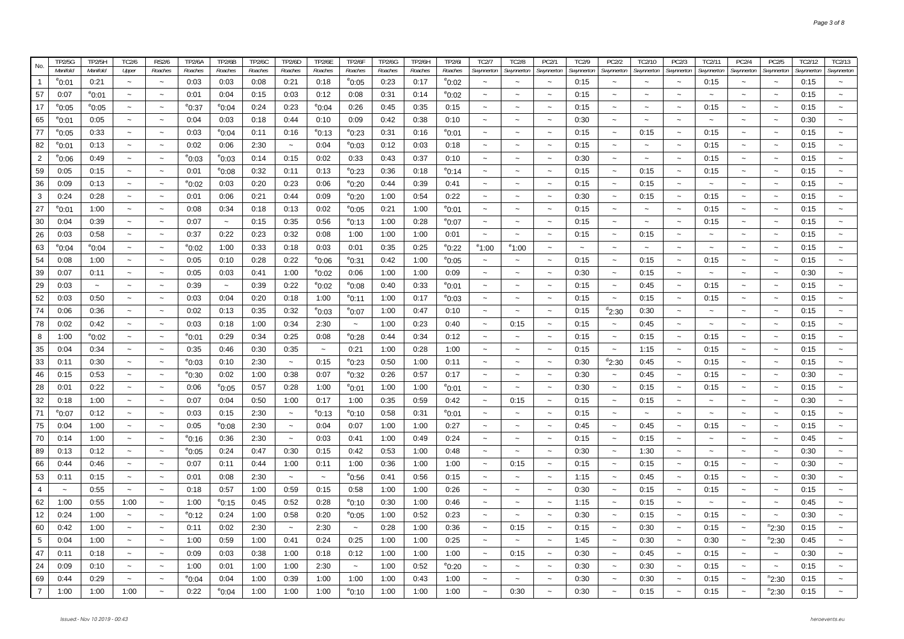|                | <b>TP2/5G</b>   | TP2/5H                  | TC2/6                     | <b>RS2/6</b>              | <b>TP2/6A</b>           | <b>TP2/6B</b>         | <b>TP2/6C</b> | TP2/6D                    | <b>TP2/6E</b>             | <b>TP2/6F</b>           | <b>TP2/6G</b> | TP2/6H  | <b>TP2/6I</b>     | TC2/7                     | <b>TC2/8</b>              | PC2/1                     | TC2/9                 | PC2/2                               | TC2/10                    | PC2/3                     | TC2/11                | PC2/4                     | PC2/5                     | TC2/12     | TC2/13                    |
|----------------|-----------------|-------------------------|---------------------------|---------------------------|-------------------------|-----------------------|---------------|---------------------------|---------------------------|-------------------------|---------------|---------|-------------------|---------------------------|---------------------------|---------------------------|-----------------------|-------------------------------------|---------------------------|---------------------------|-----------------------|---------------------------|---------------------------|------------|---------------------------|
| No.            | Manifold        | Manifold                | Upper                     | Roaches                   | Roaches                 | Roaches               | Roaches       | Roaches                   | Roaches                   | Roaches                 | Roaches       | Roaches | Roaches           | Swynnerton                | Swynnerton                | Swynnerton                | Swynnerton            | Swynnerton                          | Swynnerton                | Swynnerton                | <b>Swynnerton</b>     | Swynnerton                | Swynnerton                | Swynnerton | Swynnerton                |
| $\overline{1}$ | °0:01           | 0:21                    | $\tilde{\phantom{a}}$     | $\sim$                    | 0:03                    | 0:03                  | 0:08          | 0:21                      | 0:18                      | $^{\circ}$ 0:05         | 0:23          | 0:17    | $^{\rm e}$ 0:02   | $\sim$                    | $\tilde{\phantom{a}}$     | $\tilde{\phantom{a}}$     | 0:15                  | $\tilde{\phantom{a}}$               | $\tilde{\phantom{a}}$     | $\tilde{\phantom{a}}$     | 0:15                  | $\tilde{\phantom{a}}$     | $\sim$                    | 0:15       | $\sim$                    |
| 57             | 0:07            | $^{\circ}$ 0:01         | $\tilde{\phantom{a}}$     | $\sim$                    | 0:01                    | 0:04                  | 0:15          | 0:03                      | 0:12                      | 0:08                    | 0:31          | 0:14    | $^{\rm e}$ 0:02   | $\tilde{\phantom{a}}$     | $\tilde{\phantom{a}}$     | $\tilde{\phantom{a}}$     | 0:15                  | $\tilde{\phantom{a}}$               | $\tilde{\phantom{a}}$     | $\tilde{\phantom{a}}$     | $\sim$                | $\tilde{\phantom{a}}$     | $\tilde{\phantom{a}}$     | 0:15       | $\tilde{}$                |
| 17             | $^{\rm e}$ 0:05 | $^{\circ}$ 0:05         | $\tilde{\phantom{a}}$     | $\sim$                    | $^{\rm e}$ 0:37         | $^{\circ}$ 0:04       | 0:24          | 0:23                      | $^{\circ}$ 0:04           | 0:26                    | 0:45          | 0:35    | 0:15              | $\sim$                    | $\sim$                    | $\widetilde{\phantom{m}}$ | 0:15                  | $\sim$                              | $\sim$                    | $\tilde{\phantom{a}}$     | 0:15                  | $\sim$                    | $\thicksim$               | 0:15       | $\tilde{}$                |
| 65             | °0:01           | 0:05                    | $\tilde{\phantom{a}}$     | $\sim$                    | 0:04                    | 0:03                  | 0:18          | 0:44                      | 0:10                      | 0:09                    | 0:42          | 0:38    | 0:10              | $\tilde{\phantom{a}}$     | $\sim$                    | $\sim$                    | 0:30                  | $\sim$                              | $\tilde{\phantom{a}}$     | $\sim$                    | $\sim$                | $\sim$                    | $\tilde{\phantom{a}}$     | 0:30       | $\tilde{\phantom{a}}$     |
| 77             | °0:05           | 0:33                    | $\sim$                    | $\sim$                    | 0:03                    | $^{\circ}$ 0:04       | 0:11          | 0:16                      | $^{\circ}$ 0:13           | $^{\circ}$ 0:23         | 0:31          | 0:16    | $^{\rm e}$ 0:01   | $\sim$                    | $\sim$                    | $\sim$                    | 0:15                  | $\sim$                              | 0:15                      | $\sim$                    | 0:15                  | $\sim$                    | $\widetilde{\phantom{m}}$ | 0:15       | $\sim$                    |
| 82             | °0:01           | 0:13                    | $\sim$                    | $\sim$                    | 0:02                    | 0:06                  | 2:30          | $\widetilde{\phantom{m}}$ | 0:04                      | $^{\circ}$ 0:03         | 0:12          | 0:03    | 0:18              | $\tilde{}$                | $\tilde{\phantom{a}}$     | $\tilde{\phantom{a}}$     | 0:15                  | $\sim$                              | $\tilde{\phantom{a}}$     | $\sim$                    | 0:15                  | $\tilde{\phantom{a}}$     | $\tilde{\phantom{a}}$     | 0:15       | $\tilde{}$                |
| $\overline{2}$ | °0:06           | 0:49                    | $\tilde{\phantom{a}}$     | $\widetilde{\phantom{m}}$ | $^{\circ}$ 0:03         | °0:03                 | 0:14          | 0:15                      | 0:02                      | 0:33                    | 0:43          | 0:37    | 0:10              | $\sim$                    | $\tilde{\phantom{a}}$     | $\tilde{}$                | 0:30                  | $\sim$                              | $\tilde{\phantom{a}}$     | $\tilde{\phantom{a}}$     | 0:15                  | $\sim$                    | $\tilde{\phantom{a}}$     | 0:15       | $\tilde{}$                |
| 59             | 0:05            | 0:15                    | $\tilde{\phantom{a}}$     | $\tilde{\phantom{a}}$     | 0:01                    | $^{\rm e}$ 0:08       | 0:32          | 0:11                      | 0:13                      | $^{\rm e}$ 0:23         | 0:36          | 0:18    | <sup>e</sup> 0:14 | $\tilde{\phantom{a}}$     | $\widetilde{\phantom{m}}$ | $\sim$                    | 0:15                  | $\widetilde{\phantom{m}}$           | 0:15                      | $\sim$                    | 0:15                  | $\widetilde{\phantom{m}}$ | $\widetilde{\phantom{m}}$ | 0:15       | $\tilde{\phantom{a}}$     |
| 36             | 0:09            | 0:13                    | $\sim$                    | $\sim$                    | $^{\circ}$ 0:02         | 0:03                  | 0:20          | 0:23                      | 0:06                      | $^{\circ}$ 0:20         | 0:44          | 0:39    | 0:41              | $\sim$                    | $\sim$                    | $\sim$                    | 0:15                  | $\sim$                              | 0:15                      | $\sim$                    | $\sim$                | $\sim$                    | $\tilde{\phantom{a}}$     | 0:15       | $\tilde{\phantom{a}}$     |
| 3              | 0:24            | 0:28                    | $\sim$                    | $\widetilde{\phantom{m}}$ | 0:01                    | 0:06                  | 0:21          | 0:44                      | 0:09                      | $^{\circ}$ 0:20         | 1:00          | 0:54    | 0:22              | $\tilde{\phantom{a}}$     | $\sim$                    | $\tilde{\phantom{a}}$     | 0:30                  | $\widetilde{\phantom{m}}$           | 0:15                      | $\tilde{\phantom{a}}$     | 0:15                  | $\sim$                    | $\thicksim$               | 0:15       | $\tilde{}$                |
| 27             | °0:01           | 1:00                    | $\thicksim$               | $\tilde{\phantom{a}}$     | 0:08                    | 0:34                  | 0:18          | 0:13                      | 0:02                      | $^{\circ}$ 0:05         | 0:21          | 1:00    | $^{\rm e}$ 0:01   | $\thicksim$               | $\tilde{\phantom{a}}$     | $\thicksim$               | 0:15                  | $\tilde{\phantom{a}}$               | $\tilde{\phantom{a}}$     | $\tilde{\phantom{a}}$     | 0:15                  | $\thicksim$               | $\thicksim$               | 0:15       | $\tilde{}$                |
| 30             | 0:04            | 0:39                    | $\tilde{}$                | $\widetilde{\phantom{m}}$ | 0:07                    | $\sim$                | 0:15          | 0:35                      | 0:56                      | $^{\circ}$ 0:13         | 1:00          | 0:28    | $^{\rm e}$ 0:07   | $\tilde{\phantom{a}}$     | $\sim$                    | $\tilde{\phantom{a}}$     | 0:15                  | $\tilde{\phantom{a}}$               | $\tilde{}$                | $\tilde{\phantom{a}}$     | 0:15                  | $\tilde{\phantom{a}}$     | $\sim$                    | 0:15       | $\tilde{}$                |
| 26             | 0:03            | 0:58                    | $\thicksim$               | $\tilde{\phantom{a}}$     | 0:37                    | 0:22                  | 0:23          | 0:32                      | 0:08                      | 1:00                    | 1:00          | 1:00    | 0:01              | $\tilde{\phantom{a}}$     | $\tilde{\phantom{a}}$     | $\tilde{\phantom{a}}$     | 0:15                  | $\tilde{\phantom{a}}$               | 0:15                      | $\tilde{\phantom{a}}$     | $\tilde{\phantom{a}}$ | $\widetilde{\phantom{m}}$ | $\thicksim$               | 0:15       | $\tilde{}$                |
| 63             | °0:04           | $^{\circ}$ 0:04         | $\sim$                    | $\tilde{}$                | $^{\circ}$ 0:02         | 1:00                  | 0:33          | 0:18                      | 0:03                      | 0:01                    | 0:35          | 0:25    | <sup>e</sup> 0:22 | <sup>e</sup> 1:00         | $^{\circ}1:00$            |                           | $\tilde{\phantom{a}}$ | $\sim$                              |                           | $\sim$                    |                       | $\sim$                    | $\widetilde{\phantom{m}}$ | 0:15       | $\tilde{}$                |
| 54             | 0:08            | 1:00                    | $\widetilde{\phantom{m}}$ | $\sim$                    | 0:05                    | 0:10                  | 0:28          | 0:22                      | $^{\circ}0:06$            | $^{\circ}$ 0:31         | 0:42          | 1:00    | $^{\rm e}$ 0:05   | $\thicksim$               | $\sim$                    | $\widetilde{\phantom{m}}$ | 0:15                  | $\tilde{\phantom{a}}$               | 0:15                      | $\widetilde{\phantom{m}}$ | 0:15                  | $\tilde{\phantom{a}}$     | $\thicksim$               | 0:15       | $\widetilde{\phantom{m}}$ |
| 39             | 0:07            | 0:11                    | $\tilde{\phantom{a}}$     | $\tilde{}$                | 0:05                    | 0:03                  | 0:41          | 1:00                      | $^{\circ}$ 0:02           | 0:06                    | 1:00          | 1:00    | 0:09              | $\tilde{}$                | $\tilde{\phantom{a}}$     | $\widetilde{\phantom{m}}$ | 0:30                  | $\tilde{\phantom{a}}$               | 0:15                      | $\tilde{}$                | $\tilde{\phantom{a}}$ | $\widetilde{\phantom{m}}$ | $\thicksim$               | 0:30       | $\tilde{}$                |
| 29             | 0:03            | $\sim$                  | $\sim$                    | $\widetilde{\phantom{m}}$ | 0:39                    | $\tilde{\phantom{a}}$ | 0:39          | 0:22                      | $^{\circ}$ 0:02           | $e_{0:08}$              | 0:40          | 0:33    | $^{\rm e}$ 0:01   | $\tilde{\phantom{a}}$     | $\sim$                    | $\sim$                    | 0:15                  | $\widetilde{\phantom{m}}$           | 0:45                      | $\sim$                    | 0:15                  | $\widetilde{\phantom{m}}$ | $\sim$                    | 0:15       | $\sim$                    |
| 52             | 0:03            | 0:50                    | $\tilde{\phantom{a}}$     | $\tilde{\phantom{a}}$     | 0:03                    | 0:04                  | 0:20          | 0:18                      | 1:00                      | $^{\circ}$ 0:11         | 1:00          | 0:17    | $^{\rm e}$ 0:03   | $\tilde{\phantom{a}}$     | $\ddot{\phantom{1}}$      |                           | 0:15                  | $\sim$                              | 0:15                      | $\sim$                    | 0:15                  | $\sim$                    | $\sim$                    | 0:15       | $\tilde{\phantom{a}}$     |
| 74             | 0:06            | 0:36                    | $\widetilde{\phantom{m}}$ | $\widetilde{\phantom{m}}$ | 0:02                    | 0:13                  | 0:35          | 0:32                      | $^{\circ}$ 0:03           | $^{\rm e}$ 0:07         | 1:00          | 0:47    | 0:10              | $\tilde{}$                | $\sim$                    | $\widetilde{\phantom{m}}$ | 0:15                  | $^{d}$ 2:30                         | 0:30                      | $\tilde{}$                | $\sim$                | $\widetilde{\phantom{m}}$ | $\widetilde{\phantom{m}}$ | 0:15       | $\widetilde{\phantom{m}}$ |
| 78             | 0:02            | 0:42                    | $\tilde{\phantom{a}}$     | $\tilde{\phantom{a}}$     | 0:03                    | 0:18                  | 1:00          | 0:34                      | 2:30                      | $\tilde{\phantom{a}}$   | 1:00          | 0:23    | 0:40              | $\tilde{}$                | 0:15                      | $\tilde{}$                | 0:15                  | $\tilde{\phantom{a}}$               | 0:45                      | $\tilde{\phantom{a}}$     | $\tilde{}$            | $\tilde{\phantom{a}}$     | $\tilde{\phantom{a}}$     | 0:15       | $\tilde{\phantom{a}}$     |
| 8              | 1:00            |                         | $\tilde{\phantom{a}}$     | $\sim$                    |                         | 0:29                  | 0:34          | 0:25                      |                           |                         | 0:44          | 0:34    | 0:12              | $\tilde{\phantom{a}}$     |                           | $\tilde{\phantom{a}}$     | 0:15                  | $\tilde{\phantom{a}}$               | 0:15                      | $\sim$                    | 0:15                  | $\sim$                    | $\sim$                    | 0:15       | $\tilde{\phantom{a}}$     |
|                | 0:04            | $^{\circ}$ 0:02<br>0:34 | $\tilde{\phantom{a}}$     | $\tilde{\phantom{a}}$     | $^{\circ}$ 0:01<br>0:35 | 0:46                  | 0:30          | 0:35                      | 0:08                      | $^{\rm e}$ 0:28<br>0:21 | 1:00          | 0:28    | 1:00              | $\tilde{}$                | $\tilde{}$                |                           | 0:15                  |                                     | 1:15                      | $\tilde{\phantom{a}}$     | 0:15                  | $\tilde{\phantom{a}}$     | $\tilde{\phantom{a}}$     | 0:15       | $\widetilde{\phantom{m}}$ |
| 35             |                 |                         |                           |                           |                         |                       | 2:30          |                           | $\widetilde{\phantom{m}}$ |                         |               |         |                   | $\tilde{\phantom{a}}$     | $\sim$                    | $\tilde{}$<br>$\sim$      |                       | $\tilde{\phantom{a}}$<br>$d_{2:30}$ |                           |                           |                       | $\sim$                    |                           |            |                           |
| 33             | 0:11            | 0:30                    | $\tilde{\phantom{a}}$     | $\tilde{\phantom{a}}$     | $^{\circ}$ 0:03         | 0:10                  |               | $\tilde{\phantom{a}}$     | 0:15                      | $^{\circ}$ 0:23         | 0:50          | 1:00    | 0:11              |                           |                           |                           | 0:30                  |                                     | 0:45                      | $\tilde{\phantom{a}}$     | 0:15                  |                           | $\thicksim$               | 0:15       | $\tilde{}$                |
| 46             | 0:15            | 0:53                    | $\tilde{\phantom{a}}$     | $\tilde{\phantom{a}}$     | $^{\circ}$ 0:30         | 0:02                  | 1:00          | 0:38                      | 0:07                      | $^{\circ}$ 0:32         | 0:26          | 0:57    | 0:17              | $\widetilde{\phantom{m}}$ | $\thicksim$               | $\tilde{\phantom{a}}$     | 0:30                  | $\tilde{\phantom{a}}$               | 0:45                      | $\tilde{\phantom{a}}$     | 0:15                  | $\widetilde{\phantom{m}}$ | $\thicksim$               | 0:30       | $\widetilde{\phantom{m}}$ |
| 28             | 0:01            | 0:22                    | $\tilde{\phantom{a}}$     | $\tilde{}$                | 0:06                    | $^{\circ}$ 0:05       | 0:57          | 0:28                      | 1:00                      | $^{\circ}$ 0:01         | 1:00          | 1:00    | $^{\rm e}$ 0:01   | $\tilde{\phantom{a}}$     |                           | $\sim$                    | 0:30                  | $\sim$                              | 0:15                      | $\sim$                    | 0:15                  | $\widetilde{\phantom{m}}$ | $\widetilde{\phantom{m}}$ | 0:15       | $\tilde{}$                |
| 32             | 0:18            | 1:00                    | $\widetilde{\phantom{m}}$ | $\widetilde{\phantom{m}}$ | 0:07                    | 0:04                  | 0:50          | 1:00                      | 0:17                      | 1:00                    | 0:35          | 0:59    | 0:42              | $\tilde{\phantom{a}}$     | 0:15                      | $\tilde{\phantom{a}}$     | 0:15                  | $\widetilde{\phantom{m}}$           | 0:15                      | $\widetilde{\phantom{m}}$ | $\tilde{\phantom{a}}$ | $\thicksim$               | $\widetilde{\phantom{m}}$ | 0:30       | $\widetilde{\phantom{m}}$ |
| 71             | °0:07           | 0:12                    | $\sim$                    | $\tilde{\phantom{a}}$     | 0:03                    | 0:15                  | 2:30          | $\sim$                    | $^{\circ}$ 0:13           | $^{\circ}$ 0:10         | 0:58          | 0:31    | $^{\rm e}$ 0:01   | $\tilde{\phantom{a}}$     | $\sim$                    | $\thicksim$               | 0:15                  | $\tilde{\phantom{a}}$               | $\widetilde{\phantom{m}}$ | $\sim$                    | $\sim$                | $\thicksim$               | $\sim$                    | 0:15       | $\tilde{}$                |
| 75             | 0:04            | 1:00                    | $\tilde{}$                | $\widetilde{\phantom{m}}$ | 0:05                    | $e_{0:08}$            | 2:30          | $\thicksim$               | 0:04                      | 0:07                    | 1:00          | 1:00    | 0:27              | $\thicksim$               | $\sim$                    | $\widetilde{\phantom{m}}$ | 0:45                  | $\widetilde{\phantom{m}}$           | 0:45                      | $\widetilde{\phantom{m}}$ | 0:15                  | $\sim$                    | $\thicksim$               | 0:15       | $\widetilde{\phantom{m}}$ |
| 70             | 0:14            | 1:00                    | $\sim$                    | $\sim$                    | $^{\circ}$ 0:16         | 0:36                  | 2:30          | $\sim$                    | 0:03                      | 0:41                    | 1:00          | 0:49    | 0:24              | $\sim$                    | $\tilde{\phantom{a}}$     | $\sim$                    | 0:15                  | $\tilde{\phantom{a}}$               | 0:15                      | $\sim$                    | $\sim$                | $\sim$                    | $\widetilde{\phantom{m}}$ | 0:45       | $\sim$                    |
| 89             | 0:13            | 0:12                    | $\widetilde{\phantom{m}}$ | $\sim$                    | $^{\circ}$ 0:05         | 0:24                  | 0:47          | 0:30                      | 0:15                      | 0:42                    | 0:53          | 1:00    | 0:48              | $\tilde{\phantom{a}}$     | $\sim$                    | $\tilde{\phantom{a}}$     | 0:30                  | $\widetilde{\phantom{m}}$           | 1:30                      | $\sim$                    | $\tilde{\phantom{a}}$ | $\tilde{\phantom{a}}$     | $\widetilde{\phantom{m}}$ | 0:30       | $\widetilde{\phantom{m}}$ |
| 66             | 0:44            | 0:46                    | $\tilde{\phantom{a}}$     | $\sim$                    | 0:07                    | 0:11                  | 0:44          | 1:00                      | 0:11                      | 1:00                    | 0:36          | 1:00    | 1:00              | $\tilde{\phantom{a}}$     | 0:15                      | $\tilde{\phantom{a}}$     | 0:15                  | $\tilde{\phantom{a}}$               | 0:15                      | $\tilde{\phantom{a}}$     | 0:15                  | $\sim$                    | $\sim$                    | 0:30       | $\tilde{}$                |
| 53             | 0:11            | 0:15                    | $\tilde{\phantom{a}}$     | $\tilde{\phantom{a}}$     | 0:01                    | 0:08                  | 2:30          | $\tilde{\phantom{a}}$     | $\sim$                    | $^{\circ}$ 0:56         | 0:41          | 0:56    | 0:15              | $\sim$                    | $\sim$                    | $\tilde{\phantom{a}}$     | 1:15                  | $\tilde{\phantom{a}}$               | 0:45                      | $\tilde{\phantom{a}}$     | 0:15                  | $\sim$                    | $\thicksim$               | 0:30       | $\tilde{}$                |
| $\overline{4}$ | $\sim$          | 0:55                    | $\tilde{\phantom{a}}$     | $\tilde{\phantom{a}}$     | 0:18                    | 0:57                  | 1:00          | 0:59                      | 0:15                      | 0:58                    | 1:00          | 1:00    | 0:26              | $\tilde{\phantom{a}}$     | $\tilde{\phantom{a}}$     | $\tilde{\phantom{a}}$     | 0:30                  | $\tilde{\phantom{a}}$               | 0:15                      | $\sim$                    | 0:15                  | $\tilde{\phantom{a}}$     | $\tilde{\phantom{a}}$     | 0:15       | $\widetilde{\phantom{m}}$ |
| 62             | 1:00            | 0:55                    | 1:00                      | $\sim$                    | 1:00                    | $^{\rm e}$ 0:15       | 0:45          | 0:52                      | 0:28                      | $^{\circ}$ 0:10         | 0:30          | 1:00    | 0:46              | $\sim$                    | $\sim$                    | $\tilde{\phantom{a}}$     | 1:15                  | $\tilde{\phantom{a}}$               | 0:15                      | $\tilde{\phantom{a}}$     | $\sim$                | $\sim$                    | $\sim$                    | 0:45       | $\sim$                    |
| 12             | 0:24            | 1:00                    | $\sim$                    | $\thicksim$               | $^{\circ}$ 0:12         | 0:24                  | 1:00          | 0:58                      | 0:20                      | $^{\circ}$ 0:05         | 1:00          | 0:52    | 0:23              | $\sim$                    | $\sim$                    | $\sim$                    | 0:30                  | $\tilde{\phantom{a}}$               | 0:15                      | $\sim$                    | 0:15                  | $\sim$                    | $\tilde{\phantom{a}}$     | 0:30       | $\tilde{\phantom{a}}$     |
| 60             | 0:42            | 1:00                    | $\widetilde{\phantom{m}}$ | $\thicksim$               | 0:11                    | 0:02                  | 2:30          | $\thicksim$               | 2:30                      | $\sim$                  | 0:28          | 1:00    | 0:36              | $\sim$                    | 0:15                      | $\widetilde{\phantom{m}}$ | 0:15                  | $\widetilde{\phantom{m}}$           | 0:30                      | $\widetilde{\phantom{m}}$ | 0:15                  | $\thicksim$               | <sup>n</sup> 2:30         | 0:15       | $\sim$                    |
| 5              | 0:04            | 1:00                    | $\thicksim$               | $\tilde{\phantom{a}}$     | 1:00                    | 0:59                  | 1:00          | 0:41                      | 0:24                      | 0:25                    | 1:00          | 1:00    | 0:25              | $\widetilde{\phantom{m}}$ |                           | $\widetilde{\phantom{m}}$ | 1:45                  | $\tilde{\phantom{a}}$               | 0:30                      | $\widetilde{\phantom{m}}$ | 0:30                  | $\thicksim$               | $n_{2:30}$                | 0:45       | $\tilde{}$                |
| 47             | 0:11            | 0:18                    | $\sim$                    | $\sim$                    | 0:09                    | 0:03                  | 0:38          | 1:00                      | 0:18                      | 0:12                    | 1:00          | 1:00    | 1:00              | $\sim$                    | 0:15                      | $\tilde{\phantom{a}}$     | 0:30                  | $\sim$                              | 0:45                      | $\sim$                    | 0:15                  | $\sim$                    | $\sim$                    | 0:30       | $\sim$                    |
| 24             | 0:09            | 0:10                    | $\tilde{\phantom{a}}$     | $\tilde{}$                | 1:00                    | 0:01                  | 1:00          | 1:00                      | 2:30                      | $\tilde{\phantom{a}}$   | 1:00          | 0:52    | $^{\rm e}$ 0:20   | $\widetilde{\phantom{m}}$ | $\tilde{}$                |                           | 0:30                  | $\tilde{\phantom{a}}$               | 0:30                      | $\tilde{\phantom{a}}$     | 0:15                  | $\widetilde{\phantom{m}}$ | $\widetilde{\phantom{m}}$ | 0:15       | $\tilde{}$                |
| 69             | 0:44            | 0:29                    | $\sim$                    | $\sim$                    | $^{\rm e}$ 0:04         | 0:04                  | 1:00          | 0:39                      | 1:00                      | 1:00                    | 1:00          | 0:43    | 1:00              | $\sim$                    | $\sim$                    |                           | 0:30                  | $\sim$                              | 0:30                      | $\sim$                    | 0:15                  | $\sim$                    | $n_{2:30}$                | 0:15       | $\sim$                    |
| $\overline{7}$ | 1:00            | 1:00                    | 1:00                      |                           | 0:22                    | $^{\circ}$ 0:04       | 1:00          | 1:00                      | 1:00                      | $^{\circ}$ 0:10         | 1:00          | 1:00    | 1:00              | $\sim$                    | 0:30                      |                           | 0:30                  |                                     | 0:15                      | $\sim$                    | 0:15                  | $\sim$                    | $n_{2:30}$                | 0:15       |                           |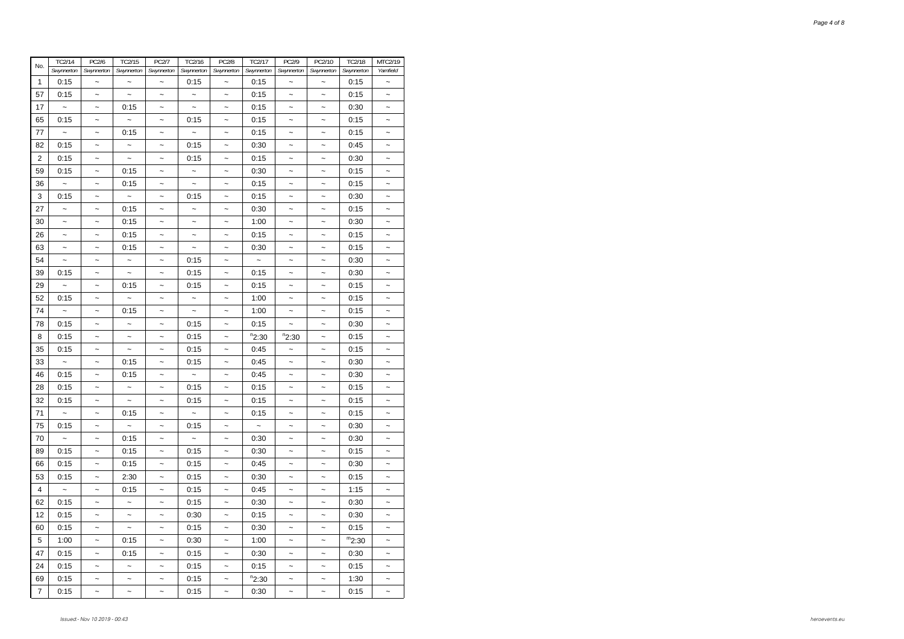| No.            | <b>TC2/14</b>             | PC2/6                     | TC2/15                    | <b>PC2/7</b>              | TC2/16                    | <b>PC2/8</b>              | TC2/17               | PC2/9                     | PC2/10                    | <b>TC2/18</b> | MTC2/19                   |
|----------------|---------------------------|---------------------------|---------------------------|---------------------------|---------------------------|---------------------------|----------------------|---------------------------|---------------------------|---------------|---------------------------|
|                | Swynnerton                | Swynnerton                | Swynnerton                | Swynnerton                | Swynnerton                | Swynnerton                | Swynnerton           | Swynnerton                | Swynnerton                | Swynnerton    | Yarnfield                 |
| $\mathbf{1}$   | 0:15                      | $\sim$                    | $\ddot{\phantom{0}}$      | $\ddot{\phantom{1}}$      | 0:15                      | $\ddot{\phantom{0}}$      | 0:15                 | $\ddot{\phantom{0}}$      | $\ddot{\phantom{1}}$      | 0:15          | $\sim$                    |
| 57             | 0:15                      | $\widetilde{\phantom{m}}$ | $\widetilde{\phantom{m}}$ | $\widetilde{\phantom{m}}$ | $\widetilde{\phantom{m}}$ | $\widetilde{\phantom{m}}$ | 0:15                 | $\widetilde{\phantom{m}}$ | $\tilde{}$                | 0:15          | $\tilde{}$                |
| 17             | $\overline{\phantom{a}}$  | $\ddot{\phantom{1}}$      | 0:15                      | $\ddot{\phantom{1}}$      | $\tilde{\phantom{a}}$     | $\widetilde{\phantom{m}}$ | 0:15                 | $\tilde{\phantom{a}}$     | $\overline{\phantom{a}}$  | 0:30          | $\tilde{}$                |
| 65             | 0:15                      | $\tilde{}$                | $\widetilde{\phantom{m}}$ | $\tilde{}$                | 0:15                      | $\tilde{}$                | 0:15                 | $\sim$                    | $\sim$                    | 0:15          | $\tilde{\phantom{a}}$     |
| 77             | $\tilde{}$                | $\tilde{\phantom{a}}$     | 0:15                      | $\tilde{\phantom{a}}$     | $\widetilde{\phantom{m}}$ | $\tilde{\phantom{a}}$     | 0:15                 | $\tilde{\phantom{a}}$     | $\tilde{\phantom{a}}$     | 0:15          | $\tilde{\phantom{a}}$     |
| 82             | 0:15                      | $\widetilde{\phantom{m}}$ | $\widetilde{\phantom{m}}$ | $\widetilde{\phantom{m}}$ | 0:15                      | $\tilde{}$                | 0:30                 | $\widetilde{\phantom{m}}$ | $\widetilde{\phantom{m}}$ | 0:45          | $\widetilde{\phantom{m}}$ |
| 2              | 0:15                      | $\ddot{\phantom{0}}$      | $\tilde{}$                | $\widetilde{\phantom{m}}$ | 0:15                      | $\ddot{\phantom{0}}$      | 0:15                 | $\widetilde{\phantom{m}}$ | $\widetilde{\phantom{m}}$ | 0:30          | $\tilde{}$                |
| 59             | 0:15                      | $\sim$                    | 0:15                      | $\tilde{\phantom{a}}$     | $\tilde{}$                | $\tilde{\phantom{a}}$     | 0:30                 | $\tilde{\phantom{a}}$     | $\tilde{\phantom{a}}$     | 0:15          | $\tilde{}$                |
| 36             | $\ddot{\phantom{0}}$      | $\tilde{}$                | 0:15                      | $\ddot{\phantom{0}}$      | $\ddot{\phantom{1}}$      | $\tilde{\phantom{a}}$     | 0:15                 | $\tilde{\phantom{a}}$     | $\tilde{\phantom{a}}$     | 0:15          | $\tilde{\phantom{a}}$     |
| 3              | 0:15                      | $\tilde{\phantom{a}}$     | $\widetilde{\phantom{m}}$ | $\tilde{}$                | 0:15                      | $\tilde{}$                | 0:15                 | $\tilde{}$                | $\tilde{}$                | 0:30          | $\tilde{}$                |
| 27             | $\tilde{}$                | $\ddot{\phantom{0}}$      | 0:15                      | $\tilde{}$                | $\tilde{}$                | $\tilde{}$                | 0:30                 | $\tilde{}$                | $\tilde{}$                | 0:15          | $\widetilde{\phantom{m}}$ |
| 30             | $\tilde{\phantom{a}}$     | $\tilde{\phantom{a}}$     | 0:15                      | $\tilde{}$                | $\widetilde{\phantom{m}}$ | $\widetilde{\phantom{m}}$ | 1:00                 | $\tilde{}$                | $\tilde{}$                | 0:30          | $\tilde{}$                |
| 26             | ~                         | $\tilde{\phantom{a}}$     | 0:15                      | $\tilde{\phantom{a}}$     | $\widetilde{\phantom{m}}$ | $\tilde{\phantom{a}}$     | 0:15                 | $\tilde{\phantom{a}}$     | $\tilde{\phantom{a}}$     | 0:15          |                           |
| 63             | $\tilde{}$                | $\widetilde{\phantom{m}}$ | 0:15                      | $\widetilde{\phantom{m}}$ | $\widetilde{\phantom{m}}$ | $\widetilde{\phantom{m}}$ | 0:30                 | $\tilde{}$                | $\widetilde{\phantom{m}}$ | 0:15          | $\tilde{}$                |
| 54             | $\ddot{\phantom{0}}$      | $\widetilde{\phantom{m}}$ | $\ddot{\phantom{0}}$      | $\tilde{}$                | 0:15                      | $\widetilde{\phantom{m}}$ | $\tilde{}$           | $\widetilde{\phantom{m}}$ | $\tilde{}$                | 0:30          | $\tilde{}$                |
| 39             | 0:15                      | $\ddot{\phantom{0}}$      | $\widetilde{\phantom{m}}$ | $\ddot{\phantom{1}}$      | 0:15                      | $\overline{\phantom{a}}$  | 0:15                 | $\widetilde{\phantom{m}}$ | $\ddot{\phantom{0}}$      | 0:30          | $\tilde{\phantom{a}}$     |
| 29             | $\widetilde{\phantom{m}}$ | $\widetilde{\phantom{m}}$ | 0:15                      | $\ddot{\phantom{1}}$      | 0:15                      | $\tilde{}$                | 0:15                 | $\tilde{}$                | $\widetilde{\phantom{m}}$ | 0:15          | $\tilde{\phantom{a}}$     |
| 52             | 0:15                      | $\ddot{\phantom{1}}$      | $\widetilde{\phantom{m}}$ | $\widetilde{\phantom{m}}$ | $\widetilde{\phantom{m}}$ | $\widetilde{\phantom{m}}$ | 1:00                 | $\widetilde{\phantom{m}}$ | $\widetilde{\phantom{m}}$ | 0:15          | $\tilde{}$                |
| 74             |                           | $\widetilde{\phantom{m}}$ | 0:15                      | $\tilde{}$                | $\widetilde{\phantom{m}}$ | $\tilde{}$                | 1:00                 | $\tilde{}$                | $\widetilde{\phantom{m}}$ | 0:15          | $\tilde{}$                |
| 78             | 0:15                      | $\ddot{\phantom{1}}$      | $\widetilde{\phantom{m}}$ | $\ddot{\phantom{1}}$      | 0:15                      | $\widetilde{\phantom{m}}$ | 0:15                 | $\tilde{\phantom{a}}$     | $\ddot{\phantom{0}}$      | 0:30          | $\tilde{}$                |
| 8              | 0:15                      | $\sim$                    | $\sim$                    | $\tilde{\phantom{a}}$     | 0:15                      | $\tilde{\phantom{a}}$     | $n_{2:30}$           | $n_{2:30}$                | $\sim$                    | 0:15          | $\tilde{\phantom{a}}$     |
| 35             | 0:15                      | $\widetilde{\phantom{m}}$ | $\tilde{}$                | $\widetilde{\phantom{m}}$ | 0:15                      | $\tilde{}$                | 0:45                 | $\ddot{\phantom{0}}$      | $\widetilde{\phantom{m}}$ | 0:15          | $\tilde{}$                |
| 33             | $\widetilde{\phantom{m}}$ | $\widetilde{\phantom{m}}$ | 0:15                      | $\tilde{}$                | 0:15                      | $\widetilde{\phantom{m}}$ | 0:45                 | $\widetilde{\phantom{m}}$ | $\widetilde{\phantom{m}}$ | 0:30          | $\widetilde{\phantom{m}}$ |
| 46             | 0:15                      | $\sim$                    | 0:15                      | $\widetilde{\phantom{m}}$ | $\widetilde{\phantom{m}}$ | $\widetilde{\phantom{m}}$ | 0:45                 | $\widetilde{\phantom{m}}$ | $\widetilde{\phantom{m}}$ | 0:30          | $\tilde{}$                |
| 28             | 0:15                      | $\tilde{ }$               | $\tilde{\phantom{a}}$     | $\tilde{\phantom{a}}$     | 0:15                      | $\sim$                    | 0:15                 | $\sim$                    | $\tilde{ }$               | 0:15          | $\tilde{ }$               |
| 32             | 0:15                      | $\sim$                    | $\ddot{\phantom{1}}$      | $\sim$                    | 0:15                      | $\tilde{}$                | 0:15                 | $\widetilde{\phantom{m}}$ | $\ddot{\phantom{0}}$      | 0:15          | $\ddot{ }$                |
| 71             | $\tilde{}$                | $\tilde{}$                | 0:15                      | $\tilde{}$                | $\widetilde{\phantom{m}}$ | $\tilde{}$                | 0:15                 | $\tilde{}$                | $\tilde{\phantom{a}}$     | 0:15          | $\tilde{}$                |
| 75             | 0:15                      | $\tilde{}$                | $\ddot{\phantom{1}}$      | $\widetilde{\phantom{m}}$ | 0:15                      | $\widetilde{\phantom{m}}$ | $\ddot{\phantom{0}}$ | $\tilde{}$                | $\widetilde{\phantom{m}}$ | 0:30          | $\tilde{}$                |
| 70             | $\tilde{}$                | $\tilde{\phantom{a}}$     | 0:15                      | $\tilde{}$                | $\widetilde{\phantom{m}}$ | $\tilde{}$                | 0:30                 | $\tilde{}$                | $\tilde{}$                | 0:30          | $\tilde{}$                |
| 89             | 0:15                      | $\ddot{\phantom{0}}$      | 0:15                      | $\ddot{\phantom{0}}$      | 0:15                      | $\tilde{}$                | 0:30                 | $\ddot{\phantom{0}}$      | $\ddot{\phantom{0}}$      | 0:15          | $\widetilde{\phantom{m}}$ |
| 66             | 0:15                      | $\tilde{}$                | 0:15                      | $\tilde{}$                | 0:15                      | $\widetilde{\phantom{m}}$ | 0:45                 | $\tilde{}$                | $\widetilde{\phantom{m}}$ | 0:30          | $\tilde{}$                |
| 53             | 0:15                      | $\ddot{\phantom{0}}$      | 2:30                      | $\ddot{\phantom{0}}$      | 0:15                      | $\tilde{}$                | 0:30                 | $\tilde{}$                | $\tilde{}$                | 0:15          | $\widetilde{\phantom{m}}$ |
| 4              | $\tilde{}$                | $\tilde{\phantom{a}}$     | 0:15                      | $\ddot{\phantom{1}}$      | 0:15                      | $\widetilde{\phantom{m}}$ | 0:45                 | $\widetilde{\phantom{m}}$ | $\tilde{\phantom{a}}$     | 1:15          | $\tilde{\phantom{a}}$     |
| 62             | 0:15                      | $\tilde{\phantom{a}}$     | $\tilde{\phantom{a}}$     | $\tilde{\phantom{a}}$     | 0:15                      | $\tilde{\phantom{a}}$     | 0:30                 | $\tilde{}$                | $\ddot{\phantom{0}}$      | 0:30          | $\tilde{\phantom{a}}$     |
| 12             | 0:15                      | $\widetilde{\phantom{m}}$ | $\tilde{}$                | $\tilde{}$                | 0:30                      | $\widetilde{\phantom{m}}$ | 0:15                 | $\widetilde{\phantom{m}}$ | $\tilde{}$                | 0:30          | $\tilde{}$                |
| 60             | 0:15                      | $\tilde{}$                | $\tilde{}$                | $\widetilde{\phantom{m}}$ | 0:15                      | $\widetilde{\phantom{m}}$ | 0:30                 | $\widetilde{\phantom{m}}$ | $\widetilde{\phantom{m}}$ | 0:15          | $\tilde{}$                |
| 5              | 1:00                      | $\widetilde{\phantom{m}}$ | 0:15                      | $\ddot{\phantom{1}}$      | 0:30                      | $\widetilde{\phantom{m}}$ | 1:00                 | $\widetilde{\phantom{m}}$ | $\widetilde{\phantom{m}}$ | $m_{2:30}$    | $\widetilde{\phantom{m}}$ |
| 47             | 0:15                      | $\tilde{}$                | 0:15                      | $\tilde{}$                | 0:15                      | $\tilde{}$                | 0:30                 | $\tilde{}$                | $\tilde{}$                | 0:30          | $\tilde{}$                |
| 24             | 0:15                      | $\ddot{\phantom{1}}$      | $\ddot{\phantom{1}}$      | $\widetilde{\phantom{m}}$ | 0:15                      | $\tilde{\phantom{a}}$     | 0:15                 | $\ddot{\phantom{1}}$      | $\tilde{}$                | 0:15          | $\tilde{\phantom{a}}$     |
| 69             | 0:15                      |                           |                           |                           |                           | $\widetilde{\phantom{m}}$ | $n_{2:30}$           |                           |                           |               |                           |
| $\overline{7}$ |                           | $\widetilde{\phantom{m}}$ | $\widetilde{\phantom{m}}$ | $\ddot{\phantom{1}}$      | 0:15                      |                           |                      | $\ddot{\phantom{0}}$      | $\tilde{}$                | 1:30          | $\tilde{}$                |
|                | 0:15                      | $\ddot{ }$                | $\ddot{\phantom{0}}$      | $\ddot{\phantom{0}}$      | 0:15                      | $\ddot{\phantom{0}}$      | 0:30                 | $\ddot{\phantom{0}}$      | $\ddot{\phantom{0}}$      | 0:15          | $\ddot{\phantom{0}}$      |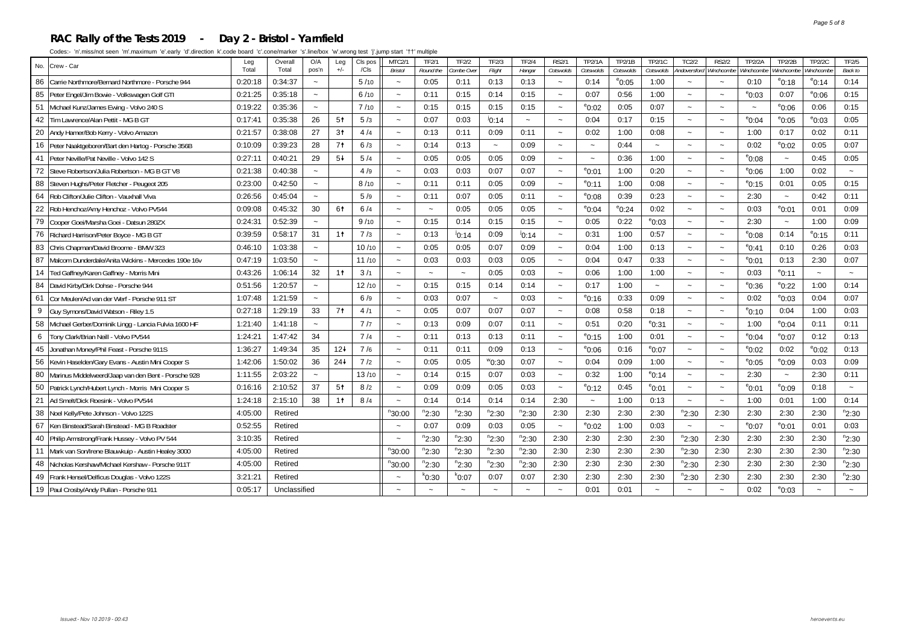#### **RAC Rally of the Tests 2019 - Day 2 - Bristol - Yarnfield**

| No.<br>Crew - Car                                         | Leg<br>Total | O/A<br>Overall<br>CIs pos<br>Leg<br>Total<br>$+/-$<br>/ <sub>cls</sub><br>pos'n |                           |                |       | <b>MTC2/1</b><br><b>Bristol</b> | <b>TF2/1</b><br>Round the | TF2/2<br>ombe Over | TF2/3<br>Flight       | <b>TF2/4</b><br>Hangar | <b>RS2/1</b><br>Cotswolds | TP2/1A<br>Cotswolds   | <b>TP2/1B</b><br>Cotswolds | TP2/1C<br>Cotswolds   | TC2/2<br>Andoversford     | <b>RS2/2</b><br>Winchcombe | <b>TP2/2A</b><br>Vinchcombe | <b>TP2/2B</b><br>Vinchcombe | <b>TP2/2C</b><br>Ninchcombe | TF2/5<br><b>Back to</b> |
|-----------------------------------------------------------|--------------|---------------------------------------------------------------------------------|---------------------------|----------------|-------|---------------------------------|---------------------------|--------------------|-----------------------|------------------------|---------------------------|-----------------------|----------------------------|-----------------------|---------------------------|----------------------------|-----------------------------|-----------------------------|-----------------------------|-------------------------|
| Carrie Northmore/Bernard Northmore - Porsche 944<br>86    | 0:20:18      | 0:34:37                                                                         | $\tilde{\phantom{a}}$     |                | 5/10  |                                 | 0:05                      | 0:11               | 0:13                  | 0:13                   | $\widetilde{\phantom{m}}$ | 0:14                  | $^{\circ}$ 0:05            | 1:00                  |                           |                            | 0:10                        | $^{\circ}$ 0:18             | $^{\circ}$ 0:14             | 0:14                    |
| 85 Peter Engel/Jim Bowie - Volkswagen Golf GTI            | 0:21:25      | 0:35:18                                                                         | $\tilde{\phantom{a}}$     |                | 6/10  |                                 | 0:11                      | 0:15               | 0:14                  | 0:15                   | $\sim$                    | 0:07                  | 0:56                       | 1:00                  |                           |                            | $^{\circ}$ 0:03             | 0:07                        | $^{\circ}$ 0:06             | 0:15                    |
| 51 Michael Kunz/James Ewing - Volvo 240 S                 | 0:19:22      | 0:35:36                                                                         | $\tilde{\phantom{a}}$     |                | 7/10  | $\tilde{\phantom{a}}$           | 0:15                      | 0:15               | 0:15                  | 0:15                   | $\tilde{}$                | $^{\circ}$ 0:02       | 0:05                       | 0:07                  | $\tilde{\phantom{a}}$     |                            |                             | $^{\circ}$ 0:06             | 0:06                        | 0:15                    |
| Tim Lawrence/Alan Pettit - MG B GT<br>42                  | 0:17:41      | 0:35:38                                                                         | 26                        | 5 <sup>†</sup> | 5/3   | $\sim$                          | 0:07                      | 0:03               | $^{j}$ 0:14           | $\sim$                 | $\sim$                    | 0:04                  | 0:17                       | 0:15                  | $\sim$                    |                            | $e_{0:04}$                  | $^{\circ}$ 0:05             | $^{\circ}$ 0:03             | 0:05                    |
| 20 Andy Hamer/Bob Kerry - Volvo Amazon                    | 0:21:57      | 0:38:08                                                                         | 27                        | 3 <sup>†</sup> | 4/4   | $\sim$                          | 0:13                      | 0:11               | 0:09                  | 0:11                   | $\sim$                    | 0:02                  | 1:00                       | 0:08                  |                           |                            | 1:00                        | 0:17                        | 0:02                        | 0:11                    |
| 16 Peter Naaktgeboren/Bart den Hartog - Porsche 356B      | 0:10:09      | 0:39:23                                                                         | 28                        | 7 <sup>†</sup> | 6/3   | $\thicksim$                     | 0:14                      | 0:13               | $\tilde{\phantom{a}}$ | 0:09                   | $\tilde{\phantom{a}}$     | $\thicksim$           | 0:44                       | $\tilde{}$            | $\tilde{\phantom{a}}$     | $\overline{\phantom{a}}$   | 0:02                        | $^{\circ}$ 0:02             | 0:05                        | 0:07                    |
| 41 Peter Neville/Pat Neville - Volvo 142 S                | 0:27:11      | 0:40:21                                                                         | 29                        | $5+$           | 5/4   | $\sim$                          | 0:05                      | 0:05               | 0:05                  | 0:09                   | $\sim$                    | $\tilde{\phantom{a}}$ | 0:36                       | 1:00                  | $\sim$                    | $\ddot{\phantom{0}}$       | $^{\circ}$ 0:08             | $\sim$                      | 0:45                        | 0:05                    |
| 72<br>Steve Robertson/Julia Robertson - MG B GT V8        | 0:21:38      | 0:40:38                                                                         | $\sim$                    |                | 4/9   |                                 | 0:03                      | 0:03               | 0:07                  | 0:07                   | $\sim$                    | $^{\circ}$ 0:01       | 1:00                       | 0:20                  |                           |                            | $^{\circ}$ 0:06             | 1:00                        | 0:02                        |                         |
| 88 Steven Hughs/Peter Fletcher - Peugeot 205              | 0:23:00      | 0:42:50                                                                         | $\tilde{\phantom{a}}$     |                | 8/10  | $\tilde{\phantom{a}}$           | 0:11                      | 0:11               | 0:05                  | 0:09                   | $\tilde{}$                | $^{\circ}$ 0:11       | 1:00                       | 0:08                  | $\tilde{}$                | $\sim$                     | $^{\circ}$ 0:15             | 0:01                        | 0:05                        | 0:15                    |
| 64 Rob Clifton/Julie Clifton - Vauxhall Viva              | 0:26:56      | 0:45:04                                                                         | $\sim$                    |                | 5/9   | $\sim$                          | 0:11                      | 0:07               | 0:05                  | 0:11                   | $\widetilde{\phantom{m}}$ | $^{\circ}$ 0:08       | 0:39                       | 0:23                  | $\tilde{\phantom{a}}$     | $\overline{\phantom{a}}$   | 2:30                        | $\tilde{\phantom{a}}$       | 0:42                        | 0:11                    |
| 22<br>Rob Henchoz/Amy Henchoz - Volvo PV544               | 0:09:08      | 0:45:32                                                                         | 30                        | 61             | 6/4   |                                 |                           | 0:05               | 0:05                  | 0:05                   | $\sim$                    | $^{\circ}$ 0:04       | $^{\circ}$ 0:24            | 0:02                  |                           |                            | 0:03                        | $^{\circ}$ 0:01             | 0:01                        | 0:09                    |
| 79<br>Cooper Goei/Marsha Goei - Datsun 280ZX              | 0:24:31      | 0:52:39                                                                         | $\widetilde{\phantom{m}}$ |                | 9/10  |                                 | 0:15                      | 0:14               | 0:15                  | 0:15                   | $\widetilde{\phantom{m}}$ | 0:05                  | 0:22                       | $^{\circ}$ 0:03       | $\tilde{}$                | $\ddot{\phantom{0}}$       | 2:30                        | $\tilde{\phantom{a}}$       | 1:00                        | 0:09                    |
| 76 Richard Harrison/Peter Boyce - MG B GT                 | 0:39:59      | 0:58:17                                                                         | 31                        | 1 <sup>†</sup> | 7/3   | $\sim$                          | 0:13                      | 10:14              | 0:09                  | 10:14                  | $\sim$                    | 0:31                  | 1:00                       | 0:57                  | $\sim$                    | $\sim$                     | $^{\circ}$ 0:08             | 0:14                        | $^{\circ}$ 0:15             | 0:11                    |
| 83 Chris Chapman/David Broome - BMW 323                   | 0:46:10      | 1:03:38                                                                         | $\tilde{\phantom{a}}$     |                | 10/10 |                                 | 0:05                      | 0:05               | 0:07                  | 0:09                   | $\sim$                    | 0:04                  | 1:00                       | 0:13                  | $\tilde{\phantom{a}}$     | $\sim$                     | $e_{0:41}$                  | 0:10                        | 0:26                        | 0:03                    |
| 87 Malcom Dunderdale/Anita Wickins - Mercedes 190e 16v    | 0:47:19      | 1:03:50                                                                         | $\sim$                    |                | 11/10 |                                 | 0:03                      | 0:03               | 0:03                  | 0:05                   | $\widetilde{\phantom{m}}$ | 0:04                  | 0:47                       | 0:33                  |                           |                            | $^{\circ}$ 0:01             | 0:13                        | 2:30                        | 0:07                    |
| 14   Ted Gaffney/Karen Gaffney - Morris Mini              | 0:43:26      | 1:06:14                                                                         | 32                        | 1 <sup>†</sup> | 3/1   | $\sim$                          | $\sim$                    | $\sim$             | 0:05                  | 0:03                   | $\sim$                    | 0:06                  | 1:00                       | 1:00                  | $\sim$                    | $\sim$                     | 0:03                        | $^{\circ}$ 0:11             | $\tilde{\phantom{a}}$       | $\sim$                  |
| 84 David Kirby/Dirk Dohse - Porsche 944                   | 0:51:56      | 1:20:57                                                                         | $\sim$                    |                | 12/10 | $\sim$                          | 0:15                      | 0:15               | 0:14                  | 0:14                   | $\sim$                    | 0:17                  | 1:00                       | $\tilde{\phantom{a}}$ |                           |                            | $^{\circ}$ 0:36             | $^{\circ}$ 0:22             | 1:00                        | 0:14                    |
| 61<br>Cor Meulen/Ad van der Werf - Porsche 911 ST         | 1:07:48      | 1:21:59                                                                         | $\widetilde{\phantom{m}}$ |                | 6/9   |                                 | 0:03                      | 0:07               | $\tilde{\phantom{a}}$ | 0:03                   | $\widetilde{\phantom{m}}$ | $^{\circ}$ 0:16       | 0:33                       | 0:09                  | $\tilde{\phantom{a}}$     | $\overline{\phantom{a}}$   | 0:02                        | $^{\circ}$ 0:03             | 0:04                        | 0:07                    |
| 9<br>Guy Symons/David Watson - Riley 1.5                  | 0:27:18      | 1:29:19                                                                         | 33                        | 7 <sup>†</sup> | 4/1   | $\sim$                          | 0:05                      | 0:07               | 0:07                  | 0:07                   | $\tilde{\phantom{a}}$     | 0:08                  | 0:58                       | 0:18                  | $\sim$                    | $\sim$                     | $^{\circ}$ 0:10             | 0:04                        | 1:00                        | 0:03                    |
| 58 Michael Gerber/Dominik Lingg - Lancia Fulvia 1600 HF   | 1:21:40      | 1:41:18                                                                         | $\sim$                    |                | 7/7   |                                 | 0:13                      | 0:09               | 0:07                  | 0:11                   | $\tilde{\phantom{a}}$     | 0:51                  | 0:20                       | $^{\circ}$ 0:31       |                           |                            | 1:00                        | $^{\circ}$ 0:04             | 0:11                        | 0:11                    |
| 6   Tony Clark/Brian Neill - Volvo PV544                  | 1:24:21      | 1:47:42                                                                         | 34                        |                | 7/4   |                                 | 0:11                      | 0:13               | 0:13                  | 0:11                   | $\tilde{}$                | $^{\circ}$ 0:15       | 1:00                       | 0:01                  | $\widetilde{\phantom{m}}$ |                            | $e_{0:04}$                  | $^{\circ}$ 0:07             | 0:12                        | 0:13                    |
| 45 Jonathan Money/Phil Feast - Porsche 911S               | 1:36:27      | 1:49:34                                                                         | 35                        | $12+$          | 7/6   | $\sim$                          | 0:11                      | 0:11               | 0:09                  | 0:13                   | $\tilde{}$                | $^{\circ}0.06$        | 0:16                       | $^{\circ}$ 0:07       | $\sim$                    | $\ddot{\phantom{1}}$       | $^{\circ}$ 0:02             | 0:02                        | $^{\circ}$ 0:02             | 0:13                    |
| 56 Kevin Haselden/Gary Evans - Austin Mini Cooper S       | 1:42:06      | 1:50:02                                                                         | 36                        | $24+$          | 7/2   |                                 | 0:05                      | 0:05               | $^{\rm w}$ 0:30       | 0:07                   |                           | 0:04                  | 0:09                       | 1:00                  |                           |                            | $^{\circ}$ 0:05             | $^{\circ}$ 0:09             | 0:03                        | 0:09                    |
| Marinus Middelweerd/Jaap van den Bent - Porsche 928<br>80 | 1:11:55      | 2:03:22                                                                         | $\widetilde{\phantom{m}}$ |                | 13/10 | $\widetilde{\phantom{m}}$       | 0:14                      | 0:15               | 0:07                  | 0:03                   | $\tilde{}$                | 0:32                  | 1:00                       | $^{\circ}$ 0:14       | $\tilde{}$                | $\ddot{\phantom{0}}$       | 2:30                        | $\tilde{\phantom{a}}$       | 2:30                        | 0:11                    |
| 50 Patrick Lynch/Hubert Lynch - Morris Mini Cooper S      | 0:16:16      | 2:10:52                                                                         | 37                        | 5 <sup>†</sup> | 8/2   | $\thicksim$                     | 0:09                      | 0:09               | 0:05                  | 0:03                   | $\thicksim$               | $^{\circ}$ 0:12       | 0:45                       | $^{\circ}$ 0:01       | $\tilde{\phantom{a}}$     | $\tilde{\phantom{a}}$      | $^{\circ}$ 0:01             | $^{\circ}0:09$              | 0:18                        | $\sim$                  |
| 21 Ad Smelt/Dick Roesink - Volvo PV544                    | 1:24:18      | 2:15:10                                                                         | 38                        | 1 <sup>†</sup> | 8/4   |                                 | 0:14                      | 0:14               | 0:14                  | 0:14                   | 2:30                      | $\sim$                | 1:00                       | 0:13                  | $\sim$                    |                            | 1:00                        | 0:01                        | 1:00                        | 0:14                    |
| 38 Noel Kelly/Pete Johnson - Volvo 122S                   | 4:05:00      | Retired                                                                         |                           |                |       | $n_{30:00}$                     | $n_{2:30}$                | $n_{2:30}$         | $n_{2:30}$            | $n_{2:30}$             | 2:30                      | 2:30                  | 2:30                       | 2:30                  | $n_{2:30}$                | 2:30                       | 2:30                        | 2:30                        | 2:30                        | $n_{2:30}$              |
| 67 Ken Binstead/Sarah Binstead - MG B Roadster            | 0:52:55      | Retired                                                                         |                           |                |       |                                 | 0:07                      | 0:09               | 0:03                  | 0:05                   | $\tilde{\phantom{a}}$     | $^{\circ}$ 0:02       | 1:00                       | 0:03                  | $\tilde{\phantom{a}}$     | $\tilde{}$                 | $^{\circ}$ 0:07             | $^{\circ}$ 0:01             | 0:01                        | 0:03                    |
| 40 Philip Armstrong/Frank Hussey - Volvo PV 544           | 3:10:35      | Retired                                                                         |                           |                |       |                                 | $n_{2:30}$                | $n_{2:30}$         | $n_{2:30}$            | $n_{2:30}$             | 2:30                      | 2:30                  | 2:30                       | 2:30                  | $n_{2:30}$                | 2:30                       | 2:30                        | 2:30                        | 2:30                        | $n_{2:30}$              |
| 11 Mark van Son/Irene Blauwkuip - Austin Healey 3000      | 4:05:00      | Retired                                                                         |                           |                |       | $n_{30:00}$                     | $n_{2:30}$                | $n_{2:30}$         | $n_{2:30}$            | $n_{2:30}$             | 2:30                      | 2:30                  | 2:30                       | 2:30                  | $n_{2:30}$                | 2:30                       | 2:30                        | 2:30                        | 2:30                        | $n_{2:30}$              |
| 48 Nicholas Kershaw/Michael Kershaw - Porsche 911T        | 4:05:00      | Retired                                                                         |                           |                |       | $n_{30:00}$                     | $n_{2:30}$                | $n_{2:30}$         | $n_{2:30}$            | $n_{2:30}$             | 2:30                      | 2:30                  | 2:30                       | 2:30                  | $n_{2:30}$                | 2:30                       | 2:30                        | 2:30                        | 2:30                        | $n_{2:30}$              |
| 49<br>Frank Hensel/Delficus Douglas - Volvo 122S          | 3:21:21      | Retired                                                                         |                           |                |       |                                 | $k_{0:30}$                | $k_{0:07}$         | 0:07                  | 0:07                   | 2:30                      | 2:30                  | 2:30                       | 2:30                  | $n_{2:30}$                | 2:30                       | 2:30                        | 2:30                        | 2:30                        | $n_{2:30}$              |
| 19 Paul Crosby/Andy Pullan - Porsche 911                  | 0:05:17      | Unclassified                                                                    |                           |                |       |                                 |                           |                    |                       |                        |                           | 0:01                  | 0:01                       |                       |                           |                            | 0:02                        | $^{\circ}$ 0:03             |                             |                         |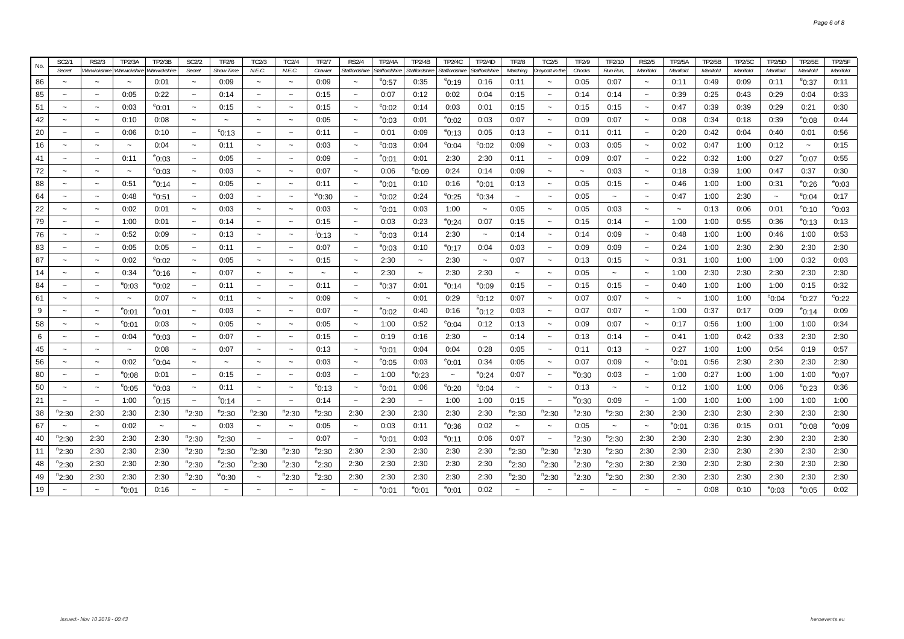| No.      | SC2/1                           | <b>RS2/3</b>                          | <b>TP2/3A</b>                         | TP2/3B                        | <b>SC2/2</b>                        | <b>TF2/6</b>             | TC2/3                           | TC2/4                               | <b>TF2/7</b>           | <b>RS2/4</b>                           | <b>TP2/4A</b>          | TP2/4B                    | <b>TP2/4C</b>                      | TP2/4D                    | <b>TF2/8</b>                            | <b>TC2/5</b>              | TF2/9                 | TF2/10                              | <b>RS2/5</b>                      | <b>TP2/5A</b>           | <b>TP2/5B</b>    | <b>TP2/5C</b>    | TP2/5D                | <b>TP2/5E</b>               | TP2/5F                  |
|----------|---------------------------------|---------------------------------------|---------------------------------------|-------------------------------|-------------------------------------|--------------------------|---------------------------------|-------------------------------------|------------------------|----------------------------------------|------------------------|---------------------------|------------------------------------|---------------------------|-----------------------------------------|---------------------------|-----------------------|-------------------------------------|-----------------------------------|-------------------------|------------------|------------------|-----------------------|-----------------------------|-------------------------|
| 86       | Secret<br>$\tilde{\phantom{a}}$ | Warwickshire<br>$\tilde{\phantom{a}}$ | Warwickshire<br>$\tilde{\phantom{a}}$ | Warwickshin<br>0:01           | Secret<br>$\tilde{\phantom{a}}$     | <b>Show Time</b><br>0:09 | N.E.C.<br>$\tilde{\phantom{a}}$ | N.E.C.<br>$\sim$                    | Crawler<br>0:09        | Staffordshire<br>$\tilde{\phantom{a}}$ | Staffordshire<br>°0:57 | Staffordshire<br>0:35     | Staffordshire<br>$^{\circ}$ 0:19   | Staffordshire<br>0:16     | Marching<br>0:11                        | Draycott in the           | Chocks<br>0:05        | Run Run,<br>0:07                    | Manifold<br>$\tilde{\phantom{a}}$ | Manifold<br>0:11        | Manifold<br>0:49 | Manifold<br>0:09 | Manifold<br>0:11      | Manifold<br>$^{\circ}$ 0:37 | Manifold<br>0:11        |
| 85       | $\tilde{\phantom{a}}$           | $\tilde{\phantom{a}}$                 | 0:05                                  | 0:22                          | $\tilde{\phantom{a}}$               | 0:14                     | $\tilde{\phantom{a}}$           | $\sim$                              | 0:15                   | $\tilde{\phantom{a}}$                  | 0:07                   | 0:12                      | 0:02                               | 0:04                      | 0:15                                    | $\sim$                    | 0:14                  | 0:14                                | $\tilde{\phantom{a}}$             | 0:39                    | 0:25             | 0:43             | 0:29                  | 0:04                        | 0:33                    |
| 51       | $\tilde{\phantom{a}}$           | $\thicksim$                           | 0:03                                  | $^{\circ}$ 0:01               |                                     | 0:15                     |                                 |                                     | 0:15                   | $\ddot{\phantom{1}}$                   | $^{\circ}$ 0:02        | 0:14                      | 0:03                               | 0:01                      | 0:15                                    | $\sim$                    | 0:15                  | 0:15                                | $\sim$                            | 0:47                    | 0:39             | 0:39             | 0:29                  | 0:21                        | 0:30                    |
| 42       | $\tilde{\phantom{a}}$           | $\thicksim$                           | 0:10                                  | 0:08                          | $\tilde{\phantom{a}}$               |                          | $\tilde{\phantom{a}}$           |                                     | 0:05                   | $\tilde{\phantom{a}}$                  | $^{\rm e}$ 0:03        | 0:01                      | $^{\circ}$ 0:02                    | 0:03                      | 0:07                                    | $\thicksim$               | 0:09                  | 0:07                                | $\tilde{\phantom{a}}$             | 0:08                    | 0:34             | 0:18             | 0:39                  | $^{\circ}$ 0:08             | 0:44                    |
| 20       | $\tilde{}$                      | $\thicksim$                           | 0:06                                  | 0:10                          | $\tilde{\phantom{a}}$               | $\degree$ 0:13           |                                 |                                     | 0:11                   | $\tilde{}$                             | 0:01                   | 0:09                      | $^{\circ}$ 0:13                    | 0:05                      | 0:13                                    | $\tilde{}$                | 0:11                  | 0:11                                | $\tilde{\phantom{a}}$             | 0:20                    | 0:42             | 0:04             | 0:40                  | 0:01                        | 0:56                    |
| 16       | $\tilde{\phantom{a}}$           | $\thicksim$                           | $\widetilde{\phantom{m}}$             | 0:04                          | $\widetilde{\phantom{m}}$           | 0:11                     | $\widetilde{\phantom{m}}$       | $\sim$                              | 0:03                   | $\tilde{}$                             | $^{\rm e}$ 0:03        | 0:04                      | $^{\rm e}$ 0:04                    | $^{\rm e}$ 0:02           | 0:09                                    | $\widetilde{\phantom{m}}$ | 0:03                  | 0:05                                | $\tilde{\phantom{a}}$             | 0:02                    | 0:47             | 1:00             | 0:12                  | $\thicksim$                 | 0:15                    |
| 41       | $\tilde{\phantom{a}}$           | $\tilde{}$                            | 0:11                                  | $^{\circ}$ 0:03               | $\sim$                              | 0:05                     | $\sim$                          |                                     | 0:09                   | $\sim$                                 | $^{\circ}$ 0:01        | 0:01                      | 2:30                               | 2:30                      | 0:11                                    | $\tilde{\phantom{a}}$     | 0:09                  | 0:07                                | $\sim$                            | 0:22                    | 0:32             | 1:00             | 0:27                  | °0:07                       | 0:55                    |
| 72       | $\widetilde{\phantom{m}}$       | $\tilde{}$                            | $\thicksim$                           | $^{\circ}$ 0:03               | $\tilde{}$                          | 0:03                     | $\tilde{\phantom{a}}$           |                                     | 0:07                   | $\widetilde{\phantom{m}}$              | 0:06                   | °0:09                     | 0:24                               | 0:14                      | 0:09                                    | $\widetilde{\phantom{m}}$ | $\tilde{\phantom{a}}$ | 0:03                                | $\tilde{\phantom{a}}$             | 0:18                    | 0:39             | 1:00             | 0:47                  | 0:37                        | 0:30                    |
| 88       | $\tilde{}$                      | $\widetilde{\phantom{m}}$             | 0:51                                  | $^{\circ}$ 0:14               | $\widetilde{\phantom{m}}$           | 0:05                     | $\thicksim$                     | $\tilde{\phantom{a}}$               | 0:11                   | $\thicksim$                            | $^{\rm e}$ 0:01        | 0:10                      | 0:16                               | $^{\circ}$ 0:01           | 0:13                                    | $\widetilde{\phantom{m}}$ | 0:05                  | 0:15                                | $\thicksim$                       | 0:46                    | 1:00             | 1:00             | 0:31                  | $^{\circ}$ 0:26             | $^{\circ}$ 0:03         |
| 64       | $\sim$                          | $\thicksim$                           | 0:48                                  | $^{\rm e}$ 0:51               | $\thicksim$                         | 0:03                     | $\tilde{\phantom{a}}$           | $\sim$                              | $^{\prime\prime}$ 0:30 | $\sim$                                 | $^{\rm e}$ 0:02        | 0:24                      | $^{\circ}$ 0:25                    | $^{\rm e}$ 0:34           | $\tilde{\phantom{a}}$                   | $\tilde{}$                | 0:05                  | $\tilde{\phantom{a}}$               | $\sim$                            | 0:47                    | 1:00             | 2:30             | $\tilde{\phantom{a}}$ | $^{\circ}$ 0:04             | 0:17                    |
| 22       | $\tilde{\phantom{a}}$           | $\widetilde{\phantom{m}}$             | 0:02                                  | 0:01                          | $\tilde{}$                          | 0:03                     | $\widetilde{\phantom{m}}$       |                                     | 0:03                   | $\tilde{}$                             | $^{\circ}$ 0:01        | 0:03                      | 1:00                               | $\widetilde{\phantom{m}}$ | 0:05                                    | $\tilde{}$                | 0:05                  | 0:03                                | $\tilde{}$                        | $\tilde{}$              | 0:13             | 0:06             | 0:01                  | <sup>e</sup> 0:10           | $^{\circ}$ 0:03         |
| 79       | $\widetilde{\phantom{m}}$       | $\thicksim$                           | 1:00                                  | 0:01                          | $\widetilde{\phantom{m}}$           | 0:14                     | $\widetilde{\phantom{m}}$       |                                     | 0:15                   | $\tilde{\phantom{a}}$                  | 0:03                   | 0:23                      | $^{\circ}$ 0:24                    | 0:07                      | 0:15                                    | $\widetilde{\phantom{m}}$ | 0:15                  | 0:14                                | $\tilde{\phantom{a}}$             | 1:00                    | 1:00             | 0:55             | 0:36                  | <sup>e</sup> 0:13           | 0:13                    |
| 76       | $\tilde{}$                      | $\widetilde{\phantom{m}}$             | 0:52                                  | 0:09                          | $\widetilde{\phantom{m}}$           | 0:13                     | $\tilde{}$                      | $\sim$                              | 10:13                  | $\sim$                                 | $^{\rm e}$ 0:03        | 0:14                      | 2:30                               | $\thicksim$               | 0:14                                    | $\widetilde{\phantom{m}}$ | 0:14                  | 0:09                                | $\sim$                            | 0:48                    | 1:00             | 1:00             | 0:46                  | 1:00                        | 0:53                    |
| 83       | $\tilde{\phantom{a}}$           | $\tilde{\phantom{a}}$                 | 0:05                                  | 0:05                          | $\tilde{\phantom{a}}$               | 0:11                     | $\tilde{\phantom{a}}$           |                                     | 0:07                   | $\tilde{\phantom{a}}$                  | $e_{0:03}$             | 0:10                      | $^{\circ}$ 0:17                    | 0:04                      | 0:03                                    | $\sim$                    | 0:09                  | 0:09                                | $\tilde{\phantom{a}}$             | 0:24                    | 1:00             | 2:30             | 2:30                  | 2:30                        | 2:30                    |
| 87       | $\tilde{\phantom{a}}$           | $\widetilde{\phantom{m}}$             | 0:02                                  | $^{\rm e}$ 0:02               | $\widetilde{\phantom{m}}$           | 0:05                     | $\tilde{\phantom{a}}$           |                                     | 0:15                   | $\tilde{}$                             | 2:30                   | $\widetilde{\phantom{m}}$ | 2:30                               | $\tilde{\phantom{a}}$     | 0:07                                    | $\widetilde{\phantom{m}}$ | 0:13                  | 0:15                                | $\tilde{\phantom{a}}$             | 0:31                    | 1:00             | 1:00             | 1:00                  | 0:32                        | 0:03                    |
| 14       | $\tilde{}$                      | $\tilde{\phantom{a}}$                 | 0:34                                  | $^{\circ}$ 0:16               | $\thicksim$                         | 0:07                     | $\tilde{\phantom{a}}$           | $\sim$                              | $\tilde{\phantom{a}}$  | $\tilde{\phantom{a}}$                  | 2:30                   | $\thicksim$               | 2:30                               | 2:30                      | $\sim$                                  | $\tilde{\phantom{a}}$     | 0:05                  | $\tilde{\phantom{a}}$               | $\tilde{\phantom{a}}$             | 1:00                    | 2:30             | 2:30             | 2:30                  | 2:30                        | 2:30                    |
| 84       | $\tilde{\phantom{a}}$           | $\thicksim$                           | $^{\circ}$ 0:03                       | $^{\circ}$ 0:02               | $\tilde{\phantom{a}}$               | 0:11                     | $\tilde{\phantom{a}}$           | $\sim$                              | 0:11                   | $\tilde{\phantom{a}}$                  | °0:37                  | 0:01                      | $^{\circ}$ 0:14                    | $^{\rm e}$ 0:09           | 0:15                                    | $\tilde{}$                | 0:15                  | 0:15                                | $\thicksim$                       | 0:40                    | 1:00             | 1:00             | 1:00                  | 0:15                        | 0:32                    |
| 61       | $\sim$                          | $\sim$                                | $\tilde{\phantom{a}}$                 | 0:07                          |                                     | 0:11                     |                                 |                                     | 0:09                   |                                        | $\sim$                 | 0:01                      | 0:29                               | $^{\circ}$ 0:12           | 0:07                                    |                           | 0:07                  | 0:07                                |                                   | $\tilde{\phantom{a}}$   | 1:00             | 1:00             | $^{\circ}$ 0:04       | $^{\circ}$ 0:27             | $^{\circ}$ 0:22         |
| 9        | $\sim$                          | $\thicksim$                           | $^{\circ}$ 0:01                       | $^{\rm e}$ 0:01               | $\tilde{\phantom{a}}$               | 0:03                     |                                 |                                     | 0:07                   | $\tilde{}$                             | $^{\circ}$ 0:02        | 0:40                      | 0:16                               | $^{\rm e}$ 0:12           | 0:03                                    | $\tilde{}$                | 0:07                  | 0:07                                | $\thicksim$                       | 1:00                    | 0:37             | 0:17             | 0:09                  | $^{\circ}$ 0:14             | 0:09                    |
| 58       | $\tilde{\phantom{a}}$           | $\sim$                                | $^{\rm e}$ 0:01                       | 0:03                          | $\thicksim$                         | 0:05                     | $\tilde{}$                      | $\sim$                              | 0:05                   | $\tilde{\phantom{a}}$                  | 1:00                   | 0:52                      | $^{\circ}$ 0:04                    | 0:12                      | 0:13                                    | $\tilde{\phantom{a}}$     | 0:09                  | 0:07                                | $\thicksim$                       | 0:17                    | 0:56             | 1:00             | 1:00                  | 1:00                        | 0:34                    |
| 6        | $\sim$                          | $\thicksim$                           | 0:04                                  | $^{\circ}$ 0:03               | $\tilde{\phantom{a}}$               | 0:07                     | $\tilde{\phantom{a}}$           |                                     | 0:15                   | $\overline{\phantom{a}}$               | 0:19                   | 0:16                      | 2:30                               | $\widetilde{\phantom{m}}$ | 0:14                                    | $\tilde{\phantom{a}}$     | 0:13                  | 0:14                                | $\tilde{\phantom{a}}$             | 0:41                    | 1:00             | 0:42             | 0:33                  | 2:30                        | 2:30                    |
| 45       | $\tilde{\phantom{a}}$           | $\sim$                                | $\sim$                                | 0:08                          | $\sim$                              | 0:07                     | $\tilde{\phantom{a}}$           |                                     | 0:13                   | $\sim$                                 | $^{\circ}$ 0:01        | 0:04                      | 0:04                               | 0:28                      | 0:05                                    | $\tilde{\phantom{a}}$     | 0:11                  | 0:13                                | $\sim$                            | 0:27                    | 1:00             | 1:00             | 0:54                  | 0:19                        | 0:57                    |
| 56       | $\tilde{}$                      | $\widetilde{\phantom{m}}$             | 0:02                                  | $^{\rm e}$ 0:04               | $\tilde{}$                          |                          | $\tilde{}$                      | $\tilde{\phantom{a}}$               | 0:03                   | $\tilde{}$                             | $^{\rm e}$ 0:05        | 0:03                      | $^{\circ}$ 0:01                    | 0:34                      | 0:05                                    | $\tilde{}$                | 0:07                  | 0:09                                | $\tilde{\phantom{a}}$             | $^{\circ}$ 0:01         | 0:56             | 2:30             | 2:30                  | 2:30                        | 2:30                    |
| 80       | $\sim$                          | $\thicksim$                           | $^{\circ}$ 0:08                       | 0:01                          | $\sim$                              | 0:15                     | $\sim$                          | $\sim$                              | 0:03                   | $\sim$                                 | 1:00                   | $^{\rm e}$ 0:23           | $\tilde{\phantom{a}}$              | $^{\circ}$ 0:24           | 0:07                                    | $\sim$                    | $^{\rm w}$ 0:30       | 0:03                                | $\sim$                            | 1:00                    | 0:27             | 1:00             | 1:00                  | 1:00                        | $^{\rm e}$ 0:07         |
| 50       | $\sim$                          | $\thicksim$                           | $^{\circ}$ 0:05                       | $^{\circ}$ 0:03               | $\tilde{\phantom{a}}$               | 0:11                     | $\tilde{\phantom{a}}$           |                                     | $^{\circ}$ 0:13        | $\tilde{}$                             | $^{\circ}$ 0:01        | 0:06                      | $^{\circ}$ 0:20                    | $^{\rm e}$ 0:04           | $\tilde{}$                              | $\overline{\phantom{0}}$  | 0:13                  | $\tilde{\phantom{a}}$               | $\sim$                            | 0:12                    | 1:00             | 1:00             | 0:06                  | °0:23                       | 0:36                    |
| 21       | $\tilde{\phantom{a}}$           | $\thicksim$                           | 1:00                                  | $^{\circ}$ 0:15               | $\widetilde{\phantom{m}}$           | $^{\rm s}$ 0:14          | $\tilde{}$                      |                                     | 0:14                   | $\sim$                                 | 2:30                   | $\tilde{\phantom{a}}$     | 1:00                               | 1:00                      | 0:15                                    | $\thicksim$<br>$n_{2:30}$ | $^{\rm w}$ 0:30       | 0:09                                |                                   | 1:00                    | 1:00             | 1:00             | 1:00                  | 1:00                        | 1:00                    |
| 38<br>67 | $n_{2:30}$                      | 2:30<br>$\tilde{\phantom{a}}$         | 2:30<br>0:02                          | 2:30<br>$\tilde{\phantom{a}}$ | $n_{2:30}$<br>$\tilde{\phantom{a}}$ | $n_{2:30}$<br>0:03       | $n_{2:30}$<br>$\sim$            | $n_{2:30}$<br>$\tilde{\phantom{a}}$ | $n_{2:30}$<br>0:05     | 2:30<br>$\widetilde{\phantom{m}}$      | 2:30<br>0:03           | 2:30<br>0:11              | 2:30                               | 2:30<br>0:02              | $n_{2:30}$<br>$\widetilde{\phantom{m}}$ | $\tilde{}$                | $n_{2:30}$<br>0:05    | $n_{2:30}$<br>$\tilde{\phantom{a}}$ | 2:30<br>$\tilde{\phantom{a}}$     | 2:30                    | 2:30<br>0:36     | 2:30<br>0:15     | 2:30<br>0:01          | 2:30                        | 2:30                    |
| 40       | $\tilde{}$<br>$n_{2:30}$        | 2:30                                  | 2:30                                  | 2:30                          | $n_{2:30}$                          | $n_{2:30}$               | $\tilde{\phantom{a}}$           |                                     | 0:07                   | $\sim$                                 | $^{\circ}$ 0:01        | 0:03                      | $^{\circ}$ 0:36<br>$^{\circ}$ 0:11 | 0:06                      | 0:07                                    | $\tilde{}$                | $n_{2:30}$            | $n_{2:30}$                          | 2:30                              | $^{\circ}$ 0:01<br>2:30 | 2:30             | 2:30             | 2:30                  | $^{\rm e}$ 0:08<br>2:30     | $^{\circ}$ 0:09<br>2:30 |
| 11       | $n_{2:30}$                      | 2:30                                  | 2:30                                  | 2:30                          | $n_{2:30}$                          | $n_{2:30}$               | $n_{2:30}$                      | <sup>n</sup> 2:30                   | $n_{2:30}$             | 2:30                                   | 2:30                   | 2:30                      | 2:30                               | 2:30                      | $n_{2:30}$                              | $n_{2:30}$                | $n_{2:30}$            | $n_{2:30}$                          | 2:30                              | 2:30                    | 2:30             | 2:30             | 2:30                  | 2:30                        | 2:30                    |
| 48       | $n_{2:30}$                      | 2:30                                  | 2:30                                  | 2:30                          | $n_{2:30}$                          | $n_{2:30}$               | $n_{2:30}$                      | $n_{2:30}$                          | $n_{2:30}$             | 2:30                                   | 2:30                   | 2:30                      | 2:30                               | 2:30                      | $n_{2:30}$                              | $n_{2:30}$                | $n_{2:30}$            | $n_{2:30}$                          | 2:30                              | 2:30                    | 2:30             | 2:30             | 2:30                  | 2:30                        | 2:30                    |
| 49       | $n_{2:30}$                      | 2:30                                  | 2:30                                  | 2:30                          | $n_{2:30}$                          | $^{\rm w}$ 0:30          | $\tilde{\phantom{a}}$           | $n_{2:30}$                          | $n_{2:30}$             | 2:30                                   | 2:30                   | 2:30                      | 2:30                               | 2:30                      | $n_{2:30}$                              | $n_{2:30}$                | $n_{2:30}$            | $n_{2:30}$                          | 2:30                              | 2:30                    | 2:30             | 2:30             | 2:30                  | 2:30                        | 2:30                    |
| 19       | $\tilde{\phantom{a}}$           |                                       | $^{\circ}$ 0:01                       | 0:16                          |                                     |                          |                                 |                                     |                        |                                        | $^{\circ}$ 0:01        | $^{\circ}$ 0:01           | $^{\circ}$ 0:01                    | 0:02                      | $\tilde{\phantom{a}}$                   |                           |                       |                                     |                                   |                         | 0:08             | 0:10             | $^{\circ}$ 0:03       | $^{\circ}$ 0:05             | 0:02                    |
|          |                                 |                                       |                                       |                               |                                     |                          |                                 |                                     |                        |                                        |                        |                           |                                    |                           |                                         |                           |                       |                                     |                                   |                         |                  |                  |                       |                             |                         |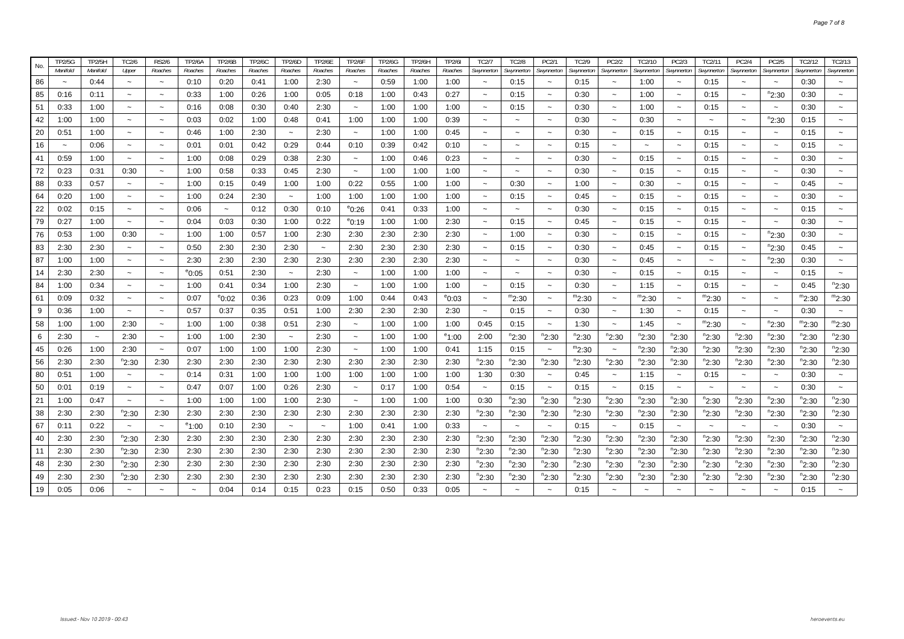|                             | <b>FP2/5G</b> | TP2/5H      | <b>TC2/6</b>              | <b>RS2/6</b>              | <b>TP2/6A</b>   | <b>TP2/6B</b>         | <b>TP2/6C</b> | TP2/6D                    | <b>TP2/6E</b> | <b>TP2/6F</b>         | <b>TP2/6G</b> | <b>TP2/6H</b> | <b>TP2/6I</b>   | TC2/7                     | <b>TC2/8</b>              | PC2/1                     | TC2/9      | PC2/2                     | TC2/10                | PC2/3                     | TC2/11                | PC2/4                     | PC2/5                 | TC2/12            | TC2/13                    |
|-----------------------------|---------------|-------------|---------------------------|---------------------------|-----------------|-----------------------|---------------|---------------------------|---------------|-----------------------|---------------|---------------|-----------------|---------------------------|---------------------------|---------------------------|------------|---------------------------|-----------------------|---------------------------|-----------------------|---------------------------|-----------------------|-------------------|---------------------------|
| No.                         | Manifold      | Manifold    | Upper                     | Roaches                   | Roaches         | Roaches               | Roaches       | Roaches                   | Roaches       | Roaches               | Roaches       | Roaches       | Roaches         | Swynnerton                | Swynnerton                | Swynnerton                | Swynnerton | Swynnerton                | Swynnerton            | Swynnerton                | Swynnerton            | Swynnerton                | Swynnerton            | Swynnerton        | Swynnerton                |
| 86<br>$\tilde{\phantom{a}}$ |               | 0:44        | $\tilde{\phantom{a}}$     | $\thicksim$               | 0:10            | 0:20                  | 0:41          | 1:00                      | 2:30          | $\tilde{\phantom{a}}$ | 0:59          | 1:00          | 1:00            | $\tilde{\phantom{a}}$     | 0:15                      |                           | 0:15       | $\tilde{\phantom{a}}$     | 1:00                  | $\tilde{\phantom{a}}$     | 0:15                  |                           | $\tilde{\phantom{a}}$ | 0:30              | $\tilde{\phantom{a}}$     |
| 85                          | 0:16          | 0:11        | $\tilde{\phantom{a}}$     | $\tilde{\phantom{a}}$     | 0:33            | 1:00                  | 0:26          | 1:00                      | 0:05          | 0:18                  | 1:00          | 0:43          | 0:27            | $\tilde{}$                | 0:15                      | $\tilde{\phantom{a}}$     | 0:30       | $\tilde{\phantom{a}}$     | 1:00                  | $\tilde{\phantom{a}}$     | 0:15                  | $\tilde{\phantom{a}}$     | <sup>n</sup> 2:30     | 0:30              | $\widetilde{\phantom{m}}$ |
| 51<br>0:33                  |               | 1:00        | $\tilde{\phantom{a}}$     | $\tilde{}$                | 0:16            | 0:08                  | 0:30          | 0:40                      | 2:30          | $\tilde{\phantom{a}}$ | 1:00          | 1:00          | 1:00            | $\tilde{\phantom{a}}$     | 0:15                      | $\tilde{\phantom{a}}$     | 0:30       | $\tilde{\phantom{a}}$     | 1:00                  | $\overline{\phantom{0}}$  | 0:15                  | $\tilde{\phantom{a}}$     | $\tilde{\phantom{a}}$ | 0:30              | $\tilde{}$                |
| 42<br>1:00                  |               | 1:00        | $\thicksim$               | $\widetilde{\phantom{m}}$ | 0:03            | 0:02                  | 1:00          | 0:48                      | 0:41          | 1:00                  | 1:00          | 1:00          | 0:39            | $\tilde{}$                | $\widetilde{\phantom{m}}$ | $\thicksim$               | 0:30       | $\tilde{\phantom{a}}$     | 0:30                  | $\thicksim$               | $\tilde{\phantom{a}}$ | $\thicksim$               | $n_{2:30}$            | 0:15              | $\widetilde{\phantom{m}}$ |
| 20<br>0:51                  |               | 1:00        | $\tilde{\phantom{a}}$     | $\tilde{\phantom{a}}$     | 0:46            | 1:00                  | 2:30          | $\widetilde{\phantom{m}}$ | 2:30          | $\tilde{\phantom{a}}$ | 1:00          | 1:00          | 0:45            | $\widetilde{\phantom{m}}$ | $\widetilde{\phantom{m}}$ | $\thicksim$               | 0:30       | $\widetilde{\phantom{m}}$ | 0:15                  | $\widetilde{\phantom{m}}$ | 0:15                  | $\widetilde{\phantom{m}}$ | $\thicksim$           | 0:15              | $\widetilde{\phantom{m}}$ |
| 16<br>$\sim$                |               | 0:06        | $\tilde{\phantom{a}}$     | $\sim$                    | 0:01            | 0:01                  | 0:42          | 0:29                      | 0:44          | 0:10                  | 0:39          | 0:42          | 0:10            | $\thicksim$               | $\tilde{\phantom{a}}$     | $\sim$                    | 0:15       | $\sim$                    | $\tilde{\phantom{a}}$ | $\thicksim$               | 0:15                  | $\sim$                    | $\tilde{\phantom{a}}$ | 0:15              | $\sim$                    |
| 41                          | 0:59          | 1:00        | $\thicksim$               | $\thicksim$               | 1:00            | 0:08                  | 0:29          | 0:38                      | 2:30          | $\tilde{\phantom{a}}$ | 1:00          | 0:46          | 0:23            | $\tilde{}$                | $\widetilde{\phantom{m}}$ | $\tilde{\phantom{a}}$     | 0:30       | $\tilde{}$                | 0:15                  | $\widetilde{\phantom{m}}$ | 0:15                  | $\tilde{\phantom{a}}$     | $\thicksim$           | 0:30              | $\widetilde{\phantom{m}}$ |
| 72<br>0:23                  |               | 0:31        | 0:30                      | $\tilde{\phantom{a}}$     | 1:00            | 0:58                  | 0:33          | 0:45                      | 2:30          | $\tilde{\phantom{a}}$ | 1:00          | 1:00          | 1:00            | $\tilde{\phantom{a}}$     | $\tilde{\phantom{a}}$     | $\tilde{\phantom{a}}$     | 0:30       | $\tilde{\phantom{a}}$     | 0:15                  | $\widetilde{\phantom{m}}$ | 0:15                  | $\tilde{\phantom{a}}$     | $\thicksim$           | 0:30              | $\tilde{\phantom{a}}$     |
| 88<br>0:33                  |               | 0:57        | $\tilde{\phantom{a}}$     | $\sim$                    | 1:00            | 0:15                  | 0:49          | 1:00                      | 1:00          | 0:22                  | 0:55          | 1:00          | 1:00            | $\tilde{\phantom{a}}$     | 0:30                      | $\tilde{\phantom{a}}$     | 1:00       | $\tilde{\phantom{a}}$     | 0:30                  | $\tilde{\phantom{a}}$     | 0:15                  | $\tilde{\phantom{a}}$     | $\tilde{\phantom{a}}$ | 0:45              | $\tilde{\phantom{a}}$     |
| 64<br>0:20                  |               | 1:00        | $\thicksim$               | $\widetilde{\phantom{m}}$ | 1:00            | 0:24                  | 2:30          | $\sim$                    | 1:00          | 1:00                  | 1:00          | 1:00          | 1:00            | $\tilde{\phantom{a}}$     | 0:15                      |                           | 0:45       | $\tilde{\phantom{a}}$     | 0:15                  | $\tilde{\phantom{a}}$     | 0:15                  | $\tilde{\phantom{a}}$     | $\tilde{\phantom{a}}$ | 0:30              |                           |
| 22<br>0:02                  |               | 0:15        | $\thicksim$               | $\tilde{\phantom{a}}$     | 0:06            | $\tilde{\phantom{a}}$ | 0:12          | 0:30                      | 0:10          | $^{\circ}$ 0:26       | 0:41          | 0:33          | 1:00            | $\tilde{\phantom{a}}$     | $\tilde{\phantom{a}}$     | $\tilde{\phantom{a}}$     | 0:30       | $\tilde{\phantom{a}}$     | 0:15                  | $\tilde{\phantom{a}}$     | 0:15                  | $\tilde{\phantom{a}}$     | $\tilde{\phantom{a}}$ | 0:15              | $\tilde{\phantom{a}}$     |
| 79<br>0:27                  |               | 1:00        | $\tilde{\phantom{a}}$     | $\tilde{}$                | 0:04            | 0:03                  | 0:30          | 1:00                      | 0:22          | $^{\circ}$ 0:19       | 1:00          | 1:00          | 2:30            | $\widetilde{\phantom{m}}$ | 0:15                      | $\tilde{\phantom{a}}$     | 0:45       | $\tilde{\phantom{a}}$     | 0:15                  | $\widetilde{\phantom{m}}$ | 0:15                  | $\tilde{\phantom{a}}$     | $\tilde{\phantom{a}}$ | 0:30              | $\tilde{\phantom{a}}$     |
| 76<br>0:53                  |               | 1:00        | 0:30                      | $\tilde{\phantom{a}}$     | 1:00            | 1:00                  | 0:57          | 1:00                      | 2:30          | 2:30                  | 2:30          | 2:30          | 2:30            | $\widetilde{\phantom{m}}$ | 1:00                      | $\tilde{\phantom{a}}$     | 0:30       | $\widetilde{\phantom{m}}$ | 0:15                  | $\widetilde{\phantom{m}}$ | 0:15                  | $\tilde{}$                | $n_{2:30}$            | 0:30              | $\tilde{}$                |
| 83<br>2:30                  |               | 2:30        | $\thicksim$               | $\tilde{\phantom{a}}$     | 0:50            | 2:30                  | 2:30          | 2:30                      | $\thicksim$   | 2:30                  | 2:30          | 2:30          | 2:30            | $\tilde{\phantom{a}}$     | 0:15                      | $\tilde{\phantom{a}}$     | 0:30       | $\tilde{\phantom{a}}$     | 0:45                  | $\thicksim$               | 0:15                  | $\tilde{\phantom{a}}$     | <sup>n</sup> 2:30     | 0:45              | $\sim$                    |
| 87<br>1:00                  |               | 1:00        | $\tilde{\phantom{a}}$     | $\tilde{\phantom{a}}$     | 2:30            | 2:30                  | 2:30          | 2:30                      | 2:30          | 2:30                  | 2:30          | 2:30          | 2:30            | $\tilde{\phantom{a}}$     | $\widetilde{\phantom{m}}$ | $\tilde{\phantom{a}}$     | 0:30       | $\tilde{\phantom{a}}$     | 0:45                  | $\widetilde{\phantom{m}}$ | $\tilde{\phantom{a}}$ | $\tilde{\phantom{a}}$     | $n_{2:30}$            | 0:30              | $\tilde{}$                |
| 14<br>2:30                  |               | 2:30        | $\tilde{\phantom{a}}$     | $\tilde{\phantom{a}}$     | $^{\circ}$ 0:05 | 0:51                  | 2:30          | $\tilde{\phantom{a}}$     | 2:30          | $\tilde{\phantom{a}}$ | 1:00          | 1:00          | 1:00            | $\tilde{}$                | $\tilde{\phantom{a}}$     | $\tilde{\phantom{a}}$     | 0:30       | $\tilde{\phantom{a}}$     | 0:15                  | $\tilde{\phantom{a}}$     | 0:15                  | $\tilde{\phantom{a}}$     | $\thicksim$           | 0:15              | $\widetilde{\phantom{m}}$ |
| 84<br>1:00                  |               | 0:34        | $\tilde{\phantom{a}}$     | $\tilde{}$                | 1:00            | 0:41                  | 0:34          | 1:00                      | 2:30          | $\tilde{\phantom{a}}$ | 1:00          | 1:00          | 1:00            | $\tilde{\phantom{a}}$     | 0:15                      | $\sim$                    | 0:30       | $\tilde{\phantom{a}}$     | 1:15                  | $\tilde{\phantom{a}}$     | 0:15                  | $\tilde{\phantom{a}}$     | $\tilde{\phantom{a}}$ | 0:45              | $n_{2:30}$                |
| 61<br>0:09                  |               | 0:32        | $\widetilde{\phantom{m}}$ | $\widetilde{\phantom{m}}$ | 0:07            | $^{\circ}$ 0:02       | 0:36          | 0:23                      | 0:09          | 1:00                  | 0:44          | 0:43          | $^{\circ}$ 0:03 | $\thicksim$               | $m_{2:30}$                | $\widetilde{\phantom{m}}$ | $m_{2:30}$ | $\tilde{\phantom{a}}$     | $m_{2:30}$            | $\widetilde{\phantom{m}}$ | $m_{2:30}$            | $\tilde{\phantom{a}}$     | $\tilde{\phantom{a}}$ | $m_{2:30}$        | m <sub>2:30</sub>         |
| 9<br>0:36                   |               | 1:00        | $\tilde{\phantom{a}}$     | $\tilde{\phantom{a}}$     | 0:57            | 0:37                  | 0:35          | 0:51                      | 1:00          | 2:30                  | 2:30          | 2:30          | 2:30            | $\tilde{\phantom{a}}$     | 0:15                      | $\tilde{\phantom{a}}$     | 0:30       | $\widetilde{\phantom{m}}$ | 1:30                  | $\tilde{\phantom{a}}$     | 0:15                  | $\widetilde{\phantom{m}}$ | $\tilde{\phantom{a}}$ | 0:30              | $\widetilde{\phantom{m}}$ |
| 58<br>1:00                  |               | 1:00        | 2:30                      | $\sim$                    | 1:00            | 1:00                  | 0:38          | 0:51                      | 2:30          | $\tilde{\phantom{a}}$ | 1:00          | 1:00          | 1:00            | 0:45                      | 0:15                      | $\tilde{\phantom{a}}$     | 1:30       | $\tilde{\phantom{a}}$     | 1:45                  | $\thicksim$               | $m_{2:30}$            | $\thicksim$               | <sup>າ</sup> 2:30     | $m_{2:30}$        | <sup>m</sup> 2:30         |
| 6<br>2:30                   |               | $\thicksim$ | 2:30                      | $\widetilde{\phantom{m}}$ | 1:00            | 1:00                  | 2:30          | $\tilde{}$                | 2:30          | $\tilde{\phantom{a}}$ | 1:00          | 1:00          | $^{\circ}1:00$  | 2:00                      | <sup>n</sup> 2:30         | $n_{2:30}$                | $n_{2:30}$ | <sup>n</sup> 2:30         | $n_{2:30}$            | $n_{2:30}$                | $n_{2:30}$            | <sup>n</sup> 2:30         | <sup>n</sup> 2:30     | <sup>n</sup> 2:30 | <sup>n</sup> 2:30         |
| 45                          | 0:26          | 1:00        | 2:30                      | $\tilde{\phantom{a}}$     | 0:07            | 1:00                  | 1:00          | 1:00                      | 2:30          | $\tilde{}$            | 1:00          | 1:00          | 0:41            | 1:15                      | 0:15                      | $\tilde{\phantom{a}}$     | $m_{2:30}$ | $\tilde{\phantom{a}}$     | $n_{2:30}$            | $n_{2:30}$                | $n_{2:30}$            | $n_{2:30}$                | $n_{2:30}$            | $n_{2:30}$        | $n_{2:30}$                |
| 56<br>2:30                  |               | 2:30        | <sup>n</sup> 2:30         | 2:30                      | 2:30            | 2:30                  | 2:30          | 2:30                      | 2:30          | 2:30                  | 2:30          | 2:30          | 2:30            | $n_{2:30}$                | $n_{2:30}$                | $n_{2:30}$                | $n_{2:30}$ | $n_{2:30}$                | $n_{2:30}$            | $n_{2:30}$                | $n_{2:30}$            | $n_{2:30}$                | $n_{2:30}$            | "2:30             | $n_{2:30}$                |
| 80<br>0:51                  |               | 1:00        | $\widetilde{\phantom{m}}$ | $\tilde{}$                | 0:14            | 0:31                  | 1:00          | 1:00                      | 1:00          | 1:00                  | 1:00          | 1:00          | 1:00            | 1:30                      | 0:30                      |                           | 0:45       | $\sim$                    | 1:15                  | $\tilde{}$                | 0:15                  | $\tilde{\phantom{a}}$     | $\sim$                | 0:30              | $\tilde{\phantom{a}}$     |
| 50<br>0:01                  |               | 0:19        | $\thicksim$               | $\thicksim$               | 0:47            | 0:07                  | 1:00          | 0:26                      | 2:30          | $\tilde{\phantom{a}}$ | 0:17          | 1:00          | 0:54            | $\widetilde{\phantom{m}}$ | 0:15                      | $\tilde{\phantom{a}}$     | 0:15       | $\tilde{\phantom{a}}$     | 0:15                  | $\thicksim$               |                       | $\tilde{}$                | $\tilde{\phantom{a}}$ | 0:30              | $\widetilde{\phantom{m}}$ |
| 21<br>1:00                  |               | 0:47        | $\thicksim$               | $\thicksim$               | 1:00            | 1:00                  | 1:00          | 1:00                      | 2:30          | $\tilde{\phantom{a}}$ | 1:00          | 1:00          | 1:00            | 0:30                      | $n_{2:30}$                | $n_{2:30}$                | $n_{2:30}$ | $n_{2:30}$                | $n_{2:30}$            | $n_{2:30}$                | $n_{2:30}$            | $n_{2:30}$                | $n_{2:30}$            | $n_{2:30}$        | $n_{2:30}$                |
| 38<br>2:30                  |               | 2:30        | <sup>n</sup> 2:30         | 2:30                      | 2:30            | 2:30                  | 2:30          | 2:30                      | 2:30          | 2:30                  | 2:30          | 2:30          | 2:30            | $n_{2:30}$                | $n_{2:30}$                | $n_{2:30}$                | $n_{2:30}$ | $n_{2:30}$                | <sup>n</sup> 2:30     | $n_{2:30}$                | $n_{2:30}$            | $n_{2:30}$                | $n_{2:30}$            | $n_{2:30}$        | $n_{2:30}$                |
| 67<br>0:11                  |               | 0:22        | $\thicksim$               | $\tilde{\phantom{a}}$     | $^{\circ}1:00$  | 0:10                  | 2:30          | $\tilde{\phantom{a}}$     | $\thicksim$   | 1:00                  | 0:41          | 1:00          | 0:33            | $\thicksim$               | $\sim$                    | $\tilde{\phantom{a}}$     | 0:15       | $\tilde{\phantom{a}}$     | 0:15                  | $\thicksim$               | $\tilde{\phantom{a}}$ | $\tilde{\phantom{a}}$     | $\tilde{\phantom{a}}$ | 0:30              | $\sim$                    |
| 40<br>2:30                  |               | 2:30        | $n_{2:30}$                | 2:30                      | 2:30            | 2:30                  | 2:30          | 2:30                      | 2:30          | 2:30                  | 2:30          | 2:30          | 2:30            | $n_{2:30}$                | $n_{2:30}$                | $n_{2:30}$                | $n_{2:30}$ | $n_{2:30}$                | $n_{2:30}$            | $n_{2:30}$                | $n_{2:30}$            | $n_{2:30}$                | $n_{2:30}$            | $n_{2:30}$        | $n_{2:30}$                |
| 11<br>2:30                  |               | 2:30        | <sup>n</sup> 2:30         | 2:30                      | 2:30            | 2:30                  | 2:30          | 2:30                      | 2:30          | 2:30                  | 2:30          | 2:30          | 2:30            | <sup>n</sup> 2:30         | <sup>n</sup> 2:30         | $n_{2:30}$                | $n_{2:30}$ | $n_{2:30}$                | $n_{2:30}$            | $n_{2:30}$                | $n_{2:30}$            | $n_{2:30}$                | $n_{2:30}$            | $n_{2:30}$        | °2:30                     |
| 48<br>2:30                  |               | 2:30        | <sup>n</sup> 2:30         | 2:30                      | 2:30            | 2:30                  | 2:30          | 2:30                      | 2:30          | 2:30                  | 2:30          | 2:30          | 2:30            | $n_{2:30}$                | $n_{2:30}$                | <sup>n</sup> 2:30         | $n_{2:30}$ | $n_{2:30}$                | $n_{2:30}$            | $n_{2:30}$                | $n_{2:30}$            | $n_{2:30}$                | $n_{2:30}$            | $n_{2:30}$        | $n_{2:30}$                |
| 49<br>2:30                  |               | 2:30        | <sup>n</sup> 2:30         | 2:30                      | 2:30            | 2:30                  | 2:30          | 2:30                      | 2:30          | 2:30                  | 2:30          | 2:30          | 2:30            | $n_{2:30}$                | $n_{2:30}$                | $n_{2:30}$                | $n_{2:30}$ | $n_{2:30}$                | <sup>n</sup> 2:30     | $n_{2:30}$                | $n_{2:30}$            | $n_{2:30}$                | $n_{2:30}$            | $n_{2:30}$        | $n_{2:30}$                |
| 19<br>0:05                  |               | 0:06        |                           |                           |                 | 0:04                  | 0:14          | 0:15                      | 0:23          | 0:15                  | 0:50          | 0:33          | 0:05            |                           |                           |                           | 0:15       |                           |                       |                           |                       |                           |                       | 0:15              |                           |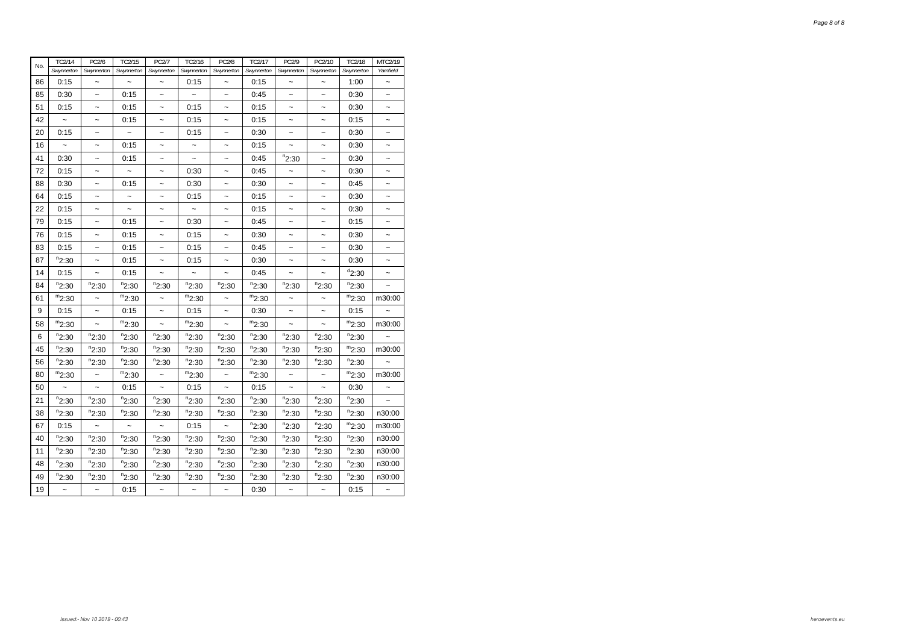| No. | TC2/14               | PC2/6                 | TC2/15                    | PC2/7                 | TC2/16                    | <b>PC2/8</b>          | TC2/17     | PC2/9                     | PC2/10                    | TC2/18     | MTC2/19               |
|-----|----------------------|-----------------------|---------------------------|-----------------------|---------------------------|-----------------------|------------|---------------------------|---------------------------|------------|-----------------------|
|     | Swynnerton           | Swynnerton            | Swynnerton                | Swynnerton            | Swynnerton                | Swynnerton            | Swynnerton | Swynnerton                | Swynnerton                | Swynnerton | Yarnfield             |
| 86  | 0:15                 | $\tilde{}$            |                           |                       | 0:15                      |                       | 0:15       |                           |                           | 1:00       | $\tilde{}$            |
| 85  | 0:30                 | $\ddot{\phantom{1}}$  | 0:15                      |                       | $\widetilde{\phantom{m}}$ | $\tilde{\phantom{a}}$ | 0:45       |                           |                           | 0:30       |                       |
| 51  | 0:15                 | $\tilde{ }$           | 0:15                      | $\tilde{}$            | 0:15                      | $\tilde{}$            | 0:15       | $\tilde{\phantom{a}}$     | $\tilde{}$                | 0:30       | $\tilde{\phantom{a}}$ |
| 42  |                      | $\tilde{ }$           | 0:15                      | $\tilde{}$            | 0:15                      | ~                     | 0:15       | $\tilde{\phantom{a}}$     | $\tilde{}$                | 0:15       | $\tilde{}$            |
| 20  | 0:15                 | ~                     |                           | $\tilde{\phantom{0}}$ | 0:15                      |                       | 0:30       |                           | $\tilde{ }$               | 0:30       | ~                     |
| 16  | $\ddot{\phantom{1}}$ | $\tilde{}$            | 0:15                      | $\tilde{}$            | $\widetilde{\phantom{m}}$ | $\ddot{\phantom{0}}$  | 0:15       |                           | $\widetilde{\phantom{m}}$ | 0:30       | $\tilde{}$            |
| 41  | 0:30                 | $\ddot{\phantom{0}}$  | 0:15                      | $\tilde{}$            | $\tilde{}$                | $\tilde{}$            | 0:45       | $n_{2:30}$                | $\widetilde{\phantom{m}}$ | 0:30       | $\tilde{\phantom{a}}$ |
| 72  | 0:15                 | $\tilde{ }$           |                           | $\tilde{}$            | 0:30                      | $\tilde{\phantom{a}}$ | 0:45       |                           | $\tilde{ }$               | 0:30       | $\tilde{\phantom{a}}$ |
| 88  | 0:30                 | $\tilde{ }$           | 0:15                      |                       | 0:30                      | $\ddot{\phantom{0}}$  | 0:30       | $\tilde{\phantom{a}}$     | $\tilde{}$                | 0:45       | $\tilde{ }$           |
| 64  | 0:15                 | $\tilde{}$            |                           | $\tilde{}$            | 0:15                      | ~                     | 0:15       | $\tilde{}$                | $\tilde{}$                | 0:30       | $\tilde{\phantom{a}}$ |
| 22  | 0:15                 | $\tilde{\phantom{a}}$ |                           | $\tilde{}$            |                           | $\ddot{\phantom{1}}$  | 0:15       | $\tilde{\phantom{a}}$     | $\tilde{\phantom{a}}$     | 0:30       | $\tilde{\phantom{a}}$ |
| 79  | 0:15                 | $\ddot{\phantom{0}}$  | 0:15                      | $\ddot{\phantom{0}}$  | 0:30                      | $\ddot{\phantom{0}}$  | 0:45       | $\ddot{\phantom{0}}$      | $\tilde{ }$               | 0:15       | $\tilde{}$            |
| 76  | 0:15                 | $\ddot{\phantom{0}}$  | 0:15                      | $\tilde{}$            | 0:15                      | $\tilde{}$            | 0:30       | $\tilde{}$                | $\tilde{}$                | 0:30       | $\tilde{\phantom{a}}$ |
| 83  | 0:15                 | $\tilde{ }$           | 0:15                      | $\tilde{}$            | 0:15                      | $\tilde{}$            | 0:45       | $\tilde{}$                | $\tilde{}$                | 0:30       | ~                     |
| 87  | $n_{2:30}$           | $\tilde{\phantom{a}}$ | 0:15                      | $\tilde{\phantom{a}}$ | 0:15                      | $\ddot{\phantom{1}}$  | 0:30       |                           |                           | 0:30       | $\tilde{\phantom{a}}$ |
| 14  | 0:15                 |                       | 0:15                      |                       |                           |                       | 0:45       |                           |                           | $d_{2:30}$ | $\tilde{\phantom{a}}$ |
| 84  | $n_{2:30}$           | $n_{2:30}$            | $n_{2:30}$                | $n_{2:30}$            | $n_{2:30}$                | $n_{2:30}$            | $n_{2:30}$ | $n_{2:30}$                | $n_{2:30}$                | $n_{2:30}$ |                       |
| 61  | $m_{2:30}$           | $\ddot{\phantom{0}}$  | $m_{2:30}$                | $\tilde{\phantom{a}}$ | $m_{2:30}$                | $\ddot{\phantom{0}}$  | $m_{2:30}$ | $\widetilde{\phantom{m}}$ | $\widetilde{\phantom{m}}$ | $m_{2:30}$ | m30:00                |
| 9   | 0:15                 | $\tilde{}$            | 0:15                      | $\tilde{\phantom{a}}$ | 0:15                      | $\tilde{}$            | 0:30       | $\tilde{}$                | $\widetilde{\phantom{m}}$ | 0:15       |                       |
| 58  | $m_{2:30}$           | $\tilde{ }$           | $m_{2:30}$                | $\tilde{}$            | $m_{2:30}$                | $\tilde{ }$           | $m_{2:30}$ |                           |                           | $m_{2:30}$ | m30:00                |
| 6   | $n_{2:30}$           | $n_{2:30}$            | $n_{2:30}$                | $n_{2:30}$            | $n_{2:30}$                | $n_{2:30}$            | $n_{2:30}$ | $n_{2:30}$                | $n_{2:30}$                | $n_{2:30}$ |                       |
| 45  | $n_{2:30}$           | $n_{2:30}$            | $n_{2:30}$                | $n_{2:30}$            | $n_{2:30}$                | $n_{2:30}$            | $n_{2:30}$ | $n_{2:30}$                | $n_{2:30}$                | $m_{2:30}$ | m30:00                |
| 56  | $n_{2:30}$           | $n_{2:30}$            | $n_{2:30}$                | $n_{2:30}$            | $n_{2:30}$                | $n_{2:30}$            | $n_{2:30}$ | $n_{2:30}$                | $n_{2:30}$                | $n_{2:30}$ |                       |
| 80  | $m_{2:30}$           | $\ddot{\phantom{0}}$  | $m_{2:30}$                |                       | $m_{2:30}$                | $\ddot{\phantom{0}}$  | $m_{2:30}$ |                           |                           | $m_{2:30}$ | m30:00                |
| 50  | $\ddot{\phantom{1}}$ | $\ddot{\phantom{0}}$  | 0:15                      |                       | 0:15                      |                       | 0:15       |                           |                           | 0:30       | $\tilde{\phantom{a}}$ |
| 21  | $n_{2:30}$           | $n_{2:30}$            | $n_{2:30}$                | $n_{2:30}$            | $n_{2:30}$                | $n_{2:30}$            | $n_{2:30}$ | $n_{2:30}$                | $n_{2:30}$                | $n_{2:30}$ | $\tilde{}$            |
| 38  | $n_{2:30}$           | $n_{2:30}$            | $n_{2:30}$                | $n_{2:30}$            | $n_{2:30}$                | $n_{2:30}$            | $n_{2:30}$ | $n_{2:30}$                | $n_{2:30}$                | $n_{2:30}$ | n30:00                |
| 67  | 0:15                 |                       | $\widetilde{\phantom{m}}$ |                       | 0:15                      |                       | $n_{2:30}$ | $n_{2:30}$                | $n_{2:30}$                | $m_{2:30}$ | m30:00                |
| 40  | $n_{2:30}$           | $n_{2:30}$            | $n_{2:30}$                | $n_{2:30}$            | $n_{2:30}$                | $n_{2:30}$            | $n_{2:30}$ | $n_{2:30}$                | $n_{2:30}$                | $n_{2:30}$ | n30:00                |
| 11  | $n_{2:30}$           | $n_{2:30}$            | $n_{2:30}$                | $n_{2:30}$            | $n_{2:30}$                | $n_{2:30}$            | $n_{2:30}$ | $n_{2:30}$                | $n_{2:30}$                | $n_{2:30}$ | n30:00                |
| 48  | $n_{2:30}$           | $n_{2:30}$            | $n_{2:30}$                | $n_{2:30}$            | $n_{2:30}$                | $n_{2:30}$            | $n_{2:30}$ | $n_{2:30}$                | $n_{2:30}$                | $n_{2:30}$ | n30:00                |
| 49  | $n_{2:30}$           | $n_{2:30}$            | $n_{2:30}$                | $n_{2:30}$            | $n_{2:30}$                | $n_{2:30}$            | $n_{2:30}$ | $n_{2:30}$                | $n_{2:30}$                | $n_{2:30}$ | n30:00                |
| 19  | $\tilde{}$           | $\ddot{\phantom{0}}$  | 0:15                      | $\tilde{}$            | $\tilde{}$                | $\tilde{ }$           | 0:30       | $\widetilde{\phantom{m}}$ | $\widetilde{\phantom{m}}$ | 0:15       |                       |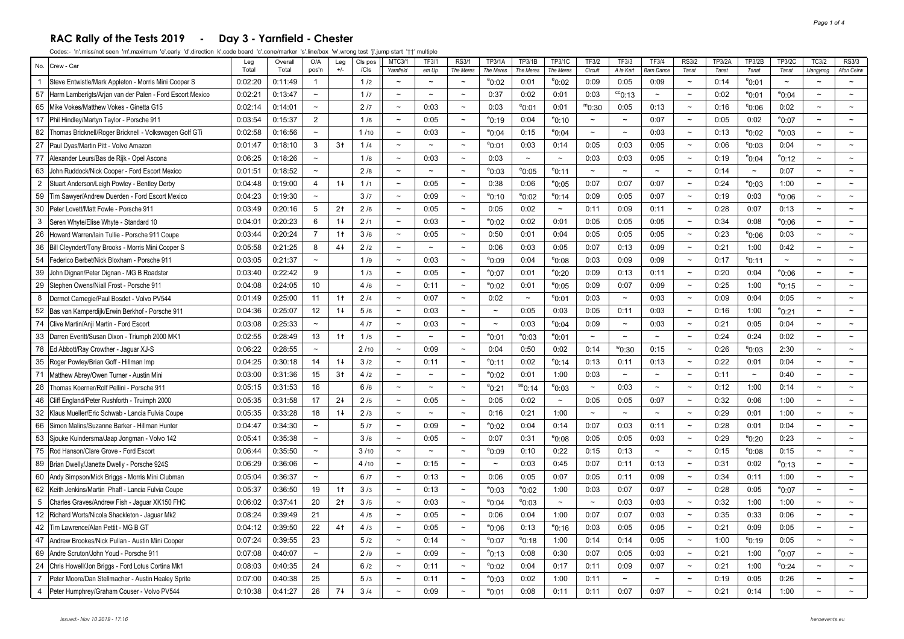#### **RAC Rally of the Tests 2019 - Day 3 - Yarnfield - Chester**

| No.            | Crew - Car                                               | Leg     | Overall | O/A                       | Leg            | CIs pos | <b>MTC3/1</b>         | TF3/1                 | <b>RS3/1</b>          | TP3/1A                | <b>TP3/1B</b>   | TP3/1C          | TF3/2                 | TF3/3                 | <b>TF3/4</b>          | <b>RS3/2</b>              | <b>TP3/2A</b> | TP3/2B                    | <b>TP3/2C</b>             | TC3/2                 | <b>RS3/3</b>          |
|----------------|----------------------------------------------------------|---------|---------|---------------------------|----------------|---------|-----------------------|-----------------------|-----------------------|-----------------------|-----------------|-----------------|-----------------------|-----------------------|-----------------------|---------------------------|---------------|---------------------------|---------------------------|-----------------------|-----------------------|
|                |                                                          | Total   | Total   | pos'n                     | $+/-$          | /Cls    | Yarnfield             | em Up                 | The Meres             | The Meres             | The Meres       | The Meres       | Circuit               | A la Kart             | <b>Bam Dance</b>      | Tanat                     | Tanat         | Tanat                     | Tanat                     | Llangynog             | Afon Ceirw            |
| -1             | Steve Entwistle/Mark Appleton - Morris Mini Cooper S     | 0:02:20 | 0:11:49 | $\overline{1}$            |                | 1/2     | $\sim$                | $\tilde{\phantom{a}}$ | $\tilde{\phantom{a}}$ | $e_{0:02}$            | 0:01            | $^{\circ}$ 0:02 | 0:09                  | 0:05                  | 0:09                  | $\sim$                    | 0:14          | $^{\circ}$ 0:01           | $\widetilde{\phantom{m}}$ | $\tilde{\phantom{a}}$ | $\sim$                |
| 57             | Harm Lamberigts/Arian van der Palen - Ford Escort Mexico | 0:02:21 | 0:13:47 | $\sim$                    |                | 1/7     | $\sim$                |                       | $\sim$                | 0:37                  | 0:02            | 0:01            | 0:03                  | $^{cc}$ 0:13          | $\tilde{\phantom{a}}$ | $\sim$                    | 0:02          | $^{\circ}$ 0:01           | $^{\circ}$ 0:04           | $\sim$                |                       |
| 65             | Mike Vokes/Matthew Vokes - Ginetta G15                   | 0:02:14 | 0:14:01 | $\widetilde{\phantom{m}}$ |                | 2/7     | $\sim$                | 0:03                  | $\sim$                | 0:03                  | $^{\circ}$ 0:01 | 0:01            | ™0:30                 | 0:05                  | 0:13                  | $\sim$                    | 0:16          | $^{\circ}$ 0:06           | 0:02                      | $\tilde{}$            |                       |
| 17             | Phil Hindley/Martyn Taylor - Porsche 911                 | 0:03:54 | 0:15:37 | $\overline{2}$            |                | 1/6     | $\sim$                | 0:05                  | $\sim$                | $^{\circ}$ 0:19       | 0:04            | $^{\circ}$ 0:10 | $\sim$                | $\sim$                | 0:07                  | $\sim$                    | 0:05          | 0:02                      | $^{\circ}$ 0:07           | $\sim$                |                       |
| 82             | Thomas Bricknell/Roger Bricknell - Volkswagen Golf GTi   | 0:02:58 | 0:16:56 | $\tilde{\phantom{a}}$     |                | 1/10    | $\sim$                | 0:03                  | $\sim$                | $^{\circ}$ 0:04       | 0:15            | $^{\circ}$ 0:04 | $\sim$                | $\tilde{\phantom{a}}$ | 0:03                  | $\sim$                    | 0:13          | $^{\circ}$ 0:02           | $^{\circ}$ 0:03           | $\sim$                | $\sim$                |
| 27             | Paul Dyas/Martin Pitt - Volvo Amazon                     | 0:01:47 | 0:18:10 | 3                         | 3 <sup>†</sup> | 1/4     | $\sim$                |                       |                       | $^{\circ}$ 0:01       | 0:03            | 0:14            | 0:05                  | 0:03                  | 0:05                  | $\sim$                    | 0:06          | $^{\circ}$ 0:03           | 0:04                      | $\sim$                |                       |
| 77             | Alexander Leurs/Bas de Rijk - Opel Ascona                | 0:06:25 | 0:18:26 | $\tilde{\phantom{a}}$     |                | 1/8     | $\sim$                | 0:03                  | $\sim$                | 0:03                  | $\sim$          | $\sim$          | 0:03                  | 0:03                  | 0:05                  | $\sim$                    | 0:19          | $^{\circ}$ 0:04           | $^{\circ}$ 0:12           | $\sim$                | $\sim$                |
| 63             | John Ruddock/Nick Cooper - Ford Escort Mexico            | 0:01:51 | 0:18:52 | $\tilde{\phantom{a}}$     |                | 2/8     | $\sim$                |                       | $\sim$                | $^{\circ}$ 0:03       | $^{\circ}$ 0:05 | $^{\circ}$ 0:11 | $\sim$                | $\sim$                |                       | $\sim$                    | 0:14          | $\widetilde{\phantom{m}}$ | 0:07                      | $\sim$                |                       |
| $\overline{2}$ | Stuart Anderson/Leigh Powley - Bentley Derby             | 0:04:48 | 0:19:00 | $\overline{4}$            | $1+$           | 1/1     | $\sim$                | 0:05                  | $\sim$                | 0:38                  | 0:06            | $^{\circ}$ 0:05 | 0:07                  | 0:07                  | 0:07                  | $\sim$                    | 0:24          | $^{\circ}$ 0:03           | 1:00                      | $\sim$                | $\sim$                |
| 59             | Tim Sawyer/Andrew Duerden - Ford Escort Mexico           | 0:04:23 | 0:19:30 | $\sim$                    |                | 3/7     | $\tilde{}$            | 0:09                  | $\tilde{\phantom{a}}$ | $^{\circ}$ 0:10       | $^{\circ}$ 0:02 | $^{\circ}$ 0:14 | 0:09                  | 0:05                  | 0:07                  | $\tilde{}$                | 0:19          | 0:03                      | $^{\circ}$ 0:06           | $\tilde{\phantom{a}}$ |                       |
| 30             | Peter Lovett/Matt Fowle - Porsche 911                    | 0:03:49 | 0:20:16 | 5                         | 2 <sup>†</sup> | 2/6     | $\sim$                | 0:05                  | $\sim$                | 0:05                  | 0:02            | $\sim$          | 0:11                  | 0:09                  | 0:11                  | $\sim$                    | 0:28          | 0:07                      | 0:13                      | $\sim$                |                       |
| 3              | Seren Whyte/Elise Whyte - Standard 10                    | 0:04:01 | 0:20:23 | 6                         | $1+$           | 2/1     | $\tilde{\phantom{a}}$ | 0:03                  | $\sim$                | $e_{0:02}$            | 0:02            | 0:01            | 0:05                  | 0:05                  | 0:05                  | $\sim$                    | 0:34          | 0:08                      | $^{\circ}$ 0:06           | $\tilde{\phantom{a}}$ |                       |
| 26             | Howard Warren/Iain Tullie - Porsche 911 Coupe            | 0:03:44 | 0:20:24 | $\overline{7}$            | 1 <sup>†</sup> | 3/6     | $\sim$                | 0:05                  | $\sim$                | 0:50                  | 0:01            | 0:04            | 0:05                  | 0:05                  | 0:05                  | $\tilde{\phantom{a}}$     | 0:23          | $^{\circ}$ 0:06           | 0:03                      | $\tilde{}$            |                       |
| 36             | Bill Cleyndert/Tony Brooks - Morris Mini Cooper S        | 0:05:58 | 0:21:25 | 8                         | $4+$           | 2/2     | $\sim$                |                       | $\sim$                | 0:06                  | 0:03            | 0:05            | 0:07                  | 0:13                  | 0:09                  | $\tilde{\phantom{a}}$     | 0:21          | 1:00                      | 0:42                      | $\sim$                | $\sim$                |
| 54             | Federico Berbet/Nick Bloxham - Porsche 911               | 0:03:05 | 0:21:37 | $\tilde{\phantom{a}}$     |                | 1/9     | $\sim$                | 0:03                  | $\tilde{\phantom{a}}$ | $^{\rm e}$ 0:09       | 0:04            | $^{\circ}$ 0:08 | 0:03                  | 0:09                  | 0:09                  | $\widetilde{\phantom{m}}$ | 0:17          | $^{\circ}$ 0:11           | $\tilde{\phantom{a}}$     | $\ddot{\phantom{1}}$  |                       |
| 39             | John Dignan/Peter Dignan - MG B Roadster                 | 0:03:40 | 0:22:42 | 9                         |                | 1/3     | $\sim$                | 0:05                  | $\sim$                | $e_{0:07}$            | 0:01            | $^{\circ}$ 0:20 | 0:09                  | 0:13                  | 0:11                  | $\sim$                    | 0:20          | 0:04                      | $^{\circ}$ 0:06           | $\sim$                |                       |
| 29             | Stephen Owens/Niall Frost - Porsche 911                  | 0:04:08 | 0:24:05 | 10                        |                | 4/6     | $\tilde{\phantom{a}}$ | 0:11                  | $\sim$                | $^{\circ}$ 0:02       | 0:01            | $^{\circ}$ 0:05 | 0:09                  | 0:07                  | 0:09                  | $\sim$                    | 0:25          | 1:00                      | $^{\circ}$ 0:15           | $\tilde{}$            |                       |
| 8              | Dermot Carnegie/Paul Bosdet - Volvo PV544                | 0:01:49 | 0:25:00 | 11                        | 1 <sup>†</sup> | 2/4     | $\sim$                | 0:07                  | $\sim$                | 0:02                  | $\sim$          | $^{\circ}$ 0:01 | 0:03                  | $\tilde{\phantom{a}}$ | 0:03                  | $\sim$                    | 0:09          | 0:04                      | 0:05                      | $\sim$                | $\sim$                |
| 52             | Bas van Kamperdijk/Erwin Berkhof - Porsche 911           | 0:04:36 | 0:25:07 | 12                        | $1+$           | 5/6     | $\sim$                | 0:03                  | $\sim$                | $\tilde{\phantom{a}}$ | 0:05            | 0:03            | 0:05                  | 0:11                  | 0:03                  | $\sim$                    | 0:16          | 1:00                      | $^{\circ}$ 0:21           | $\tilde{}$            |                       |
|                | 74 Clive Martin/Anji Martin - Ford Escort                | 0:03:08 | 0:25:33 | $\sim$                    |                | 4/7     | $\sim$                | 0:03                  | $\sim$                | $\tilde{\phantom{a}}$ | 0:03            | $^{\circ}$ 0:04 | 0:09                  | $\sim$                | 0:03                  | $\sim$                    | 0:21          | 0:05                      | 0:04                      | $\sim$                | $\sim$                |
| 33             | Darren Everitt/Susan Dixon - Triumph 2000 MK1            | 0:02:55 | 0:28:49 | 13                        | 1 <sup>†</sup> | 1/5     |                       |                       | $\sim$                | $^{\circ}$ 0:01       | $^{\circ}$ 0:03 | $^{\circ}$ 0:01 | $\tilde{\phantom{a}}$ | $\sim$                |                       | $\overline{\phantom{0}}$  | 0:24          | 0:24                      | 0:02                      | $\tilde{}$            |                       |
| 78             | Ed Abbott/Ray Crowther - Jaguar XJ-S                     | 0:06:22 | 0:28:55 | $\tilde{\phantom{a}}$     |                | 2/10    | $\sim$                | 0:09                  | $\sim$                | 0:04                  | 0:50            | 0:02            | 0:14                  | ™0:30                 | 0:15                  | $\tilde{\phantom{a}}$     | 0:26          | $^{\circ}$ 0:03           | 2:30                      | $\sim$                | $\tilde{\phantom{a}}$ |
| 35             | Roger Powley/Brian Goff - Hillman Imp                    | 0:04:25 | 0:30:18 | 14                        | $1+$           | 3/2     | $\sim$                | 0:11                  | $\sim$                | $^{\circ}$ 0:11       | 0:02            | $e_{0:14}$      | 0:13                  | 0:11                  | 0:13                  | $\sim$                    | 0:22          | 0:01                      | 0:04                      | $\sim$                |                       |
| 71             | Matthew Abrey/Owen Turner - Austin Mini                  | 0:03:00 | 0:31:36 | 15                        | 3 <sup>†</sup> | 4/2     | $\sim$                | $\sim$                | $\sim$                | $e_{0:02}$            | 0:01            | 1:00            | 0:03                  | $\sim$                | $\sim$                | $\sim$                    | 0:11          | $\sim$                    | 0:40                      | $\sim$                | $\sim$                |
| 28             | Thomas Koerner/Rolf Pellini - Porsche 91                 | 0:05:15 | 0:31:53 | 16                        |                | 6/6     | $\sim$                |                       | $\sim$                | $^{\circ}$ 0:21       | ${}^{se}$ 0:14  | $^{\circ}$ 0:03 | $\thicksim$           | 0:03                  | $\tilde{}$            | $\sim$                    | 0:12          | 1:00                      | 0:14                      | $\tilde{}$            |                       |
| 46             | Cliff England/Peter Rushforth - Truimph 2000             | 0:05:35 | 0:31:58 | 17                        | $2+$           | 2/5     | $\tilde{\phantom{a}}$ | 0:05                  | $\tilde{\phantom{a}}$ | 0:05                  | 0:02            | $\sim$          | 0:05                  | 0:05                  | 0:07                  | $\sim$                    | 0:32          | 0:06                      | 1:00                      | $\tilde{}$            | $\tilde{\phantom{a}}$ |
| 32             | Klaus Mueller/Eric Schwab - Lancia Fulvia Coupe          | 0:05:35 | 0:33:28 | 18                        | $1+$           | 2/3     | $\tilde{}$            |                       |                       | 0:16                  | 0:21            | 1:00            | $\tilde{\phantom{a}}$ | $\sim$                | $\tilde{\phantom{a}}$ | $\tilde{}$                | 0:29          | 0:01                      | 1:00                      | $\tilde{}$            |                       |
| 66             | Simon Malins/Suzanne Barker - Hillman Hunter             | 0:04:47 | 0:34:30 | $\sim$                    |                | 5/7     | $\sim$                | 0:09                  | $\sim$                | $e_{0:02}$            | 0:04            | 0:14            | 0:07                  | 0:03                  | 0:11                  | $\sim$                    | 0:28          | 0:01                      | 0:04                      | $\sim$                |                       |
| 53             | Sjouke Kuindersma/Jaap Jongman - Volvo 142               | 0:05:41 | 0:35:38 | $\tilde{\phantom{a}}$     |                | 3/8     | $\sim$                | 0:05                  | $\sim$                | 0:07                  | 0:31            | $^{\circ}$ 0:08 | 0:05                  | 0:05                  | 0:03                  | $\sim$                    | 0:29          | $^{\circ}$ 0:20           | 0:23                      | $\tilde{}$            | $\sim$                |
| 75             | Rod Hanson/Clare Grove - Ford Escort                     | 0:06:44 | 0:35:50 | $\thicksim$               |                | 3/10    | $\sim$                | $\tilde{}$            | $\tilde{\phantom{a}}$ | $^{\circ}$ 0:09       | 0:10            | 0:22            | 0:15                  | 0:13                  | $\tilde{}$            | $\tilde{\phantom{a}}$     | 0:15          | $^{\circ}$ 0:08           | 0:15                      | $\tilde{}$            |                       |
| 89             | Brian Dwelly/Janette Dwelly - Porsche 924S               | 0:06:29 | 0:36:06 | $\tilde{}$                |                | 4/10    | $\sim$                | 0:15                  | $\sim$                | $\sim$                | 0:03            | 0:45            | 0:07                  | 0:11                  | 0:13                  | $\tilde{}$                | 0:31          | 0:02                      | $^{\circ}$ 0:13           | $\sim$                |                       |
| 60             | Andy Simpson/Mick Briggs - Morris Mini Clubman           | 0:05:04 | 0:36:37 | $\tilde{\phantom{a}}$     |                | 6/7     | $\sim$                | 0:13                  | $\sim$                | 0:06                  | 0:05            | 0:07            | 0:05                  | 0:11                  | 0:09                  | $\sim$                    | 0:34          | 0:11                      | 1:00                      | $\sim$                |                       |
| 62             | Keith Jenkins/Martin Phaff - Lancia Fulvia Coupe         | 0:05:37 | 0:36:50 | 19                        | 1 <sup>†</sup> | 3/3     | $\tilde{}$            | 0:13                  | $\sim$                | $^{\circ}$ 0:03       | $^{\circ}$ 0:02 | 1:00            | 0:03                  | 0:07                  | 0:07                  | $\tilde{}$                | 0:28          | 0:05                      | $^{\circ}$ 0:07           | $\sim$                | $\sim$                |
| 5              | Charles Graves/Andrew Fish - Jaquar XK150 FHC            | 0:06:02 | 0:37:41 | 20                        | 2 <sub>1</sub> | 3/5     | $\sim$                | 0:03                  | $\sim$                | $^{\circ}$ 0:04       | $^{\circ}$ 0:03 | $\sim$          | $\tilde{\phantom{a}}$ | 0:03                  | 0:03                  | $\sim$                    | 0:32          | 1:00                      | 1:00                      | $\tilde{}$            |                       |
| 12             | Richard Worts/Nicola Shackleton - Jaguar Mk2             | 0:08:24 | 0:39:49 | 21                        |                | 4/5     | $\sim$                | 0:05                  | $\sim$                | 0:06                  | 0:04            | 1:00            | 0:07                  | 0:07                  | 0:03                  | $\tilde{\phantom{a}}$     | 0:35          | 0:33                      | 0:06                      | $\tilde{}$            | $\sim$                |
| 42             | Tim Lawrence/Alan Pettit - MG B GT                       | 0:04:12 | 0:39:50 | 22                        | 4 <sup>†</sup> | 4/3     |                       | 0:05                  |                       | $^{\circ}$ 0:06       | 0:13            | $^{\circ}$ 0:16 | 0:03                  | 0:05                  | 0:05                  | $\sim$                    | 0:21          | 0:09                      | 0:05                      | $\sim$                |                       |
| 47             | Andrew Brookes/Nick Pullan - Austin Mini Cooper          | 0:07:24 | 0:39:55 | 23                        |                | 5/2     | $\sim$                | 0:14                  | $\sim$                | $e_{0:07}$            | $^{\circ}$ 0:18 | 1:00            | 0:14                  | 0:14                  | 0:05                  | $\sim$                    | 1:00          | $^{\circ}$ 0:19           | 0:05                      | $\sim$                | $\sim$                |
| 69             | Andre Scruton/John Youd - Porsche 911                    | 0:07:08 | 0:40:07 | $\sim$                    |                | 2/9     | $\sim$                | 0:09                  | $\sim$                | $^{\circ}$ 0:13       | 0:08            | 0:30            | 0:07                  | 0:05                  | 0:03                  | $\sim$                    | 0:21          | 1:00                      | $^{\circ}$ 0:07           | $\sim$                |                       |
| 24             | Chris Howell/Jon Briggs - Ford Lotus Cortina Mk1         | 0:08:03 | 0:40:35 | 24                        |                | 6/2     | $\sim$                | 0:11                  | $\sim$                | $^{\circ}$ 0:02       | 0:04            | 0:17            | 0:11                  | 0:09                  | 0:07                  | $\sim$                    | 0:21          | 1:00                      | $^{\circ}$ 0:24           | $\sim$                | $\tilde{\phantom{a}}$ |
| $\overline{7}$ | Peter Moore/Dan Stellmacher - Austin Healey Sprite       | 0:07:00 | 0:40:38 | 25                        |                | 5/3     | $\sim$                | 0:11                  | $\sim$                | $^{\circ}$ 0:03       | 0:02            | 1:00            | 0:11                  |                       |                       |                           | 0:19          | 0:05                      | 0:26                      | $\sim$                |                       |
|                | Peter Humphrey/Graham Couser - Volvo PV544               | 0:10:38 | 0:41:27 | 26                        | $7+$           | 3/4     |                       | 0:09                  |                       | $^{\circ}$ 0:01       | 0:08            | 0:11            | 0:11                  | 0:07                  | 0:07                  |                           | 0:21          | 0:14                      | 1:00                      |                       |                       |
| $\overline{4}$ |                                                          |         |         |                           |                |         |                       |                       |                       |                       |                 |                 |                       |                       |                       |                           |               |                           |                           |                       |                       |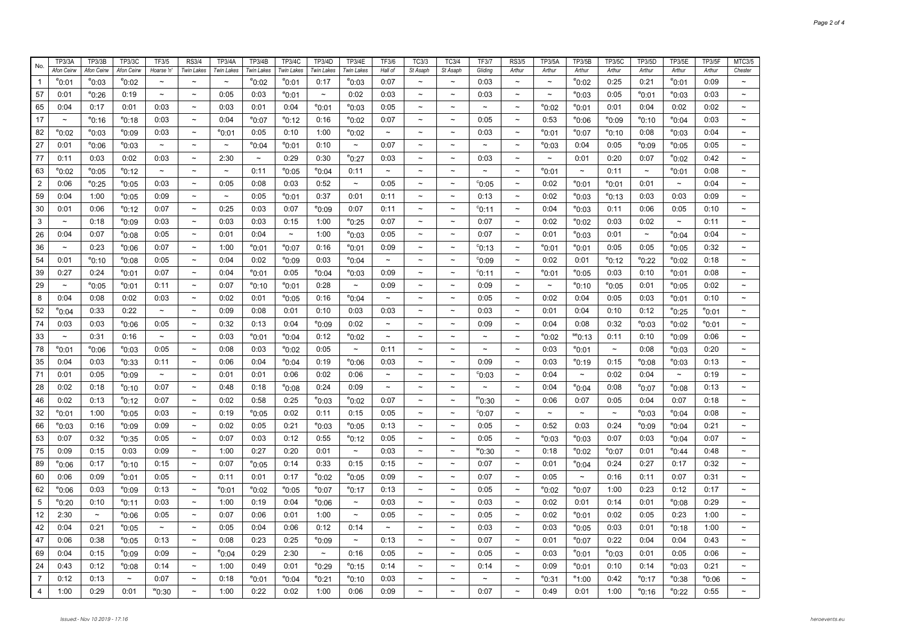| No.            | TP3/3A                | <b>TP3/3B</b>   | <b>TP3/3C</b>         | TF3/5                 | <b>RS3/4</b>              | <b>TP3/4A</b>         | TP3/4B            | TP3/4C          | <b>TP3/4D</b>         | <b>TP3/4E</b>         | <b>TF3/6</b>              | TC3/3                     | TC3/4                     | <b>TF3/7</b>              | <b>RS3/5</b>              | <b>TP3/5A</b>         | <b>TP3/5B</b>         | <b>TP3/5C</b>         | <b>TP3/5D</b>         | <b>TP3/5E</b>         | <b>TP3/5F</b>   | MTC3/5                    |
|----------------|-----------------------|-----------------|-----------------------|-----------------------|---------------------------|-----------------------|-------------------|-----------------|-----------------------|-----------------------|---------------------------|---------------------------|---------------------------|---------------------------|---------------------------|-----------------------|-----------------------|-----------------------|-----------------------|-----------------------|-----------------|---------------------------|
|                | Afon Ceirw            | Afon Ceirw      | Afon Ceirw            | Hoarse 'n'            | Twin Lakes                | <b>Twin Lakes</b>     | <b>Twin Lakes</b> | Twin Lakes      | <b>Twin Lakes</b>     | <b>Twin Lakes</b>     | Hall of                   | St Asaph                  | St Asaph                  | Gliding                   | Arthur                    | Arthur                | Arthur                | Arthur                | Arthur                | Arthur                | Arthur          | Chester                   |
| $\mathbf{1}$   | $^{\circ}$ 0:01       | $^{\circ}0:03$  | $^{\circ}$ 0:02       | $\tilde{\phantom{a}}$ | $\sim$                    | $\tilde{}$            | $e_{0:02}$        | $^{\circ}$ 0:01 | 0:17                  | $^{\circ}0:03$        | 0:07                      | $\sim$                    | $\sim$                    | 0:03                      | $\sim$                    | $\tilde{\phantom{a}}$ | $^{\circ}$ 0:02       | 0:25                  | 0:21                  | °0:01                 | 0:09            | $\widetilde{\phantom{m}}$ |
| 57             | 0:01                  | $^{\circ}$ 0:26 | 0:19                  | $\tilde{}$            | $\tilde{\phantom{a}}$     | 0:05                  | 0:03              | $^{\circ}$ 0:01 | $\tilde{\phantom{a}}$ | 0:02                  | 0:03                      | $\tilde{\phantom{a}}$     | $\tilde{\phantom{a}}$     | 0:03                      | $\tilde{\phantom{a}}$     | $\tilde{\phantom{a}}$ | $^{\circ}$ 0:03       | 0:05                  | $^{\circ}$ 0:01       | $^{\rm e}$ 0:03       | 0:03            | $\tilde{\phantom{a}}$     |
| 65             | 0:04                  | 0:17            | 0:01                  | 0:03                  | $\widetilde{\phantom{m}}$ | 0:03                  | 0:01              | 0:04            | $^{\circ}$ 0:01       | $^{\rm e}$ 0:03       | 0:05                      | $\thicksim$               | $\tilde{\phantom{a}}$     | $\widetilde{\phantom{m}}$ | $\sim$                    | $^{\circ}$ 0:02       | $^{\rm e}$ 0:01       | 0:01                  | 0:04                  | 0:02                  | 0:02            | $\tilde{\phantom{a}}$     |
| 17             | $\tilde{}$            | $^{\circ}$ 0:16 | $^{\circ}$ 0:18       | 0:03                  | $\tilde{\phantom{a}}$     | 0:04                  | $^{\circ}$ 0:07   | $^{\circ}$ 0:12 | 0:16                  | $^{\circ}$ 0:02       | 0:07                      | $\tilde{\phantom{a}}$     | $\tilde{\phantom{a}}$     | 0:05                      | $\tilde{\phantom{a}}$     | 0:53                  | $^{\circ}$ 0:06       | $^{\circ}$ 0:09       | $^{\circ}$ 0:10       | $e_{0:04}$            | 0:03            | $\tilde{\phantom{a}}$     |
| 82             | $^{\circ}0:02$        | $^{\circ}0:03$  | $^{\circ}$ 0:09       | 0:03                  | $\tilde{\phantom{a}}$     | $^{\rm e}$ 0:01       | 0:05              | 0:10            | 1:00                  | $^{\circ}0:02$        | $\tilde{\phantom{a}}$     | $\tilde{\phantom{a}}$     | $\tilde{\phantom{a}}$     | 0:03                      | $\widetilde{\phantom{m}}$ | $^{\rm e}$ 0:01       | $^{\circ}$ 0:07       | $^{\circ}$ 0:10       | 0:08                  | $^{\circ}$ 0:03       | 0:04            | $\tilde{}$                |
| 27             | 0:01                  | $e_{0:06}$      | °0:03                 | $\tilde{\phantom{a}}$ | $\tilde{\phantom{a}}$     | $\tilde{\phantom{a}}$ | $^{\circ}$ 0:04   | $^{\rm e}$ 0:01 | 0:10                  | $\tilde{}$            | 0:07                      | $\tilde{\phantom{a}}$     | $\tilde{\phantom{a}}$     | $\tilde{\phantom{a}}$     | $\tilde{}$                | $^{\rm e}$ 0:03       | 0:04                  | 0:05                  | $^{\rm e}$ 0:09       | $^{\circ}$ 0:05       | 0:05            | $\tilde{\phantom{a}}$     |
| 77             | 0:11                  | 0:03            | 0:02                  | 0:03                  | $\sim$                    | 2:30                  | $\sim$            | 0:29            | 0:30                  | $^{\circ}$ 0:27       | 0:03                      | $\sim$                    | $\sim$                    | 0:03                      | $\sim$                    | $\tilde{\phantom{a}}$ | 0:01                  | 0:20                  | 0:07                  | °0:02                 | 0:42            | $\tilde{\phantom{a}}$     |
| 63             | $e_{0:02}$            | $^{\circ}$ 0:05 | °0:12                 | $\tilde{\phantom{a}}$ | $\tilde{\phantom{a}}$     | $\tilde{\phantom{a}}$ | 0:11              | $^{\circ}$ 0:05 | $^{\circ}$ 0:04       | 0:11                  | $\tilde{\phantom{a}}$     | $\tilde{\phantom{a}}$     | $\tilde{}$                |                           | $\tilde{\phantom{a}}$     | $^{\rm e}$ 0:01       | $\tilde{\phantom{a}}$ | 0:11                  | $\tilde{\phantom{a}}$ | <sup>e</sup> 0:01     | 0:08            | $\tilde{\phantom{a}}$     |
| $\overline{c}$ | 0:06                  | $^{\circ}$ 0:25 | $^{\circ}$ 0:05       | 0:03                  | $\tilde{\phantom{a}}$     | 0:05                  | 0:08              | 0:03            | 0:52                  | $\tilde{\phantom{a}}$ | 0:05                      | $\tilde{\phantom{a}}$     | $\thicksim$               | $^{\circ}$ 0:05           | $\tilde{}$                | 0:02                  | $^{\circ}$ 0:01       | $^{\circ}$ 0:01       | 0:01                  | $\tilde{\phantom{a}}$ | 0:04            | $\tilde{}$                |
| 59             | 0:04                  | 1:00            | $^{\circ}$ 0:05       | 0:09                  | $\tilde{\phantom{a}}$     | $\tilde{}$            | 0:05              | $^{\circ}$ 0:01 | 0:37                  | 0:01                  | 0:11                      | $\widetilde{\phantom{m}}$ | $\thicksim$               | 0:13                      | $\tilde{\phantom{a}}$     | 0:02                  | $^{\circ}$ 0:03       | $^{\circ}$ 0:13       | 0:03                  | 0:03                  | 0:09            | $\tilde{\phantom{a}}$     |
| 30             | 0:01                  | 0:06            | $^{\circ}$ 0:12       | 0:07                  | $\tilde{\phantom{a}}$     | 0:25                  | 0:03              | 0:07            | $e_{0:09}$            | 0:07                  | 0:11                      | $\tilde{}$                | $\tilde{\phantom{a}}$     | $^{\circ}$ 0:11           | $\tilde{}$                | 0:04                  | $^{\circ}$ 0:03       | 0:11                  | 0:06                  | 0:05                  | 0:10            | $\tilde{\phantom{a}}$     |
| 3              | $\tilde{\phantom{a}}$ | 0:18            | $^{\circ}$ 0:09       | 0:03                  | $\tilde{\phantom{a}}$     | 0:03                  | 0:03              | 0:15            | 1:00                  | $^{\circ}$ 0:25       | 0:07                      | $\tilde{\phantom{a}}$     | $\thicksim$               | 0:07                      | $\tilde{\phantom{a}}$     | 0:02                  | $^{\circ}$ 0:02       | 0:03                  | 0:02                  | $\tilde{\phantom{a}}$ | 0:11            | $\tilde{\phantom{a}}$     |
| 26             | 0:04                  | 0:07            | $^{\circ}$ 0:08       | 0:05                  | $\tilde{\phantom{a}}$     | 0:01                  | 0:04              | $\thicksim$     | 1:00                  | $^{\circ}$ 0:03       | 0:05                      | $\tilde{\phantom{a}}$     | $\tilde{\phantom{a}}$     | 0:07                      | $\tilde{}$                | 0:01                  | $^{\circ}$ 0:03       | 0:01                  | $\tilde{}$            | $e_{0:04}$            | 0:04            | $\tilde{\phantom{a}}$     |
| 36             | $\tilde{\phantom{a}}$ | 0:23            | $^{\circ}$ 0:06       | 0:07                  | $\tilde{\phantom{a}}$     | 1:00                  | $e_{0:01}$        | $^{\circ}$ 0:07 | 0:16                  | $^{\circ}$ 0:01       | 0:09                      | $\thicksim$               | $\tilde{\phantom{a}}$     | $^{\circ}$ 0:13           | $\tilde{}$                | $^{\rm e}$ 0:01       | $^{\circ}$ 0:01       | 0:05                  | 0:05                  | $^{\rm e}$ 0:05       | 0:32            | $\tilde{\phantom{a}}$     |
| 54             | 0:01                  | $^{\circ}$ 0:10 | $^{\rm e}$ 0:08       | 0:05                  | $\sim$                    | 0:04                  | 0:02              | $^{\circ}$ 0:09 | 0:03                  | $^{\rm e}$ 0:04       | $\tilde{\phantom{a}}$     | $\sim$                    | $\tilde{\phantom{a}}$     | $^{\circ}$ 0:09           | $\tilde{}$                | 0:02                  | 0:01                  | $^{\circ}$ 0:12       | $^{\circ}$ 0:22       | °0:02                 | 0:18            | $\tilde{\phantom{a}}$     |
| 39             | 0:27                  | 0:24            | $^{\circ}$ 0:01       | 0:07                  | $\tilde{\phantom{a}}$     | 0:04                  | $^{\circ}$ 0:01   | 0:05            | $^{\circ}$ 0:04       | $^{\circ}$ 0:03       | 0:09                      | $\tilde{\phantom{a}}$     | $\thicksim$               | $^{\circ}$ 0:11           | $\tilde{\phantom{a}}$     | $^{\rm e}$ 0:01       | $^{\circ}$ 0:05       | 0:03                  | 0:10                  | $^{\rm e}$ 0:01       | 0:08            | $\tilde{}$                |
| 29             | $\tilde{}$            | $^{\circ}0:05$  | $^{\circ}$ 0:01       | 0:11                  | $\tilde{}$                | 0:07                  | $e_{0:10}$        | $^{\circ}$ 0:01 | 0:28                  | $\tilde{\phantom{a}}$ | 0:09                      | $\tilde{}$                | $\tilde{\phantom{a}}$     | 0:09                      | $\tilde{}$                | $\tilde{\phantom{a}}$ | $^{\circ}$ 0:10       | $^{\circ}$ 0:05       | 0:01                  | $^{\circ}$ 0:05       | 0:02            | $\tilde{}$                |
| 8              | 0:04                  | 0:08            | 0:02                  | 0:03                  | $\sim$                    | 0:02                  | 0:01              | $^{\rm e}$ 0:05 | 0:16                  | $^{\rm e}$ 0:04       | $\tilde{\phantom{a}}$     | $\tilde{\phantom{a}}$     | $\thicksim$               | 0:05                      | $\tilde{}$                | 0:02                  | 0:04                  | 0:05                  | 0:03                  | °0:01                 | 0:10            | $\tilde{}$                |
| 52             | °0:04                 | 0:33            | 0:22                  | $\tilde{\phantom{a}}$ | $\tilde{}$                | 0:09                  | 0:08              | 0:01            | 0:10                  | 0:03                  | 0:03                      | $\tilde{\phantom{a}}$     | $\tilde{\phantom{a}}$     | 0:03                      | $\tilde{}$                | 0:01                  | 0:04                  | 0:10                  | 0:12                  | °0:25                 | $^{\circ}$ 0:01 | $\tilde{}$                |
| 74             | 0:03                  | 0:03            | $^{\circ}$ 0:06       | 0:05                  | $\widetilde{\phantom{m}}$ | 0:32                  | 0:13              | 0:04            | $^{\circ}$ 0:09       | 0:02                  | $\widetilde{\phantom{m}}$ | $\sim$                    | $\thicksim$               | 0:09                      | $\tilde{}$                | 0:04                  | 0:08                  | 0:32                  | $^{\circ}$ 0:03       | °0:02                 | $^{\circ}$ 0:01 | $\tilde{\phantom{a}}$     |
| 33             | $\tilde{\phantom{a}}$ | 0:31            | 0:16                  | $\tilde{\phantom{a}}$ | $\tilde{}$                | 0:03                  | $^{\circ}$ 0:01   | $^{\circ}$ 0:04 | 0:12                  | $^{\circ}$ 0:02       | $\tilde{\phantom{a}}$     | $\tilde{}$                | $\tilde{}$                | $\tilde{}$                | $\tilde{}$                | $e_{0:02}$            | $se$ 0:13             | 0:11                  | 0:10                  | $e_{0:09}$            | 0:06            | $\tilde{}$                |
| 78             | <sup>e</sup> 0:01     | $^{\circ}$ 0:06 | $^{\circ}$ 0:03       | 0:05                  | $\sim$                    | 0:08                  | 0:03              | $^{\circ}$ 0:02 | 0:05                  | $\tilde{\phantom{a}}$ | 0:11                      | $\tilde{}$                | $\thicksim$               | $\widetilde{\phantom{m}}$ | $\tilde{}$                | 0:03                  | $^{\circ}$ 0:01       | $\tilde{\phantom{a}}$ | 0:08                  | $^{\rm e}$ 0:03       | 0:20            | $\tilde{\phantom{a}}$     |
| 35             | 0:04                  | 0:03            | °0:33                 | 0:11                  | $\tilde{\phantom{a}}$     | 0:06                  | 0:04              | $^{\circ}$ 0:04 | 0:19                  | $^{\rm e}$ 0:06       | 0:03                      | $\widetilde{\phantom{m}}$ | $\tilde{\phantom{a}}$     | 0:09                      | $\tilde{}$                | 0:03                  | $^{\circ}$ 0:19       | 0:15                  | $^{\rm e}$ 0:08       | $^{\rm e}$ 0:03       | 0:13            | $\ddot{\phantom{1}}$      |
| 71             | 0:01                  | 0:05            | °0:09                 | $\sim$                | $\sim$                    | 0:01                  | 0:01              | 0:06            | 0:02                  | 0:06                  | $\tilde{\phantom{a}}$     | $\tilde{\phantom{a}}$     | $\tilde{\phantom{a}}$     | $^{\circ}$ 0:03           | $\widetilde{\phantom{m}}$ | 0:04                  | $\tilde{\phantom{a}}$ | 0:02                  | 0:04                  | $\thicksim$           | 0:19            | $\tilde{\phantom{a}}$     |
| 28             | 0:02                  | 0:18            | $^{\circ}$ 0:10       | 0:07                  | $\tilde{\phantom{a}}$     | 0:48                  | 0:18              | $^{\circ}$ 0:08 | 0:24                  | 0:09                  | $\thicksim$               | $\tilde{\phantom{a}}$     | $\tilde{\phantom{a}}$     | $\tilde{}$                | $\tilde{\phantom{a}}$     | 0:04                  | $^{\circ}$ 0:04       | 0:08                  | $^{\circ}$ 0:07       | $^{\rm e}$ 0:08       | 0:13            | $\tilde{}$                |
| 46             | 0:02                  | 0:13            | $^{\circ}$ 0:12       | 0:07                  | $\sim$                    | 0:02                  | 0:58              | 0:25            | $^{\circ}$ 0:03       | $^{\circ}$ 0:02       | 0:07                      | $\thicksim$               | $\widetilde{\phantom{m}}$ | $m_{0:30}$                | $\widetilde{\phantom{m}}$ | 0:06                  | 0:07                  | 0:05                  | 0:04                  | 0:07                  | 0:18            | $\tilde{}$                |
| 32             | °0:01                 | 1:00            | °0:05                 | 0:03                  | $\tilde{\phantom{a}}$     | 0:19                  | $^{\circ}$ 0:05   | 0:02            | 0:11                  | 0:15                  | 0:05                      | $\tilde{\phantom{a}}$     | $\tilde{\phantom{a}}$     | $^{\circ}$ 0:07           | $\tilde{\phantom{a}}$     | $\sim$                | $\tilde{\phantom{a}}$ | $\tilde{\phantom{a}}$ | $^{\circ}$ 0:03       | °0:04                 | 0:08            | $\widetilde{\phantom{m}}$ |
| 66             | $e_{0:03}$            | 0:16            | $^{\circ}$ 0:09       | 0:09                  | $\sim$                    | 0:02                  | 0:05              | 0:21            | $^{\circ}$ 0:03       | $^{\circ}$ 0:05       | 0:13                      | $\thicksim$               | $\tilde{\phantom{a}}$     | 0:05                      | $\sim$                    | 0:52                  | 0:03                  | 0:24                  | $^{\circ}$ 0:09       | °0:04                 | 0:21            | $\widetilde{\phantom{m}}$ |
| 53             | 0:07                  | 0:32            | °0:35                 | 0:05                  | $\tilde{\phantom{a}}$     | 0:07                  | 0:03              | 0:12            | 0:55                  | $^{\rm e}$ 0:12       | 0:05                      | $\tilde{\phantom{a}}$     | $\tilde{\phantom{a}}$     | 0:05                      | $\tilde{\phantom{a}}$     | $^{\circ}$ 0:03       | $^{\circ}$ 0:03       | 0:07                  | 0:03                  | $^{\rm e}$ 0:04       | 0:07            | $\tilde{}$                |
| 75             | 0:09                  | 0:15            | 0:03                  | 0:09                  | $\tilde{\phantom{a}}$     | 1:00                  | 0:27              | 0:20            | 0:01                  | $\tilde{\phantom{a}}$ | 0:03                      | $\tilde{\phantom{a}}$     | $\thicksim$               | $^{\rm w}$ 0:30           | $\tilde{}$                | 0:18                  | $^{\circ}$ 0:02       | $^{\circ}$ 0:07       | 0:01                  | <sup>e</sup> 0:44     | 0:48            | $\tilde{}$                |
| 89             | °0:06                 | 0:17            | °0:10                 | 0:15                  | $\tilde{\phantom{a}}$     | 0:07                  | $^{\circ}$ 0:05   | 0:14            | 0:33                  | 0:15                  | 0:15                      | $\tilde{\phantom{a}}$     | $\thicksim$               | 0:07                      | $\tilde{\phantom{a}}$     | 0:01                  | $^{\circ}$ 0:04       | 0:24                  | 0:27                  | 0:17                  | 0:32            | $\tilde{}$                |
| 60             | 0:06                  | 0:09            | $^{\circ}$ 0:01       | 0:05                  | $\sim$                    | 0:11                  | 0:01              | 0:17            | $e_{0:02}$            | $^{\circ}$ 0:05       | 0:09                      | $\sim$                    | $\thicksim$               | 0:07                      | $\tilde{\phantom{a}}$     | 0:05                  | $\tilde{\phantom{a}}$ | 0:16                  | 0:11                  | 0:07                  | 0:31            | $\tilde{\phantom{a}}$     |
| 62             | $^{\circ}$ 0:06       | 0:03            | °0:09                 | 0:13                  | $\tilde{\phantom{a}}$     | $^{\rm e}$ 0:01       | $^{\circ}$ 0:02   | $^{\circ}$ 0:05 | $^{\circ}$ 0:07       | $^{\rm e}$ 0:17       | 0:13                      | $\thicksim$               | $\thicksim$               | 0:05                      | $\tilde{\phantom{a}}$     | $^{\circ}$ 0:02       | $^{\circ}$ 0:07       | 1:00                  | 0:23                  | 0:12                  | 0:17            | $\tilde{}$                |
| 5              | $e_{0:20}$            | 0:10            | $^{\circ}$ 0:11       | 0:03                  | $\tilde{\phantom{a}}$     | 1:00                  | 0:19              | 0:04            | $^{\circ}$ 0:06       | $\tilde{\phantom{a}}$ | 0:03                      | $\tilde{\phantom{a}}$     | $\tilde{\phantom{a}}$     | 0:03                      | $\widetilde{\phantom{m}}$ | 0:02                  | 0:01                  | 0:14                  | 0:01                  | $e_{0:08}$            | 0:29            | $\tilde{}$                |
| 12             | 2:30                  | $\thicksim$     | $^{\circ}$ 0:06       | 0:05                  | $\thicksim$               | 0:07                  | 0:06              | 0:01            | 1:00                  | $\tilde{\phantom{a}}$ | 0:05                      | $\widetilde{\phantom{m}}$ | $\thicksim$               | 0:05                      | $\tilde{\phantom{a}}$     | 0:02                  | $^{\circ}$ 0:01       | 0:02                  | 0:05                  | 0:23                  | 1:00            | $\tilde{}$                |
| 42             | 0:04                  | 0:21            | $^{\circ}$ 0:05       | $\thicksim$           | $\tilde{\phantom{a}}$     | 0:05                  | 0:04              | 0:06            | 0:12                  | 0:14                  | $\tilde{\phantom{a}}$     | $\tilde{}$                | $\tilde{\phantom{a}}$     | 0:03                      | $\tilde{}$                | 0:03                  | $^{\circ}$ 0:05       | 0:03                  | 0:01                  | <sup>e</sup> 0:18     | 1:00            | $\tilde{\phantom{a}}$     |
| 47             | 0:06                  | 0:38            | $^{\circ}$ 0:05       | 0:13                  | $\tilde{\phantom{a}}$     | 0:08                  | 0:23              | 0:25            | $^{\circ}$ 0:09       | $\tilde{\phantom{a}}$ | 0:13                      | $\widetilde{\phantom{m}}$ | $\thicksim$               | 0:07                      | $\tilde{\phantom{a}}$     | 0:01                  | $^{\circ}$ 0:07       | 0:22                  | 0:04                  | 0:04                  | 0:43            | $\tilde{}$                |
| 69             | 0:04                  | 0:15            | $^{\circ}$ 0:09       | 0:09                  | $\tilde{\phantom{a}}$     | $^{\circ}$ 0:04       | 0:29              | 2:30            | $\tilde{}$            | 0:16                  | 0:05                      | $\tilde{\phantom{a}}$     | $\tilde{\phantom{a}}$     | 0:05                      | $\tilde{}$                | 0:03                  | $^{\circ}$ 0:01       | $^{\circ}$ 0:03       | 0:01                  | 0:05                  | 0:06            | $\tilde{}$                |
| 24             | 0:43                  | 0:12            | $^{\rm e}$ 0:08       | 0:14                  | $\tilde{\phantom{a}}$     | 1:00                  | 0:49              | 0:01            | $^{\circ}$ 0:29       | $^{\circ}$ 0:15       | 0:14                      | $\tilde{\phantom{a}}$     | $\widetilde{\phantom{m}}$ | 0:14                      | $\tilde{}$                | 0:09                  | $^{\rm e}$ 0:01       | 0:10                  | 0:14                  | $^{\rm e}$ 0:03       | 0:21            | $\tilde{}$                |
| $\overline{7}$ | 0:12                  | 0:13            | $\tilde{\phantom{a}}$ | 0:07                  | $\tilde{\phantom{a}}$     | 0:18                  | $^{\circ}$ 0:01   | $^{\circ}$ 0:04 | $e_{0:21}$            | $^{\rm e}$ 0:10       | 0:03                      | $\tilde{}$                | $\tilde{}$                | $\tilde{\phantom{a}}$     | $\tilde{}$                | $^{\circ}$ 0:31       | $^{\circ}$ 1:00       | 0:42                  | $^{\circ}$ 0:17       | °0:38                 | $e_{0:06}$      | $\tilde{\phantom{a}}$     |
| $\overline{4}$ | 1:00                  | 0:29            | 0:01                  | ™0:30                 | $\tilde{\phantom{a}}$     | 1:00                  | 0:22              | 0:02            | 1:00                  | 0:06                  | 0:09                      | $\tilde{}$                | $\tilde{}$                | 0:07                      |                           | 0:49                  | 0:01                  | 1:00                  | $^{\circ}$ 0:16       | <sup>e</sup> 0:22     | 0:55            |                           |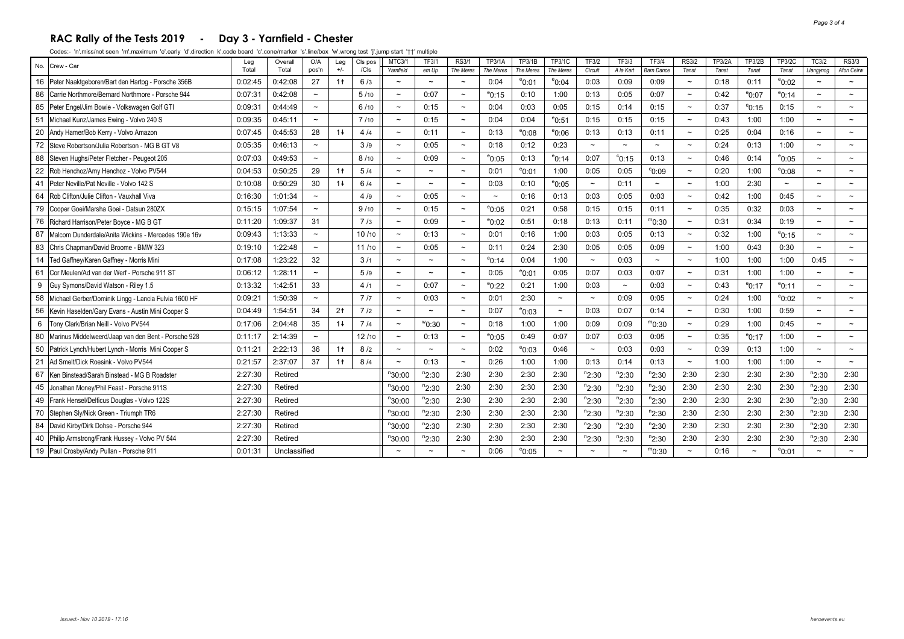#### **RAC Rally of the Tests 2019 - Day 3 - Yarnfield - Chester**

| No. | Crew - Car                                             | Leg     | Overall      | O/A                       | Leg            | CIs pos | MTC3/1                | <b>TF3/1</b>          | <b>RS3/1</b>          | TP3/1A                   | TP3/1B          | TP3/1C          | <b>TF3/2</b>          | TF3/3           | <b>TF3/4</b>          | <b>RS3/2</b>             | <b>TP3/2A</b> | <b>TP3/2B</b>   | <b>TP3/2C</b>   | TC3/2                 | <b>RS3/3</b>          |
|-----|--------------------------------------------------------|---------|--------------|---------------------------|----------------|---------|-----------------------|-----------------------|-----------------------|--------------------------|-----------------|-----------------|-----------------------|-----------------|-----------------------|--------------------------|---------------|-----------------|-----------------|-----------------------|-----------------------|
|     |                                                        | Total   | Total        | pos'n                     | $+/-$          | /Cls    | Yarnfield             | em Up                 | The Meres             | The Meres                | The Meres       | The Meres       | Circuit               | A la Kart       | <b>Bam Dance</b>      | Tanat                    | Tanat         | Tanat           | Tanat           | Llangynog             | Afon Ceirw            |
|     | 16 Peter Naaktgeboren/Bart den Hartog - Porsche 356B   | 0:02:45 | 0:42:08      | 27                        | 1 <sup>†</sup> | 6/3     | $\tilde{\phantom{a}}$ | $\tilde{\phantom{a}}$ | $\sim$                | 0:04                     | $^{\circ}$ 0:01 | $^{\circ}$ 0:04 | 0:03                  | 0:09            | 0:09                  | $\tilde{}$               | 0:18          | 0:11            | $^{\circ}$ 0:02 | $\tilde{\phantom{a}}$ | $\tilde{}$            |
| 86  | Carrie Northmore/Bernard Northmore - Porsche 944       | 0:07:31 | 0:42:08      | $\thicksim$               |                | 5/10    | $\sim$                | 0:07                  | $\sim$                | $^{\circ}$ 0:15          | 0:10            | 1:00            | 0:13                  | 0:05            | 0:07                  | $\tilde{\phantom{a}}$    | 0:42          | $^{\circ}$ 0:07 | $^{\circ}$ 0:14 | $\tilde{\phantom{a}}$ | $\sim$                |
|     | 85 Peter Engel/Jim Bowie - Volkswagen Golf GTI         | 0:09:31 | 0:44:49      | $\widetilde{\phantom{m}}$ |                | 6/10    | $\tilde{\phantom{a}}$ | 0:15                  | $\tilde{\phantom{a}}$ | 0:04                     | 0:03            | 0:05            | 0:15                  | 0:14            | 0:15                  |                          | 0:37          | $^{\circ}$ 0:15 | 0:15            | $\tilde{\phantom{a}}$ |                       |
| 51  | Michael Kunz/James Ewing - Volvo 240 S                 | 0:09:35 | 0:45:11      | $\tilde{\phantom{a}}$     |                | 7/10    |                       | 0:15                  | $\sim$                | 0:04                     | 0:04            | $^{\circ}$ 0:51 | 0:15                  | 0:15            | 0:15                  |                          | 0:43          | 1:00            | 1:00            | $\sim$                | $\sim$                |
| 20  | Andy Hamer/Bob Kerry - Volvo Amazon                    | 0:07:45 | 0:45:53      | 28                        | $1+$           | 4/4     | $\tilde{\phantom{a}}$ | 0:11                  | $\sim$                | 0:13                     | $^{\circ}$ 0:08 | $^{\circ}$ 0:06 | 0:13                  | 0:13            | 0:11                  | $\tilde{\phantom{a}}$    | 0:25          | 0:04            | 0:16            | $\tilde{\phantom{a}}$ | $\tilde{}$            |
| 72  | Steve Robertson/Julia Robertson - MG B GT V8           | 0:05:35 | 0:46:13      | $\thicksim$               |                | 3/9     | $\tilde{\phantom{a}}$ | 0:05                  | $\sim$                | 0:18                     | 0:12            | 0:23            | $\sim$                | $\sim$          | $\tilde{}$            | $\overline{\phantom{0}}$ | 0:24          | 0:13            | 1:00            | $\tilde{\phantom{a}}$ | $\tilde{\phantom{a}}$ |
| 88  | Steven Hughs/Peter Fletcher - Peugeot 205              | 0:07:03 | 0:49:53      | $\tilde{\phantom{a}}$     |                | 8/10    |                       | 0:09                  |                       | $^{\circ}$ 0:05          | 0:13            | $^{\circ}$ 0:14 | 0:07                  | $^{\circ}$ 0:15 | 0:13                  |                          | 0:46          | 0:14            | $^{\circ}$ 0:05 | $\tilde{\phantom{a}}$ |                       |
| 22  | Rob Henchoz/Amy Henchoz - Volvo PV544                  | 0:04:53 | 0:50:25      | 29                        | 1 <sup>†</sup> | 5/4     | $\tilde{\phantom{a}}$ | $\sim$                | $\sim$                | 0:01                     | $^{\circ}$ 0:01 | 1:00            | 0:05                  | 0:05            | °0.09                 | $\tilde{}$               | 0:20          | 1:00            | $^{\circ}$ 0:08 | $\tilde{\phantom{a}}$ | $\tilde{\phantom{a}}$ |
| 41  | Peter Neville/Pat Neville - Volvo 142 S                | 0:10:08 | 0:50:29      | 30                        | $1+$           | 6/4     | $\tilde{\phantom{a}}$ | $\tilde{\phantom{a}}$ | $\tilde{\phantom{a}}$ | 0:03                     | 0:10            | $^{\circ}$ 0:05 | $\tilde{\phantom{a}}$ | 0:11            | $\tilde{}$            |                          | 1:00          | 2:30            | $\tilde{}$      | $\tilde{\phantom{a}}$ | $\tilde{\phantom{a}}$ |
| 64  | Rob Clifton/Julie Clifton - Vauxhall Viva              | 0:16:30 | 1:01:34      | $\tilde{\phantom{a}}$     |                | 4/9     | $\tilde{}$            | 0:05                  | $\sim$                | $\overline{\phantom{0}}$ | 0:16            | 0:13            | 0:03                  | 0:05            | 0:03                  | $\tilde{\phantom{a}}$    | 0:42          | 1:00            | 0:45            | $\tilde{\phantom{a}}$ | $\sim$                |
| 79  | Cooper Goei/Marsha Goei - Datsun 280ZX                 | 0:15:15 | 1:07:54      | $\tilde{\phantom{a}}$     |                | 9/10    |                       | 0:15                  | $\sim$                | $^{\circ}$ 0:05          | 0:21            | 0:58            | 0:15                  | 0:15            | 0:11                  | $\tilde{}$               | 0:35          | 0:32            | 0:03            | $\tilde{\phantom{a}}$ | $\tilde{\phantom{a}}$ |
| 76  | Richard Harrison/Peter Boyce - MG B GT                 | 0:11:20 | 1:09:37      | 31                        |                | 7/3     |                       | 0:09                  | $\sim$                | $^{\circ}$ 0:02          | 0:51            | 0:18            | 0:13                  | 0:11            | $m_{0:30}$            |                          | 0:31          | 0:34            | 0:19            | $\tilde{\phantom{a}}$ |                       |
| 87  | Malcom Dunderdale/Anita Wickins - Mercedes 190e 16y    | 0:09:43 | 1:13:33      | $\thicksim$               |                | 10/10   | $\tilde{\phantom{a}}$ | 0:13                  | $\sim$                | 0:01                     | 0:16            | 1:00            | 0:03                  | 0:05            | 0:13                  | $\tilde{\phantom{a}}$    | 0:32          | 1:00            | $^{\circ}$ 0:15 | $\tilde{\phantom{a}}$ | $\tilde{\phantom{a}}$ |
| 83  | Chris Chapman/David Broome - BMW 323                   | 0:19:10 | 1:22:48      | $\tilde{\phantom{a}}$     |                | 11/10   | $\tilde{}$            | 0:05                  | $\sim$                | 0:11                     | 0:24            | 2:30            | 0:05                  | 0:05            | 0:09                  | $\tilde{}$               | 1:00          | 0:43            | 0:30            | $\tilde{\phantom{a}}$ | $\tilde{\phantom{a}}$ |
| 14  | Ted Gaffney/Karen Gaffney - Morris Mini                | 0:17:08 | 1:23:22      | 32                        |                | 3/1     |                       |                       | $\sim$                | $^{\circ}$ 0:14          | 0:04            | 1:00            | $\tilde{\phantom{a}}$ | 0:03            | $\tilde{\phantom{a}}$ |                          | 1:00          | 1:00            | 1:00            | 0:45                  |                       |
| 61  | Cor Meulen/Ad van der Werf - Porsche 911 ST            | 0:06:12 | 1:28:11      | $\tilde{\phantom{a}}$     |                | 5/9     | $\sim$                | $\sim$                | $\sim$                | 0:05                     | $^{\circ}$ 0:01 | 0:05            | 0:07                  | 0:03            | 0:07                  | $\sim$                   | 0:31          | 1:00            | 1:00            | $\tilde{\phantom{a}}$ | $\tilde{\phantom{a}}$ |
| 9   | Guy Symons/David Watson - Riley 1.5                    | 0:13:32 | 1:42:51      | 33                        |                | 4/1     |                       | 0:07                  | $\tilde{\phantom{a}}$ | $e_{0:22}$               | 0:21            | 1:00            | 0:03                  | $\tilde{}$      | 0:03                  | $\tilde{\phantom{a}}$    | 0:43          | $e_{0:17}$      | $^{\circ}$ 0:11 | $\tilde{\phantom{a}}$ |                       |
| 58  | Michael Gerber/Dominik Lingg - Lancia Fulvia 1600 HF   | 0:09:21 | 1:50:39      | $\thicksim$               |                | 7/7     | $\tilde{\phantom{a}}$ | 0:03                  |                       | 0:01                     | 2:30            | $\tilde{}$      | $\tilde{\phantom{a}}$ | 0:09            | 0:05                  |                          | 0:24          | 1:00            | $^{\circ}$ 0:02 | $\sim$                | $\tilde{\phantom{a}}$ |
|     | 56 Kevin Haselden/Gary Evans - Austin Mini Cooper S    | 0:04:49 | 1:54:51      | 34                        | 2 <sup>†</sup> | 7/2     | $\sim$                |                       |                       | 0:07                     | $^{\circ}$ 0:03 | $\tilde{}$      | 0:03                  | 0:07            | 0:14                  | $\overline{\phantom{0}}$ | 0:30          | 1:00            | 0:59            | $\sim$                | $\tilde{\phantom{a}}$ |
| 6   | Tony Clark/Brian Neill - Volvo PV544                   | 0:17:06 | 2:04:48      | 35                        | $1+$           | 7/4     |                       | $^{\rm w}$ 0:30       |                       | 0:18                     | 1:00            | 1:00            | 0:09                  | 0:09            | $^{\rm m}$ 0:30       |                          | 0:29          | 1:00            | 0:45            | $\tilde{\phantom{a}}$ | $\tilde{\phantom{a}}$ |
|     | 80 Marinus Middelweerd/Jaap van den Bent - Porsche 928 | 0:11:17 | 2:14:39      | $\thicksim$               |                | 12/10   | $\tilde{\phantom{a}}$ | 0:13                  | $\tilde{\phantom{a}}$ | $^{\circ}$ 0:05          | 0:49            | 0:07            | 0:07                  | 0:03            | 0:05                  | $\tilde{\phantom{a}}$    | 0:35          | $e_{0:17}$      | 1:00            | $\tilde{\phantom{a}}$ | $\tilde{\phantom{a}}$ |
|     | 50 Patrick Lynch/Hubert Lynch - Morris Mini Cooper S   | 0:11:21 | 2:22:13      | 36                        | 1 <sup>†</sup> | 8/2     | $\tilde{\phantom{a}}$ | $\tilde{\phantom{a}}$ | $\sim$                | 0:02                     | $^{\circ}$ 0:03 | 0:46            | $\thicksim$           | 0:03            | 0:03                  | $\tilde{}$               | 0:39          | 0:13            | 1:00            | $\tilde{\phantom{a}}$ | $\tilde{\phantom{a}}$ |
| 21  | Ad Smelt/Dick Roesink - Volvo PV544                    | 0:21:57 | 2:37:07      | 37                        | 1 <sup>†</sup> | 8/4     |                       | 0:13                  | $\sim$                | 0:26                     | 1:00            | 1:00            | 0:13                  | 0:14            | 0:13                  |                          | 1:00          | 1:00            | 1:00            | $\sim$                |                       |
| 67  | Ken Binstead/Sarah Binstead - MG B Roadster            | 2:27:30 | Retired      |                           |                |         | $n_{30:00}$           | $n_{2:30}$            | 2:30                  | 2:30                     | 2:30            | 2:30            | $n_{2:30}$            | $n_{2:30}$      | $n_{2:30}$            | 2:30                     | 2:30          | 2:30            | 2:30            | $n_{2:30}$            | 2:30                  |
| 45  | Jonathan Money/Phil Feast - Porsche 911S               | 2:27:30 | Retired      |                           |                |         | $n_{30:00}$           | $n_{2:30}$            | 2:30                  | 2:30                     | 2:30            | 2:30            | $n_{2:30}$            | $n_{2:30}$      | $n_{2:30}$            | 2:30                     | 2:30          | 2:30            | 2:30            | $n_{2:30}$            | 2:30                  |
|     | 49 Frank Hensel/Delficus Douglas - Volvo 122S          | 2:27:30 | Retired      |                           |                |         | $n_{30:00}$           | $n_{2:30}$            | 2:30                  | 2:30                     | 2:30            | 2:30            | $n_{2:30}$            | $n_{2:30}$      | $n_{2:30}$            | 2:30                     | 2:30          | 2:30            | 2:30            | $n_{2:30}$            | 2:30                  |
| 70  | Stephen Sly/Nick Green - Triumph TR6                   | 2:27:30 | Retired      |                           |                |         | $n_{30:00}$           | $n_{2:30}$            | 2:30                  | 2:30                     | 2:30            | 2:30            | $n_{2:30}$            | $n_{2:30}$      | $n_{2:30}$            | 2:30                     | 2:30          | 2:30            | 2:30            | $n_{2:30}$            | 2:30                  |
| 84  | David Kirby/Dirk Dohse - Porsche 944                   | 2:27:30 | Retired      |                           |                |         | $n_{30:00}$           | $n_{2:30}$            | 2:30                  | 2:30                     | 2:30            | 2:30            | $n_{2:30}$            | $n_{2:30}$      | $n_{2:30}$            | 2:30                     | 2:30          | 2:30            | 2:30            | $n_{2:30}$            | 2:30                  |
|     | 40 Philip Armstrong/Frank Hussey - Volvo PV 544        | 2:27:30 | Retired      |                           |                |         | $n_{30:00}$           | $n_{2:30}$            | 2:30                  | 2:30                     | 2:30            | 2:30            | $n_{2:30}$            | $n_{2:30}$      | $n_{2:30}$            | 2:30                     | 2:30          | 2:30            | 2:30            | $n_{2:30}$            | 2:30                  |
|     | 19 Paul Crosby/Andy Pullan - Porsche 911               | 0:01:31 | Unclassified |                           |                |         |                       |                       |                       | 0:06                     | $^{\circ}$ 0:05 |                 |                       |                 | $m_{0:30}$            |                          | 0:16          |                 | $^{\circ}$ 0:01 |                       |                       |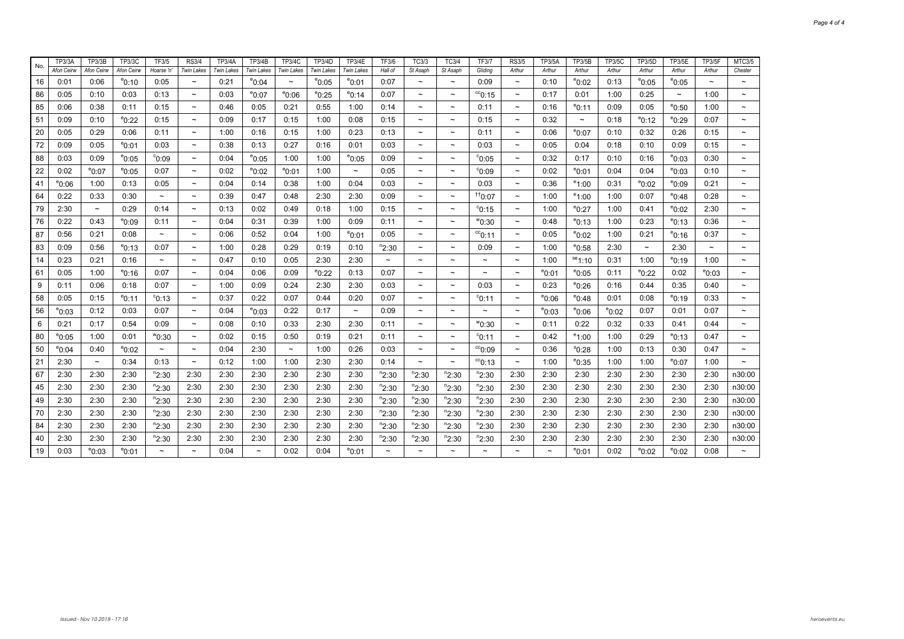| No. | <b>TP3/3A</b>   | <b>TP3/3B</b>   | TP3/3C          | TF3/5                     | <b>RS3/4</b>              | <b>TP3/4A</b>     | TP3/4B          | TP3/4C                | TP3/4D            | <b>TP3/4E</b>         | <b>TF3/6</b>              | TC3/3                     | <b>TC3/4</b>              | <b>TF3/7</b>          | <b>RS3/5</b>              | <b>TP3/5A</b>             | <b>TP3/5B</b>         | <b>TP3/5C</b>   | <b>TP3/5D</b>         | <b>TP3/5E</b>   | <b>TP3/5F</b>             | MTC3/5                    |
|-----|-----------------|-----------------|-----------------|---------------------------|---------------------------|-------------------|-----------------|-----------------------|-------------------|-----------------------|---------------------------|---------------------------|---------------------------|-----------------------|---------------------------|---------------------------|-----------------------|-----------------|-----------------------|-----------------|---------------------------|---------------------------|
|     | Afon Ceirw      | Afon Ceirw      | Afon Ceirw      | Hoarse 'n'                | <b>Twin Lakes</b>         | <b>Twin Lakes</b> | Twin Lakes      | Twin Lakes            | <b>Twin Lakes</b> | Twin Lakes            | Hall of                   | St Asaph                  | St Asaph                  | Gliding               | Arthur                    | Arthur                    | Arthur                | Arthur          | Arthur                | Arthur          | Arthur                    | Chester                   |
| 16  | 0:01            | 0:06            | $^{\circ}$ 0:10 | 0:05                      | $\widetilde{\phantom{m}}$ | 0:21              | $^{\circ}$ 0:04 | $\tilde{\phantom{a}}$ | $^{\circ}$ 0:05   | $^{\circ}$ 0:01       | 0:07                      |                           | $\tilde{\phantom{a}}$     | 0:09                  | $\tilde{\phantom{a}}$     | 0:10                      | $^{\circ}$ 0:02       | 0:13            | $^{\circ}$ 0:05       | $^{\circ}$ 0:05 | $\widetilde{\phantom{m}}$ | $\tilde{\phantom{a}}$     |
| 86  | 0:05            | 0:10            | 0:03            | 0:13                      | $\widetilde{\phantom{m}}$ | 0:03              | $^{\circ}$ 0:07 | $^{\circ}0:06$        | $^{\circ}$ 0:25   | $^{\circ}$ 0:14       | 0:07                      | $\tilde{\phantom{a}}$     | $\tilde{}$                | $\mathrm{^{cc}O:15}$  | $\thicksim$               | 0:17                      | 0:01                  | 1:00            | 0:25                  | $\thicksim$     | 1:00                      | $\tilde{}$                |
| 85  | 0:06            | 0:38            | 0:11            | 0:15                      | $\tilde{\phantom{a}}$     | 0:46              | 0:05            | 0:21                  | 0:55              | 1:00                  | 0:14                      | $\tilde{\phantom{a}}$     | $\thicksim$               | 0:11                  | $\tilde{\phantom{a}}$     | 0:16                      | $^{\rm e}$ 0:11       | 0:09            | 0:05                  | $^{\circ}$ 0:50 | 1:00                      | $\tilde{}$                |
| 51  | 0:09            | 0:10            | $^{\circ}$ 0:22 | 0:15                      | $\tilde{\phantom{a}}$     | 0:09              | 0:17            | 0:15                  | 1:00              | 0:08                  | 0:15                      | $\tilde{\phantom{a}}$     | $\tilde{\phantom{a}}$     | 0:15                  | $\tilde{\phantom{a}}$     | 0:32                      | $\tilde{\phantom{a}}$ | 0:18            | $^{\circ}$ 0:12       | $^{\circ}$ 0:29 | 0:07                      | $\tilde{\phantom{a}}$     |
| 20  | 0:05            | 0:29            | 0:06            | 0:11                      | $\tilde{}$                | 1:00              | 0:16            | 0:15                  | 1:00              | 0:23                  | 0:13                      | $\tilde{\phantom{a}}$     | $\thicksim$               | 0:11                  | $\thicksim$               | 0:06                      | $^{\circ}$ 0:07       | 0:10            | 0:32                  | 0:26            | 0:15                      | $\tilde{}$                |
| 72  | 0:09            | 0:05            | $^{\circ}$ 0:01 | 0:03                      | $\sim$                    | 0:38              | 0:13            | 0:27                  | 0:16              | 0:01                  | 0:03                      | $\tilde{\phantom{a}}$     | $\tilde{\phantom{a}}$     | 0:03                  | $\tilde{\phantom{a}}$     | 0:05                      | 0:04                  | 0:18            | 0:10                  | 0:09            | 0:15                      | $\thicksim$               |
| 88  | 0:03            | 0:09            | $^{\circ}$ 0:05 | °0:09                     | $\tilde{\phantom{a}}$     | 0:04              | $^{\circ}$ 0:05 | 1:00                  | 1:00              | $^{\circ}$ 0:05       | 0:09                      | $\tilde{\phantom{a}}$     | $\tilde{\phantom{a}}$     | °0:05                 | $\tilde{}$                | 0:32                      | 0:17                  | 0:10            | 0:16                  | $^{\circ}$ 0:03 | 0:30                      | $\tilde{\phantom{a}}$     |
| 22  | 0:02            | $^{\circ}$ 0:07 | $^{\circ}$ 0:05 | 0:07                      | $\tilde{\phantom{a}}$     | 0:02              | $^{\circ}$ 0:02 | $^{\circ}$ 0:01       | 1:00              | $\thicksim$           | 0:05                      | $\tilde{\phantom{a}}$     | $\thicksim$               | °0:09                 | $\thicksim$               | 0:02                      | $^{\rm e}$ 0:01       | 0:04            | 0:04                  | $^{\circ}$ 0:03 | 0:10                      | $\tilde{\phantom{a}}$     |
| 41  | $^{\circ}$ 0:06 | 1:00            | 0:13            | 0:05                      | $\tilde{}$                | 0:04              | 0:14            | 0:38                  | 1:00              | 0:04                  | 0:03                      | $\tilde{\phantom{a}}$     | $\tilde{\phantom{a}}$     | 0:03                  | $\thicksim$               | 0:36                      | $^{\circ}1:00$        | 0:31            | $^{\circ}$ 0:02       | $^{\circ}$ 0:09 | 0:21                      | $\tilde{}$                |
| 64  | 0:22            | 0:33            | 0:30            | $\tilde{}$                | $\tilde{}$                | 0:39              | 0:47            | 0:48                  | 2:30              | 2:30                  | 0:09                      | $\tilde{}$                | $\tilde{\phantom{a}}$     | $^{+10:07}$           | $\tilde{\phantom{a}}$     | 1:00                      | $^{\circ}$ 1:00       | 1:00            | 0:07                  | $^{\circ}$ 0:48 | 0:28                      |                           |
| 79  | 2:30            | $\sim$          | 0:29            | 0:14                      | $\tilde{}$                | 0:13              | 0:02            | 0:49                  | 0:18              | 1:00                  | 0:15                      | $\tilde{\phantom{a}}$     | $\thicksim$               | $^{\circ}$ 0:15       | $\tilde{\phantom{a}}$     | 1:00                      | $e_{0:27}$            | 1:00            | 0:41                  | $^{\circ}$ 0:02 | 2:30                      | $\tilde{}$                |
| 76  | 0:22            | 0:43            | $^{\circ}$ 0:09 | 0:11                      | $\tilde{\phantom{a}}$     | 0:04              | 0:31            | 0:39                  | 1:00              | 0:09                  | 0:11                      | $\tilde{}$                | $\tilde{\phantom{a}}$     | $^{w}$ 0:30           | $\tilde{\phantom{a}}$     | 0:48                      | $^{\circ}$ 0:13       | 1:00            | 0:23                  | $^{\circ}$ 0:13 | 0:36                      | $\tilde{}$                |
| 87  | 0:56            | 0:21            | 0:08            | $\widetilde{\phantom{m}}$ | $\widetilde{\phantom{m}}$ | 0:06              | 0:52            | 0:04                  | 1:00              | $^{\circ}$ 0:01       | 0:05                      | $\tilde{}$                | $\tilde{\phantom{a}}$     | $^{cc}$ 0:11          | $\tilde{\phantom{a}}$     | 0:05                      | $^{\circ}$ 0:02       | 1:00            | 0:21                  | $^{\circ}$ 0:16 | 0:37                      |                           |
| 83  | 0:09            | 0:56            | $^{\circ}$ 0:13 | 0:07                      | $\tilde{\phantom{a}}$     | 1:00              | 0:28            | 0:29                  | 0:19              | 0:10                  | $n_{2:30}$                | $\tilde{\phantom{a}}$     | $\thicksim$               | 0:09                  | $\tilde{\phantom{a}}$     | 1:00                      | $^{\circ}$ 0:58       | 2:30            | $\tilde{\phantom{a}}$ | 2:30            | $\widetilde{\phantom{m}}$ | $\tilde{\phantom{a}}$     |
| 14  | 0:23            | 0:21            | 0:16            | $\tilde{\phantom{a}}$     | $\tilde{\phantom{a}}$     | 0:47              | 0:10            | 0:05                  | 2:30              | 2:30                  | $\widetilde{\phantom{m}}$ | $\tilde{\phantom{a}}$     | $\tilde{\phantom{a}}$     | $\tilde{\phantom{a}}$ | $\tilde{}$                | 1:00                      | ${}^{se}1:10$         | 0:31            | 1:00                  | $^{\circ}$ 0:19 | 1:00                      | $\widetilde{\phantom{m}}$ |
| 61  | 0:05            | 1:00            | $^{\circ}$ 0:16 | 0:07                      | $\tilde{\phantom{a}}$     | 0:04              | 0:06            | 0:09                  | $^{\circ}$ 0:22   | 0:13                  | 0:07                      | $\widetilde{\phantom{m}}$ | $\widetilde{\phantom{m}}$ | $\tilde{}$            | $\widetilde{\phantom{m}}$ | $^{\circ}$ 0:01           | $^{\circ}$ 0:05       | 0:11            | $^{\circ}$ 0:22       | 0:02            | $^{\circ}$ 0:03           | $\widetilde{\phantom{m}}$ |
| 9   | 0:11            | 0:06            | 0:18            | 0:07                      | $\tilde{}$                | 1:00              | 0:09            | 0:24                  | 2:30              | 2:30                  | 0:03                      | $\tilde{}$                | $\thicksim$               | 0:03                  | $\thicksim$               | 0:23                      | $^{\circ}$ 0:26       | 0:16            | 0:44                  | 0:35            | 0:40                      | $\widetilde{\phantom{m}}$ |
| 58  | 0:05            | 0:15            | $^{\circ}$ 0:11 | $^{\circ}$ 0:13           | $\tilde{}$                | 0:37              | 0:22            | 0:07                  | 0:44              | 0:20                  | 0:07                      | $\tilde{\phantom{a}}$     | $\tilde{\phantom{a}}$     | $^{\circ}$ 0:11       | $\tilde{}$                | $^{\circ}$ 0:06           | <sup>e</sup> 0:48     | 0:01            | 0:08                  | $^{\circ}$ 0:19 | 0:33                      | $\tilde{\phantom{a}}$     |
| 56  | $^{\circ}$ 0:03 | 0:12            | 0:03            | 0:07                      | $\sim$                    | 0:04              | $^{\circ}$ 0:03 | 0:22                  | 0:17              | $\tilde{\phantom{a}}$ | 0:09                      | $\tilde{\phantom{a}}$     | $\thicksim$               | $\tilde{}$            | $\tilde{\phantom{a}}$     | $^{\rm e}$ 0:03           | $^{\rm e}$ 0:06       | $^{\circ}$ 0:02 | 0:07                  | 0:01            | 0:07                      | $\widetilde{\phantom{m}}$ |
| 6   | 0:21            | 0:17            | 0:54            | 0:09                      | $\widetilde{\phantom{m}}$ | 0:08              | 0:10            | 0:33                  | 2:30              | 2:30                  | 0:11                      | $\tilde{\phantom{a}}$     | $\tilde{\phantom{a}}$     | $^{\rm w}$ 0:30       | $\widetilde{\phantom{m}}$ | 0:11                      | 0:22                  | 0:32            | 0:33                  | 0:41            | 0:44                      | $\widetilde{\phantom{m}}$ |
| 80  | $^{\circ}$ 0:05 | 1:00            | 0:01            | $^{w}$ 0:30               | $\tilde{\phantom{a}}$     | 0:02              | 0:15            | 0:50                  | 0:19              | 0:21                  | 0:11                      | $\tilde{\phantom{a}}$     | $\tilde{}$                | $^{\circ}$ 0:11       | $\widetilde{\phantom{m}}$ | 0:42                      | $^{\circ}1:00$        | 1:00            | 0:29                  | $^{\circ}$ 0:13 | 0:47                      |                           |
| 50  | $^{\circ}$ 0:04 | 0:40            | $^{\circ}$ 0:02 | $\tilde{\phantom{a}}$     | $\sim$                    | 0:04              | 2:30            | $\sim$                | 1:00              | 0:26                  | 0:03                      | $\tilde{\phantom{a}}$     | $\tilde{\phantom{a}}$     | °C0:09                | $\tilde{\phantom{a}}$     | 0:36                      | $^{\rm s}$ 0:28       | 1:00            | 0:13                  | 0:30            | 0:47                      | $\tilde{\phantom{a}}$     |
| 21  | 2:30            | $\thicksim$     | 0:34            | 0:13                      | $\tilde{\phantom{a}}$     | 0:12              | 1:00            | 1:00                  | 2:30              | 2:30                  | 0:14                      | $\tilde{\phantom{a}}$     | $\tilde{\phantom{a}}$     | $\mathrm{^{cc}O:13}$  | $\tilde{\phantom{a}}$     | 1:00                      | $^{\circ}$ 0:35       | 1:00            | 1:00                  | $^{\circ}$ 0:07 | 1:00                      | $\sim$                    |
| 67  | 2:30            | 2:30            | 2:30            | $n_{2:30}$                | 2:30                      | 2:30              | 2:30            | 2:30                  | 2:30              | 2:30                  | $n_{2:30}$                | $n_{2:30}$                | $n_{2:30}$                | $n_{2:30}$            | 2:30                      | 2:30                      | 2:30                  | 2:30            | 2:30                  | 2:30            | 2:30                      | n30:00                    |
| 45  | 2:30            | 2:30            | 2:30            | $n_{2:30}$                | 2:30                      | 2:30              | 2:30            | 2:30                  | 2:30              | 2:30                  | $n_{2:30}$                | $n_{2:30}$                | $n_{2:30}$                | $n_{2:30}$            | 2:30                      | 2:30                      | 2:30                  | 2:30            | 2:30                  | 2:30            | 2:30                      | n30:00                    |
| 49  | 2:30            | 2:30            | 2:30            | $n_{2:30}$                | 2:30                      | 2:30              | 2:30            | 2:30                  | 2:30              | 2:30                  | $n_{2:30}$                | $n_{2:30}$                | $n_{2:30}$                | $n_{2:30}$            | 2:30                      | 2:30                      | 2:30                  | 2:30            | 2:30                  | 2:30            | 2:30                      | n30:00                    |
| 70  | 2:30            | 2:30            | 2:30            | $n_{2:30}$                | 2:30                      | 2:30              | 2:30            | 2:30                  | 2:30              | 2:30                  | $n_{2:30}$                | $n_{2:30}$                | $n_{2:30}$                | $n_{2:30}$            | 2:30                      | 2:30                      | 2:30                  | 2:30            | 2:30                  | 2:30            | 2:30                      | n30:00                    |
| 84  | 2:30            | 2:30            | 2:30            | $n_{2:30}$                | 2:30                      | 2:30              | 2:30            | 2:30                  | 2:30              | 2:30                  | $n_{2:30}$                | $n_{2:30}$                | $n_{2:30}$                | $n_{2:30}$            | 2:30                      | 2:30                      | 2:30                  | 2:30            | 2:30                  | 2:30            | 2:30                      | n30:00                    |
| 40  | 2:30            | 2:30            | 2:30            | $n_{2:30}$                | 2:30                      | 2:30              | 2:30            | 2:30                  | 2:30              | 2:30                  | $n_{2:30}$                | $n_{2:30}$                | $n_{2:30}$                | $n_{2:30}$            | 2:30                      | 2:30                      | 2:30                  | 2:30            | 2:30                  | 2:30            | 2:30                      | n30:00                    |
| 19  | 0:03            | $^{\circ}$ 0:03 | $^{\circ}$ 0:01 | $\tilde{}$                |                           | 0:04              | $\thicksim$     | 0:02                  | 0:04              | $^{\circ}$ 0:01       |                           |                           |                           |                       |                           | $\widetilde{\phantom{m}}$ | $^{\circ}$ 0:01       | 0:02            | $^{\circ}$ 0:02       | $^{\circ}$ 0:02 | 0:08                      |                           |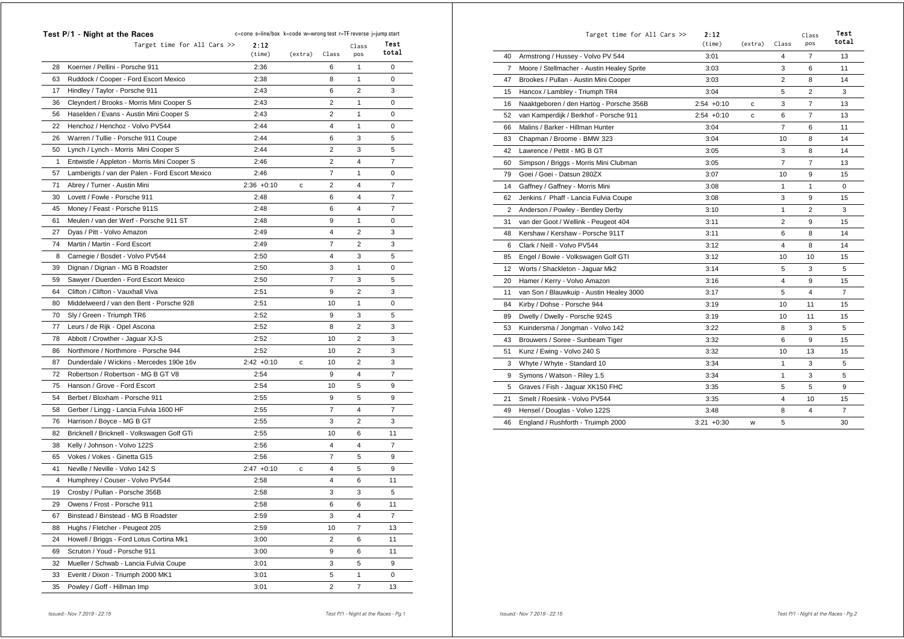|              | Test P/1 - Night at the Races                   | c=cone s=line/box k=code w=wrong test r=TF reverse j=jump start |             |                |                |                |
|--------------|-------------------------------------------------|-----------------------------------------------------------------|-------------|----------------|----------------|----------------|
|              | Target time for All Cars $\gg$                  | 2:12<br>(time)                                                  | (extra)     | Class          | Class<br>pos   | Test<br>total  |
| 28           | Koerner / Pellini - Porsche 911                 | 2:36                                                            |             | 6              | 1              | 0              |
| 63           | Ruddock / Cooper - Ford Escort Mexico           | 2:38                                                            |             | 8              | 1              | 0              |
| 17           | Hindley / Taylor - Porsche 911                  | 2:43                                                            |             | 6              | $\overline{2}$ | 3              |
| 36           | Cleyndert / Brooks - Morris Mini Cooper S       | 2:43                                                            |             | $\overline{2}$ | 1              | $\mathbf 0$    |
| 56           | Haselden / Evans - Austin Mini Cooper S         | 2:43                                                            |             | 2              | 1              | 0              |
| 22           | Henchoz / Henchoz - Volvo PV544                 | 2:44                                                            |             | 4              | 1              | 0              |
| 26           | Warren / Tullie - Porsche 911 Coupe             | 2:44                                                            |             | 6              | 3              | 5              |
| 50           | Lynch / Lynch - Morris Mini Cooper S            | 2:44                                                            |             | $\overline{2}$ | 3              | 5              |
| $\mathbf{1}$ | Entwistle / Appleton - Morris Mini Cooper S     | 2:46                                                            |             | 2              | $\overline{4}$ | $\overline{7}$ |
| 57           | Lamberigts / van der Palen - Ford Escort Mexico | 2:46                                                            |             | $\overline{7}$ | 1              | $\mathbf 0$    |
| 71           | Abrey / Turner - Austin Mini                    | $2:36 + 0:10$                                                   | с           | $\overline{2}$ | 4              | 7              |
| 30           | Lovett / Fowle - Porsche 911                    | 2:48                                                            |             | 6              | 4              | 7              |
| 45           | Money / Feast - Porsche 911S                    | 2:48                                                            |             | 6              | 4              | $\overline{7}$ |
| 61           | Meulen / van der Werf - Porsche 911 ST          | 2:48                                                            |             | 9              | 1              | 0              |
| 27           | Dyas / Pitt - Volvo Amazon                      | 2:49                                                            |             | 4              | $\overline{2}$ | 3              |
| 74           | Martin / Martin - Ford Escort                   | 2:49                                                            |             | $\overline{7}$ | $\overline{2}$ | 3              |
| 8            | Carnegie / Bosdet - Volvo PV544                 | 2:50                                                            |             | 4              | 3              | 5              |
| 39           | Dignan / Dignan - MG B Roadster                 | 2:50                                                            |             | 3              | $\mathbf{1}$   | 0              |
| 59           | Sawyer / Duerden - Ford Escort Mexico           | 2:50                                                            |             | $\overline{7}$ | 3              | 5              |
| 64           | Clifton / Clifton - Vauxhall Viva               | 2:51                                                            |             | 9              | 2              | 3              |
| 80           | Middelweerd / van den Bent - Porsche 928        | 2:51                                                            |             | 10             | 1              | 0              |
| 70           | Sly / Green - Triumph TR6                       | 2:52                                                            |             | 9              | 3              | 5              |
| 77           | Leurs / de Rijk - Opel Ascona                   | 2:52                                                            |             | 8              | 2              | 3              |
| 78           | Abbott / Crowther - Jaguar XJ-S                 | 2:52                                                            |             | 10             | 2              | 3              |
| 86           | Northmore / Northmore - Porsche 944             | 2:52                                                            |             | 10             | 2              | 3              |
| 87           | Dunderdale / Wickins - Mercedes 190e 16v        | $2:42 +0:10$                                                    | c           | 10             | 2              | 3              |
| 72           | Robertson / Robertson - MG B GT V8              | 2:54                                                            |             | 9              | 4              | $\overline{7}$ |
| 75           | Hanson / Grove - Ford Escort                    | 2:54                                                            |             | 10             | 5              | 9              |
| 54           | Berbet / Bloxham - Porsche 911                  | 2:55                                                            |             | 9              | 5              | 9              |
| 58           | Gerber / Lingg - Lancia Fulvia 1600 HF          | 2:55                                                            |             | $\overline{7}$ | 4              | 7              |
| 76           | Harrison / Boyce - MG B GT                      | 2:55                                                            |             | 3              | 2              | 3              |
| 82           | Bricknell / Bricknell - Volkswagen Golf GTi     | 2:55                                                            |             | 10             | 6              | 11             |
| 38           | Kelly / Johnson - Volvo 122S                    | 2:56                                                            |             | 4              | 4              | $\overline{7}$ |
| 65           | Vokes / Vokes - Ginetta G15                     | 2:56                                                            |             | $\overline{7}$ | 5              | 9              |
| 41           | Neville / Neville - Volvo 142 S                 | $2:47 +0:10$                                                    | $\mathbf c$ | 4              | 5              | 9              |
| 4            | Humphrey / Couser - Volvo PV544                 | 2:58                                                            |             | 4              | 6              | 11             |
| 19           | Crosby / Pullan - Porsche 356B                  | 2:58                                                            |             | 3              | 3              | 5              |
| 29           | Owens / Frost - Porsche 911                     | 2:58                                                            |             | 6              | 6              | 11             |
| 67           | Binstead / Binstead - MG B Roadster             | 2:59                                                            |             | 3              | 4              | 7              |
| 88           | Hughs / Fletcher - Peugeot 205                  | 2:59                                                            |             | 10             | $\overline{7}$ | 13             |
| 24           | Howell / Briggs - Ford Lotus Cortina Mk1        | 3:00                                                            |             | 2              | 6              | 11             |
| 69           | Scruton / Youd - Porsche 911                    | 3:00                                                            |             | 9              | 6              | 11             |
| 32           | Mueller / Schwab - Lancia Fulvia Coupe          | 3:01                                                            |             | 3              | 5              | 9              |
| 33           | Everitt / Dixon - Triumph 2000 MK1              | 3:01                                                            |             | 5              | 1              | 0              |
| 35           | Powley / Goff - Hillman Imp                     | 3:01                                                            |             | 2              | 7              | 13             |
|              |                                                 |                                                                 |             |                |                |                |

|    | Target time for All Cars >>                | 2:12<br>(time) | (extra) | Class          | Class<br>pos   | Test<br>total  |
|----|--------------------------------------------|----------------|---------|----------------|----------------|----------------|
| 40 | Armstrong / Hussey - Volvo PV 544          | 3:01           |         | 4              | $\overline{7}$ | 13             |
| 7  | Moore / Stellmacher - Austin Healey Sprite | 3:03           |         | 3              | 6              | 11             |
| 47 | Brookes / Pullan - Austin Mini Cooper      | 3:03           |         | $\overline{2}$ | 8              | 14             |
| 15 | Hancox / Lambley - Triumph TR4             | 3:04           |         | 5              | 2              | 3              |
| 16 | Naaktgeboren / den Hartog - Porsche 356B   | $2:54 +0:10$   | с       | 3              | $\overline{7}$ | 13             |
| 52 | van Kamperdijk / Berkhof - Porsche 911     | $2:54 +0:10$   | с       | 6              | $\overline{7}$ | 13             |
| 66 | Malins / Barker - Hillman Hunter           | 3:04           |         | $\overline{7}$ | 6              | 11             |
| 83 | Chapman / Broome - BMW 323                 | 3:04           |         | 10             | 8              | 14             |
| 42 | Lawrence / Pettit - MG B GT                | 3:05           |         | 3              | 8              | 14             |
| 60 | Simpson / Briggs - Morris Mini Clubman     | 3:05           |         | $\overline{7}$ | $\overline{7}$ | 13             |
| 79 | Goei / Goei - Datsun 280ZX                 | 3:07           |         | 10             | 9              | 15             |
| 14 | Gaffney / Gaffney - Morris Mini            | 3:08           |         | 1              | $\mathbf{1}$   | 0              |
| 62 | Jenkins / Phaff - Lancia Fulvia Coupe      | 3:08           |         | 3              | 9              | 15             |
| 2  | Anderson / Powley - Bentley Derby          | 3:10           |         | 1              | $\overline{2}$ | 3              |
| 31 | van der Goot / Wellink - Peugeot 404       | 3:11           |         | $\overline{2}$ | 9              | 15             |
| 48 | Kershaw / Kershaw - Porsche 911T           | 3:11           |         | 6              | 8              | 14             |
| 6  | Clark / Neill - Volvo PV544                | 3:12           |         | 4              | 8              | 14             |
| 85 | Engel / Bowie - Volkswagen Golf GTI        | 3:12           |         | 10             | 10             | 15             |
| 12 | Worts / Shackleton - Jaguar Mk2            | 3:14           |         | 5              | 3              | 5              |
| 20 | Hamer / Kerry - Volvo Amazon               | 3:16           |         | 4              | 9              | 15             |
| 11 | van Son / Blauwkuip - Austin Healey 3000   | 3:17           |         | 5              | 4              | $\overline{7}$ |
| 84 | Kirby / Dohse - Porsche 944                | 3:19           |         | 10             | 11             | 15             |
| 89 | Dwelly / Dwelly - Porsche 924S             | 3:19           |         | 10             | 11             | 15             |
| 53 | Kuindersma / Jongman - Volvo 142           | 3:22           |         | 8              | 3              | 5              |
| 43 | Brouwers / Soree - Sunbeam Tiger           | 3:32           |         | 6              | 9              | 15             |
| 51 | Kunz / Ewing - Volvo 240 S                 | 3:32           |         | 10             | 13             | 15             |
| 3  | Whyte / Whyte - Standard 10                | 3:34           |         | $\mathbf{1}$   | 3              | 5              |
| 9  | Symons / Watson - Riley 1.5                | 3:34           |         | $\mathbf{1}$   | 3              | 5              |
| 5  | Graves / Fish - Jaguar XK150 FHC           | 3:35           |         | 5              | 5              | 9              |
| 21 | Smelt / Roesink - Volvo PV544              | 3:35           |         | 4              | 10             | 15             |
| 49 | Hensel / Douglas - Volvo 122S              | 3:48           |         | 8              | 4              | $\overline{7}$ |
| 46 | England / Rushforth - Truimph 2000         | $3:21 + 0:30$  | W       | 5              |                | 30             |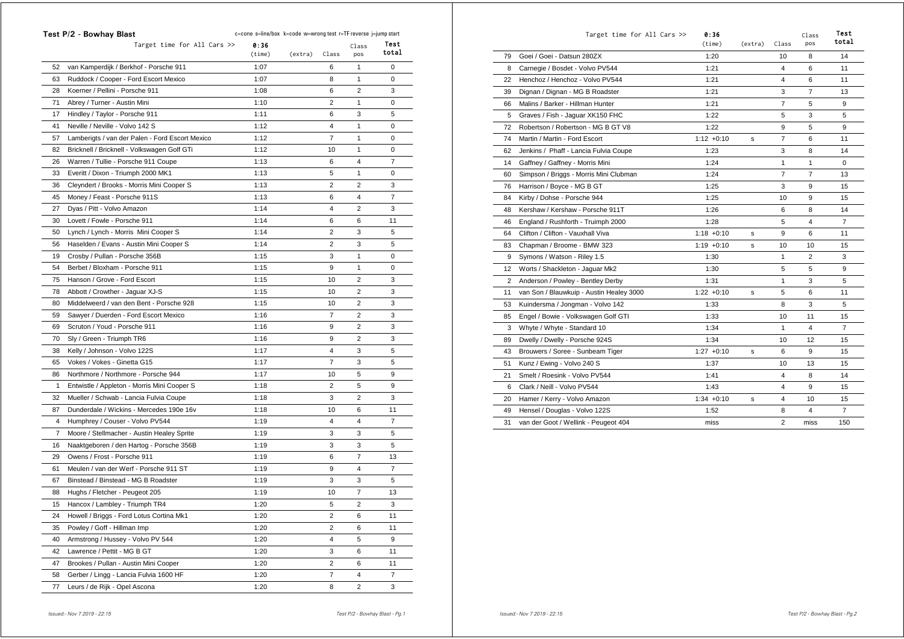|    | Test P/2 - Bowhay Blast                         | c=cone s=line/box k=code w=wrong test r=TF reverse j=jump start |         |                |                |       |
|----|-------------------------------------------------|-----------------------------------------------------------------|---------|----------------|----------------|-------|
|    | Target time for All Cars $\gg$                  | 0:36                                                            |         |                | Class          | Test  |
|    |                                                 | (time)                                                          | (extra) | Class          | pos            | total |
| 52 | van Kamperdijk / Berkhof - Porsche 911          | 1:07                                                            |         | 6              | 1              | 0     |
| 63 | Ruddock / Cooper - Ford Escort Mexico           | 1:07                                                            |         | 8              | 1              | 0     |
| 28 | Koerner / Pellini - Porsche 911                 | 1:08                                                            |         | 6              | $\overline{2}$ | 3     |
| 71 | Abrey / Turner - Austin Mini                    | 1:10                                                            |         | $\overline{2}$ | 1              | 0     |
| 17 | Hindley / Taylor - Porsche 911                  | 1:11                                                            |         | 6              | 3              | 5     |
| 41 | Neville / Neville - Volvo 142 S                 | 1:12                                                            |         | 4              | 1              | 0     |
| 57 | Lamberigts / van der Palen - Ford Escort Mexico | 1:12                                                            |         | $\overline{7}$ | 1              | 0     |
| 82 | Bricknell / Bricknell - Volkswagen Golf GTi     | 1:12                                                            |         | 10             | 1              | 0     |
| 26 | Warren / Tullie - Porsche 911 Coupe             | 1:13                                                            |         | 6              | 4              | 7     |
| 33 | Everitt / Dixon - Triumph 2000 MK1              | 1:13                                                            |         | 5              | 1              | 0     |
| 36 | Cleyndert / Brooks - Morris Mini Cooper S       | 1:13                                                            |         | $\overline{2}$ | $\overline{2}$ | 3     |
| 45 | Money / Feast - Porsche 911S                    | 1:13                                                            |         | 6              | 4              | 7     |
| 27 | Dyas / Pitt - Volvo Amazon                      | 1:14                                                            |         | 4              | 2              | 3     |
| 30 | Lovett / Fowle - Porsche 911                    | 1:14                                                            |         | 6              | 6              | 11    |
| 50 | Lynch / Lynch - Morris Mini Cooper S            | 1:14                                                            |         | $\overline{2}$ | 3              | 5     |
| 56 | Haselden / Evans - Austin Mini Cooper S         | 1:14                                                            |         | $\overline{2}$ | 3              | 5     |
| 19 | Crosby / Pullan - Porsche 356B                  | 1:15                                                            |         | 3              | 1              | 0     |
| 54 | Berbet / Bloxham - Porsche 911                  | 1:15                                                            |         | 9              | 1              | 0     |
| 75 | Hanson / Grove - Ford Escort                    | 1:15                                                            |         | 10             | 2              | 3     |
| 78 | Abbott / Crowther - Jaguar XJ-S                 | 1:15                                                            |         | 10             | $\overline{2}$ | 3     |
| 80 | Middelweerd / van den Bent - Porsche 928        | 1:15                                                            |         | 10             | $\overline{2}$ | 3     |
| 59 | Sawyer / Duerden - Ford Escort Mexico           | 1:16                                                            |         | $\overline{7}$ | $\overline{2}$ | 3     |
| 69 | Scruton / Youd - Porsche 911                    | 1:16                                                            |         | 9              | $\overline{2}$ | 3     |
| 70 | Sly / Green - Triumph TR6                       | 1:16                                                            |         | 9              | 2              | 3     |
| 38 | Kelly / Johnson - Volvo 122S                    | 1:17                                                            |         | 4              | 3              | 5     |
| 65 | Vokes / Vokes - Ginetta G15                     | 1:17                                                            |         | 7              | 3              | 5     |
| 86 | Northmore / Northmore - Porsche 944             | 1:17                                                            |         | 10             | 5              | 9     |
| 1  | Entwistle / Appleton - Morris Mini Cooper S     | 1:18                                                            |         | $\overline{2}$ | 5              | 9     |
| 32 | Mueller / Schwab - Lancia Fulvia Coupe          | 1:18                                                            |         | 3              | 2              | 3     |
| 87 | Dunderdale / Wickins - Mercedes 190e 16v        | 1:18                                                            |         | 10             | 6              | 11    |
| 4  | Humphrey / Couser - Volvo PV544                 | 1:19                                                            |         | 4              | 4              | 7     |
| 7  | Moore / Stellmacher - Austin Healey Sprite      | 1:19                                                            |         | 3              | 3              | 5     |
| 16 | Naaktgeboren / den Hartog - Porsche 356B        | 1:19                                                            |         | 3              | 3              | 5     |
| 29 | Owens / Frost - Porsche 911                     | 1:19                                                            |         | 6              | 7              | 13    |
| 61 | Meulen / van der Werf - Porsche 911 ST          | 1:19                                                            |         | 9              | $\overline{4}$ | 7     |
| 67 | Binstead / Binstead - MG B Roadster             | 1:19                                                            |         | 3              | 3              | 5     |
| 88 | Hughs / Fletcher - Peugeot 205                  | 1:19                                                            |         | 10             | 7              | 13    |
| 15 | Hancox / Lambley - Triumph TR4                  | 1:20                                                            |         | 5              | $\overline{2}$ | 3     |
| 24 | Howell / Briggs - Ford Lotus Cortina Mk1        | 1:20                                                            |         | 2              | 6              | 11    |
| 35 | Powley / Goff - Hillman Imp                     | 1:20                                                            |         | 2              | 6              | 11    |
| 40 | Armstrong / Hussey - Volvo PV 544               | 1:20                                                            |         | 4              | 5              | 9     |
| 42 | Lawrence / Pettit - MG B GT                     | 1:20                                                            |         | 3              | 6              | 11    |
| 47 | Brookes / Pullan - Austin Mini Cooper           | 1:20                                                            |         | 2              | 6              | 11    |
| 58 | Gerber / Lingg - Lancia Fulvia 1600 HF          | 1:20                                                            |         | 7              | 4              | 7     |
| 77 | Leurs / de Rijk - Opel Ascona                   | 1:20                                                            |         | 8              | 2              | 3     |
|    |                                                 |                                                                 |         |                |                |       |

|    | Target time for All Cars >>              | 0:36<br>(time) | (extra) | Class          | Class<br>pos   | Test<br>total  |
|----|------------------------------------------|----------------|---------|----------------|----------------|----------------|
| 79 | Goei / Goei - Datsun 280ZX               | 1:20           |         | 10             | 8              | 14             |
| 8  | Carnegie / Bosdet - Volvo PV544          | 1:21           |         | 4              | 6              | 11             |
| 22 | Henchoz / Henchoz - Volvo PV544          | 1:21           |         | 4              | 6              | 11             |
| 39 | Dignan / Dignan - MG B Roadster          | 1:21           |         | 3              | $\overline{7}$ | 13             |
| 66 | Malins / Barker - Hillman Hunter         | 1:21           |         | $\overline{7}$ | 5              | 9              |
| 5  | Graves / Fish - Jaguar XK150 FHC         | 1:22           |         | 5              | 3              | 5              |
| 72 | Robertson / Robertson - MG B GT V8       | 1:22           |         | 9              | 5              | 9              |
| 74 | Martin / Martin - Ford Escort            | $1:12 +0:10$   | s       | $\overline{7}$ | 6              | 11             |
| 62 | Jenkins / Phaff - Lancia Fulvia Coupe    | 1:23           |         | 3              | 8              | 14             |
| 14 | Gaffney / Gaffney - Morris Mini          | 1:24           |         | 1              | 1              | 0              |
| 60 | Simpson / Briggs - Morris Mini Clubman   | 1:24           |         | $\overline{7}$ | $\overline{7}$ | 13             |
| 76 | Harrison / Boyce - MG B GT               | 1:25           |         | 3              | 9              | 15             |
| 84 | Kirby / Dohse - Porsche 944              | 1:25           |         | 10             | 9              | 15             |
| 48 | Kershaw / Kershaw - Porsche 911T         | 1:26           |         | 6              | 8              | 14             |
| 46 | England / Rushforth - Truimph 2000       | 1:28           |         | 5              | 4              | $\overline{7}$ |
| 64 | Clifton / Clifton - Vauxhall Viva        | $1:18 + 0:10$  | s       | 9              | 6              | 11             |
| 83 | Chapman / Broome - BMW 323               | $1:19 + 0:10$  | s       | 10             | 10             | 15             |
| 9  | Symons / Watson - Riley 1.5              | 1:30           |         | $\mathbf{1}$   | $\overline{2}$ | 3              |
| 12 | Worts / Shackleton - Jaguar Mk2          | 1:30           |         | 5              | 5              | 9              |
| 2  | Anderson / Powley - Bentley Derby        | 1:31           |         | 1              | 3              | 5              |
| 11 | van Son / Blauwkuip - Austin Healey 3000 | $1:22 + 0:10$  | s       | 5              | 6              | 11             |
| 53 | Kuindersma / Jongman - Volvo 142         | 1:33           |         | 8              | 3              | 5              |
| 85 | Engel / Bowie - Volkswagen Golf GTI      | 1:33           |         | 10             | 11             | 15             |
| 3  | Whyte / Whyte - Standard 10              | 1:34           |         | 1              | 4              | $\overline{7}$ |
| 89 | Dwelly / Dwelly - Porsche 924S           | 1:34           |         | 10             | 12             | 15             |
| 43 | Brouwers / Soree - Sunbeam Tiger         | $1:27 +0:10$   | s       | 6              | 9              | 15             |
| 51 | Kunz / Ewing - Volvo 240 S               | 1:37           |         | 10             | 13             | 15             |
| 21 | Smelt / Roesink - Volvo PV544            | 1:41           |         | 4              | 8              | 14             |
| 6  | Clark / Neill - Volvo PV544              | 1:43           |         | 4              | 9              | 15             |
| 20 | Hamer / Kerry - Volvo Amazon             | $1:34 +0:10$   | s       | 4              | 10             | 15             |
| 49 | Hensel / Douglas - Volvo 122S            | 1:52           |         | 8              | 4              | $\overline{7}$ |
| 31 | van der Goot / Wellink - Peugeot 404     | miss           |         | $\overline{2}$ | miss           | 150            |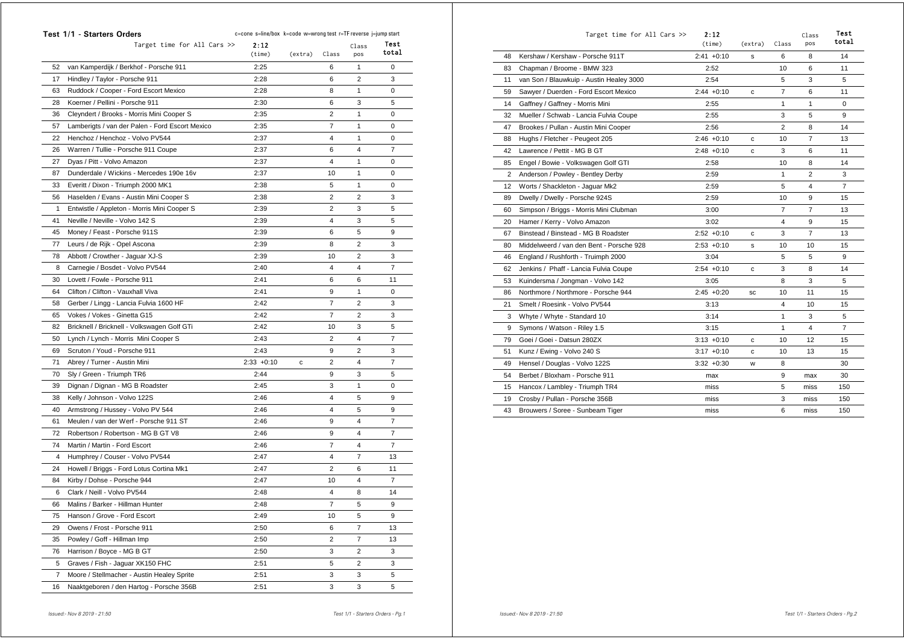|                | <b>Test 1/1 - Starters Orders</b>               | c=cone s=line/box k=code w=wrong test r=TF reverse j=jump start |         |                |                |                |
|----------------|-------------------------------------------------|-----------------------------------------------------------------|---------|----------------|----------------|----------------|
|                | Target time for All Cars >>                     | 2:12<br>(time)                                                  | (extra) | Class          | Class<br>pos   | Test<br>total  |
| 52             | van Kamperdijk / Berkhof - Porsche 911          | 2:25                                                            |         | 6              | 1              | 0              |
| 17             | Hindley / Taylor - Porsche 911                  | 2:28                                                            |         | 6              | $\overline{2}$ | 3              |
| 63             | Ruddock / Cooper - Ford Escort Mexico           | 2:28                                                            |         | 8              | 1              | 0              |
| 28             | Koerner / Pellini - Porsche 911                 | 2:30                                                            |         | 6              | 3              | 5              |
| 36             | Cleyndert / Brooks - Morris Mini Cooper S       | 2:35                                                            |         | $\overline{2}$ | 1              | 0              |
| 57             | Lamberigts / van der Palen - Ford Escort Mexico | 2:35                                                            |         | $\overline{7}$ | 1              | 0              |
| 22             | Henchoz / Henchoz - Volvo PV544                 | 2:37                                                            |         | 4              | 1              | 0              |
| 26             | Warren / Tullie - Porsche 911 Coupe             | 2:37                                                            |         | 6              | $\overline{4}$ | $\overline{7}$ |
| 27             | Dyas / Pitt - Volvo Amazon                      | 2:37                                                            |         | $\overline{4}$ | 1              | 0              |
| 87             | Dunderdale / Wickins - Mercedes 190e 16v        | 2:37                                                            |         | 10             | 1              | 0              |
| 33             | Everitt / Dixon - Triumph 2000 MK1              | 2:38                                                            |         | 5              | 1              | 0              |
| 56             | Haselden / Evans - Austin Mini Cooper S         | 2:38                                                            |         | 2              | $\overline{2}$ | 3              |
| 1              | Entwistle / Appleton - Morris Mini Cooper S     | 2:39                                                            |         | 2              | 3              | 5              |
| 41             | Neville / Neville - Volvo 142 S                 | 2:39                                                            |         | 4              | 3              | 5              |
| 45             | Money / Feast - Porsche 911S                    | 2:39                                                            |         | 6              | 5              | 9              |
| 77             | Leurs / de Rijk - Opel Ascona                   | 2:39                                                            |         | 8              | $\overline{2}$ | 3              |
| 78             | Abbott / Crowther - Jaguar XJ-S                 | 2:39                                                            |         | 10             | 2              | 3              |
| 8              | Carnegie / Bosdet - Volvo PV544                 | 2:40                                                            |         | 4              | 4              | $\overline{7}$ |
| 30             | Lovett / Fowle - Porsche 911                    | 2:41                                                            |         | 6              | 6              | 11             |
| 64             | Clifton / Clifton - Vauxhall Viva               | 2:41                                                            |         | 9              | 1              | 0              |
| 58             | Gerber / Lingg - Lancia Fulvia 1600 HF          | 2:42                                                            |         | 7              | $\overline{2}$ | 3              |
| 65             | Vokes / Vokes - Ginetta G15                     | 2:42                                                            |         | 7              | $\overline{2}$ | 3              |
| 82             | Bricknell / Bricknell - Volkswagen Golf GTi     | 2:42                                                            |         | 10             | 3              | 5              |
| 50             | Lynch / Lynch - Morris Mini Cooper S            | 2:43                                                            |         | 2              | 4              | $\overline{7}$ |
| 69             | Scruton / Youd - Porsche 911                    | 2:43                                                            |         | 9              | 2              | 3              |
| 71             | Abrey / Turner - Austin Mini                    | $2:33 + 0:10$                                                   | С       | 2              | 4              | $\overline{7}$ |
| 70             | Sly / Green - Triumph TR6                       | 2:44                                                            |         | 9              | 3              | 5              |
| 39             | Dignan / Dignan - MG B Roadster                 | 2:45                                                            |         | 3              | 1              | 0              |
| 38             | Kelly / Johnson - Volvo 122S                    | 2:46                                                            |         | 4              | 5              | 9              |
| 40             | Armstrong / Hussey - Volvo PV 544               | 2:46                                                            |         | 4              | 5              | 9              |
| 61             | Meulen / van der Werf - Porsche 911 ST          | 2:46                                                            |         | 9              | 4              | 7              |
| 72             | Robertson / Robertson - MG B GT V8              | 2:46                                                            |         | 9              | $\overline{4}$ | $\overline{7}$ |
| 74             | Martin / Martin - Ford Escort                   | 2:46                                                            |         | $\overline{7}$ | 4              | 7              |
| 4              | Humphrey / Couser - Volvo PV544                 | 2:47                                                            |         | 4              | 7              | 13             |
| 24             | Howell / Briggs - Ford Lotus Cortina Mk1        | 2:47                                                            |         | $\overline{2}$ | 6              | 11             |
| 84             | Kirby / Dohse - Porsche 944                     | 2:47                                                            |         | 10             | 4              | 7              |
| 6              | Clark / Neill - Volvo PV544                     | 2:48                                                            |         | 4              | 8              | 14             |
| 66             | Malins / Barker - Hillman Hunter                | 2:48                                                            |         | 7              | 5              | 9              |
| 75             | Hanson / Grove - Ford Escort                    | 2:49                                                            |         | 10             | 5              | 9              |
| 29             | Owens / Frost - Porsche 911                     | 2:50                                                            |         | 6              | $\overline{7}$ | 13             |
| 35             | Powley / Goff - Hillman Imp                     | 2:50                                                            |         | $\overline{c}$ | $\overline{7}$ | 13             |
| 76             | Harrison / Boyce - MG B GT                      | 2:50                                                            |         | 3              | $\overline{2}$ | 3              |
| 5              | Graves / Fish - Jaguar XK150 FHC                | 2:51                                                            |         | 5              | $\overline{c}$ | 3              |
| $\overline{7}$ | Moore / Stellmacher - Austin Healey Sprite      | 2:51                                                            |         | 3              | 3              | 5              |
| 16             | Naaktgeboren / den Hartog - Porsche 356B        | 2:51                                                            |         | 3              | 3              | 5              |

|                   | Target time for All Cars >>              | 2:12<br>(time) | (extra) | Class          | Class<br>pos   | Test<br>total  |
|-------------------|------------------------------------------|----------------|---------|----------------|----------------|----------------|
| 48                | Kershaw / Kershaw - Porsche 911T         | $2:41 + 0:10$  | s       | 6              | 8              | 14             |
| 83                | Chapman / Broome - BMW 323               | 2:52           |         | 10             | 6              | 11             |
| 11                | van Son / Blauwkuip - Austin Healey 3000 | 2:54           |         | 5              | 3              | 5              |
| 59                | Sawyer / Duerden - Ford Escort Mexico    | $2:44 + 0:10$  | c       | $\overline{7}$ | 6              | 11             |
| 14                | Gaffney / Gaffney - Morris Mini          | 2:55           |         | 1              | 1              | 0              |
| 32                | Mueller / Schwab - Lancia Fulvia Coupe   | 2:55           |         | 3              | 5              | 9              |
| 47                | Brookes / Pullan - Austin Mini Cooper    | 2:56           |         | $\overline{2}$ | 8              | 14             |
| 88                | Hughs / Fletcher - Peugeot 205           | $2:46 + 0:10$  | c       | 10             | $\overline{7}$ | 13             |
| 42                | Lawrence / Pettit - MG B GT              | $2:48 + 0:10$  | с       | 3              | 6              | 11             |
| 85                | Engel / Bowie - Volkswagen Golf GTI      | 2:58           |         | 10             | 8              | 14             |
| 2                 | Anderson / Powley - Bentley Derby        | 2:59           |         | $\mathbf{1}$   | 2              | 3              |
| $12 \overline{ }$ | Worts / Shackleton - Jaquar Mk2          | 2:59           |         | 5              | 4              | $\overline{7}$ |
| 89                | Dwelly / Dwelly - Porsche 924S           | 2:59           |         | 10             | 9              | 15             |
| 60                | Simpson / Briggs - Morris Mini Clubman   | 3:00           |         | 7              | $\overline{7}$ | 13             |
| 20                | Hamer / Kerry - Volvo Amazon             | 3:02           |         | 4              | 9              | 15             |
| 67                | Binstead / Binstead - MG B Roadster      | $2:52 +0:10$   | c       | 3              | $\overline{7}$ | 13             |
| 80                | Middelweerd / van den Bent - Porsche 928 | $2:53 +0:10$   | s       | 10             | 10             | 15             |
| 46                | England / Rushforth - Truimph 2000       | 3:04           |         | 5              | 5              | 9              |
| 62                | Jenkins / Phaff - Lancia Fulvia Coupe    | $2:54 +0:10$   | c       | 3              | 8              | 14             |
| 53                | Kuindersma / Jongman - Volvo 142         | 3:05           |         | 8              | 3              | 5              |
| 86                | Northmore / Northmore - Porsche 944      | $2:45 +0:20$   | SC      | 10             | 11             | 15             |
| 21                | Smelt / Roesink - Volvo PV544            | 3:13           |         | 4              | 10             | 15             |
| 3                 | Whyte / Whyte - Standard 10              | 3:14           |         | 1              | 3              | 5              |
| 9                 | Symons / Watson - Riley 1.5              | 3:15           |         | 1              | 4              | $\overline{7}$ |
| 79                | Goei / Goei - Datsun 280ZX               | $3:13 + 0:10$  | c       | 10             | 12             | 15             |
| 51                | Kunz / Ewing - Volvo 240 S               | $3:17 + 0:10$  | с       | 10             | 13             | 15             |
| 49                | Hensel / Douglas - Volvo 122S            | $3:32 +0:30$   | W       | 8              |                | 30             |
| 54                | Berbet / Bloxham - Porsche 911           | max            |         | 9              | max            | 30             |
| 15                | Hancox / Lambley - Triumph TR4           | miss           |         | 5              | miss           | 150            |
| 19                | Crosby / Pullan - Porsche 356B           | miss           |         | 3              | miss           | 150            |
| 43                | Brouwers / Soree - Sunbeam Tiger         | miss           |         | 6              | miss           | 150            |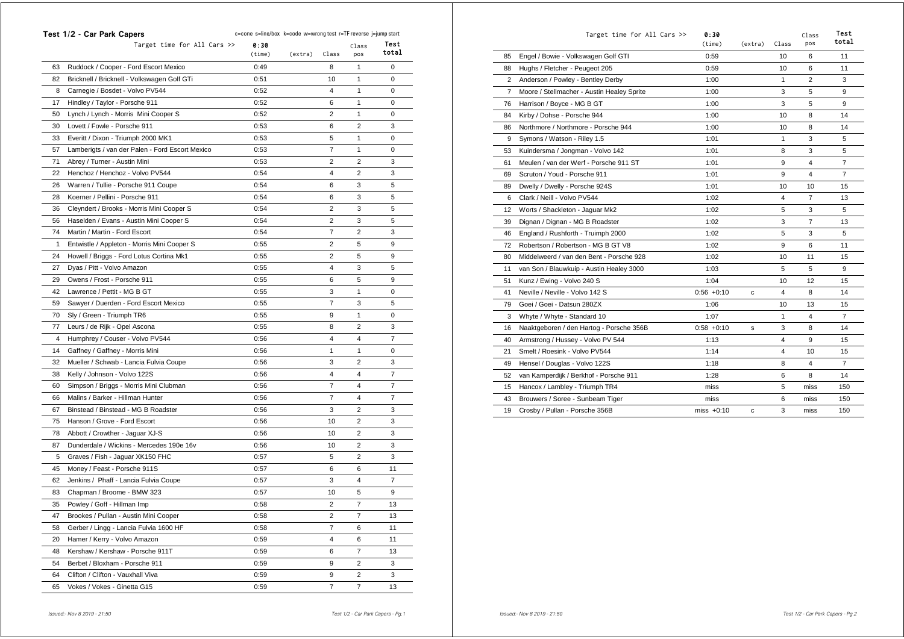|    | Test 1/2 - Car Park Capers                      | c=cone s=line/box k=code w=wrong test r=TF reverse j=jump start |         |                |                         |       |
|----|-------------------------------------------------|-----------------------------------------------------------------|---------|----------------|-------------------------|-------|
|    | Target time for All Cars >>                     | 0:30                                                            |         |                | Class                   | Test  |
|    |                                                 | (time)                                                          | (extra) | Class          | pos                     | total |
| 63 | Ruddock / Cooper - Ford Escort Mexico           | 0:49                                                            |         | 8              | 1                       | 0     |
| 82 | Bricknell / Bricknell - Volkswagen Golf GTi     | 0:51                                                            |         | 10             | 1                       | 0     |
| 8  | Carnegie / Bosdet - Volvo PV544                 | 0:52                                                            |         | 4              | 1                       | 0     |
| 17 | Hindley / Taylor - Porsche 911                  | 0:52                                                            |         | 6              | 1                       | 0     |
| 50 | Lynch / Lynch - Morris Mini Cooper S            | 0:52                                                            |         | 2              | 1                       | 0     |
| 30 | Lovett / Fowle - Porsche 911                    | 0:53                                                            |         | 6              | $\overline{2}$          | 3     |
| 33 | Everitt / Dixon - Triumph 2000 MK1              | 0:53                                                            |         | 5              | 1                       | 0     |
| 57 | Lamberigts / van der Palen - Ford Escort Mexico | 0:53                                                            |         | 7              | 1                       | 0     |
| 71 | Abrey / Turner - Austin Mini                    | 0:53                                                            |         | 2              | $\overline{2}$          | 3     |
| 22 | Henchoz / Henchoz - Volvo PV544                 | 0:54                                                            |         | 4              | $\overline{2}$          | 3     |
| 26 | Warren / Tullie - Porsche 911 Coupe             | 0:54                                                            |         | 6              | 3                       | 5     |
| 28 | Koerner / Pellini - Porsche 911                 | 0:54                                                            |         | 6              | 3                       | 5     |
| 36 | Cleyndert / Brooks - Morris Mini Cooper S       | 0:54                                                            |         | 2              | 3                       | 5     |
| 56 | Haselden / Evans - Austin Mini Cooper S         | 0:54                                                            |         | 2              | 3                       | 5     |
| 74 | Martin / Martin - Ford Escort                   | 0:54                                                            |         | 7              | $\overline{2}$          | 3     |
| 1  | Entwistle / Appleton - Morris Mini Cooper S     | 0:55                                                            |         | 2              | 5                       | 9     |
| 24 | Howell / Briggs - Ford Lotus Cortina Mk1        | 0:55                                                            |         | 2              | 5                       | 9     |
| 27 | Dyas / Pitt - Volvo Amazon                      | 0:55                                                            |         | 4              | 3                       | 5     |
| 29 | Owens / Frost - Porsche 911                     | 0:55                                                            |         | 6              | 5                       | 9     |
| 42 | Lawrence / Pettit - MG B GT                     | 0:55                                                            |         | 3              | 1                       | 0     |
| 59 | Sawyer / Duerden - Ford Escort Mexico           | 0:55                                                            |         | 7              | 3                       | 5     |
| 70 | Sly / Green - Triumph TR6                       | 0:55                                                            |         | 9              | 1                       | 0     |
| 77 | Leurs / de Rijk - Opel Ascona                   | 0:55                                                            |         | 8              | 2                       | 3     |
| 4  | Humphrey / Couser - Volvo PV544                 | 0:56                                                            |         | 4              | 4                       | 7     |
| 14 | Gaffney / Gaffney - Morris Mini                 | 0:56                                                            |         | 1              | 1                       | 0     |
| 32 | Mueller / Schwab - Lancia Fulvia Coupe          | 0:56                                                            |         | 3              | 2                       | 3     |
| 38 | Kelly / Johnson - Volvo 122S                    | 0:56                                                            |         | 4              | $\overline{4}$          | 7     |
| 60 | Simpson / Briggs - Morris Mini Clubman          | 0:56                                                            |         | 7              | 4                       | 7     |
| 66 | Malins / Barker - Hillman Hunter                | 0:56                                                            |         | 7              | 4                       | 7     |
| 67 | Binstead / Binstead - MG B Roadster             | 0:56                                                            |         | 3              | $\overline{2}$          | 3     |
| 75 | Hanson / Grove - Ford Escort                    | 0:56                                                            |         | 10             | $\overline{2}$          | 3     |
| 78 | Abbott / Crowther - Jaguar XJ-S                 | 0:56                                                            |         | 10             | $\overline{2}$          | 3     |
| 87 | Dunderdale / Wickins - Mercedes 190e 16v        | 0:56                                                            |         | 10             | $\overline{2}$          | 3     |
| 5  | Graves / Fish - Jaguar XK150 FHC                | 0:57                                                            |         | 5              | 2                       | 3     |
| 45 | Money / Feast - Porsche 911S                    | 0:57                                                            |         | 6              | 6                       | 11    |
| 62 | Jenkins / Phaff - Lancia Fulvia Coupe           | 0:57                                                            |         | 3              | 4                       | 7     |
| 83 | Chapman / Broome - BMW 323                      | 0:57                                                            |         | 10             | 5                       | 9     |
| 35 | Powley / Goff - Hillman Imp                     | 0:58                                                            |         | 2              | 7                       | 13    |
| 47 | Brookes / Pullan - Austin Mini Cooper           | 0:58                                                            |         | 2              | $\overline{7}$          | 13    |
| 58 | Gerber / Lingg - Lancia Fulvia 1600 HF          | 0:58                                                            |         | 7              | 6                       | 11    |
| 20 |                                                 |                                                                 |         | 4              | 6                       | 11    |
| 48 | Hamer / Kerry - Volvo Amazon                    | 0:59                                                            |         |                | 7                       |       |
| 54 | Kershaw / Kershaw - Porsche 911T                | 0:59                                                            |         | 6              | $\overline{\mathbf{c}}$ | 13    |
|    | Berbet / Bloxham - Porsche 911                  | 0:59                                                            |         | 9              |                         | 3     |
| 64 | Clifton / Clifton - Vauxhall Viva               | 0:59                                                            |         | 9              | $\overline{2}$          | 3     |
| 65 | Vokes / Vokes - Ginetta G15                     | 0:59                                                            |         | $\overline{7}$ | $\overline{7}$          | 13    |

|    | Target time for All Cars >>                | 0:30<br>(time) | (extra) | Class        | Class<br>pos   | Test<br>total  |
|----|--------------------------------------------|----------------|---------|--------------|----------------|----------------|
| 85 | Engel / Bowie - Volkswagen Golf GTI        | 0:59           |         | 10           | 6              | 11             |
| 88 | Hughs / Fletcher - Peugeot 205             | 0:59           |         | 10           | 6              | 11             |
| 2  | Anderson / Powley - Bentley Derby          | 1:00           |         | $\mathbf{1}$ | $\overline{2}$ | 3              |
| 7  | Moore / Stellmacher - Austin Healey Sprite | 1:00           |         | 3            | 5              | 9              |
| 76 | Harrison / Boyce - MG B GT                 | 1:00           |         | 3            | 5              | 9              |
| 84 | Kirby / Dohse - Porsche 944                | 1:00           |         | 10           | 8              | 14             |
| 86 | Northmore / Northmore - Porsche 944        | 1:00           |         | 10           | 8              | 14             |
| 9  | Symons / Watson - Riley 1.5                | 1:01           |         | $\mathbf{1}$ | 3              | 5              |
| 53 | Kuindersma / Jongman - Volvo 142           | 1:01           |         | 8            | 3              | 5              |
| 61 | Meulen / van der Werf - Porsche 911 ST     | 1:01           |         | 9            | 4              | $\overline{7}$ |
| 69 | Scruton / Youd - Porsche 911               | 1:01           |         | 9            | 4              | $\overline{7}$ |
| 89 | Dwelly / Dwelly - Porsche 924S             | 1:01           |         | 10           | 10             | 15             |
| 6  | Clark / Neill - Volvo PV544                | 1:02           |         | 4            | $\overline{7}$ | 13             |
| 12 | Worts / Shackleton - Jaguar Mk2            | 1:02           |         | 5            | 3              | 5              |
| 39 | Dignan / Dignan - MG B Roadster            | 1:02           |         | 3            | 7              | 13             |
| 46 | England / Rushforth - Truimph 2000         | 1:02           |         | 5            | 3              | 5              |
| 72 | Robertson / Robertson - MG B GT V8         | 1:02           |         | 9            | 6              | 11             |
| 80 | Middelweerd / van den Bent - Porsche 928   | 1:02           |         | 10           | 11             | 15             |
| 11 | van Son / Blauwkuip - Austin Healey 3000   | 1:03           |         | 5            | 5              | 9              |
| 51 | Kunz / Ewing - Volvo 240 S                 | 1:04           |         | 10           | 12             | 15             |
| 41 | Neville / Neville - Volvo 142 S            | $0:56 + 0:10$  | c       | 4            | 8              | 14             |
| 79 | Goei / Goei - Datsun 280ZX                 | 1:06           |         | 10           | 13             | 15             |
| 3  | Whyte / Whyte - Standard 10                | 1:07           |         | $\mathbf{1}$ | 4              | $\overline{7}$ |
| 16 | Naaktgeboren / den Hartog - Porsche 356B   | $0:58 + 0:10$  | s       | 3            | 8              | 14             |
| 40 | Armstrong / Hussey - Volvo PV 544          | 1:13           |         | 4            | 9              | 15             |
| 21 | Smelt / Roesink - Volvo PV544              | 1:14           |         | 4            | 10             | 15             |
| 49 | Hensel / Douglas - Volvo 122S              | 1:18           |         | 8            | 4              | 7              |
| 52 | van Kamperdijk / Berkhof - Porsche 911     | 1:28           |         | 6            | 8              | 14             |
| 15 | Hancox / Lambley - Triumph TR4             | miss           |         | 5            | miss           | 150            |
| 43 | Brouwers / Soree - Sunbeam Tiger           | miss           |         | 6            | miss           | 150            |
| 19 | Crosby / Pullan - Porsche 356B             | miss $+0:10$   | c       | 3            | miss           | 150            |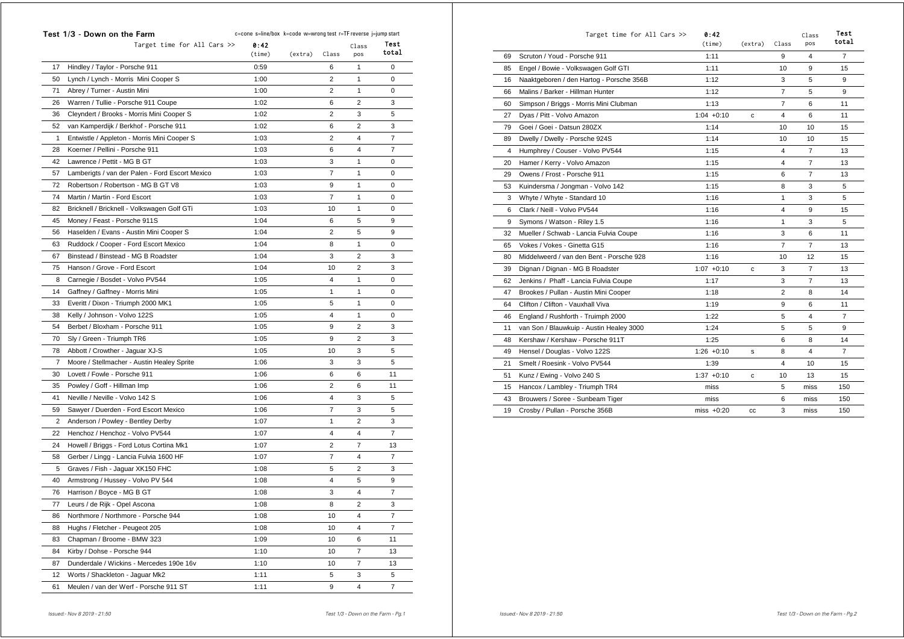|    | Test 1/3 - Down on the Farm                     | c=cone s=line/box k=code w=wrong test r=TF reverse j=jump start |         |                |       |                |
|----|-------------------------------------------------|-----------------------------------------------------------------|---------|----------------|-------|----------------|
|    | Target time for All Cars >>                     | 0:42                                                            |         |                | Class | Test           |
|    |                                                 | (time)                                                          | (extra) | Class          | pos   | total          |
| 17 | Hindley / Taylor - Porsche 911                  | 0:59                                                            |         | 6              | 1     | 0              |
| 50 | Lynch / Lynch - Morris Mini Cooper S            | 1:00                                                            |         | $\overline{2}$ | 1     | 0              |
| 71 | Abrey / Turner - Austin Mini                    | 1:00                                                            |         | $\overline{2}$ | 1     | 0              |
| 26 | Warren / Tullie - Porsche 911 Coupe             | 1:02                                                            |         | 6              | 2     | 3              |
| 36 | Cleyndert / Brooks - Morris Mini Cooper S       | 1:02                                                            |         | 2              | 3     | 5              |
| 52 | van Kamperdijk / Berkhof - Porsche 911          | 1:02                                                            |         | 6              | 2     | 3              |
| 1  | Entwistle / Appleton - Morris Mini Cooper S     | 1:03                                                            |         | 2              | 4     | 7              |
| 28 | Koerner / Pellini - Porsche 911                 | 1:03                                                            |         | 6              | 4     | 7              |
| 42 | Lawrence / Pettit - MG B GT                     | 1:03                                                            |         | 3              | 1     | 0              |
| 57 | Lamberigts / van der Palen - Ford Escort Mexico | 1:03                                                            |         | 7              | 1     | 0              |
| 72 | Robertson / Robertson - MG B GT V8              | 1:03                                                            |         | 9              | 1     | 0              |
| 74 | Martin / Martin - Ford Escort                   | 1:03                                                            |         | $\overline{7}$ | 1     | 0              |
| 82 | Bricknell / Bricknell - Volkswagen Golf GTi     | 1:03                                                            |         | 10             | 1     | 0              |
| 45 | Money / Feast - Porsche 911S                    | 1:04                                                            |         | 6              | 5     | 9              |
| 56 | Haselden / Evans - Austin Mini Cooper S         | 1:04                                                            |         | 2              | 5     | 9              |
| 63 | Ruddock / Cooper - Ford Escort Mexico           | 1:04                                                            |         | 8              | 1     | 0              |
| 67 | Binstead / Binstead - MG B Roadster             | 1:04                                                            |         | 3              | 2     | 3              |
| 75 | Hanson / Grove - Ford Escort                    | 1:04                                                            |         | 10             | 2     | 3              |
| 8  | Carnegie / Bosdet - Volvo PV544                 | 1:05                                                            |         | 4              | 1     | 0              |
| 14 | Gaffney / Gaffney - Morris Mini                 | 1:05                                                            |         | 1              | 1     | 0              |
| 33 | Everitt / Dixon - Triumph 2000 MK1              | 1:05                                                            |         | 5              | 1     | 0              |
| 38 | Kelly / Johnson - Volvo 122S                    | 1:05                                                            |         | 4              | 1     | 0              |
| 54 | Berbet / Bloxham - Porsche 911                  | 1:05                                                            |         | 9              | 2     | 3              |
| 70 | Sly / Green - Triumph TR6                       | 1:05                                                            |         | 9              | 2     | 3              |
| 78 | Abbott / Crowther - Jaguar XJ-S                 | 1:05                                                            |         | 10             | 3     | 5              |
| 7  | Moore / Stellmacher - Austin Healey Sprite      | 1:06                                                            |         | 3              | 3     | 5              |
| 30 | Lovett / Fowle - Porsche 911                    | 1:06                                                            |         | 6              | 6     | 11             |
| 35 | Powley / Goff - Hillman Imp                     | 1:06                                                            |         | 2              | 6     | 11             |
| 41 | Neville / Neville - Volvo 142 S                 | 1:06                                                            |         | 4              | 3     | 5              |
| 59 | Sawyer / Duerden - Ford Escort Mexico           | 1:06                                                            |         | $\overline{7}$ | 3     | 5              |
| 2  | Anderson / Powley - Bentley Derby               | 1:07                                                            |         | 1              | 2     | 3              |
| 22 | Henchoz / Henchoz - Volvo PV544                 | 1:07                                                            |         | 4              | 4     | $\overline{7}$ |
| 24 | Howell / Briggs - Ford Lotus Cortina Mk1        | 1:07                                                            |         | 2              | 7     | 13             |
| 58 | Gerber / Lingg - Lancia Fulvia 1600 HF          | 1:07                                                            |         | 7              | 4     | $\overline{7}$ |
| 5  | Graves / Fish - Jaguar XK150 FHC                | 1:08                                                            |         | 5              | 2     | 3              |
| 40 | Armstrong / Hussey - Volvo PV 544               | 1:08                                                            |         | 4              | 5     | 9              |
| 76 | Harrison / Boyce - MG B GT                      | 1:08                                                            |         | 3              | 4     | 7              |
| 77 | Leurs / de Rijk - Opel Ascona                   | 1:08                                                            |         | 8              | 2     | 3              |
| 86 | Northmore / Northmore - Porsche 944             | 1:08                                                            |         | 10             | 4     | 7              |
| 88 | Hughs / Fletcher - Peugeot 205                  | 1:08                                                            |         | 10             | 4     | $\overline{7}$ |
| 83 | Chapman / Broome - BMW 323                      | 1:09                                                            |         | 10             | 6     | 11             |
| 84 | Kirby / Dohse - Porsche 944                     | 1:10                                                            |         | 10             | 7     | 13             |
| 87 | Dunderdale / Wickins - Mercedes 190e 16v        | 1:10                                                            |         | 10             | 7     | 13             |
| 12 |                                                 | 1:11                                                            |         | 5              | 3     | 5              |
|    | Worts / Shackleton - Jaguar Mk2                 |                                                                 |         |                |       |                |
| 61 | Meulen / van der Werf - Porsche 911 ST          | 1:11                                                            |         | 9              | 4     | 7              |

|    | Target time for All Cars >>              | 0:42<br>(time) | (extra) | Class          | Class<br>pos   | Test<br>total  |
|----|------------------------------------------|----------------|---------|----------------|----------------|----------------|
| 69 | Scruton / Youd - Porsche 911             | 1:11           |         | 9              | 4              | $\overline{7}$ |
| 85 | Engel / Bowie - Volkswagen Golf GTI      | 1:11           |         | 10             | 9              | 15             |
| 16 | Naaktgeboren / den Hartog - Porsche 356B | 1:12           |         | 3              | 5              | 9              |
| 66 | Malins / Barker - Hillman Hunter         | 1:12           |         | $\overline{7}$ | 5              | 9              |
| 60 | Simpson / Briggs - Morris Mini Clubman   | 1:13           |         | $\overline{7}$ | 6              | 11             |
| 27 | Dyas / Pitt - Volvo Amazon               | $1:04 +0:10$   | c       | 4              | 6              | 11             |
| 79 | Goei / Goei - Datsun 280ZX               | 1:14           |         | 10             | 10             | 15             |
| 89 | Dwelly / Dwelly - Porsche 924S           | 1:14           |         | 10             | 10             | 15             |
| 4  | Humphrey / Couser - Volvo PV544          | 1:15           |         | 4              | $\overline{7}$ | 13             |
| 20 | Hamer / Kerry - Volvo Amazon             | 1:15           |         | 4              | $\overline{7}$ | 13             |
| 29 | Owens / Frost - Porsche 911              | 1:15           |         | 6              | $\overline{7}$ | 13             |
| 53 | Kuindersma / Jongman - Volvo 142         | 1:15           |         | 8              | 3              | 5              |
| 3  | Whyte / Whyte - Standard 10              | 1:16           |         | 1              | 3              | 5              |
| 6  | Clark / Neill - Volvo PV544              | 1:16           |         | 4              | 9              | 15             |
| 9  | Symons / Watson - Riley 1.5              | 1:16           |         | 1              | 3              | 5              |
| 32 | Mueller / Schwab - Lancia Fulvia Coupe   | 1:16           |         | 3              | 6              | 11             |
| 65 | Vokes / Vokes - Ginetta G15              | 1:16           |         | $\overline{7}$ | $\overline{7}$ | 13             |
| 80 | Middelweerd / van den Bent - Porsche 928 | 1:16           |         | 10             | 12             | 15             |
| 39 | Dignan / Dignan - MG B Roadster          | $1:07 +0:10$   | c       | 3              | 7              | 13             |
| 62 | Jenkins / Phaff - Lancia Fulvia Coupe    | 1:17           |         | 3              | $\overline{7}$ | 13             |
| 47 | Brookes / Pullan - Austin Mini Cooper    | 1:18           |         | 2              | 8              | 14             |
| 64 | Clifton / Clifton - Vauxhall Viva        | 1:19           |         | 9              | 6              | 11             |
| 46 | England / Rushforth - Truimph 2000       | 1:22           |         | 5              | 4              | 7              |
| 11 | van Son / Blauwkuip - Austin Healey 3000 | 1:24           |         | 5              | 5              | 9              |
| 48 | Kershaw / Kershaw - Porsche 911T         | 1:25           |         | 6              | 8              | 14             |
| 49 | Hensel / Douglas - Volvo 122S            | $1:26 + 0:10$  | s       | 8              | 4              | $\overline{7}$ |
| 21 | Smelt / Roesink - Volvo PV544            | 1:39           |         | 4              | 10             | 15             |
| 51 | Kunz / Ewing - Volvo 240 S               | $1:37 +0:10$   | c       | 10             | 13             | 15             |
| 15 | Hancox / Lambley - Triumph TR4           | miss           |         | 5              | miss           | 150            |
| 43 | Brouwers / Soree - Sunbeam Tiger         | miss           |         | 6              | miss           | 150            |
| 19 | Crosby / Pullan - Porsche 356B           | miss $+0:20$   | CC.     | 3              | miss           | 150            |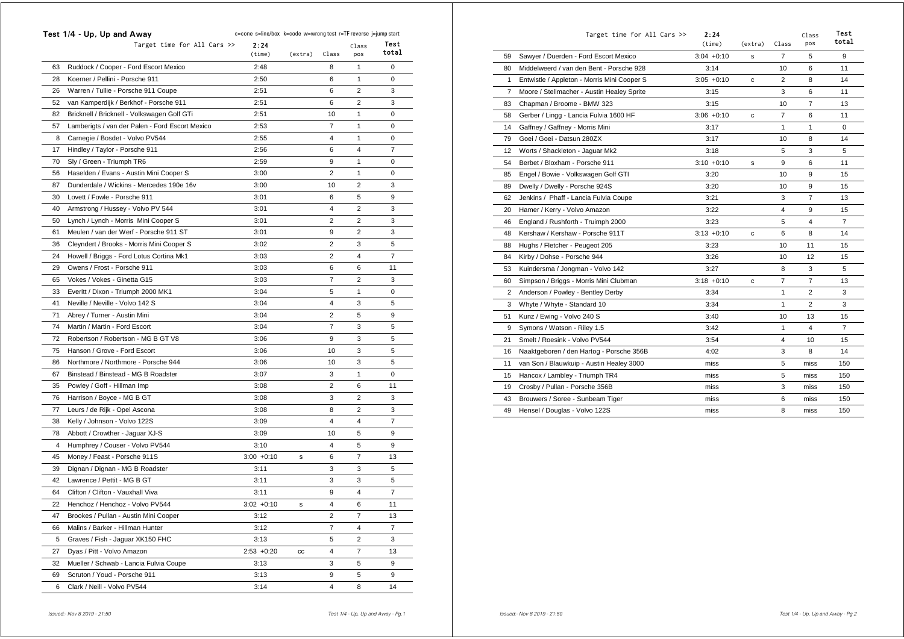|    | Test 1/4 - Up, Up and Away                      | c=cone s=line/box k=code w=wrong test r=TF reverse j=jump start |         |                |                |               |  |  |
|----|-------------------------------------------------|-----------------------------------------------------------------|---------|----------------|----------------|---------------|--|--|
|    | Target time for All Cars $\gg$                  | 2:24<br>(time)                                                  | (extra) | Class          | Class<br>pos   | Test<br>total |  |  |
| 63 | Ruddock / Cooper - Ford Escort Mexico           | 2:48                                                            |         | 8              | $\mathbf{1}$   | 0             |  |  |
| 28 | Koerner / Pellini - Porsche 911                 | 2:50                                                            |         | 6              | 1              | 0             |  |  |
| 26 | Warren / Tullie - Porsche 911 Coupe             | 2:51                                                            |         | 6              | 2              | 3             |  |  |
| 52 | van Kamperdijk / Berkhof - Porsche 911          | 2:51                                                            |         | 6              | $\overline{2}$ | 3             |  |  |
| 82 | Bricknell / Bricknell - Volkswagen Golf GTi     | 2:51                                                            |         | 10             | 1              | 0             |  |  |
| 57 | Lamberigts / van der Palen - Ford Escort Mexico | 2:53                                                            |         | 7              | 1              | 0             |  |  |
| 8  | Carnegie / Bosdet - Volvo PV544                 | 2:55                                                            |         | 4              | $\mathbf{1}$   | 0             |  |  |
| 17 | Hindley / Taylor - Porsche 911                  | 2:56                                                            |         | 6              | 4              | 7             |  |  |
| 70 | Sly / Green - Triumph TR6                       | 2:59                                                            |         | 9              | 1              | 0             |  |  |
| 56 | Haselden / Evans - Austin Mini Cooper S         | 3:00                                                            |         | $\overline{2}$ | $\mathbf{1}$   | 0             |  |  |
| 87 | Dunderdale / Wickins - Mercedes 190e 16v        | 3:00                                                            |         | 10             | 2              | 3             |  |  |
| 30 | Lovett / Fowle - Porsche 911                    | 3:01                                                            |         | 6              | 5              | 9             |  |  |
| 40 | Armstrong / Hussey - Volvo PV 544               | 3:01                                                            |         | 4              | $\overline{2}$ | 3             |  |  |
| 50 | Lynch / Lynch - Morris Mini Cooper S            | 3:01                                                            |         | 2              | $\overline{2}$ | 3             |  |  |
| 61 | Meulen / van der Werf - Porsche 911 ST          | 3:01                                                            |         | 9              | 2              | 3             |  |  |
| 36 | Cleyndert / Brooks - Morris Mini Cooper S       | 3:02                                                            |         | $\overline{2}$ | 3              | 5             |  |  |
| 24 | Howell / Briggs - Ford Lotus Cortina Mk1        | 3:03                                                            |         | 2              | 4              | 7             |  |  |
| 29 | Owens / Frost - Porsche 911                     | 3:03                                                            |         | 6              | 6              | 11            |  |  |
| 65 | Vokes / Vokes - Ginetta G15                     | 3:03                                                            |         | $\overline{7}$ | $\overline{2}$ | 3             |  |  |
| 33 | Everitt / Dixon - Triumph 2000 MK1              | 3:04                                                            |         | 5              | $\mathbf{1}$   | 0             |  |  |
| 41 | Neville / Neville - Volvo 142 S                 | 3:04                                                            |         | $\overline{4}$ | 3              | 5             |  |  |
| 71 | Abrey / Turner - Austin Mini                    | 3:04                                                            |         | $\overline{2}$ | 5              | 9             |  |  |
| 74 | Martin / Martin - Ford Escort                   | 3:04                                                            |         | 7              | 3              | 5             |  |  |
| 72 | Robertson / Robertson - MG B GT V8              | 3:06                                                            |         | 9              | 3              | 5             |  |  |
| 75 | Hanson / Grove - Ford Escort                    | 3:06                                                            |         | 10             | 3              | 5             |  |  |
| 86 | Northmore / Northmore - Porsche 944             | 3:06                                                            |         | 10             | 3              | 5             |  |  |
| 67 | Binstead / Binstead - MG B Roadster             | 3:07                                                            |         | 3              | 1              | 0             |  |  |
| 35 | Powley / Goff - Hillman Imp                     | 3:08                                                            |         | $\overline{2}$ | 6              | 11            |  |  |
| 76 | Harrison / Boyce - MG B GT                      | 3:08                                                            |         | 3              | 2              | 3             |  |  |
| 77 | Leurs / de Rijk - Opel Ascona                   | 3:08                                                            |         | 8              | 2              | 3             |  |  |
| 38 | Kelly / Johnson - Volvo 122S                    | 3:09                                                            |         | 4              | 4              | 7             |  |  |
| 78 | Abbott / Crowther - Jaguar XJ-S                 | 3:09                                                            |         | 10             | 5              | 9             |  |  |
| 4  | Humphrey / Couser - Volvo PV544                 | 3:10                                                            |         | 4              | 5              | 9             |  |  |
| 45 | Money / Feast - Porsche 911S                    | $3:00 + 0:10$                                                   | s       | 6              | 7              | 13            |  |  |
| 39 | Dignan / Dignan - MG B Roadster                 | 3:11                                                            |         | 3              | 3              | 5             |  |  |
| 42 | Lawrence / Pettit - MG B GT                     | 3:11                                                            |         | 3              | 3              | 5             |  |  |
| 64 | Clifton / Clifton - Vauxhall Viva               | 3:11                                                            |         | 9              | 4              | 7             |  |  |
| 22 | Henchoz / Henchoz - Volvo PV544                 | $3:02 +0:10$                                                    | s       | $\overline{4}$ | 6              | 11            |  |  |
| 47 | Brookes / Pullan - Austin Mini Cooper           | 3:12                                                            |         | 2              | 7              | 13            |  |  |
| 66 | Malins / Barker - Hillman Hunter                | 3:12                                                            |         | $\overline{7}$ | 4              | 7             |  |  |
| 5  | Graves / Fish - Jaguar XK150 FHC                | 3:13                                                            |         | 5              | $\overline{2}$ | 3             |  |  |
| 27 | Dyas / Pitt - Volvo Amazon                      | $2:53 +0:20$                                                    | cc      | 4              | 7              | 13            |  |  |
| 32 | Mueller / Schwab - Lancia Fulvia Coupe          | 3:13                                                            |         | 3              | 5              | 9             |  |  |
| 69 | Scruton / Youd - Porsche 911                    | 3:13                                                            |         | 9              | 5              | 9             |  |  |
| 6  | Clark / Neill - Volvo PV544                     | 3:14                                                            |         | 4              | 8              | 14            |  |  |

|                | Target time for All Cars >>                 | 2:24<br>(time) | (extra) | Class          | Class<br><b>DOS</b> | Test<br>total  |
|----------------|---------------------------------------------|----------------|---------|----------------|---------------------|----------------|
| 59             | Sawyer / Duerden - Ford Escort Mexico       | $3:04 +0:10$   | s       | 7              | 5                   | 9              |
| 80             | Middelweerd / van den Bent - Porsche 928    | 3:14           |         | 10             | 6                   | 11             |
| 1              | Entwistle / Appleton - Morris Mini Cooper S | $3:05 +0:10$   | c       | $\overline{2}$ | 8                   | 14             |
| $\overline{7}$ | Moore / Stellmacher - Austin Healey Sprite  | 3:15           |         | 3              | 6                   | 11             |
| 83             | Chapman / Broome - BMW 323                  | 3:15           |         | 10             | $\overline{7}$      | 13             |
| 58             | Gerber / Lingg - Lancia Fulvia 1600 HF      | $3:06 + 0:10$  | c       | $\overline{7}$ | 6                   | 11             |
| 14             | Gaffney / Gaffney - Morris Mini             | 3:17           |         | 1              | 1                   | 0              |
| 79             | Goei / Goei - Datsun 280ZX                  | 3:17           |         | 10             | 8                   | 14             |
| 12             | Worts / Shackleton - Jaguar Mk2             | 3:18           |         | 5              | 3                   | 5              |
| 54             | Berbet / Bloxham - Porsche 911              | $3:10 + 0:10$  | s       | 9              | 6                   | 11             |
| 85             | Engel / Bowie - Volkswagen Golf GTI         | 3:20           |         | 10             | 9                   | 15             |
| 89             | Dwelly / Dwelly - Porsche 924S              | 3:20           |         | 10             | 9                   | 15             |
| 62             | Jenkins / Phaff - Lancia Fulvia Coupe       | 3:21           |         | 3              | $\overline{7}$      | 13             |
| 20             | Hamer / Kerry - Volvo Amazon                | 3:22           |         | 4              | 9                   | 15             |
| 46             | England / Rushforth - Truimph 2000          | 3:23           |         | 5              | 4                   | $\overline{7}$ |
| 48             | Kershaw / Kershaw - Porsche 911T            | $3:13 + 0:10$  | c       | 6              | 8                   | 14             |
| 88             | Hughs / Fletcher - Peugeot 205              | 3:23           |         | 10             | 11                  | 15             |
| 84             | Kirby / Dohse - Porsche 944                 | 3:26           |         | 10             | 12                  | 15             |
| 53             | Kuindersma / Jongman - Volvo 142            | 3:27           |         | 8              | 3                   | 5              |
| 60             | Simpson / Briggs - Morris Mini Clubman      | $3:18 + 0:10$  | с       | $\overline{7}$ | $\overline{7}$      | 13             |
| 2              | Anderson / Powley - Bentley Derby           | 3:34           |         | 1              | 2                   | 3              |
| 3              | Whyte / Whyte - Standard 10                 | 3:34           |         | $\mathbf{1}$   | 2                   | 3              |
| 51             | Kunz / Ewing - Volvo 240 S                  | 3:40           |         | 10             | 13                  | 15             |
| 9              | Symons / Watson - Riley 1.5                 | 3:42           |         | $\mathbf{1}$   | 4                   | $\overline{7}$ |
| 21             | Smelt / Roesink - Volvo PV544               | 3:54           |         | 4              | 10                  | 15             |
| 16             | Naaktgeboren / den Hartog - Porsche 356B    | 4:02           |         | 3              | 8                   | 14             |
| 11             | van Son / Blauwkuip - Austin Healey 3000    | miss           |         | 5              | miss                | 150            |
| 15             | Hancox / Lambley - Triumph TR4              | miss           |         | 5              | miss                | 150            |
| 19             | Crosby / Pullan - Porsche 356B              | miss           |         | 3              | miss                | 150            |
| 43             | Brouwers / Soree - Sunbeam Tiger            | miss           |         | 6              | miss                | 150            |
| 49             | Hensel / Douglas - Volvo 122S               | miss           |         | 8              | miss                | 150            |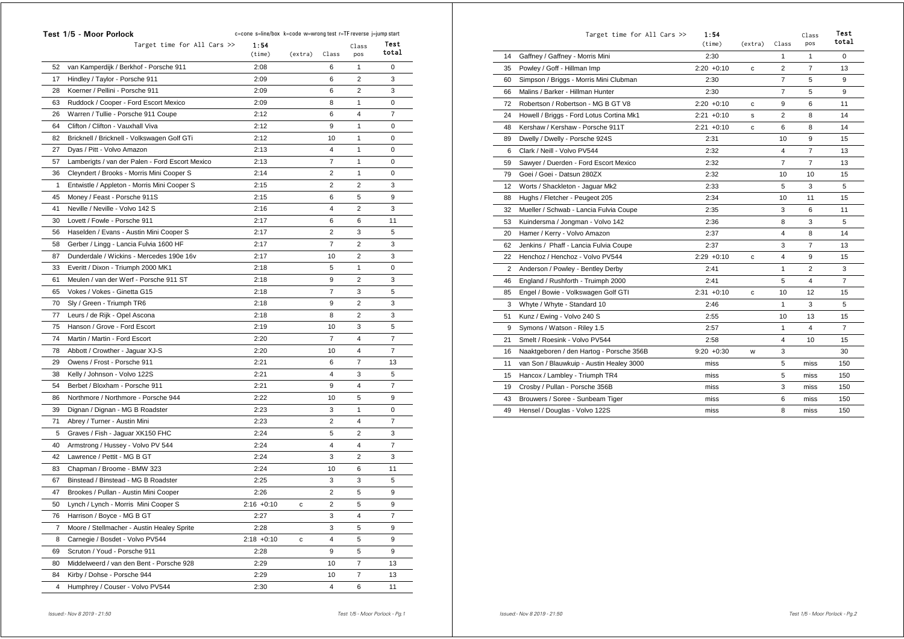|    | Test 1/5 - Moor Porlock                         | c=cone s=line/box k=code w=wrong test r=TF reverse j=jump start |         |                |                |                |
|----|-------------------------------------------------|-----------------------------------------------------------------|---------|----------------|----------------|----------------|
|    | Target time for All Cars >>                     | 1:54<br>(time)                                                  | (extra) | Class          | Class<br>pos   | Test<br>total  |
| 52 | van Kamperdijk / Berkhof - Porsche 911          | 2:08                                                            |         | 6              | 1              | 0              |
| 17 | Hindley / Taylor - Porsche 911                  | 2:09                                                            |         | 6              | $\overline{2}$ | 3              |
| 28 | Koerner / Pellini - Porsche 911                 | 2:09                                                            |         | 6              | $\overline{2}$ | 3              |
| 63 | Ruddock / Cooper - Ford Escort Mexico           | 2:09                                                            |         | 8              | 1              | 0              |
| 26 | Warren / Tullie - Porsche 911 Coupe             | 2:12                                                            |         | 6              | 4              | $\overline{7}$ |
| 64 | Clifton / Clifton - Vauxhall Viva               | 2:12                                                            |         | 9              | 1              | 0              |
| 82 | Bricknell / Bricknell - Volkswagen Golf GTi     | 2:12                                                            |         | 10             | 1              | 0              |
| 27 | Dyas / Pitt - Volvo Amazon                      | 2:13                                                            |         | 4              | 1              | 0              |
| 57 | Lamberigts / van der Palen - Ford Escort Mexico | 2:13                                                            |         | $\overline{7}$ | 1              | 0              |
| 36 | Cleyndert / Brooks - Morris Mini Cooper S       | 2:14                                                            |         | $\overline{2}$ | 1              | 0              |
| 1  | Entwistle / Appleton - Morris Mini Cooper S     | 2:15                                                            |         | $\overline{2}$ | $\overline{2}$ | 3              |
| 45 | Money / Feast - Porsche 911S                    | 2:15                                                            |         | 6              | 5              | 9              |
| 41 | Neville / Neville - Volvo 142 S                 | 2:16                                                            |         | 4              | 2              | 3              |
| 30 | Lovett / Fowle - Porsche 911                    | 2:17                                                            |         | 6              | 6              | 11             |
| 56 | Haselden / Evans - Austin Mini Cooper S         | 2:17                                                            |         | $\overline{2}$ | 3              | 5              |
| 58 | Gerber / Lingg - Lancia Fulvia 1600 HF          | 2:17                                                            |         | $\overline{7}$ | $\overline{2}$ | 3              |
| 87 | Dunderdale / Wickins - Mercedes 190e 16v        | 2:17                                                            |         | 10             | 2              | 3              |
| 33 | Everitt / Dixon - Triumph 2000 MK1              | 2:18                                                            |         | 5              | 1              | 0              |
| 61 | Meulen / van der Werf - Porsche 911 ST          | 2:18                                                            |         | 9              | 2              | 3              |
| 65 | Vokes / Vokes - Ginetta G15                     | 2:18                                                            |         | 7              | 3              | 5              |
| 70 | Sly / Green - Triumph TR6                       | 2:18                                                            |         | 9              | $\overline{2}$ | 3              |
| 77 | Leurs / de Rijk - Opel Ascona                   | 2:18                                                            |         | 8              | $\overline{2}$ | 3              |
| 75 | Hanson / Grove - Ford Escort                    | 2:19                                                            |         | 10             | 3              | 5              |
| 74 | Martin / Martin - Ford Escort                   | 2:20                                                            |         | $\overline{7}$ | 4              | 7              |
| 78 | Abbott / Crowther - Jaguar XJ-S                 | 2:20                                                            |         | 10             | 4              | 7              |
| 29 | Owens / Frost - Porsche 911                     | 2:21                                                            |         | 6              | 7              | 13             |
| 38 | Kelly / Johnson - Volvo 122S                    | 2:21                                                            |         | 4              | 3              | 5              |
| 54 | Berbet / Bloxham - Porsche 911                  | 2:21                                                            |         | 9              | $\overline{4}$ | $\overline{7}$ |
| 86 | Northmore / Northmore - Porsche 944             | 2:22                                                            |         | 10             | 5              | 9              |
| 39 | Dignan / Dignan - MG B Roadster                 | 2:23                                                            |         | 3              | 1              | 0              |
| 71 | Abrey / Turner - Austin Mini                    | 2:23                                                            |         | 2              | 4              | 7              |
| 5  | Graves / Fish - Jaguar XK150 FHC                | 2:24                                                            |         | 5              | 2              | 3              |
| 40 | Armstrong / Hussey - Volvo PV 544               | 2:24                                                            |         | 4              | 4              | 7              |
| 42 | Lawrence / Pettit - MG B GT                     | 2:24                                                            |         | 3              | $\overline{2}$ | 3              |
| 83 | Chapman / Broome - BMW 323                      | 2:24                                                            |         | 10             | 6              | 11             |
| 67 | Binstead / Binstead - MG B Roadster             | 2:25                                                            |         | 3              | 3              | 5              |
| 47 | Brookes / Pullan - Austin Mini Cooper           | 2:26                                                            |         | 2              | 5              | 9              |
| 50 | Lynch / Lynch - Morris Mini Cooper S            | $2:16 + 0:10$                                                   | с       | 2              | 5              | 9              |
| 76 | Harrison / Boyce - MG B GT                      | 2:27                                                            |         | 3              | 4              | 7              |
| 7  | Moore / Stellmacher - Austin Healey Sprite      | 2:28                                                            |         | 3              | 5              | 9              |
| 8  | Carnegie / Bosdet - Volvo PV544                 | $2:18 + 0:10$                                                   | с       | 4              | 5              | 9              |
| 69 | Scruton / Youd - Porsche 911                    | 2:28                                                            |         | 9              | 5              | 9              |
| 80 | Middelweerd / van den Bent - Porsche 928        | 2:29                                                            |         | 10             | 7              | 13             |
| 84 | Kirby / Dohse - Porsche 944                     | 2:29                                                            |         | 10             | 7              | 13             |
| 4  | Humphrey / Couser - Volvo PV544                 | 2:30                                                            |         | 4              | 6              | 11             |

|    | Target time for All Cars >>              | 1:54<br>(time) | (extra) | Class          | Class<br>pos   | <b>Test</b><br>total |
|----|------------------------------------------|----------------|---------|----------------|----------------|----------------------|
| 14 | Gaffney / Gaffney - Morris Mini          | 2:30           |         | 1              | 1              | 0                    |
| 35 | Powley / Goff - Hillman Imp              | $2:20 + 0:10$  | c       | $\overline{2}$ | $\overline{7}$ | 13                   |
| 60 | Simpson / Briggs - Morris Mini Clubman   | 2:30           |         | $\overline{7}$ | 5              | 9                    |
| 66 | Malins / Barker - Hillman Hunter         | 2:30           |         | $\overline{7}$ | 5              | 9                    |
| 72 | Robertson / Robertson - MG B GT V8       | $2:20 + 0:10$  | c       | 9              | 6              | 11                   |
| 24 | Howell / Briggs - Ford Lotus Cortina Mk1 | $2:21 + 0:10$  | s       | $\overline{2}$ | 8              | 14                   |
| 48 | Kershaw / Kershaw - Porsche 911T         | $2:21 + 0:10$  | c       | 6              | 8              | 14                   |
| 89 | Dwelly / Dwelly - Porsche 924S           | 2:31           |         | 10             | 9              | 15                   |
| 6  | Clark / Neill - Volvo PV544              | 2:32           |         | 4              | $\overline{7}$ | 13                   |
| 59 | Sawyer / Duerden - Ford Escort Mexico    | 2:32           |         | $\overline{7}$ | $\overline{7}$ | 13                   |
| 79 | Goei / Goei - Datsun 280ZX               | 2:32           |         | 10             | 10             | 15                   |
| 12 | Worts / Shackleton - Jaguar Mk2          | 2:33           |         | 5              | 3              | 5                    |
| 88 | Hughs / Fletcher - Peugeot 205           | 2:34           |         | 10             | 11             | 15                   |
| 32 | Mueller / Schwab - Lancia Fulvia Coupe   | 2:35           |         | 3              | 6              | 11                   |
| 53 | Kuindersma / Jongman - Volvo 142         | 2:36           |         | 8              | 3              | 5                    |
| 20 | Hamer / Kerry - Volvo Amazon             | 2:37           |         | 4              | 8              | 14                   |
| 62 | Jenkins / Phaff - Lancia Fulvia Coupe    | 2:37           |         | 3              | $\overline{7}$ | 13                   |
| 22 | Henchoz / Henchoz - Volvo PV544          | $2:29 +0:10$   | c       | 4              | 9              | 15                   |
| 2  | Anderson / Powley - Bentley Derby        | 2:41           |         | 1              | $\overline{2}$ | 3                    |
| 46 | England / Rushforth - Truimph 2000       | 2:41           |         | 5              | 4              | $\overline{7}$       |
| 85 | Engel / Bowie - Volkswagen Golf GTI      | $2:31 + 0:10$  | c       | 10             | 12             | 15                   |
| 3  | Whyte / Whyte - Standard 10              | 2:46           |         | 1              | 3              | 5                    |
| 51 | Kunz / Ewing - Volvo 240 S               | 2:55           |         | 10             | 13             | 15                   |
| 9  | Symons / Watson - Riley 1.5              | 2:57           |         | 1              | 4              | $\overline{7}$       |
| 21 | Smelt / Roesink - Volvo PV544            | 2:58           |         | 4              | 10             | 15                   |
| 16 | Naaktgeboren / den Hartog - Porsche 356B | $9:20 + 0:30$  | w       | 3              |                | 30                   |
| 11 | van Son / Blauwkuip - Austin Healey 3000 | miss           |         | 5              | miss           | 150                  |
| 15 | Hancox / Lambley - Triumph TR4           | miss           |         | 5              | miss           | 150                  |
| 19 | Crosby / Pullan - Porsche 356B           | miss           |         | 3              | miss           | 150                  |
| 43 | Brouwers / Soree - Sunbeam Tiger         | miss           |         | 6              | miss           | 150                  |
| 49 | Hensel / Douglas - Volvo 122S            | miss           |         | 8              | miss           | 150                  |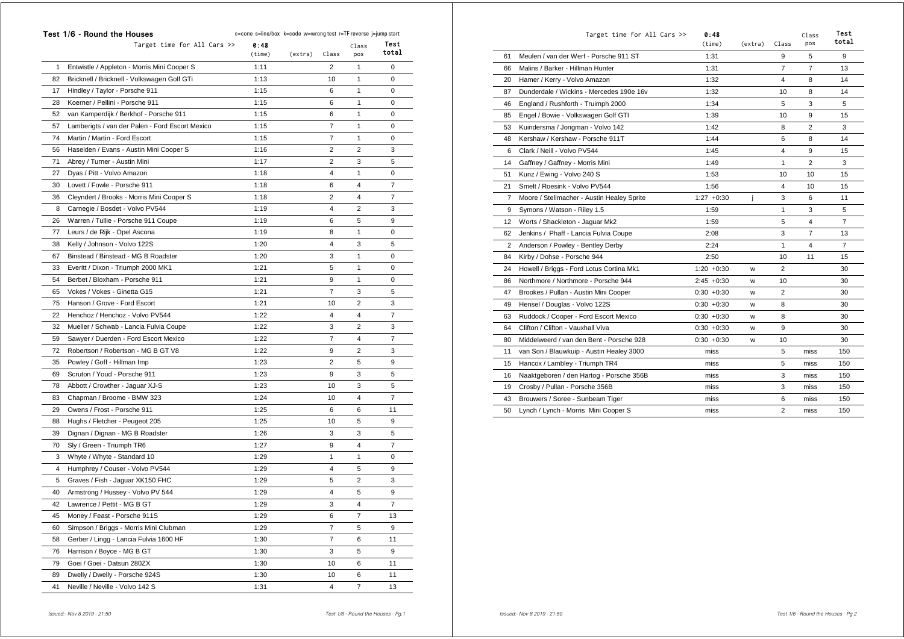|    | Test 1/6 - Round the Houses<br>c=cone s=line/box k=code w=wrong test r=TF reverse j=jump start |                |         |                |                |                |  |
|----|------------------------------------------------------------------------------------------------|----------------|---------|----------------|----------------|----------------|--|
|    | Target time for All Cars $\gg$                                                                 | 0:48<br>(time) | (extra) | Class          | Class<br>pos   | Test<br>total  |  |
| 1  | Entwistle / Appleton - Morris Mini Cooper S                                                    | 1:11           |         | 2              | 1              | 0              |  |
| 82 | Bricknell / Bricknell - Volkswagen Golf GTi                                                    | 1:13           |         | 10             | 1              | 0              |  |
| 17 | Hindley / Taylor - Porsche 911                                                                 | 1:15           |         | 6              | 1              | 0              |  |
| 28 | Koerner / Pellini - Porsche 911                                                                | 1:15           |         | 6              | 1              | 0              |  |
| 52 | van Kamperdijk / Berkhof - Porsche 911                                                         | 1:15           |         | 6              | 1              | 0              |  |
| 57 | Lamberigts / van der Palen - Ford Escort Mexico                                                | 1:15           |         | 7              | 1              | 0              |  |
| 74 | Martin / Martin - Ford Escort                                                                  | 1:15           |         | 7              | 1              | 0              |  |
| 56 | Haselden / Evans - Austin Mini Cooper S                                                        | 1:16           |         | 2              | $\overline{2}$ | 3              |  |
| 71 | Abrey / Turner - Austin Mini                                                                   | 1:17           |         | 2              | 3              | 5              |  |
| 27 | Dyas / Pitt - Volvo Amazon                                                                     | 1:18           |         | 4              | 1              | 0              |  |
| 30 | Lovett / Fowle - Porsche 911                                                                   | 1:18           |         | 6              | 4              | 7              |  |
| 36 | Cleyndert / Brooks - Morris Mini Cooper S                                                      | 1:18           |         | 2              | 4              | $\overline{7}$ |  |
| 8  | Carnegie / Bosdet - Volvo PV544                                                                | 1:19           |         | 4              | 2              | 3              |  |
| 26 | Warren / Tullie - Porsche 911 Coupe                                                            | 1:19           |         | 6              | 5              | 9              |  |
| 77 | Leurs / de Rijk - Opel Ascona                                                                  | 1:19           |         | 8              | 1              | 0              |  |
| 38 | Kelly / Johnson - Volvo 122S                                                                   | 1:20           |         | 4              | 3              | 5              |  |
| 67 | Binstead / Binstead - MG B Roadster                                                            | 1:20           |         | 3              | 1              | 0              |  |
| 33 | Everitt / Dixon - Triumph 2000 MK1                                                             | 1:21           |         | 5              | 1              | 0              |  |
| 54 | Berbet / Bloxham - Porsche 911                                                                 | 1:21           |         | 9              | 1              | 0              |  |
| 65 | Vokes / Vokes - Ginetta G15                                                                    | 1:21           |         | 7              | 3              | 5              |  |
| 75 | Hanson / Grove - Ford Escort                                                                   | 1:21           |         | 10             | $\overline{2}$ | 3              |  |
| 22 | Henchoz / Henchoz - Volvo PV544                                                                | 1:22           |         | 4              | 4              | $\overline{7}$ |  |
| 32 | Mueller / Schwab - Lancia Fulvia Coupe                                                         | 1:22           |         | 3              | 2              | 3              |  |
| 59 | Sawyer / Duerden - Ford Escort Mexico                                                          | 1:22           |         | 7              | 4              | $\overline{7}$ |  |
| 72 | Robertson / Robertson - MG B GT V8                                                             | 1:22           |         | 9              | $\overline{2}$ | 3              |  |
| 35 | Powley / Goff - Hillman Imp                                                                    | 1:23           |         | 2              | 5              | 9              |  |
| 69 | Scruton / Youd - Porsche 911                                                                   | 1:23           |         | 9              | 3              | 5              |  |
| 78 | Abbott / Crowther - Jaguar XJ-S                                                                | 1:23           |         | 10             | 3              | 5              |  |
| 83 | Chapman / Broome - BMW 323                                                                     | 1:24           |         | 10             | 4              | 7              |  |
| 29 | Owens / Frost - Porsche 911                                                                    | 1:25           |         | 6              | 6              | 11             |  |
| 88 | Hughs / Fletcher - Peugeot 205                                                                 | 1:25           |         | 10             | 5              | 9              |  |
| 39 | Dignan / Dignan - MG B Roadster                                                                | 1:26           |         | 3              | 3              | 5              |  |
| 70 | Sly / Green - Triumph TR6                                                                      | 1:27           |         | 9              | 4              | 7              |  |
| 3  | Whyte / Whyte - Standard 10                                                                    | 1:29           |         | 1              | 1              | 0              |  |
| 4  | Humphrey / Couser - Volvo PV544                                                                | 1:29           |         | 4              | 5              | 9              |  |
| 5  | Graves / Fish - Jaguar XK150 FHC                                                               | 1:29           |         | 5              | 2              | 3              |  |
| 40 | Armstrong / Hussey - Volvo PV 544                                                              | 1:29           |         | 4              | 5              | 9              |  |
| 42 | Lawrence / Pettit - MG B GT                                                                    | 1:29           |         | 3              | 4              | 7              |  |
| 45 | Money / Feast - Porsche 911S                                                                   | 1:29           |         | 6              | 7              | 13             |  |
| 60 | Simpson / Briggs - Morris Mini Clubman                                                         | 1:29           |         | $\overline{7}$ | 5              | 9              |  |
| 58 | Gerber / Lingg - Lancia Fulvia 1600 HF                                                         | 1:30           |         | 7              | 6              | 11             |  |
| 76 | Harrison / Boyce - MG B GT                                                                     | 1:30           |         | 3              | 5              | 9              |  |
| 79 | Goei / Goei - Datsun 280ZX                                                                     | 1:30           |         | 10             | 6              | 11             |  |
| 89 | Dwelly / Dwelly - Porsche 924S                                                                 | 1:30           |         | 10             | 6              | 11             |  |
| 41 | Neville / Neville - Volvo 142 S                                                                | 1:31           |         | 4              | 7              | 13             |  |
|    |                                                                                                |                |         |                |                |                |  |

|    | Target time for All Cars >>                | 0:48<br>(time) | (extra) | Class          | Class<br>pos   | Test<br>total  |
|----|--------------------------------------------|----------------|---------|----------------|----------------|----------------|
| 61 | Meulen / van der Werf - Porsche 911 ST     | 1:31           |         | 9              | 5              | 9              |
| 66 | Malins / Barker - Hillman Hunter           | 1:31           |         | $\overline{7}$ | $\overline{7}$ | 13             |
| 20 | Hamer / Kerry - Volvo Amazon               | 1:32           |         | 4              | 8              | 14             |
| 87 | Dunderdale / Wickins - Mercedes 190e 16y   | 1:32           |         | 10             | 8              | 14             |
| 46 | England / Rushforth - Truimph 2000         | 1:34           |         | 5              | 3              | 5              |
| 85 | Engel / Bowie - Volkswagen Golf GTI        | 1:39           |         | 10             | 9              | 15             |
| 53 | Kuindersma / Jongman - Volvo 142           | 1:42           |         | 8              | $\overline{2}$ | 3              |
| 48 | Kershaw / Kershaw - Porsche 911T           | 1:44           |         | 6              | 8              | 14             |
| 6  | Clark / Neill - Volvo PV544                | 1:45           |         | 4              | 9              | 15             |
| 14 | Gaffney / Gaffney - Morris Mini            | 1:49           |         | 1              | $\overline{2}$ | 3              |
| 51 | Kunz / Ewing - Volvo 240 S                 | 1:53           |         | 10             | 10             | 15             |
| 21 | Smelt / Roesink - Volvo PV544              | 1:56           |         | 4              | 10             | 15             |
| 7  | Moore / Stellmacher - Austin Healey Sprite | $1:27 +0:30$   | İ       | 3              | 6              | 11             |
| 9  | Symons / Watson - Riley 1.5                | 1:59           |         | 1              | 3              | 5              |
| 12 | Worts / Shackleton - Jaguar Mk2            | 1:59           |         | 5              | 4              | $\overline{7}$ |
| 62 | Jenkins / Phaff - Lancia Fulvia Coupe      | 2:08           |         | 3              | 7              | 13             |
| 2  | Anderson / Powley - Bentley Derby          | 2:24           |         | 1              | 4              | $\overline{7}$ |
| 84 | Kirby / Dohse - Porsche 944                | 2:50           |         | 10             | 11             | 15             |
| 24 | Howell / Briggs - Ford Lotus Cortina Mk1   | $1:20 + 0:30$  | w       | 2              |                | 30             |
| 86 | Northmore / Northmore - Porsche 944        | $2:45 + 0:30$  | w       | 10             |                | 30             |
| 47 | Brookes / Pullan - Austin Mini Cooper      | $0:30 + 0:30$  | W       | 2              |                | 30             |
| 49 | Hensel / Douglas - Volvo 122S              | $0:30 + 0:30$  | W       | 8              |                | 30             |
| 63 | Ruddock / Cooper - Ford Escort Mexico      | $0:30 + 0:30$  | W       | 8              |                | 30             |
| 64 | Clifton / Clifton - Vauxhall Viva          | $0:30 + 0:30$  | W       | 9              |                | 30             |
| 80 | Middelweerd / van den Bent - Porsche 928   | $0:30 + 0:30$  | W       | 10             |                | 30             |
| 11 | van Son / Blauwkuip - Austin Healey 3000   | miss           |         | 5              | miss           | 150            |
| 15 | Hancox / Lambley - Triumph TR4             | miss           |         | 5              | miss           | 150            |
| 16 | Naaktgeboren / den Hartog - Porsche 356B   | miss           |         | 3              | miss           | 150            |
| 19 | Crosby / Pullan - Porsche 356B             | miss           |         | 3              | miss           | 150            |
| 43 | Brouwers / Soree - Sunbeam Tiger           | miss           |         | 6              | miss           | 150            |
| 50 | Lynch / Lynch - Morris Mini Cooper S       | miss           |         | 2              | miss           | 150            |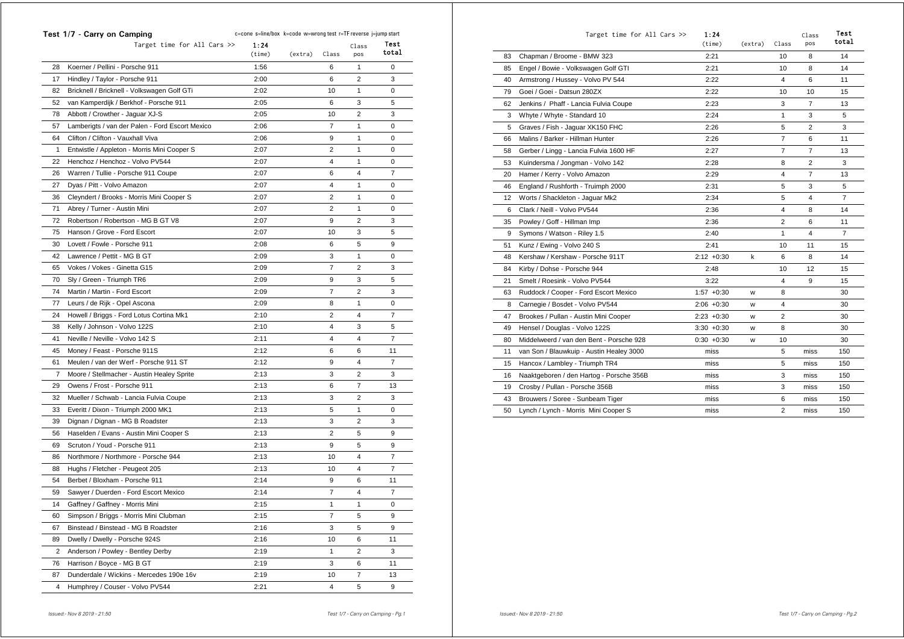|                | Test 1/7 - Carry on Camping                     | c=cone s=line/box k=code w=wrong test r=TF reverse j=jump start |         |                |                |                |
|----------------|-------------------------------------------------|-----------------------------------------------------------------|---------|----------------|----------------|----------------|
|                | Target time for All Cars >>                     | 1:24<br>(time)                                                  | (extra) | Class          | Class<br>pos   | Test<br>total  |
|                | Koerner / Pellini - Porsche 911                 | 1:56                                                            |         |                |                |                |
| 28             |                                                 |                                                                 |         | 6              | 1              | 0<br>3         |
| 17             | Hindley / Taylor - Porsche 911                  | 2:00                                                            |         | 6              | 2              |                |
| 82             | Bricknell / Bricknell - Volkswagen Golf GTi     | 2:02                                                            |         | 10             | 1              | 0              |
| 52             | van Kamperdijk / Berkhof - Porsche 911          | 2:05                                                            |         | 6              | 3              | 5              |
| 78             | Abbott / Crowther - Jaguar XJ-S                 | 2:05                                                            |         | 10             | 2              | 3              |
| 57             | Lamberigts / van der Palen - Ford Escort Mexico | 2:06                                                            |         | $\overline{7}$ | 1              | 0              |
| 64             | Clifton / Clifton - Vauxhall Viva               | 2:06                                                            |         | 9              | 1              | 0              |
| 1              | Entwistle / Appleton - Morris Mini Cooper S     | 2:07                                                            |         | 2              | 1              | 0              |
| 22             | Henchoz / Henchoz - Volvo PV544                 | 2:07                                                            |         | 4              | 1              | 0              |
| 26             | Warren / Tullie - Porsche 911 Coupe             | 2:07                                                            |         | 6              | 4              | 7              |
| 27             | Dyas / Pitt - Volvo Amazon                      | 2:07                                                            |         | 4              | 1              | 0              |
| 36             | Cleyndert / Brooks - Morris Mini Cooper S       | 2:07                                                            |         | 2              | 1              | 0              |
| 71             | Abrey / Turner - Austin Mini                    | 2:07                                                            |         | 2              | 1              | 0              |
| 72             | Robertson / Robertson - MG B GT V8              | 2:07                                                            |         | 9              | 2              | 3              |
| 75             | Hanson / Grove - Ford Escort                    | 2:07                                                            |         | 10             | 3              | 5              |
| 30             | Lovett / Fowle - Porsche 911                    | 2:08                                                            |         | 6              | 5              | 9              |
| 42             | Lawrence / Pettit - MG B GT                     | 2:09                                                            |         | 3              | 1              | 0              |
| 65             | Vokes / Vokes - Ginetta G15                     | 2:09                                                            |         | 7              | 2              | 3              |
| 70             | Sly / Green - Triumph TR6                       | 2:09                                                            |         | 9              | 3              | 5              |
| 74             | Martin / Martin - Ford Escort                   | 2:09                                                            |         | $\overline{7}$ | $\overline{2}$ | 3              |
| 77             | Leurs / de Rijk - Opel Ascona                   | 2:09                                                            |         | 8              | 1              | 0              |
| 24             | Howell / Briggs - Ford Lotus Cortina Mk1        | 2:10                                                            |         | 2              | 4              | 7              |
| 38             | Kelly / Johnson - Volvo 122S                    | 2:10                                                            |         | 4              | 3              | 5              |
| 41             | Neville / Neville - Volvo 142 S                 | 2:11                                                            |         | 4              | 4              | 7              |
| 45             | Money / Feast - Porsche 911S                    | 2:12                                                            |         | 6              | 6              | 11             |
| 61             | Meulen / van der Werf - Porsche 911 ST          | 2:12                                                            |         | 9              | 4              | $\overline{7}$ |
| $\overline{7}$ | Moore / Stellmacher - Austin Healey Sprite      | 2:13                                                            |         | 3              | 2              | 3              |
| 29             | Owens / Frost - Porsche 911                     | 2:13                                                            |         | 6              | 7              | 13             |
| 32             | Mueller / Schwab - Lancia Fulvia Coupe          | 2:13                                                            |         | 3              | 2              | 3              |
| 33             | Everitt / Dixon - Triumph 2000 MK1              | 2:13                                                            |         | 5              | 1              | 0              |
| 39             | Dignan / Dignan - MG B Roadster                 | 2:13                                                            |         | 3              | 2              | 3              |
| 56             | Haselden / Evans - Austin Mini Cooper S         | 2:13                                                            |         | $\overline{2}$ | 5              | 9              |
| 69             | Scruton / Youd - Porsche 911                    | 2:13                                                            |         | 9              | 5              | 9              |
| 86             | Northmore / Northmore - Porsche 944             | 2:13                                                            |         | 10             | 4              | 7              |
| 88             | Hughs / Fletcher - Peugeot 205                  | 2:13                                                            |         | 10             | 4              | $\overline{7}$ |
| 54             | Berbet / Bloxham - Porsche 911                  | 2:14                                                            |         | 9              | 6              | 11             |
| 59             | Sawyer / Duerden - Ford Escort Mexico           | 2:14                                                            |         | 7              | 4              | 7              |
| 14             | Gaffney / Gaffney - Morris Mini                 | 2:15                                                            |         | 1              | 1              | 0              |
| 60             | Simpson / Briggs - Morris Mini Clubman          | 2:15                                                            |         | 7              | 5              | 9              |
| 67             | Binstead / Binstead - MG B Roadster             | 2:16                                                            |         | 3              | 5              | 9              |
| 89             | Dwelly / Dwelly - Porsche 924S                  | 2:16                                                            |         | 10             | 6              | 11             |
| 2              | Anderson / Powley - Bentley Derby               | 2:19                                                            |         | 1              | 2              | 3              |
| 76             | Harrison / Boyce - MG B GT                      | 2:19                                                            |         | 3              | 6              | 11             |
| 87             | Dunderdale / Wickins - Mercedes 190e 16v        | 2:19                                                            |         | 10             | 7              | 13             |
| 4              | Humphrey / Couser - Volvo PV544                 | 2:21                                                            |         | 4              | 5              | 9              |

|    | Target time for All Cars $\gg$           | 1:24<br>(time) | (extra) | Class          | Class<br>pos   | Test<br>total  |
|----|------------------------------------------|----------------|---------|----------------|----------------|----------------|
| 83 | Chapman / Broome - BMW 323               | 2:21           |         | 10             | 8              | 14             |
| 85 | Engel / Bowie - Volkswagen Golf GTI      | 2:21           |         | 10             | 8              | 14             |
| 40 | Armstrong / Hussey - Volvo PV 544        | 2:22           |         | 4              | 6              | 11             |
| 79 | Goei / Goei - Datsun 280ZX               | 2:22           |         | 10             | 10             | 15             |
| 62 | Jenkins / Phaff - Lancia Fulvia Coupe    | 2:23           |         | 3              | $\overline{7}$ | 13             |
| 3  | Whyte / Whyte - Standard 10              | 2:24           |         | 1              | 3              | 5              |
| 5  | Graves / Fish - Jaguar XK150 FHC         | 2:26           |         | 5              | $\overline{2}$ | 3              |
| 66 | Malins / Barker - Hillman Hunter         | 2:26           |         | $\overline{7}$ | 6              | 11             |
| 58 | Gerber / Lingg - Lancia Fulvia 1600 HF   | 2:27           |         | 7              | $\overline{7}$ | 13             |
| 53 | Kuindersma / Jongman - Volvo 142         | 2:28           |         | 8              | $\overline{2}$ | 3              |
| 20 | Hamer / Kerry - Volvo Amazon             | 2:29           |         | 4              | $\overline{7}$ | 13             |
| 46 | England / Rushforth - Truimph 2000       | 2:31           |         | 5              | 3              | 5              |
| 12 | Worts / Shackleton - Jaguar Mk2          | 2:34           |         | 5              | 4              | $\overline{7}$ |
| 6  | Clark / Neill - Volvo PV544              | 2:36           |         | 4              | 8              | 14             |
| 35 | Powley / Goff - Hillman Imp              | 2:36           |         | $\overline{2}$ | 6              | 11             |
| 9  | Symons / Watson - Riley 1.5              | 2:40           |         | 1              | 4              | $\overline{7}$ |
| 51 | Kunz / Ewing - Volvo 240 S               | 2:41           |         | 10             | 11             | 15             |
| 48 | Kershaw / Kershaw - Porsche 911T         | $2:12 + 0:30$  | k       | 6              | 8              | 14             |
| 84 | Kirby / Dohse - Porsche 944              | 2:48           |         | 10             | 12             | 15             |
| 21 | Smelt / Roesink - Volvo PV544            | 3:22           |         | 4              | 9              | 15             |
| 63 | Ruddock / Cooper - Ford Escort Mexico    | $1:57 +0:30$   | w       | 8              |                | 30             |
| 8  | Carnegie / Bosdet - Volvo PV544          | $2:06 + 0:30$  | w       | 4              |                | 30             |
| 47 | Brookes / Pullan - Austin Mini Cooper    | $2:23 + 0:30$  | W       | 2              |                | 30             |
| 49 | Hensel / Douglas - Volvo 122S            | $3:30 + 0:30$  | w       | 8              |                | 30             |
| 80 | Middelweerd / van den Bent - Porsche 928 | $0:30 + 0:30$  | w       | 10             |                | 30             |
| 11 | van Son / Blauwkuip - Austin Healey 3000 | miss           |         | 5              | miss           | 150            |
| 15 | Hancox / Lambley - Triumph TR4           | miss           |         | 5              | miss           | 150            |
| 16 | Naaktgeboren / den Hartog - Porsche 356B | miss           |         | 3              | miss           | 150            |
| 19 | Crosby / Pullan - Porsche 356B           | miss           |         | 3              | miss           | 150            |
| 43 | Brouwers / Soree - Sunbeam Tiger         | miss           |         | 6              | miss           | 150            |
| 50 | Lynch / Lynch - Morris Mini Cooper S     | miss           |         | 2              | miss           | 150            |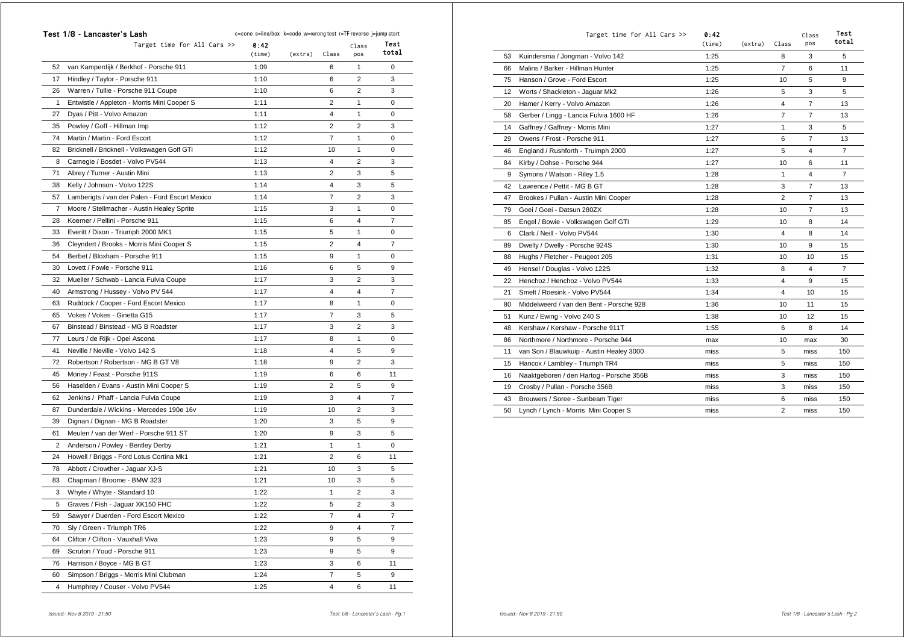|    | Test 1/8 - Lancaster's Lash                     | c=cone s=line/box k=code w=wrong test r=TF reverse j=jump start |         |                |                |       |
|----|-------------------------------------------------|-----------------------------------------------------------------|---------|----------------|----------------|-------|
|    | Target time for All Cars >>                     | 0:42                                                            |         |                | Class          | Test  |
|    |                                                 | (time)                                                          | (extra) | Class          | pos            | total |
| 52 | van Kamperdijk / Berkhof - Porsche 911          | 1:09                                                            |         | 6              | 1              | 0     |
| 17 | Hindley / Taylor - Porsche 911                  | 1:10                                                            |         | 6              | $\overline{2}$ | 3     |
| 26 | Warren / Tullie - Porsche 911 Coupe             | 1:10                                                            |         | 6              | $\overline{2}$ | 3     |
| 1  | Entwistle / Appleton - Morris Mini Cooper S     | 1:11                                                            |         | 2              | 1              | 0     |
| 27 | Dyas / Pitt - Volvo Amazon                      | 1:11                                                            |         | 4              | 1              | 0     |
| 35 | Powley / Goff - Hillman Imp                     | 1:12                                                            |         | 2              | 2              | 3     |
| 74 | Martin / Martin - Ford Escort                   | 1:12                                                            |         | $\overline{7}$ | 1              | 0     |
| 82 | Bricknell / Bricknell - Volkswagen Golf GTi     | 1:12                                                            |         | 10             | 1              | 0     |
| 8  | Carnegie / Bosdet - Volvo PV544                 | 1:13                                                            |         | 4              | $\overline{2}$ | 3     |
| 71 | Abrey / Turner - Austin Mini                    | 1:13                                                            |         | $\overline{2}$ | 3              | 5     |
| 38 | Kelly / Johnson - Volvo 122S                    | 1:14                                                            |         | 4              | 3              | 5     |
| 57 | Lamberigts / van der Palen - Ford Escort Mexico | 1:14                                                            |         | $\overline{7}$ | $\overline{2}$ | 3     |
| 7  | Moore / Stellmacher - Austin Healey Sprite      | 1:15                                                            |         | 3              | 1              | 0     |
| 28 | Koerner / Pellini - Porsche 911                 | 1:15                                                            |         | 6              | 4              | 7     |
| 33 | Everitt / Dixon - Triumph 2000 MK1              | 1:15                                                            |         | 5              | 1              | 0     |
| 36 | Cleyndert / Brooks - Morris Mini Cooper S       | 1:15                                                            |         | 2              | 4              | 7     |
| 54 | Berbet / Bloxham - Porsche 911                  | 1:15                                                            |         | 9              | 1              | 0     |
| 30 | Lovett / Fowle - Porsche 911                    | 1:16                                                            |         | 6              | 5              | 9     |
| 32 | Mueller / Schwab - Lancia Fulvia Coupe          | 1:17                                                            |         | 3              | 2              | 3     |
| 40 | Armstrong / Hussey - Volvo PV 544               | 1:17                                                            |         | 4              | 4              | 7     |
| 63 | Ruddock / Cooper - Ford Escort Mexico           | 1:17                                                            |         | 8              | $\mathbf{1}$   | 0     |
| 65 | Vokes / Vokes - Ginetta G15                     | 1:17                                                            |         | 7              | 3              | 5     |
| 67 | Binstead / Binstead - MG B Roadster             | 1:17                                                            |         | 3              | $\overline{2}$ | 3     |
| 77 | Leurs / de Rijk - Opel Ascona                   | 1:17                                                            |         | 8              | 1              | 0     |
| 41 | Neville / Neville - Volvo 142 S                 | 1:18                                                            |         | 4              | 5              | 9     |
| 72 | Robertson / Robertson - MG B GT V8              | 1:18                                                            |         | 9              | $\overline{2}$ | 3     |
| 45 | Money / Feast - Porsche 911S                    | 1:19                                                            |         | 6              | 6              | 11    |
| 56 | Haselden / Evans - Austin Mini Cooper S         | 1:19                                                            |         | $\overline{2}$ | 5              | 9     |
| 62 | Jenkins / Phaff - Lancia Fulvia Coupe           | 1:19                                                            |         | 3              | 4              | 7     |
| 87 | Dunderdale / Wickins - Mercedes 190e 16v        | 1:19                                                            |         | 10             | 2              | 3     |
| 39 | Dignan / Dignan - MG B Roadster                 | 1:20                                                            |         | 3              | 5              | 9     |
| 61 | Meulen / van der Werf - Porsche 911 ST          | 1:20                                                            |         | 9              | 3              | 5     |
| 2  | Anderson / Powley - Bentley Derby               | 1:21                                                            |         | 1              | 1              | 0     |
| 24 | Howell / Briggs - Ford Lotus Cortina Mk1        | 1:21                                                            |         | $\overline{2}$ | 6              | 11    |
| 78 | Abbott / Crowther - Jaguar XJ-S                 | 1:21                                                            |         | 10             | 3              | 5     |
| 83 | Chapman / Broome - BMW 323                      | 1:21                                                            |         | 10             | 3              | 5     |
| 3  | Whyte / Whyte - Standard 10                     | 1:22                                                            |         | 1              | 2              | 3     |
| 5  | Graves / Fish - Jaguar XK150 FHC                | 1:22                                                            |         | 5              | $\overline{2}$ | 3     |
| 59 | Sawyer / Duerden - Ford Escort Mexico           | 1:22                                                            |         | 7              | 4              | 7     |
| 70 | Sly / Green - Triumph TR6                       | 1:22                                                            |         | 9              | 4              | 7     |
| 64 | Clifton / Clifton - Vauxhall Viva               | 1:23                                                            |         | 9              | 5              | 9     |
| 69 | Scruton / Youd - Porsche 911                    | 1:23                                                            |         | 9              | 5              | 9     |
| 76 | Harrison / Boyce - MG B GT                      | 1:23                                                            |         | 3              | 6              | 11    |
| 60 | Simpson / Briggs - Morris Mini Clubman          | 1:24                                                            |         | 7              | 5              | 9     |
| 4  | Humphrey / Couser - Volvo PV544                 | 1:25                                                            |         | 4              | 6              | 11    |
|    |                                                 |                                                                 |         |                |                |       |

|    | Target time for All Cars >>              | 0:42<br>(time) | (extra) | Class          | Class<br>pos   | Test<br>total  |
|----|------------------------------------------|----------------|---------|----------------|----------------|----------------|
| 53 | Kuindersma / Jongman - Volvo 142         | 1:25           |         | 8              | 3              | 5              |
| 66 | Malins / Barker - Hillman Hunter         | 1:25           |         | $\overline{7}$ | 6              | 11             |
| 75 | Hanson / Grove - Ford Escort             | 1:25           |         | 10             | 5              | 9              |
| 12 | Worts / Shackleton - Jaquar Mk2          | 1:26           |         | 5              | 3              | 5              |
| 20 | Hamer / Kerry - Volvo Amazon             | 1:26           |         | 4              | 7              | 13             |
| 58 | Gerber / Lingg - Lancia Fulvia 1600 HF   | 1:26           |         | $\overline{7}$ | $\overline{7}$ | 13             |
| 14 | Gaffney / Gaffney - Morris Mini          | 1:27           |         | $\mathbf{1}$   | 3              | 5              |
| 29 | Owens / Frost - Porsche 911              | 1:27           |         | 6              | $\overline{7}$ | 13             |
| 46 | England / Rushforth - Truimph 2000       | 1:27           |         | 5              | 4              | $\overline{7}$ |
| 84 | Kirby / Dohse - Porsche 944              | 1:27           |         | 10             | 6              | 11             |
| 9  | Symons / Watson - Riley 1.5              | 1:28           |         | $\mathbf{1}$   | 4              | $\overline{7}$ |
| 42 | Lawrence / Pettit - MG B GT              | 1:28           |         | 3              | $\overline{7}$ | 13             |
| 47 | Brookes / Pullan - Austin Mini Cooper    | 1:28           |         | $\overline{2}$ | $\overline{7}$ | 13             |
| 79 | Goei / Goei - Datsun 280ZX               | 1:28           |         | 10             | $\overline{7}$ | 13             |
| 85 | Engel / Bowie - Volkswagen Golf GTI      | 1:29           |         | 10             | 8              | 14             |
| 6  | Clark / Neill - Volvo PV544              | 1:30           |         | 4              | 8              | 14             |
| 89 | Dwelly / Dwelly - Porsche 924S           | 1:30           |         | 10             | 9              | 15             |
| 88 | Hughs / Fletcher - Peugeot 205           | 1:31           |         | 10             | 10             | 15             |
| 49 | Hensel / Douglas - Volvo 122S            | 1:32           |         | 8              | 4              | $\overline{7}$ |
| 22 | Henchoz / Henchoz - Volvo PV544          | 1:33           |         | $\overline{4}$ | 9              | 15             |
| 21 | Smelt / Roesink - Volvo PV544            | 1:34           |         | 4              | 10             | 15             |
| 80 | Middelweerd / van den Bent - Porsche 928 | 1:36           |         | 10             | 11             | 15             |
| 51 | Kunz / Ewing - Volvo 240 S               | 1:38           |         | 10             | 12             | 15             |
| 48 | Kershaw / Kershaw - Porsche 911T         | 1:55           |         | 6              | 8              | 14             |
| 86 | Northmore / Northmore - Porsche 944      | max            |         | 10             | max            | 30             |
| 11 | van Son / Blauwkuip - Austin Healey 3000 | miss           |         | 5              | miss           | 150            |
| 15 | Hancox / Lambley - Triumph TR4           | miss           |         | 5              | miss           | 150            |
| 16 | Naaktgeboren / den Hartog - Porsche 356B | miss           |         | 3              | miss           | 150            |
| 19 | Crosby / Pullan - Porsche 356B           | miss           |         | 3              | miss           | 150            |
| 43 | Brouwers / Soree - Sunbeam Tiger         | miss           |         | 6              | miss           | 150            |
| 50 | Lynch / Lynch - Morris Mini Cooper S     | miss           |         | $\overline{2}$ | miss           | 150            |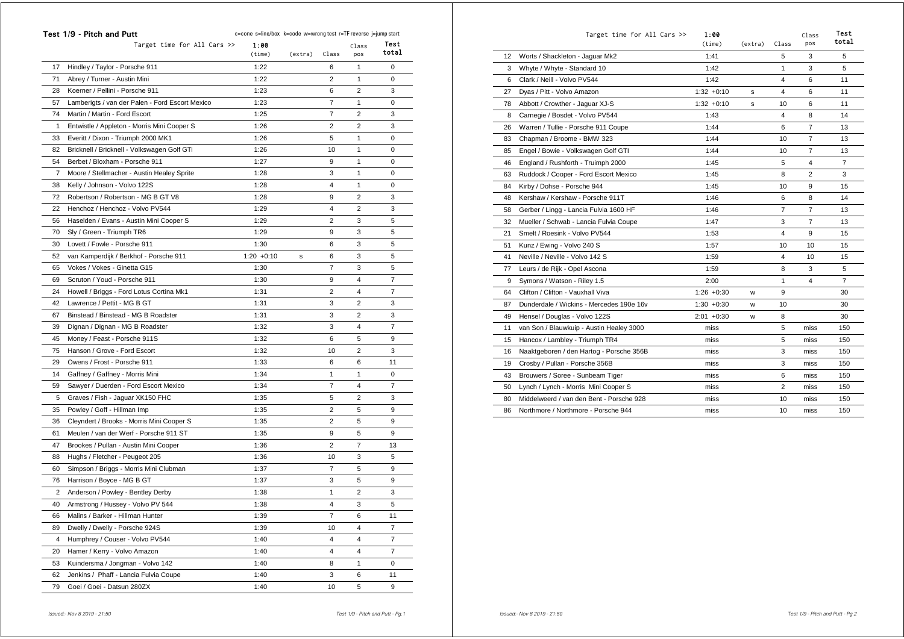|    | Test 1/9 - Pitch and Putt                       | c=cone s=line/box k=code w=wrong test r=TF reverse j=jump start |         |                |                |                |
|----|-------------------------------------------------|-----------------------------------------------------------------|---------|----------------|----------------|----------------|
|    | Target time for All Cars >>                     | 1:00                                                            |         |                | Class          | Test           |
|    |                                                 | (time)                                                          | (extra) | Class          | pos            | total          |
| 17 | Hindley / Taylor - Porsche 911                  | 1:22                                                            |         | 6              | 1              | 0              |
| 71 | Abrey / Turner - Austin Mini                    | 1:22                                                            |         | 2              | 1              | 0              |
| 28 | Koerner / Pellini - Porsche 911                 | 1:23                                                            |         | 6              | 2              | 3              |
| 57 | Lamberigts / van der Palen - Ford Escort Mexico | 1:23                                                            |         | $\overline{7}$ | 1              | 0              |
| 74 | Martin / Martin - Ford Escort                   | 1:25                                                            |         | $\overline{7}$ | 2              | 3              |
| 1  | Entwistle / Appleton - Morris Mini Cooper S     | 1:26                                                            |         | 2              | 2              | 3              |
| 33 | Everitt / Dixon - Triumph 2000 MK1              | 1:26                                                            |         | 5              | 1              | 0              |
| 82 | Bricknell / Bricknell - Volkswagen Golf GTi     | 1:26                                                            |         | 10             | 1              | 0              |
| 54 | Berbet / Bloxham - Porsche 911                  | 1:27                                                            |         | 9              | 1              | 0              |
| 7  | Moore / Stellmacher - Austin Healey Sprite      | 1:28                                                            |         | 3              | 1              | 0              |
| 38 | Kelly / Johnson - Volvo 122S                    | 1:28                                                            |         | 4              | 1              | 0              |
| 72 | Robertson / Robertson - MG B GT V8              | 1:28                                                            |         | 9              | 2              | 3              |
| 22 | Henchoz / Henchoz - Volvo PV544                 | 1:29                                                            |         | 4              | 2              | 3              |
| 56 | Haselden / Evans - Austin Mini Cooper S         | 1:29                                                            |         | 2              | 3              | 5              |
| 70 | Sly / Green - Triumph TR6                       | 1:29                                                            |         | 9              | 3              | 5              |
| 30 | Lovett / Fowle - Porsche 911                    | 1:30                                                            |         | 6              | 3              | 5              |
| 52 | van Kamperdijk / Berkhof - Porsche 911          | $1:20 + 0:10$                                                   | s       | 6              | 3              | 5              |
| 65 | Vokes / Vokes - Ginetta G15                     | 1:30                                                            |         | 7              | 3              | 5              |
| 69 | Scruton / Youd - Porsche 911                    | 1:30                                                            |         | 9              | 4              | 7              |
| 24 | Howell / Briggs - Ford Lotus Cortina Mk1        | 1:31                                                            |         | 2              | 4              | $\overline{7}$ |
| 42 | Lawrence / Pettit - MG B GT                     | 1:31                                                            |         | 3              | 2              | 3              |
| 67 | Binstead / Binstead - MG B Roadster             | 1:31                                                            |         | 3              | 2              | 3              |
| 39 | Dignan / Dignan - MG B Roadster                 | 1:32                                                            |         | 3              | 4              | 7              |
| 45 | Money / Feast - Porsche 911S                    | 1:32                                                            |         | 6              | 5              | 9              |
| 75 | Hanson / Grove - Ford Escort                    | 1:32                                                            |         | 10             | 2              | 3              |
| 29 | Owens / Frost - Porsche 911                     | 1:33                                                            |         | 6              | 6              | 11             |
| 14 | Gaffney / Gaffney - Morris Mini                 | 1:34                                                            |         | 1              | 1              | 0              |
| 59 | Sawyer / Duerden - Ford Escort Mexico           | 1:34                                                            |         | 7              | 4              | 7              |
| 5  | Graves / Fish - Jaguar XK150 FHC                | 1:35                                                            |         | 5              | 2              | 3              |
| 35 | Powley / Goff - Hillman Imp                     | 1:35                                                            |         | 2              | 5              | 9              |
| 36 | Cleyndert / Brooks - Morris Mini Cooper S       | 1:35                                                            |         | 2              | 5              | 9              |
| 61 | Meulen / van der Werf - Porsche 911 ST          | 1:35                                                            |         | 9              | 5              | 9              |
| 47 | Brookes / Pullan - Austin Mini Cooper           | 1:36                                                            |         | 2              | $\overline{7}$ | 13             |
| 88 | Hughs / Fletcher - Peugeot 205                  | 1:36                                                            |         | 10             | 3              | 5              |
| 60 | Simpson / Briggs - Morris Mini Clubman          | 1:37                                                            |         | 7              | 5              | 9              |
| 76 | Harrison / Boyce - MG B GT                      | 1:37                                                            |         | 3              | 5              | 9              |
| 2  | Anderson / Powley - Bentley Derby               | 1:38                                                            |         | 1              | 2              | 3              |
| 40 | Armstrong / Hussey - Volvo PV 544               | 1:38                                                            |         | 4              | 3              | 5              |
| 66 | Malins / Barker - Hillman Hunter                | 1:39                                                            |         | 7              | 6              | 11             |
| 89 | Dwelly / Dwelly - Porsche 924S                  | 1:39                                                            |         | 10             | 4              | $\overline{7}$ |
| 4  | Humphrey / Couser - Volvo PV544                 | 1:40                                                            |         | 4              | 4              | $\overline{7}$ |
| 20 | Hamer / Kerry - Volvo Amazon                    | 1:40                                                            |         | 4              | 4              | $\overline{7}$ |
| 53 | Kuindersma / Jongman - Volvo 142                | 1:40                                                            |         | 8              | 1              | 0              |
| 62 | Jenkins / Phaff - Lancia Fulvia Coupe           | 1:40                                                            |         | 3              | 6              | 11             |
| 79 | Goei / Goei - Datsun 280ZX                      | 1:40                                                            |         | 10             | 5              | 9              |
|    |                                                 |                                                                 |         |                |                |                |

|                   | Target time for All Cars >>              | 1:00<br>(time) | (extra) | Class          | Class<br>pos   | Test<br>total  |
|-------------------|------------------------------------------|----------------|---------|----------------|----------------|----------------|
| $12 \overline{ }$ | Worts / Shackleton - Jaquar Mk2          | 1:41           |         | 5              | 3              | 5              |
| 3                 | Whyte / Whyte - Standard 10              | 1:42           |         | 1              | 3              | 5              |
| 6                 | Clark / Neill - Volvo PV544              | 1:42           |         | 4              | 6              | 11             |
| 27                | Dyas / Pitt - Volvo Amazon               | $1:32 +0:10$   | s       | 4              | 6              | 11             |
| 78                | Abbott / Crowther - Jaquar XJ-S          | $1:32 +0:10$   | s       | 10             | 6              | 11             |
| 8                 | Carnegie / Bosdet - Volvo PV544          | 1:43           |         | 4              | 8              | 14             |
| 26                | Warren / Tullie - Porsche 911 Coupe      | 1:44           |         | 6              | $\overline{7}$ | 13             |
| 83                | Chapman / Broome - BMW 323               | 1:44           |         | 10             | 7              | 13             |
| 85                | Engel / Bowie - Volkswagen Golf GTI      | 1:44           |         | 10             | $\overline{7}$ | 13             |
| 46                | England / Rushforth - Truimph 2000       | 1:45           |         | 5              | 4              | $\overline{7}$ |
| 63                | Ruddock / Cooper - Ford Escort Mexico    | 1:45           |         | 8              | $\overline{2}$ | 3              |
| 84                | Kirby / Dohse - Porsche 944              | 1:45           |         | 10             | 9              | 15             |
| 48                | Kershaw / Kershaw - Porsche 911T         | 1:46           |         | 6              | 8              | 14             |
| 58                | Gerber / Lingg - Lancia Fulvia 1600 HF   | 1:46           |         | $\overline{7}$ | $\overline{7}$ | 13             |
| 32                | Mueller / Schwab - Lancia Fulvia Coupe   | 1:47           |         | 3              | $\overline{7}$ | 13             |
| 21                | Smelt / Roesink - Volvo PV544            | 1:53           |         | 4              | 9              | 15             |
| 51                | Kunz / Ewing - Volvo 240 S               | 1:57           |         | 10             | 10             | 15             |
| 41                | Neville / Neville - Volvo 142 S          | 1:59           |         | 4              | 10             | 15             |
| 77                | Leurs / de Rijk - Opel Ascona            | 1:59           |         | 8              | 3              | 5              |
| 9                 | Symons / Watson - Riley 1.5              | 2:00           |         | 1              | 4              | $\overline{7}$ |
| 64                | Clifton / Clifton - Vauxhall Viva        | $1:26 + 0:30$  | W       | 9              |                | 30             |
| 87                | Dunderdale / Wickins - Mercedes 190e 16v | $1:30 + 0:30$  | W       | 10             |                | 30             |
| 49                | Hensel / Douglas - Volvo 122S            | $2:01 + 0:30$  | W       | 8              |                | 30             |
| 11                | van Son / Blauwkuip - Austin Healey 3000 | miss           |         | 5              | miss           | 150            |
| 15                | Hancox / Lambley - Triumph TR4           | miss           |         | 5              | miss           | 150            |
| 16                | Naaktgeboren / den Hartog - Porsche 356B | miss           |         | 3              | miss           | 150            |
| 19                | Crosby / Pullan - Porsche 356B           | miss           |         | 3              | miss           | 150            |
| 43                | Brouwers / Soree - Sunbeam Tiger         | miss           |         | 6              | miss           | 150            |
| 50                | Lynch / Lynch - Morris Mini Cooper S     | miss           |         | $\overline{2}$ | miss           | 150            |
| 80                | Middelweerd / van den Bent - Porsche 928 | miss           |         | 10             | miss           | 150            |
| 86                | Northmore / Northmore - Porsche 944      | miss           |         | 10             | miss           | 150            |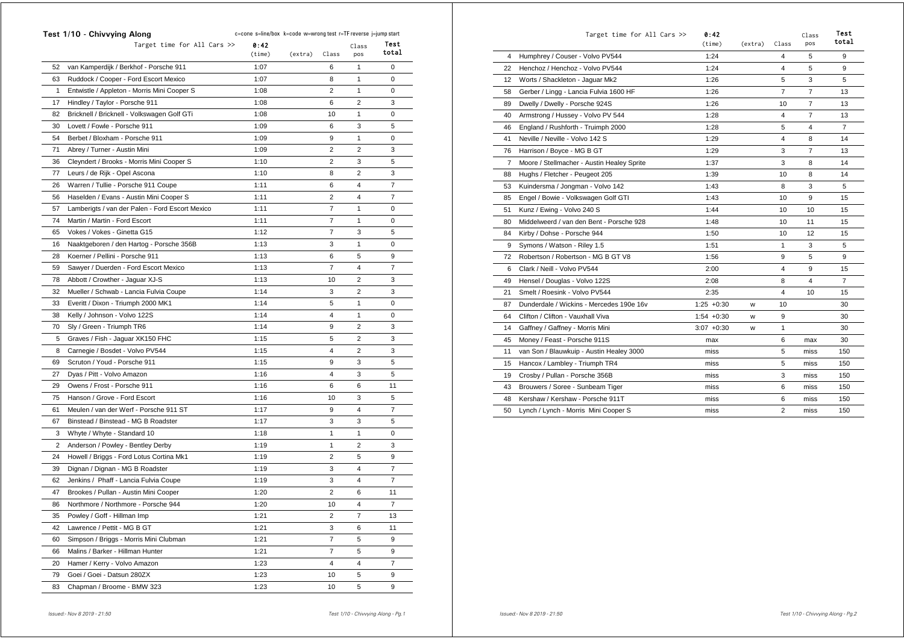|    | Test 1/10 - Chivvying Along                     | c=cone s=line/box k=code w=wrong test r=TF reverse j=jump start |         |                |                |                |
|----|-------------------------------------------------|-----------------------------------------------------------------|---------|----------------|----------------|----------------|
|    | Target time for All Cars $\gg$                  | 0:42<br>(time)                                                  | (extra) | Class          | Class<br>pos   | Test<br>total  |
| 52 | van Kamperdijk / Berkhof - Porsche 911          | 1:07                                                            |         | 6              | 1              | 0              |
| 63 | Ruddock / Cooper - Ford Escort Mexico           | 1:07                                                            |         | 8              | 1              | 0              |
| 1  | Entwistle / Appleton - Morris Mini Cooper S     | 1:08                                                            |         | 2              | 1              | 0              |
| 17 | Hindley / Taylor - Porsche 911                  | 1:08                                                            |         | 6              | $\overline{2}$ | 3              |
| 82 | Bricknell / Bricknell - Volkswagen Golf GTi     | 1:08                                                            |         | 10             | 1              | 0              |
| 30 | Lovett / Fowle - Porsche 911                    | 1:09                                                            |         | 6              | 3              | 5              |
| 54 | Berbet / Bloxham - Porsche 911                  | 1:09                                                            |         | 9              | 1              | 0              |
| 71 | Abrey / Turner - Austin Mini                    | 1:09                                                            |         | 2              | $\overline{2}$ | 3              |
| 36 | Cleyndert / Brooks - Morris Mini Cooper S       | 1:10                                                            |         | 2              | 3              | 5              |
| 77 | Leurs / de Rijk - Opel Ascona                   | 1:10                                                            |         | 8              | $\overline{2}$ | 3              |
| 26 | Warren / Tullie - Porsche 911 Coupe             | 1:11                                                            |         | 6              | 4              | 7              |
| 56 | Haselden / Evans - Austin Mini Cooper S         | 1:11                                                            |         | 2              | 4              | $\overline{7}$ |
| 57 | Lamberigts / van der Palen - Ford Escort Mexico | 1:11                                                            |         | 7              | 1              | 0              |
| 74 | Martin / Martin - Ford Escort                   | 1:11                                                            |         | 7              | 1              | 0              |
| 65 | Vokes / Vokes - Ginetta G15                     | 1:12                                                            |         | 7              | 3              | 5              |
| 16 | Naaktgeboren / den Hartog - Porsche 356B        | 1:13                                                            |         | 3              | 1              | 0              |
| 28 | Koerner / Pellini - Porsche 911                 | 1:13                                                            |         | 6              | 5              | 9              |
| 59 | Sawyer / Duerden - Ford Escort Mexico           | 1:13                                                            |         | $\overline{7}$ | 4              | 7              |
| 78 | Abbott / Crowther - Jaguar XJ-S                 | 1:13                                                            |         | 10             | 2              | 3              |
| 32 | Mueller / Schwab - Lancia Fulvia Coupe          | 1:14                                                            |         | 3              | 2              | 3              |
| 33 | Everitt / Dixon - Triumph 2000 MK1              | 1:14                                                            |         | 5              | 1              | 0              |
| 38 | Kelly / Johnson - Volvo 122S                    | 1:14                                                            |         | 4              | 1              | 0              |
| 70 | Sly / Green - Triumph TR6                       | 1:14                                                            |         | 9              | $\overline{2}$ | 3              |
| 5  | Graves / Fish - Jaguar XK150 FHC                | 1:15                                                            |         | 5              | $\overline{2}$ | 3              |
| 8  | Carnegie / Bosdet - Volvo PV544                 | 1:15                                                            |         | 4              | 2              | 3              |
| 69 | Scruton / Youd - Porsche 911                    | 1:15                                                            |         | 9              | 3              | 5              |
| 27 | Dyas / Pitt - Volvo Amazon                      | 1:16                                                            |         | 4              | 3              | 5              |
| 29 | Owens / Frost - Porsche 911                     | 1:16                                                            |         | 6              | 6              | 11             |
| 75 | Hanson / Grove - Ford Escort                    | 1:16                                                            |         | 10             | 3              | 5              |
| 61 | Meulen / van der Werf - Porsche 911 ST          | 1:17                                                            |         | 9              | 4              | 7              |
| 67 | Binstead / Binstead - MG B Roadster             | 1:17                                                            |         | 3              | 3              | 5              |
| 3  | Whyte / Whyte - Standard 10                     | 1:18                                                            |         | 1              | 1              | 0              |
| 2  | Anderson / Powley - Bentley Derby               | 1:19                                                            |         | 1              | $\overline{2}$ | 3              |
| 24 | Howell / Briggs - Ford Lotus Cortina Mk1        | 1:19                                                            |         | 2              | 5              | 9              |
| 39 | Dignan / Dignan - MG B Roadster                 | 1:19                                                            |         | 3              | 4              | $\overline{7}$ |
| 62 | Jenkins / Phaff - Lancia Fulvia Coupe           | 1:19                                                            |         | 3              | 4              | 7              |
| 47 | Brookes / Pullan - Austin Mini Cooper           | 1:20                                                            |         | 2              | 6              | 11             |
| 86 | Northmore / Northmore - Porsche 944             | 1:20                                                            |         | 10             | 4              | $\overline{7}$ |
| 35 | Powley / Goff - Hillman Imp                     | 1:21                                                            |         | 2              | 7              | 13             |
| 42 | Lawrence / Pettit - MG B GT                     | 1:21                                                            |         | 3              | 6              | 11             |
| 60 | Simpson / Briggs - Morris Mini Clubman          | 1:21                                                            |         | $\overline{7}$ | 5              | 9              |
| 66 | Malins / Barker - Hillman Hunter                | 1:21                                                            |         | 7              | 5              | 9              |
| 20 | Hamer / Kerry - Volvo Amazon                    | 1:23                                                            |         | 4              | 4              | 7              |
| 79 | Goei / Goei - Datsun 280ZX                      | 1:23                                                            |         | 10             | 5              | 9              |
| 83 | Chapman / Broome - BMW 323                      | 1:23                                                            |         | 10             | 5              | 9              |

|    | Target time for All Cars >>                | 0:42<br>(time) | (extra) | Class          | Class<br>pos   | Test<br>total  |
|----|--------------------------------------------|----------------|---------|----------------|----------------|----------------|
| 4  | Humphrey / Couser - Volvo PV544            | 1:24           |         | 4              | 5              | 9              |
| 22 | Henchoz / Henchoz - Volvo PV544            | 1:24           |         | 4              | 5              | 9              |
| 12 | Worts / Shackleton - Jaguar Mk2            | 1:26           |         | 5              | 3              | 5              |
| 58 | Gerber / Lingg - Lancia Fulvia 1600 HF     | 1:26           |         | 7              | $\overline{7}$ | 13             |
| 89 | Dwelly / Dwelly - Porsche 924S             | 1:26           |         | 10             | $\overline{7}$ | 13             |
| 40 | Armstrong / Hussey - Volvo PV 544          | 1:28           |         | 4              | $\overline{7}$ | 13             |
| 46 | England / Rushforth - Truimph 2000         | 1:28           |         | 5              | 4              | 7              |
| 41 | Neville / Neville - Volvo 142 S            | 1:29           |         | 4              | 8              | 14             |
| 76 | Harrison / Boyce - MG B GT                 | 1:29           |         | 3              | $\overline{7}$ | 13             |
| 7  | Moore / Stellmacher - Austin Healey Sprite | 1:37           |         | 3              | 8              | 14             |
| 88 | Hughs / Fletcher - Peugeot 205             | 1:39           |         | 10             | 8              | 14             |
| 53 | Kuindersma / Jongman - Volvo 142           | 1:43           |         | 8              | 3              | 5              |
| 85 | Engel / Bowie - Volkswagen Golf GTI        | 1:43           |         | 10             | 9              | 15             |
| 51 | Kunz / Ewing - Volvo 240 S                 | 1:44           |         | 10             | 10             | 15             |
| 80 | Middelweerd / van den Bent - Porsche 928   | 1:48           |         | 10             | 11             | 15             |
| 84 | Kirby / Dohse - Porsche 944                | 1:50           |         | 10             | 12             | 15             |
| 9  | Symons / Watson - Riley 1.5                | 1:51           |         | 1              | 3              | 5              |
| 72 | Robertson / Robertson - MG B GT V8         | 1:56           |         | 9              | 5              | 9              |
| 6  | Clark / Neill - Volvo PV544                | 2:00           |         | 4              | 9              | 15             |
| 49 | Hensel / Douglas - Volvo 122S              | 2:08           |         | 8              | 4              | $\overline{7}$ |
| 21 | Smelt / Roesink - Volvo PV544              | 2:35           |         | 4              | 10             | 15             |
| 87 | Dunderdale / Wickins - Mercedes 190e 16y   | $1:25 +0:30$   | W       | 10             |                | 30             |
| 64 | Clifton / Clifton - Vauxhall Viva          | $1:54 + 0:30$  | w       | 9              |                | 30             |
| 14 | Gaffney / Gaffney - Morris Mini            | $3:07 +0:30$   | W       | 1              |                | 30             |
| 45 | Money / Feast - Porsche 911S               | max            |         | 6              | max            | 30             |
| 11 | van Son / Blauwkuip - Austin Healey 3000   | miss           |         | 5              | miss           | 150            |
| 15 | Hancox / Lambley - Triumph TR4             | miss           |         | 5              | miss           | 150            |
| 19 | Crosby / Pullan - Porsche 356B             | miss           |         | 3              | miss           | 150            |
| 43 | Brouwers / Soree - Sunbeam Tiger           | miss           |         | 6              | miss           | 150            |
| 48 | Kershaw / Kershaw - Porsche 911T           | miss           |         | 6              | miss           | 150            |
| 50 | Lynch / Lynch - Morris Mini Cooper S       | miss           |         | $\overline{2}$ | miss           | 150            |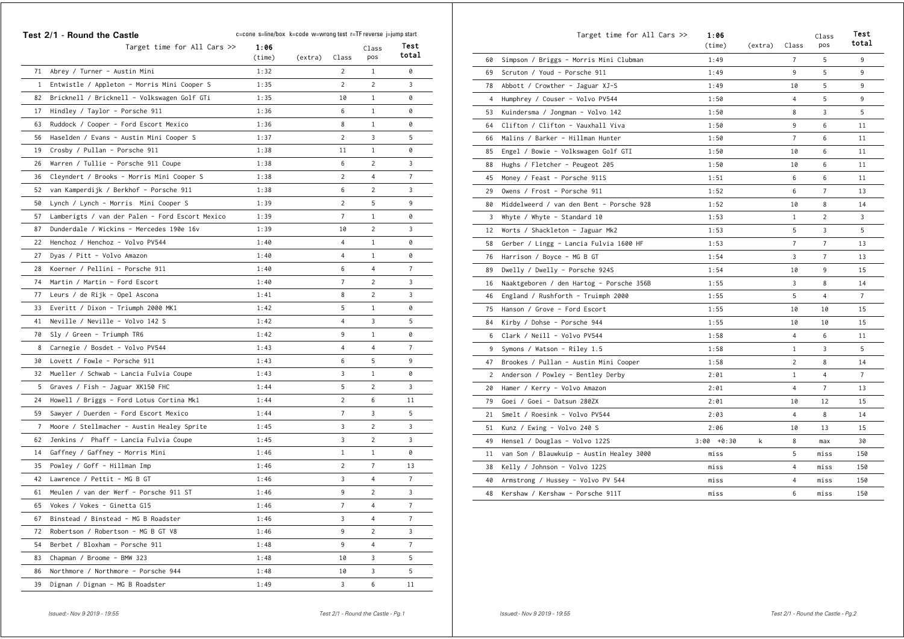|                | Test 2/1 - Round the Castle                     | c=cone s=line/box k=code w=wrong test r=TF reverse j=jump start |         |                |                |                |  |
|----------------|-------------------------------------------------|-----------------------------------------------------------------|---------|----------------|----------------|----------------|--|
|                | Target time for All Cars $\gg$                  | 1:06<br>(time)                                                  | (extra) | Class          | Class<br>pos   | Test<br>total  |  |
| 71             | Abrey / Turner - Austin Mini                    | 1:32                                                            |         | $\overline{c}$ | $\mathbf{1}$   | 0              |  |
| $\mathbf{1}$   | Entwistle / Appleton - Morris Mini Cooper S     | 1:35                                                            |         | 2              | $\overline{c}$ | 3              |  |
| 82             | Bricknell / Bricknell - Volkswagen Golf GTi     | 1:35                                                            |         | 10             | 1              | 0              |  |
| 17             | Hindley / Taylor - Porsche 911                  | 1:36                                                            |         | 6              | $\mathbf{1}$   | 0              |  |
| 63             | Ruddock / Cooper - Ford Escort Mexico           | 1:36                                                            |         | 8              | $\mathbf{1}$   | 0              |  |
| 56             | Haselden / Evans - Austin Mini Cooper S         | 1:37                                                            |         | 2              | 3              | 5              |  |
| 19             | Crosby / Pullan - Porsche 911                   | 1:38                                                            |         | 11             | $\mathbf{1}$   | 0              |  |
| 26             | Warren / Tullie - Porsche 911 Coupe             | 1:38                                                            |         | 6              | $\overline{2}$ | 3              |  |
| 36             | Cleyndert / Brooks - Morris Mini Cooper S       | 1:38                                                            |         | $\overline{c}$ | 4              | 7              |  |
| 52             | van Kamperdijk / Berkhof - Porsche 911          | 1:38                                                            |         | 6              | $\overline{c}$ | 3              |  |
| 50             | Lynch / Lynch - Morris Mini Cooper S            | 1:39                                                            |         | 2              | 5              | 9              |  |
| 57             | Lamberigts / van der Palen - Ford Escort Mexico | 1:39                                                            |         | $\overline{7}$ | $\mathbf{1}$   | 0              |  |
| 87             | Dunderdale / Wickins - Mercedes 190e 16v        | 1:39                                                            |         | 10             | $\overline{c}$ | 3              |  |
| 22             | Henchoz / Henchoz - Volvo PV544                 | 1:40                                                            |         | $\overline{4}$ | $\mathbf{1}$   | 0              |  |
| 27             | Dyas / Pitt - Volvo Amazon                      | 1:40                                                            |         | $\overline{4}$ | $\mathbf{1}$   | 0              |  |
| 28             | Koerner / Pellini - Porsche 911                 | 1:40                                                            |         | 6              | $\overline{4}$ | 7              |  |
| 74             | Martin / Martin - Ford Escort                   | 1:40                                                            |         | $\overline{7}$ | $\overline{c}$ | 3              |  |
| 77             | Leurs / de Rijk - Opel Ascona                   | 1:41                                                            |         | 8              | $\overline{c}$ | 3              |  |
| 33             | Everitt / Dixon - Triumph 2000 MK1              | 1:42                                                            |         | 5              | $\mathbf{1}$   | 0              |  |
| 41             | Neville / Neville - Volvo 142 S                 | 1:42                                                            |         | $\overline{4}$ | 3              | 5              |  |
| 70             | Sly / Green - Triumph TR6                       | 1:42                                                            |         | 9              | $\mathbf{1}$   | 0              |  |
| 8              | Carnegie / Bosdet - Volvo PV544                 | 1:43                                                            |         | $\overline{4}$ | $\overline{4}$ | $\overline{7}$ |  |
| 30             | Lovett / Fowle - Porsche 911                    | 1:43                                                            |         | 6              | 5              | 9              |  |
| 32             | Mueller / Schwab - Lancia Fulvia Coupe          | 1:43                                                            |         | 3              | $\mathbf{1}$   | 0              |  |
| 5              | Graves / Fish - Jaguar XK150 FHC                | 1:44                                                            |         | 5              | $\overline{2}$ | 3              |  |
| 24             | Howell / Briggs - Ford Lotus Cortina Mk1        | 1:44                                                            |         | $\overline{2}$ | 6              | 11             |  |
| 59             | Sawyer / Duerden - Ford Escort Mexico           | 1:44                                                            |         | $\overline{7}$ | 3              | 5              |  |
| $\overline{7}$ | Moore / Stellmacher - Austin Healey Sprite      | 1:45                                                            |         | 3              | $\overline{c}$ | 3              |  |
| 62             | Jenkins / Phaff - Lancia Fulvia Coupe           | 1:45                                                            |         | 3              | $\overline{c}$ | 3              |  |
| 14             | Gaffney / Gaffney - Morris Mini                 | 1:46                                                            |         | $\mathbf{1}$   | $\mathbf{1}$   | 0              |  |
| 35             | Powley / Goff - Hillman Imp                     | 1:46                                                            |         | $\overline{2}$ | $\overline{7}$ | 13             |  |
| 42             | Lawrence / Pettit - MG B GT                     | 1:46                                                            |         | 3              | $\overline{4}$ | 7              |  |
| 61             | Meulen / van der Werf - Porsche 911 ST          | 1:46                                                            |         | 9              | $\overline{2}$ | 3              |  |
| 65             | Vokes / Vokes - Ginetta G15                     | 1:46                                                            |         | $\overline{7}$ | $\overline{4}$ | $\overline{7}$ |  |
| 67             | Binstead / Binstead - MG B Roadster             | 1:46                                                            |         | 3              | $\overline{4}$ | $\overline{7}$ |  |
| 72             | Robertson / Robertson - MG B GT V8              | 1:46                                                            |         | 9              | $\overline{c}$ | 3              |  |
| 54             | Berbet / Bloxham - Porsche 911                  | 1:48                                                            |         | 9              | $\overline{4}$ | $\overline{7}$ |  |
| 83             | Chapman / Broome - BMW 323                      | 1:48                                                            |         | 10             | 3              | 5              |  |
| 86             | Northmore / Northmore - Porsche 944             | 1:48                                                            |         | 10             | 3              | 5              |  |
| 39             | Dignan / Dignan - MG B Roadster                 | 1:49                                                            |         | 3              | 6              | 11             |  |

|    | Target time for All Cars >>              | 1:06<br>(time) | (extra) | Class          | Class<br>pos   | Test<br>total  |
|----|------------------------------------------|----------------|---------|----------------|----------------|----------------|
| 60 | Simpson / Briggs - Morris Mini Clubman   | 1:49           |         | $\overline{7}$ | 5              | 9              |
| 69 | Scruton / Youd - Porsche 911             | 1:49           |         | 9              | 5              | 9              |
| 78 | Abbott / Crowther - Jaguar XJ-S          | 1:49           |         | 10             | 5              | 9              |
| 4  | Humphrey / Couser - Volvo PV544          | 1:50           |         | 4              | 5              | 9              |
| 53 | Kuindersma / Jongman - Volvo 142         | 1:50           |         | 8              | 3              | 5              |
| 64 | Clifton / Clifton - Vauxhall Viva        | 1:50           |         | 9              | 6              | 11             |
| 66 | Malins / Barker - Hillman Hunter         | 1:50           |         | $\overline{7}$ | 6              | 11             |
| 85 | Engel / Bowie - Volkswagen Golf GTI      | 1:50           |         | 10             | 6              | 11             |
| 88 | Hughs / Fletcher - Peugeot 205           | 1:50           |         | 10             | 6              | 11             |
| 45 | Money / Feast - Porsche 911S             | 1:51           |         | 6              | 6              | 11             |
| 29 | Owens / Frost - Porsche 911              | 1:52           |         | 6              | $\overline{7}$ | 13             |
| 80 | Middelweerd / van den Bent - Porsche 928 | 1:52           |         | 10             | 8              | 14             |
| 3  | Whyte / Whyte - Standard 10              | 1:53           |         | $\mathbf{1}$   | $\overline{c}$ | 3              |
| 12 | Worts / Shackleton - Jaguar Mk2          | 1:53           |         | 5              | 3              | 5              |
| 58 | Gerber / Lingg - Lancia Fulvia 1600 HF   | 1:53           |         | $\overline{7}$ | $\overline{7}$ | 13             |
| 76 | Harrison / Boyce - MG B GT               | 1:54           |         | 3              | $\overline{7}$ | 13             |
| 89 | Dwelly / Dwelly - Porsche 924S           | 1:54           |         | 10             | 9              | 15             |
| 16 | Naaktgeboren / den Hartog - Porsche 356B | 1:55           |         | 3              | 8              | 14             |
| 46 | England / Rushforth - Truimph 2000       | 1:55           |         | 5              | 4              | $\overline{7}$ |
| 75 | Hanson / Grove - Ford Escort             | 1:55           |         | 10             | 10             | 15             |
| 84 | Kirby / Dohse - Porsche 944              | 1:55           |         | 10             | 10             | 15             |
| 6  | Clark / Neill - Volvo PV544              | 1:58           |         | 4              | 6              | 11             |
| 9  | Symons / Watson - Riley 1.5              | 1:58           |         | $\mathbf{1}$   | 3              | 5              |
| 47 | Brookes / Pullan - Austin Mini Cooper    | 1:58           |         | 2              | 8              | 14             |
| 2  | Anderson / Powley - Bentley Derby        | 2:01           |         | $\mathbf{1}$   | $\overline{4}$ | $\overline{7}$ |
| 20 | Hamer / Kerry - Volvo Amazon             | 2:01           |         | 4              | $\overline{7}$ | 13             |
| 79 | Goei / Goei - Datsun 280ZX               | 2:01           |         | 10             | 12             | 15             |
| 21 | Smelt / Roesink - Volvo PV544            | 2:03           |         | 4              | 8              | 14             |
| 51 | Kunz / Ewing - Volvo 240 S               | 2:06           |         | 10             | 13             | 15             |
| 49 | Hensel / Douglas - Volvo 122S            | $3:00 + 0:30$  | k       | 8              | max            | 30             |
| 11 | van Son / Blauwkuip - Austin Healey 3000 | miss           |         | 5              | miss           | 150            |
| 38 | Kelly / Johnson - Volvo 122S             | miss           |         | 4              | miss           | 150            |
| 40 | Armstrong / Hussey - Volvo PV 544        | miss           |         | 4              | miss           | 150            |
| 48 | Kershaw / Kershaw - Porsche 911T         | miss           |         | 6              | miss           | 150            |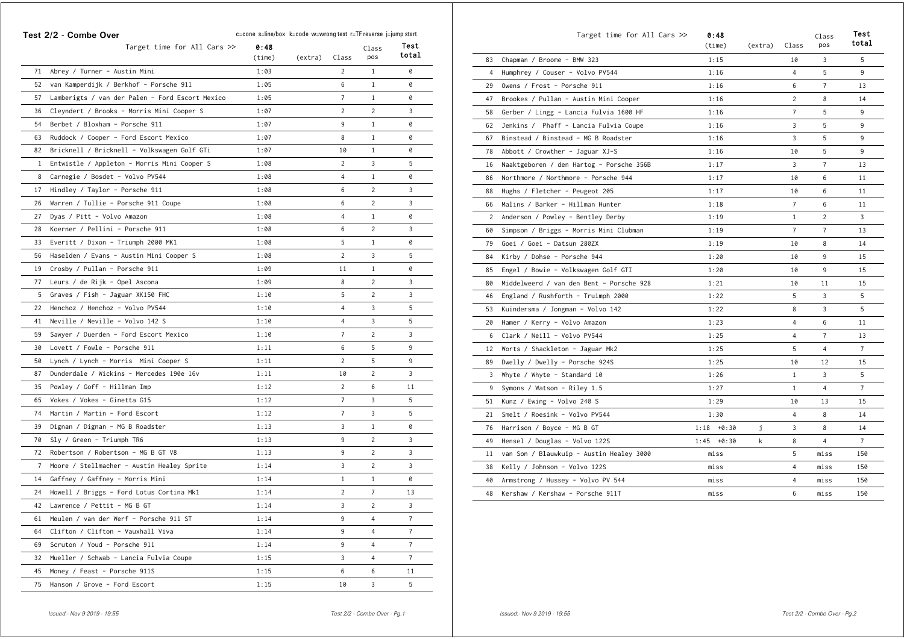|              | Test 2/2 - Combe Over                           | c=cone s=line/box k=code w=wrong test r=TF reverse j=jump start |         |                |                | Test           |
|--------------|-------------------------------------------------|-----------------------------------------------------------------|---------|----------------|----------------|----------------|
|              | Target time for All Cars >>                     | 0:48<br>$(\text{time})$                                         | (extra) | Class          | Class<br>pos   | total          |
| 71           | Abrey / Turner - Austin Mini                    | 1:03                                                            |         | $\overline{c}$ | $\mathbf{1}$   | 0              |
| 52           | van Kamperdijk / Berkhof - Porsche 911          | 1:05                                                            |         | 6              | $\mathbf{1}$   | Ø              |
| 57           | Lamberigts / van der Palen - Ford Escort Mexico | 1:05                                                            |         | $\overline{7}$ | $\mathbf{1}$   | 0              |
| 36           | Cleyndert / Brooks - Morris Mini Cooper S       | 1:07                                                            |         | $\overline{2}$ | $\overline{2}$ | 3              |
| 54           | Berbet / Bloxham - Porsche 911                  | 1:07                                                            |         | 9              | $\mathbf{1}$   | 0              |
| 63           | Ruddock / Cooper - Ford Escort Mexico           | 1:07                                                            |         | 8              | $\mathbf{1}$   | 0              |
| 82           | Bricknell / Bricknell - Volkswagen Golf GTi     | 1:07                                                            |         | 10             | $\mathbf{1}$   | 0              |
| $\mathbf{1}$ | Entwistle / Appleton - Morris Mini Cooper S     | 1:08                                                            |         | 2              | 3              | 5              |
| 8            | Carnegie / Bosdet - Volvo PV544                 | 1:08                                                            |         | $\overline{4}$ | $\mathbf{1}$   | 0              |
| 17           | Hindley / Taylor - Porsche 911                  | 1:08                                                            |         | 6              | $\overline{c}$ | 3              |
| 26           | Warren / Tullie - Porsche 911 Coupe             | 1:08                                                            |         | 6              | $\overline{2}$ | 3              |
| 27           | Dyas / Pitt - Volvo Amazon                      | 1:08                                                            |         | $\overline{4}$ | $\mathbf{1}$   | 0              |
| 28           | Koerner / Pellini - Porsche 911                 | 1:08                                                            |         | 6              | $\overline{c}$ | 3              |
| 33           | Everitt / Dixon - Triumph 2000 MK1              | 1:08                                                            |         | 5              | $\mathbf{1}$   | 0              |
| 56           | Haselden / Evans - Austin Mini Cooper S         | 1:08                                                            |         | $\overline{2}$ | 3              | 5              |
| 19           | Crosby / Pullan - Porsche 911                   | 1:09                                                            |         | 11             | $\mathbf{1}$   | 0              |
| 77           | Leurs / de Rijk - Opel Ascona                   | 1:09                                                            |         | 8              | $\overline{2}$ | 3              |
| 5            | Graves / Fish - Jaguar XK150 FHC                | 1:10                                                            |         | 5              | $\overline{2}$ | 3              |
| 22           | Henchoz / Henchoz - Volvo PV544                 | 1:10                                                            |         | $\overline{4}$ | 3              | 5              |
| 41           | Neville / Neville - Volvo 142 S                 | 1:10                                                            |         | 4              | 3              | 5              |
| 59           | Sawyer / Duerden - Ford Escort Mexico           | 1:10                                                            |         | $\overline{7}$ | $\overline{2}$ | 3              |
| 30           | Lovett / Fowle - Porsche 911                    | 1:11                                                            |         | 6              | 5              | 9              |
| 50           | Lynch / Lynch - Morris Mini Cooper S            | 1:11                                                            |         | $\overline{2}$ | 5              | 9              |
| 87           | Dunderdale / Wickins - Mercedes 190e 16v        | 1:11                                                            |         | 10             | $\overline{c}$ | 3              |
| 35           | Powley / Goff - Hillman Imp                     | 1:12                                                            |         | $\overline{2}$ | 6              | 11             |
| 65           | Vokes / Vokes - Ginetta G15                     | 1:12                                                            |         | $\overline{7}$ | 3              | 5              |
| 74           | Martin / Martin - Ford Escort                   | 1:12                                                            |         | $\overline{7}$ | 3              | 5              |
| 39           | Dignan / Dignan - MG B Roadster                 | 1:13                                                            |         | 3              | $\mathbf{1}$   | 0              |
| 70           | Sly / Green - Triumph TR6                       | 1:13                                                            |         | 9              | $\overline{c}$ | 3              |
| 72           | Robertson / Robertson - MG B GT V8              | 1:13                                                            |         | 9              | $\overline{c}$ | 3              |
| 7            | Moore / Stellmacher - Austin Healey Sprite      | 1:14                                                            |         | 3              | $\overline{c}$ | 3              |
| 14           | Gaffney / Gaffney - Morris Mini                 | 1:14                                                            |         | $\mathbf{1}$   | $1\,$          | 0              |
| 24           | Howell / Briggs - Ford Lotus Cortina Mk1        | 1:14                                                            |         | $\overline{2}$ | $\overline{7}$ | 13             |
| 42           | Lawrence / Pettit - MG B GT                     | 1:14                                                            |         | 3              | $\overline{c}$ | 3              |
| 61           | Meulen / van der Werf - Porsche 911 ST          | 1:14                                                            |         | 9              | 4              | $\overline{7}$ |
| 64           | Clifton / Clifton - Vauxhall Viva               | 1:14                                                            |         | 9              | $\overline{4}$ | 7              |
| 69           | Scruton / Youd - Porsche 911                    | 1:14                                                            |         | 9              | 4              | $\overline{7}$ |
| 32           | Mueller / Schwab - Lancia Fulvia Coupe          | 1:15                                                            |         | 3              | $\overline{4}$ | $\overline{7}$ |
| 45           | Money / Feast - Porsche 911S                    | 1:15                                                            |         | 6              | 6              | 11             |
| 75           | Hanson / Grove - Ford Escort                    | 1:15                                                            |         | 10             | 3              | 5              |

|                | Target time for All Cars >>              | 0:48<br>(time) | (extra) | Class          | Class<br>pos   | Test<br>total  |
|----------------|------------------------------------------|----------------|---------|----------------|----------------|----------------|
| 83             | Chapman / Broome - BMW 323               | 1:15           |         | 10             | 3              | 5              |
| $\overline{4}$ | Humphrey / Couser - Volvo PV544          | 1:16           |         | $\overline{4}$ | 5              | 9              |
| 29             | Owens / Frost - Porsche 911              | 1:16           |         | 6              | $\overline{7}$ | 13             |
| 47             | Brookes / Pullan - Austin Mini Cooper    | 1:16           |         | 2              | 8              | 14             |
| 58             | Gerber / Lingg - Lancia Fulvia 1600 HF   | 1:16           |         | $\overline{7}$ | 5              | 9              |
| 62             | Jenkins / Phaff - Lancia Fulvia Coupe    | 1:16           |         | 3              | 5              | 9              |
| 67             | Binstead / Binstead - MG B Roadster      | 1:16           |         | 3              | 5              | 9              |
| 78             | Abbott / Crowther - Jaguar XJ-S          | 1:16           |         | 10             | 5              | 9              |
| 16             | Naaktgeboren / den Hartog - Porsche 356B | 1:17           |         | 3              | 7              | 13             |
| 86             | Northmore / Northmore - Porsche 944      | 1:17           |         | 10             | 6              | 11             |
| 88             | Hughs / Fletcher - Peugeot 205           | 1:17           |         | 10             | 6              | 11             |
| 66             | Malins / Barker - Hillman Hunter         | 1:18           |         | $\overline{7}$ | 6              | 11             |
| 2              | Anderson / Powley - Bentley Derby        | 1:19           |         | $\mathbf{1}$   | $\overline{2}$ | 3              |
| 60             | Simpson / Briggs - Morris Mini Clubman   | 1:19           |         | $\overline{7}$ | $\overline{7}$ | 13             |
| 79             | Goei / Goei - Datsun 280ZX               | 1:19           |         | 10             | 8              | 14             |
| 84             | Kirby / Dohse - Porsche 944              | 1:20           |         | 10             | 9              | 15             |
| 85             | Engel / Bowie - Volkswagen Golf GTI      | 1:20           |         | 10             | 9              | 15             |
| 80             | Middelweerd / van den Bent - Porsche 928 | 1:21           |         | 10             | 11             | 15             |
| 46             | England / Rushforth - Truimph 2000       | 1:22           |         | 5              | 3              | 5              |
| 53             | Kuindersma / Jongman - Volvo 142         | 1:22           |         | 8              | 3              | 5              |
| 20             | Hamer / Kerry - Volvo Amazon             | 1:23           |         | $\overline{4}$ | 6              | 11             |
| 6              | Clark / Neill - Volvo PV544              | 1:25           |         | $\overline{4}$ | $\overline{7}$ | 13             |
| 12             | Worts / Shackleton - Jaguar Mk2          | 1:25           |         | 5              | 4              | $\overline{7}$ |
| 89             | Dwelly / Dwelly - Porsche 924S           | 1:25           |         | 10             | 12             | 15             |
| 3              | Whyte / Whyte - Standard 10              | 1:26           |         | $\mathbf{1}$   | 3              | 5              |
| 9              | Symons / Watson - Riley 1.5              | 1:27           |         | $\mathbf{1}$   | $\overline{4}$ | $\overline{7}$ |
| 51             | Kunz / Ewing - Volvo 240 S               | 1:29           |         | 10             | 13             | 15             |
| 21             | Smelt / Roesink - Volvo PV544            | 1:30           |         | 4              | 8              | 14             |
| 76             | Harrison / Boyce - MG B GT               | $1:18 + 0:30$  | Ĵ       | 3              | 8              | 14             |
| 49             | Hensel / Douglas - Volvo 122S            | $1:45 + 0:30$  | k       | 8              | $\overline{4}$ | $\overline{7}$ |
| 11             | van Son / Blauwkuip - Austin Healey 3000 | miss           |         | 5              | miss           | 150            |
| 38             | Kelly / Johnson - Volvo 122S             | miss           |         | 4              | miss           | 150            |
| 40             | Armstrong / Hussey - Volvo PV 544        | miss           |         | 4              | miss           | 150            |
| 48             | Kershaw / Kershaw - Porsche 911T         | miss           |         | 6              | miss           | 150            |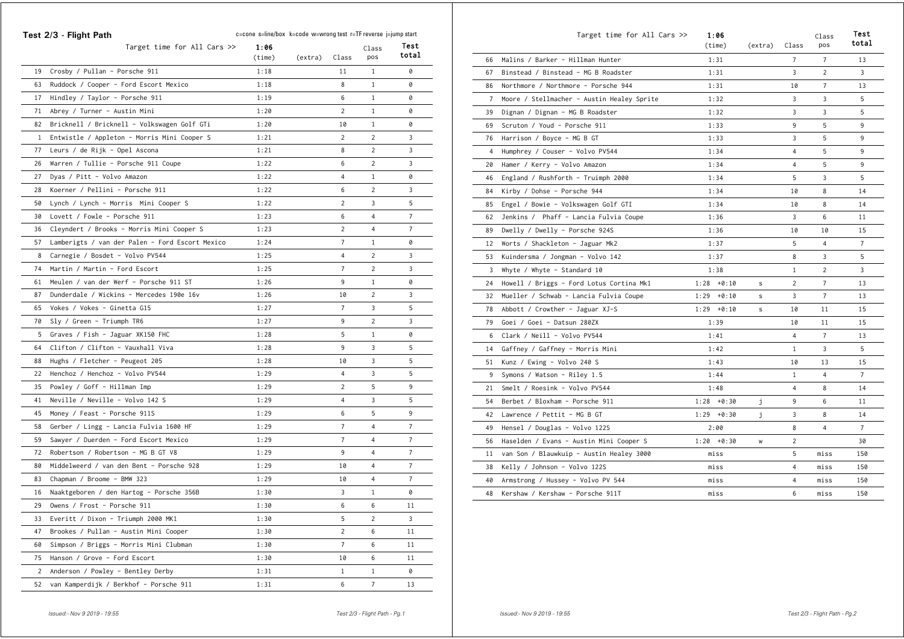|              | Test 2/3 - Flight Path                          | c=cone s=line/box k=code w=wrong test r=TF reverse j=jump start |         |                |                |                |
|--------------|-------------------------------------------------|-----------------------------------------------------------------|---------|----------------|----------------|----------------|
|              | Target time for All Cars $\gg$                  | 1:06<br>$(\text{time})$                                         | (extra) | Class          | Class<br>pos   | Test<br>total  |
| 19           | Crosby / Pullan - Porsche 911                   | 1:18                                                            |         | 11             | $\mathbf{1}$   | 0              |
| 63           | Ruddock / Cooper - Ford Escort Mexico           | 1:18                                                            |         | 8              | $\mathbf{1}$   | 0              |
| 17           | Hindley / Taylor - Porsche 911                  | 1:19                                                            |         | 6              | $\mathbf{1}$   | 0              |
| 71           | Abrey / Turner - Austin Mini                    | 1:20                                                            |         | $\overline{c}$ | $\mathbf{1}$   | 0              |
| 82           | Bricknell / Bricknell - Volkswagen Golf GTi     | 1:20                                                            |         | 10             | $\mathbf{1}$   | 0              |
| $\mathbf{1}$ | Entwistle / Appleton - Morris Mini Cooper S     | 1:21                                                            |         | $\overline{c}$ | $\overline{2}$ | 3              |
| 77           | Leurs / de Rijk - Opel Ascona                   | 1:21                                                            |         | 8              | $\overline{2}$ | 3              |
| 26           | Warren / Tullie - Porsche 911 Coupe             | 1:22                                                            |         | 6              | $\overline{2}$ | 3              |
| 27           | Dyas / Pitt - Volvo Amazon                      | 1:22                                                            |         | $\overline{4}$ | $\mathbf{1}$   | 0              |
| 28           | Koerner / Pellini - Porsche 911                 | 1:22                                                            |         | 6              | $\overline{2}$ | 3              |
| 50           | Lynch / Lynch - Morris Mini Cooper S            | 1:22                                                            |         | $\overline{2}$ | 3              | 5              |
| 30           | Lovett / Fowle - Porsche 911                    | 1:23                                                            |         | 6              | $\overline{4}$ | $\overline{7}$ |
| 36           | Cleyndert / Brooks - Morris Mini Cooper S       | 1:23                                                            |         | $\overline{2}$ | 4              | $\overline{7}$ |
| 57           | Lamberigts / van der Palen - Ford Escort Mexico | 1:24                                                            |         | $\overline{7}$ | $\mathbf{1}$   | 0              |
| 8            | Carnegie / Bosdet - Volvo PV544                 | 1:25                                                            |         | $\overline{4}$ | $\overline{2}$ | 3              |
| 74           | Martin / Martin - Ford Escort                   | 1:25                                                            |         | 7              | $\overline{2}$ | 3              |
| 61           | Meulen / van der Werf - Porsche 911 ST          | 1:26                                                            |         | 9              | $\mathbf{1}$   | 0              |
| 87           | Dunderdale / Wickins - Mercedes 190e 16v        | 1:26                                                            |         | 10             | $\overline{2}$ | 3              |
| 65           | Vokes / Vokes - Ginetta G15                     | 1:27                                                            |         | $\overline{7}$ | 3              | 5              |
| 70           | Sly / Green - Triumph TR6                       | 1:27                                                            |         | 9              | $\overline{2}$ | 3              |
| 5            | Graves / Fish - Jaguar XK150 FHC                | 1:28                                                            |         | 5              | $\mathbf{1}$   | 0              |
| 64           | Clifton / Clifton - Vauxhall Viva               | 1:28                                                            |         | 9              | 3              | 5              |
| 88           | Hughs / Fletcher - Peugeot 205                  | 1:28                                                            |         | 10             | 3              | 5              |
| 22           | Henchoz / Henchoz - Volvo PV544                 | 1:29                                                            |         | $\overline{4}$ | 3              | 5              |
| 35           | Powley / Goff - Hillman Imp                     | 1:29                                                            |         | 2              | 5              | 9              |
| 41           | Neville / Neville - Volvo 142 S                 | 1:29                                                            |         | 4              | 3              | 5              |
| 45           | Money / Feast - Porsche 911S                    | 1:29                                                            |         | 6              | 5              | 9              |
| 58           | Gerber / Lingg - Lancia Fulvia 1600 HF          | 1:29                                                            |         | 7              | $\overline{4}$ | 7              |
| 59           | Sawyer / Duerden - Ford Escort Mexico           | 1:29                                                            |         | $\overline{7}$ | $\overline{4}$ | 7              |
| 72           | Robertson / Robertson - MG B GT V8              | 1:29                                                            |         | 9              | $\overline{4}$ | $\overline{7}$ |
| 80           | Middelweerd / van den Bent - Porsche 928        | 1:29                                                            |         | 10             | $\overline{4}$ | $\overline{7}$ |
| 83           | Chapman / Broome - BMW 323                      | 1:29                                                            |         | 10             | $\overline{4}$ | 7              |
| 16           | Naaktgeboren / den Hartog - Porsche 356B        | 1:30                                                            |         | 3              | $\mathbf{1}$   | 0              |
| 29           | Owens / Frost - Porsche 911                     | 1:30                                                            |         | 6              | 6              | 11             |
| 33           | Everitt / Dixon - Triumph 2000 MK1              | 1:30                                                            |         | 5              | $\overline{2}$ | 3              |
| 47           | Brookes / Pullan - Austin Mini Cooper           | 1:30                                                            |         | $\overline{c}$ | 6              | 11             |
| 60           | Simpson / Briggs - Morris Mini Clubman          | 1:30                                                            |         | $\overline{7}$ | 6              | 11             |
| 75           | Hanson / Grove - Ford Escort                    | 1:30                                                            |         | 10             | 6              | 11             |
| 2            | Anderson / Powley - Bentley Derby               | 1:31                                                            |         | $\mathbf{1}$   | $\mathbf{1}$   | 0              |
| 52           | van Kamperdijk / Berkhof - Porsche 911          | 1:31                                                            |         | 6              | $\overline{7}$ | 13             |

|                | Target time for All Cars >>                | 1:06<br>(time) | (extra) | Class          | Class<br>pos   | Test<br>total  |
|----------------|--------------------------------------------|----------------|---------|----------------|----------------|----------------|
| 66             | Malins / Barker - Hillman Hunter           | 1:31           |         | $\overline{7}$ | 7              | 13             |
| 67             | Binstead / Binstead - MG B Roadster        | 1:31           |         | 3              | $\overline{2}$ | 3              |
| 86             | Northmore / Northmore - Porsche 944        | 1:31           |         | 10             | 7              | 13             |
| $\overline{7}$ | Moore / Stellmacher - Austin Healey Sprite | 1:32           |         | 3              | 3              | 5              |
| 39             | Dignan / Dignan - MG B Roadster            | 1:32           |         | 3              | 3              | 5              |
| 69             | Scruton / Youd - Porsche 911               | 1:33           |         | 9              | 5              | 9              |
| 76             | Harrison / Boyce - MG B GT                 | 1:33           |         | 3              | 5              | 9              |
| 4              | Humphrey / Couser - Volvo PV544            | 1:34           |         | 4              | 5              | 9              |
| 20             | Hamer / Kerry - Volvo Amazon               | 1:34           |         | 4              | 5              | 9              |
| 46             | England / Rushforth - Truimph 2000         | 1:34           |         | 5              | 3              | 5              |
| 84             | Kirby / Dohse - Porsche 944                | 1:34           |         | 10             | 8              | 14             |
| 85             | Engel / Bowie - Volkswagen Golf GTI        | 1:34           |         | 10             | 8              | 14             |
| 62             | Jenkins / Phaff - Lancia Fulvia Coupe      | 1:36           |         | 3              | 6              | 11             |
| 89             | Dwelly / Dwelly - Porsche 924S             | 1:36           |         | 10             | 10             | 15             |
| 12             | Worts / Shackleton - Jaguar Mk2            | 1:37           |         | 5              | $\overline{4}$ | $\overline{7}$ |
| 53             | Kuindersma / Jongman - Volvo 142           | 1:37           |         | 8              | 3              | 5              |
| 3              | Whyte / Whyte - Standard 10                | 1:38           |         | 1              | $\overline{c}$ | 3              |
| 24             | Howell / Briggs - Ford Lotus Cortina Mk1   | $1:28 + 0:10$  | s       | 2              | $\overline{7}$ | 13             |
| 32             | Mueller / Schwab - Lancia Fulvia Coupe     | $1:29 + 0:10$  | s       | 3              | $\overline{7}$ | 13             |
| 78             | Abbott / Crowther - Jaguar XJ-S            | $1:29 + 0:10$  | s       | 10             | 11             | 15             |
| 79             | Goei / Goei - Datsun 280ZX                 | 1:39           |         | 10             | 11             | 15             |
| 6              | Clark / Neill - Volvo PV544                | 1:41           |         | 4              | $\overline{7}$ | 13             |
| 14             | Gaffney / Gaffney - Morris Mini            | 1:42           |         | 1              | 3              | 5              |
| 51             | Kunz / Ewing - Volvo 240 S                 | 1:43           |         | 10             | 13             | 15             |
| 9              | Symons / Watson - Riley 1.5                | 1:44           |         | $\mathbf{1}$   | 4              | $\overline{7}$ |
| 21             | Smelt / Roesink - Volvo PV544              | 1:48           |         | 4              | 8              | 14             |
| 54             | Berbet / Bloxham - Porsche 911             | $1:28 + 0:30$  | j       | 9              | 6              | 11             |
| 42             | Lawrence / Pettit - MG B GT                | $1:29 + 0:30$  | j       | 3              | 8              | 14             |
| 49             | Hensel / Douglas - Volvo 122S              | 2:00           |         | 8              | 4              | $\overline{7}$ |
| 56             | Haselden / Evans - Austin Mini Cooper S    | $1:20 + 0:30$  | W       | $\overline{2}$ |                | 30             |
| 11             | van Son / Blauwkuip - Austin Healey 3000   | miss           |         | 5              | miss           | 150            |
| 38             | Kelly / Johnson - Volvo 122S               | miss           |         | 4              | miss           | 150            |
| 40             | Armstrong / Hussey - Volvo PV 544          | miss           |         | 4              | miss           | 150            |
| 48             | Kershaw / Kershaw - Porsche 911T           | miss           |         | 6              | miss           | 150            |
|                |                                            |                |         |                |                |                |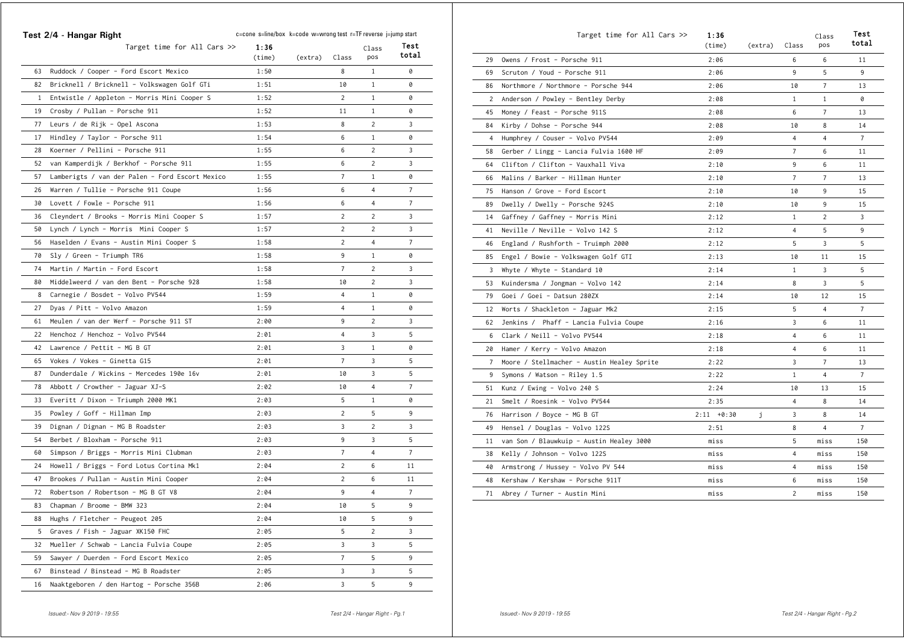|                | Test 2/4 - Hangar Right                         | c=cone s=line/box k=code w=wrong test r=TF reverse j=jump start |         |                |                | Test           |
|----------------|-------------------------------------------------|-----------------------------------------------------------------|---------|----------------|----------------|----------------|
|                | Target time for All Cars $\gg$                  | 1:36<br>(time)                                                  | (extra) | Class          | Class<br>pos   | total          |
| 63             | Ruddock / Cooper - Ford Escort Mexico           | 1:50                                                            |         | 8              | 1              | 0              |
| 82             | Bricknell / Bricknell - Volkswagen Golf GTi     | 1:51                                                            |         | 10             | 1              | 0              |
| $\mathbf{1}$   | Entwistle / Appleton - Morris Mini Cooper S     | 1:52                                                            |         | 2              | 1              | 0              |
| 19             | Crosby / Pullan - Porsche 911                   | 1:52                                                            |         | 11             | $\mathbf{1}$   | 0              |
| 77             | Leurs / de Rijk - Opel Ascona                   | 1:53                                                            |         | 8              | 2              | 3              |
| 17             | Hindley / Taylor - Porsche 911                  | 1:54                                                            |         | 6              | $\mathbf{1}$   | 0              |
| 28             | Koerner / Pellini - Porsche 911                 | 1:55                                                            |         | 6              | $\overline{2}$ | 3              |
| 52             | van Kamperdijk / Berkhof - Porsche 911          | 1:55                                                            |         | 6              | 2              | 3              |
| 57             | Lamberigts / van der Palen - Ford Escort Mexico | 1:55                                                            |         | 7              | $\mathbf{1}$   | 0              |
| 26             | Warren / Tullie - Porsche 911 Coupe             | 1:56                                                            |         | 6              | 4              | 7              |
| 30             | Lovett / Fowle - Porsche 911                    | 1:56                                                            |         | 6              | 4              | 7              |
| 36             | Cleyndert / Brooks - Morris Mini Cooper S       | 1:57                                                            |         | 2              | 2              | 3              |
| 50             | Lynch / Lynch - Morris Mini Cooper S            | 1:57                                                            |         | $\overline{c}$ | $\overline{c}$ | 3              |
| 56             | Haselden / Evans - Austin Mini Cooper S         | 1:58                                                            |         | $\overline{c}$ | 4              | $\overline{7}$ |
| 70             | Sly / Green - Triumph TR6                       | 1:58                                                            |         | 9              | $\mathbf{1}$   | 0              |
| 74             | Martin / Martin - Ford Escort                   | 1:58                                                            |         | $\overline{7}$ | 2              | 3              |
| 80             | Middelweerd / van den Bent - Porsche 928        | 1:58                                                            |         | 10             | 2              | 3              |
| 8              | Carnegie / Bosdet - Volvo PV544                 | 1:59                                                            |         | 4              | 1              | 0              |
| 27             | Dyas / Pitt - Volvo Amazon                      | 1:59                                                            |         | $\overline{4}$ | $\mathbf{1}$   | 0              |
| 61             | Meulen / van der Werf - Porsche 911 ST          | 2:00                                                            |         | 9              | 2              | 3              |
| 22             | Henchoz / Henchoz - Volvo PV544                 | 2:01                                                            |         | 4              | 3              | 5              |
| 42             | Lawrence / Pettit - MG B GT                     | 2:01                                                            |         | 3              | $\mathbf{1}$   | 0              |
| 65             | Vokes / Vokes - Ginetta G15                     | 2:01                                                            |         | $\overline{7}$ | 3              | 5              |
| 87             | Dunderdale / Wickins - Mercedes 190e 16v        | 2:01                                                            |         | 10             | 3              | 5              |
| 78             | Abbott / Crowther - Jaguar XJ-S                 | 2:02                                                            |         | 10             | 4              | 7              |
| 33             | Everitt / Dixon - Triumph 2000 MK1              | 2:03                                                            |         | 5              | 1              | 0              |
| 35             | Powley / Goff - Hillman Imp                     | 2:03                                                            |         | $\overline{c}$ | 5              | 9              |
| 39             | Dignan / Dignan - MG B Roadster                 | 2:03                                                            |         | 3              | 2              | 3              |
| 54             | Berbet / Bloxham - Porsche 911                  | 2:03                                                            |         | 9              | 3              | 5              |
| 60             | Simpson / Briggs - Morris Mini Clubman          | 2:03                                                            |         | $\overline{7}$ | $\overline{4}$ | 7              |
| 24             | Howell / Briggs - Ford Lotus Cortina Mk1        | 2:04                                                            |         | 2              | 6              | 11             |
| 47             | Brookes / Pullan - Austin Mini Cooper           | 2:04                                                            |         | 2              | 6              | 11             |
| 72             | Robertson / Robertson - MG B GT V8              | 2:04                                                            |         | 9              | 4              | $\overline{7}$ |
|                | 83 Chapman / Broome - BMW 323                   | 2:04                                                            |         | 10             | 5              | 9              |
| 88             | Hughs / Fletcher - Peugeot 205                  | 2:04                                                            |         | 10             | 5              | 9              |
| 5 <sup>5</sup> | Graves / Fish - Jaguar XK150 FHC                | 2:05                                                            |         | 5              | $\overline{2}$ | 3              |
| 32             | Mueller / Schwab - Lancia Fulvia Coupe          | 2:05                                                            |         | 3              | 3              | 5              |
| 59             | Sawyer / Duerden - Ford Escort Mexico           | 2:05                                                            |         | $\overline{7}$ | 5              | 9              |
| 67             | Binstead / Binstead - MG B Roadster             | 2:05                                                            |         | 3              | 3              | 5              |
| 16             | Naaktgeboren / den Hartog - Porsche 356B        | 2:06                                                            |         | 3              | 5              | 9              |

|    | Target time for All Cars >>                | 1:36<br>(time) | (extra) | Class                   | Class<br>pos   | Test<br>total  |
|----|--------------------------------------------|----------------|---------|-------------------------|----------------|----------------|
| 29 | Owens / Frost - Porsche 911                | 2:06           |         | 6                       | 6              | 11             |
| 69 | Scruton / Youd - Porsche 911               | 2:06           |         | 9                       | 5              | 9              |
| 86 | Northmore / Northmore - Porsche 944        | 2:06           |         | 10                      | $\overline{7}$ | 13             |
| 2  | Anderson / Powley - Bentley Derby          | 2:08           |         | $\mathbf{1}$            | $\mathbf{1}$   | 0              |
| 45 | Money / Feast - Porsche 911S               | 2:08           |         | 6                       | $\overline{7}$ | 13             |
| 84 | Kirby / Dohse - Porsche 944                | 2:08           |         | 10                      | 8              | 14             |
| 4  | Humphrey / Couser - Volvo PV544            | 2:09           |         | $\overline{\mathbf{4}}$ | $\overline{4}$ | $\overline{7}$ |
| 58 | Gerber / Lingg - Lancia Fulvia 1600 HF     | 2:09           |         | $\overline{7}$          | 6              | 11             |
| 64 | Clifton / Clifton - Vauxhall Viva          | 2:10           |         | 9                       | 6              | 11             |
| 66 | Malins / Barker – Hillman Hunter           | 2:10           |         | 7                       | 7              | 13             |
| 75 | Hanson / Grove - Ford Escort               | 2:10           |         | 10                      | 9              | 15             |
| 89 | Dwelly / Dwelly - Porsche 924S             | 2:10           |         | 10                      | 9              | 15             |
| 14 | Gaffney / Gaffney - Morris Mini            | 2:12           |         | 1                       | $\overline{c}$ | 3              |
| 41 | Neville / Neville - Volvo 142 S            | 2:12           |         | $\overline{4}$          | 5              | 9              |
| 46 | England / Rushforth - Truimph 2000         | 2:12           |         | 5                       | 3              | 5              |
| 85 | Engel / Bowie - Volkswagen Golf GTI        | 2:13           |         | 10                      | 11             | 15             |
| 3  | Whyte / Whyte - Standard 10                | 2:14           |         | $\mathbf{1}$            | 3              | 5              |
| 53 | Kuindersma / Jongman - Volvo 142           | 2:14           |         | 8                       | 3              | 5              |
| 79 | Goei / Goei - Datsun 280ZX                 | 2:14           |         | 10                      | 12             | 15             |
| 12 | Worts / Shackleton - Jaguar Mk2            | 2:15           |         | 5                       | $\overline{4}$ | $\overline{7}$ |
| 62 | Jenkins / Phaff - Lancia Fulvia Coupe      | 2:16           |         | 3                       | 6              | 11             |
| 6  | Clark / Neill - Volvo PV544                | 2:18           |         | 4                       | 6              | 11             |
| 20 | Hamer / Kerry - Volvo Amazon               | 2:18           |         | $\overline{4}$          | 6              | 11             |
| 7  | Moore / Stellmacher - Austin Healey Sprite | 2:22           |         | 3                       | $\overline{7}$ | 13             |
| 9  | Symons / Watson - Riley 1.5                | 2:22           |         | $\mathbf{1}$            | $\overline{4}$ | $\overline{7}$ |
| 51 | Kunz / Ewing - Volvo 240 S                 | 2:24           |         | 10                      | 13             | 15             |
| 21 | Smelt / Roesink - Volvo PV544              | 2:35           |         | 4                       | 8              | 14             |
| 76 | Harrison / Boyce - MG B GT                 | $2:11 + 0:30$  | j       | 3                       | 8              | 14             |
| 49 | Hensel / Douglas - Volvo 122S              | 2:51           |         | 8                       | $\overline{4}$ | $\overline{7}$ |
| 11 | van Son / Blauwkuip - Austin Healey 3000   | miss           |         | 5                       | miss           | 150            |
| 38 | Kelly / Johnson - Volvo 122S               | miss           |         | 4                       | miss           | 150            |
| 40 | Armstrong / Hussey - Volvo PV 544          | miss           |         | $\overline{4}$          | miss           | 150            |
| 48 | Kershaw / Kershaw - Porsche 911T           | miss           |         | 6                       | miss           | 150            |
| 71 | Abrey / Turner - Austin Mini               | miss           |         | $\overline{2}$          | miss           | 150            |
|    |                                            |                |         |                         |                |                |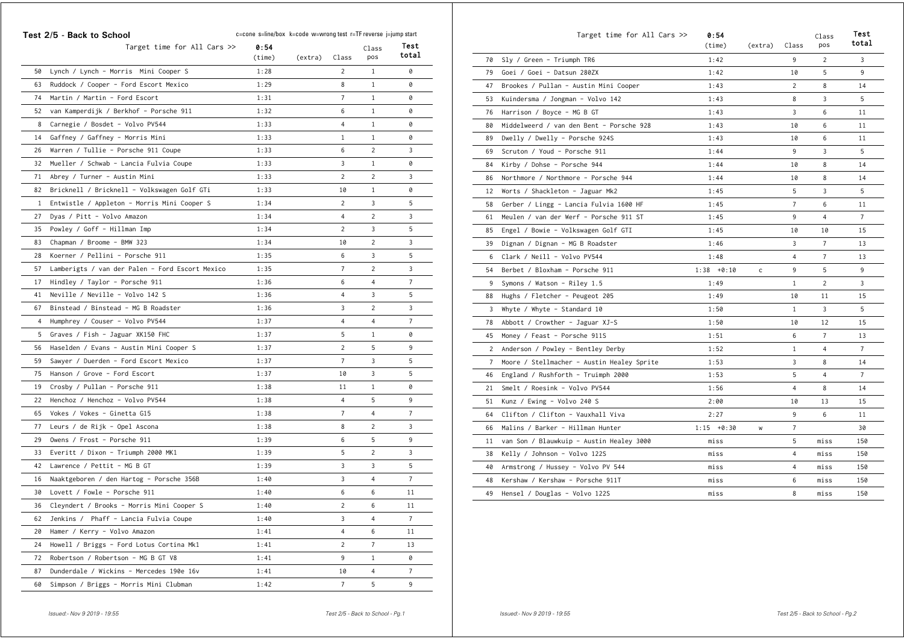|              | Test 2/5 - Back to School                       | c=cone s=line/box k=code w=wrong test r=TF reverse j=jump start |         |                |                |                |
|--------------|-------------------------------------------------|-----------------------------------------------------------------|---------|----------------|----------------|----------------|
|              | Target time for All Cars $\gg$                  | 0:54<br>(time)                                                  | (extra) | Class          | Class<br>pos   | Test<br>total  |
| 50           | Lynch / Lynch - Morris Mini Cooper S            | 1:28                                                            |         | $\overline{2}$ | 1              | 0              |
| 63           | Ruddock / Cooper - Ford Escort Mexico           | 1:29                                                            |         | 8              | 1              | 0              |
| 74           | Martin / Martin - Ford Escort                   | 1:31                                                            |         | 7              | 1              | 0              |
| 52           | van Kamperdijk / Berkhof - Porsche 911          | 1:32                                                            |         | 6              | $\mathbf{1}$   | 0              |
| 8            | Carnegie / Bosdet - Volvo PV544                 | 1:33                                                            |         | 4              | $\mathbf{1}$   | 0              |
| 14           | Gaffney / Gaffney - Morris Mini                 | 1:33                                                            |         | 1              | $\mathbf{1}$   | 0              |
| 26           | Warren / Tullie - Porsche 911 Coupe             | 1:33                                                            |         | 6              | $\overline{2}$ | 3              |
| 32           | Mueller / Schwab - Lancia Fulvia Coupe          | 1:33                                                            |         | 3              | 1              | 0              |
| 71           | Abrey / Turner - Austin Mini                    | 1:33                                                            |         | 2              | 2              | 3              |
| 82           | Bricknell / Bricknell - Volkswagen Golf GTi     | 1:33                                                            |         | 10             | 1              | 0              |
| $\mathbf{1}$ | Entwistle / Appleton - Morris Mini Cooper S     | 1:34                                                            |         | 2              | 3              | 5              |
| 27           | Dyas / Pitt - Volvo Amazon                      | 1:34                                                            |         | 4              | $\overline{c}$ | 3              |
| 35           | Powley / Goff - Hillman Imp                     | 1:34                                                            |         | $\overline{2}$ | 3              | 5              |
| 83           | Chapman / Broome - BMW 323                      | 1:34                                                            |         | 10             | 2              | 3              |
| 28           | Koerner / Pellini - Porsche 911                 | 1:35                                                            |         | 6              | 3              | 5              |
| 57           | Lamberigts / van der Palen - Ford Escort Mexico | 1:35                                                            |         | $\overline{7}$ | 2              | 3              |
| 17           | Hindley / Taylor - Porsche 911                  | 1:36                                                            |         | 6              | 4              | 7              |
| 41           | Neville / Neville - Volvo 142 S                 | 1:36                                                            |         | 4              | 3              | 5              |
| 67           | Binstead / Binstead - MG B Roadster             | 1:36                                                            |         | 3              | 2              | 3              |
| 4            | Humphrey / Couser - Volvo PV544                 | 1:37                                                            |         | $\overline{4}$ | 4              | $\overline{7}$ |
| 5            | Graves / Fish - Jaguar XK150 FHC                | 1:37                                                            |         | 5              | 1              | 0              |
| 56           | Haselden / Evans - Austin Mini Cooper S         | 1:37                                                            |         | 2              | 5              | 9              |
| 59           | Sawyer / Duerden - Ford Escort Mexico           | 1:37                                                            |         | $\overline{7}$ | 3              | 5              |
| 75           | Hanson / Grove - Ford Escort                    | 1:37                                                            |         | 10             | 3              | 5              |
| 19           | Crosby / Pullan - Porsche 911                   | 1:38                                                            |         | 11             | 1              | 0              |
| 22           | Henchoz / Henchoz - Volvo PV544                 | 1:38                                                            |         | 4              | 5              | 9              |
| 65           | Vokes / Vokes - Ginetta G15                     | 1:38                                                            |         | 7              | 4              | 7              |
| 77           | Leurs / de Rijk - Opel Ascona                   | 1:38                                                            |         | 8              | 2              | 3              |
| 29           | Owens / Frost - Porsche 911                     | 1:39                                                            |         | 6              | 5              | 9              |
| 33           | Everitt / Dixon - Triumph 2000 MK1              | 1:39                                                            |         | 5              | $\overline{2}$ | 3              |
| 42           | Lawrence / Pettit - MG B GT                     | 1:39                                                            |         | 3              | 3              | 5              |
| 16           | Naaktgeboren / den Hartog - Porsche 356B        | 1:40                                                            |         | 3              | 4              | 7              |
| 30           | Lovett / Fowle - Porsche 911                    | 1:40                                                            |         | 6              | 6              | 11             |
|              | 36 Cleyndert / Brooks - Morris Mini Cooper S    | 1:40                                                            |         | $\overline{c}$ | 6              | 11             |
| 62           | Jenkins / Phaff - Lancia Fulvia Coupe           | 1:40                                                            |         | 3              | 4              | $\overline{7}$ |
| 20           | Hamer / Kerry - Volvo Amazon                    | 1:41                                                            |         | $\overline{4}$ | 6              | 11             |
| 24           | Howell / Briggs - Ford Lotus Cortina Mk1        | 1:41                                                            |         | $\overline{2}$ | $\overline{7}$ | 13             |
| 72           | Robertson / Robertson - MG B GT V8              | 1:41                                                            |         | 9              | $\mathbf{1}$   | 0              |
| 87           | Dunderdale / Wickins - Mercedes 190e 16v        | 1:41                                                            |         | 10             | 4              | $\overline{7}$ |
| 60           | Simpson / Briggs - Morris Mini Clubman          | 1:42                                                            |         | $\overline{7}$ | 5              | 9              |

|                 | Target time for All Cars >>                | 0:54<br>(time) | (extra)      | Class          | Class<br>pos   | Test<br>total  |
|-----------------|--------------------------------------------|----------------|--------------|----------------|----------------|----------------|
| 70              | Sly / Green - Triumph TR6                  | 1:42           |              | 9              | $\overline{2}$ | 3              |
| 79              | Goei / Goei - Datsun 280ZX                 | 1:42           |              | 10             | 5              | 9              |
| 47              | Brookes / Pullan - Austin Mini Cooper      | 1:43           |              | $\overline{2}$ | 8              | 14             |
| 53              | Kuindersma / Jongman - Volvo 142           | 1:43           |              | 8              | 3              | 5              |
| 76              | Harrison / Boyce - MG B GT                 | 1:43           |              | 3              | 6              | 11             |
| 80              | Middelweerd / van den Bent - Porsche 928   | 1:43           |              | 10             | 6              | 11             |
| 89              | Dwelly / Dwelly - Porsche 924S             | 1:43           |              | 10             | 6              | 11             |
| 69              | Scruton / Youd - Porsche 911               | 1:44           |              | 9              | 3              | 5              |
| 84              | Kirby / Dohse - Porsche 944                | 1:44           |              | 10             | 8              | 14             |
| 86              | Northmore / Northmore - Porsche 944        | 1:44           |              | 10             | 8              | 14             |
| 12              | Worts / Shackleton - Jaguar Mk2            | 1:45           |              | 5              | 3              | 5              |
| 58              | Gerber / Lingg - Lancia Fulvia 1600 HF     | 1:45           |              | $\overline{7}$ | 6              | 11             |
| 61              | Meulen / van der Werf - Porsche 911 ST     | 1:45           |              | 9              | $\overline{4}$ | $\overline{7}$ |
| 85              | Engel / Bowie - Volkswagen Golf GTI        | 1:45           |              | 10             | 10             | 15             |
| 39              | Dignan / Dignan - MG B Roadster            | 1:46           |              | 3              | $\overline{7}$ | 13             |
| 6               | Clark / Neill - Volvo PV544                | 1:48           |              | 4              | $\overline{7}$ | 13             |
| 54              | Berbet / Bloxham - Porsche 911             | $1:38 + 0:10$  | $\mathsf{c}$ | 9              | 5              | 9              |
| 9               | Symons / Watson - Riley 1.5                | 1:49           |              | $\mathbf{1}$   | $\overline{c}$ | 3              |
| 88              | Hughs / Fletcher - Peugeot 205             | 1:49           |              | 10             | 11             | 15             |
| 3               | Whyte / Whyte - Standard 10                | 1:50           |              | $\mathbf{1}$   | 3              | 5              |
| 78              | Abbott / Crowther - Jaguar XJ-S            | 1:50           |              | 10             | 12             | 15             |
| 45              | Money / Feast - Porsche 911S               | 1:51           |              | 6              | $\overline{7}$ | 13             |
| $\overline{2}$  | Anderson / Powley - Bentley Derby          | 1:52           |              | $\mathbf{1}$   | $\overline{4}$ | $\overline{7}$ |
| $7\overline{ }$ | Moore / Stellmacher - Austin Healey Sprite | 1:53           |              | 3              | 8              | 14             |
| 46              | England / Rushforth - Truimph 2000         | 1:53           |              | 5              | $\overline{4}$ | $\overline{7}$ |
| 21              | Smelt / Roesink - Volvo PV544              | 1:56           |              | 4              | 8              | 14             |
| 51              | Kunz / Ewing - Volvo 240 S                 | 2:00           |              | 10             | 13             | 15             |
| 64              | Clifton / Clifton - Vauxhall Viva          | 2:27           |              | 9              | 6              | 11             |
| 66              | Malins / Barker - Hillman Hunter           | $1:15 + 0:30$  | W            | $\overline{7}$ |                | 30             |
| 11              | van Son / Blauwkuip - Austin Healey 3000   | miss           |              | 5              | miss           | 150            |
| 38              | Kelly / Johnson - Volvo 122S               | miss           |              | 4              | miss           | 150            |
| 40              | Armstrong / Hussey - Volvo PV 544          | miss           |              | 4              | miss           | 150            |
| 48              | Kershaw / Kershaw - Porsche 911T           | miss           |              | 6              | miss           | 150            |
| 49              | Hensel / Douglas - Volvo 122S              | miss           |              | 8              | miss           | 150            |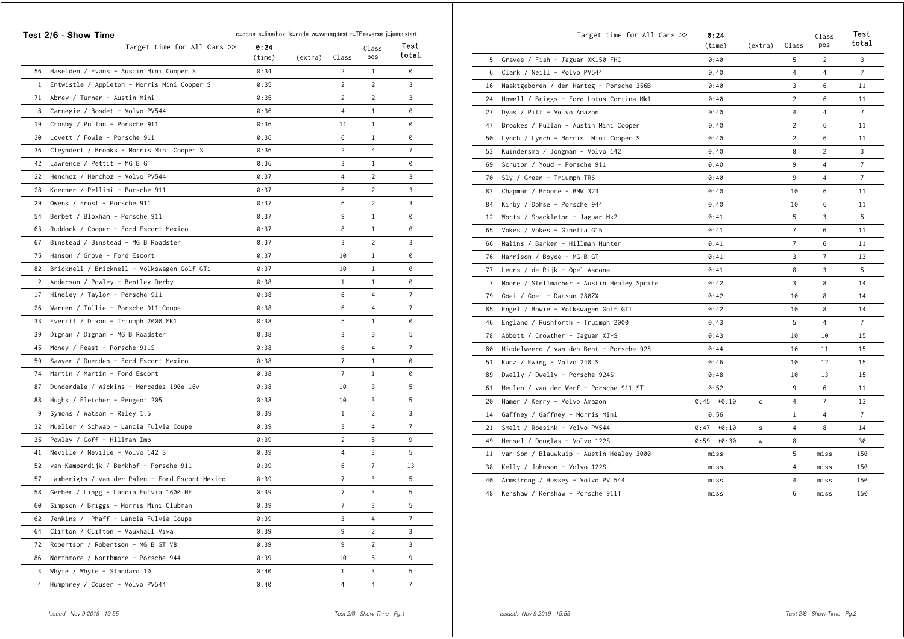|              | Test 2/6 - Show Time<br>Target time for All Cars $\gg$ | c=cone s=line/box k=code w=wrong test r=TF reverse j=jump start<br>0:24 |         |                | Class          | Test           |
|--------------|--------------------------------------------------------|-------------------------------------------------------------------------|---------|----------------|----------------|----------------|
|              |                                                        | (time)                                                                  | (extra) | Class          | pos            | total          |
| 56           | Haselden / Evans - Austin Mini Cooper S                | 0:34                                                                    |         | $\overline{c}$ | 1              | 0              |
| $\mathbf{1}$ | Entwistle / Appleton - Morris Mini Cooper S            | 0:35                                                                    |         | $\overline{2}$ | 2              | 3              |
| 71           | Abrey / Turner – Austin Mini                           | 0:35                                                                    |         | 2              | 2              | 3              |
| 8            | Carnegie / Bosdet - Volvo PV544                        | 0:36                                                                    |         | 4              | $\mathbf{1}$   | 0              |
| 19           | Crosby / Pullan - Porsche 911                          | 0:36                                                                    |         | 11             | $\mathbf{1}$   | 0              |
| 30           | Lovett / Fowle - Porsche 911                           | 0:36                                                                    |         | 6              | $\mathbf{1}$   | 0              |
| 36           | Cleyndert / Brooks - Morris Mini Cooper S              | 0:36                                                                    |         | 2              | 4              | 7              |
| 42           | Lawrence / Pettit - MG B GT                            | 0:36                                                                    |         | 3              | $\mathbf{1}$   | 0              |
| 22           | Henchoz / Henchoz - Volvo PV544                        | 0:37                                                                    |         | 4              | 2              | 3              |
| 28           | Koerner / Pellini - Porsche 911                        | 0:37                                                                    |         | 6              | 2              | 3              |
| 29           | Owens / Frost - Porsche 911                            | 0:37                                                                    |         | 6              | 2              | 3              |
| 54           | Berbet / Bloxham - Porsche 911                         | 0:37                                                                    |         | 9              | 1              | 0              |
| 63           | Ruddock / Cooper - Ford Escort Mexico                  | 0:37                                                                    |         | 8              | 1              | 0              |
| 67           | Binstead / Binstead - MG B Roadster                    | 0:37                                                                    |         | 3              | 2              | 3              |
| 75           | Hanson / Grove - Ford Escort                           | 0:37                                                                    |         | 10             | 1              | 0              |
| 82           | Bricknell / Bricknell - Volkswagen Golf GTi            | 0:37                                                                    |         | 10             | 1              | 0              |
| 2            | Anderson / Powley - Bentley Derby                      | 0:38                                                                    |         | 1              | 1              | 0              |
| 17           | Hindley / Taylor - Porsche 911                         | 0:38                                                                    |         | 6              | 4              | 7              |
| 26           | Warren / Tullie - Porsche 911 Coupe                    | 0:38                                                                    |         | 6              | 4              | 7              |
| 33           | Everitt / Dixon - Triumph 2000 MK1                     | 0:38                                                                    |         | 5              | 1              | 0              |
| 39           | Dignan / Dignan - MG B Roadster                        | 0:38                                                                    |         | 3              | 3              | 5              |
| 45           | Money / Feast - Porsche 911S                           | 0:38                                                                    |         | 6              | 4              | $\overline{7}$ |
| 59           | Sawyer / Duerden - Ford Escort Mexico                  | 0:38                                                                    |         | 7              | 1              | 0              |
| 74           | Martin / Martin - Ford Escort                          | 0:38                                                                    |         | 7              | 1              | 0              |
| 87           | Dunderdale / Wickins - Mercedes 190e 16v               | 0:38                                                                    |         | 10             | 3              | 5              |
| 88           | Hughs / Fletcher - Peugeot 205                         | 0:38                                                                    |         | 10             | 3              | 5              |
| 9            | Symons / Watson - Riley 1.5                            | 0:39                                                                    |         | $\mathbf{1}$   | 2              | 3              |
| 32           | Mueller / Schwab - Lancia Fulvia Coupe                 | 0:39                                                                    |         | 3              | 4              | 7              |
| 35           | Powley / Goff - Hillman Imp                            | 0:39                                                                    |         | 2              | 5              | 9              |
| 41           | Neville / Neville - Volvo 142 S                        | 0:39                                                                    |         | 4              | 3              | 5              |
| 52           | van Kamperdijk / Berkhof - Porsche 911                 | 0:39                                                                    |         | 6              | 7              | 13             |
| 57           | Lamberigts / van der Palen - Ford Escort Mexico        | 0:39                                                                    |         | $\overline{7}$ | 3              | 5              |
| 58           | Gerber / Lingg - Lancia Fulvia 1600 HF                 | 0:39                                                                    |         | $\overline{7}$ | 3              | 5              |
|              | 60 Simpson / Briggs - Morris Mini Clubman              | 0:39                                                                    |         | 7              | 3              | 5              |
| 62           | Jenkins / Phaff - Lancia Fulvia Coupe                  | 0:39                                                                    |         | 3              | 4              | $7\phantom{.}$ |
| 64           | Clifton / Clifton - Vauxhall Viva                      | 0:39                                                                    |         | 9              | $\overline{2}$ | 3              |
| 72           | Robertson / Robertson - MG B GT V8                     | 0:39                                                                    |         | 9              | $\overline{2}$ | 3              |
| 86           | Northmore / Northmore - Porsche 944                    | 0:39                                                                    |         | 10             | 5              | 9              |
| 3            | Whyte / Whyte - Standard 10                            | 0:40                                                                    |         | $\mathbf{1}$   | 3              | 5              |
|              | 4 Humphrey / Couser - Volvo PV544                      | 0:40                                                                    |         | $\overline{4}$ | $\overline{4}$ | $\overline{7}$ |

|                | Target time for All Cars >>                | 0:24<br>(time) | (extra) | Class          | Class<br>pos   | Test<br>total  |
|----------------|--------------------------------------------|----------------|---------|----------------|----------------|----------------|
| 5              | Graves / Fish - Jaguar XK150 FHC           | 0:40           |         | 5              | $\overline{c}$ | 3              |
| 6              | Clark / Neill - Volvo PV544                | 0:40           |         | 4              | 4              | 7              |
| 16             | Naaktgeboren / den Hartog - Porsche 356B   | 0:40           |         | 3              | 6              | 11             |
| 24             | Howell / Briggs - Ford Lotus Cortina Mk1   | 0:40           |         | $\overline{c}$ | 6              | 11             |
| 27             | Dyas / Pitt - Volvo Amazon                 | 0:40           |         | 4              | 4              | $\overline{7}$ |
| 47             | Brookes / Pullan - Austin Mini Cooper      | 0:40           |         | $\overline{c}$ | 6              | 11             |
| 50             | Lynch / Lynch - Morris Mini Cooper S       | 0:40           |         | $\overline{c}$ | 6              | 11             |
| 53             | Kuindersma / Jongman - Volvo 142           | 0:40           |         | 8              | $\overline{c}$ | 3              |
| 69             | Scruton / Youd - Porsche 911               | 0:40           |         | 9              | 4              | 7              |
| 70             | Sly / Green - Triumph TR6                  | 0:40           |         | 9              | 4              | $\overline{7}$ |
| 83             | Chapman / Broome - BMW 323                 | 0:40           |         | 10             | 6              | 11             |
| 84             | Kirby / Dohse - Porsche 944                | 0:40           |         | 10             | 6              | 11             |
| 12             | Worts / Shackleton - Jaguar Mk2            | 0:41           |         | 5              | 3              | 5              |
| 65             | Vokes / Vokes - Ginetta G15                | 0:41           |         | $\overline{7}$ | 6              | 11             |
| 66             | Malins / Barker - Hillman Hunter           | 0:41           |         | $\overline{7}$ | 6              | 11             |
| 76             | Harrison / Boyce - MG B GT                 | 0:41           |         | 3              | 7              | 13             |
| 77             | Leurs / de Rijk - Opel Ascona              | 0:41           |         | 8              | 3              | 5              |
| $\overline{7}$ | Moore / Stellmacher - Austin Healey Sprite | 0:42           |         | 3              | 8              | 14             |
| 79             | Goei / Goei - Datsun 280ZX                 | 0:42           |         | 10             | 8              | 14             |
| 85             | Engel / Bowie - Volkswagen Golf GTI        | 0:42           |         | 10             | 8              | 14             |
| 46             | England / Rushforth - Truimph 2000         | 0:43           |         | 5              | $\overline{4}$ | $\overline{7}$ |
| 78             | Abbott / Crowther - Jaguar XJ-S            | 0:43           |         | 10             | 10             | 15             |
| 80             | Middelweerd / van den Bent - Porsche 928   | 0:44           |         | 10             | 11             | 15             |
| 51             | Kunz / Ewing - Volvo 240 S                 | 0:46           |         | 10             | 12             | 15             |
| 89             | Dwelly / Dwelly - Porsche 924S             | 0:48           |         | 10             | 13             | 15             |
| 61             | Meulen / van der Werf - Porsche 911 ST     | 0:52           |         | 9              | 6              | 11             |
| 20             | Hamer / Kerry - Volvo Amazon               | $0:45 + 0:10$  | c       | 4              | 7              | 13             |
| 14             | Gaffney / Gaffney - Morris Mini            | 0:56           |         | $\mathbf{1}$   | 4              | $\overline{7}$ |
| 21             | Smelt / Roesink - Volvo PV544              | $0:47 + 0:10$  | s       | 4              | 8              | 14             |
| 49             | Hensel / Douglas - Volvo 122S              | $0:59 + 0:30$  | W       | 8              |                | 30             |
| 11             | van Son / Blauwkuip - Austin Healey 3000   | miss           |         | 5              | miss           | 150            |
| 38             | Kelly / Johnson - Volvo 122S               | miss           |         | 4              | miss           | 150            |
| 40             | Armstrong / Hussey - Volvo PV 544          | miss           |         | 4              | miss           | 150            |
| 48             | Kershaw / Kershaw - Porsche 911T           | miss           |         | 6              | miss           | 150            |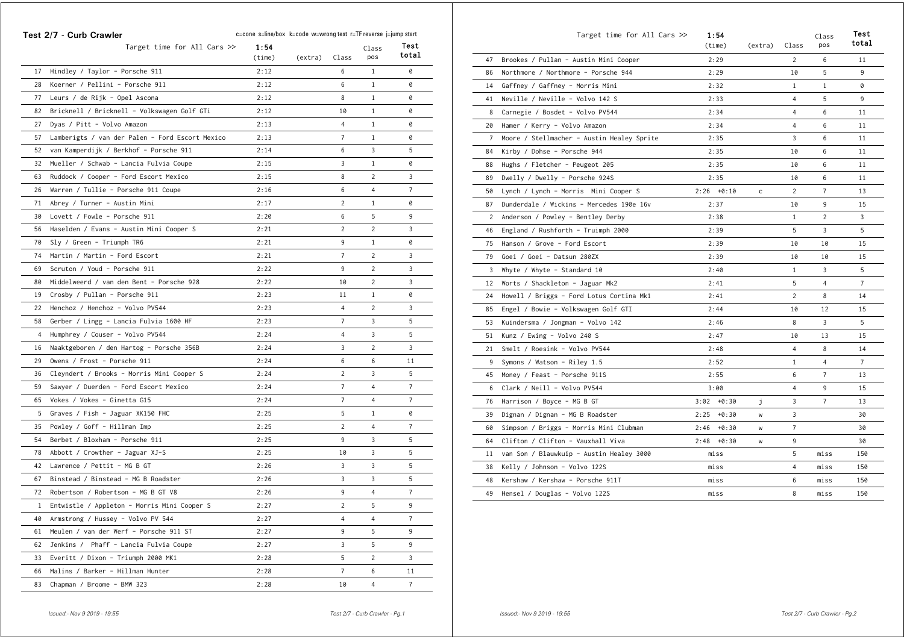|                | Target time for All Cars $\gg$                  | 1:54   |         |                | Class          | Test           |
|----------------|-------------------------------------------------|--------|---------|----------------|----------------|----------------|
|                |                                                 | (time) | (extra) | Class          | pos            | total          |
| 17             | Hindley / Taylor - Porsche 911                  | 2:12   |         | 6              | 1              | 0              |
| 28             | Koerner / Pellini - Porsche 911                 | 2:12   |         | 6              | $\mathbf{1}$   | 0              |
| 77             | Leurs / de Rijk - Opel Ascona                   | 2:12   |         | 8              | 1              | 0              |
| 82             | Bricknell / Bricknell - Volkswagen Golf GTi     | 2:12   |         | 10             | 1              | 0              |
| 27             | Dyas / Pitt - Volvo Amazon                      | 2:13   |         | 4              | $\mathbf{1}$   | 0              |
| 57             | Lamberigts / van der Palen - Ford Escort Mexico | 2:13   |         | 7              | $\mathbf{1}$   | 0              |
| 52             | van Kamperdijk / Berkhof - Porsche 911          | 2:14   |         | 6              | 3              | 5              |
| 32             | Mueller / Schwab - Lancia Fulvia Coupe          | 2:15   |         | 3              | $\mathbf{1}$   | 0              |
| 63             | Ruddock / Cooper - Ford Escort Mexico           | 2:15   |         | 8              | 2              | 3              |
| 26             | Warren / Tullie - Porsche 911 Coupe             | 2:16   |         | 6              | 4              | 7              |
| 71             | Abrey / Turner - Austin Mini                    | 2:17   |         | 2              | $\mathbf{1}$   | 0              |
| 30             | Lovett / Fowle - Porsche 911                    | 2:20   |         | 6              | 5              | 9              |
| 56             | Haselden / Evans - Austin Mini Cooper S         | 2:21   |         | 2              | 2              | 3              |
| 70             | Sly / Green - Triumph TR6                       | 2:21   |         | 9              | 1              | 0              |
| 74             | Martin / Martin - Ford Escort                   | 2:21   |         | 7              | 2              | 3              |
| 69             | Scruton / Youd - Porsche 911                    | 2:22   |         | 9              | $\overline{c}$ | 3              |
| 80             | Middelweerd / van den Bent - Porsche 928        | 2:22   |         | 10             | 2              | 3              |
| 19             | Crosby / Pullan - Porsche 911                   | 2:23   |         | 11             | 1              | 0              |
| 22             | Henchoz / Henchoz - Volvo PV544                 | 2:23   |         | 4              | $\overline{c}$ | 3              |
| 58             | Gerber / Lingg - Lancia Fulvia 1600 HF          | 2:23   |         | $\overline{7}$ | 3              | 5              |
| $\overline{4}$ | Humphrey / Couser - Volvo PV544                 | 2:24   |         | 4              | 3              | 5              |
| 16             | Naaktgeboren / den Hartog - Porsche 356B        | 2:24   |         | 3              | $\overline{c}$ | 3              |
| 29             | Owens / Frost - Porsche 911                     | 2:24   |         | 6              | 6              | 11             |
| 36             | Cleyndert / Brooks - Morris Mini Cooper S       | 2:24   |         | 2              | 3              | 5              |
| 59             | Sawyer / Duerden - Ford Escort Mexico           | 2:24   |         | 7              | 4              | 7              |
| 65             | Vokes / Vokes - Ginetta G15                     | 2:24   |         | 7              | 4              | 7              |
| 5              | Graves / Fish - Jaguar XK150 FHC                | 2:25   |         | 5              | 1              | 0              |
| 35             | Powley / Goff - Hillman Imp                     | 2:25   |         | $\overline{c}$ | $\overline{4}$ | 7              |
| 54             | Berbet / Bloxham - Porsche 911                  | 2:25   |         | 9              | 3              | 5              |
| 78             | Abbott / Crowther - Jaguar XJ-S                 | 2:25   |         | 10             | 3              | 5              |
| 42             | Lawrence / Pettit - MG B GT                     | 2:26   |         | 3              | 3              | 5              |
| 67             | Binstead / Binstead - MG B Roadster             | 2:26   |         | 3              | 3              | 5              |
| 72             | Robertson / Robertson - MG B GT V8              | 2:26   |         | 9              | 4              | 7              |
|                | 1 Entwistle / Appleton - Morris Mini Cooper S   | 2:27   |         | $\overline{c}$ | 5              | 9              |
| 40             | Armstrong / Hussey - Volvo PV 544               | 2:27   |         | 4              | 4              | 7              |
| 61             | Meulen / van der Werf - Porsche 911 ST          | 2:27   |         | 9              | 5              | 9              |
| 62             | Jenkins / Phaff - Lancia Fulvia Coupe           | 2:27   |         | 3              | 5              | 9              |
| 33             | Everitt / Dixon - Triumph 2000 MK1              | 2:28   |         | 5              | 2              | 3              |
| 66             | Malins / Barker - Hillman Hunter                | 2:28   |         | $\overline{7}$ | 6              | 11             |
|                | 83 Chapman / Broome - BMW 323                   | 2:28   |         | 10             | $\overline{4}$ | $7\phantom{.}$ |

|                | Target time for All Cars >>                | 1:54<br>(time)  | (extra)      | Class          | Class<br>pos   | Test<br>total  |
|----------------|--------------------------------------------|-----------------|--------------|----------------|----------------|----------------|
| 47             | Brookes / Pullan - Austin Mini Cooper      | 2:29            |              | 2              | 6              | 11             |
| 86             | Northmore / Northmore - Porsche 944        | 2:29            |              | 10             | 5              | 9              |
| 14             | Gaffney / Gaffney - Morris Mini            | 2:32            |              | $\mathbf{1}$   | $\mathbf{1}$   | 0              |
| 41             | Neville / Neville - Volvo 142 S            | 2:33            |              | 4              | 5              | 9              |
| 8              | Carnegie / Bosdet - Volvo PV544            | 2:34            |              | $\overline{4}$ | 6              | 11             |
| 20             | Hamer / Kerry - Volvo Amazon               | 2:34            |              | $\overline{4}$ | 6              | 11             |
| $\overline{7}$ | Moore / Stellmacher - Austin Healey Sprite | 2:35            |              | 3              | 6              | 11             |
| 84             | Kirby / Dohse - Porsche 944                | 2:35            |              | 10             | 6              | 11             |
| 88             | Hughs / Fletcher - Peugeot 205             | 2:35            |              | 10             | 6              | 11             |
| 89             | Dwelly / Dwelly - Porsche 924S             | 2:35            |              | 10             | 6              | 11             |
| 50             | Lynch / Lynch - Morris Mini Cooper S       | $2:26 + 0:10$   | $\mathsf{C}$ | $\overline{c}$ | $\overline{7}$ | 13             |
| 87             | Dunderdale / Wickins - Mercedes 190e 16v   | 2:37            |              | 10             | 9              | 15             |
| 2              | Anderson / Powley - Bentley Derby          | 2:38            |              | $\mathbf{1}$   | $\overline{c}$ | 3              |
| 46             | England / Rushforth - Truimph 2000         | 2:39            |              | 5              | 3              | 5              |
| 75             | Hanson / Grove - Ford Escort               | 2:39            |              | 10             | 10             | 15             |
| 79             | Goei / Goei - Datsun 280ZX                 | 2:39            |              | 10             | 10             | 15             |
| 3              | Whyte / Whyte - Standard 10                | 2:40            |              | $\mathbf{1}$   | 3              | 5              |
| 12             | Worts / Shackleton - Jaguar Mk2            | 2:41            |              | 5              | $\overline{4}$ | $\overline{7}$ |
| 24             | Howell / Briggs - Ford Lotus Cortina Mk1   | 2:41            |              | $\overline{2}$ | 8              | 14             |
| 85             | Engel / Bowie - Volkswagen Golf GTI        | 2:44            |              | 10             | 12             | 15             |
| 53             | Kuindersma / Jongman - Volvo 142           | 2:46            |              | 8              | 3              | 5              |
| 51             | Kunz / Ewing - Volvo 240 S                 | 2:47            |              | 10             | 13             | 15             |
| 21             | Smelt / Roesink - Volvo PV544              | 2:48            |              | $\overline{4}$ | 8              | 14             |
| 9              | Symons / Watson - Riley 1.5                | 2:52            |              | $\mathbf{1}$   | $\overline{4}$ | $\overline{7}$ |
| 45             | Money / Feast - Porsche 911S               | 2:55            |              | 6              | $\overline{7}$ | 13             |
| 6              | Clark / Neill - Volvo PV544                | 3:00            |              | 4              | 9              | 15             |
| 76             | Harrison / Boyce - MG B GT                 | $3:02 + 0:30$   | j.           | 3              | $\overline{7}$ | 13             |
| 39             | Dignan / Dignan - MG B Roadster            | $2:25 + 0:30$   | W            | 3              |                | 30             |
| 60             | Simpson / Briggs - Morris Mini Clubman     | 2:46<br>$+0:30$ | W            | $\overline{7}$ |                | 30             |
| 64             | Clifton / Clifton - Vauxhall Viva          | $2:48 + 0:30$   | w            | 9              |                | 30             |
| 11             | van Son / Blauwkuip - Austin Healey 3000   | miss            |              | 5              | miss           | 150            |
| 38             | Kelly / Johnson - Volvo 122S               | miss            |              | 4              | miss           | 150            |
| 48             | Kershaw / Kershaw - Porsche 911T           | miss            |              | 6              | miss           | 150            |
| 49             | Hensel / Douglas - Volvo 122S              | miss            |              | 8              | miss           | 150            |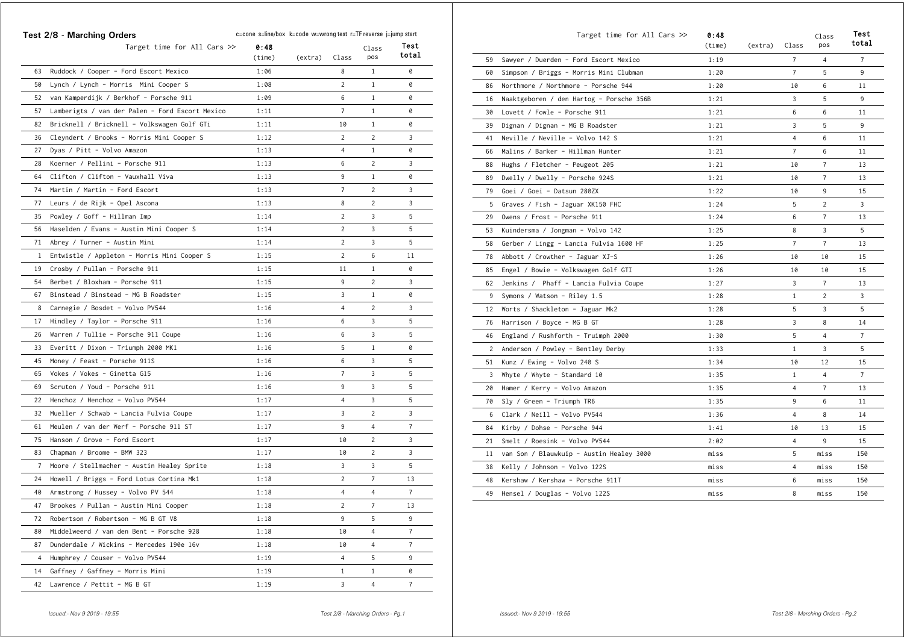|              | Test 2/8 - Marching Orders                      | c=cone s=line/box k=code w=wrong test r=TF reverse j=jump start |         |                |                |                |
|--------------|-------------------------------------------------|-----------------------------------------------------------------|---------|----------------|----------------|----------------|
|              | Target time for All Cars >>                     | 0:48<br>$(\text{time})$                                         | (extra) | Class          | Class<br>pos   | Test<br>total  |
| 63           | Ruddock / Cooper - Ford Escort Mexico           | 1:06                                                            |         | 8              | $\mathbf{1}$   | 0              |
| 50           | Lynch / Lynch - Morris Mini Cooper S            | 1:08                                                            |         | $\overline{c}$ | $\mathbf{1}$   | 0              |
| 52           | van Kamperdijk / Berkhof - Porsche 911          | 1:09                                                            |         | 6              | $\mathbf{1}$   | 0              |
| 57           | Lamberigts / van der Palen - Ford Escort Mexico | 1:11                                                            |         | 7              | $\mathbf{1}$   | 0              |
| 82           | Bricknell / Bricknell - Volkswagen Golf GTi     | 1:11                                                            |         | 10             | $\mathbf{1}$   | 0              |
| 36           | Cleyndert / Brooks - Morris Mini Cooper S       | 1:12                                                            |         | $\overline{c}$ | $\overline{2}$ | 3              |
| 27           | Dyas / Pitt - Volvo Amazon                      | 1:13                                                            |         | 4              | $\mathbf{1}$   | 0              |
| 28           | Koerner / Pellini - Porsche 911                 | 1:13                                                            |         | 6              | $\overline{2}$ | 3              |
| 64           | Clifton / Clifton - Vauxhall Viva               | 1:13                                                            |         | 9              | $\mathbf{1}$   | 0              |
| 74           | Martin / Martin - Ford Escort                   | 1:13                                                            |         | 7              | $\overline{2}$ | 3              |
| 77           | Leurs / de Rijk - Opel Ascona                   | 1:13                                                            |         | 8              | 2              | 3              |
| 35           | Powley / Goff - Hillman Imp                     | 1:14                                                            |         | $\overline{c}$ | 3              | 5              |
| 56           | Haselden / Evans - Austin Mini Cooper S         | 1:14                                                            |         | $\overline{c}$ | 3              | 5              |
| 71           | Abrey / Turner - Austin Mini                    | 1:14                                                            |         | $\overline{c}$ | 3              | 5              |
| $\mathbf{1}$ | Entwistle / Appleton - Morris Mini Cooper S     | 1:15                                                            |         | $\overline{2}$ | 6              | 11             |
| 19           | Crosby / Pullan - Porsche 911                   | 1:15                                                            |         | 11             | $\mathbf{1}$   | 0              |
| 54           | Berbet / Bloxham - Porsche 911                  | 1:15                                                            |         | 9              | 2              | 3              |
| 67           | Binstead / Binstead - MG B Roadster             | 1:15                                                            |         | 3              | $\mathbf{1}$   | 0              |
| 8            | Carnegie / Bosdet - Volvo PV544                 | 1:16                                                            |         | $\overline{4}$ | 2              | 3              |
| 17           | Hindley / Taylor - Porsche 911                  | 1:16                                                            |         | 6              | 3              | 5              |
| 26           | Warren / Tullie - Porsche 911 Coupe             | 1:16                                                            |         | 6              | 3              | 5              |
| 33           | Everitt / Dixon - Triumph 2000 MK1              | 1:16                                                            |         | 5              | $\mathbf{1}$   | 0              |
| 45           | Money / Feast - Porsche 911S                    | 1:16                                                            |         | 6              | 3              | 5              |
| 65           | Vokes / Vokes - Ginetta G15                     | 1:16                                                            |         | $\overline{7}$ | 3              | 5              |
| 69           | Scruton / Youd - Porsche 911                    | 1:16                                                            |         | 9              | 3              | 5              |
| 22           | Henchoz / Henchoz - Volvo PV544                 | 1:17                                                            |         | 4              | 3              | 5              |
| 32           | Mueller / Schwab - Lancia Fulvia Coupe          | 1:17                                                            |         | 3              | $\overline{2}$ | 3              |
| 61           | Meulen / van der Werf - Porsche 911 ST          | 1:17                                                            |         | 9              | 4              | $\overline{7}$ |
| 75           | Hanson / Grove - Ford Escort                    | 1:17                                                            |         | 10             | 2              | 3              |
| 83           | Chapman / Broome - BMW 323                      | 1:17                                                            |         | 10             | $\overline{2}$ | 3              |
| 7            | Moore / Stellmacher - Austin Healey Sprite      | 1:18                                                            |         | 3              | 3              | 5              |
| 24           | Howell / Briggs - Ford Lotus Cortina Mk1        | 1:18                                                            |         | 2              | $\overline{7}$ | 13             |
| 40           | Armstrong / Hussey - Volvo PV 544               | 1:18                                                            |         | $\overline{4}$ | $\overline{4}$ | $\overline{7}$ |
| 47           | Brookes / Pullan - Austin Mini Cooper           | 1:18                                                            |         | $\overline{2}$ | 7              | 13             |
| 72           | Robertson / Robertson - MG B GT V8              | 1:18                                                            |         | 9              | 5              | 9              |
| 80           | Middelweerd / van den Bent - Porsche 928        | 1:18                                                            |         | 10             | $\overline{4}$ | 7              |
| 87           | Dunderdale / Wickins - Mercedes 190e 16v        | 1:18                                                            |         | 10             | 4              | $\overline{7}$ |
| 4            | Humphrey / Couser - Volvo PV544                 | 1:19                                                            |         | 4              | 5              | 9              |
| 14           | Gaffney / Gaffney - Morris Mini                 | 1:19                                                            |         | $\mathbf{1}$   | $\mathbf{1}$   | 0              |
| 42           | Lawrence / Pettit - MG B GT                     | 1:19                                                            |         | 3              | 4              | $\overline{7}$ |

|                | Target time for All Cars >>              | 0:48<br>(time) | (extra) | Class          | Class<br>pos   | Test<br>total  |
|----------------|------------------------------------------|----------------|---------|----------------|----------------|----------------|
| 59             | Sawyer / Duerden - Ford Escort Mexico    | 1:19           |         | $\overline{7}$ | 4              | $\overline{7}$ |
| 60             | Simpson / Briggs - Morris Mini Clubman   | 1:20           |         | $\overline{7}$ | 5              | 9              |
| 86             | Northmore / Northmore - Porsche 944      | 1:20           |         | 10             | 6              | 11             |
| 16             | Naaktgeboren / den Hartog - Porsche 356B | 1:21           |         | 3              | 5              | 9              |
| 30             | Lovett / Fowle - Porsche 911             | 1:21           |         | 6              | 6              | 11             |
| 39             | Dignan / Dignan - MG B Roadster          | 1:21           |         | 3              | 5              | 9              |
| 41             | Neville / Neville - Volvo 142 S          | 1:21           |         | 4              | 6              | 11             |
| 66             | Malins / Barker - Hillman Hunter         | 1:21           |         | $\overline{7}$ | 6              | 11             |
| 88             | Hughs / Fletcher - Peugeot 205           | 1:21           |         | 10             | $\overline{7}$ | 13             |
| 89             | Dwelly / Dwelly - Porsche 924S           | 1:21           |         | 10             | 7              | 13             |
| 79             | Goei / Goei - Datsun 280ZX               | 1:22           |         | 10             | 9              | 15             |
| 5              | Graves / Fish - Jaguar XK150 FHC         | 1:24           |         | 5              | $\overline{c}$ | 3              |
| 29             | Owens / Frost - Porsche 911              | 1:24           |         | 6              | $\overline{7}$ | 13             |
| 53             | Kuindersma / Jongman - Volvo 142         | 1:25           |         | 8              | 3              | 5              |
| 58             | Gerber / Lingg - Lancia Fulvia 1600 HF   | 1:25           |         | $\overline{7}$ | $\overline{7}$ | 13             |
| 78             | Abbott / Crowther - Jaguar XJ-S          | 1:26           |         | 10             | 10             | 15             |
| 85             | Engel / Bowie - Volkswagen Golf GTI      | 1:26           |         | 10             | 10             | 15             |
| 62             | Jenkins / Phaff - Lancia Fulvia Coupe    | 1:27           |         | 3              | 7              | 13             |
| 9              | Symons / Watson - Riley 1.5              | 1:28           |         | $\mathbf{1}$   | $\overline{2}$ | 3              |
| 12             | Worts / Shackleton - Jaguar Mk2          | 1:28           |         | 5              | 3              | 5              |
| 76             | Harrison / Boyce - MG B GT               | 1:28           |         | 3              | 8              | 14             |
| 46             | England / Rushforth - Truimph 2000       | 1:30           |         | 5              | $\overline{4}$ | $\overline{7}$ |
| $\overline{2}$ | Anderson / Powley - Bentley Derby        | 1:33           |         | $1\,$          | 3              | 5              |
| 51             | Kunz / Ewing - Volvo 240 S               | 1:34           |         | 10             | 12             | 15             |
| 3              | Whyte / Whyte - Standard 10              | 1:35           |         | 1              | $\overline{4}$ | $\overline{7}$ |
| 20             | Hamer / Kerry - Volvo Amazon             | 1:35           |         | 4              | $\overline{7}$ | 13             |
| 70             | Sly / Green - Triumph TR6                | 1:35           |         | 9              | 6              | 11             |
| 6              | Clark / Neill - Volvo PV544              | 1:36           |         | $\overline{4}$ | 8              | 14             |
| 84             | Kirby / Dohse - Porsche 944              | 1:41           |         | 10             | 13             | 15             |
| 21             | Smelt / Roesink - Volvo PV544            | 2:02           |         | $\overline{4}$ | 9              | 15             |
| 11             | van Son / Blauwkuip - Austin Healey 3000 | miss           |         | 5              | miss           | 150            |
| 38             | Kelly / Johnson - Volvo 122S             | miss           |         | 4              | miss           | 150            |
| 48             | Kershaw / Kershaw - Porsche 911T         | miss           |         | 6              | miss           | 150            |
| 49             | Hensel / Douglas - Volvo 122S            | miss           |         | 8              | miss           | 150            |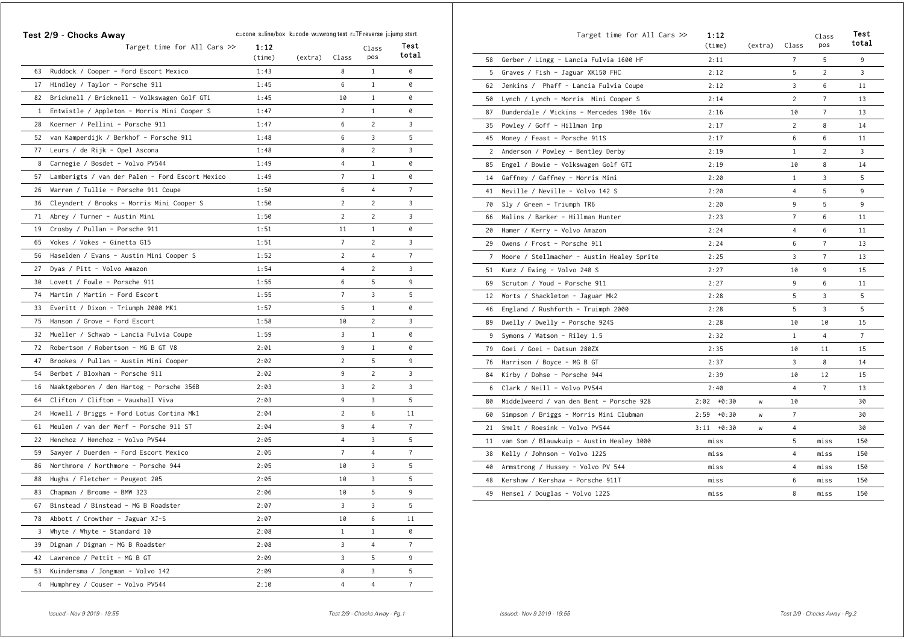|                | Target time for All Cars $\gg$                  | 1:12   |         |                | Class          | Test           |
|----------------|-------------------------------------------------|--------|---------|----------------|----------------|----------------|
|                |                                                 | (time) | (extra) | Class          | pos            | total          |
| 63             | Ruddock / Cooper - Ford Escort Mexico           | 1:43   |         | 8              | 1              | 0              |
| 17             | Hindley / Taylor - Porsche 911                  | 1:45   |         | 6              | $\mathbf{1}$   | 0              |
| 82             | Bricknell / Bricknell - Volkswagen Golf GTi     | 1:45   |         | 10             | $\mathbf{1}$   | 0              |
| 1              | Entwistle / Appleton - Morris Mini Cooper S     | 1:47   |         | 2              | $\mathbf{1}$   | 0              |
| 28             | Koerner / Pellini - Porsche 911                 | 1:47   |         | 6              | 2              | 3              |
| 52             | van Kamperdijk / Berkhof - Porsche 911          | 1:48   |         | 6              | 3              | 5              |
| 77             | Leurs / de Rijk - Opel Ascona                   | 1:48   |         | 8              | 2              | 3              |
| 8              | Carnegie / Bosdet - Volvo PV544                 | 1:49   |         | 4              | $\mathbf{1}$   | 0              |
| 57             | Lamberigts / van der Palen - Ford Escort Mexico | 1:49   |         | $\overline{7}$ | $\mathbf{1}$   | 0              |
| 26             | Warren / Tullie - Porsche 911 Coupe             | 1:50   |         | 6              | 4              | $\overline{7}$ |
| 36             | Cleyndert / Brooks - Morris Mini Cooper S       | 1:50   |         | $\overline{2}$ | $\overline{c}$ | 3              |
| 71             | Abrey / Turner - Austin Mini                    | 1:50   |         | 2              | 2              | 3              |
| 19             | Crosby / Pullan - Porsche 911                   | 1:51   |         | 11             | $\mathbf{1}$   | 0              |
| 65             | Vokes / Vokes - Ginetta G15                     | 1:51   |         | $\overline{7}$ | 2              | 3              |
| 56             | Haselden / Evans - Austin Mini Cooper S         | 1:52   |         | 2              | 4              | $\overline{7}$ |
| 27             | Dyas / Pitt - Volvo Amazon                      | 1:54   |         | $\overline{4}$ | 2              | 3              |
| 30             | Lovett / Fowle - Porsche 911                    | 1:55   |         | 6              | 5              | 9              |
| 74             | Martin / Martin - Ford Escort                   | 1:55   |         | $\overline{7}$ | 3              | 5              |
| 33             | Everitt / Dixon - Triumph 2000 MK1              | 1:57   |         | 5              | $\mathbf{1}$   | 0              |
| 75             | Hanson / Grove - Ford Escort                    | 1:58   |         | 10             | 2              | 3              |
| 32             | Mueller / Schwab - Lancia Fulvia Coupe          | 1:59   |         | 3              | $\mathbf{1}$   | 0              |
| 72             | Robertson / Robertson - MG B GT V8              | 2:01   |         | 9              | $\mathbf{1}$   | 0              |
| 47             | Brookes / Pullan - Austin Mini Cooper           | 2:02   |         | $\overline{2}$ | 5              | 9              |
| 54             | Berbet / Bloxham - Porsche 911                  | 2:02   |         | 9              | $\overline{c}$ | 3              |
| 16             | Naaktgeboren / den Hartog - Porsche 356B        | 2:03   |         | 3              | 2              | 3              |
| 64             | Clifton / Clifton - Vauxhall Viva               | 2:03   |         | 9              | 3              | 5              |
| 24             | Howell / Briggs - Ford Lotus Cortina Mk1        | 2:04   |         | 2              | 6              | 11             |
| 61             | Meulen / van der Werf - Porsche 911 ST          | 2:04   |         | 9              | $\overline{4}$ | $\overline{7}$ |
| 22             | Henchoz / Henchoz - Volvo PV544                 | 2:05   |         | 4              | 3              | 5              |
| 59             | Sawyer / Duerden - Ford Escort Mexico           | 2:05   |         | $\overline{7}$ | 4              | $\overline{7}$ |
| 86             | Northmore / Northmore - Porsche 944             | 2:05   |         | 10             | 3              | 5              |
| 88             | Hughs / Fletcher - Peugeot 205                  | 2:05   |         | 10             | 3              | 5              |
| 83             | Chapman / Broome - BMW 323                      | 2:06   |         | 10             | 5              | 9              |
| 67             | Binstead / Binstead - MG B Roadster             | 2:07   |         | 3              | 3              | 5              |
| 78             | Abbott / Crowther - Jaguar XJ-S                 | 2:07   |         | 10             | 6              | 11             |
| 3              | Whyte / Whyte - Standard 10                     | 2:08   |         | $\mathbf{1}$   | $\mathbf{1}$   | 0              |
| 39             | Dignan / Dignan - MG B Roadster                 | 2:08   |         | 3              | $\overline{4}$ | $\overline{7}$ |
| 42             | Lawrence / Pettit - MG B GT                     | 2:09   |         | 3              | 5              | 9              |
| 53             | Kuindersma / Jongman - Volvo 142                | 2:09   |         | 8              | 3              | 5              |
| $\overline{4}$ | Humphrey / Couser - Volvo PV544                 | 2:10   |         | $\overline{4}$ | $\overline{4}$ | $\overline{7}$ |

|    | Target time for All Cars >>                | 1:12<br>(time)  | (extra) | Class          | Class<br>pos   | Test<br>total  |
|----|--------------------------------------------|-----------------|---------|----------------|----------------|----------------|
| 58 | Gerber / Lingg - Lancia Fulvia 1600 HF     | 2:11            |         | $\overline{7}$ | 5              | 9              |
| 5  | Graves / Fish - Jaguar XK150 FHC           | 2:12            |         | 5              | 2              | 3              |
| 62 | Jenkins / Phaff - Lancia Fulvia Coupe      | 2:12            |         | 3              | 6              | 11             |
| 50 | Lynch / Lynch - Morris Mini Cooper S       | 2:14            |         | $\overline{2}$ | $\overline{7}$ | 13             |
| 87 | Dunderdale / Wickins - Mercedes 190e 16v   | 2:16            |         | 10             | $\overline{7}$ | 13             |
| 35 | Powley / Goff - Hillman Imp                | 2:17            |         | $\overline{2}$ | 8              | 14             |
| 45 | Money / Feast - Porsche 911S               | 2:17            |         | 6              | 6              | 11             |
| 2  | Anderson / Powley - Bentley Derby          | 2:19            |         | $\mathbf{1}$   | $\overline{2}$ | 3              |
| 85 | Engel / Bowie - Volkswagen Golf GTI        | 2:19            |         | 10             | 8              | 14             |
| 14 | Gaffney / Gaffney - Morris Mini            | 2:20            |         | $\mathbf{1}$   | 3              | 5              |
| 41 | Neville / Neville - Volvo 142 S            | 2:20            |         | $\overline{4}$ | 5              | 9              |
| 70 | Sly / Green - Triumph TR6                  | 2:20            |         | 9              | 5              | 9              |
| 66 | Malins / Barker - Hillman Hunter           | 2:23            |         | $\overline{7}$ | 6              | 11             |
| 20 | Hamer / Kerry - Volvo Amazon               | 2:24            |         | $\overline{4}$ | 6              | 11             |
| 29 | Owens / Frost - Porsche 911                | 2:24            |         | 6              | $\overline{7}$ | 13             |
| 7  | Moore / Stellmacher - Austin Healey Sprite | 2:25            |         | 3              | $\overline{7}$ | 13             |
| 51 | Kunz / Ewing - Volvo 240 S                 | 2:27            |         | 10             | 9              | 15             |
| 69 | Scruton / Youd - Porsche 911               | 2:27            |         | 9              | 6              | 11             |
| 12 | Worts / Shackleton - Jaguar Mk2            | 2:28            |         | 5              | 3              | 5              |
| 46 | England / Rushforth - Truimph 2000         | 2:28            |         | 5              | 3              | 5              |
| 89 | Dwelly / Dwelly - Porsche 924S             | 2:28            |         | 10             | 10             | 15             |
| 9  | Symons / Watson - Riley 1.5                | 2:32            |         | $\mathbf{1}$   | $\overline{4}$ | $\overline{7}$ |
| 79 | Goei / Goei - Datsun 280ZX                 | 2:35            |         | 10             | 11             | 15             |
| 76 | Harrison / Boyce - MG B GT                 | 2:37            |         | 3              | 8              | 14             |
| 84 | Kirby / Dohse - Porsche 944                | 2:39            |         | 10             | 12             | 15             |
| 6  | Clark / Neill - Volvo PV544                | 2:40            |         | 4              | $\overline{7}$ | 13             |
| 80 | Middelweerd / van den Bent - Porsche 928   | $2:02 + 0:30$   | W       | 10             |                | 30             |
| 60 | Simpson / Briggs - Morris Mini Clubman     | $2:59 + 0:30$   | W       | $\overline{7}$ |                | 30             |
| 21 | Smelt / Roesink - Volvo PV544              | $+0:30$<br>3:11 | W       | 4              |                | 30             |
| 11 | van Son / Blauwkuip - Austin Healey 3000   | miss            |         | 5              | miss           | 150            |
| 38 | Kelly / Johnson - Volvo 122S               | miss            |         | $\overline{4}$ | miss           | 150            |
| 40 | Armstrong / Hussey - Volvo PV 544          | miss            |         | 4              | miss           | 150            |
| 48 | Kershaw / Kershaw - Porsche 911T           | miss            |         | 6              | miss           | 150            |
| 49 | Hensel / Douglas - Volvo 122S              | miss            |         | 8              | miss           | 150            |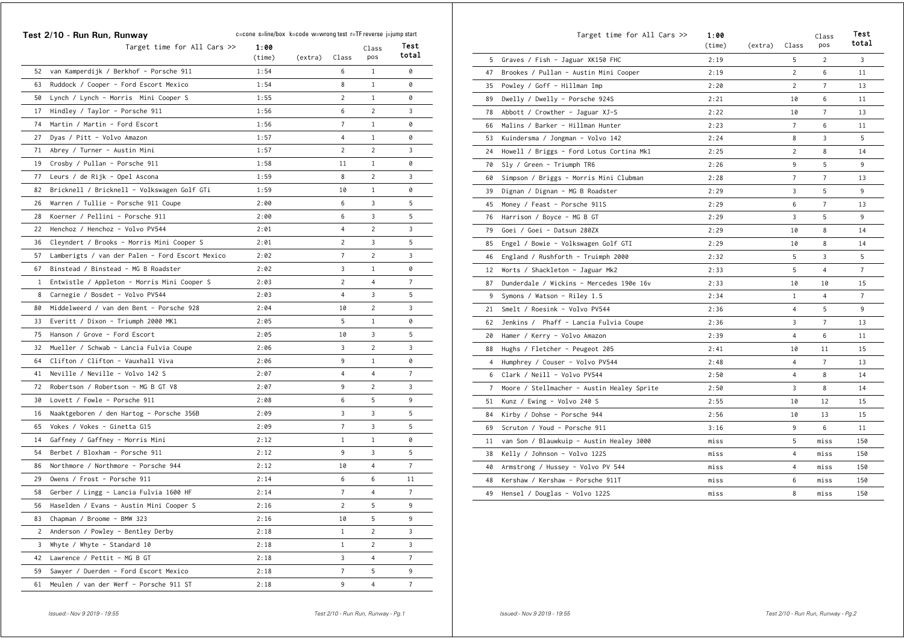|    | Test 2/10 - Run Run, Runway                     | c=cone s=line/box k=code w=wrong test r=TF reverse j=jump start |         |                |                |                |  |
|----|-------------------------------------------------|-----------------------------------------------------------------|---------|----------------|----------------|----------------|--|
|    | Target time for All Cars >>                     | 1:00<br>(time)                                                  | (extra) | Class          | Class<br>pos   | Test<br>total  |  |
| 52 | van Kamperdijk / Berkhof - Porsche 911          | 1:54                                                            |         | 6              | $\mathbf{1}$   | 0              |  |
| 63 | Ruddock / Cooper - Ford Escort Mexico           | 1:54                                                            |         | 8              | $\mathbf{1}$   | 0              |  |
| 50 | Lynch / Lynch - Morris Mini Cooper S            | 1:55                                                            |         | $\overline{c}$ | $\mathbf{1}$   | 0              |  |
| 17 | Hindley / Taylor - Porsche 911                  | 1:56                                                            |         | 6              | 2              | 3              |  |
| 74 | Martin / Martin - Ford Escort                   | 1:56                                                            |         | $\overline{7}$ | $\mathbf{1}$   | 0              |  |
| 27 | Dyas / Pitt - Volvo Amazon                      | 1:57                                                            |         | $\overline{4}$ | $\mathbf{1}$   | 0              |  |
| 71 | Abrey / Turner - Austin Mini                    | 1:57                                                            |         | $\overline{c}$ | 2              | 3              |  |
| 19 | Crosby / Pullan - Porsche 911                   | 1:58                                                            |         | 11             | $\mathbf{1}$   | 0              |  |
| 77 | Leurs / de Rijk - Opel Ascona                   | 1:59                                                            |         | 8              | $\overline{2}$ | 3              |  |
| 82 | Bricknell / Bricknell - Volkswagen Golf GTi     | 1:59                                                            |         | 10             | $\mathbf{1}$   | 0              |  |
| 26 | Warren / Tullie - Porsche 911 Coupe             | 2:00                                                            |         | 6              | 3              | 5              |  |
| 28 | Koerner / Pellini - Porsche 911                 | 2:00                                                            |         | 6              | 3              | 5              |  |
| 22 | Henchoz / Henchoz - Volvo PV544                 | 2:01                                                            |         | $\overline{4}$ | $\overline{2}$ | 3              |  |
| 36 | Cleyndert / Brooks - Morris Mini Cooper S       | 2:01                                                            |         | $\overline{c}$ | 3              | 5              |  |
| 57 | Lamberigts / van der Palen - Ford Escort Mexico | 2:02                                                            |         | $\overline{7}$ | $\overline{2}$ | 3              |  |
| 67 | Binstead / Binstead - MG B Roadster             | 2:02                                                            |         | 3              | $\mathbf{1}$   | 0              |  |
| 1  | Entwistle / Appleton - Morris Mini Cooper S     | 2:03                                                            |         | $\overline{c}$ | $\overline{4}$ | $\overline{7}$ |  |
| 8  | Carnegie / Bosdet - Volvo PV544                 | 2:03                                                            |         | $\overline{4}$ | 3              | 5              |  |
| 80 | Middelweerd / van den Bent - Porsche 928        | 2:04                                                            |         | 10             | 2              | 3              |  |
| 33 | Everitt / Dixon - Triumph 2000 MK1              | 2:05                                                            |         | 5              | $\mathbf{1}$   | 0              |  |
| 75 | Hanson / Grove - Ford Escort                    | 2:05                                                            |         | 10             | 3              | 5              |  |
| 32 | Mueller / Schwab - Lancia Fulvia Coupe          | 2:06                                                            |         | 3              | $\overline{2}$ | 3              |  |
| 64 | Clifton / Clifton - Vauxhall Viva               | 2:06                                                            |         | 9              | $\mathbf{1}$   | 0              |  |
| 41 | Neville / Neville - Volvo 142 S                 | 2:07                                                            |         | $\overline{4}$ | $\overline{4}$ | $\overline{7}$ |  |
| 72 | Robertson / Robertson - MG B GT V8              | 2:07                                                            |         | 9              | $\overline{2}$ | 3              |  |
| 30 | Lovett / Fowle - Porsche 911                    | 2:08                                                            |         | 6              | 5              | 9              |  |
| 16 | Naaktgeboren / den Hartog - Porsche 356B        | 2:09                                                            |         | 3              | 3              | 5              |  |
| 65 | Vokes / Vokes - Ginetta G15                     | 2:09                                                            |         | $\overline{7}$ | 3              | 5              |  |
| 14 | Gaffney / Gaffney - Morris Mini                 | 2:12                                                            |         | $\mathbf{1}$   | $\mathbf{1}$   | 0              |  |
| 54 | Berbet / Bloxham - Porsche 911                  | 2:12                                                            |         | 9              | 3              | 5              |  |
| 86 | Northmore / Northmore - Porsche 944             | 2:12                                                            |         | 10             | $\overline{4}$ | $\overline{7}$ |  |
| 29 | Owens / Frost - Porsche 911                     | 2:14                                                            |         | 6              | 6              | 11             |  |
| 58 | Gerber / Lingg - Lancia Fulvia 1600 HF          | 2:14                                                            |         | $\overline{7}$ | $\overline{4}$ | $\overline{7}$ |  |
| 56 | Haselden / Evans - Austin Mini Cooper S         | 2:16                                                            |         | $\overline{c}$ | 5              | 9              |  |
| 83 | Chapman / Broome - BMW 323                      | 2:16                                                            |         | 10             | 5              | 9              |  |
| 2  | Anderson / Powley - Bentley Derby               | 2:18                                                            |         | $\mathbf{1}$   | 2              | 3              |  |
| 3  | Whyte / Whyte - Standard 10                     | 2:18                                                            |         | 1              | $\overline{c}$ | 3              |  |
| 42 | Lawrence / Pettit - MG B GT                     | 2:18                                                            |         | 3              | 4              | $\overline{7}$ |  |
| 59 | Sawyer / Duerden - Ford Escort Mexico           | 2:18                                                            |         | $\overline{7}$ | 5              | 9              |  |
| 61 | Meulen / van der Werf – Porsche 911 ST          | 2:18                                                            |         | 9              | 4              | $\overline{7}$ |  |

|    | Target time for All Cars >>                | 1:00<br>(time) | (extra) | Class          | Class<br>pos   | Test<br>total  |
|----|--------------------------------------------|----------------|---------|----------------|----------------|----------------|
| 5  | Graves / Fish - Jaguar XK150 FHC           | 2:19           |         | 5              | 2              | 3              |
| 47 | Brookes / Pullan - Austin Mini Cooper      | 2:19           |         | $\overline{2}$ | 6              | 11             |
| 35 | Powley / Goff - Hillman Imp                | 2:20           |         | $\overline{2}$ | 7              | 13             |
| 89 | Dwelly / Dwelly - Porsche 924S             | 2:21           |         | 10             | 6              | 11             |
| 78 | Abbott / Crowther - Jaguar XJ-S            | 2:22           |         | 10             | $\overline{7}$ | 13             |
| 66 | Malins / Barker - Hillman Hunter           | 2:23           |         | $\overline{7}$ | 6              | 11             |
| 53 | Kuindersma / Jongman - Volvo 142           | 2:24           |         | 8              | 3              | 5              |
| 24 | Howell / Briggs - Ford Lotus Cortina Mk1   | 2:25           |         | $\overline{c}$ | 8              | 14             |
| 70 | Sly / Green - Triumph TR6                  | 2:26           |         | 9              | 5              | 9              |
| 60 | Simpson / Briggs - Morris Mini Clubman     | 2:28           |         | $\overline{7}$ | $\overline{7}$ | 13             |
| 39 | Dignan / Dignan - MG B Roadster            | 2:29           |         | 3              | 5              | 9              |
| 45 | Money / Feast - Porsche 911S               | 2:29           |         | 6              | $\overline{7}$ | 13             |
| 76 | Harrison / Boyce - MG B GT                 | 2:29           |         | 3              | 5              | 9              |
| 79 | Goei / Goei - Datsun 280ZX                 | 2:29           |         | 10             | 8              | 14             |
| 85 | Engel / Bowie - Volkswagen Golf GTI        | 2:29           |         | 10             | 8              | 14             |
| 46 | England / Rushforth - Truimph 2000         | 2:32           |         | 5              | 3              | 5              |
| 12 | Worts / Shackleton - Jaguar Mk2            | 2:33           |         | 5              | $\overline{4}$ | $\overline{7}$ |
| 87 | Dunderdale / Wickins - Mercedes 190e 16v   | 2:33           |         | 10             | 10             | 15             |
| 9  | Symons / Watson - Riley 1.5                | 2:34           |         | $\mathbf{1}$   | $\overline{4}$ | $\overline{7}$ |
| 21 | Smelt / Roesink - Volvo PV544              | 2:36           |         | $\overline{4}$ | 5              | 9              |
| 62 | Jenkins / Phaff - Lancia Fulvia Coupe      | 2:36           |         | 3              | 7              | 13             |
| 20 | Hamer / Kerry - Volvo Amazon               | 2:39           |         | $\overline{4}$ | 6              | 11             |
| 88 | Hughs / Fletcher - Peugeot 205             | 2:41           |         | 10             | 11             | 15             |
| 4  | Humphrey / Couser - Volvo PV544            | 2:48           |         | 4              | $\overline{7}$ | 13             |
| 6  | Clark / Neill - Volvo PV544                | 2:50           |         | $\overline{4}$ | 8              | 14             |
| 7  | Moore / Stellmacher - Austin Healey Sprite | 2:50           |         | 3              | 8              | 14             |
| 51 | Kunz / Ewing - Volvo 240 S                 | 2:55           |         | 10             | 12             | 15             |
| 84 | Kirby / Dohse - Porsche 944                | 2:56           |         | 10             | 13             | 15             |
| 69 | Scruton / Youd - Porsche 911               | 3:16           |         | 9              | 6              | 11             |
| 11 | van Son / Blauwkuip - Austin Healey 3000   | miss           |         | 5              | miss           | 150            |
| 38 | Kelly / Johnson - Volvo 122S               | miss           |         | 4              | miss           | 150            |
| 40 | Armstrong / Hussey - Volvo PV 544          | miss           |         | 4              | miss           | 150            |
| 48 | Kershaw / Kershaw - Porsche 911T           | miss           |         | 6              | miss           | 150            |
| 49 | Hensel / Douglas - Volvo 122S              | miss           |         | 8              | miss           | 150            |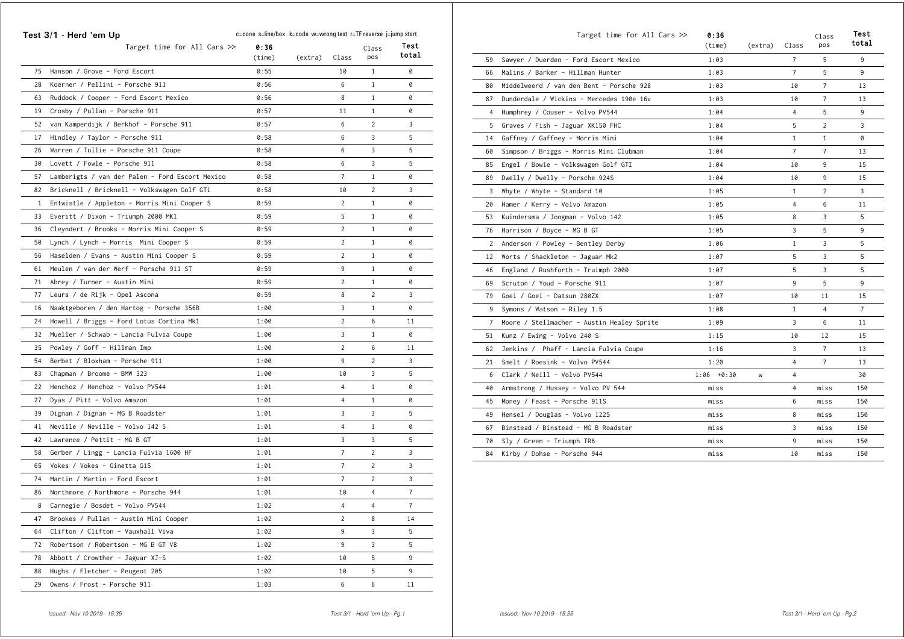| Test 3/1 - Herd 'em Up |                                                 | c=cone s=line/box k=code w=wrong test r=TF reverse j=jump start |         |                |                |                |  |
|------------------------|-------------------------------------------------|-----------------------------------------------------------------|---------|----------------|----------------|----------------|--|
|                        | Target time for All Cars >>                     | 0:36<br>(time)                                                  | (extra) | Class          | Class<br>pos   | Test<br>total  |  |
| 75                     | Hanson / Grove - Ford Escort                    | 0:55                                                            |         | 10             | $\mathbf{1}$   | 0              |  |
| 28                     | Koerner / Pellini - Porsche 911                 | 0:56                                                            |         | 6              | $\mathbf{1}$   | 0              |  |
| 63                     | Ruddock / Cooper - Ford Escort Mexico           | 0:56                                                            |         | 8              | $\mathbf{1}$   | 0              |  |
| 19                     | Crosby / Pullan - Porsche 911                   | 0:57                                                            |         | 11             | $\mathbf{1}$   | 0              |  |
| 52                     | van Kamperdijk / Berkhof - Porsche 911          | 0:57                                                            |         | 6              | $\overline{c}$ | 3              |  |
| 17                     | Hindley / Taylor - Porsche 911                  | 0:58                                                            |         | 6              | 3              | 5              |  |
| 26                     | Warren / Tullie - Porsche 911 Coupe             | 0:58                                                            |         | 6              | 3              | 5              |  |
| 30                     | Lovett / Fowle - Porsche 911                    | 0:58                                                            |         | 6              | 3              | 5              |  |
| 57                     | Lamberigts / van der Palen - Ford Escort Mexico | 0:58                                                            |         | $\overline{7}$ | $\mathbf{1}$   | 0              |  |
| 82                     | Bricknell / Bricknell - Volkswagen Golf GTi     | 0:58                                                            |         | 10             | $\overline{c}$ | 3              |  |
| $\mathbf{1}$           | Entwistle / Appleton - Morris Mini Cooper S     | 0:59                                                            |         | $\overline{2}$ | $\mathbf{1}$   | 0              |  |
| 33                     | Everitt / Dixon - Triumph 2000 MK1              | 0:59                                                            |         | 5              | $\mathbf{1}$   | 0              |  |
| 36                     | Cleyndert / Brooks - Morris Mini Cooper S       | 0:59                                                            |         | $\overline{c}$ | $\mathbf{1}$   | 0              |  |
| 50                     | Lynch / Lynch - Morris Mini Cooper S            | 0:59                                                            |         | $\overline{c}$ | $\mathbf{1}$   | 0              |  |
| 56                     | Haselden / Evans - Austin Mini Cooper S         | 0:59                                                            |         | $\overline{c}$ | $\mathbf{1}$   | 0              |  |
| 61                     | Meulen / van der Werf - Porsche 911 ST          | 0:59                                                            |         | 9              | $\mathbf{1}$   | 0              |  |
| 71                     | Abrey / Turner - Austin Mini                    | 0:59                                                            |         | $\overline{c}$ | $\mathbf{1}$   | 0              |  |
| 77                     | Leurs / de Rijk - Opel Ascona                   | 0:59                                                            |         | 8              | $\overline{c}$ | 3              |  |
| 16                     | Naaktgeboren / den Hartog - Porsche 356B        | 1:00                                                            |         | 3              | $\mathbf{1}$   | 0              |  |
| 24                     | Howell / Briggs - Ford Lotus Cortina Mk1        | 1:00                                                            |         | $\overline{c}$ | 6              | 11             |  |
| 32                     | Mueller / Schwab - Lancia Fulvia Coupe          | 1:00                                                            |         | 3              | $\mathbf{1}$   | 0              |  |
| 35                     | Powley / Goff - Hillman Imp                     | 1:00                                                            |         | $\sqrt{2}$     | 6              | 11             |  |
| 54                     | Berbet / Bloxham - Porsche 911                  | 1:00                                                            |         | 9              | $\overline{c}$ | 3              |  |
| 83                     | Chapman / Broome - BMW 323                      | 1:00                                                            |         | 10             | 3              | 5              |  |
| 22                     | Henchoz / Henchoz - Volvo PV544                 | 1:01                                                            |         | $\overline{4}$ | $\mathbf{1}$   | 0              |  |
| 27                     | Dyas / Pitt - Volvo Amazon                      | 1:01                                                            |         | 4              | $\mathbf{1}$   | 0              |  |
| 39                     | Dignan / Dignan - MG B Roadster                 | 1:01                                                            |         | 3              | 3              | 5              |  |
| 41                     | Neville / Neville - Volvo 142 S                 | 1:01                                                            |         | 4              | $\mathbf{1}$   | 0              |  |
| 42                     | Lawrence / Pettit - MG B GT                     | 1:01                                                            |         | 3              | 3              | 5              |  |
| 58                     | Gerber / Lingg - Lancia Fulvia 1600 HF          | 1:01                                                            |         | $\overline{7}$ | $\overline{c}$ | 3              |  |
| 65                     | Vokes / Vokes - Ginetta G15                     | 1:01                                                            |         | $\overline{7}$ | $\overline{c}$ | 3              |  |
| 74                     | Martin / Martin - Ford Escort                   | 1:01                                                            |         | $\overline{7}$ | $\overline{c}$ | 3              |  |
| 86                     | Northmore / Northmore - Porsche 944             | 1:01                                                            |         | 10             | 4              | $\overline{7}$ |  |
| 8                      | Carnegie / Bosdet - Volvo PV544                 | 1:02                                                            |         | 4              | 4              | $\overline{7}$ |  |
| 47                     | Brookes / Pullan - Austin Mini Cooper           | 1:02                                                            |         | $\overline{c}$ | 8              | 14             |  |
| 64                     | Clifton / Clifton - Vauxhall Viva               | 1:02                                                            |         | 9              | 3              | 5              |  |
| 72                     | Robertson / Robertson - MG B GT V8              | 1:02                                                            |         | 9              | 3              | 5              |  |
|                        | 78 Abbott / Crowther - Jaguar XJ-S              | 1:02                                                            |         | 10             | 5              | 9              |  |
| 88                     | Hughs / Fletcher - Peugeot 205                  | 1:02                                                            |         | 10             | 5              | 9              |  |
| 29                     | Owens / Frost - Porsche 911                     | 1:03                                                            |         | 6              | 6              | 11             |  |

|                | Target time for All Cars >>                | 0:36<br>(time) | (extra) | Class          | Class<br>pos   | Test<br>total  |
|----------------|--------------------------------------------|----------------|---------|----------------|----------------|----------------|
| 59             | Sawyer / Duerden - Ford Escort Mexico      | 1:03           |         | $7^{\circ}$    | 5              | 9              |
| 66             | Malins / Barker - Hillman Hunter           | 1:03           |         | $\overline{7}$ | 5              | 9              |
| 80             | Middelweerd / van den Bent - Porsche 928   | 1:03           |         | 10             | $\overline{7}$ | 13             |
| 87             | Dunderdale / Wickins - Mercedes 190e 16v   | 1:03           |         | 10             | $\overline{7}$ | 13             |
| 4              | Humphrey / Couser - Volvo PV544            | 1:04           |         | 4              | 5              | 9              |
| 5              | Graves / Fish - Jaguar XK150 FHC           | 1:04           |         | 5              | 2              | 3              |
| 14             | Gaffney / Gaffney - Morris Mini            | 1:04           |         | $\mathbf{1}$   | $\mathbf{1}$   | 0              |
| 60             | Simpson / Briggs - Morris Mini Clubman     | 1:04           |         | $\overline{7}$ | 7              | 13             |
| 85             | Engel / Bowie - Volkswagen Golf GTI        | 1:04           |         | 10             | 9              | 15             |
| 89             | Dwelly / Dwelly - Porsche 924S             | 1:04           |         | 10             | 9              | 15             |
| 3              | Whyte / Whyte - Standard 10                | 1:05           |         | $\mathbf{1}$   | $\overline{2}$ | 3              |
| 20             | Hamer / Kerry - Volvo Amazon               | 1:05           |         | 4              | 6              | 11             |
| 53             | Kuindersma / Jongman - Volvo 142           | 1:05           |         | 8              | 3              | 5              |
| 76             | Harrison / Boyce - MG B GT                 | 1:05           |         | 3              | 5              | 9              |
| 2              | Anderson / Powley - Bentley Derby          | 1:06           |         | $\mathbf{1}$   | 3              | 5              |
| 12             | Worts / Shackleton - Jaguar Mk2            | 1:07           |         | 5              | 3              | 5              |
| 46             | England / Rushforth - Truimph 2000         | 1:07           |         | 5              | 3              | 5              |
| 69             | Scruton / Youd - Porsche 911               | 1:07           |         | 9              | 5              | 9              |
| 79             | Goei / Goei - Datsun 280ZX                 | 1:07           |         | 10             | 11             | 15             |
| 9              | Symons / Watson - Riley 1.5                | 1:08           |         | $\mathbf{1}$   | 4              | $\overline{7}$ |
| $\overline{7}$ | Moore / Stellmacher - Austin Healey Sprite | 1:09           |         | 3              | 6              | 11             |
| 51             | Kunz / Ewing - Volvo 240 S                 | 1:15           |         | 10             | 12             | 15             |
| 62             | Jenkins / Phaff - Lancia Fulvia Coupe      | 1:16           |         | 3              | $\overline{7}$ | 13             |
| 21             | Smelt / Roesink - Volvo PV544              | 1:20           |         | 4              | 7              | 13             |
| 6              | Clark / Neill - Volvo PV544                | $1:06 + 0:30$  | W       | 4              |                | 30             |
| 40             | Armstrong / Hussey - Volvo PV 544          | miss           |         | 4              | miss           | 150            |
| 45             | Money / Feast - Porsche 911S               | miss           |         | 6              | miss           | 150            |
| 49             | Hensel / Douglas - Volvo 122S              | miss           |         | 8              | miss           | 150            |
| 67             | Binstead / Binstead - MG B Roadster        | miss           |         | 3              | miss           | 150            |
| 70             | Sly / Green - Triumph TR6                  | miss           |         | 9              | miss           | 150            |
| 84             | Kirby / Dohse - Porsche 944                | miss           |         | 10             | miss           | 150            |
|                |                                            |                |         |                |                |                |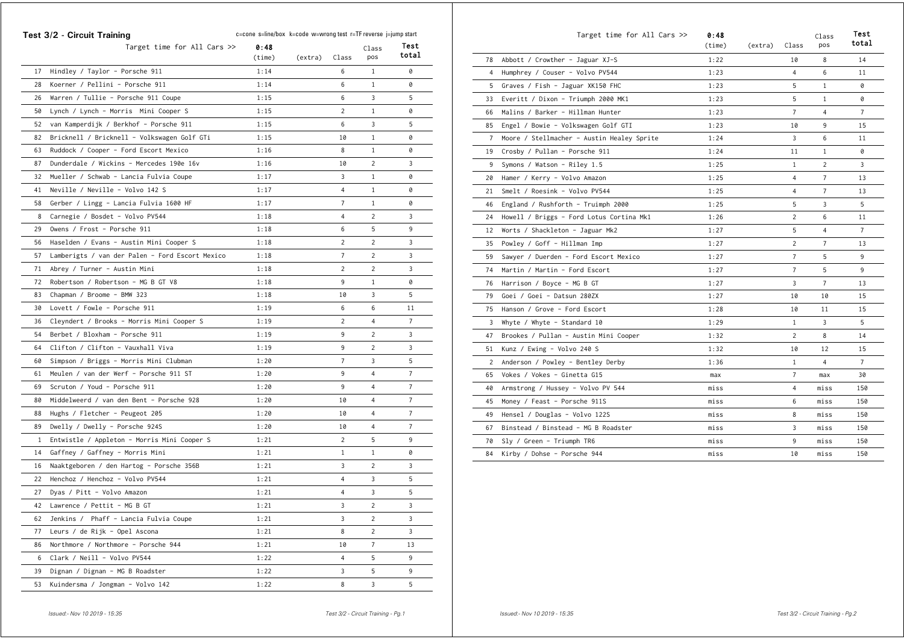|    | Test 3/2 - Circuit Training                     | c=cone s=line/box k=code w=wrong test r=TF reverse j=jump start |         |                |                | Test           |
|----|-------------------------------------------------|-----------------------------------------------------------------|---------|----------------|----------------|----------------|
|    | Target time for All Cars $\gg$                  | 0:48<br>(time)                                                  | (extra) | Class          | Class<br>pos   | total          |
| 17 | Hindley / Taylor - Porsche 911                  | 1:14                                                            |         | 6              | 1              | 0              |
| 28 | Koerner / Pellini - Porsche 911                 | 1:14                                                            |         | 6              | $\mathbf{1}$   | 0              |
| 26 | Warren / Tullie - Porsche 911 Coupe             | 1:15                                                            |         | 6              | 3              | 5              |
| 50 | Lynch / Lynch - Morris Mini Cooper S            | 1:15                                                            |         | 2              | $\mathbf{1}$   | 0              |
| 52 | van Kamperdijk / Berkhof - Porsche 911          | 1:15                                                            |         | 6              | 3              | 5              |
| 82 | Bricknell / Bricknell - Volkswagen Golf GTi     | 1:15                                                            |         | 10             | $\mathbf{1}$   | 0              |
| 63 | Ruddock / Cooper - Ford Escort Mexico           | 1:16                                                            |         | 8              | $\mathbf{1}$   | 0              |
| 87 | Dunderdale / Wickins - Mercedes 190e 16v        | 1:16                                                            |         | 10             | $\overline{2}$ | 3              |
| 32 | Mueller / Schwab - Lancia Fulvia Coupe          | 1:17                                                            |         | 3              | $\mathbf{1}$   | 0              |
| 41 | Neville / Neville - Volvo 142 S                 | 1:17                                                            |         | 4              | $\mathbf{1}$   | 0              |
| 58 | Gerber / Lingg - Lancia Fulvia 1600 HF          | 1:17                                                            |         | 7              | $\mathbf{1}$   | 0              |
| 8  | Carnegie / Bosdet - Volvo PV544                 | 1:18                                                            |         | 4              | 2              | 3              |
| 29 | Owens / Frost - Porsche 911                     | 1:18                                                            |         | 6              | 5              | 9              |
| 56 | Haselden / Evans - Austin Mini Cooper S         | 1:18                                                            |         | 2              | 2              | 3              |
| 57 | Lamberigts / van der Palen - Ford Escort Mexico | 1:18                                                            |         | 7              | 2              | 3              |
| 71 | Abrey / Turner - Austin Mini                    | 1:18                                                            |         | 2              | 2              | 3              |
| 72 | Robertson / Robertson - MG B GT V8              | 1:18                                                            |         | 9              | 1              | 0              |
| 83 | Chapman / Broome - BMW 323                      | 1:18                                                            |         | 10             | 3              | 5              |
| 30 | Lovett / Fowle - Porsche 911                    | 1:19                                                            |         | 6              | 6              | 11             |
| 36 | Cleyndert / Brooks - Morris Mini Cooper S       | 1:19                                                            |         | $\overline{c}$ | 4              | 7              |
| 54 | Berbet / Bloxham - Porsche 911                  | 1:19                                                            |         | 9              | 2              | 3              |
| 64 | Clifton / Clifton - Vauxhall Viva               | 1:19                                                            |         | 9              | 2              | 3              |
| 60 | Simpson / Briggs - Morris Mini Clubman          | 1:20                                                            |         | 7              | 3              | 5              |
| 61 | Meulen / van der Werf - Porsche 911 ST          | 1:20                                                            |         | 9              | 4              | 7              |
| 69 | Scruton / Youd - Porsche 911                    | 1:20                                                            |         | 9              | 4              | 7              |
| 80 | Middelweerd / van den Bent - Porsche 928        | 1:20                                                            |         | 10             | 4              | $\overline{7}$ |
| 88 | Hughs / Fletcher - Peugeot 205                  | 1:20                                                            |         | 10             | 4              | 7              |
| 89 | Dwelly / Dwelly - Porsche 924S                  | 1:20                                                            |         | 10             | 4              | 7              |
| 1  | Entwistle / Appleton - Morris Mini Cooper S     | 1:21                                                            |         | 2              | 5              | 9              |
| 14 | Gaffney / Gaffney - Morris Mini                 | 1:21                                                            |         | $\mathbf{1}$   | $\mathbf{1}$   | 0              |
| 16 | Naaktgeboren / den Hartog - Porsche 356B        | 1:21                                                            |         | 3              | 2              | 3              |
| 22 | Henchoz / Henchoz - Volvo PV544                 | 1:21                                                            |         | 4              | 3              | 5              |
| 27 | Dyas / Pitt - Volvo Amazon                      | 1:21                                                            |         | 4              | 3              | 5              |
|    | 42 Lawrence / Pettit - MG B GT                  | 1:21                                                            |         | 3              | 2              | 3              |
| 62 | Jenkins / Phaff - Lancia Fulvia Coupe           | 1:21                                                            |         | 3              | 2              | 3              |
| 77 | Leurs / de Rijk - Opel Ascona                   | 1:21                                                            |         | 8              | $\overline{c}$ | 3              |
| 86 | Northmore / Northmore - Porsche 944             | 1:21                                                            |         | 10             | $\overline{7}$ | 13             |
| 6  | Clark / Neill - Volvo PV544                     | 1:22                                                            |         | 4              | 5              | 9              |
| 39 | Dignan / Dignan - MG B Roadster                 | 1:22                                                            |         | 3              | 5              | 9              |
| 53 | Kuindersma / Jongman - Volvo 142                | 1:22                                                            |         | 8              | 3              | 5              |

|                | Target time for All Cars $\gg$             | 0:48<br>(time) | (extra) | Class          | Class<br>pos   | Test<br>total  |
|----------------|--------------------------------------------|----------------|---------|----------------|----------------|----------------|
| 78             | Abbott / Crowther - Jaguar XJ-S            | 1:22           |         | 10             | 8              | 14             |
| 4              | Humphrey / Couser - Volvo PV544            | 1:23           |         | 4              | 6              | 11             |
| 5              | Graves / Fish - Jaguar XK150 FHC           | 1:23           |         | 5              | $\mathbf{1}$   | 0              |
| 33             | Everitt / Dixon - Triumph 2000 MK1         | 1:23           |         | 5              | $\mathbf{1}$   | 0              |
| 66             | Malins / Barker - Hillman Hunter           | 1:23           |         | $\overline{7}$ | $\overline{4}$ | $\overline{7}$ |
| 85             | Engel / Bowie - Volkswagen Golf GTI        | 1:23           |         | 10             | 9              | 15             |
| $\overline{7}$ | Moore / Stellmacher - Austin Healey Sprite | 1:24           |         | 3              | 6              | 11             |
| 19             | Crosby / Pullan - Porsche 911              | 1:24           |         | 11             | $\mathbf{1}$   | 0              |
| 9              | Symons / Watson - Riley 1.5                | 1:25           |         | $\mathbf{1}$   | $\overline{2}$ | 3              |
| 20             | Hamer / Kerry - Volvo Amazon               | 1:25           |         | 4              | $\overline{7}$ | 13             |
| 21             | Smelt / Roesink - Volvo PV544              | 1:25           |         | 4              | 7              | 13             |
| 46             | England / Rushforth - Truimph 2000         | 1:25           |         | 5              | 3              | 5              |
| 24             | Howell / Briggs - Ford Lotus Cortina Mk1   | 1:26           |         | $\overline{2}$ | 6              | 11             |
| 12             | Worts / Shackleton - Jaguar Mk2            | 1:27           |         | 5              | $\overline{4}$ | $\overline{7}$ |
| 35             | Powley / Goff - Hillman Imp                | 1:27           |         | $\overline{c}$ | $\overline{7}$ | 13             |
| 59             | Sawyer / Duerden - Ford Escort Mexico      | 1:27           |         | $\overline{7}$ | 5              | 9              |
| 74             | Martin / Martin - Ford Escort              | 1:27           |         | $\overline{7}$ | 5              | 9              |
| 76             | Harrison / Boyce - MG B GT                 | 1:27           |         | 3              | $\overline{7}$ | 13             |
| 79             | Goei / Goei - Datsun 280ZX                 | 1:27           |         | 10             | 10             | 15             |
| 75             | Hanson / Grove - Ford Escort               | 1:28           |         | 10             | 11             | 15             |
| 3              | Whyte / Whyte - Standard 10                | 1:29           |         | $\mathbf{1}$   | 3              | 5              |
| 47             | Brookes / Pullan - Austin Mini Cooper      | 1:32           |         | 2              | 8              | 14             |
| 51             | Kunz / Ewing - Volvo 240 S                 | 1:32           |         | 10             | 12             | 15             |
| 2              | Anderson / Powley - Bentley Derby          | 1:36           |         | $\mathbf{1}$   | $\overline{4}$ | $\overline{7}$ |
| 65             | Vokes / Vokes - Ginetta G15                | max            |         | $\overline{7}$ | max            | 30             |
| 40             | Armstrong / Hussey - Volvo PV 544          | miss           |         | 4              | miss           | 150            |
| 45             | Money / Feast - Porsche 911S               | miss           |         | 6              | miss           | 150            |
| 49             | Hensel / Douglas - Volvo 122S              | miss           |         | 8              | miss           | 150            |
| 67             | Binstead / Binstead - MG B Roadster        | miss           |         | 3              | miss           | 150            |
| 70             | Sly / Green - Triumph TR6                  | miss           |         | 9              | miss           | 150            |
| 84             | Kirby / Dohse - Porsche 944                | miss           |         | 10             | miss           | 150            |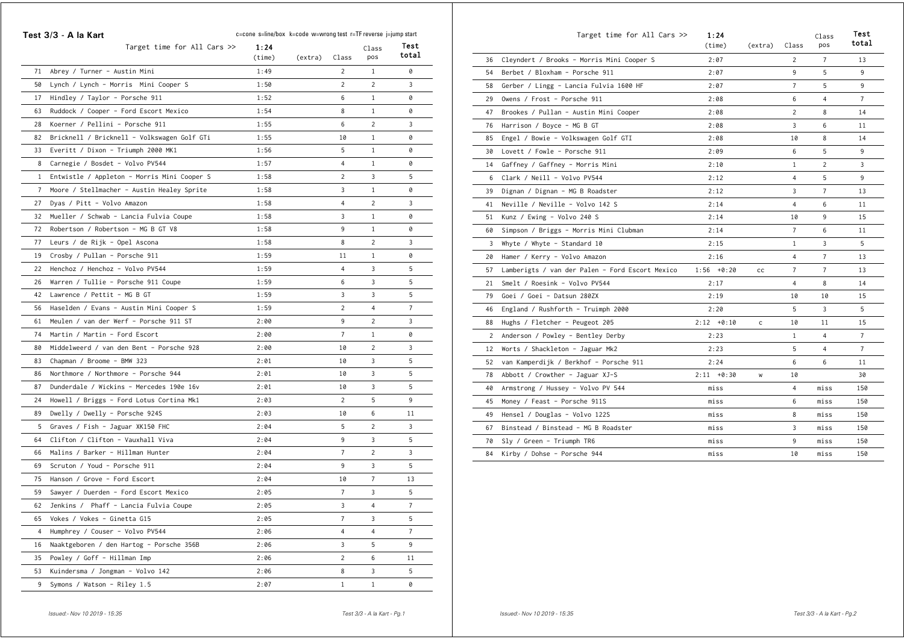|                | Test 3/3 - A la Kart                        | c=cone s=line/box k=code w=wrong test r=TF reverse j=jump start |         |                |                |                |
|----------------|---------------------------------------------|-----------------------------------------------------------------|---------|----------------|----------------|----------------|
|                | Target time for All Cars >>                 | 1:24<br>(time)                                                  | (extra) | Class          | Class<br>pos   | Test<br>total  |
| 71             | Abrey / Turner - Austin Mini                | 1:49                                                            |         | 2              | $\mathbf{1}$   | 0              |
| 50             | Lynch / Lynch - Morris Mini Cooper S        | 1:50                                                            |         | $\overline{c}$ | 2              | 3              |
| 17             | Hindley / Taylor - Porsche 911              | 1:52                                                            |         | 6              | $\mathbf{1}$   | 0              |
| 63             | Ruddock / Cooper - Ford Escort Mexico       | 1:54                                                            |         | 8              | $\mathbf{1}$   | 0              |
| 28             | Koerner / Pellini - Porsche 911             | 1:55                                                            |         | 6              | $\overline{2}$ | 3              |
| 82             | Bricknell / Bricknell - Volkswagen Golf GTi | 1:55                                                            |         | 10             | $\mathbf{1}$   | 0              |
| 33             | Everitt / Dixon - Triumph 2000 MK1          | 1:56                                                            |         | 5              | $\mathbf{1}$   | 0              |
| 8              | Carnegie / Bosdet - Volvo PV544             | 1:57                                                            |         | 4              | 1              | 0              |
| $\mathbf{1}$   | Entwistle / Appleton - Morris Mini Cooper S | 1:58                                                            |         | $\overline{2}$ | 3              | 5              |
| $\overline{7}$ | Moore / Stellmacher - Austin Healey Sprite  | 1:58                                                            |         | 3              | $\mathbf{1}$   | 0              |
| 27             | Dyas / Pitt - Volvo Amazon                  | 1:58                                                            |         | 4              | $\overline{2}$ | 3              |
| 32             | Mueller / Schwab - Lancia Fulvia Coupe      | 1:58                                                            |         | 3              | $\mathbf{1}$   | 0              |
| 72             | Robertson / Robertson - MG B GT V8          | 1:58                                                            |         | 9              | $\mathbf{1}$   | 0              |
| 77             | Leurs / de Rijk - Opel Ascona               | 1:58                                                            |         | 8              | $\overline{2}$ | 3              |
| 19             | Crosby / Pullan - Porsche 911               | 1:59                                                            |         | 11             | $\mathbf{1}$   | 0              |
| 22             | Henchoz / Henchoz - Volvo PV544             | 1:59                                                            |         | 4              | 3              | 5              |
| 26             | Warren / Tullie - Porsche 911 Coupe         | 1:59                                                            |         | 6              | 3              | 5              |
| 42             | Lawrence / Pettit - MG B GT                 | 1:59                                                            |         | 3              | 3              | 5              |
| 56             | Haselden / Evans - Austin Mini Cooper S     | 1:59                                                            |         | $\overline{c}$ | 4              | $\overline{7}$ |
| 61             | Meulen / van der Werf - Porsche 911 ST      | 2:00                                                            |         | 9              | $\overline{2}$ | 3              |
| 74             | Martin / Martin - Ford Escort               | 2:00                                                            |         | 7              | $\mathbf{1}$   | 0              |
| 80             | Middelweerd / van den Bent - Porsche 928    | 2:00                                                            |         | 10             | $\overline{2}$ | 3              |
| 83             | Chapman / Broome - BMW 323                  | 2:01                                                            |         | 10             | 3              | 5              |
| 86             | Northmore / Northmore - Porsche 944         | 2:01                                                            |         | 10             | 3              | 5              |
| 87             | Dunderdale / Wickins - Mercedes 190e 16v    | 2:01                                                            |         | 10             | 3              | 5              |
| 24             | Howell / Briggs - Ford Lotus Cortina Mk1    | 2:03                                                            |         | $\overline{2}$ | 5              | 9              |
| 89             | Dwelly / Dwelly - Porsche 924S              | 2:03                                                            |         | 10             | 6              | 11             |
| 5              | Graves / Fish - Jaguar XK150 FHC            | 2:04                                                            |         | 5              | $\overline{c}$ | 3              |
| 64             | Clifton / Clifton - Vauxhall Viva           | 2:04                                                            |         | 9              | 3              | 5              |
| 66             | Malins / Barker - Hillman Hunter            | 2:04                                                            |         | $\overline{7}$ | $\overline{c}$ | 3              |
| 69             | Scruton / Youd - Porsche 911                | 2:04                                                            |         | 9              | 3              | 5              |
| 75             | Hanson / Grove - Ford Escort                | 2:04                                                            |         | 10             | $\overline{7}$ | 13             |
| 59             | Sawyer / Duerden - Ford Escort Mexico       | 2:05                                                            |         | 7              | 3              | 5              |
| 62             | Jenkins / Phaff - Lancia Fulvia Coupe       | 2:05                                                            |         | 3              | $\overline{4}$ | $\overline{7}$ |
| 65             | Vokes / Vokes - Ginetta G15                 | 2:05                                                            |         | $\overline{7}$ | 3              | 5              |
| 4              | Humphrey / Couser - Volvo PV544             | 2:06                                                            |         | 4              | 4              | $\overline{7}$ |
| 16             | Naaktgeboren / den Hartog - Porsche 356B    | 2:06                                                            |         | 3              | 5              | 9              |
| 35             | Powley / Goff - Hillman Imp                 | 2:06                                                            |         | $\overline{2}$ | 6              | 11             |
| 53             | Kuindersma / Jongman - Volvo 142            | 2:06                                                            |         | 8              | 3              | 5              |
| 9              | Symons / Watson - Riley 1.5                 | 2:07                                                            |         | $1\,$          | $\mathbf{1}$   | 0              |

|                | Target time for All Cars $\gg$                  | 1:24<br>(time) | (extra)      | Class          | Class<br>pos   | Test<br>total  |
|----------------|-------------------------------------------------|----------------|--------------|----------------|----------------|----------------|
| 36             | Cleyndert / Brooks - Morris Mini Cooper S       | 2:07           |              | $\overline{2}$ | $\overline{7}$ | 13             |
| 54             | Berbet / Bloxham - Porsche 911                  | 2:07           |              | 9              | 5              | 9              |
| 58             | Gerber / Lingg - Lancia Fulvia 1600 HF          | 2:07           |              | $\overline{7}$ | 5              | 9              |
| 29             | Owens / Frost - Porsche 911                     | 2:08           |              | 6              | $\overline{4}$ | $\overline{7}$ |
| 47             | Brookes / Pullan - Austin Mini Cooper           | 2:08           |              | $\overline{2}$ | 8              | 14             |
| 76             | Harrison / Boyce - MG B GT                      | 2:08           |              | 3              | 6              | 11             |
| 85             | Engel / Bowie - Volkswagen Golf GTI             | 2:08           |              | 10             | 8              | 14             |
| 30             | Lovett / Fowle - Porsche 911                    | 2:09           |              | 6              | 5              | 9              |
| 14             | Gaffney / Gaffney - Morris Mini                 | 2:10           |              | $\mathbf{1}$   | $\overline{2}$ | 3              |
| 6              | Clark / Neill - Volvo PV544                     | 2:12           |              | 4              | 5              | 9              |
| 39             | Dignan / Dignan - MG B Roadster                 | 2:12           |              | 3              | 7              | 13             |
| 41             | Neville / Neville - Volvo 142 S                 | 2:14           |              | 4              | 6              | 11             |
| 51             | Kunz / Ewing - Volvo 240 S                      | 2:14           |              | 10             | 9              | 15             |
| 60             | Simpson / Briggs - Morris Mini Clubman          | 2:14           |              | $\overline{7}$ | 6              | 11             |
| 3              | Whyte / Whyte - Standard 10                     | 2:15           |              | $\mathbf{1}$   | 3              | 5              |
| 20             | Hamer / Kerry - Volvo Amazon                    | 2:16           |              | 4              | $\overline{7}$ | 13             |
| 57             | Lamberigts / van der Palen - Ford Escort Mexico | $1:56 + 0:20$  | cc           | $\overline{7}$ | $\overline{7}$ | 13             |
| 21             | Smelt / Roesink - Volvo PV544                   | 2:17           |              | 4              | 8              | 14             |
| 79             | Goei / Goei - Datsun 280ZX                      | 2:19           |              | 10             | 10             | 15             |
| 46             | England / Rushforth - Truimph 2000              | 2:20           |              | 5              | 3              | 5              |
| 88             | Hughs / Fletcher - Peugeot 205                  | $2:12 + 0:10$  | $\mathsf{C}$ | 10             | 11             | 15             |
| $\overline{2}$ | Anderson / Powley - Bentley Derby               | 2:23           |              | $\mathbf{1}$   | 4              | $\overline{7}$ |
| 12             | Worts / Shackleton - Jaguar Mk2                 | 2:23           |              | 5              | $\overline{4}$ | $\overline{7}$ |
| 52             | van Kamperdijk / Berkhof - Porsche 911          | 2:24           |              | 6              | 6              | 11             |
| 78             | Abbott / Crowther - Jaguar XJ-S                 | $2:11 + 0:30$  | W            | 10             |                | 30             |
| 40             | Armstrong / Hussey - Volvo PV 544               | miss           |              | 4              | miss           | 150            |
| 45             | Money / Feast - Porsche 911S                    | miss           |              | 6              | miss           | 150            |
| 49             | Hensel / Douglas - Volvo 122S                   | miss           |              | 8              | miss           | 150            |
| 67             | Binstead / Binstead - MG B Roadster             | miss           |              | 3              | miss           | 150            |
| 70             | Sly / Green - Triumph TR6                       | miss           |              | 9              | miss           | 150            |
| 84             | Kirby / Dohse - Porsche 944                     | miss           |              | 10             | miss           | 150            |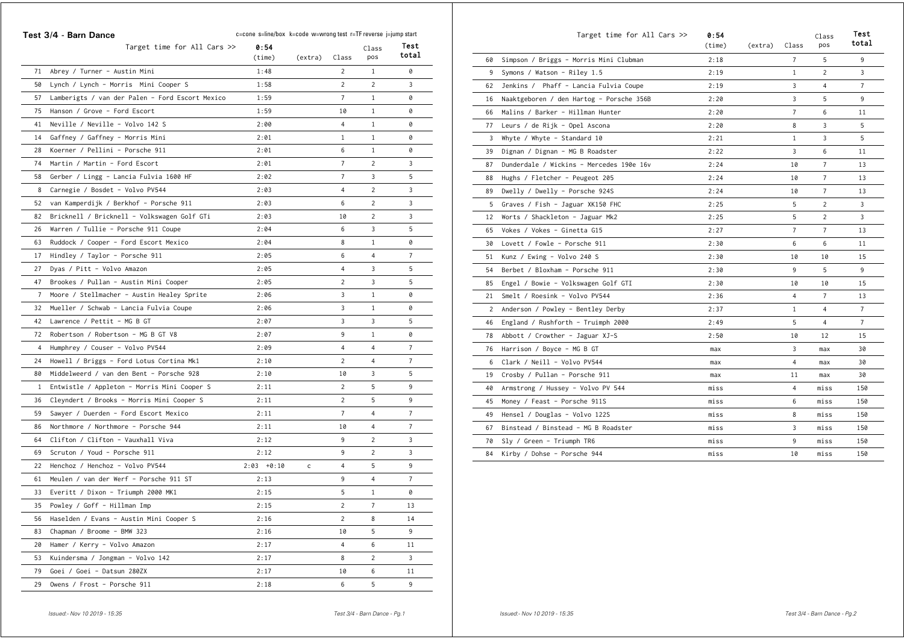|                | Test 3/4 - Barn Dance                           | c=cone s=line/box k=code w=wrong test r=TF reverse j=jump start |         |                |                |                |
|----------------|-------------------------------------------------|-----------------------------------------------------------------|---------|----------------|----------------|----------------|
|                | Target time for All Cars >>                     | 0:54<br>(time)                                                  | (extra) | Class          | Class<br>pos   | Test<br>total  |
| 71             | Abrey / Turner - Austin Mini                    | 1:48                                                            |         | 2              | $\mathbf{1}$   | 0              |
| 50             | Lynch / Lynch - Morris Mini Cooper S            | 1:58                                                            |         | $\overline{c}$ | 2              | 3              |
| 57             | Lamberigts / van der Palen - Ford Escort Mexico | 1:59                                                            |         | $\overline{7}$ | $\mathbf{1}$   | 0              |
| 75             | Hanson / Grove - Ford Escort                    | 1:59                                                            |         | 10             | $\mathbf{1}$   | 0              |
| 41             | Neville / Neville - Volvo 142 S                 | 2:00                                                            |         | $\overline{4}$ | $\mathbf{1}$   | 0              |
| 14             | Gaffney / Gaffney - Morris Mini                 | 2:01                                                            |         | $\mathbf{1}$   | $\mathbf{1}$   | 0              |
| 28             | Koerner / Pellini - Porsche 911                 | 2:01                                                            |         | 6              | $\,1$          | 0              |
| 74             | Martin / Martin - Ford Escort                   | 2:01                                                            |         | $\overline{7}$ | 2              | 3              |
| 58             | Gerber / Lingg - Lancia Fulvia 1600 HF          | 2:02                                                            |         | $\overline{7}$ | 3              | 5              |
| 8              | Carnegie / Bosdet - Volvo PV544                 | 2:03                                                            |         | $\overline{4}$ | $\overline{2}$ | 3              |
| 52             | van Kamperdijk / Berkhof - Porsche 911          | 2:03                                                            |         | 6              | $\overline{2}$ | 3              |
| 82             | Bricknell / Bricknell - Volkswagen Golf GTi     | 2:03                                                            |         | 10             | 2              | 3              |
| 26             | Warren / Tullie - Porsche 911 Coupe             | 2:04                                                            |         | 6              | 3              | 5              |
| 63             | Ruddock / Cooper - Ford Escort Mexico           | 2:04                                                            |         | 8              | $\mathbf{1}$   | 0              |
| 17             | Hindley / Taylor - Porsche 911                  | 2:05                                                            |         | 6              | $\overline{4}$ | $\overline{7}$ |
| 27             | Dyas / Pitt - Volvo Amazon                      | 2:05                                                            |         | $\overline{4}$ | 3              | 5              |
| 47             | Brookes / Pullan - Austin Mini Cooper           | 2:05                                                            |         | $\overline{c}$ | 3              | 5              |
| $\overline{7}$ | Moore / Stellmacher - Austin Healey Sprite      | 2:06                                                            |         | 3              | $\mathbf{1}$   | 0              |
| 32             | Mueller / Schwab - Lancia Fulvia Coupe          | 2:06                                                            |         | 3              | $\mathbf{1}$   | 0              |
| 42             | Lawrence / Pettit - MG B GT                     | 2:07                                                            |         | 3              | 3              | 5              |
| 72             | Robertson / Robertson - MG B GT V8              | 2:07                                                            |         | 9              | $\mathbf{1}$   | 0              |
| $\overline{4}$ | Humphrey / Couser - Volvo PV544                 | 2:09                                                            |         | 4              | 4              | 7              |
| 24             | Howell / Briggs - Ford Lotus Cortina Mk1        | 2:10                                                            |         | $\overline{c}$ | $\overline{4}$ | $\overline{7}$ |
| 80             | Middelweerd / van den Bent - Porsche 928        | 2:10                                                            |         | 10             | 3              | 5              |
| $\mathbf{1}$   | Entwistle / Appleton - Morris Mini Cooper S     | 2:11                                                            |         | $\overline{c}$ | 5              | 9              |
| 36             | Cleyndert / Brooks - Morris Mini Cooper S       | 2:11                                                            |         | $\overline{2}$ | 5              | 9              |
| 59             | Sawyer / Duerden - Ford Escort Mexico           | 2:11                                                            |         | $\overline{7}$ | $\overline{4}$ | $\overline{7}$ |
| 86             | Northmore / Northmore - Porsche 944             | 2:11                                                            |         | 10             | 4              | $\overline{7}$ |
| 64             | Clifton / Clifton - Vauxhall Viva               | 2:12                                                            |         | 9              | $\overline{c}$ | 3              |
| 69             | Scruton / Youd - Porsche 911                    | 2:12                                                            |         | 9              | $\overline{c}$ | 3              |
| 22             | Henchoz / Henchoz - Volvo PV544                 | $2:03 + 0:10$                                                   | c       | $\overline{4}$ | 5              | 9              |
| 61             | Meulen / van der Werf - Porsche 911 ST          | 2:13                                                            |         | 9              | $\overline{4}$ | $\overline{7}$ |
| 33             | Everitt / Dixon - Triumph 2000 MK1              | 2:15                                                            |         | 5              | $\mathbf{1}$   | 0              |
| 35             | Powley / Goff - Hillman Imp                     | 2:15                                                            |         | 2              | 7              | 13             |
| 56             | Haselden / Evans - Austin Mini Cooper S         | 2:16                                                            |         | $\overline{2}$ | 8              | 14             |
| 83             | Chapman / Broome - BMW 323                      | 2:16                                                            |         | 10             | 5              | 9              |
| 20             | Hamer / Kerry - Volvo Amazon                    | 2:17                                                            |         | 4              | 6              | 11             |
| 53             | Kuindersma / Jongman - Volvo 142                | 2:17                                                            |         | 8              | 2              | 3              |
| 79             | Goei / Goei - Datsun 280ZX                      | 2:17                                                            |         | 10             | 6              | 11             |
| 29             | Owens / Frost - Porsche 911                     | 2:18                                                            |         | 6              | 5              | 9              |

|                | Target time for All Cars >>              | 0:54<br>(time) | (extra) | Class          | Class<br>pos   | Test<br>total  |
|----------------|------------------------------------------|----------------|---------|----------------|----------------|----------------|
| 60             | Simpson / Briggs - Morris Mini Clubman   | 2:18           |         | $\overline{7}$ | 5              | 9              |
| 9              | Symons / Watson - Riley 1.5              | 2:19           |         | $\mathbf{1}$   | $\overline{c}$ | 3              |
| 62             | Jenkins / Phaff - Lancia Fulvia Coupe    | 2:19           |         | 3              | $\overline{4}$ | $\overline{7}$ |
| 16             | Naaktgeboren / den Hartog - Porsche 356B | 2:20           |         | 3              | 5              | 9              |
| 66             | Malins / Barker - Hillman Hunter         | 2:20           |         | $\overline{7}$ | 6              | 11             |
| 77             | Leurs / de Rijk - Opel Ascona            | 2:20           |         | 8              | 3              | 5              |
| 3              | Whyte / Whyte - Standard 10              | 2:21           |         | $\mathbf{1}$   | 3              | 5              |
| 39             | Dignan / Dignan - MG B Roadster          | 2:22           |         | 3              | 6              | 11             |
| 87             | Dunderdale / Wickins - Mercedes 190e 16v | 2:24           |         | 10             | $\overline{7}$ | 13             |
| 88             | Hughs / Fletcher - Peugeot 205           | 2:24           |         | 10             | $\overline{7}$ | 13             |
| 89             | Dwelly / Dwelly - Porsche 924S           | 2:24           |         | 10             | $\overline{7}$ | 13             |
| 5              | Graves / Fish - Jaguar XK150 FHC         | 2:25           |         | 5              | 2              | 3              |
| 12             | Worts / Shackleton - Jaguar Mk2          | 2:25           |         | 5              | 2              | 3              |
| 65             | Vokes / Vokes - Ginetta G15              | 2:27           |         | $\overline{7}$ | $\overline{7}$ | 13             |
| 30             | Lovett / Fowle - Porsche 911             | 2:30           |         | 6              | 6              | 11             |
| 51             | Kunz / Ewing - Volvo 240 S               | 2:30           |         | 10             | 10             | 15             |
| 54             | Berbet / Bloxham - Porsche 911           | 2:30           |         | 9              | 5              | 9              |
| 85             | Engel / Bowie - Volkswagen Golf GTI      | 2:30           |         | 10             | 10             | 15             |
| 21             | Smelt / Roesink - Volvo PV544            | 2:36           |         | 4              | $\overline{7}$ | 13             |
| $\overline{c}$ | Anderson / Powley - Bentley Derby        | 2:37           |         | $\mathbf{1}$   | 4              | $\overline{7}$ |
| 46             | England / Rushforth - Truimph 2000       | 2:49           |         | 5              | $\overline{4}$ | $\overline{7}$ |
| 78             | Abbott / Crowther - Jaguar XJ-S          | 2:50           |         | 10             | 12             | 15             |
| 76             | Harrison / Boyce - MG B GT               | max            |         | 3              | max            | 30             |
| 6              | Clark / Neill - Volvo PV544              | max            |         | 4              | max            | 30             |
| 19             | Crosby / Pullan - Porsche 911            | max            |         | 11             | max            | 30             |
| 40             | Armstrong / Hussey - Volvo PV 544        | miss           |         | 4              | miss           | 150            |
| 45             | Money / Feast - Porsche 911S             | miss           |         | 6              | miss           | 150            |
| 49             | Hensel / Douglas - Volvo 122S            | miss           |         | 8              | miss           | 150            |
| 67             | Binstead / Binstead - MG B Roadster      | miss           |         | 3              | miss           | 150            |
| 70             | Sly / Green - Triumph TR6                | miss           |         | 9              | miss           | 150            |
| 84             | Kirby / Dohse - Porsche 944              | miss           |         | 10             | miss           | 150            |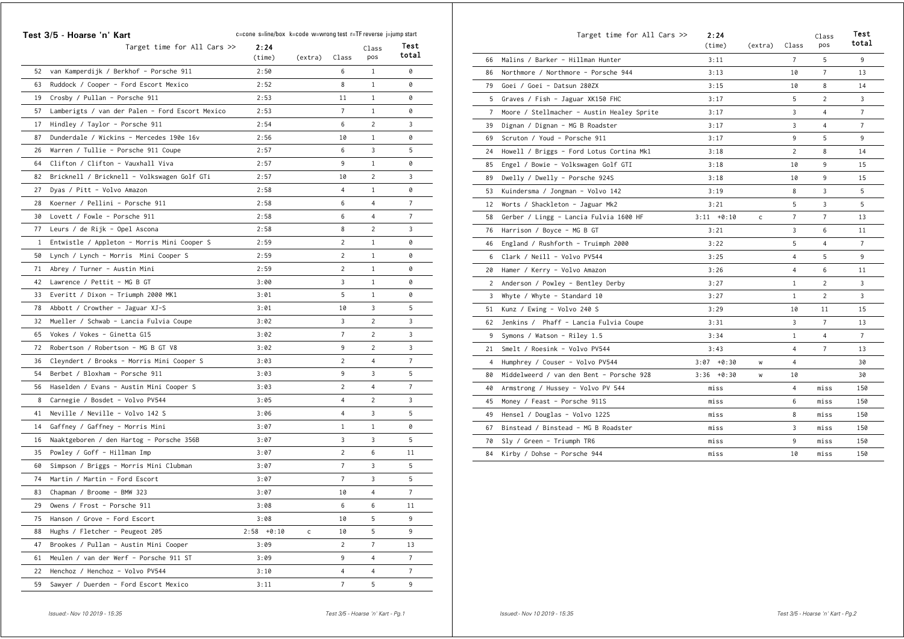|              | Test 3/5 - Hoarse 'n' Kart                      | c=cone s=line/box k=code w=wrong test r=TF reverse j=jump start |         |                |                 |                |
|--------------|-------------------------------------------------|-----------------------------------------------------------------|---------|----------------|-----------------|----------------|
|              | Target time for All Cars $\gg$                  | 2:24<br>(time)                                                  | (extra) | Class          | Class<br>pos    | Test<br>total  |
| 52           | van Kamperdijk / Berkhof - Porsche 911          | 2:50                                                            |         | 6              | $\mathbf{1}$    | 0              |
| 63           | Ruddock / Cooper - Ford Escort Mexico           | 2:52                                                            |         | 8              | 1               | 0              |
| 19           | Crosby / Pullan - Porsche 911                   | 2:53                                                            |         | 11             | 1               | 0              |
| 57           | Lamberigts / van der Palen - Ford Escort Mexico | 2:53                                                            |         | 7              | $\mathbf{1}$    | 0              |
| 17           | Hindley / Taylor - Porsche 911                  | 2:54                                                            |         | 6              | 2               | 3              |
| 87           | Dunderdale / Wickins - Mercedes 190e 16v        | 2:56                                                            |         | 10             | $\mathbf{1}$    | 0              |
| 26           | Warren / Tullie - Porsche 911 Coupe             | 2:57                                                            |         | 6              | 3               | 5              |
| 64           | Clifton / Clifton - Vauxhall Viva               | 2:57                                                            |         | 9              | $\mathbf{1}$    | 0              |
| 82           | Bricknell / Bricknell - Volkswagen Golf GTi     | 2:57                                                            |         | 10             | 2               | 3              |
| 27           | Dyas / Pitt - Volvo Amazon                      | 2:58                                                            |         | 4              | $\mathbf{1}$    | 0              |
| 28           | Koerner / Pellini - Porsche 911                 | 2:58                                                            |         | 6              | 4               | $\overline{7}$ |
| 30           | Lovett / Fowle - Porsche 911                    | 2:58                                                            |         | 6              | 4               | 7              |
| 77           | Leurs / de Rijk - Opel Ascona                   | 2:58                                                            |         | 8              | 2               | 3              |
| $\mathbf{1}$ | Entwistle / Appleton - Morris Mini Cooper S     | 2:59                                                            |         | 2              | 1               | 0              |
| 50           | Lynch / Lynch - Morris Mini Cooper S            | 2:59                                                            |         | $\overline{c}$ | 1               | 0              |
| 71           | Abrey / Turner - Austin Mini                    | 2:59                                                            |         | 2              | 1               | 0              |
| 42           | Lawrence / Pettit - MG B GT                     | 3:00                                                            |         | 3              | $\mathbf{1}$    | 0              |
| 33           | Everitt / Dixon - Triumph 2000 MK1              | 3:01                                                            |         | 5              | $\mathbf{1}$    | 0              |
| 78           | Abbott / Crowther - Jaguar XJ-S                 | 3:01                                                            |         | 10             | 3               | 5              |
| 32           | Mueller / Schwab - Lancia Fulvia Coupe          | 3:02                                                            |         | 3              | 2               | 3              |
| 65           | Vokes / Vokes - Ginetta G15                     | 3:02                                                            |         | $\overline{7}$ | 2               | 3              |
| 72           | Robertson / Robertson - MG B GT V8              | 3:02                                                            |         | 9              | 2               | 3              |
| 36           | Cleyndert / Brooks - Morris Mini Cooper S       | 3:03                                                            |         | 2              | 4               | $\overline{7}$ |
| 54           | Berbet / Bloxham - Porsche 911                  | 3:03                                                            |         | 9              | 3               | 5              |
| 56           | Haselden / Evans - Austin Mini Cooper S         | 3:03                                                            |         | $\overline{c}$ | 4               | $\overline{7}$ |
| 8            | Carnegie / Bosdet - Volvo PV544                 | 3:05                                                            |         | 4              | $\overline{c}$  | 3              |
| 41           | Neville / Neville - Volvo 142 S                 | 3:06                                                            |         | 4              | 3               | 5              |
| 14           | Gaffney / Gaffney - Morris Mini                 | 3:07                                                            |         | $\mathbf{1}$   | $\mathbf{1}$    | 0              |
| 16           | Naaktgeboren / den Hartog - Porsche 356B        | 3:07                                                            |         | 3              | 3               | 5              |
| 35           | Powley / Goff - Hillman Imp                     | 3:07                                                            |         | 2              | 6               | 11             |
| 60           | Simpson / Briggs - Morris Mini Clubman          | 3:07                                                            |         | $\overline{7}$ | 3               | 5              |
| 74           | Martin / Martin - Ford Escort                   | 3:07                                                            |         | $\overline{7}$ | 3               | 5              |
| 83           | Chapman / Broome - BMW 323                      | 3:07                                                            |         | 10             | 4               | 7              |
| 29           | Owens / Frost - Porsche 911                     | 3:08                                                            |         | 6              | 6               | 11             |
| 75           | Hanson / Grove - Ford Escort                    | 3:08                                                            |         | 10             | 5               | 9              |
| 88           | Hughs / Fletcher - Peugeot 205                  | $2:58 + 0:10$                                                   | c       | 10             | 5               | 9              |
| 47           | Brookes / Pullan - Austin Mini Cooper           | 3:09                                                            |         | $\overline{2}$ | $7\overline{ }$ | 13             |
| 61           | Meulen / van der Werf - Porsche 911 ST          | 3:09                                                            |         | 9              | 4               | $\overline{7}$ |
| 22           | Henchoz / Henchoz - Volvo PV544                 | 3:10                                                            |         | 4              | $\overline{4}$  | $\overline{7}$ |
| 59           | Sawyer / Duerden - Ford Escort Mexico           | 3:11                                                            |         | 7 <sup>7</sup> | 5               | 9              |

|                | Target time for All Cars $\gg$             | 2:24<br>(time) | (extra) | Class          | Class<br>pos   | Test<br>total  |
|----------------|--------------------------------------------|----------------|---------|----------------|----------------|----------------|
| 66             | Malins / Barker - Hillman Hunter           | 3:11           |         | $\overline{7}$ | 5              | 9              |
| 86             | Northmore / Northmore - Porsche 944        | 3:13           |         | 10             | $\overline{7}$ | 13             |
| 79             | Goei / Goei - Datsun 280ZX                 | 3:15           |         | 10             | 8              | 14             |
| 5              | Graves / Fish - Jaguar XK150 FHC           | 3:17           |         | 5              | $\overline{2}$ | 3              |
| $7^{\circ}$    | Moore / Stellmacher - Austin Healey Sprite | 3:17           |         | 3              | $\overline{4}$ | $\overline{7}$ |
| 39             | Dignan / Dignan - MG B Roadster            | 3:17           |         | 3              | 4              | $\overline{7}$ |
| 69             | Scruton / Youd - Porsche 911               | 3:17           |         | 9              | 5              | 9              |
| 24             | Howell / Briggs - Ford Lotus Cortina Mk1   | 3:18           |         | $\overline{2}$ | 8              | 14             |
| 85             | Engel / Bowie - Volkswagen Golf GTI        | 3:18           |         | 10             | 9              | 15             |
| 89             | Dwelly / Dwelly - Porsche 924S             | 3:18           |         | 10             | 9              | 15             |
| 53             | Kuindersma / Jongman - Volvo 142           | 3:19           |         | 8              | 3              | 5              |
| 12             | Worts / Shackleton - Jaguar Mk2            | 3:21           |         | 5              | 3              | 5              |
| 58             | Gerber / Lingg - Lancia Fulvia 1600 HF     | $3:11 + 0:10$  | c       | $\overline{7}$ | $\overline{7}$ | 13             |
| 76             | Harrison / Boyce - MG B GT                 | 3:21           |         | 3              | 6              | 11             |
| 46             | England / Rushforth - Truimph 2000         | 3:22           |         | 5              | 4              | $\overline{7}$ |
| 6              | Clark / Neill - Volvo PV544                | 3:25           |         | 4              | 5              | 9              |
| 20             | Hamer / Kerry - Volvo Amazon               | 3:26           |         | $\overline{4}$ | 6              | 11             |
| $\overline{2}$ | Anderson / Powley - Bentley Derby          | 3:27           |         | $\mathbf{1}$   | 2              | 3              |
| 3              | Whyte / Whyte - Standard 10                | 3:27           |         | $\mathbf{1}$   | $\overline{2}$ | 3              |
| 51             | Kunz / Ewing - Volvo 240 S                 | 3:29           |         | 10             | 11             | 15             |
| 62             | Jenkins / Phaff - Lancia Fulvia Coupe      | 3:31           |         | 3              | $\overline{7}$ | 13             |
| 9              | Symons / Watson - Riley 1.5                | 3:34           |         | $\mathbf{1}$   | 4              | $\overline{7}$ |
| 21             | Smelt / Roesink - Volvo PV544              | 3:43           |         | 4              | $\overline{7}$ | 13             |
| $\overline{4}$ | Humphrey / Couser - Volvo PV544            | $3:07 + 0:30$  | W       | 4              |                | 30             |
| 80             | Middelweerd / van den Bent - Porsche 928   | $3:36 + 0:30$  | w       | 10             |                | 30             |
| 40             | Armstrong / Hussey - Volvo PV 544          | miss           |         | 4              | miss           | 150            |
| 45             | Money / Feast - Porsche 911S               | miss           |         | 6              | miss           | 150            |
| 49             | Hensel / Douglas - Volvo 122S              | miss           |         | 8              | miss           | 150            |
| 67             | Binstead / Binstead - MG B Roadster        | miss           |         | 3              | miss           | 150            |
| 70             | Sly / Green - Triumph TR6                  | miss           |         | 9              | miss           | 150            |
| 84             | Kirby / Dohse - Porsche 944                | miss           |         | 10             | miss           | 150            |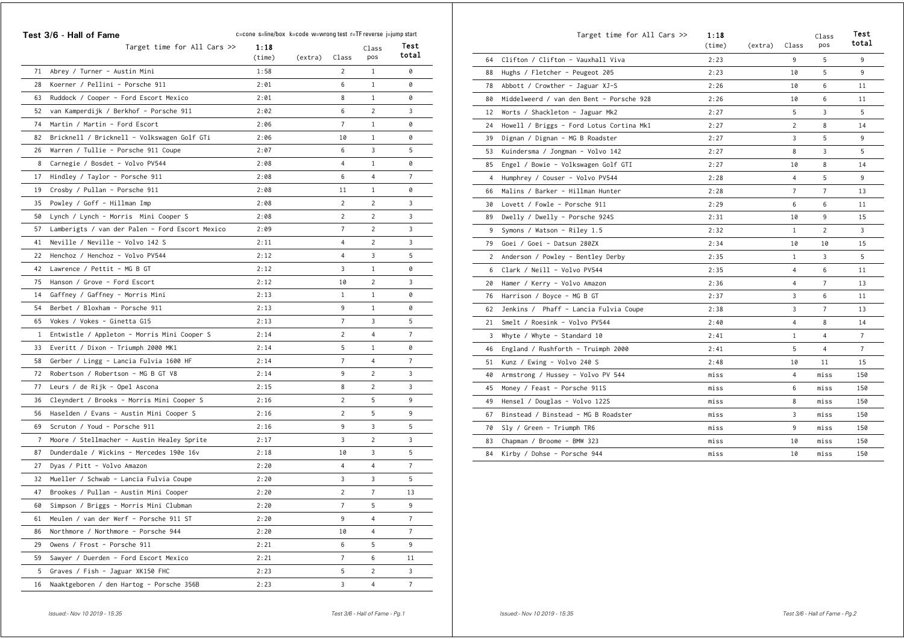|    | Target time for All Cars $\gg$                                                     | 1:18<br>(time) | (extra) | Class          | Class<br>pos   | Test<br>total   |
|----|------------------------------------------------------------------------------------|----------------|---------|----------------|----------------|-----------------|
| 71 | Abrey / Turner - Austin Mini                                                       | 1:58           |         | 2              | 1              | 0               |
| 28 | Koerner / Pellini - Porsche 911                                                    | 2:01           |         | 6              | $\mathbf{1}$   | 0               |
| 63 | Ruddock / Cooper - Ford Escort Mexico                                              | 2:01           |         | 8              | 1              | 0               |
| 52 | van Kamperdijk / Berkhof - Porsche 911                                             | 2:02           |         | 6              | 2              | 3               |
| 74 | Martin / Martin - Ford Escort                                                      | 2:06           |         | 7              | $\mathbf{1}$   | 0               |
| 82 | Bricknell / Bricknell - Volkswagen Golf GTi                                        | 2:06           |         | 10             | $\mathbf{1}$   | 0               |
| 26 | Warren / Tullie - Porsche 911 Coupe                                                | 2:07           |         | 6              | 3              | 5               |
| 8  | Carnegie / Bosdet - Volvo PV544                                                    | 2:08           |         | 4              | $\mathbf{1}$   | 0               |
| 17 | Hindley / Taylor - Porsche 911                                                     | 2:08           |         | 6              | 4              | 7               |
| 19 | Crosby / Pullan - Porsche 911                                                      | 2:08           |         | 11             | 1              | 0               |
| 35 | Powley / Goff - Hillman Imp                                                        | 2:08           |         | 2              | 2              | 3               |
| 50 |                                                                                    | 2:08           |         | 2              | 2              | 3               |
| 57 | Lynch / Lynch - Morris Mini Cooper S                                               | 2:09           |         | 7              | 2              | 3               |
| 41 | Lamberigts / van der Palen - Ford Escort Mexico<br>Neville / Neville - Volvo 142 S | 2:11           |         | 4              | 2              | 3               |
| 22 | Henchoz / Henchoz - Volvo PV544                                                    | 2:12           |         | 4              | 3              | 5               |
| 42 | Lawrence / Pettit - MG B GT                                                        | 2:12           |         | 3              | $\mathbf{1}$   | 0               |
| 75 | Hanson / Grove - Ford Escort                                                       | 2:12           |         | 10             | 2              | 3               |
| 14 | Gaffney / Gaffney - Morris Mini                                                    | 2:13           |         | $\mathbf{1}$   | $\mathbf{1}$   | 0               |
| 54 | Berbet / Bloxham - Porsche 911                                                     | 2:13           |         | 9              | $\mathbf{1}$   | 0               |
| 65 | Vokes / Vokes - Ginetta G15                                                        | 2:13           |         | $\overline{7}$ | 3              | 5               |
| 1  | Entwistle / Appleton - Morris Mini Cooper S                                        | 2:14           |         | 2              | 4              | 7               |
| 33 | Everitt / Dixon - Triumph 2000 MK1                                                 | 2:14           |         | 5              | 1              | 0               |
| 58 | Gerber / Lingg - Lancia Fulvia 1600 HF                                             | 2:14           |         | 7              | 4              | 7               |
| 72 | Robertson / Robertson - MG B GT V8                                                 | 2:14           |         | 9              | 2              | 3               |
| 77 | Leurs / de Rijk - Opel Ascona                                                      | 2:15           |         | 8              | 2              | 3               |
| 36 | Cleyndert / Brooks - Morris Mini Cooper S                                          | 2:16           |         | 2              | 5              | 9               |
| 56 | Haselden / Evans - Austin Mini Cooper S                                            | 2:16           |         | 2              | 5              | 9               |
| 69 | Scruton / Youd - Porsche 911                                                       | 2:16           |         | 9              | 3              | 5               |
| 7  | Moore / Stellmacher - Austin Healey Sprite                                         | 2:17           |         | 3              | 2              | 3               |
| 87 | Dunderdale / Wickins - Mercedes 190e 16v                                           | 2:18           |         | 10             | 3              | 5               |
| 27 | Dyas / Pitt - Volvo Amazon                                                         | 2:20           |         | 4              | 4              | 7               |
| 32 | Mueller / Schwab - Lancia Fulvia Coupe                                             | 2:20           |         | 3              | 3              | 5               |
| 47 | Brookes / Pullan - Austin Mini Cooper                                              | 2:20           |         | 2              | 7              | 13              |
|    | 60 Simpson / Briggs - Morris Mini Clubman                                          | 2:20           |         | $7^{\circ}$    | 5              | 9               |
| 61 | Meulen / van der Werf - Porsche 911 ST                                             | 2:20           |         | 9              | 4              | 7               |
| 86 | Northmore / Northmore - Porsche 944                                                | 2:20           |         | 10             | $\overline{4}$ | $\overline{7}$  |
| 29 | Owens / Frost - Porsche 911                                                        | 2:21           |         | 6              | 5              | 9               |
| 59 | Sawyer / Duerden - Ford Escort Mexico                                              | 2:21           |         | $\overline{7}$ | 6              | 11              |
| 5  | Graves / Fish - Jaguar XK150 FHC                                                   | 2:23           |         | 5              | 2              | 3               |
| 16 | Naaktgeboren / den Hartog - Porsche 356B                                           | 2:23           |         | 3              | $\overline{4}$ | $7\overline{ }$ |

|    | Target time for All Cars $\gg$           | 1:18<br>(time) | (extra) | Class          | Class<br>pos   | Test<br>total   |
|----|------------------------------------------|----------------|---------|----------------|----------------|-----------------|
| 64 | Clifton / Clifton - Vauxhall Viva        | 2:23           |         | 9              | 5              | 9               |
| 88 | Hughs / Fletcher - Peugeot 205           | 2:23           |         | 10             | 5              | 9               |
| 78 | Abbott / Crowther - Jaguar XJ-S          | 2:26           |         | 10             | 6              | 11              |
| 80 | Middelweerd / van den Bent - Porsche 928 | 2:26           |         | 10             | 6              | 11              |
| 12 | Worts / Shackleton - Jaguar Mk2          | 2:27           |         | 5              | 3              | 5               |
| 24 | Howell / Briggs - Ford Lotus Cortina Mk1 | 2:27           |         | 2              | 8              | 14              |
| 39 | Dignan / Dignan - MG B Roadster          | 2:27           |         | 3              | 5              | 9               |
| 53 | Kuindersma / Jongman – Volvo 142         | 2:27           |         | 8              | 3              | 5               |
| 85 | Engel / Bowie - Volkswagen Golf GTI      | 2:27           |         | 10             | 8              | 14              |
| 4  | Humphrey / Couser - Volvo PV544          | 2:28           |         | 4              | 5              | 9               |
| 66 | Malins / Barker - Hillman Hunter         | 2:28           |         | $\overline{7}$ | $\overline{7}$ | 13              |
| 30 | Lovett / Fowle - Porsche 911             | 2:29           |         | 6              | 6              | 11              |
| 89 | Dwelly / Dwelly - Porsche 924S           | 2:31           |         | 10             | 9              | 15              |
| 9  | Symons / Watson – Riley 1.5              | 2:32           |         | $\mathbf{1}$   | 2              | 3               |
| 79 | Goei / Goei - Datsun 280ZX               | 2:34           |         | 10             | 10             | 15              |
| 2  | Anderson / Powley - Bentley Derby        | 2:35           |         | $\mathbf{1}$   | 3              | 5               |
| 6  | Clark / Neill - Volvo PV544              | 2:35           |         | 4              | 6              | 11              |
| 20 | Hamer / Kerry - Volvo Amazon             | 2:36           |         | 4              | $\overline{7}$ | 13              |
| 76 | Harrison / Boyce - MG B GT               | 2:37           |         | 3              | 6              | 11              |
| 62 | Jenkins / Phaff - Lancia Fulvia Coupe    | 2:38           |         | 3              | $\overline{7}$ | 13              |
| 21 | Smelt / Roesink - Volvo PV544            | 2:40           |         | 4              | 8              | 14              |
| 3  | Whyte / Whyte - Standard 10              | 2:41           |         | $\mathbf{1}$   | $\overline{4}$ | $7\overline{ }$ |
| 46 | England / Rushforth - Truimph 2000       | 2:41           |         | 5              | $\overline{4}$ | $\overline{7}$  |
| 51 | Kunz / Ewing - Volvo 240 S               | 2:48           |         | 10             | 11             | 15              |
| 40 | Armstrong / Hussey - Volvo PV 544        | miss           |         | 4              | miss           | 150             |
| 45 | Money / Feast - Porsche 911S             | miss           |         | 6              | miss           | 150             |
| 49 | Hensel / Douglas - Volvo 122S            | miss           |         | 8              | miss           | 150             |
| 67 | Binstead / Binstead - MG B Roadster      | miss           |         | 3              | miss           | 150             |
| 70 | Sly / Green - Triumph TR6                | miss           |         | 9              | miss           | 150             |
| 83 | Chapman / Broome - BMW 323               | miss           |         | 10             | miss           | 150             |
| 84 | Kirby / Dohse - Porsche 944              | miss           |         | 10             | miss           | 150             |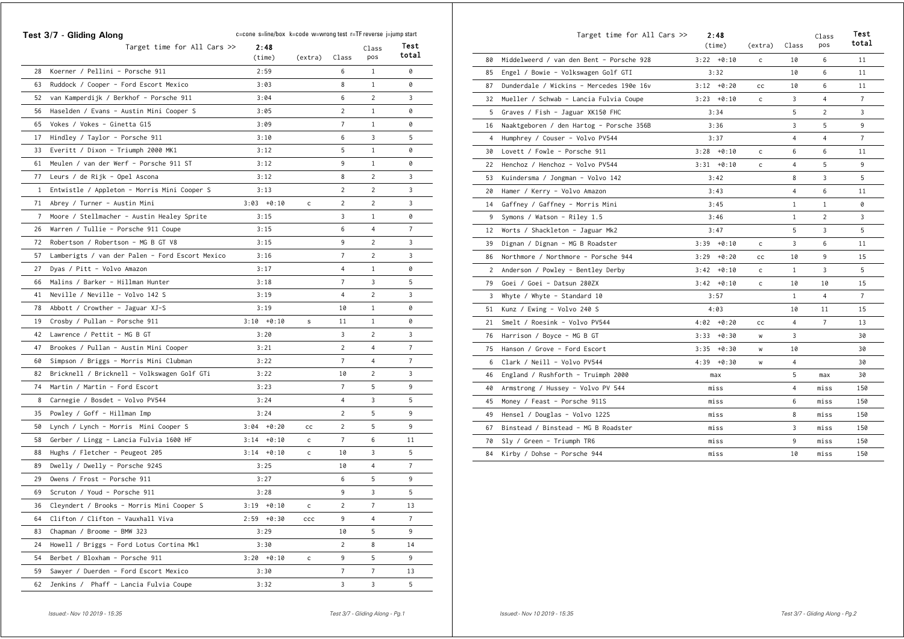|              | Test 3/7 - Gliding Along                        | c=cone s=line/box k=code w=wrong test r=TF reverse j=jump start<br>2:48 |              |                |              | Test           |
|--------------|-------------------------------------------------|-------------------------------------------------------------------------|--------------|----------------|--------------|----------------|
|              | Target time for All Cars $\gg$                  | (time)                                                                  | (extra)      | Class          | Class<br>pos | total          |
| 28           | Koerner / Pellini - Porsche 911                 | 2:59                                                                    |              | 6              | 1            | 0              |
| 63           | Ruddock / Cooper - Ford Escort Mexico           | 3:03                                                                    |              | 8              | $\mathbf{1}$ | 0              |
| 52           | van Kamperdijk / Berkhof - Porsche 911          | 3:04                                                                    |              | 6              | 2            | 3              |
| 56           | Haselden / Evans - Austin Mini Cooper S         | 3:05                                                                    |              | 2              | 1            | 0              |
| 65           | Vokes / Vokes - Ginetta G15                     | 3:09                                                                    |              | 7              | $\mathbf{1}$ | 0              |
| 17           | Hindley / Taylor - Porsche 911                  | 3:10                                                                    |              | 6              | 3            | 5              |
| 33           | Everitt / Dixon - Triumph 2000 MK1              | 3:12                                                                    |              | 5              | 1            | 0              |
| 61           | Meulen / van der Werf - Porsche 911 ST          | 3:12                                                                    |              | 9              | 1            | 0              |
| 77           | Leurs / de Rijk - Opel Ascona                   | 3:12                                                                    |              | 8              | 2            | 3              |
| $\mathbf{1}$ | Entwistle / Appleton - Morris Mini Cooper S     | 3:13                                                                    |              | 2              | 2            | 3              |
| 71           | Abrey / Turner - Austin Mini                    | $3:03 + 0:10$                                                           | c            | 2              | 2            | 3              |
| $7^{\circ}$  | Moore / Stellmacher - Austin Healey Sprite      | 3:15                                                                    |              | 3              | 1            | 0              |
| 26           | Warren / Tullie - Porsche 911 Coupe             | 3:15                                                                    |              | 6              | 4            | $\overline{7}$ |
| 72           | Robertson / Robertson - MG B GT V8              | 3:15                                                                    |              | 9              | 2            | 3              |
| 57           | Lamberigts / van der Palen - Ford Escort Mexico | 3:16                                                                    |              | 7              | 2            | 3              |
| 27           | Dyas / Pitt - Volvo Amazon                      | 3:17                                                                    |              | 4              | 1            | 0              |
| 66           | Malins / Barker - Hillman Hunter                | 3:18                                                                    |              | $\overline{7}$ | 3            | 5              |
| 41           | Neville / Neville - Volvo 142 S                 | 3:19                                                                    |              | 4              | 2            | 3              |
| 78           | Abbott / Crowther - Jaguar XJ-S                 | 3:19                                                                    |              | 10             | 1            | 0              |
| 19           | Crosby / Pullan - Porsche 911                   | $3:10 + 0:10$                                                           | $\mathsf s$  | 11             | 1            | 0              |
| 42           | Lawrence / Pettit - MG B GT                     | 3:20                                                                    |              | 3              | 2            | 3              |
| 47           | Brookes / Pullan - Austin Mini Cooper           | 3:21                                                                    |              | $\overline{c}$ | 4            | 7              |
| 60           | Simpson / Briggs - Morris Mini Clubman          | 3:22                                                                    |              | 7              | 4            | 7              |
| 82           | Bricknell / Bricknell – Volkswagen Golf GTi     | 3:22                                                                    |              | 10             | 2            | 3              |
| 74           | Martin / Martin - Ford Escort                   | 3:23                                                                    |              | 7              | 5            | 9              |
| 8            | Carnegie / Bosdet - Volvo PV544                 | 3:24                                                                    |              | 4              | 3            | 5              |
| 35           | Powley / Goff - Hillman Imp                     | 3:24                                                                    |              | 2              | 5            | 9              |
| 50           | Lynch / Lynch - Morris Mini Cooper S            | $3:04 + 0:20$                                                           | cс           | $\overline{c}$ | 5            | 9              |
| 58           | Gerber / Lingg - Lancia Fulvia 1600 HF          | $3:14 + 0:10$                                                           | с            | $\overline{7}$ | 6            | 11             |
| 88           | Hughs / Fletcher - Peugeot 205                  | $3:14 + 0:10$                                                           | $\mathsf{c}$ | 10             | 3            | 5              |
| 89           | Dwelly / Dwelly - Porsche 924S                  | 3:25                                                                    |              | 10             | 4            | 7              |
| 29           | Owens / Frost - Porsche 911                     | 3:27                                                                    |              | 6              | 5            | 9              |
| 69           | Scruton / Youd - Porsche 911                    | 3:28                                                                    |              | 9              | 3            | 5              |
|              | 36 Cleyndert / Brooks - Morris Mini Cooper S    | $3:19 + 0:10$                                                           |              | $\overline{2}$ | 7            | 13             |
| 64           | Clifton / Clifton - Vauxhall Viva               | $2:59 + 0:30$                                                           | $_{\rm ccc}$ | 9              | 4            | $\overline{7}$ |
| 83           | Chapman / Broome - BMW 323                      | 3:29                                                                    |              | 10             | 5            | 9              |
| 24           | Howell / Briggs - Ford Lotus Cortina Mk1        | 3:30                                                                    |              | $\overline{2}$ | 8            | 14             |
| 54           | Berbet / Bloxham - Porsche 911                  | $3:20 + 0:10$                                                           | $\mathsf{C}$ | 9              | 5            | 9              |
| 59           | Sawyer / Duerden - Ford Escort Mexico           | 3:30                                                                    |              | $\overline{7}$ | 7            | 13             |
| 62           | Jenkins / Phaff - Lancia Fulvia Coupe           | 3:32                                                                    |              | 3              | 3            | 5              |

|    | Target time for All Cars $\gg$           | 2:48<br>(time)  | (extra)      | Class        | Class<br>pos   | Test<br>total  |
|----|------------------------------------------|-----------------|--------------|--------------|----------------|----------------|
| 80 | Middelweerd / van den Bent - Porsche 928 | $3:22 + 0:10$   | c            | 10           | 6              | 11             |
| 85 | Engel / Bowie - Volkswagen Golf GTI      | 3:32            |              | 10           | 6              | 11             |
| 87 | Dunderdale / Wickins - Mercedes 190e 16v | $3:12 + 0:20$   | cс           | 10           | 6              | 11             |
| 32 | Mueller / Schwab - Lancia Fulvia Coupe   | $3:23 + 0:10$   | $\mathsf{c}$ | 3            | 4              | $\overline{7}$ |
| 5  | Graves / Fish - Jaguar XK150 FHC         | 3:34            |              | 5            | 2              | 3              |
| 16 | Naaktgeboren / den Hartog - Porsche 356B | 3:36            |              | 3            | 5              | 9              |
| 4  | Humphrey / Couser - Volvo PV544          | 3:37            |              | 4            | 4              | $\overline{7}$ |
| 30 | Lovett / Fowle - Porsche 911             | $3:28 + 0:10$   | c            | 6            | 6              | 11             |
| 22 | Henchoz / Henchoz - Volvo PV544          | $3:31 + 0:10$   | c            | 4            | 5              | 9              |
| 53 | Kuindersma / Jongman - Volvo 142         | 3:42            |              | 8            | 3              | 5              |
| 20 | Hamer / Kerry - Volvo Amazon             | 3:43            |              | 4            | 6              | 11             |
| 14 | Gaffney / Gaffney – Morris Mini          | 3:45            |              | $\mathbf{1}$ | $\mathbf{1}$   | 0              |
| 9  | Symons / Watson - Riley 1.5              | 3:46            |              | $\mathbf{1}$ | $\overline{c}$ | 3              |
| 12 | Worts / Shackleton - Jaguar Mk2          | 3:47            |              | 5            | 3              | 5              |
| 39 | Dignan / Dignan - MG B Roadster          | $3:39 + 0:10$   | c            | 3            | 6              | 11             |
| 86 | Northmore / Northmore - Porsche 944      | 3:29<br>+0:20   | cс           | 10           | 9              | 15             |
| 2  | Anderson / Powley - Bentley Derby        | $3:42 + 0:10$   | c            | $\mathbf{1}$ | 3              | 5              |
| 79 | Goei / Goei - Datsun 280ZX               | $3:42 + 0:10$   | c            | 10           | 10             | 15             |
| 3  | Whyte / Whyte - Standard 10              | 3:57            |              | $\mathbf{1}$ | $\overline{4}$ | $\overline{7}$ |
| 51 | Kunz / Ewing - Volvo 240 S               | 4:03            |              | 10           | 11             | 15             |
| 21 | Smelt / Roesink - Volvo PV544            | $4:02 + 0:20$   | cc           | 4            | $\overline{7}$ | 13             |
| 76 | Harrison / Boyce - MG B GT               | 3:33<br>$+0:30$ | W            | 3            |                | 30             |
| 75 | Hanson / Grove - Ford Escort             | $3:35 + 0:30$   | w            | 10           |                | 30             |
| 6  | Clark / Neill - Volvo PV544              | $4:39 + 0:30$   | W            | 4            |                | 30             |
| 46 | England / Rushforth - Truimph 2000       | max             |              | 5            | max            | 30             |
| 40 | Armstrong / Hussey - Volvo PV 544        | miss            |              | 4            | miss           | 150            |
| 45 | Money / Feast - Porsche 911S             | miss            |              | 6            | miss           | 150            |
| 49 | Hensel / Douglas - Volvo 122S            | miss            |              | 8            | miss           | 150            |
| 67 | Binstead / Binstead - MG B Roadster      | miss            |              | 3            | miss           | 150            |
| 70 | Sly / Green - Triumph TR6                | miss            |              | 9            | miss           | 150            |
| 84 | Kirby / Dohse - Porsche 944              | miss            |              | 10           | miss           | 150            |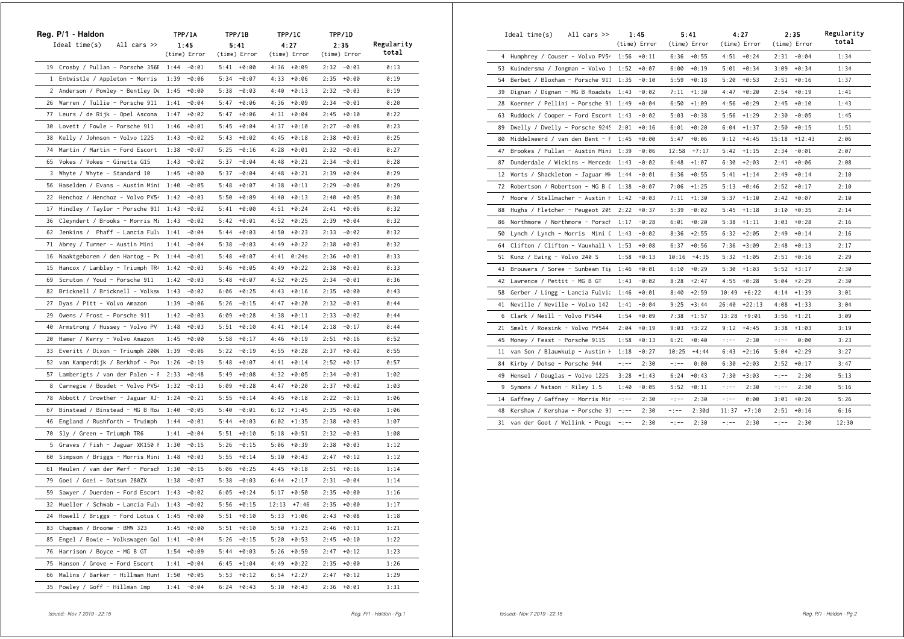|              | Reg. P/1 - Haldon                 | <b>TPP/1A</b>   | TPP/1B          | TPP/1C           | TPP/1D          |            |
|--------------|-----------------------------------|-----------------|-----------------|------------------|-----------------|------------|
|              | Ideal time(s)<br>All cars $\gg$   | 1:45            | 5:41            | 4:27             | 2:35            | Regularity |
|              |                                   | (time) Error    | (time) Error    | (time) Error     | (time) Error    | total      |
|              | 19 Crosby / Pullan - Porsche 356E | $1:44 - 0:01$   | $5:41 + 0:00$   | $4:36 + 0:09$    | $2:32 - 0:03$   | 0:13       |
| $\mathbf{1}$ | Entwistle / Appleton - Morris     | 1:39<br>-0:06   | 5:34<br>$-0:07$ | 4:33<br>$+0:06$  | 2:35<br>+0:00   | 0:19       |
| $\mathbf{2}$ | Anderson / Powley - Bentley De    | 1:45<br>$+0:00$ | $-0:03$<br>5:38 | $+0:13$<br>4:40  | 2:32<br>$-0:03$ | 0:19       |
| 26           | Warren / Tullie - Porsche 911     | 1:41<br>$-0:04$ | 5:47<br>$+0:06$ | $+0:09$<br>4:36  | 2:34<br>$-0:01$ | 0:20       |
| 77           | Leurs / de Rijk - Opel Ascona     | 1:47<br>$+0:02$ | 5:47<br>$+0:06$ | 4:31<br>$+0:04$  | 2:45<br>+0:10   | 0:22       |
| 30           | Lovett / Fowle - Porsche 911      | 1:46<br>$+0:01$ | 5:45<br>$+0:04$ | 4:37<br>$+0:10$  | 2:27<br>$-0:08$ | 0:23       |
| 38           | Kelly / Johnson - Volvo 122S      | 1:43<br>$-0:02$ | 5:43<br>$+0:02$ | 4:45<br>$+0:18$  | 2:38<br>$+0:03$ | 0:25       |
| 74           | Martin / Martin - Ford Escort     | 1:38<br>$-0:07$ | 5:25<br>$-0:16$ | 4:28<br>$+0:01$  | 2:32<br>$-0:03$ | 0:27       |
| 65           | Vokes / Vokes - Ginetta G15       | 1:43<br>$-0:02$ | $-0:04$<br>5:37 | 4:48<br>$+0:21$  | 2:34<br>$-0:01$ | 0:28       |
| 3            | Whyte / Whyte - Standard 10       | 1:45<br>$+0:00$ | $-0:04$<br>5:37 | 4:48<br>$+0:21$  | $+0:04$<br>2:39 | 0:29       |
| 56           | Haselden / Evans - Austin Mini    | 1:40<br>$-0:05$ | 5:48<br>$+0:07$ | 4:38<br>$+0:11$  | 2:29<br>$-0:06$ | 0:29       |
| 22           | Henchoz / Henchoz - Volvo PV54    | 1:42<br>$-0:03$ | 5:50<br>$+0:09$ | 4:40<br>$+0:13$  | 2:40<br>$+0:05$ | 0:30       |
| 17           | Hindley / Taylor - Porsche 911    | 1:43<br>$-0:02$ | 5:41<br>$+0:00$ | 4:51<br>$+0:24$  | $+0:06$<br>2:41 | 0:32       |
| 36           | Cleyndert / Brooks - Morris Mi    | $-0:02$<br>1:43 | 5:42<br>$+0:01$ | 4:52<br>$+0:25$  | 2:39<br>$+0:04$ | 0:32       |
| 62           | Jenkins / Phaff - Lancia Fuly     | 1:41<br>$-0:04$ | 5:44<br>$+0:03$ | 4:50<br>$+0:23$  | $-0:02$<br>2:33 | 0:32       |
| 71           | Abrey / Turner - Austin Mini      | 1:41<br>$-0:04$ | 5:38<br>$-0:03$ | 4:49<br>$+0:22$  | 2:38<br>$+0:03$ | 0:32       |
| 16           | Naaktgeboren / den Hartog - Po    | 1:44<br>$-0:01$ | $+0:07$<br>5:48 | 0:24s<br>4:41    | $+0:01$<br>2:36 | 0:33       |
| 15           | Hancox / Lambley - Triumph TR4    | 1:42<br>$-0:03$ | 5:46<br>$+0:05$ | $+0:22$<br>4:49  | $+0:03$<br>2:38 | 0:33       |
| 69           | Scruton / Youd - Porsche 911      | 1:42<br>$-0:03$ | 5:48<br>$+0:07$ | 4:52<br>$+0:25$  | 2:34<br>$-0:01$ | 0:36       |
| 82           | Bricknell / Bricknell - Volksv    | $-0:02$<br>1:43 | $+0:25$<br>6:06 | 4:43<br>$+0:16$  | 2:35<br>$+0:00$ | 0:43       |
| 27           | Dyas / Pitt - Volvo Amazon        | 1:39<br>-0:06   | 5:26<br>$-0:15$ | 4:47<br>$+0:20$  | $-0:03$<br>2:32 | 0:44       |
| 29           | Owens / Frost - Porsche 911       | 1:42<br>$-0:03$ | 6:09<br>$+0:28$ | 4:38<br>$+0:11$  | 2:33<br>$-0:02$ | 0:44       |
| 40           | Armstrong / Hussey - Volvo PV     | 1:48<br>$+0:03$ | 5:51<br>$+0:10$ | 4:41<br>$+0:14$  | 2:18<br>$-0:17$ | 0:44       |
| 20           | Hamer / Kerry - Volvo Amazon      | 1:45<br>$+0:00$ | $+0:17$<br>5:58 | 4:46<br>$+0:19$  | 2:51<br>$+0:16$ | 0:52       |
| 33           | Everitt / Dixon - Triumph 2000    | 1:39<br>$-0:06$ | 5:22<br>$-0:19$ | 4:55<br>$+0:28$  | 2:37<br>$+0:02$ | 0:55       |
| 52           | van Kamperdijk / Berkhof - Por    | 1:26<br>$-0:19$ | $+0:07$<br>5:48 | 4:41<br>$+0:14$  | 2:52<br>$+0:17$ | 0:57       |
| 57           | Lamberigts / van der Palen - F    | $+0:48$<br>2:33 | 5:49<br>$+0:08$ | 4:32<br>$+0:05$  | 2:34<br>$-0:01$ | 1:02       |
| 8            | Carnegie / Bosdet - Volvo PV54    | 1:32<br>$-0:13$ | 6:09<br>$+0:28$ | 4:47<br>$+0:20$  | 2:37<br>$+0:02$ | 1:03       |
| 78           | Abbott / Crowther - Jaguar XJ-    | 1:24<br>$-0:21$ | 5:55<br>$+0:14$ | 4:45<br>$+0:18$  | 2:22<br>$-0:13$ | 1:06       |
| 67           | Binstead / Binstead - MG B Roa    | 1:40<br>$-0:05$ | $-0:01$<br>5:40 | $+1:45$<br>6:12  | $+0:00$<br>2:35 | 1:06       |
| 46           | England / Rushforth - Truimph     | 1:44<br>$-0:01$ | 5:44<br>$+0:03$ | 6:02<br>$+1:35$  | 2:38<br>$+0:03$ | 1:07       |
| 70           | Sly / Green - Triumph TR6         | 1:41<br>$-0:04$ | 5:51<br>+0:10   | 5:18<br>$+0:51$  | 2:32<br>$-0:03$ | 1:08       |
| 5            | Graves / Fish - Jaguar XK150 F    | 1:30<br>$-0:15$ | 5:26<br>$-0:15$ | 5:06<br>$+0:39$  | $+0:03$<br>2:38 | 1:12       |
| 60           | Simpson / Briggs - Morris Mini    | 1:48<br>$+0:03$ | 5:55<br>$+0:14$ | 5:10<br>$+0:43$  | $2:47 + 0:12$   | 1:12       |
| 61           | Meulen / van der Werf - Porsch    | 1:30<br>$-0:15$ | 6:06<br>$+0:25$ | 4:45<br>$+0:18$  | $2:51 + 0:16$   | 1:14       |
| 79           | Goei / Goei - Datsun 280ZX        | 1:38<br>$-0:07$ | $-0:03$<br>5:38 | 6:44<br>$+2:17$  | $-0:04$<br>2:31 | 1:14       |
| 59           | Sawyer / Duerden - Ford Escort    | 1:43<br>$-0:02$ | 6:05<br>$+0:24$ | $5:17 + 0:50$    | 2:35<br>+0:00   | 1:16       |
| 32           | Mueller / Schwab - Lancia Fuly    | 1:43<br>$-0:02$ | 5:56<br>$+0:15$ | 12:13<br>$+7:46$ | 2:35<br>$+0:00$ | 1:17       |
| 24           | Howell / Briggs - Ford Lotus (    | 1:45<br>+0:00   | 5:51<br>+0:10   | 5:33<br>+1:06    | $2:43 + 0:08$   | 1:18       |
| 83           | Chapman / Broome - BMW 323        | 1:45<br>$+0:00$ | 5:51<br>$+0:10$ | 5:50<br>$+1:23$  | 2:46<br>$+0:11$ | 1:21       |
| 85           | Engel / Bowie - Volkswagen Gol    | 1:41<br>$-0:04$ | 5:26<br>$-0:15$ | 5:20<br>$+0:53$  | 2:45<br>$+0:10$ | 1:22       |
| 76           | Harrison / Boyce - MG B GT        | 1:54<br>$+0:09$ | 5:44<br>$+0:03$ | 5:26<br>$+0:59$  | 2:47<br>$+0:12$ | 1:23       |
| 75           | Hanson / Grove - Ford Escort      | 1:41<br>$-0:04$ | 6:45<br>$+1:04$ | 4:49<br>$+0:22$  | 2:35<br>$+0:00$ | 1:26       |
| 66           | Malins / Barker - Hillman Hunt    | 1:50<br>$+0:05$ | 5:53<br>$+0:12$ | 6:54<br>$+2:27$  | 2:47<br>$+0:12$ | 1:29       |
| 35           | Powley / Goff - Hillman Imp       | 1:41<br>$-0:04$ | 6:24<br>$+0:43$ | 5:10<br>$+0:43$  | 2:36<br>$+0:01$ | 1:31       |

|    | Ideal time(s)<br>All cars >>      |          | 1:45<br>(time) Error |          | 5:41<br>(time) Error |             | 4:27         |           | 2:35<br>(time) Error | Regularity<br>total |
|----|-----------------------------------|----------|----------------------|----------|----------------------|-------------|--------------|-----------|----------------------|---------------------|
|    |                                   |          |                      |          |                      |             | (time) Error |           |                      |                     |
|    | 4 Humphrey / Couser - Volvo PV54  | 1:56     | $+0:11$              | 6:36     | $+0:55$              | 4:51        | $+0:24$      | 2:31      | $-0:04$              | 1:34                |
| 53 | Kuindersma / Jongman - Volvo 1    | 1:52     | $+0:07$              | 6:00     | $+0:19$              | 5:01        | $+0:34$      | 3:09      | $+0:34$              | 1:34                |
| 54 | Berbet / Bloxham - Porsche 911    | 1:35     | $-0:10$              | 5:59     | $+0:18$              | 5:20        | $+0:53$      | 2:51      | $+0:16$              | 1:37                |
| 39 | Dignan / Dignan - MG B Roadste    | 1:43     | $-0:02$              | 7:11     | $+1:30$              | 4:47        | $+0:20$      | 2:54      | $+0:19$              | 1:41                |
| 28 | Koerner / Pellini - Porsche 91    | 1:49     | $+0:04$              | 6:50     | $+1:09$              | 4:56        | $+0:29$      | 2:45      | $+0:10$              | 1:43                |
| 63 | Ruddock / Cooper - Ford Escort    | 1:43     | -0:02                | 5:03     | $-0:38$              | 5:56        | $+1:29$      | 2:30      | $-0:05$              | 1:45                |
| 89 | Dwelly / Dwelly - Porsche 9249    | 2:01     | $+0:16$              | 6:01     | $+0:20$              | 6:04        | $+1:37$      | 2:50      | $+0:15$              | 1:51                |
| 80 | Middelweerd / van den Bent - F    | 1:45     | $+0:00$              | 5:47     | $+0:06$              | 9:12        | $+4:45$      | 15:18     | $+12:43$             | 2:06                |
| 47 | Brookes / Pullan - Austin Mini    | 1:39     | $-0:06$              | 12:58    | $+7:17$              | 5:42        | $+1:15$      | 2:34      | $-0:01$              | 2:07                |
| 87 | Dunderdale / Wickins - Mercede    | 1:43     | -0:02                | 6:48     | $+1:07$              | 6:30        | $+2:03$      | 2:41      | $+0:06$              | 2:08                |
| 12 | Worts / Shackleton - Jaguar MI    | 1:44     | $-0:01$              | 6:36     | $+0:55$              | 5:41        | $+1:14$      | 2:49      | $+0:14$              | 2:10                |
|    | 72 Robertson / Robertson - MG B ( | 1:38     | $-0:07$              | 7:06     | $+1:25$              | 5:13        | $+0:46$      | 2:52      | $+0:17$              | 2:10                |
| 7  | Moore / Stellmacher - Austin H    | 1:42     | $-0:03$              | 7:11     | $+1:30$              | 5:37        | $+1:10$      | 2:42      | $+0:07$              | 2:10                |
| 88 | Hughs / Fletcher - Peugeot 20!    | 2:22     | $+0:37$              | 5:39     | $-0:02$              | 5:45        | $+1:18$      | 3:10      | $+0:35$              | 2:14                |
| 86 | Northmore / Northmore - Porsch    | 1:17     | $-0:28$              | 6:01     | $+0:20$              | 5:38        | $+1:11$      | 3:03      | $+0:28$              | 2:16                |
| 50 | Lynch / Lynch - Morris Mini (     | 1:43     | $-0:02$              | 8:36     | $+2:55$              | 6:32        | $+2:05$      | 2:49      | $+0:14$              | 2:16                |
| 64 | Clifton / Clifton - Vauxhall \    | 1:53     | $+0:08$              | 6:37     | $+0:56$              | 7:36        | $+3:09$      | 2:48      | $+0:13$              | 2:17                |
| 51 | Kunz / Ewing - Volvo 240 S        | 1:58     | $+0:13$              | 10:16    | $+4:35$              | 5:32        | $+1:05$      | 2:51      | $+0:16$              | 2:29                |
| 43 | Brouwers / Soree - Sunbeam Tig    | 1:46     | $+0:01$              | 6:10     | $+0:29$              | 5:30        | $+1:03$      | 5:52      | $+3:17$              | 2:30                |
| 42 | Lawrence / Pettit - MG B GT       | 1:43     | $-0:02$              | 8:28     | $+2:47$              | 4:55        | $+0:28$      | 5:04      | $+2:29$              | 2:30                |
| 58 | Gerber / Lingg - Lancia Fulvia    | 1:46     | $+0:01$              | 8:40     | $+2:59$              | 10:49       | $+6:22$      | 4:14      | $+1:39$              | 3:01                |
| 41 | Neville / Neville - Volvo 142     | 1:41     | $-0:04$              | 9:25     | $+3:44$              | 26:40       | $+22:13$     | 4:08      | $+1:33$              | 3:04                |
|    | 6 Clark / Neill - Volvo PV544     | 1:54     | $+0:09$              | 7:38     | $+1:57$              | 13:28       | $+9:01$      | 3:56      | $+1:21$              | 3:09                |
| 21 | Smelt / Roesink - Volvo PV544     | 2:04     | $+0:19$              | 9:03     | $+3:22$              | 9:12        | $+4:45$      | 3:38      | $+1:03$              | 3:19                |
| 45 | Money / Feast - Porsche 911S      | 1:58     | $+0:13$              | 6:21     | $+0:40$              | $-$ : $-$ - | 2:30         | $-$ : $-$ | 0:00                 | 3:23                |
| 11 | van Son / Blauwkuip - Austin H    | 1:18     | $-0:27$              | 10:25    | $+4:44$              | 6:43        | $+2:16$      | 5:04      | $+2:29$              | 3:27                |
| 84 | Kirby / Dohse - Porsche 944       | $-1 - -$ | 2:30                 | $-1 - -$ | 0:00                 | 6:30        | $+2:03$      | 2:52      | $+0:17$              | 3:47                |
| 49 | Hensel / Douglas - Volvo 122S     | 3:28     | $+1:43$              | 6:24     | $+0:43$              | 7:30        | $+3:03$      | $-$ : $-$ | 2:30                 | 5:13                |
| 9  | Symons / Watson - Riley 1.5       | 1:40     | $-0:05$              | 5:52     | $+0:11$              | -:--        | 2:30         | $-:--$    | 2:30                 | 5:16                |
| 14 | Gaffney / Gaffney - Morris Mir    | $-1 - -$ | 2:30                 | $-1 - -$ | 2:30                 | $-1 - -$    | 0:00         | 3:01      | $+0:26$              | 5:26                |
| 48 | Kershaw / Kershaw - Porsche 91    | $-:--$   | 2:30                 | $-:--$   | 2:30d                | 11:37       | $+7:10$      | 2:51      | $+0:16$              | 6:16                |
|    | 31 van der Goot / Wellink - Peuge | $-1 - -$ | 2:30                 | $-1 - -$ | 2:30                 | $-$ : $-$   | 2:30         | $-$ : $-$ | 2:30                 | 12:30               |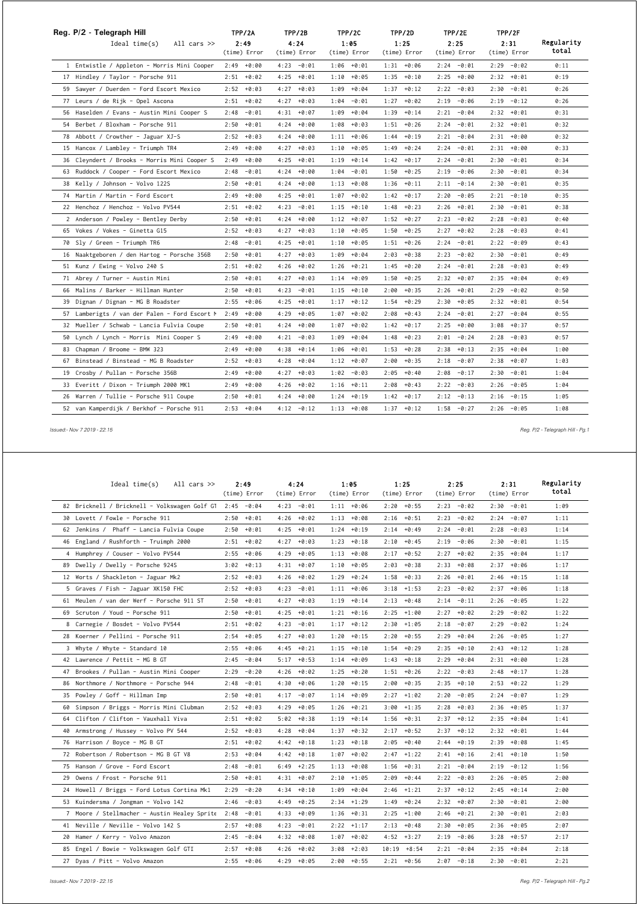| Reg. P/2 - Telegraph Hill                     | TPP/2A          | TPP/2B          | TPP/2C          | TPP/2D        | TPP/2E          | TPP/2F          |            |
|-----------------------------------------------|-----------------|-----------------|-----------------|---------------|-----------------|-----------------|------------|
| Ideal time(s)<br>All cars $\gg$               | 2:49            | 4:24            | 1:05            | 1:25          | 2:25            | 2:31            | Regularity |
|                                               | (time) Error    | (time) Error    | (time) Error    | (time) Error  | (time) Error    | (time) Error    | total      |
| 1 Entwistle / Appleton - Morris Mini Cooper   | $2:49 + 0:00$   | $4:23 - 0:01$   | $1:06 + 0:01$   | $1:31 + 0:06$ | $2:24 - 0:01$   | $2:29 - 0:02$   | 0:11       |
| 17 Hindley / Taylor - Porsche 911             | $2:51 + 0:02$   | 4:25<br>$+0:01$ | $1:10 + 0:05$   | $1:35 + 0:10$ | $2:25 + 0:00$   | 2:32<br>$+0:01$ | 0:19       |
| 59 Sawyer / Duerden - Ford Escort Mexico      | $2:52 + 0:03$   | 4:27<br>$+0:03$ | $1:09 + 0:04$   | $1:37 + 0:12$ | $2:22 - 0:03$   | 2:30<br>$-0:01$ | 0:26       |
| 77 Leurs / de Rijk - Opel Ascona              | $+0:02$<br>2:51 | $+0:03$<br>4:27 | 1:04<br>$-0:01$ | $1:27 + 0:02$ | 2:19<br>$-0:06$ | 2:19<br>$-0:12$ | 0:26       |
| 56 Haselden / Evans - Austin Mini Cooper S    | 2:48<br>$-0:01$ | 4:31<br>$+0:07$ | 1:09<br>$+0:04$ | $1:39 + 0:14$ | $-0:04$<br>2:21 | 2:32<br>$+0:01$ | 0:31       |
| 54 Berbet / Bloxham - Porsche 911             | 2:50<br>$+0:01$ | 4:24<br>$+0:00$ | $1:08 + 0:03$   | $1:51 + 0:26$ | 2:24<br>$-0:01$ | $2:32 + 0:01$   | 0:32       |
| 78 Abbott / Crowther - Jaguar XJ-S            | $2:52 + 0:03$   | 4:24<br>$+0:00$ | $1:11 + 0:06$   | $1:44 + 0:19$ | 2:21<br>$-0:04$ | 2:31<br>$+0:00$ | 0:32       |
| 15 Hancox / Lambley - Triumph TR4             | $+0:00$<br>2:49 | 4:27<br>$+0:03$ | $1:10 + 0:05$   | $1:49 + 0:24$ | 2:24<br>$-0:01$ | 2:31<br>$+0:00$ | 0:33       |
| 36 Cleyndert / Brooks - Morris Mini Cooper S  | 2:49<br>$+0:00$ | 4:25<br>$+0:01$ | $1:19 + 0:14$   | $1:42 + 0:17$ | $-0:01$<br>2:24 | 2:30<br>$-0:01$ | 0:34       |
| 63 Ruddock / Cooper - Ford Escort Mexico      | $-0:01$<br>2:48 | 4:24<br>$+0:00$ | $1:04 - 0:01$   | $1:50 + 0:25$ | 2:19<br>$-0:06$ | 2:30<br>$-0:01$ | 0:34       |
| 38 Kelly / Johnson - Volvo 122S               | 2:50<br>$+0:01$ | 4:24<br>$+0:00$ | $1:13 + 0:08$   | $1:36 + 0:11$ | 2:11<br>$-0:14$ | 2:30<br>$-0:01$ | 0:35       |
| 74 Martin / Martin - Ford Escort              | +0:00<br>2:49   | 4:25<br>$+0:01$ | $1:07 + 0:02$   | $1:42 + 0:17$ | 2:20<br>$-0:05$ | 2:21<br>$-0:10$ | 0:35       |
| 22 Henchoz / Henchoz - Volvo PV544            | 2:51<br>$+0:02$ | 4:23<br>$-0:01$ | $1:15 + 0:10$   | $1:48 + 0:23$ | 2:26<br>+0:01   | 2:30<br>$-0:01$ | 0:38       |
| 2 Anderson / Powley - Bentley Derby           | $+0:01$<br>2:50 | 4:24<br>$+0:00$ | $1:12 + 0:07$   | $1:52 + 0:27$ | $-0:02$<br>2:23 | 2:28<br>$-0:03$ | 0:40       |
| 65 Vokes / Vokes - Ginetta G15                | +0:03<br>2:52   | 4:27<br>$+0:03$ | $1:10 + 0:05$   | $1:50 + 0:25$ | 2:27<br>$+0:02$ | 2:28<br>$-0:03$ | 0:41       |
| 70 Sly / Green - Triumph TR6                  | 2:48<br>$-0:01$ | 4:25<br>$+0:01$ | $1:10 + 0:05$   | $1:51 + 0:26$ | 2:24<br>$-0:01$ | 2:22<br>$-0:09$ | 0:43       |
| 16 Naaktgeboren / den Hartog - Porsche 356B   | 2:50<br>$+0:01$ | 4:27<br>$+0:03$ | $1:09 + 0:04$   | $2:03 + 0:38$ | 2:23<br>$-0:02$ | 2:30<br>$-0:01$ | 0:49       |
| 51 Kunz / Ewing - Volvo 240 S                 | $2:51 + 0:02$   | 4:26<br>+0:02   | $1:26 + 0:21$   | $1:45 + 0:20$ | $-0:01$<br>2:24 | $-0:03$<br>2:28 | 0:49       |
| 71 Abrey / Turner - Austin Mini               | 2:50<br>$+0:01$ | 4:27<br>$+0:03$ | 1:14<br>+0:09   | $1:50 + 0:25$ | 2:32<br>$+0:07$ | 2:35<br>$+0:04$ | 0:49       |
| 66 Malins / Barker - Hillman Hunter           | 2:50<br>$+0:01$ | 4:23<br>$-0:01$ | $1:15 + 0:10$   | $2:00 + 0:35$ | 2:26<br>$+0:01$ | 2:29<br>$-0:02$ | 0:50       |
| 39 Dignan / Dignan - MG B Roadster            | 2:55<br>$+0:06$ | 4:25<br>$+0:01$ | $1:17 + 0:12$   | $1:54 + 0:29$ | 2:30<br>+0:05   | 2:32<br>$+0:01$ | 0:54       |
| 57 Lamberigts / van der Palen - Ford Escort M | 2:49<br>$+0:00$ | 4:29<br>$+0:05$ | $1:07 + 0:02$   | $2:08 + 0:43$ | 2:24<br>$-0:01$ | 2:27<br>$-0:04$ | 0:55       |
| 32 Mueller / Schwab - Lancia Fulvia Coupe     | $+0:01$<br>2:50 | 4:24<br>$+0:00$ | $1:07 + 0:02$   | $1:42 + 0:17$ | 2:25<br>$+0:00$ | 3:08<br>$+0:37$ | 0:57       |
| 50 Lynch / Lynch - Morris Mini Cooper S       | $+0:00$<br>2:49 | 4:21<br>$-0:03$ | 1:09<br>$+0:04$ | $1:48 + 0:23$ | 2:01<br>$-0:24$ | 2:28<br>$-0:03$ | 0:57       |
| 83 Chapman / Broome - BMW 323                 | $+0:00$<br>2:49 | 4:38<br>$+0:14$ | $1:06 + 0:01$   | $1:53 + 0:28$ | $2:38 + 0:13$   | 2:35<br>$+0:04$ | 1:00       |
| 67 Binstead / Binstead - MG B Roadster        | 2:52<br>$+0:03$ | 4:28<br>$+0:04$ | $1:12 + 0:07$   | $2:00 + 0:35$ | $-0:07$<br>2:18 | 2:38<br>$+0:07$ | 1:03       |
| 19 Crosby / Pullan - Porsche 356B             | $+0:00$<br>2:49 | 4:27<br>$+0:03$ | 1:02<br>$-0:03$ | $2:05 + 0:40$ | 2:08<br>$-0:17$ | $-0:01$<br>2:30 | 1:04       |
| 33 Everitt / Dixon - Triumph 2000 MK1         | $+0:00$<br>2:49 | 4:26<br>$+0:02$ | $+0:11$<br>1:16 | $2:08 + 0:43$ | 2:22<br>$-0:03$ | 2:26<br>$-0:05$ | 1:04       |
| 26 Warren / Tullie - Porsche 911 Coupe        | $+0:01$<br>2:50 | $+0:00$<br>4:24 | $1:24 + 0:19$   | $1:42 + 0:17$ | $2:12 - 0:13$   | $-0:15$<br>2:16 | 1:05       |
| 52 van Kamperdijk / Berkhof - Porsche 911     | $2:53 + 0:04$   | $4:12 - 0:12$   | $1:13 + 0:08$   | $1:37 + 0:12$ | $1:58 - 0:27$   | $2:26 - 0:05$   | 1:08       |

 *Issued:- Nov 7 2019 - 22:15 Reg. P/2 - Telegraph Hill - Pg.1*

| Ideal time(s)<br>All cars $\gg$                          | 2:49<br>(time) Error | 4:24<br>(time) Error | 1:05<br>(time) Error | 1:25<br>(time) Error | 2:25<br>(time) Error | 2:31<br>(time) Error | Regularity<br>total |
|----------------------------------------------------------|----------------------|----------------------|----------------------|----------------------|----------------------|----------------------|---------------------|
| 82 Bricknell / Bricknell - Volkswagen Golf GT 2:45 -0:04 |                      | $4:23 - 0:01$        | $1:11 + 0:06$        | $2:20 + 0:55$        | $2:23 - 0:02$        | $2:30 - 0:01$        | 1:09                |
| 30 Lovett / Fowle - Porsche 911                          | 2:50<br>$+0:01$      | $4:26 + 0:02$        | $1:13 + 0:08$        | $2:16 + 0:51$        | 2:23<br>$-0:02$      | $2:24 - 0:07$        | 1:11                |
| 62 Jenkins / Phaff - Lancia Fulvia Coupe                 | $2:50 + 0:01$        | $4:25 + 0:01$        | $1:24 + 0:19$        | $2:14 + 0:49$        | 2:24<br>$-0:01$      | 2:28<br>$-0:03$      | 1:14                |
| 46 England / Rushforth - Truimph 2000                    | 2:51<br>$+0:02$      | 4:27<br>$+0:03$      | 1:23<br>$+0:18$      | 2:10<br>$+0:45$      | 2:19<br>$-0:06$      | 2:30<br>$-0:01$      | 1:15                |
| 4 Humphrey / Couser - Volvo PV544                        | 2:55<br>$+0:06$      | 4:29<br>$+0:05$      | $1:13 + 0:08$        | 2:17<br>$+0:52$      | 2:27<br>$+0:02$      | $2:35 + 0:04$        | 1:17                |
| 89 Dwelly / Dwelly - Porsche 924S                        | 3:02<br>$+0:13$      | $+0:07$<br>4:31      | $1:10 + 0:05$        | 2:03<br>$+0:38$      | 2:33<br>$+0:08$      | $2:37 + 0:06$        | 1:17                |
| 12 Worts / Shackleton - Jaguar Mk2                       | 2:52<br>$+0:03$      | $4:26 + 0:02$        | $1:29 + 0:24$        | $1:58 + 0:33$        | 2:26<br>$+0:01$      | $2:46 + 0:15$        | 1:18                |
| 5 Graves / Fish - Jaguar XK150 FHC                       | $2:52 + 0:03$        | 4:23<br>$-0:01$      | $1:11 + 0:06$        | $3:18$ +1:53         | 2:23<br>$-0:02$      | $2:37 + 0:06$        | 1:18                |
| 61 Meulen / van der Werf - Porsche 911 ST                | 2:50<br>$+0:01$      | 4:27<br>$+0:03$      | $+0:14$<br>1:19      | 2:13<br>$+0:48$      | 2:14<br>$-0:11$      | $-0:05$<br>2:26      | 1:22                |
| 69 Scruton / Youd - Porsche 911                          | $+0:01$<br>2:50      | $+0:01$<br>4:25      | $1:21 + 0:16$        | $2:25 + 1:00$        | 2:27<br>$+0:02$      | 2:29<br>$-0:02$      | 1:22                |
| 8 Carnegie / Bosdet - Volvo PV544                        | $2:51 + 0:02$        | 4:23<br>$-0:01$      | $1:17 + 0:12$        | $2:30 + 1:05$        | 2:18<br>$-0:07$      | 2:29<br>$-0:02$      | 1:24                |
| 28 Koerner / Pellini - Porsche 911                       | 2:54<br>$+0:05$      | $4:27 + 0:03$        | $1:20 + 0:15$        | $2:20 + 0:55$        | 2:29<br>$+0:04$      | 2:26<br>$-0:05$      | 1:27                |
| 3 Whyte / Whyte - Standard 10                            | $+0:06$<br>2:55      | $+0:21$<br>4:45      | $1:15 + 0:10$        | $+0:29$<br>1:54      | $+0:10$<br>2:35      | $2:43 + 0:12$        | 1:28                |
| 42 Lawrence / Pettit - MG B GT                           | $-0:04$<br>2:45      | $5:17 + 0:53$        | $1:14 + 0:09$        | $+0:18$<br>1:43      | $+0:04$<br>2:29      | $2:31 + 0:00$        | 1:28                |
| 47 Brookes / Pullan - Austin Mini Cooper                 | 2:29<br>$-0:20$      | 4:26<br>$+0:02$      | $1:25 + 0:20$        | 1:51<br>$+0:26$      | 2:22<br>$-0:03$      | $2:48 + 0:17$        | 1:28                |
| 86 Northmore / Northmore - Porsche 944                   | $-0:01$<br>2:48      | $4:30 + 0:06$        | $1:20 + 0:15$        | $2:00 + 0:35$        | $2:35 + 0:10$        | $2:53 + 0:22$        | 1:29                |
| 35 Powley / Goff - Hillman Imp                           | 2:50<br>$+0:01$      | 4:17<br>$-0:07$      | $1:14 + 0:09$        | 2:27<br>$+1:02$      | 2:20<br>$-0:05$      | $-0:07$<br>2:24      | 1:29                |
| 60 Simpson / Briggs - Morris Mini Clubman                | 2:52<br>$+0:03$      | 4:29<br>$+0:05$      | 1:26<br>$+0:21$      | 3:00<br>$+1:35$      | $+0:03$<br>2:28      | 2:36<br>+0:05        | 1:37                |
| 64 Clifton / Clifton - Vauxhall Viva                     | 2:51<br>$+0:02$      | 5:02<br>$+0:38$      | $1:19 + 0:14$        | 1:56<br>$+0:31$      | 2:37<br>$+0:12$      | $2:35 + 0:04$        | 1:41                |
| 40 Armstrong / Hussey - Volvo PV 544                     | $2:52 + 0:03$        | $4:28 + 0:04$        | $1:37 + 0:32$        | $2:17 + 0:52$        | 2:37<br>$+0:12$      | $2:32 + 0:01$        | 1:44                |
| 76 Harrison / Boyce - MG B GT                            | $+0:02$<br>2:51      | $4:42 + 0:18$        | $1:23 + 0:18$        | 2:05<br>$+0:40$      | $+0:19$<br>2:44      | $2:39 + 0:08$        | 1:45                |
| 72 Robertson / Robertson - MG B GT V8                    | $+0:04$<br>2:53      | $+0:18$<br>4:42      | $+0:02$<br>1:07      | 2:47<br>$+1:22$      | 2:41<br>$+0:16$      | $2:41 + 0:10$        | 1:50                |
| 75 Hanson / Grove - Ford Escort                          | 2:48<br>$-0:01$      | 6:49<br>$+2:25$      | $1:13 + 0:08$        | 1:56<br>$+0:31$      | 2:21<br>$-0:04$      | 2:19<br>$-0:12$      | 1:56                |
| 29 Owens / Frost - Porsche 911                           | $+0:01$<br>2:50      | $4:31 + 0:07$        | $2:10 + 1:05$        | $+0:44$<br>2:09      | 2:22<br>$-0:03$      | $-0:05$<br>2:26      | 2:00                |
| 24 Howell / Briggs - Ford Lotus Cortina Mk1              | 2:29<br>$-0:20$      | $4:34 + 0:10$        | $1:09 + 0:04$        | $2:46$ +1:21         | $2:37 + 0:12$        | $2:45 + 0:14$        | 2:00                |
| 53 Kuindersma / Jongman - Volvo 142                      | $-0:03$<br>2:46      | 4:49<br>$+0:25$      | $2:34$ +1:29         | 1:49<br>$+0:24$      | 2:32<br>$+0:07$      | 2:30<br>$-0:01$      | 2:00                |
| 7 Moore / Stellmacher - Austin Healey Sprite             | $-0:01$<br>2:48      | +0:09<br>4:33        | +0:31<br>1:36        | 2:25<br>$+1:00$      | 2:46<br>$+0:21$      | 2:30<br>$-0:01$      | 2:03                |
| 41 Neville / Neville - Volvo 142 S                       | $+0:08$<br>2:57      | 4:23<br>$-0:01$      | $2:22 + 1:17$        | 2:13<br>$+0:48$      | 2:30<br>$+0:05$      | 2:36<br>+0:05        | 2:07                |
| 20 Hamer / Kerry - Volvo Amazon                          | 2:45<br>$-0:04$      | $4:32 + 0:08$        | $1:07 + 0:02$        | $4:52 +3:27$         | 2:19<br>$-0:06$      | $3:28 + 0:57$        | 2:17                |
| 85 Engel / Bowie - Volkswagen Golf GTI                   | $+0:08$<br>2:57      | 4:26<br>$+0:02$      | $3:08 + 2:03$        | 10:19<br>$+8:54$     | $-0:04$<br>2:21      | 2:35<br>+0:04        | 2:18                |
| 27 Dyas / Pitt - Volvo Amazon                            | $2:55 + 0:06$        | $4:29 + 0:05$        | $2:00 + 0:55$        | $2:21 + 0:56$        | $2:07 - 0:18$        | $2:30 - 0:01$        | 2:21                |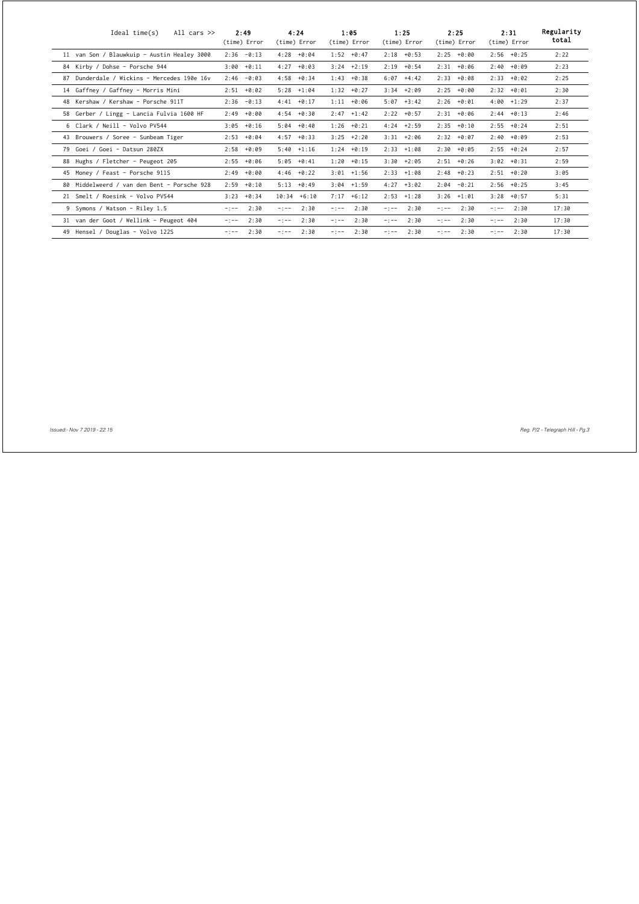| All cars $\gg$<br>Ideal time(s)             | 2:49<br>(time) Error | 4:24<br>(time) Error | 1:05<br>(time) Error | 1:25<br>(time) Error | 2:25<br>(time) Error | 2:31<br>(time) Error | Regularity<br>total |
|---------------------------------------------|----------------------|----------------------|----------------------|----------------------|----------------------|----------------------|---------------------|
| 11 van Son / Blauwkuip - Austin Healey 3000 | $2:36 - 0:13$        | $4:28 + 0:04$        | $1:52 + 0:47$        | $2:18 + 0:53$        | $2:25 + 0:00$        | 2:56<br>$+0:25$      | 2:22                |
| 84 Kirby / Dohse - Porsche 944              | $3:00 + 0:11$        | 4:27<br>$+0:03$      | $3:24 +2:19$         | $2:19 + 0:54$        | $2:31 + 0:06$        | 2:40<br>$+0:09$      | 2:23                |
| 87 Dunderdale / Wickins - Mercedes 190e 16v | $-0:03$<br>2:46      | 4:58<br>$+0:34$      | $1:43 + 0:38$        | $6:07 +4:42$         | $2:33 + 0:08$        | 2:33<br>$+0:02$      | 2:25                |
| 14 Gaffney / Gaffney - Morris Mini          | $2:51 + 0:02$        | $5:28$ +1:04         | $1:32 + 0:27$        | $3:34 +2:09$         | $2:25 + 0:00$        | $2:32 + 0:01$        | 2:30                |
| 48 Kershaw / Kershaw - Porsche 911T         | $-0:13$<br>2:36      | $4:41 + 0:17$        | $1:11 + 0:06$        | $5:07 + 3:42$        | $2:26 + 0:01$        | $4:00 + 1:29$        | 2:37                |
| 58 Gerber / Lingg - Lancia Fulvia 1600 HF   | $2:49 + 0:00$        | $4:54 + 0:30$        | $2:47 +1:42$         | $2:22 + 0:57$        | $2:31 + 0:06$        | 2:44<br>$+0:13$      | 2:46                |
| 6 Clark / Neill - Volvo PV544               | $3:05 + 0:16$        | $5:04 + 0:40$        | $1:26 + 0:21$        | $4:24$ +2:59         | $2:35 + 0:10$        | 2:55<br>$+0:24$      | 2:51                |
| 43 Brouwers / Soree - Sunbeam Tiger         | $2:53 + 0:04$        | $4:57 + 0:33$        | $3:25 +2:20$         | $3:31 + 2:06$        | $2:32 + 0:07$        | 2:40<br>$+0:09$      | 2:53                |
| 79 Goei / Goei - Datsun 280ZX               | $2:58 + 0:09$        | $5:40 +1:16$         | $1:24 + 0:19$        | $2:33 +1:08$         | $2:30 + 0:05$        | 2:55<br>$+0:24$      | 2:57                |
| 88 Hughs / Fletcher - Peugeot 205           | $2:55 + 0:06$        | $5:05 + 0:41$        | $1:20 + 0:15$        | $3:30 + 2:05$        | $2:51 + 0:26$        | $3:02 + 0:31$        | 2:59                |
| 45 Money / Feast - Porsche 911S             | $2:49 + 0:00$        | $4:46 + 0:22$        | $3:01 + 1:56$        | $2:33 + 1:08$        | $2:48 + 0:23$        | $2:51 + 0:20$        | 3:05                |
| 80 Middelweerd / van den Bent - Porsche 928 | $2:59 + 0:10$        | $5:13 + 0:49$        | $3:04$ +1:59         | $4:27 +3:02$         | $2:04 - 0:21$        | 2:56<br>$+0:25$      | 3:45                |
| 21 Smelt / Roesink - Volvo PV544            | $3:23 + 0:34$        | $10:34 + 6:10$       | $7:17 + 6:12$        | $2:53 +1:28$         | $3:26 +1:01$         | 3:28<br>$+0:57$      | 5:31                |
| 9 Symons / Watson - Riley 1.5               | 2:30<br>$-1 - -$     | 2:30<br>$-1 - -$     | 2:30<br>$-1 - -$     | 2:30<br>$-1 - -$     | 2:30<br>$-1 - -$     | 2:30<br>$-1 - -$     | 17:30               |
| 31 van der Goot / Wellink - Peugeot 404     | 2:30<br>$-1 - -$     | 2:30<br>$-1 - -$     | 2:30<br>$-1 - -$     | 2:30<br>$-1 - -$     | 2:30<br>$-1 - -$     | 2:30<br>$-1 - -$     | 17:30               |
| 49 Hensel / Douglas - Volvo 122S            | 2:30<br>$-1 - -$     | 2:30<br>$-1 - -$     | 2:30<br>$-1 - -$     | 2:30<br>$-$ : $-$ -  | 2:30<br>$-1 - -$     | 2:30<br>$-1 - -$     | 17:30               |

 *Issued:- Nov 7 2019 - 22:15 Reg. P/2 - Telegraph Hill - Pg.3*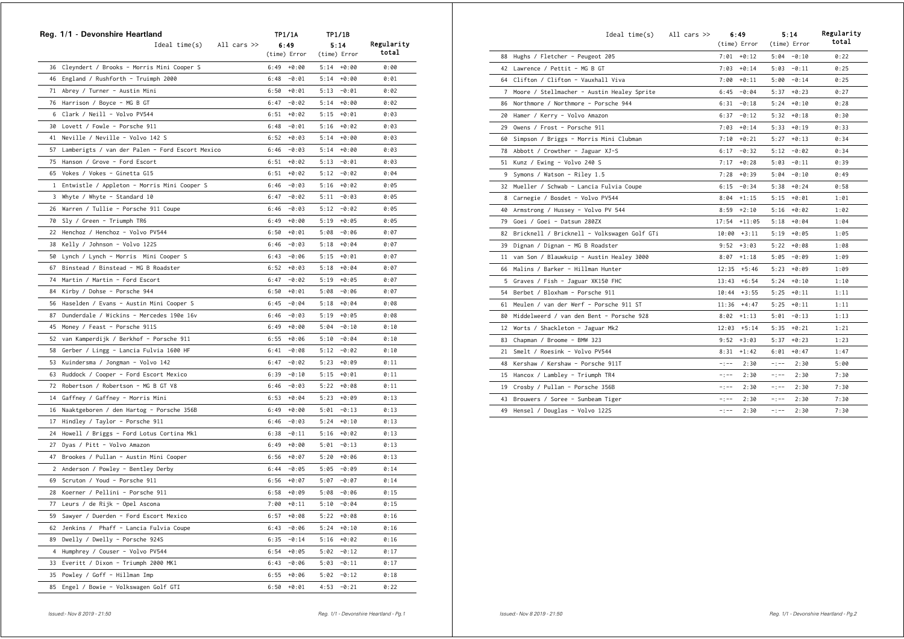|    | Reg. 1/1 - Devonshire Heartland<br>$Ideal time(s)$ All cars $\gg$ |      | TP1/1A<br>6:49 |      | TP1/1B<br>5:14 | Regularity   |
|----|-------------------------------------------------------------------|------|----------------|------|----------------|--------------|
|    |                                                                   |      | (time) Error   |      | (time) Error   | total        |
|    | 36 Cleyndert / Brooks - Morris Mini Cooper S                      |      | $6:49 + 0:00$  |      | $5:14 + 0:00$  | 0:00         |
|    | 46 England / Rushforth - Truimph 2000                             |      | $6:48 - 0:01$  |      | $5:14 + 0:00$  | 0:01         |
|    | 71 Abrey / Turner - Austin Mini                                   |      | $6:50 + 0:01$  |      | $5:13 - 0:01$  | 0:02         |
|    | 76 Harrison / Boyce - MG B GT                                     |      | $6:47 - 0:02$  |      | $5:14 + 0:00$  | 0:02         |
| 6  | Clark / Neill - Volvo PV544                                       |      | $6:51 + 0:02$  |      | $5:15 + 0:01$  | 0:03         |
|    | 30 Lovett / Fowle - Porsche 911                                   |      | $6:48 - 0:01$  |      | $5:16 + 0:02$  | 0:03         |
|    | 41 Neville / Neville - Volvo 142 S                                |      | $6:52 + 0:03$  |      | $5:14 + 0:00$  | 0:03         |
|    | 57 Lamberigts / van der Palen - Ford Escort Mexico                |      | $6:46 - 0:03$  |      | $5:14 + 0:00$  | 0:03         |
|    | 75 Hanson / Grove - Ford Escort                                   |      | $6:51 + 0:02$  |      | $5:13 - 0:01$  | 0:03         |
|    | 65 Vokes / Vokes - Ginetta G15                                    | 6:51 | +0:02          |      | $5:12 - 0:02$  | 0:04         |
|    | 1 Entwistle / Appleton - Morris Mini Cooper S                     |      | $6:46 - 0:03$  |      | $5:16 + 0:02$  | 0:05         |
|    | 3 Whyte / Whyte - Standard 10                                     |      | $6:47 - 0:02$  |      | $5:11 - 0:03$  | 0:05         |
|    | 26 Warren / Tullie - Porsche 911 Coupe                            |      | $6:46 - 0:03$  |      | $5:12 - 0:02$  | 0:05         |
|    | 70 Sly / Green - Triumph TR6                                      |      | $6:49 + 0:00$  |      | $5:19 + 0:05$  | 0:05         |
|    | 22 Henchoz / Henchoz - Volvo PV544                                |      | $6:50 + 0:01$  |      | $5:08 - 0:06$  | 0:07         |
|    | 38 Kelly / Johnson - Volvo 122S                                   |      |                |      |                |              |
|    |                                                                   |      | $6:46 - 0:03$  |      | $5:18 + 0:04$  | 0:07<br>0:07 |
|    | 50 Lynch / Lynch - Morris Mini Cooper S                           |      | $6:43 - 0:06$  |      | $5:15 + 0:01$  |              |
|    | 67 Binstead / Binstead - MG B Roadster                            |      | $6:52 + 0:03$  |      | $5:18 + 0:04$  | 0:07         |
|    | 74 Martin / Martin - Ford Escort                                  |      | $6:47 - 0:02$  |      | $5:19 + 0:05$  | 0:07         |
|    | 84 Kirby / Dohse - Porsche 944                                    |      | $6:50 + 0:01$  |      | $5:08 - 0:06$  | 0:07         |
|    | 56 Haselden / Evans - Austin Mini Cooper S                        | 6:45 | -0:04          |      | $5:18 + 0:04$  | 0:08         |
| 87 | Dunderdale / Wickins - Mercedes 190e 16v                          |      | $6:46 - 0:03$  |      | $5:19 + 0:05$  | 0:08         |
| 45 | Money / Feast - Porsche 911S                                      |      | $6:49 + 0:00$  |      | $5:04 - 0:10$  | 0:10         |
|    | 52 van Kamperdijk / Berkhof - Porsche 911                         |      | $6:55 + 0:06$  |      | $5:10 - 0:04$  | 0:10         |
| 58 | Gerber / Lingg - Lancia Fulvia 1600 HF                            |      | $6:41 - 0:08$  |      | $5:12 - 0:02$  | 0:10         |
|    | 53 Kuindersma / Jongman - Volvo 142                               |      | $6:47 - 0:02$  |      | $5:23 + 0:09$  | 0:11         |
|    | 63 Ruddock / Cooper - Ford Escort Mexico                          |      | $6:39 - 0:10$  |      | $5:15 + 0:01$  | 0:11         |
|    | 72 Robertson / Robertson - MG B GT V8                             |      | $6:46 - 0:03$  |      | $5:22 + 0:08$  | 0:11         |
|    | 14 Gaffney / Gaffney - Morris Mini                                |      | $6:53 + 0:04$  |      | $5:23 + 0:09$  | 0:13         |
|    | 16 Naaktgeboren / den Hartog - Porsche 356B                       |      | $6:49 + 0:00$  |      | $5:01 - 0:13$  | 0:13         |
|    | 17 Hindley / Taylor - Porsche 911                                 |      | $6:46 - 0:03$  |      | $5:24 + 0:10$  | 0:13         |
|    | 24 Howell / Briggs - Ford Lotus Cortina Mk1                       | 6:38 | $-0:11$        |      | $5:16 + 0:02$  | 0:13         |
|    | 27 Dyas / Pitt - Volvo Amazon                                     | 6:49 | +0:00          |      | $5:01 - 0:13$  | 0:13         |
|    | 47 Brookes / Pullan - Austin Mini Cooper                          |      | $6:56 + 0:07$  |      | $5:20 + 0:06$  | 0:13         |
| 2  | Anderson / Powley - Bentley Derby                                 |      | $6:44 - 0:05$  |      | $5:05 - 0:09$  | 0:14         |
| 69 | Scruton / Youd - Porsche 911                                      |      | $6:56 + 0:07$  |      | $5:07 - 0:07$  | 0:14         |
|    | 28 Koerner / Pellini - Porsche 911                                | 6:58 | +0:09          | 5:08 | -0:06          | 0:15         |
|    | 77 Leurs / de Rijk - Opel Ascona                                  |      | $7:00 + 0:11$  |      | $5:10 - 0:04$  | 0:15         |
|    | 59 Sawyer / Duerden - Ford Escort Mexico                          |      | $6:57 + 0:08$  |      | $5:22 + 0:08$  | 0:16         |
| 62 | Jenkins / Phaff - Lancia Fulvia Coupe                             |      | $6:43 - 0:06$  |      | $5:24 + 0:10$  | 0:16         |
| 89 | Dwelly / Dwelly - Porsche 924S                                    |      | $6:35 - 0:14$  |      | $5:16 + 0:02$  | 0:16         |
| 4  | Humphrey / Couser - Volvo PV544                                   |      | $6:54 + 0:05$  |      | $5:02 - 0:12$  | 0:17         |
|    | 33 Everitt / Dixon - Triumph 2000 MK1                             |      | $6:43 - 0:06$  |      | $5:03 - 0:11$  | 0:17         |
| 35 | Powley / Goff - Hillman Imp                                       |      | $6:55 + 0:06$  | 5:02 | $-0:12$        | 0:18         |
|    | 85 Engel / Bowie - Volkswagen Golf GTI                            | 6:50 | $+0:01$        | 4:53 | $-0:21$        | 0:22         |

|    | Ideal time(s)                               | All cars $\gg$ |           | 6:49           |             | 5:14          | Regularity |
|----|---------------------------------------------|----------------|-----------|----------------|-------------|---------------|------------|
|    |                                             |                |           | (time) Error   |             | (time) Error  | total      |
|    | 88 Hughs / Fletcher - Peugeot 205           |                |           | $7:01 + 0:12$  |             | $5:04 - 0:10$ | 0:22       |
|    | 42 Lawrence / Pettit - MG B GT              |                |           | $7:03 + 0:14$  | 5:03        | $-0:11$       | 0:25       |
| 64 | Clifton / Clifton - Vauxhall Viva           |                | 7:00      | $+0:11$        | 5:00        | $-0:14$       | 0:25       |
| 7  | Moore / Stellmacher - Austin Healey Sprite  |                |           | $6:45 - 0:04$  | 5:37        | $+0:23$       | 0:27       |
| 86 | Northmore / Northmore - Porsche 944         |                | 6:31      | $-0:18$        | 5:24        | $+0:10$       | 0:28       |
| 20 | Hamer / Kerry - Volvo Amazon                |                | 6:37      | $-0:12$        | 5:32        | $+0:18$       | 0:30       |
| 29 | Owens / Frost - Porsche 911                 |                | 7:03      | $+0:14$        | 5:33        | $+0:19$       | 0:33       |
| 60 | Simpson / Briggs - Morris Mini Clubman      |                | 7:10      | $+0:21$        | 5:27        | $+0:13$       | 0:34       |
| 78 | Abbott / Crowther - Jaguar XJ-S             |                |           | $6:17 - 0:32$  | 5:12        | $-0:02$       | 0:34       |
| 51 | Kunz / Ewing - Volvo 240 S                  |                | 7:17      | $+0:28$        | 5:03        | $-0:11$       | 0:39       |
| 9  | Symons / Watson - Riley 1.5                 |                | 7:28      | $+0:39$        | 5:04        | $-0:10$       | 0:49       |
| 32 | Mueller / Schwab - Lancia Fulvia Coupe      |                |           | $6:15 - 0:34$  | 5:38        | $+0:24$       | 0:58       |
|    | 8 Carnegie / Bosdet - Volvo PV544           |                | 8:04      | $+1:15$        | 5:15        | $+0:01$       | 1:01       |
| 40 | Armstrong / Hussey - Volvo PV 544           |                | 8:59      | $+2:10$        | 5:16        | $+0:02$       | 1:02       |
| 79 | Goei / Goei - Datsun 280ZX                  |                | 17:54     | $+11:05$       | 5:18        | $+0:04$       | 1:04       |
| 82 | Bricknell / Bricknell - Volkswagen Golf GTi |                |           | $10:00 + 3:11$ | 5:19        | $+0:05$       | 1:05       |
| 39 | Dignan / Dignan - MG B Roadster             |                |           | $9:52 +3:03$   | 5:22        | $+0:08$       | 1:08       |
| 11 | van Son / Blauwkuip - Austin Healey 3000    |                | 8:07      | $+1:18$        | 5:05        | $-0:09$       | 1:09       |
| 66 | Malins / Barker - Hillman Hunter            |                | 12:35     | $+5:46$        | 5:23        | $+0:09$       | 1:09       |
| 5  | Graves / Fish - Jaguar XK150 FHC            |                |           | $13:43 + 6:54$ | 5:24        | $+0:10$       | 1:10       |
| 54 | Berbet / Bloxham - Porsche 911              |                |           | $10:44$ +3:55  | 5:25        | $+0:11$       | 1:11       |
| 61 | Meulen / van der Werf - Porsche 911 ST      |                |           | $11:36 +4:47$  | 5:25        | $+0:11$       | 1:11       |
| 80 | Middelweerd / van den Bent - Porsche 928    |                | 8:02      | $+1:13$        | 5:01        | $-0:13$       | 1:13       |
| 12 | Worts / Shackleton - Jaguar Mk2             |                |           | $12:03 + 5:14$ | 5:35        | $+0:21$       | 1:21       |
| 83 | Chapman / Broome - BMW 323                  |                | 9:52      | $+3:03$        | 5:37        | $+0:23$       | 1:23       |
| 21 | Smelt / Roesink - Volvo PV544               |                | 8:31      | $+1:42$        | 6:01        | $+0:47$       | 1:47       |
| 48 | Kershaw / Kershaw - Porsche 911T            |                | $-1 - -$  | 2:30           | $-1 - -$    | 2:30          | 5:00       |
| 15 | Hancox / Lambley - Triumph TR4              |                | -:--      | 2:30           | $-1 - -$    | 2:30          | 7:30       |
| 19 | Crosby / Pullan - Porsche 356B              |                | $-1 - -$  | 2:30           | $-1 - -$    | 2:30          | 7:30       |
| 43 | Brouwers / Soree - Sunbeam Tiger            |                | $-$ : $-$ | 2:30           | $-$ : $-$ - | 2:30          | 7:30       |
| 49 | Hensel / Douglas - Volvo 122S               |                | $-$ : $-$ | 2:30           | $-1 - -$    | 2:30          | 7:30       |
|    |                                             |                |           |                |             |               |            |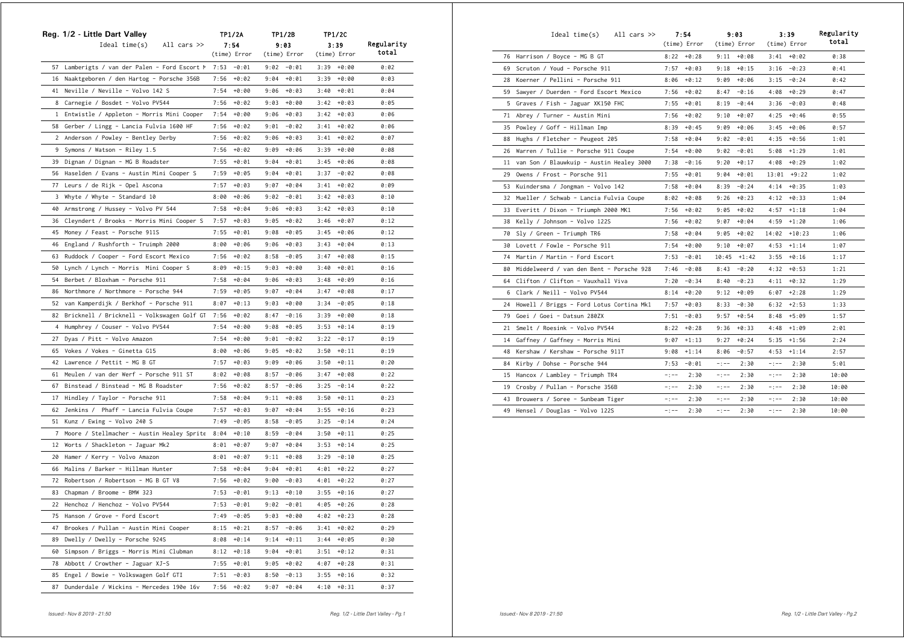|              | Reg. 1/2 - Little Dart Valley                 |      | <b>TP1/2A</b> |      | TP1/2B        |      | <b>TP1/2C</b> |            |
|--------------|-----------------------------------------------|------|---------------|------|---------------|------|---------------|------------|
|              | Ideal time(s)<br>All cars >>                  |      | 7:54          |      | 9:03          |      | 3:39          | Regularity |
|              |                                               |      | (time) Error  |      | (time) Error  |      | (time) Error  | total      |
|              | 57 Lamberigts / van der Palen - Ford Escort M |      | $7:53 - 0:01$ |      | $9:02 - 0:01$ |      | $3:39 + 0:00$ | 0:02       |
|              | 16 Naaktgeboren / den Hartog - Porsche 356B   | 7:56 | $+0:02$       | 9:04 | $+0:01$       |      | $3:39 + 0:00$ | 0:03       |
|              | 41 Neville / Neville - Volvo 142 S            | 7:54 | $+0:00$       | 9:06 | $+0:03$       |      | $3:40 + 0:01$ | 0:04       |
| 8            | Carnegie / Bosdet - Volvo PV544               | 7:56 | +0:02         |      | $9:03 + 0:00$ |      | $3:42 + 0:03$ | 0:05       |
| $\mathbf{1}$ | Entwistle / Appleton - Morris Mini Cooper     | 7:54 | $+0:00$       | 9:06 | $+0:03$       |      | $3:42 + 0:03$ | 0:06       |
| 58           | Gerber / Lingg - Lancia Fulvia 1600 HF        | 7:56 | $+0:02$       | 9:01 | $-0:02$       | 3:41 | $+0:02$       | 0:06       |
| $\mathbf{2}$ | Anderson / Powley - Bentley Derby             | 7:56 | $+0:02$       | 9:06 | +0:03         |      | $3:41 + 0:02$ | 0:07       |
| 9            | Symons / Watson - Riley 1.5                   | 7:56 | +0:02         | 9:09 | +0:06         |      | $3:39 + 0:00$ | 0:08       |
| 39           | Dignan / Dignan - MG B Roadster               | 7:55 | $+0:01$       | 9:04 | +0:01         |      | $3:45 + 0:06$ | 0:08       |
| 56           | Haselden / Evans - Austin Mini Cooper S       | 7:59 | $+0:05$       | 9:04 | $+0:01$       |      | $3:37 - 0:02$ | 0:08       |
| 77           | Leurs / de Rijk - Opel Ascona                 | 7:57 | $+0:03$       | 9:07 | +0:04         |      | $3:41 + 0:02$ | 0:09       |
| 3            | Whyte / Whyte - Standard 10                   | 8:00 | $+0:06$       | 9:02 | -0:01         |      | $3:42 + 0:03$ | 0:10       |
| 40           | Armstrong / Hussey - Volvo PV 544             | 7:58 | $+0:04$       | 9:06 | +0:03         | 3:42 | +0:03         | 0:10       |
| 36           | Cleyndert / Brooks - Morris Mini Cooper S     | 7:57 | $+0:03$       | 9:05 | +0:02         |      | $3:46 + 0:07$ | 0:12       |
| 45           | Money / Feast - Porsche 911S                  | 7:55 | $+0:01$       | 9:08 | $+0:05$       |      | $3:45 + 0:06$ | 0:12       |
| 46           | England / Rushforth - Truimph 2000            | 8:00 | $+0:06$       | 9:06 | +0:03         |      | $3:43 + 0:04$ | 0:13       |
| 63           | Ruddock / Cooper - Ford Escort Mexico         | 7:56 | $+0:02$       | 8:58 | $-0:05$       |      | $3:47 + 0:08$ | 0:15       |
| 50           | Lynch / Lynch - Morris Mini Cooper S          | 8:09 | $+0:15$       | 9:03 | +0:00         | 3:40 | +0:01         | 0:16       |
| 54           | Berbet / Bloxham - Porsche 911                | 7:58 | $+0:04$       | 9:06 | +0:03         | 3:48 | +0:09         | 0:16       |
| 86           | Northmore / Northmore - Porsche 944           | 7:59 | $+0:05$       |      | $9:07 + 0:04$ |      | $3:47 + 0:08$ | 0:17       |
| 52           | van Kamperdijk / Berkhof - Porsche 911        | 8:07 | $+0:13$       | 9:03 | $+0:00$       | 3:34 | -0:05         | 0:18       |
| 82           | Bricknell / Bricknell - Volkswagen Golf GT    | 7:56 | $+0:02$       | 8:47 | $-0:16$       |      | $3:39 + 0:00$ | 0:18       |
|              | 4 Humphrey / Couser - Volvo PV544             | 7:54 | $+0:00$       | 9:08 | $+0:05$       |      | $3:53 + 0:14$ | 0:19       |
| 27           | Dyas / Pitt - Volvo Amazon                    | 7:54 | +0:00         | 9:01 | -0:02         |      | $3:22 - 0:17$ | 0:19       |
| 65           | Vokes / Vokes - Ginetta G15                   | 8:00 | $+0:06$       | 9:05 | +0:02         | 3:50 | $+0:11$       | 0:19       |
|              | 42 Lawrence / Pettit - MG B GT                | 7:57 | $+0:03$       | 9:09 | $+0:06$       | 3:50 | $+0:11$       | 0:20       |
|              | 61 Meulen / van der Werf - Porsche 911 ST     | 8:02 | +0:08         | 8:57 | -0:06         |      | $3:47 + 0:08$ | 0:22       |
| 67           | Binstead / Binstead - MG B Roadster           | 7:56 | $+0:02$       | 8:57 | $-0:06$       |      | $3:25 - 0:14$ | 0:22       |
| 17           | Hindley / Taylor - Porsche 911                | 7:58 | $+0:04$       | 9:11 | $+0:08$       |      | $3:50 + 0:11$ | 0:23       |
| 62           | Jenkins / Phaff - Lancia Fulvia Coupe         | 7:57 | $+0:03$       | 9:07 | +0:04         | 3:55 | +0:16         | 0:23       |
| 51           | Kunz / Ewing - Volvo 240 S                    | 7:49 | $-0:05$       | 8:58 | -0:05         | 3:25 | $-0:14$       | 0:24       |
| 7            | Moore / Stellmacher - Austin Healey Sprite    | 8:04 | $+0:10$       | 8:59 | $-0:04$       | 3:50 | $+0:11$       | 0:25       |
| 12           | Worts / Shackleton - Jaguar Mk2               | 8:01 | $+0:07$       | 9:07 | +0:04         |      | $3:53 + 0:14$ | 0:25       |
| 20           | Hamer / Kerry - Volvo Amazon                  | 8:01 | $+0:07$       | 9:11 | $+0:08$       |      | $3:29 - 0:10$ | 0:25       |
| 66           | Malins / Barker - Hillman Hunter              | 7:58 | $+0:04$       | 9:04 | $+0:01$       |      | $4:01 + 0:22$ | 0:27       |
| 72           | Robertson / Robertson - MG B GT V8            | 7:56 | +0:02         | 9:00 | $-0:03$       | 4:01 | +0:22         | 0:27       |
| 83           | Chapman / Broome - BMW 323                    | 7:53 | -0:01         | 9:13 | $+0:10$       | 3:55 | $+0:16$       | 0:27       |
|              | 22 Henchoz / Henchoz - Volvo PV544            | 7:53 | $-0:01$       | 9:02 | $-0:01$       | 4:05 | $+0:26$       | 0:28       |
| 75           | Hanson / Grove - Ford Escort                  | 7:49 | -0:05         |      | $9:03 + 0:00$ |      | $4:02 + 0:23$ | 0:28       |
| 47           | Brookes / Pullan - Austin Mini Cooper         | 8:15 | $+0:21$       | 8:57 | $-0:06$       |      | $3:41 + 0:02$ | 0:29       |
| 89           | Dwelly / Dwelly - Porsche 924S                | 8:08 | $+0:14$       | 9:14 | $+0:11$       |      | $3:44 + 0:05$ | 0:30       |
| 60           | Simpson / Briggs - Morris Mini Clubman        | 8:12 | $+0:18$       | 9:04 | $+0:01$       | 3:51 | +0:12         | 0:31       |
| 78           | Abbott / Crowther - Jaguar XJ-S               | 7:55 | $+0:01$       | 9:05 | $+0:02$       | 4:07 | $+0:28$       | 0:31       |
| 85           | Engel / Bowie - Volkswagen Golf GTI           | 7:51 | $-0:03$       | 8:50 | $-0:13$       | 3:55 | $+0:16$       | 0:32       |
| 87           | Dunderdale / Wickins - Mercedes 190e 16v      | 7:56 | $+0:02$       | 9:07 | +0:04         | 4:10 | $+0:31$       | 0:37       |

|    | Ideal time(s)<br>All cars $\gg$           | 7:54<br>(time) Error |                        | 9:03<br>(time) Error |             | 3:39<br>(time) Error | Regularity<br>total |
|----|-------------------------------------------|----------------------|------------------------|----------------------|-------------|----------------------|---------------------|
|    | 76 Harrison / Boyce - MG B GT             | $8:22 + 0:28$        |                        | $9:11 + 0:08$        | 3:41        | $+0:02$              | 0:38                |
|    | 69 Scruton / Youd - Porsche 911           | 7:57                 | $+0:03$<br>9:18        | $+0:15$              | 3:16        | $-0:23$              | 0:41                |
| 28 | Koerner / Pellini - Porsche 911           | 8:06                 | $+0:12$<br>9:09        | $+0:06$              | 3:15        | $-0:24$              | 0:42                |
| 59 | Sawyer / Duerden - Ford Escort Mexico     | 7:56                 | $+0:02$<br>8:47        | $-0:16$              | 4:08        | $+0:29$              | 0:47                |
| 5  | Graves / Fish - Jaguar XK150 FHC          | 7:55                 | $+0:01$<br>8:19        | $-0:44$              | 3:36        | $-0:03$              | 0:48                |
| 71 | Abrey / Turner - Austin Mini              | 7:56                 | $+0:02$<br>9:10        | $+0:07$              | 4:25        | $+0:46$              | 0:55                |
| 35 | Powley / Goff - Hillman Imp               | 8:39                 | $+0:45$<br>9:09        | $+0:06$              | 3:45        | $+0:06$              | 0:57                |
| 88 | Hughs / Fletcher - Peugeot 205            | 7:58                 | +0:04<br>9:02          | $-0:01$              | 4:35        | $+0:56$              | 1:01                |
| 26 | Warren / Tullie - Porsche 911 Coupe       | 7:54                 | +0:00<br>9:02          | -0:01                | 5:08        | $+1:29$              | 1:01                |
| 11 | van Son / Blauwkuip - Austin Healey 3000  | 7:38                 | 9:20<br>$-0:16$        | $+0:17$              | 4:08        | $+0:29$              | 1:02                |
| 29 | Owens / Frost - Porsche 911               | 7:55                 | $+0:01$<br>9:04        | $+0:01$              | 13:01       | $+9:22$              | 1:02                |
| 53 | Kuindersma / Jongman - Volvo 142          | 7:58                 | $+0:04$<br>8:39        | $-0:24$              | 4:14        | $+0:35$              | 1:03                |
|    | 32 Mueller / Schwab - Lancia Fulvia Coupe | 8:02                 | 9:26<br>+0:08          | $+0:23$              | 4:12        | $+0:33$              | 1:04                |
| 33 | Everitt / Dixon - Triumph 2000 MK1        | 7:56                 | $+0:02$<br>9:05        | $+0:02$              | 4:57        | $+1:18$              | 1:04                |
| 38 | Kelly / Johnson - Volvo 122S              | 7:56                 | $+0:02$<br>9:07        | $+0:04$              | 4:59        | $+1:20$              | 1:06                |
| 70 | Sly / Green - Triumph TR6                 | 7:58                 | $+0:04$<br>9:05        | $+0:02$              | 14:02       | $+10:23$             | 1:06                |
|    | 30 Lovett / Fowle - Porsche 911           | 7:54                 | $+0:00$<br>9:10        | $+0:07$              | 4:53        | $+1:14$              | 1:07                |
| 74 | Martin / Martin - Ford Escort             | 7:53                 | $-0:01$                | $10:45 + 1:42$       | 3:55        | $+0:16$              | 1:17                |
| 80 | Middelweerd / van den Bent - Porsche 928  | 7:46                 | $-0:08$<br>8:43        | $-0:20$              | 4:32        | $+0:53$              | 1:21                |
| 64 | Clifton / Clifton - Vauxhall Viva         | 7:20                 | $-0:34$<br>8:40        | $-0:23$              | 4:11        | $+0:32$              | 1:29                |
|    | 6 Clark / Neill - Volvo PV544             | 8:14                 | $+0:20$<br>9:12        | $+0:09$              | 6:07        | $+2:28$              | 1:29                |
| 24 | Howell / Briggs - Ford Lotus Cortina Mk1  | 7:57                 | $+0:03$<br>8:33        | $-0:30$              | 6:32        | $+2:53$              | 1:33                |
| 79 | Goei / Goei - Datsun 280ZX                | 7:51                 | $-0:03$<br>9:57        | $+0:54$              | 8:48        | $+5:09$              | 1:57                |
| 21 | Smelt / Roesink - Volvo PV544             | 8:22                 | $+0:28$<br>9:36        | $+0:33$              | 4:48        | $+1:09$              | 2:01                |
| 14 | Gaffney / Gaffney - Morris Mini           | 9:07                 | $+1:13$<br>9:27        | $+0:24$              | 5:35        | $+1:56$              | 2:24                |
| 48 | Kershaw / Kershaw - Porsche 911T          | 9:08                 | $+1:14$<br>8:06        | $-0:57$              | 4:53        | $+1:14$              | 2:57                |
| 84 | Kirby / Dohse - Porsche 944               | 7:53                 | $-0:01$<br>$-$ : $-$ - | 2:30                 | $-1 - -$    | 2:30                 | 5:01                |
| 15 | Hancox / Lambley - Triumph TR4            | $-:--$               | 2:30<br>$-:--$         | 2:30                 | $-1 - -$    | 2:30                 | 10:00               |
|    | 19 Crosby / Pullan - Porsche 356B         | -:--                 | 2:30<br>$-:--$         | 2:30                 | $-1 - -$    | 2:30                 | 10:00               |
| 43 | Brouwers / Soree - Sunbeam Tiger          | $-$ : $-$ -          | 2:30<br>$-$ : $-$ -    | 2:30                 | $-$ : $-$ - | 2:30                 | 10:00               |
| 49 | Hensel / Douglas - Volvo 122S             | $-1 - -$             | 2:30<br>$-1 - -$       | 2:30                 | $-1 - -$    | 2:30                 | 10:00               |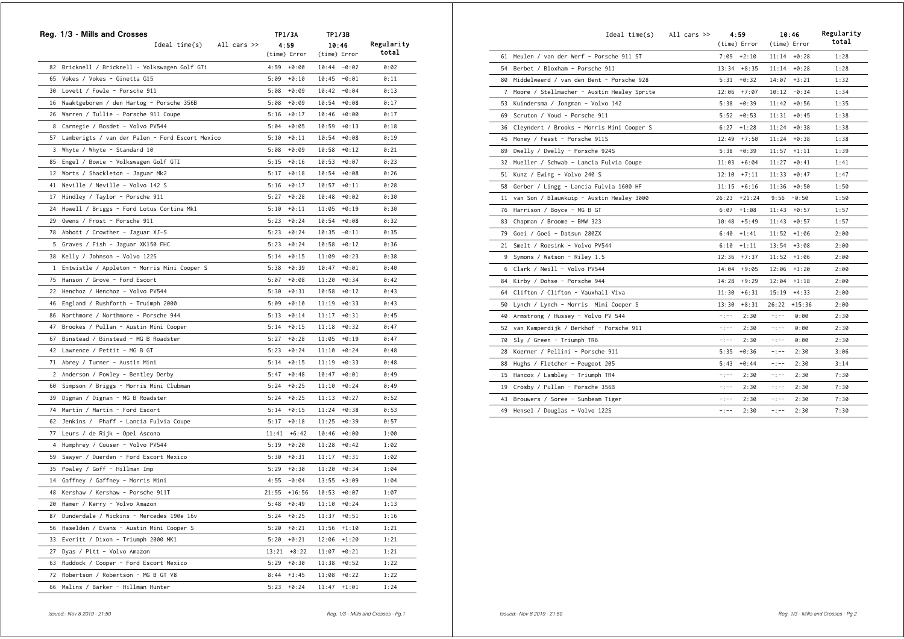|    | Reg. 1/3 - Mills and Crosses                       |      | <b>TP1/3A</b>  |       | TP1/3B         |            |  |
|----|----------------------------------------------------|------|----------------|-------|----------------|------------|--|
|    | Ideal time(s)<br>All cars >>                       |      | 4:59           |       | 10:46          | Regularity |  |
|    |                                                    |      | (time) Error   |       | (time) Error   | total      |  |
|    | 82 Bricknell / Bricknell - Volkswagen Golf GTi     |      | $4:59 + 0:00$  |       | $10:44 - 0:02$ | 0:02       |  |
|    | 65 Vokes / Vokes - Ginetta G15                     |      | $5:09 + 0:10$  |       | $10:45 - 0:01$ | 0:11       |  |
|    | 30 Lovett / Fowle - Porsche 911                    |      | $5:08 + 0:09$  |       | $10:42 - 0:04$ | 0:13       |  |
|    | 16 Naaktgeboren / den Hartog - Porsche 356B        |      | $5:08 + 0:09$  |       | $10:54 + 0:08$ | 0:17       |  |
|    | 26 Warren / Tullie - Porsche 911 Coupe             |      | $5:16 + 0:17$  | 10:46 | +0:00          | 0:17       |  |
|    | 8 Carnegie / Bosdet - Volvo PV544                  |      | $5:04 + 0:05$  | 10:59 | $+0:13$        | 0:18       |  |
|    | 57 Lamberigts / van der Palen - Ford Escort Mexico |      | $5:10 + 0:11$  | 10:54 | +0:08          | 0:19       |  |
|    | 3 Whyte / Whyte - Standard 10                      |      | $5:08 + 0:09$  | 10:58 | +0:12          | 0:21       |  |
|    | 85 Engel / Bowie - Volkswagen Golf GTI             |      | $5:15 + 0:16$  |       | $10:53 + 0:07$ | 0:23       |  |
|    | 12 Worts / Shackleton - Jaguar Mk2                 |      | $5:17 + 0:18$  | 10:54 | $+0:08$        | 0:26       |  |
|    | 41 Neville / Neville - Volvo 142 S                 |      | $5:16 + 0:17$  | 10:57 | $+0:11$        | 0:28       |  |
| 17 | Hindley / Taylor - Porsche 911                     |      | $5:27 + 0:28$  |       | $10:48 + 0:02$ | 0:30       |  |
|    | 24 Howell / Briggs - Ford Lotus Cortina Mk1        |      | $5:10 + 0:11$  |       | $11:05 + 0:19$ | 0:30       |  |
|    | 29 Owens / Frost - Porsche 911                     |      | $5:23 + 0:24$  |       | $10:54 + 0:08$ | 0:32       |  |
|    | 78 Abbott / Crowther - Jaguar XJ-S                 |      | $5:23 + 0:24$  | 10:35 | $-0:11$        | 0:35       |  |
|    | 5 Graves / Fish - Jaguar XK150 FHC                 |      | $5:23 + 0:24$  | 10:58 | $+0:12$        | 0:36       |  |
|    | 38 Kelly / Johnson - Volvo 122S                    |      | $5:14 + 0:15$  | 11:09 | $+0:23$        | 0:38       |  |
|    | 1 Entwistle / Appleton - Morris Mini Cooper S      |      | $5:38 + 0:39$  |       | $10:47 + 0:01$ | 0:40       |  |
|    | 75 Hanson / Grove - Ford Escort                    |      | $5:07 + 0:08$  |       | $11:20 + 0:34$ | 0:42       |  |
|    | 22 Henchoz / Henchoz - Volvo PV544                 |      | $5:30 + 0:31$  |       | $10:58 + 0:12$ | 0:43       |  |
|    |                                                    |      | $5:09 + 0:10$  |       | $11:19 + 0:33$ | 0:43       |  |
|    | 46 England / Rushforth - Truimph 2000              |      | $5:13 + 0:14$  | 11:17 |                | 0:45       |  |
|    | 86 Northmore / Northmore - Porsche 944             |      |                |       | $+0:31$        |            |  |
| 47 | Brookes / Pullan - Austin Mini Cooper              |      | $5:14 + 0:15$  |       | $11:18 + 0:32$ | 0:47       |  |
| 67 | Binstead / Binstead - MG B Roadster                |      | $5:27 + 0:28$  |       | $11:05 + 0:19$ | 0:47       |  |
|    | 42 Lawrence / Pettit - MG B GT                     |      | $5:23 + 0:24$  |       | $11:10 + 0:24$ | 0:48       |  |
|    | 71 Abrey / Turner - Austin Mini                    |      | $5:14 + 0:15$  |       | $11:19 + 0:33$ | 0:48       |  |
|    | 2 Anderson / Powley - Bentley Derby                |      | $5:47 + 0:48$  |       | $10:47 + 0:01$ | 0:49       |  |
|    | 60 Simpson / Briggs - Morris Mini Clubman          |      | $5:24 + 0:25$  |       | $11:10 + 0:24$ | 0:49       |  |
| 39 | Dignan / Dignan - MG B Roadster                    |      | $5:24 + 0:25$  |       | $11:13 + 0:27$ | 0:52       |  |
| 74 | Martin / Martin - Ford Escort                      |      | $5:14 + 0:15$  |       | $11:24 + 0:38$ | 0:53       |  |
|    | 62 Jenkins / Phaff - Lancia Fulvia Coupe           |      | $5:17 + 0:18$  |       | $11:25 + 0:39$ | 0:57       |  |
|    | 77 Leurs / de Rijk - Opel Ascona                   |      | $11:41 + 6:42$ | 10:46 | +0:00          | 1:00       |  |
| 4  | Humphrey / Couser - Volvo PV544                    |      | $5:19 + 0:20$  |       | $11:28 + 0:42$ | 1:02       |  |
|    | 59 Sawyer / Duerden - Ford Escort Mexico           |      | $5:30 + 0:31$  | 11:17 | $+0:31$        | 1:02       |  |
| 35 | Powley / Goff - Hillman Imp                        |      | $5:29 + 0:30$  |       | $11:20 + 0:34$ | 1:04       |  |
| 14 | Gaffney / Gaffney - Morris Mini                    |      | $4:55 - 0:04$  | 13:55 | $+3:09$        | 1:04       |  |
| 48 | Kershaw / Kershaw - Porsche 911T                   |      | $21:55$ +16:56 | 10:53 | +0:07          | 1:07       |  |
|    | 20 Hamer / Kerry - Volvo Amazon                    |      | $5:48 + 0:49$  |       | $11:10 + 0:24$ | 1:13       |  |
| 87 | Dunderdale / Wickins - Mercedes 190e 16v           |      | $5:24 + 0:25$  |       | $11:37 + 0:51$ | 1:16       |  |
|    | 56 Haselden / Evans - Austin Mini Cooper S         |      | $5:20 + 0:21$  | 11:56 | $+1:10$        | 1:21       |  |
| 33 | Everitt / Dixon - Triumph 2000 MK1                 |      | $5:20 + 0:21$  |       | $12:06 + 1:20$ | 1:21       |  |
| 27 | Dyas / Pitt - Volvo Amazon                         |      | $13:21 + 8:22$ |       | $11:07 + 0:21$ | 1:21       |  |
|    | 63 Ruddock / Cooper - Ford Escort Mexico           |      | $5:29 + 0:30$  |       | $11:38 + 0:52$ | 1:22       |  |
|    | 72 Robertson / Robertson - MG B GT V8              |      | $8:44 +3:45$   |       | $11:08 + 0:22$ | 1:22       |  |
| 66 | Malins / Barker - Hillman Hunter                   | 5:23 | $+0:24$        | 11:47 | $+1:01$        | 1:24       |  |

|    | Ideal time(s)                                | All cars $\gg$ |           | 4:59<br>(time) Error | 10:46       | (time) Error   | Regularity<br>total |
|----|----------------------------------------------|----------------|-----------|----------------------|-------------|----------------|---------------------|
|    | 61 Meulen / van der Werf - Porsche 911 ST    |                |           | $7:09 + 2:10$        |             | $11:14 + 0:28$ | 1:28                |
| 54 | Berbet / Bloxham - Porsche 911               |                |           | $13:34 + 8:35$       |             | $11:14 + 0:28$ | 1:28                |
| 80 | Middelweerd / van den Bent - Porsche 928     |                | 5:31      | $+0:32$              | 14:07       | $+3:21$        | 1:32                |
|    | 7 Moore / Stellmacher - Austin Healey Sprite |                |           | $12:06$ +7:07        | 10:12       | $-0:34$        | 1:34                |
| 53 | Kuindersma / Jongman - Volvo 142             |                |           | $5:38 + 0:39$        |             | $11:42 + 0:56$ | 1:35                |
| 69 | Scruton / Youd - Porsche 911                 |                | 5:52      | $+0:53$              | 11:31       | $+0:45$        | 1:38                |
| 36 | Cleyndert / Brooks - Morris Mini Cooper S    |                | 6:27      | $+1:28$              | 11:24       | $+0:38$        | 1:38                |
|    | 45 Money / Feast - Porsche 911S              |                |           | $12:49$ +7:50        | 11:24       | $+0:38$        | 1:38                |
| 89 | Dwelly / Dwelly - Porsche 924S               |                | 5:38      | $+0:39$              | 11:57       | $+1:11$        | 1:39                |
| 32 | Mueller / Schwab - Lancia Fulvia Coupe       |                | 11:03     | $+6:04$              | 11:27       | $+0:41$        | 1:41                |
| 51 | Kunz / Ewing - Volvo 240 S                   |                | 12:10     | $+7:11$              | 11:33       | $+0:47$        | 1:47                |
| 58 | Gerber / Lingg - Lancia Fulvia 1600 HF       |                |           | $11:15$ +6:16        | 11:36       | +0:50          | 1:50                |
| 11 | van Son / Blauwkuip - Austin Healey 3000     |                | 26:23     | $+21:24$             | 9:56        | $-0:50$        | 1:50                |
| 76 | Harrison / Boyce - MG B GT                   |                | 6:07      | $+1:08$              | 11:43       | $+0:57$        | 1:57                |
| 83 | Chapman / Broome - BMW 323                   |                | 10:48     | $+5:49$              | 11:43       | $+0:57$        | 1:57                |
| 79 | Goei / Goei - Datsun 280ZX                   |                | 6:40      | $+1:41$              | 11:52       | +1:06          | 2:00                |
| 21 | Smelt / Roesink - Volvo PV544                |                | 6:10      | $+1:11$              |             | $13:54 + 3:08$ | 2:00                |
| 9  | Symons / Watson - Riley 1.5                  |                | 12:36     | $+7:37$              |             | $11:52 + 1:06$ | 2:00                |
|    | 6 Clark / Neill - Volvo PV544                |                | 14:04     | $+9:05$              |             | $12:06$ +1:20  | 2:00                |
| 84 | Kirby / Dohse - Porsche 944                  |                | 14:28     | $+9:29$              | 12:04       | $+1:18$        | 2:00                |
| 64 | Clifton / Clifton - Vauxhall Viva            |                | 11:30     | $+6:31$              |             | $15:19$ +4:33  | 2:00                |
| 50 | Lynch / Lynch - Morris Mini Cooper S         |                | 13:30     | $+8:31$              |             | 26:22 +15:36   | 2:00                |
| 40 | Armstrong / Hussey - Volvo PV 544            |                | $-1 - -$  | 2:30                 | $-$ : $-$ - | 0:00           | 2:30                |
| 52 | van Kamperdijk / Berkhof - Porsche 911       |                | $-1 - -$  | 2:30                 | $-$ : $-$ - | 0:00           | 2:30                |
| 70 | Sly / Green - Triumph TR6                    |                | $-:--$    | 2:30                 | $-$ : $-$ - | 0:00           | 2:30                |
| 28 | Koerner / Pellini - Porsche 911              |                | 5:35      | $+0:36$              | $-$ : $-$   | 2:30           | 3:06                |
| 88 | Hughs / Fletcher - Peugeot 205               |                | 5:43      | $+0:44$              | $-1 - -$    | 2:30           | 3:14                |
|    | 15 Hancox / Lambley - Triumph TR4            |                | $-1 - -$  | 2:30                 | $-$ : $-$ - | 2:30           | 7:30                |
| 19 | Crosby / Pullan - Porsche 356B               |                | $-1 - -$  | 2:30                 | $-$ : $-$ - | 2:30           | 7:30                |
| 43 | Brouwers / Soree - Sunbeam Tiger             |                | -:--      | 2:30                 | $-$ : $-$ - | 2:30           | 7:30                |
|    | 49 Hensel / Douglas - Volvo 122S             |                | $- + - -$ | 2:30                 | $-1$ $-$    | 2:30           | 7:30                |
|    |                                              |                |           |                      |             |                |                     |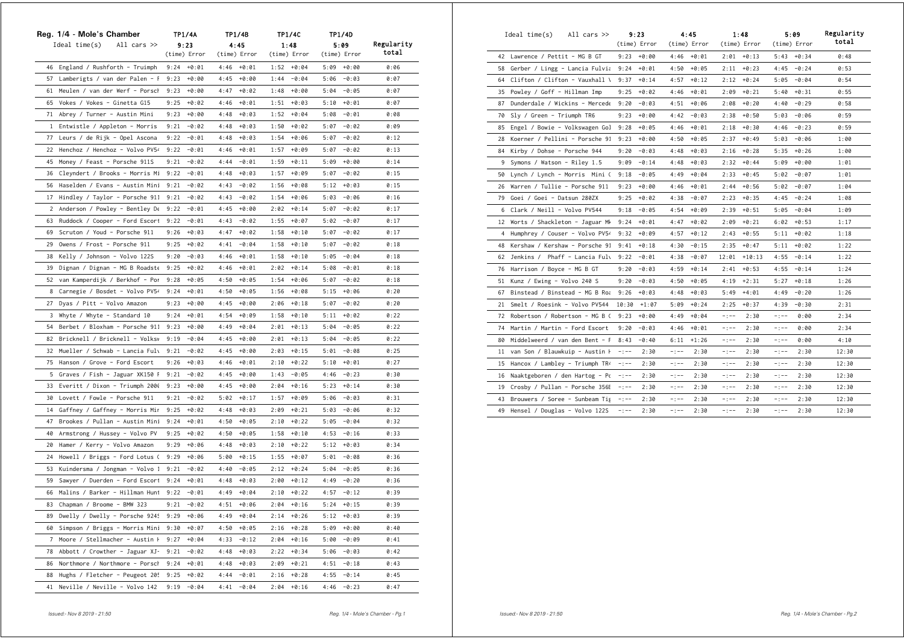|              | Reg. 1/4 - Mole's Chamber           | TP1/4A        |         |      | TP1/4B        |      | TP1/4C        |      | <b>TP1/4D</b> |            |
|--------------|-------------------------------------|---------------|---------|------|---------------|------|---------------|------|---------------|------------|
|              | Ideal time(s)<br>All cars $\gg$     | 9:23          |         |      | 4:45          |      | 1:48          |      | 5:09          | Regularity |
|              |                                     | (time) Error  |         |      | (time) Error  |      | (time) Error  |      | (time) Error  | total      |
|              | 46 England / Rushforth - Truimph    | $9:24 + 0:01$ |         |      | $4:46 + 0:01$ |      | $1:52 + 0:04$ |      | $5:09 + 0:00$ | 0:06       |
| 57           | Lamberigts / van der Palen - F      | 9:23          | +0:00   | 4:45 | $+0:00$       | 1:44 | $-0:04$       | 5:06 | $-0:03$       | 0:07       |
| 61           | Meulen / van der Werf - Porsch      | 9:23          | $+0:00$ | 4:47 | $+0:02$       | 1:48 | +0:00         | 5:04 | $-0:05$       | 0:07       |
|              | 65 Vokes / Vokes - Ginetta G15      | 9:25          | $+0:02$ | 4:46 | $+0:01$       | 1:51 | $+0:03$       |      | $5:10 + 0:01$ | 0:07       |
|              | 71 Abrey / Turner - Austin Mini     | 9:23          | $+0:00$ | 4:48 | $+0:03$       | 1:52 | $+0:04$       | 5:08 | $-0:01$       | 0:08       |
|              | 1 Entwistle / Appleton - Morris     | 9:21          | $-0:02$ | 4:48 | $+0:03$       | 1:50 | $+0:02$       | 5:07 | $-0:02$       | 0:09       |
| 77           | Leurs / de Rijk - Opel Ascona       | 9:22          | $-0:01$ | 4:48 | $+0:03$       | 1:54 | $+0:06$       | 5:07 | $-0:02$       | 0:12       |
| 22           | Henchoz / Henchoz - Volvo PV54      | 9:22          | $-0:01$ | 4:46 | +0:01         | 1:57 | $+0:09$       | 5:07 | $-0:02$       | 0:13       |
| 45           | Money / Feast - Porsche 911S        | 9:21          | $-0:02$ | 4:44 | $-0:01$       | 1:59 | $+0:11$       | 5:09 | +0:00         | 0:14       |
|              | 36 Cleyndert / Brooks - Morris Mi   | 9:22          | $-0:01$ | 4:48 | $+0:03$       | 1:57 | $+0:09$       | 5:07 | $-0:02$       | 0:15       |
|              | 56 Haselden / Evans - Austin Mini   | 9:21          | $-0:02$ | 4:43 | $-0:02$       | 1:56 | $+0:08$       | 5:12 | $+0:03$       | 0:15       |
| 17           | Hindley / Taylor - Porsche 911      | 9:21          | $-0:02$ | 4:43 | $-0:02$       | 1:54 | $+0:06$       | 5:03 | $-0:06$       | 0:16       |
| $\mathbf{2}$ | Anderson / Powley - Bentley De      | 9:22          | $-0:01$ | 4:45 | $+0:00$       | 2:02 | $+0:14$       | 5:07 | $-0:02$       | 0:17       |
| 63           | Ruddock / Cooper - Ford Escort      | 9:22          | $-0:01$ | 4:43 | $-0:02$       | 1:55 | $+0:07$       | 5:02 | $-0:07$       | 0:17       |
| 69           | Scruton / Youd - Porsche 911        | 9:26          | $+0:03$ | 4:47 | $+0:02$       | 1:58 | $+0:10$       | 5:07 | $-0:02$       | 0:17       |
| 29           | Owens / Frost - Porsche 911         | 9:25          | $+0:02$ | 4:41 | $-0:04$       | 1:58 | $+0:10$       | 5:07 | $-0:02$       | 0:18       |
| 38           | Kelly / Johnson - Volvo 122S        | 9:20          | $-0:03$ | 4:46 | $+0:01$       | 1:58 | +0:10         | 5:05 | $-0:04$       | 0:18       |
| 39           | Dignan / Dignan - MG B Roadste      | 9:25          | $+0:02$ | 4:46 | $+0:01$       | 2:02 | $+0:14$       | 5:08 | $-0:01$       | 0:18       |
| 52           | van Kamperdijk / Berkhof - Por      | 9:28          | $+0:05$ | 4:50 | $+0:05$       | 1:54 | $+0:06$       | 5:07 | $-0:02$       | 0:18       |
| 8            | Carnegie / Bosdet - Volvo PV54      | 9:24          | $+0:01$ | 4:50 | $+0:05$       | 1:56 | $+0:08$       | 5:15 | +0:06         | 0:20       |
| 27           | Dyas / Pitt - Volvo Amazon          | 9:23          | $+0:00$ | 4:45 | $+0:00$       | 2:06 | $+0:18$       | 5:07 | $-0:02$       | 0:20       |
| 3            | Whyte / Whyte - Standard 10         | 9:24          | $+0:01$ | 4:54 | $+0:09$       | 1:58 | $+0:10$       | 5:11 | $+0:02$       | 0:22       |
| 54           | Berbet / Bloxham - Porsche 911      | 9:23          | $+0:00$ | 4:49 | $+0:04$       | 2:01 | $+0:13$       | 5:04 | $-0:05$       | 0:22       |
| 82           | Bricknell / Bricknell - Volksv      | 9:19          | $-0:04$ | 4:45 | $+0:00$       | 2:01 | $+0:13$       | 5:04 | $-0:05$       | 0:22       |
| 32           | Mueller / Schwab - Lancia Fuly      | 9:21          | $-0:02$ | 4:45 | $+0:00$       | 2:03 | $+0:15$       | 5:01 | $-0:08$       | 0:25       |
| 75           | Hanson / Grove - Ford Escort        | 9:26          | $+0:03$ | 4:46 | $+0:01$       | 2:10 | $+0:22$       | 5:10 | $+0:01$       | 0:27       |
| 5            | Graves / Fish - Jaguar XK150 F      | 9:21          | $-0:02$ | 4:45 | $+0:00$       | 1:43 | $-0:05$       | 4:46 | $-0:23$       | 0:30       |
| 33           | Everitt / Dixon - Triumph 2000      | 9:23          | $+0:00$ | 4:45 | $+0:00$       | 2:04 | $+0:16$       | 5:23 | $+0:14$       | 0:30       |
| 30           | Lovett / Fowle - Porsche 911        | 9:21          | $-0:02$ | 5:02 | $+0:17$       | 1:57 | $+0:09$       | 5:06 | $-0:03$       | 0:31       |
| 14           | Gaffney / Gaffney - Morris Mir      | 9:25          | $+0:02$ | 4:48 | $+0:03$       | 2:09 | $+0:21$       | 5:03 | -0:06         | 0:32       |
| 47           | Brookes / Pullan - Austin Mini      | 9:24          | $+0:01$ | 4:50 | $+0:05$       | 2:10 | $+0:22$       | 5:05 | $-0:04$       | 0:32       |
| 40           | Armstrong / Hussey - Volvo PV       | 9:25          | $+0:02$ | 4:50 | $+0:05$       | 1:58 | $+0:10$       | 4:53 | $-0:16$       | 0:33       |
| 20           | Hamer / Kerry - Volvo Amazon        | 9:29          | $+0:06$ | 4:48 | $+0:03$       | 2:10 | $+0:22$       | 5:12 | $+0:03$       | 0:34       |
| 24           | Howell / Briggs - Ford Lotus (      | 9:29          | $+0:06$ | 5:00 | $+0:15$       | 1:55 | $+0:07$       | 5:01 | -0:08         | 0:36       |
| 53           | Kuindersma / Jongman - Volvo 1      | 9:21          | $-0:02$ | 4:40 | $-0:05$       | 2:12 | $+0:24$       | 5:04 | $-0:05$       | 0:36       |
| 59           | Sawyer / Duerden - Ford Escort      | 9:24          | $+0:01$ | 4:48 | $+0:03$       | 2:00 | $+0:12$       | 4:49 | $-0:20$       | 0:36       |
| 66           | Malins / Barker - Hillman Hunt      | 9:22          | $-0:01$ | 4:49 | $+0:04$       | 2:10 | $+0:22$       | 4:57 | $-0:12$       | 0:39       |
| 83           | Chapman / Broome - BMW 323          | 9:21          | $-0:02$ | 4:51 | $+0:06$       | 2:04 | $+0:16$       | 5:24 | $+0:15$       | 0:39       |
| 89           | Dwelly / Dwelly - Porsche 9245 9:29 |               | +0:06   | 4:49 | +0:04         |      | $2:14 + 0:26$ |      | $5:12 + 0:03$ | 0:39       |
| 60           | Simpson / Briggs - Morris Mini      | 9:30          | +0:07   | 4:50 | $+0:05$       | 2:16 | $+0:28$       | 5:09 | +0:00         | 0:40       |
| 7            | Moore / Stellmacher - Austin H      | 9:27          | $+0:04$ | 4:33 | $-0:12$       | 2:04 | $+0:16$       | 5:00 | $-0:09$       | 0:41       |
| 78           | Abbott / Crowther - Jaguar XJ-      | 9:21          | $-0:02$ | 4:48 | $+0:03$       | 2:22 | $+0:34$       | 5:06 | $-0:03$       | 0:42       |
| 86           | Northmore / Northmore - Porsch      | 9:24          | $+0:01$ | 4:48 | $+0:03$       | 2:09 | +0:21         | 4:51 | $-0:18$       | 0:43       |
| 88           | Hughs / Fletcher - Peugeot 205      | 9:25          | $+0:02$ | 4:44 | $-0:01$       | 2:16 | $+0:28$       | 4:55 | $-0:14$       | 0:45       |
| 41           | Neville / Neville - Volvo 142       | 9:19          | $-0:04$ | 4:41 | $-0:04$       | 2:04 | $+0:16$       | 4:46 | $-0:23$       | 0:47       |

|    | Ideal time(s)<br>All cars $\gg$   |  | 9:23        |              |          | 4:45         | 1:48        |              | 5:09        |               | Regularity |
|----|-----------------------------------|--|-------------|--------------|----------|--------------|-------------|--------------|-------------|---------------|------------|
|    |                                   |  |             | (time) Error |          | (time) Error |             | (time) Error |             | (time) Error  | total      |
|    | 42 Lawrence / Pettit - MG B GT    |  | 9:23        | $+0:00$      | 4:46     | $+0:01$      | 2:01        | $+0:13$      |             | $5:43 + 0:34$ | 0:48       |
| 58 | Gerber / Lingg - Lancia Fulvia    |  | 9:24        | $+0:01$      | 4:50     | $+0:05$      | 2:11        | $+0:23$      | 4:45        | $-0:24$       | 0:53       |
| 64 | Clifton / Clifton - Vauxhall \    |  | 9:37        | $+0:14$      | 4:57     | $+0:12$      | 2:12        | $+0:24$      | 5:05        | $-0:04$       | 0:54       |
| 35 | Powley / Goff - Hillman Imp       |  | 9:25        | $+0:02$      | 4:46     | $+0:01$      | 2:09        | $+0:21$      | 5:40        | $+0:31$       | 0:55       |
| 87 | Dunderdale / Wickins - Mercede    |  | 9:20        | $-0:03$      | 4:51     | $+0:06$      | 2:08        | $+0:20$      | 4:40        | $-0:29$       | 0:58       |
| 70 | Sly / Green - Triumph TR6         |  | 9:23        | $+0:00$      | 4:42     | $-0:03$      | 2:38        | $+0:50$      | 5:03        | $-0:06$       | 0:59       |
| 85 | Engel / Bowie - Volkswagen Gol    |  | 9:28        | $+0:05$      | 4:46     | $+0:01$      | 2:18        | $+0:30$      | 4:46        | $-0:23$       | 0:59       |
| 28 | Koerner / Pellini - Porsche 91    |  | 9:23        | $+0:00$      | 4:50     | $+0:05$      | 2:37        | $+0:49$      | 5:03        | $-0:06$       | 1:00       |
|    | 84 Kirby / Dohse - Porsche 944    |  | 9:20        | $-0:03$      | 4:48     | $+0:03$      | 2:16        | $+0:28$      | 5:35        | $+0:26$       | 1:00       |
|    | 9 Symons / Watson - Riley 1.5     |  | 9:09        | $-0:14$      | 4:48     | $+0:03$      | 2:32        | $+0:44$      | 5:09        | $+0:00$       | 1:01       |
| 50 | Lynch / Lynch - Morris Mini (     |  | 9:18        | $-0:05$      | 4:49     | $+0:04$      | 2:33        | $+0:45$      | 5:02        | $-0:07$       | 1:01       |
| 26 | Warren / Tullie - Porsche 911     |  | 9:23        | $+0:00$      | 4:46     | +0:01        | 2:44        | $+0:56$      | 5:02        | $-0:07$       | 1:04       |
|    | 79 Goei / Goei - Datsun 280ZX     |  | 9:25        | $+0:02$      | 4:38     | $-0:07$      | 2:23        | $+0:35$      | 4:45        | $-0:24$       | 1:08       |
|    | 6 Clark / Neill - Volvo PV544     |  | 9:18        | $-0:05$      | 4:54     | $+0:09$      | 2:39        | $+0:51$      | 5:05        | $-0:04$       | 1:09       |
|    | 12 Worts / Shackleton - Jaguar MW |  | 9:24        | $+0:01$      | 4:47     | $+0:02$      | 2:09        | $+0:21$      | 6:02        | $+0:53$       | 1:17       |
|    | 4 Humphrey / Couser - Volvo PV54  |  | 9:32        | $+0:09$      | 4:57     | $+0:12$      | 2:43        | $+0:55$      | 5:11        | $+0:02$       | 1:18       |
|    | 48 Kershaw / Kershaw - Porsche 91 |  | 9:41        | $+0:18$      | 4:30     | $-0:15$      | 2:35        | $+0:47$      | 5:11        | $+0:02$       | 1:22       |
| 62 | Jenkins / Phaff - Lancia Fuly     |  | 9:22        | $-0:01$      | 4:38     | $-0:07$      | 12:01       | $+10:13$     | 4:55        | $-0:14$       | 1:22       |
| 76 | Harrison / Boyce - MG B GT        |  | 9:20        | $-0:03$      | 4:59     | $+0:14$      | 2:41        | $+0:53$      | 4:55        | $-0:14$       | 1:24       |
|    | 51 Kunz / Ewing - Volvo 240 S     |  | 9:20        | $-0:03$      | 4:50     | $+0:05$      | 4:19        | $+2:31$      | 5:27        | $+0:18$       | 1:26       |
| 67 | Binstead / Binstead - MG B Roa    |  | 9:26        | $+0:03$      | 4:48     | $+0:03$      | 5:49        | $+4:01$      | 4:49        | $-0:20$       | 1:26       |
| 21 | Smelt / Roesink - Volvo PV544     |  | 10:30       | $+1:07$      | 5:09     | $+0:24$      | 2:25        | $+0:37$      | 4:39        | $-0:30$       | 2:31       |
| 72 | Robertson / Robertson - MG B (    |  | 9:23        | $+0:00$      | 4:49     | $+0:04$      | $-$ : $-$ - | 2:30         | $-$ : $-$ - | 0:00          | 2:34       |
| 74 | Martin / Martin - Ford Escort     |  | 9:20        | $-0:03$      | 4:46     | $+0:01$      | $-:--$      | 2:30         | $-$ : $-$ - | 0:00          | 2:34       |
| 80 | Middelweerd / van den Bent - F    |  | 8:43        | $-0:40$      | 6:11     | $+1:26$      | $-:--$      | 2:30         | $-:--$      | 0:00          | 4:10       |
| 11 | van Son / Blauwkuip - Austin H    |  | $-:--$      | 2:30         | $-1 - -$ | 2:30         | $-:--$      | 2:30         | $-$ : $-$ - | 2:30          | 12:30      |
|    | 15 Hancox / Lambley - Triumph TR4 |  | $-1 - -$    | 2:30         | $-1 - -$ | 2:30         | $-1 - -$    | 2:30         | $-1 - -$    | 2:30          | 12:30      |
|    | 16 Naaktgeboren / den Hartog - Po |  | $-:--$      | 2:30         | $-:--$   | 2:30         | $-:--$      | 2:30         | $-$ : $-$ - | 2:30          | 12:30      |
|    | 19 Crosby / Pullan - Porsche 356E |  | $-$ : $-$ - | 2:30         | $-:--$   | 2:30         | $-1 - -$    | 2:30         | $-$ : $-$ - | 2:30          | 12:30      |
| 43 | Brouwers / Soree - Sunbeam Tig    |  | $-1 - -$    | 2:30         | $-:--$   | 2:30         | -:--        | 2:30         | -:--        | 2:30          | 12:30      |
|    | 49 Hensel / Douglas - Volvo 122S  |  | $-$ : $-$   | 2:30         | $-1 - -$ | 2:30         | $-$ : $-$   | 2:30         | $-1 - -$    | 2:30          | 12:30      |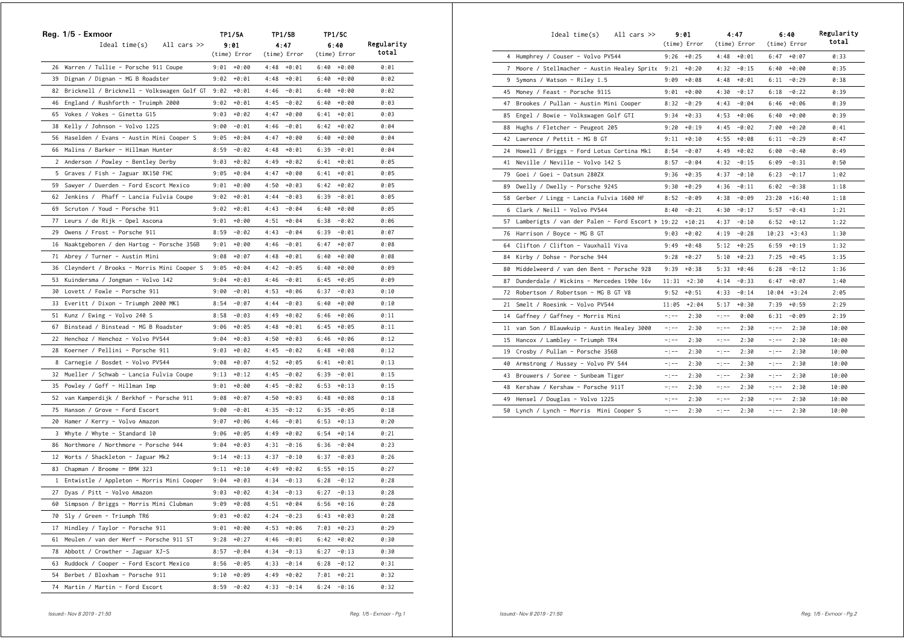|    | Reg. 1/5 - Exmoor                             |      | TP1/5A        |      | TP1/5B        |      | TP1/5C        |            |
|----|-----------------------------------------------|------|---------------|------|---------------|------|---------------|------------|
|    | $Ideal time(s)$ All cars $\gg$                |      | 9:01          |      | 4:47          |      | 6:40          | Regularity |
|    |                                               |      | (time) Error  |      | (time) Error  |      | (time) Error  | total      |
|    | 26 Warren / Tullie - Porsche 911 Coupe        |      | $9:01 + 0:00$ |      | $4:48 + 0:01$ |      | $6:40 + 0:00$ | 0:01       |
|    | 39 Dignan / Dignan - MG B Roadster            | 9:02 | +0:01         |      | $4:48 + 0:01$ |      | $6:40 + 0:00$ | 0:02       |
|    | 82 Bricknell / Bricknell – Volkswagen Golf GT | 9:02 | +0:01         | 4:46 | -0:01         |      | $6:40 + 0:00$ | 0:02       |
|    | 46 England / Rushforth - Truimph 2000         | 9:02 | +0:01         |      | $4:45 - 0:02$ |      | $6:40 + 0:00$ | 0:03       |
| 65 | Vokes / Vokes - Ginetta G15                   | 9:03 | +0:02         |      | $4:47 + 0:00$ |      | $6:41 + 0:01$ | 0:03       |
|    | 38 Kelly / Johnson - Volvo 122S               | 9:00 | -0:01         | 4:46 | -0:01         |      | $6:42 + 0:02$ | 0:04       |
|    | 56 Haselden / Evans - Austin Mini Cooper S    | 9:05 | +0:04         | 4:47 | $+0:00$       |      | $6:40 + 0:00$ | 0:04       |
|    | 66 Malins / Barker - Hillman Hunter           | 8:59 | -0:02         | 4:48 | +0:01         |      | $6:39 - 0:01$ | 0:04       |
|    | 2 Anderson / Powley - Bentley Derby           | 9:03 | $+0:02$       | 4:49 | $+0:02$       |      | $6:41 + 0:01$ | 0:05       |
|    | 5 Graves / Fish - Jaguar XK150 FHC            | 9:05 | +0:04         | 4:47 | $+0:00$       |      | $6:41 + 0:01$ | 0:05       |
| 59 | Sawyer / Duerden - Ford Escort Mexico         | 9:01 | +0:00         |      | $4:50 + 0:03$ |      | $6:42 + 0:02$ | 0:05       |
|    | 62 Jenkins / Phaff - Lancia Fulvia Coupe      | 9:02 | +0:01         | 4:44 | -0:03         |      | $6:39 - 0:01$ | 0:05       |
|    | 69 Scruton / Youd - Porsche 911               |      | $9:02 + 0:01$ |      | $4:43 - 0:04$ |      | $6:40 + 0:00$ | 0:05       |
| 77 | Leurs / de Rijk - Opel Ascona                 | 9:01 | +0:00         |      | $4:51 + 0:04$ |      | $6:38 - 0:02$ | 0:06       |
| 29 | Owens / Frost - Porsche 911                   | 8:59 | -0:02         | 4:43 | -0:04         |      | $6:39 - 0:01$ | 0:07       |
| 16 | Naaktgeboren / den Hartog - Porsche 356B      | 9:01 | $+0:00$       | 4:46 | $-0:01$       | 6:47 | +0:07         | 0:08       |
| 71 | Abrey / Turner - Austin Mini                  | 9:08 | +0:07         |      | $4:48 + 0:01$ |      | $6:40 + 0:00$ | 0:08       |
| 36 | Cleyndert / Brooks - Morris Mini Cooper S     | 9:05 | $+0:04$       | 4:42 | -0:05         |      | $6:40 + 0:00$ | 0:09       |
| 53 | Kuindersma / Jongman - Volvo 142              | 9:04 | $+0:03$       | 4:46 | $-0:01$       |      | $6:45 + 0:05$ | 0:09       |
|    | 30 Lovett / Fowle - Porsche 911               | 9:00 | $-0:01$       | 4:53 | +0:06         |      | $6:37 - 0:03$ | 0:10       |
|    | 33 Everitt / Dixon - Triumph 2000 MK1         | 8:54 | -0:07         |      | $4:44 - 0:03$ |      | $6:40 + 0:00$ | 0:10       |
| 51 | Kunz / Ewing - Volvo 240 S                    | 8:58 | -0:03         | 4:49 | $+0:02$       |      | $6:46 + 0:06$ | 0:11       |
| 67 | Binstead / Binstead - MG B Roadster           |      | $9:06 + 0:05$ |      | $4:48 + 0:01$ |      | $6:45 + 0:05$ | 0:11       |
|    | 22 Henchoz / Henchoz - Volvo PV544            | 9:04 | +0:03         |      | $4:50 + 0:03$ |      | $6:46 + 0:06$ | 0:12       |
| 28 | Koerner / Pellini - Porsche 911               | 9:03 | +0:02         | 4:45 | -0:02         |      | $6:48 + 0:08$ | 0:12       |
|    | 8 Carnegie / Bosdet - Volvo PV544             | 9:08 | +0:07         |      | $4:52 + 0:05$ |      | $6:41 + 0:01$ | 0:13       |
|    | 32 Mueller / Schwab - Lancia Fulvia Coupe     |      | $9:13 + 0:12$ |      | $4:45 - 0:02$ |      | $6:39 - 0:01$ | 0:15       |
| 35 | Powley / Goff - Hillman Imp                   | 9:01 | +0:00         | 4:45 | -0:02         |      | $6:53 + 0:13$ | 0:15       |
| 52 | van Kamperdijk / Berkhof - Porsche 911        | 9:08 | +0:07         |      | $4:50 + 0:03$ |      | $6:48 + 0:08$ | 0:18       |
| 75 | Hanson / Grove - Ford Escort                  | 9:00 | -0:01         | 4:35 | $-0:12$       |      | $6:35 - 0:05$ | 0:18       |
| 20 | Hamer / Kerry - Volvo Amazon                  | 9:07 | +0:06         | 4:46 | -0:01         |      | $6:53 + 0:13$ | 0:20       |
| 3  | Whyte / Whyte - Standard 10                   | 9:06 | +0:05         |      | $4:49 + 0:02$ |      | $6:54 + 0:14$ | 0:21       |
|    | 86 Northmore / Northmore - Porsche 944        | 9:04 | $+0:03$       |      | $4:31 - 0:16$ |      | $6:36 - 0:04$ | 0:23       |
| 12 | Worts / Shackleton - Jaguar Mk2               | 9:14 | $+0:13$       | 4:37 | -0:10         |      | $6:37 - 0:03$ | 0:26       |
| 83 | Chapman / Broome - BMW 323                    |      | $9:11 + 0:10$ |      | $4:49 + 0:02$ |      | $6:55 + 0:15$ | 0:27       |
|    | 1 Entwistle / Appleton - Morris Mini Cooper   | 9:04 | $+0:03$       |      | $4:34 - 0:13$ |      | $6:28 - 0:12$ | 0:28       |
|    | 27 Dyas / Pitt - Volvo Amazon                 | 9:03 | $+0:02$       | 4:34 | $-0:13$       | 6:27 | $-0:13$       | 0:28       |
|    | 60 Simpson / Briggs - Morris Mini Clubman     |      | $9:09 + 0:08$ |      | $4:51 + 0:04$ |      | $6:56$ +0:16  | 0:28       |
|    | 70 Sly / Green - Triumph TR6                  |      | $9:03 + 0:02$ |      | $4:24 - 0:23$ |      | $6:43 + 0:03$ | 0:28       |
| 17 | Hindley / Taylor - Porsche 911                |      | $9:01 + 0:00$ |      | $4:53 + 0:06$ |      | $7:03 + 0:23$ | 0:29       |
| 61 | Meulen / van der Werf - Porsche 911 ST        |      | $9:28 + 0:27$ |      | $4:46 - 0:01$ |      | $6:42 + 0:02$ | 0:30       |
|    | 78 Abbott / Crowther - Jaguar XJ-S            |      | $8:57 - 0:04$ |      | $4:34 - 0:13$ |      | $6:27 - 0:13$ | 0:30       |
|    | 63 Ruddock / Cooper - Ford Escort Mexico      | 8:56 | $-0:05$       |      | $4:33 - 0:14$ |      | $6:28 - 0:12$ | 0:31       |
| 54 | Berbet / Bloxham - Porsche 911                | 9:10 | $+0:09$       | 4:49 | $+0:02$       | 7:01 | $+0:21$       | 0:32       |
| 74 | Martin / Martin - Ford Escort                 | 8:59 | $-0:02$       | 4:33 | $-0:14$       | 6:24 | $-0:16$       | 0:32       |

|    | Ideal time(s)<br>All cars $\gg$                     |             | 9:01<br>(time) Error |             | 4:47<br>(time) Error |             | 6:40<br>(time) Error | Regularity<br>total |
|----|-----------------------------------------------------|-------------|----------------------|-------------|----------------------|-------------|----------------------|---------------------|
|    | 4 Humphrey / Couser - Volvo PV544                   |             | $9:26 + 0:25$        | 4:48        | $+0:01$              | 6:47        | $+0:07$              | 0:33                |
|    | 7 Moore / Stellmacher - Austin Healey Sprite 9:21   |             | $+0:20$              | 4:32        | $-0:15$              | 6:40        | $+0:00$              | 0:35                |
|    | 9 Symons / Watson - Riley 1.5                       | 9:09        | $+0:08$              | 4:48        | $+0:01$              | 6:11        | $-0:29$              | 0:38                |
| 45 | Money / Feast - Porsche 911S                        | 9:01        | $+0:00$              | 4:30        | $-0:17$              | 6:18        | $-0:22$              | 0:39                |
| 47 | Brookes / Pullan - Austin Mini Cooper               | 8:32        | $-0:29$              | 4:43        | $-0:04$              | 6:46        | $+0:06$              | 0:39                |
|    | 85 Engel / Bowie - Volkswagen Golf GTI              | 9:34        | $+0:33$              | 4:53        | $+0:06$              | 6:40        | $+0:00$              | 0:39                |
| 88 | Hughs / Fletcher - Peugeot 205                      | 9:20        | $+0:19$              | 4:45        | $-0:02$              | 7:00        | $+0:20$              | 0:41                |
|    | 42 Lawrence / Pettit - MG B GT                      | 9:11        | $+0:10$              | 4:55        | $+0:08$              | 6:11        | $-0:29$              | 0:47                |
|    | 24 Howell / Briggs - Ford Lotus Cortina Mk1         | 8:54        | $-0:07$              | 4:49        | $+0:02$              | 6:00        | $-0:40$              | 0:49                |
| 41 | Neville / Neville - Volvo 142 S                     | 8:57        | $-0:04$              | 4:32        | $-0:15$              | 6:09        | $-0:31$              | 0:50                |
| 79 | Goei / Goei - Datsun 280ZX                          | 9:36        | $+0:35$              | 4:37        | $-0:10$              | 6:23        | $-0:17$              | 1:02                |
| 89 | Dwelly / Dwelly - Porsche 924S                      | 9:30        | $+0:29$              | 4:36        | $-0:11$              | 6:02        | $-0:38$              | 1:18                |
| 58 | Gerber / Lingg - Lancia Fulvia 1600 HF              | 8:52        | $-0:09$              | 4:38        | $-0:09$              | 23:20       | $+16:40$             | 1:18                |
|    | 6 Clark / Neill - Volvo PV544                       | 8:40        | $-0:21$              | 4:30        | $-0:17$              | 5:57        | $-0:43$              | 1:21                |
|    | 57 Lamberigts / van der Palen - Ford Escort M 19:22 |             | $+10:21$             | 4:37        | $-0:10$              | 6:52        | $+0:12$              | 1:22                |
| 76 | Harrison / Boyce - MG B GT                          | 9:03        | $+0:02$              | 4:19        | $-0:28$              | 10:23       | $+3:43$              | 1:30                |
|    | 64 Clifton / Clifton - Vauxhall Viva                | 9:49        | $+0:48$              | 5:12        | $+0:25$              | 6:59        | $+0:19$              | 1:32                |
| 84 | Kirby / Dohse - Porsche 944                         | 9:28        | $+0:27$              | 5:10        | $+0:23$              | 7:25        | $+0:45$              | 1:35                |
| 80 | Middelweerd / van den Bent - Porsche 928            | 9:39        | $+0:38$              | 5:33        | $+0:46$              | 6:28        | $-0:12$              | 1:36                |
| 87 | Dunderdale / Wickins - Mercedes 190e 16v            | 11:31       | $+2:30$              | 4:14        | $-0:33$              | 6:47        | $+0:07$              | 1:40                |
| 72 | Robertson / Robertson - MG B GT V8                  | 9:52        | $+0:51$              | 4:33        | $-0:14$              | 10:04       | $+3:24$              | 2:05                |
| 21 | Smelt / Roesink - Volvo PV544                       | 11:05       | $+2:04$              | 5:17        | $+0:30$              | 7:39        | $+0:59$              | 2:29                |
| 14 | Gaffney / Gaffney - Morris Mini                     | $-$ : $-$ - | 2:30                 | $-$ : $-$ - | 0:00                 | 6:31        | $-0:09$              | 2:39                |
| 11 | van Son / Blauwkuip - Austin Healey 3000            | $-$ : $-$ - | 2:30                 | $-:--$      | 2:30                 | $-$ : $-$ - | 2:30                 | 10:00               |
| 15 | Hancox / Lambley - Triumph TR4                      | $-$ : $-$   | 2:30                 | -:--        | 2:30                 | $-:--$      | 2:30                 | 10:00               |
| 19 | Crosby / Pullan - Porsche 356B                      | $-:--$      | 2:30                 | $-$ : $-$ - | 2:30                 | $-:--$      | 2:30                 | 10:00               |
| 40 | Armstrong / Hussey - Volvo PV 544                   | $-:--$      | 2:30                 | $-$ : $-$ - | 2:30                 | -:--        | 2:30                 | 10:00               |
|    | 43 Brouwers / Soree - Sunbeam Tiger                 | $-:--$      | 2:30                 | $-$ : $-$ - | 2:30                 | $-:--$      | 2:30                 | 10:00               |
| 48 | Kershaw / Kershaw - Porsche 911T                    | $-1 - -$    | 2:30                 | $-:--$      | 2:30                 | -:--        | 2:30                 | 10:00               |
| 49 | Hensel / Douglas - Volvo 122S                       | $-$ : $-$ – | 2:30                 | -:--        | 2:30                 | -:--        | 2:30                 | 10:00               |
| 50 | Lynch / Lynch - Morris Mini Cooper S                | $-:--$      | 2:30                 | $-1 - -$    | 2:30                 | $-:--$      | 2:30                 | 10:00               |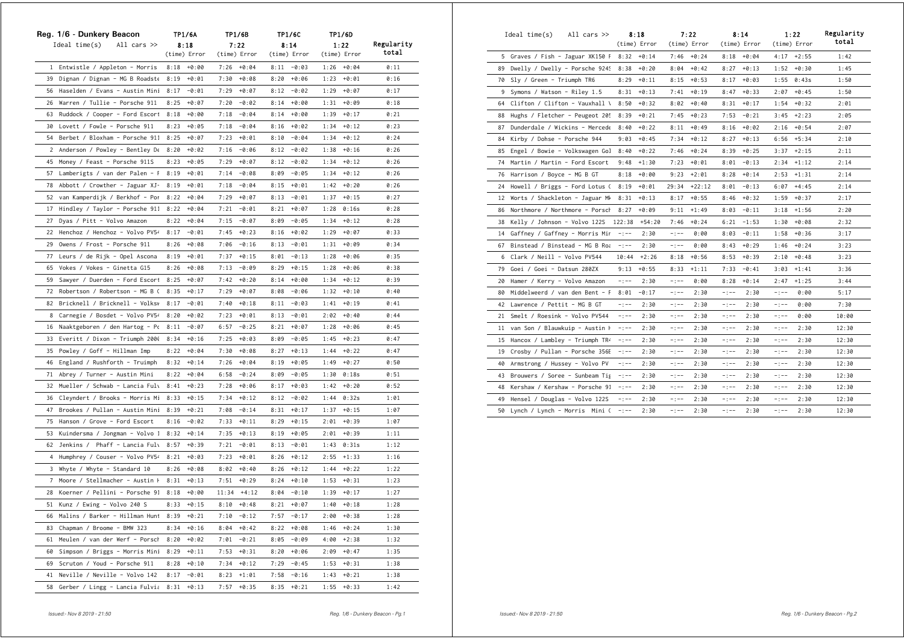|                | Reg. 1/6 - Dunkery Beacon         | <b>TP1/6A</b>   | TP1/6B           | TP1/6C          | TP1/6D          |            |
|----------------|-----------------------------------|-----------------|------------------|-----------------|-----------------|------------|
|                | Ideal time(s)<br>All cars $\gg$   | 8:18            | 7:22             | 8:14            | 1:22            | Regularity |
|                |                                   | (time) Error    | (time) Error     | (time) Error    | (time) Error    | total      |
|                | 1 Entwistle / Appleton - Morris   | 8:18<br>+0:00   | +0:04<br>7:26    | $8:11 - 0:03$   | $1:26 + 0:04$   | 0:11       |
| 39             | Dignan / Dignan - MG B Roadste    | 8:19<br>+0:01   | 7:30<br>$+0:08$  | $+0:06$<br>8:20 | 1:23<br>$+0:01$ | 0:16       |
| 56             | Haselden / Evans - Austin Mini    | 8:17<br>$-0:01$ | $+0:07$<br>7:29  | $-0:02$<br>8:12 | 1:29<br>$+0:07$ | 0:17       |
| 26             | Warren / Tullie - Porsche 911     | 8:25<br>$+0:07$ | 7:20<br>$-0:02$  | $+0:00$<br>8:14 | 1:31<br>$+0:09$ | 0:18       |
| 63             | Ruddock / Cooper - Ford Escort    | 8:18<br>$+0:00$ | 7:18<br>-0:04    | 8:14<br>$+0:00$ | 1:39<br>$+0:17$ | 0:21       |
|                | 30 Lovett / Fowle - Porsche 911   | 8:23<br>$+0:05$ | 7:18<br>-0:04    | 8:16<br>$+0:02$ | 1:34<br>$+0:12$ | 0:23       |
| 54             | Berbet / Bloxham - Porsche 911    | 8:25<br>$+0:07$ | 7:23<br>$+0:01$  | 8:10<br>$-0:04$ | 1:34<br>$+0:12$ | 0:24       |
| 2              | Anderson / Powley - Bentley De    | 8:20<br>$+0:02$ | 7:16<br>-0:06    | 8:12<br>$-0:02$ | 1:38<br>$+0:16$ | 0:26       |
| 45             | Money / Feast - Porsche 911S      | 8:23<br>$+0:05$ | 7:29<br>$+0:07$  | $-0:02$<br>8:12 | 1:34<br>$+0:12$ | 0:26       |
| 57             | Lamberigts / van der Palen - F    | 8:19<br>$+0:01$ | 7:14<br>$-0:08$  | $-0:05$<br>8:09 | 1:34<br>$+0:12$ | 0:26       |
| 78             | Abbott / Crowther - Jaguar XJ-    | 8:19<br>+0:01   | 7:18<br>-0:04    | 8:15<br>$+0:01$ | 1:42<br>$+0:20$ | 0:26       |
| 52             | van Kamperdijk / Berkhof - Por    | 8:22<br>$+0:04$ | 7:29<br>$+0:07$  | 8:13<br>$-0:01$ | 1:37<br>$+0:15$ | 0:27       |
| 17             | Hindley / Taylor - Porsche 911    | 8:22<br>$+0:04$ | 7:21<br>$-0:01$  | 8:21<br>$+0:07$ | 1:28<br>0:16s   | 0:28       |
| 27             | Dyas / Pitt - Volvo Amazon        | 8:22<br>$+0:04$ | 7:15<br>$-0:07$  | 8:09<br>$-0:05$ | 1:34<br>$+0:12$ | 0:28       |
| 22             | Henchoz / Henchoz - Volvo PV54    | $-0:01$<br>8:17 | 7:45<br>$+0:23$  | $+0:02$<br>8:16 | 1:29<br>$+0:07$ | 0:33       |
| 29             | Owens / Frost - Porsche 911       | 8:26<br>$+0:08$ | 7:06<br>$-0:16$  | 8:13<br>$-0:01$ | 1:31<br>$+0:09$ | 0:34       |
| 77             | Leurs / de Rijk - Opel Ascona     | 8:19<br>$+0:01$ | 7:37<br>$+0:15$  | $-0:13$<br>8:01 | $+0:06$<br>1:28 | 0:35       |
| 65             | Vokes / Vokes - Ginetta G15       | 8:26<br>$+0:08$ | $-0:09$<br>7:13  | $+0:15$<br>8:29 | $+0:06$<br>1:28 | 0:38       |
| 59             | Sawyer / Duerden - Ford Escort    | 8:25<br>$+0:07$ | 7:42<br>$+0:20$  | 8:14<br>$+0:00$ | 1:34<br>$+0:12$ | 0:39       |
| 72             | Robertson / Robertson - MG B (    | 8:35<br>$+0:17$ | 7:29<br>$+0:07$  | 8:08<br>-0:06   | 1:32<br>$+0:10$ | 0:40       |
| 82             | Bricknell / Bricknell - Volksv    | 8:17<br>$-0:01$ | 7:40<br>$+0:18$  | $-0:03$<br>8:11 | 1:41<br>$+0:19$ | 0:41       |
| 8              | Carnegie / Bosdet - Volvo PV54    | 8:20<br>$+0:02$ | 7:23<br>+0:01    | 8:13<br>$-0:01$ | 2:02<br>$+0:40$ | 0:44       |
| 16             | Naaktgeboren / den Hartog - Po    | 8:11<br>$-0:07$ | $-0:25$<br>6:57  | 8:21<br>$+0:07$ | 1:28<br>$+0:06$ | 0:45       |
| 33             | Everitt / Dixon - Triumph 2000    | $+0:16$<br>8:34 | 7:25<br>$+0:03$  | 8:09<br>$-0:05$ | 1:45<br>$+0:23$ | 0:47       |
| 35             | Powley / Goff - Hillman Imp       | 8:22<br>$+0:04$ | 7:30<br>$+0:08$  | 8:27<br>$+0:13$ | 1:44<br>$+0:22$ | 0:47       |
| 46             | England / Rushforth - Truimph     | 8:32<br>$+0:14$ | 7:26<br>$+0:04$  | 8:19<br>$+0:05$ | 1:49<br>$+0:27$ | 0:50       |
| 71             | Abrey / Turner - Austin Mini      | $+0:04$<br>8:22 | 6:58<br>$-0:24$  | 8:09<br>$-0:05$ | 1:30<br>0:18s   | 0:51       |
| 32             | Mueller / Schwab - Lancia Fuly    | 8:41<br>$+0:23$ | 7:28<br>$+0:06$  | 8:17<br>$+0:03$ | 1:42<br>$+0:20$ | 0:52       |
| 36             | Cleyndert / Brooks - Morris Mi    | 8:33<br>$+0:15$ | 7:34<br>$+0:12$  | 8:12<br>$-0:02$ | 1:44<br>0:32s   | 1:01       |
| 47             | Brookes / Pullan - Austin Mini    | 8:39<br>$+0:21$ | $-0:14$<br>7:08  | $+0:17$<br>8:31 | 1:37<br>$+0:15$ | 1:07       |
| 75             | Hanson / Grove - Ford Escort      | 8:16<br>$-0:02$ | 7:33<br>$+0:11$  | 8:29<br>$+0:15$ | 2:01<br>$+0:39$ | 1:07       |
|                | 53 Kuindersma / Jongman - Volvo 1 | 8:32<br>$+0:14$ | 7:35<br>$+0:13$  | 8:19<br>+0:05   | 2:01<br>$+0:39$ | 1:11       |
| 62             | Jenkins / Phaff - Lancia Fuly     | 8:57<br>$+0:39$ | $-0:01$<br>7:21  | $-0:01$<br>8:13 | 1:43<br>0:31s   | 1:12       |
| 4              | Humphrey / Couser - Volvo PV54    | 8:21<br>$+0:03$ | 7:23<br>$+0:01$  | 8:26<br>$+0:12$ | 2:55<br>$+1:33$ | 1:16       |
| 3              | Whyte / Whyte - Standard 10       | 8:26<br>$+0:08$ | 8:02<br>+0:40    | 8:26<br>$+0:12$ | $+0:22$<br>1:44 | 1:22       |
| $\overline{7}$ | Moore / Stellmacher - Austin H    | 8:31<br>$+0:13$ | 7:51<br>$+0:29$  | $+0:10$<br>8:24 | 1:53<br>$+0:31$ | 1:23       |
|                | 28 Koerner / Pellini - Porsche 91 | 8:18<br>$+0:00$ | 11:34<br>$+4:12$ | 8:04<br>$-0:10$ | 1:39<br>$+0:17$ | 1:27       |
| 51             | Kunz / Ewing - Volvo 240 S        | 8:33<br>$+0:15$ | 8:10<br>$+0:48$  | 8:21<br>$+0:07$ | 1:40<br>$+0:18$ | 1:28       |
|                | 66 Malins / Barker - Hillman Hunt | 8:39<br>$+0:21$ | $7:10 - 0:12$    | 7:57<br>$-0:17$ | $2:00 + 0:38$   | 1:28       |
| 83             | Chapman / Broome - BMW 323        | 8:34<br>$+0:16$ | 8:04<br>$+0:42$  | 8:22<br>$+0:08$ | 1:46<br>$+0:24$ | 1:30       |
| 61             | Meulen / van der Werf - Porsch    | 8:20<br>$+0:02$ | 7:01<br>$-0:21$  | 8:05<br>$-0:09$ | 4:00<br>$+2:38$ | 1:32       |
| 60             | Simpson / Briggs - Morris Mini    | 8:29<br>$+0:11$ | 7:53<br>$+0:31$  | 8:20<br>$+0:06$ | 2:09<br>$+0:47$ | 1:35       |
| 69             | Scruton / Youd - Porsche 911      | 8:28<br>$+0:10$ | 7:34<br>$+0:12$  | 7:29<br>$-0:45$ | 1:53<br>$+0:31$ | 1:38       |
| 41             | Neville / Neville - Volvo 142     | 8:17<br>$-0:01$ | 8:23<br>$+1:01$  | 7:58<br>$-0:16$ | 1:43<br>$+0:21$ | 1:38       |
| 58             | Gerber / Lingg - Lancia Fulvia    | 8:31<br>$+0:13$ | 7:57<br>$+0:35$  | 8:35<br>$+0:21$ | 1:55<br>$+0:33$ | 1:42       |

|    | Ideal time(s)                    | All cars $\gg$                 |           | 8:18          |           | 7:22         |             | 8:14         |             | 1:22         | Regularity |
|----|----------------------------------|--------------------------------|-----------|---------------|-----------|--------------|-------------|--------------|-------------|--------------|------------|
|    |                                  |                                |           | (time) Error  |           | (time) Error |             | (time) Error |             | (time) Error | total      |
|    | 5 Graves / Fish - Jaguar XK150 F |                                |           | $8:32 + 0:14$ | 7:46      | $+0:24$      | 8:18        | +0:04        |             | $4:17 +2:55$ | 1:42       |
| 89 |                                  | Dwelly / Dwelly - Porsche 9249 | 8:38      | $+0:20$       | 8:04      | $+0:42$      | 8:27        | $+0:13$      | 1:52        | $+0:30$      | 1:45       |
| 70 | Sly / Green - Triumph TR6        |                                | 8:29      | $+0:11$       | 8:15      | $+0:53$      | 8:17        | $+0:03$      | 1:55        | 0:43s        | 1:50       |
| 9  | Symons / Watson - Riley 1.5      |                                | 8:31      | $+0:13$       | 7:41      | $+0:19$      | 8:47        | $+0:33$      | 2:07        | $+0:45$      | 1:50       |
| 64 | Clifton / Clifton - Vauxhall \   |                                | 8:50      | $+0:32$       | 8:02      | $+0:40$      | 8:31        | $+0:17$      | 1:54        | $+0:32$      | 2:01       |
| 88 |                                  | Hughs / Fletcher - Peugeot 205 | 8:39      | $+0:21$       | 7:45      | $+0:23$      | 7:53        | $-0:21$      | 3:45        | $+2:23$      | 2:05       |
| 87 |                                  | Dunderdale / Wickins - Mercede | 8:40      | $+0:22$       | 8:11      | $+0:49$      | 8:16        | $+0:02$      | 2:16        | $+0:54$      | 2:07       |
| 84 | Kirby / Dohse - Porsche 944      |                                | 9:03      | $+0:45$       | 7:34      | $+0:12$      | 8:27        | $+0:13$      | 6:56        | $+5:34$      | 2:10       |
| 85 |                                  | Engel / Bowie - Volkswagen Gol | 8:40      | $+0:22$       | 7:46      | $+0:24$      | 8:39        | $+0:25$      | 3:37        | $+2:15$      | 2:11       |
| 74 | Martin / Martin - Ford Escort    |                                | 9:48      | $+1:30$       | 7:23      | $+0:01$      | 8:01        | $-0:13$      | 2:34        | $+1:12$      | 2:14       |
| 76 | Harrison / Boyce - MG B GT       |                                | 8:18      | $+0:00$       | 9:23      | $+2:01$      | 8:28        | $+0:14$      | 2:53        | $+1:31$      | 2:14       |
| 24 | Howell / Briggs - Ford Lotus (   |                                | 8:19      | $+0:01$       | 29:34     | $+22:12$     | 8:01        | $-0:13$      | 6:07        | $+4:45$      | 2:14       |
| 12 |                                  | Worts / Shackleton - Jaguar MM | 8:31      | $+0:13$       | 8:17      | $+0:55$      | 8:46        | $+0:32$      | 1:59        | $+0:37$      | 2:17       |
| 86 | Northmore / Northmore - Porsch   |                                | 8:27      | $+0:09$       | 9:11      | $+1:49$      | 8:03        | $-0:11$      | 3:18        | $+1:56$      | 2:20       |
| 38 | Kelly / Johnson - Volvo 122S     |                                | 122:38    | $+54:20$      | 7:46      | $+0:24$      | 6:21        | $-1:53$      | 1:30        | $+0:08$      | 2:32       |
| 14 | Gaffney / Gaffney - Morris Mir   |                                | $-1 - -$  | 2:30          | $-:--$    | 0:00         | 8:03        | $-0:11$      | 1:58        | $+0:36$      | 3:17       |
| 67 |                                  | Binstead / Binstead - MG B Roa | $-:--$    | 2:30          | $-:--$    | 0:00         | 8:43        | $+0:29$      | 1:46        | $+0:24$      | 3:23       |
|    | 6 Clark / Neill - Volvo PV544    |                                | 10:44     | $+2:26$       | 8:18      | $+0:56$      | 8:53        | $+0:39$      | 2:10        | $+0:48$      | 3:23       |
| 79 | Goei / Goei - Datsun 280ZX       |                                | 9:13      | $+0:55$       | 8:33      | $+1:11$      | 7:33        | $-0:41$      | 3:03        | $+1:41$      | 3:36       |
| 20 | Hamer / Kerry - Volvo Amazon     |                                | $-1 - -$  | 2:30          | $-:--$    | 0:00         | 8:28        | $+0:14$      | 2:47        | $+1:25$      | 3:44       |
| 80 |                                  | Middelweerd / van den Bent - F | 8:01      | $-0:17$       | $-:--$    | 2:30         | -:--        | 2:30         | -:--        | 0:00         | 5:17       |
| 42 | Lawrence / Pettit - MG B GT      |                                | $-1 - -$  | 2:30          | $-:--$    | 2:30         | -:--        | 2:30         | $-:--$      | 0:00         | 7:30       |
| 21 | Smelt / Roesink - Volvo PV544    |                                | $-:--$    | 2:30          | $-:--$    | 2:30         | $-:--$      | 2:30         | -:--        | 0:00         | 10:00      |
| 11 | van Son / Blauwkuip - Austin H   |                                | $-:--$    | 2:30          | -:--      | 2:30         | -:--        | 2:30         | -:--        | 2:30         | 12:30      |
| 15 | Hancox / Lambley - Triumph TR4   |                                | $-:--$    | 2:30          | $-:--$    | 2:30         | -:--        | 2:30         | -:--        | 2:30         | 12:30      |
| 19 |                                  | Crosby / Pullan - Porsche 356E | $-:--$    | 2:30          | -:--      | 2:30         | -:--        | 2:30         | -:--        | 2:30         | 12:30      |
| 40 | Armstrong / Hussey - Volvo PV    |                                | $-1 - -$  | 2:30          | -:--      | 2:30         | $-1 - -$    | 2:30         | -:--        | 2:30         | 12:30      |
| 43 |                                  | Brouwers / Soree - Sunbeam Tig | $-:--$    | 2:30          | $-:--$    | 2:30         | -:--        | 2:30         | -:--        | 2:30         | 12:30      |
| 48 | Kershaw / Kershaw - Porsche 91   |                                | $-1 - -$  | 2:30          | $-$ : $-$ | 2:30         | $-$ ; $-$ – | 2:30         | $-$ ; $-$ – | 2:30         | 12:30      |
| 49 | Hensel / Douglas - Volvo 122S    |                                | $-:--$    | 2:30          | -:--      | 2:30         | -:--        | 2:30         | -:--        | 2:30         | 12:30      |
|    | 50 Lynch / Lynch - Morris Mini ( |                                | $- - - -$ | 2:30          | $-1 - -$  | 2:30         | $-$ : $-$   | 2:30         | $-$ : $-$   | 2:30         | 12:30      |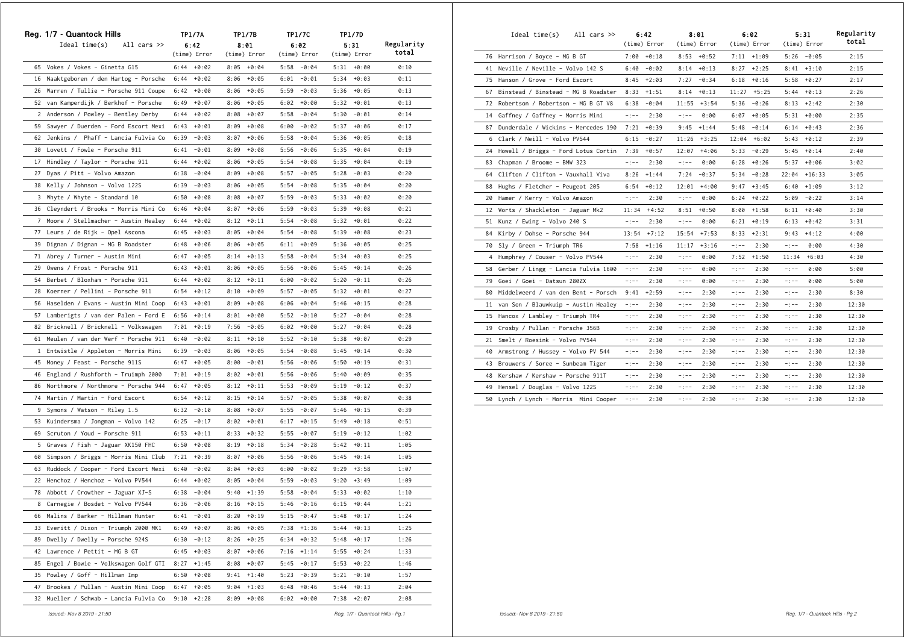|    | Reg. 1/7 - Quantock Hills              | TP1/7A          | TP1/7B          | TP1/7C          | TP1/7D          |            |
|----|----------------------------------------|-----------------|-----------------|-----------------|-----------------|------------|
|    | Ideal time(s)<br>All cars $\gg$        | 6:42            | 8:01            | 6:02            | 5:31            | Regularity |
|    |                                        | (time) Error    | (time) Error    | (time) Error    | (time) Error    | total      |
|    | 65 Vokes / Vokes - Ginetta G15         | $6:44 + 0:02$   | $8:05 + 0:04$   | $5:58 - 0:04$   | $5:31 + 0:00$   | 0:10       |
|    | 16 Naaktgeboren / den Hartog - Porsche | 6:44<br>$+0:02$ | 8:06<br>$+0:05$ | 6:01<br>$-0:01$ | $5:34 + 0:03$   | 0:11       |
| 26 | Warren / Tullie - Porsche 911 Coupe    | 6:42<br>+0:00   | 8:06<br>$+0:05$ | 5:59<br>$-0:03$ | 5:36<br>$+0:05$ | 0:13       |
|    | 52 van Kamperdijk / Berkhof - Porsche  | 6:49<br>$+0:07$ | 8:06<br>$+0:05$ | $6:02 + 0:00$   | $5:32 + 0:01$   | 0:13       |
|    | 2 Anderson / Powley - Bentley Derby    | $+0:02$<br>6:44 | $+0:07$<br>8:08 | 5:58<br>$-0:04$ | 5:30<br>$-0:01$ | 0:14       |
| 59 | Sawyer / Duerden - Ford Escort Mexi    | 6:43<br>$+0:01$ | 8:09<br>$+0:08$ | 6:00<br>-0:02   | 5:37<br>+0:06   | 0:17       |
|    | 62 Jenkins / Phaff - Lancia Fulvia Co  | 6:39<br>$-0:03$ | 8:07<br>+0:06   | 5:58<br>$-0:04$ | $+0:05$<br>5:36 | 0:18       |
|    | 30 Lovett / Fowle - Porsche 911        | 6:41<br>$-0:01$ | 8:09<br>$+0:08$ | 5:56<br>-0:06   | 5:35<br>$+0:04$ | 0:19       |
|    | 17 Hindley / Taylor - Porsche 911      | $+0:02$<br>6:44 | 8:06<br>$+0:05$ | 5:54<br>$-0:08$ | 5:35<br>$+0:04$ | 0:19       |
| 27 | Dyas / Pitt - Volvo Amazon             | $-0:04$<br>6:38 | 8:09<br>$+0:08$ | 5:57<br>$-0:05$ | 5:28<br>-0:03   | 0:20       |
|    | 38 Kelly / Johnson - Volvo 122S        | 6:39<br>-0:03   | 8:06<br>+0:05   | $5:54 - 0:08$   | $5:35 + 0:04$   | 0:20       |
|    | 3 Whyte / Whyte - Standard 10          | 6:50<br>$+0:08$ | $+0:07$<br>8:08 | 5:59<br>$-0:03$ | 5:33<br>$+0:02$ | 0:20       |
|    | 36 Cleyndert / Brooks - Morris Mini Co | 6:46<br>$+0:04$ | 8:07<br>+0:06   | $5:59 - 0:03$   | $+0:08$<br>5:39 | 0:21       |
| 7  | Moore / Stellmacher - Austin Healey    | 6:44<br>$+0:02$ | 8:12<br>$+0:11$ | 5:54<br>-0:08   | 5:32<br>+0:01   | 0:22       |
|    | 77 Leurs / de Rijk - Opel Ascona       | 6:45<br>$+0:03$ | 8:05<br>+0:04   | 5:54<br>$-0:08$ | 5:39<br>$+0:08$ | 0:23       |
| 39 | Dignan / Dignan - MG B Roadster        | $+0:06$<br>6:48 | 8:06<br>$+0:05$ | $6:11 + 0:09$   | 5:36<br>$+0:05$ | 0:25       |
|    | 71 Abrey / Turner - Austin Mini        | 6:47<br>$+0:05$ | 8:14<br>$+0:13$ | 5:58<br>-0:04   | 5:34<br>$+0:03$ | 0:25       |
| 29 | Owens / Frost - Porsche 911            | 6:43<br>$+0:01$ | $+0:05$<br>8:06 | 5:56<br>-0:06   | 5:45<br>$+0:14$ | 0:26       |
| 54 | Berbet / Bloxham - Porsche 911         | 6:44<br>$+0:02$ | $+0:11$<br>8:12 | 6:00<br>$-0:02$ | 5:20<br>$-0:11$ | 0:26       |
|    | 28 Koerner / Pellini - Porsche 911     | 6:54<br>$+0:12$ | 8:10<br>$+0:09$ | 5:57<br>$-0:05$ | 5:32<br>+0:01   | 0:27       |
|    | 56 Haselden / Evans - Austin Mini Coop | 6:43<br>$+0:01$ | 8:09<br>$+0:08$ | 6:06<br>+0:04   | 5:46<br>$+0:15$ | 0:28       |
|    | 57 Lamberigts / van der Palen - Ford E | 6:56<br>$+0:14$ | 8:01<br>+0:00   | 5:52<br>$-0:10$ | 5:27<br>$-0:04$ | 0:28       |
|    | 82 Bricknell / Bricknell - Volkswagen  | 7:01<br>$+0:19$ | 7:56<br>-0:05   | $6:02 + 0:00$   | 5:27<br>$-0:04$ | 0:28       |
| 61 | Meulen / van der Werf - Porsche 911    | $-0:02$<br>6:40 | $8:11 + 0:10$   | 5:52<br>-0:10   | 5:38<br>+0:07   | 0:29       |
|    | 1 Entwistle / Appleton - Morris Mini   | $-0:03$<br>6:39 | 8:06<br>+0:05   | 5:54<br>$-0:08$ | 5:45<br>$+0:14$ | 0:30       |
|    | 45 Money / Feast - Porsche 911S        | 6:47<br>$+0:05$ | 8:00<br>-0:01   | 5:56<br>-0:06   | 5:50<br>+0:19   | 0:31       |
|    | 46 England / Rushforth - Truimph 2000  | 7:01<br>$+0:19$ | 8:02<br>+0:01   | 5:56<br>-0:06   | 5:40<br>+0:09   | 0:35       |
| 86 | Northmore / Northmore - Porsche 944    | $+0:05$<br>6:47 | 8:12<br>$+0:11$ | $5:53 - 0:09$   | 5:19<br>$-0:12$ | 0:37       |
| 74 | Martin / Martin - Ford Escort          | 6:54<br>$+0:12$ | 8:15<br>$+0:14$ | $5:57 - 0:05$   | 5:38<br>+0:07   | 0:38       |
|    | 9 Symons / Watson - Riley 1.5          | 6:32<br>$-0:10$ | 8:08<br>+0:07   | 5:55<br>-0:07   | 5:46<br>$+0:15$ | 0:39       |
|    | 53 Kuindersma / Jongman - Volvo 142    | $-0:17$<br>6:25 | 8:02<br>+0:01   | 6:17<br>$+0:15$ | 5:49<br>$+0:18$ | 0:51       |
|    | 69 Scruton / Youd - Porsche 911        | 6:53<br>$+0:11$ | 8:33<br>+0:32   | $5:55 - 0:07$   | 5:19<br>$-0:12$ | 1:02       |
|    | 5 Graves / Fish - Jaguar XK150 FHC     | 6:50<br>$+0:08$ | $+0:18$<br>8:19 | $5:34 - 0:28$   | 5:42<br>+0:11   | 1:05       |
| 60 | Simpson / Briggs - Morris Mini Club    | 7:21<br>$+0:39$ | 8:07<br>+0:06   | 5:56<br>$-0:06$ | 5:45<br>+0:14   | 1:05       |
| 63 | Ruddock / Cooper - Ford Escort Mexi    | 6:40<br>$-0:02$ | 8:04<br>+0:03   | $6:00 - 0:02$   | 9:29<br>$+3:58$ | 1:07       |
|    | 22 Henchoz / Henchoz - Volvo PV544     | $+0:02$<br>6:44 | 8:05<br>$+0:04$ | 5:59<br>-0:03   | 9:20<br>$+3:49$ | 1:09       |
| 78 | Abbott / Crowther - Jaguar XJ-S        | $-0:04$<br>6:38 | 9:40<br>$+1:39$ | 5:58<br>$-0:04$ | $+0:02$<br>5:33 | 1:10       |
|    | 8 Carnegie / Bosdet - Volvo PV544      | 6:36<br>$-0:06$ | 8:16<br>$+0:15$ | $5:46 - 0:16$   | $6:15 + 0:44$   | 1:21       |
|    | 66 Malins / Barker - Hillman Hunter    | $6:41 - 0:01$   | $8:20 + 0:19$   | $5:15 - 0:47$   | $5:48 + 0:17$   | 1:24       |
| 33 | Everitt / Dixon - Triumph 2000 MK1     | 6:49<br>$+0:07$ | 8:06<br>+0:05   | $7:38$ +1:36    | $+0:13$<br>5:44 | 1:25       |
| 89 | Dwelly / Dwelly - Porsche 924S         | $-0:12$<br>6:30 | 8:26<br>$+0:25$ | $6:34 + 0:32$   | $5:48 + 0:17$   | 1:26       |
|    | 42 Lawrence / Pettit - MG B GT         | 6:45<br>$+0:03$ | 8:07<br>$+0:06$ | $7:16$ +1:14    | $5:55 + 0:24$   | 1:33       |
| 85 | Engel / Bowie - Volkswagen Golf GTI    | 8:27<br>$+1:45$ | 8:08<br>$+0:07$ | $5:45 - 0:17$   | 5:53<br>+0:22   | 1:46       |
|    | 35 Powley / Goff - Hillman Imp         | 6:50<br>$+0:08$ | 9:41<br>$+1:40$ | $5:23 - 0:39$   | $5:21 - 0:10$   | 1:57       |
| 47 | Brookes / Pullan - Austin Mini Coop    | 6:47<br>$+0:05$ | 9:04<br>$+1:03$ | 6:48<br>$+0:46$ | 5:44<br>$+0:13$ | 2:04       |
| 32 | Mueller / Schwab - Lancia Fulvia Co    | 9:10<br>$+2:28$ | 8:09<br>$+0:08$ | 6:02<br>$+0:00$ | $7:38 +2:07$    | 2:08       |

|    | Ideal time(s)<br>All cars $\gg$        |             | 6:42          |             | 8:01          |             | 6:02           |          | 5:31          | Regularity |
|----|----------------------------------------|-------------|---------------|-------------|---------------|-------------|----------------|----------|---------------|------------|
|    |                                        |             | (time) Error  |             | (time) Error  |             | (time) Error   |          | (time) Error  | total      |
|    | 76 Harrison / Boyce - MG B GT          |             | $7:00 + 0:18$ |             | $8:53 + 0:52$ |             | $7:11 +1:09$   |          | $5:26 - 0:05$ | 2:15       |
|    | 41 Neville / Neville - Volvo 142 S     | 6:40        | $-0:02$       | 8:14        | $+0:13$       |             | $8:27 +2:25$   |          | $8:41 + 3:10$ | 2:15       |
|    | 75 Hanson / Grove - Ford Escort        | 8:45        | $+2:03$       | 7:27        | $-0:34$       |             | $6:18 + 0:16$  | 5:58     | $+0:27$       | 2:17       |
|    | 67 Binstead / Binstead - MG B Roadster | 8:33        | $+1:51$       | 8:14        | $+0:13$       |             | $11:27$ +5:25  | 5:44     | $+0:13$       | 2:26       |
|    | 72 Robertson / Robertson - MG B GT V8  | 6:38        | $-0:04$       | 11:55       | $+3:54$       | 5:36        | $-0:26$        | 8:13     | $+2:42$       | 2:30       |
| 14 | Gaffney / Gaffney - Morris Mini        | $-:--$      | 2:30          | $-1 - -$    | 0:00          | 6:07        | $+0:05$        | 5:31     | $+0:00$       | 2:35       |
|    | 87 Dunderdale / Wickins - Mercedes 190 | 7:21        | $+0:39$       | 9:45        | $+1:44$       | 5:48        | $-0:14$        | 6:14     | $+0:43$       | 2:36       |
|    | 6 Clark / Neill - Volvo PV544          | 6:15        | $-0:27$       | 11:26       | $+3:25$       |             | $12:04 + 6:02$ | 5:43     | $+0:12$       | 2:39       |
| 24 | Howell / Briggs - Ford Lotus Cortin    | 7:39        | $+0:57$       | 12:07       | $+4:06$       | 5:33        | $-0:29$        | 5:45     | $+0:14$       | 2:40       |
| 83 | Chapman / Broome - BMW 323             | $-:--$      | 2:30          | $-:--$      | 0:00          | 6:28        | $+0:26$        | 5:37     | $+0:06$       | 3:02       |
| 64 | Clifton / Clifton - Vauxhall Viva      | 8:26        | $+1:44$       | 7:24        | $-0:37$       | 5:34        | $-0:28$        | 22:04    | $+16:33$      | 3:05       |
| 88 | Hughs / Fletcher - Peugeot 205         | 6:54        | $+0:12$       | 12:01       | +4:00         | 9:47        | $+3:45$        | 6:40     | $+1:09$       | 3:12       |
| 20 | Hamer / Kerry - Volvo Amazon           | $-:--$      | 2:30          | $-$ : $-$ - | 0:00          | 6:24        | $+0:22$        | 5:09     | $-0:22$       | 3:14       |
|    | 12 Worts / Shackleton - Jaguar Mk2     | 11:34       | $+4:52$       | 8:51        | $+0:50$       | 8:00        | $+1:58$        | 6:11     | $+0:40$       | 3:30       |
|    | 51 Kunz / Ewing - Volvo 240 S          | $-$ : $-$ - | 2:30          | $-$ : $-$ - | 0:00          | 6:21        | $+0:19$        | 6:13     | $+0:42$       | 3:31       |
| 84 | Kirby / Dohse - Porsche 944            | 13:54       | $+7:12$       | 15:54       | $+7:53$       | 8:33        | $+2:31$        | 9:43     | $+4:12$       | 4:00       |
|    | 70 Sly / Green - Triumph TR6           | 7:58        | $+1:16$       | 11:17       | $+3:16$       | $-$ : $-$   | 2:30           | $-1 - -$ | 0:00          | 4:30       |
| 4  | Humphrey / Couser - Volvo PV544        | -:--        | 2:30          | $-$ : $-$ - | 0:00          | 7:52        | $+1:50$        | 11:34    | $+6:03$       | 4:30       |
| 58 | Gerber / Lingg - Lancia Fulvia 1600    | $-$ : $-$ - | 2:30          | $-:--$      | 0:00          | $-1 - -$    | 2:30           | $-1 - -$ | 0:00          | 5:00       |
| 79 | Goei / Goei - Datsun 280ZX             | $-1 - -$    | 2:30          | $-1 - -$    | 0:00          | $-1 - -$    | 2:30           | $-1 - -$ | 0:00          | 5:00       |
| 80 | Middelweerd / van den Bent - Porsch    | 9:41        | $+2:59$       | $-:--$      | 2:30          | $-$ : $-$ - | 2:30           | $-:--$   | 2:30          | 8:30       |
| 11 | van Son / Blauwkuip - Austin Healey    | $-:--$      | 2:30          | $-:--$      | 2:30          | -:--        | 2:30           | -:--     | 2:30          | 12:30      |
| 15 | Hancox / Lambley - Triumph TR4         | -:--        | 2:30          | $-:--$      | 2:30          | -:--        | 2:30           | $-:--$   | 2:30          | 12:30      |
|    | 19 Crosby / Pullan - Porsche 356B      | $-:--$      | 2:30          | $-$ : $-$ - | 2:30          | $-1 - -$    | 2:30           | $-1 - -$ | 2:30          | 12:30      |
| 21 | Smelt / Roesink - Volvo PV544          | -:--        | 2:30          | $-:--$      | 2:30          | -:--        | 2:30           | -:--     | 2:30          | 12:30      |
| 40 | Armstrong / Hussey - Volvo PV 544      | -:--        | 2:30          | $-1 - -$    | 2:30          | $-1 - -$    | 2:30           | $-1 - -$ | 2:30          | 12:30      |
|    | 43 Brouwers / Soree - Sunbeam Tiger    | $-:--$      | 2:30          | $-:--$      | 2:30          | $-:--$      | 2:30           | $-:--$   | 2:30          | 12:30      |
| 48 | Kershaw / Kershaw - Porsche 911T       | -:--        | 2:30          | $-:--$      | 2:30          | -:--        | 2:30           | -:--     | 2:30          | 12:30      |
| 49 | Hensel / Douglas - Volvo 122S          | -:--        | 2:30          | -:--        | 2:30          | -:--        | 2:30           | $-:--$   | 2:30          | 12:30      |
|    | 50 Lynch / Lynch - Morris Mini Cooper  | $-:--$      | 2:30          | $-:--$      | 2:30          | -:--        | 2:30           | $-:--$   | 2:30          | 12:30      |

 *Issued:- Nov 8 2019 - 21:50 Reg. 1/7 - Quantock Hills - Pg.1*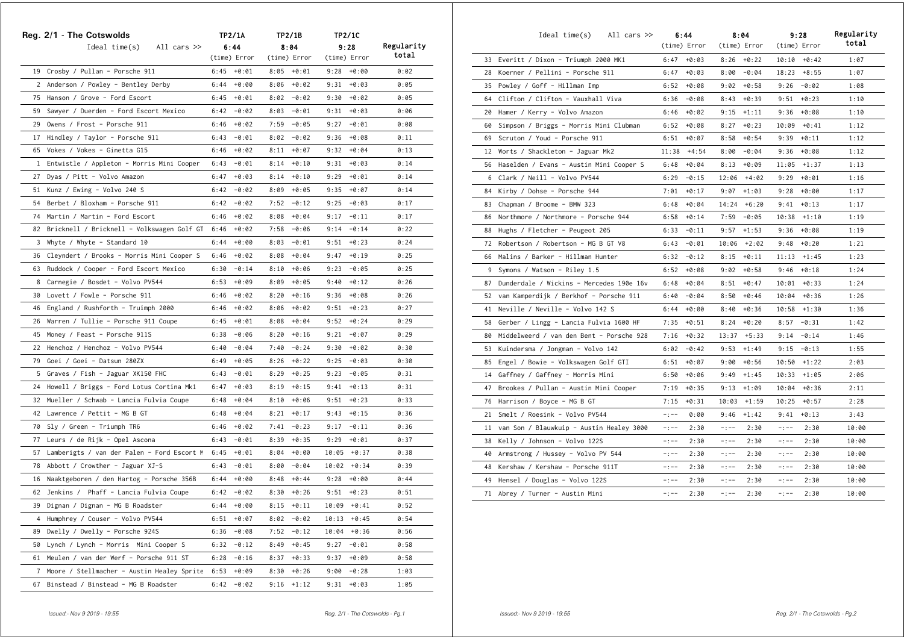|                | Reg. 2/1 - The Cotswolds                      |      | <b>TP2/1A</b> |      | TP2/1B        |       | TP2/1C         |            |
|----------------|-----------------------------------------------|------|---------------|------|---------------|-------|----------------|------------|
|                | Ideal time(s)<br>All cars $\gg$               |      | 6:44          |      | 8:04          |       | 9:28           | Regularity |
|                |                                               |      | (time) Error  |      | (time) Error  |       | (time) Error   | total      |
|                | 19 Crosby / Pullan - Porsche 911              | 6:45 | +0:01         |      | $8:05 + 0:01$ |       | $9:28 + 0:00$  | 0:02       |
|                | 2 Anderson / Powley - Bentley Derby           | 6:44 | $+0:00$       |      | $8:06 + 0:02$ |       | $9:31 + 0:03$  | 0:05       |
|                | 75 Hanson / Grove - Ford Escort               | 6:45 | +0:01         |      | $8:02 - 0:02$ |       | $9:30 + 0:02$  | 0:05       |
|                | 59 Sawyer / Duerden - Ford Escort Mexico      | 6:42 | -0:02         |      | $8:03 - 0:01$ |       | $9:31 + 0:03$  | 0:06       |
|                | 29 Owens / Frost - Porsche 911                | 6:46 | +0:02         | 7:59 | -0:05         |       | $9:27 - 0:01$  | 0:08       |
|                | 17 Hindley / Taylor - Porsche 911             | 6:43 | $-0:01$       | 8:02 | -0:02         | 9:36  | +0:08          | 0:11       |
|                | 65 Vokes / Vokes - Ginetta G15                | 6:46 | +0:02         | 8:11 | $+0:07$       | 9:32  | +0:04          | 0:13       |
|                | 1 Entwistle / Appleton - Morris Mini Cooper   | 6:43 | $-0:01$       |      | $8:14 + 0:10$ | 9:31  | +0:03          | 0:14       |
|                | 27 Dyas / Pitt - Volvo Amazon                 | 6:47 | $+0:03$       |      | $8:14 + 0:10$ | 9:29  | +0:01          | 0:14       |
|                | 51 Kunz / Ewing - Volvo 240 S                 | 6:42 | $-0:02$       |      | $8:09 + 0:05$ | 9:35  | +0:07          | 0:14       |
|                | 54 Berbet / Bloxham - Porsche 911             | 6:42 | -0:02         |      | $7:52 - 0:12$ | 9:25  | -0:03          | 0:17       |
| 74             | Martin / Martin - Ford Escort                 | 6:46 | +0:02         |      | $8:08 + 0:04$ | 9:17  | $-0:11$        | 0:17       |
|                | 82 Bricknell / Bricknell - Volkswagen Golf GT | 6:46 | $+0:02$       | 7:58 | -0:06         | 9:14  | $-0:14$        | 0:22       |
| 3              | Whyte / Whyte - Standard 10                   | 6:44 | $+0:00$       |      | $8:03 - 0:01$ | 9:51  | $+0:23$        | 0:24       |
|                | 36 Cleyndert / Brooks - Morris Mini Cooper S  | 6:46 | +0:02         |      | $8:08 + 0:04$ | 9:47  | $+0:19$        | 0:25       |
| 63             | Ruddock / Cooper - Ford Escort Mexico         | 6:30 | $-0:14$       |      | $8:10 + 0:06$ | 9:23  | -0:05          | 0:25       |
|                | 8 Carnegie / Bosdet - Volvo PV544             | 6:53 | +0:09         |      | $8:09 + 0:05$ | 9:40  | $+0:12$        | 0:26       |
| 30             | Lovett / Fowle - Porsche 911                  | 6:46 | $+0:02$       | 8:20 | +0:16         | 9:36  | +0:08          | 0:26       |
|                | 46 England / Rushforth - Truimph 2000         | 6:46 | $+0:02$       | 8:06 | +0:02         | 9:51  | $+0:23$        | 0:27       |
| 26             | Warren / Tullie - Porsche 911 Coupe           | 6:45 | $+0:01$       | 8:08 | +0:04         | 9:52  | $+0:24$        | 0:29       |
|                | 45 Money / Feast - Porsche 911S               | 6:38 | -0:06         | 8:20 | +0:16         | 9:21  | -0:07          | 0:29       |
|                | 22 Henchoz / Henchoz - Volvo PV544            | 6:40 | -0:04         |      | $7:40 - 0:24$ | 9:30  | +0:02          | 0:30       |
|                | 79 Goei / Goei - Datsun 280ZX                 | 6:49 | $+0:05$       | 8:26 | +0:22         | 9:25  | -0:03          | 0:30       |
|                | 5 Graves / Fish - Jaguar XK150 FHC            | 6:43 | $-0:01$       | 8:29 | $+0:25$       | 9:23  | -0:05          | 0:31       |
|                | 24 Howell / Briggs - Ford Lotus Cortina Mk1   | 6:47 | $+0:03$       | 8:19 | $+0:15$       | 9:41  | $+0:13$        | 0:31       |
|                | 32 Mueller / Schwab - Lancia Fulvia Coupe     | 6:48 | $+0:04$       | 8:10 | +0:06         | 9:51  | $+0:23$        | 0:33       |
|                | 42 Lawrence / Pettit - MG B GT                | 6:48 | +0:04         |      | $8:21 + 0:17$ |       | $9:43 + 0:15$  | 0:36       |
|                | 70 Sly / Green - Triumph TR6                  | 6:46 | +0:02         | 7:41 | -0:23         | 9:17  | -0:11          | 0:36       |
| 77             | Leurs / de Rijk - Opel Ascona                 | 6:43 | -0:01         | 8:39 | +0:35         | 9:29  | +0:01          | 0:37       |
| 57             | Lamberigts / van der Palen - Ford Escort M    | 6:45 | $+0:01$       | 8:04 | +0:00         |       | $10:05 + 0:37$ | 0:38       |
|                | 78 Abbott / Crowther - Jaguar XJ-S            | 6:43 | -0:01         | 8:00 | $-0:04$       |       | $10:02 + 0:34$ | 0:39       |
| 16             | Naaktgeboren / den Hartog - Porsche 356B      | 6:44 | +0:00         | 8:48 | +0:44         | 9:28  | $+0:00$        | 0:44       |
|                | 62 Jenkins / Phaff - Lancia Fulvia Coupe      |      | $6:42 - 0:02$ | 8:30 | $+0:26$       | 9:51  | $+0:23$        | 0:51       |
| 39             | Dignan / Dignan - MG B Roadster               | 6:44 | +0:00         | 8:15 | $+0:11$       | 10:09 | $+0:41$        | 0:52       |
| 4              | Humphrey / Couser - Volvo PV544               | 6:51 | $+0:07$       | 8:02 | $-0:02$       | 10:13 | $+0:45$        | 0:54       |
| 89             | Dwelly / Dwelly - Porsche 924S                | 6:36 | $-0:08$       | 7:52 | $-0:12$       | 10:04 | $+0:36$        | 0:56       |
| 50             | Lynch / Lynch - Morris Mini Cooper S          | 6:32 | $-0:12$       | 8:49 | $+0:45$       | 9:27  | $-0:01$        | 0:58       |
| 61             | Meulen / van der Werf - Porsche 911 ST        | 6:28 | $-0:16$       | 8:37 | $+0:33$       | 9:37  | $+0:09$        | 0:58       |
| $\overline{7}$ | Moore / Stellmacher - Austin Healey Sprite    | 6:53 | $+0:09$       | 8:30 | $+0:26$       | 9:00  | $-0:28$        | 1:03       |
| 67             | Binstead / Binstead - MG B Roadster           |      | $6:42 - 0:02$ |      | $9:16$ +1:12  | 9:31  | $+0:03$        | 1:05       |

|    | Ideal time(s)<br>All cars $\gg$          |           | 6:44<br>(time) Error |          | 8:04<br>(time) Error |           | 9:28<br>(time) Error | Regularity<br>total |
|----|------------------------------------------|-----------|----------------------|----------|----------------------|-----------|----------------------|---------------------|
|    | 33 Everitt / Dixon - Triumph 2000 MK1    |           | $6:47 + 0:03$        |          | $8:26 + 0:22$        |           | $10:10 + 0:42$       | 1:07                |
| 28 | Koerner / Pellini - Porsche 911          | 6:47      | +0:03                |          | $8:00 - 0:04$        |           | $18:23 + 8:55$       | 1:07                |
| 35 | Powley / Goff - Hillman Imp              | 6:52      | $+0:08$              |          | $9:02 + 0:58$        | 9:26      | $-0:02$              | 1:08                |
| 64 | Clifton / Clifton - Vauxhall Viva        | 6:36      | $-0:08$              | 8:43     | $+0:39$              | 9:51      | $+0:23$              | 1:10                |
| 20 | Hamer / Kerry - Volvo Amazon             | 6:46      | $+0:02$              |          | $9:15$ $+1:11$       | 9:36      | $+0:08$              | 1:10                |
| 60 | Simpson / Briggs - Morris Mini Clubman   | 6:52      | +0:08                | 8:27     | $+0:23$              | 10:09     | $+0:41$              | 1:12                |
| 69 | Scruton / Youd - Porsche 911             | 6:51      | $+0:07$              | 8:58     | $+0:54$              | 9:39      | $+0:11$              | 1:12                |
| 12 | Worts / Shackleton - Jaguar Mk2          | 11:38     | +4:54                | 8:00     | $-0:04$              | 9:36      | $+0:08$              | 1:12                |
| 56 | Haselden / Evans - Austin Mini Cooper S  | 6:48      | $+0:04$              | 8:13     | $+0:09$              | 11:05     | $+1:37$              | 1:13                |
| 6  | Clark / Neill - Volvo PV544              | 6:29      | $-0:15$              | 12:06    | +4:02                | 9:29      | +0:01                | 1:16                |
| 84 | Kirby / Dohse - Porsche 944              | 7:01      | $+0:17$              | 9:07     | $+1:03$              | 9:28      | $+0:00$              | 1:17                |
| 83 | Chapman / Broome - BMW 323               | 6:48      | $+0:04$              |          | $14:24 + 6:20$       | 9:41      | $+0:13$              | 1:17                |
| 86 | Northmore / Northmore - Porsche 944      | 6:58      | $+0:14$              | 7:59     | $-0:05$              | 10:38     | $+1:10$              | 1:19                |
| 88 | Hughs / Fletcher - Peugeot 205           | 6:33      | $-0:11$              | 9:57     | $+1:53$              | 9:36      | $+0:08$              | 1:19                |
| 72 | Robertson / Robertson - MG B GT V8       | 6:43      | $-0:01$              | 10:06    | $+2:02$              | 9:48      | $+0:20$              | 1:21                |
| 66 | Malins / Barker - Hillman Hunter         | 6:32      | $-0:12$              | 8:15     | $+0:11$              | 11:13     | $+1:45$              | 1:23                |
| 9  | Symons / Watson - Riley 1.5              | 6:52      | $+0:08$              | 9:02     | +0:58                | 9:46      | $+0:18$              | 1:24                |
| 87 | Dunderdale / Wickins - Mercedes 190e 16v | 6:48      | $+0:04$              | 8:51     | $+0:47$              | 10:01     | $+0:33$              | 1:24                |
| 52 | van Kamperdijk / Berkhof - Porsche 911   | 6:40      | $-0:04$              |          | $8:50 + 0:46$        | 10:04     | $+0:36$              | 1:26                |
| 41 | Neville / Neville - Volvo 142 S          | 6:44      | $+0:00$              | 8:40     | $+0:36$              | 10:58     | $+1:30$              | 1:36                |
| 58 | Gerber / Lingg - Lancia Fulvia 1600 HF   | 7:35      | $+0:51$              | 8:24     | $+0:20$              | 8:57      | $-0:31$              | 1:42                |
| 80 | Middelweerd / van den Bent - Porsche 928 | 7:16      | $+0:32$              | 13:37    | $+5:33$              | 9:14      | $-0:14$              | 1:46                |
| 53 | Kuindersma / Jongman - Volvo 142         | 6:02      | $-0:42$              | 9:53     | $+1:49$              | 9:15      | $-0:13$              | 1:55                |
| 85 | Engel / Bowie - Volkswagen Golf GTI      | 6:51      | $+0:07$              | 9:00     | $+0:56$              | 10:50     | $+1:22$              | 2:03                |
| 14 | Gaffney / Gaffney - Morris Mini          | 6:50      | $+0:06$              | 9:49     | $+1:45$              | 10:33     | $+1:05$              | 2:06                |
| 47 | Brookes / Pullan - Austin Mini Cooper    | 7:19      | $+0:35$              | 9:13     | $+1:09$              | 10:04     | $+0:36$              | 2:11                |
| 76 | Harrison / Boyce - MG B GT               | 7:15      | $+0:31$              | 10:03    | $+1:59$              | 10:25     | $+0:57$              | 2:28                |
| 21 | Smelt / Roesink - Volvo PV544            | $-1 - -$  | 0:00                 | 9:46     | $+1:42$              | 9:41      | $+0:13$              | 3:43                |
| 11 | van Son / Blauwkuip - Austin Healey 3000 | $-1 - -$  | 2:30                 | $-:--$   | 2:30                 | $-:--$    | 2:30                 | 10:00               |
| 38 | Kelly / Johnson - Volvo 122S             | $-:--$    | 2:30                 | $-:--$   | 2:30                 | $-:--$    | 2:30                 | 10:00               |
| 40 | Armstrong / Hussey - Volvo PV 544        | $-1 - -$  | 2:30                 | $-1 - -$ | 2:30                 | $-:--$    | 2:30                 | 10:00               |
| 48 | Kershaw / Kershaw - Porsche 911T         | $-:--$    | 2:30                 | $-:--$   | 2:30                 | $-:--$    | 2:30                 | 10:00               |
| 49 | Hensel / Douglas - Volvo 122S            | $-:--$    | 2:30                 | $-:--$   | 2:30                 | $-:--$    | 2:30                 | 10:00               |
| 71 | Abrey / Turner - Austin Mini             | $-$ : $-$ | 2:30                 | $-:--$   | 2:30                 | $-$ : $-$ | 2:30                 | 10:00               |
|    |                                          |           |                      |          |                      |           |                      |                     |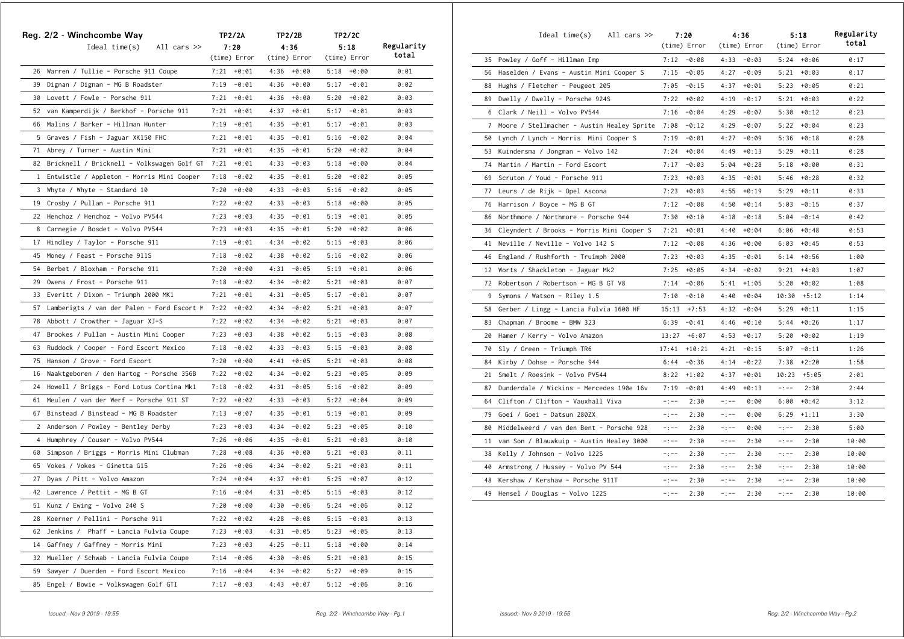|    | Reg. 2/2 - Winchcombe Way                     |      | TP2/2A        |      | TP2/2B        |      | <b>TP2/2C</b> |            |
|----|-----------------------------------------------|------|---------------|------|---------------|------|---------------|------------|
|    | Ideal $time(s)$<br>All cars $\gg$             |      | 7:20          |      | 4:36          |      | 5:18          | Regularity |
|    |                                               |      | (time) Error  |      | (time) Error  |      | (time) Error  | total      |
|    | 26 Warren / Tullie - Porsche 911 Coupe        |      | $7:21 + 0:01$ |      | $4:36 + 0:00$ |      | $5:18 + 0:00$ | 0:01       |
|    | 39 Dignan / Dignan - MG B Roadster            | 7:19 | -0:01         |      | $4:36 + 0:00$ | 5:17 | -0:01         | 0:02       |
|    | 30 Lovett / Fowle - Porsche 911               | 7:21 | $+0:01$       |      | $4:36 + 0:00$ | 5:20 | +0:02         | 0:03       |
|    | 52 van Kamperdijk / Berkhof - Porsche 911     | 7:21 | +0:01         |      | $4:37 + 0:01$ | 5:17 | -0:01         | 0:03       |
|    | 66 Malins / Barker - Hillman Hunter           | 7:19 | -0:01         | 4:35 | -0:01         | 5:17 | -0:01         | 0:03       |
|    | 5 Graves / Fish - Jaguar XK150 FHC            | 7:21 | $+0:01$       | 4:35 | -0:01         | 5:16 | -0:02         | 0:04       |
|    | 71  Abrey / Turner – Austin Mini              | 7:21 | +0:01         | 4:35 | -0:01         | 5:20 | +0:02         | 0:04       |
|    | 82 Bricknell / Bricknell – Volkswagen Golf GT | 7:21 | $+0:01$       | 4:33 | -0:03         | 5:18 | +0:00         | 0:04       |
|    | 1 Entwistle / Appleton - Morris Mini Cooper   | 7:18 | $-0:02$       | 4:35 | -0:01         | 5:20 | $+0:02$       | 0:05       |
|    | 3 Whyte / Whyte - Standard 10                 | 7:20 | $+0:00$       |      | $4:33 - 0:03$ | 5:16 | $-0:02$       | 0:05       |
|    | 19 Crosby / Pullan - Porsche 911              | 7:22 | +0:02         |      | $4:33 - 0:03$ | 5:18 | +0:00         | 0:05       |
|    | 22 Henchoz / Henchoz - Volvo PV544            | 7:23 | $+0:03$       | 4:35 | -0:01         | 5:19 | +0:01         | 0:05       |
| 8  | Carnegie / Bosdet - Volvo PV544               | 7:23 | $+0:03$       |      | $4:35 - 0:01$ | 5:20 | $+0:02$       | 0:06       |
| 17 | Hindley / Taylor - Porsche 911                | 7:19 | -0:01         |      | $4:34 - 0:02$ | 5:15 | -0:03         | 0:06       |
| 45 | Money / Feast - Porsche 911S                  | 7:18 | $-0:02$       |      | $4:38 + 0:02$ | 5:16 | -0:02         | 0:06       |
| 54 | Berbet / Bloxham - Porsche 911                | 7:20 | $+0:00$       |      | $4:31 - 0:05$ | 5:19 | +0:01         | 0:06       |
| 29 | Owens / Frost - Porsche 911                   | 7:18 | $-0:02$       |      | $4:34 - 0:02$ | 5:21 | $+0:03$       | 0:07       |
| 33 | Everitt / Dixon - Triumph 2000 MK1            | 7:21 | +0:01         |      | $4:31 - 0:05$ | 5:17 | -0:01         | 0:07       |
| 57 | Lamberigts / van der Palen - Ford Escort M    | 7:22 | $+0:02$       | 4:34 | -0:02         | 5:21 | +0:03         | 0:07       |
| 78 | Abbott / Crowther - Jaguar XJ-S               | 7:22 | $+0:02$       | 4:34 | -0:02         | 5:21 | $+0:03$       | 0:07       |
| 47 | Brookes / Pullan - Austin Mini Cooper         | 7:23 | $+0:03$       | 4:38 | +0:02         | 5:15 | $-0:03$       | 0:08       |
| 63 | Ruddock / Cooper - Ford Escort Mexico         | 7:18 | $-0:02$       | 4:33 | -0:03         | 5:15 | $-0:03$       | 0:08       |
| 75 | Hanson / Grove - Ford Escort                  | 7:20 | $+0:00$       |      | $4:41 + 0:05$ | 5:21 | $+0:03$       | 0:08       |
| 16 | Naaktgeboren / den Hartog - Porsche 356B      | 7:22 | $+0:02$       |      | $4:34 - 0:02$ | 5:23 | +0:05         | 0:09       |
| 24 | Howell / Briggs – Ford Lotus Cortina Mk1      | 7:18 | $-0:02$       | 4:31 | $-0:05$       | 5:16 | -0:02         | 0:09       |
| 61 | Meulen / van der Werf - Porsche 911 ST        | 7:22 | +0:02         | 4:33 | -0:03         | 5:22 | +0:04         | 0:09       |
| 67 | Binstead / Binstead - MG B Roadster           | 7:13 | $-0:07$       | 4:35 | $-0:01$       | 5:19 | +0:01         | 0:09       |
| 2  | Anderson / Powley - Bentley Derby             | 7:23 | +0:03         | 4:34 | $-0:02$       | 5:23 | $+0:05$       | 0:10       |
| 4  | Humphrey / Couser - Volvo PV544               | 7:26 | $+0:06$       | 4:35 | $-0:01$       | 5:21 | +0:03         | 0:10       |
| 60 | Simpson / Briggs - Morris Mini Clubman        | 7:28 | +0:08         | 4:36 | +0:00         |      | $5:21 + 0:03$ | 0:11       |
| 65 | Vokes / Vokes - Ginetta G15                   | 7:26 | +0:06         | 4:34 | -0:02         | 5:21 | +0:03         | 0:11       |
| 27 | Dyas / Pitt - Volvo Amazon                    | 7:24 | $+0:04$       | 4:37 | $+0:01$       |      | $5:25 + 0:07$ | 0:12       |
|    | 42 Lawrence / Pettit - MG B GT                |      | $7:16 - 0:04$ | 4:31 | -0:05         |      | $5:15 - 0:03$ | 0:12       |
| 51 | Kunz / Ewing - Volvo 240 S                    | 7:20 | $+0:00$       | 4:30 | $-0:06$       | 5:24 | $+0:06$       | 0:12       |
| 28 | Koerner / Pellini - Porsche 911               | 7:22 | $+0:02$       | 4:28 | $-0:08$       | 5:15 | $-0:03$       | 0:13       |
| 62 | Jenkins /<br>Phaff - Lancia Fulvia Coupe      | 7:23 | $+0:03$       | 4:31 | $-0:05$       | 5:23 | $+0:05$       | 0:13       |
| 14 | Gaffney / Gaffney - Morris Mini               | 7:23 | $+0:03$       | 4:25 | $-0:11$       | 5:18 | $+0:00$       | 0:14       |
| 32 | Mueller / Schwab - Lancia Fulvia Coupe        | 7:14 | $-0:06$       | 4:30 | $-0:06$       | 5:21 | $+0:03$       | 0:15       |
| 59 | Sawyer / Duerden - Ford Escort Mexico         | 7:16 | $-0:04$       | 4:34 | $-0:02$       | 5:27 | $+0:09$       | 0:15       |
| 85 | Engel / Bowie - Volkswagen Golf GTI           |      | $7:17 - 0:03$ | 4:43 | $+0:07$       | 5:12 | $-0:06$       | 0:16       |

|    | Ideal time(s)<br>All cars $\gg$              |          | 7:20<br>(time) Error |          | 4:36<br>(time) Error |           | 5:18<br>(time) Error | Regularity<br>total |
|----|----------------------------------------------|----------|----------------------|----------|----------------------|-----------|----------------------|---------------------|
|    | 35 Powley / Goff - Hillman Imp               |          | $7:12 - 0:08$        |          | $4:33 - 0:03$        |           | $5:24 + 0:06$        | 0:17                |
|    | 56 Haselden / Evans - Austin Mini Cooper S   |          | $7:15 - 0:05$        |          | $4:27 - 0:09$        |           | $5:21 + 0:03$        | 0:17                |
| 88 | Hughs / Fletcher - Peugeot 205               | 7:05     | $-0:15$              | 4:37     | $+0:01$              | 5:23      | $+0:05$              | 0:21                |
|    | 89 Dwelly / Dwelly - Porsche 924S            | 7:22     | $+0:02$              | 4:19     | $-0:17$              | 5:21      | $+0:03$              | 0:22                |
|    | 6 Clark / Neill - Volvo PV544                |          | $7:16 - 0:04$        | 4:29     | $-0:07$              | 5:30      | $+0:12$              | 0:23                |
|    | 7 Moore / Stellmacher - Austin Healey Sprite | 7:08     | $-0:12$              |          | $4:29 - 0:07$        | 5:22      | $+0:04$              | 0:23                |
|    | 50 Lynch / Lynch - Morris  Mini Cooper S     | 7:19     | $-0:01$              | 4:27     | $-0:09$              | 5:36      | $+0:18$              | 0:28                |
| 53 | Kuindersma / Jongman - Volvo 142             | 7:24     | $+0:04$              | 4:49     | $+0:13$              | 5:29      | $+0:11$              | 0:28                |
| 74 | Martin / Martin - Ford Escort                | 7:17     | $-0:03$              | 5:04     | $+0:28$              | 5:18      | $+0:00$              | 0:31                |
| 69 | Scruton / Youd - Porsche 911                 | 7:23     | $+0:03$              | 4:35     | $-0:01$              | 5:46      | $+0:28$              | 0:32                |
| 77 | Leurs / de Rijk - Opel Ascona                | 7:23     | +0:03                | 4:55     | $+0:19$              | 5:29      | $+0:11$              | 0:33                |
| 76 | Harrison / Boyce - MG B GT                   | 7:12     | $-0:08$              | 4:50     | $+0:14$              | 5:03      | $-0:15$              | 0:37                |
| 86 | Northmore / Northmore - Porsche 944          | 7:30     | $+0:10$              | 4:18     | $-0:18$              | 5:04      | $-0:14$              | 0:42                |
|    | 36 Cleyndert / Brooks - Morris Mini Cooper S | 7:21     | $+0:01$              | 4:40     | $+0:04$              | 6:06      | $+0:48$              | 0:53                |
| 41 | Neville / Neville - Volvo 142 S              | 7:12     | -0:08                | 4:36     | $+0:00$              | 6:03      | $+0:45$              | 0:53                |
| 46 | England / Rushforth - Truimph 2000           | 7:23     | $+0:03$              | 4:35     | $-0:01$              | 6:14      | $+0:56$              | 1:00                |
|    | 12 Worts / Shackleton - Jaguar Mk2           | 7:25     | $+0:05$              | 4:34     | $-0:02$              | 9:21      | $+4:03$              | 1:07                |
|    | 72 Robertson / Robertson - MG B GT V8        |          | $7:14 - 0:06$        | 5:41     | $+1:05$              | 5:20      | $+0:02$              | 1:08                |
|    | 9 Symons / Watson - Riley 1.5                | 7:10     | $-0:10$              | 4:40     | $+0:04$              | 10:30     | $+5:12$              | 1:14                |
|    | 58 Gerber / Lingg - Lancia Fulvia 1600 HF    | 15:13    | $+7:53$              | 4:32     | $-0:04$              | 5:29      | $+0:11$              | 1:15                |
|    | 83 Chapman / Broome - BMW 323                | 6:39     | $-0:41$              | 4:46     | $+0:10$              | 5:44      | $+0:26$              | 1:17                |
|    | 20 Hamer / Kerry - Volvo Amazon              | 13:27    | $+6:07$              | 4:53     | $+0:17$              | 5:20      | $+0:02$              | 1:19                |
| 70 | Sly / Green - Triumph TR6                    | 17:41    | $+10:21$             | 4:21     | $-0:15$              | 5:07      | $-0:11$              | 1:26                |
| 84 | Kirby / Dohse - Porsche 944                  | 6:44     | $-0:36$              | 4:14     | $-0:22$              | 7:38      | $+2:20$              | 1:58                |
| 21 | Smelt / Roesink - Volvo PV544                | 8:22     | $+1:02$              | 4:37     | $+0:01$              | 10:23     | $+5:05$              | 2:01                |
| 87 | Dunderdale / Wickins - Mercedes 190e 16v     | 7:19     | $-0:01$              | 4:49     | $+0:13$              | $-1 - -$  | 2:30                 | 2:44                |
| 64 | Clifton / Clifton - Vauxhall Viva            | $-:--$   | 2:30                 | $-:--$   | 0:00                 | 6:00      | $+0:42$              | 3:12                |
| 79 | Goei / Goei - Datsun 280ZX                   | $-1 - -$ | 2:30                 | $-:--$   | 0:00                 | 6:29      | $+1:11$              | 3:30                |
| 80 | Middelweerd / van den Bent - Porsche 928     | $-:--$   | 2:30                 | $-:--$   | 0:00                 | $- : - -$ | 2:30                 | 5:00                |
|    | 11 van Son / Blauwkuip - Austin Healey 3000  | $-:--$   | 2:30                 | $-1 - -$ | 2:30                 | $-:--$    | 2:30                 | 10:00               |
| 38 | Kelly / Johnson - Volvo 122S                 | $-:--$   | 2:30                 | $-1 - -$ | 2:30                 | $-:--$    | 2:30                 | 10:00               |
| 40 | Armstrong / Hussey - Volvo PV 544            | $-:--$   | 2:30                 | $-:--$   | 2:30                 | $-:--$    | 2:30                 | 10:00               |
| 48 | Kershaw / Kershaw - Porsche 911T             | $-:--$   | 2:30                 | $-:--$   | 2:30                 | $-:--$    | 2:30                 | 10:00               |
|    | 49 Hensel / Douglas - Volvo 122S             | $-:--$   | 2:30                 | $-1 - -$ | 2:30                 | $-1 - -$  | 2:30                 | 10:00               |
|    |                                              |          |                      |          |                      |           |                      |                     |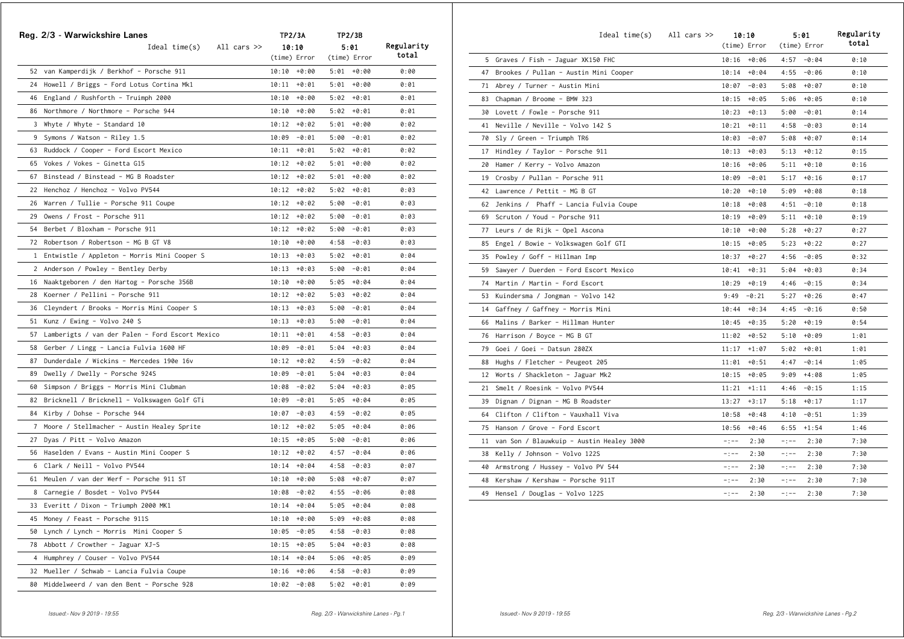|    | Reg. 2/3 - Warwickshire Lanes                      | TP2/3A           | TP2/3B          |            |
|----|----------------------------------------------------|------------------|-----------------|------------|
|    | All cars $\gg$<br>Ideal time(s)                    | 10:10            | 5:01            | Regularity |
|    |                                                    | (time) Error     | (time) Error    | total      |
|    | 52 van Kamperdijk / Berkhof - Porsche 911          | $10:10 + 0:00$   | $5:01 + 0:00$   | 0:00       |
| 24 | Howell / Briggs - Ford Lotus Cortina Mk1           | $10:11 + 0:01$   | $5:01 + 0:00$   | 0:01       |
|    | 46 England / Rushforth - Truimph 2000              | $10:10 + 0:00$   | $5:02 + 0:01$   | 0:01       |
|    | 86 Northmore / Northmore - Porsche 944             | $10:10 + 0:00$   | $5:02 + 0:01$   | 0:01       |
|    | 3 Whyte / Whyte - Standard 10                      | $10:12 + 0:02$   | $5:01 + 0:00$   | 0:02       |
| 9  | Symons / Watson - Riley 1.5                        | 10:09<br>-0:01   | $5:00 - 0:01$   | 0:02       |
|    | 63 Ruddock / Cooper - Ford Escort Mexico           | 10:11<br>+0:01   | 5:02<br>+0:01   | 0:02       |
|    | 65 Vokes / Vokes - Ginetta G15                     | $10:12 + 0:02$   | $5:01 + 0:00$   | 0:02       |
| 67 | Binstead / Binstead - MG B Roadster                | $10:12 + 0:02$   | 5:01<br>$+0:00$ | 0:02       |
|    | 22 Henchoz / Henchoz - Volvo PV544                 | $10:12 + 0:02$   | $5:02 + 0:01$   | 0:03       |
| 26 | Warren / Tullie - Porsche 911 Coupe                | 10:12<br>+0:02   | 5:00<br>-0:01   | 0:03       |
| 29 | Owens / Frost - Porsche 911                        | 10:12<br>$+0:02$ | 5:00<br>-0:01   | 0:03       |
| 54 | Berbet / Bloxham - Porsche 911                     | 10:12<br>$+0:02$ | 5:00<br>-0:01   | 0:03       |
|    | 72 Robertson / Robertson - MG B GT V8              | 10:10<br>+0:00   | 4:58<br>-0:03   | 0:03       |
|    | 1 Entwistle / Appleton - Morris Mini Cooper S      | $10:13 + 0:03$   | $5:02 + 0:01$   | 0:04       |
|    | 2 Anderson / Powley - Bentley Derby                | $10:13 + 0:03$   | 5:00<br>-0:01   | 0:04       |
|    | 16 Naaktgeboren / den Hartog - Porsche 356B        | $10:10 + 0:00$   | $5:05 + 0:04$   | 0:04       |
| 28 | Koerner / Pellini - Porsche 911                    | $10:12 + 0:02$   | $5:03 + 0:02$   | 0:04       |
| 36 | Cleyndert / Brooks - Morris Mini Cooper S          | $10:13 + 0:03$   | $5:00 - 0:01$   | 0:04       |
|    | 51 Kunz / Ewing - Volvo 240 S                      | $10:13 + 0:03$   | $5:00 - 0:01$   | 0:04       |
|    | 57 Lamberigts / van der Palen - Ford Escort Mexico | $10:11 + 0:01$   | $4:58 - 0:03$   | 0:04       |
|    | 58 Gerber / Lingg - Lancia Fulvia 1600 HF          | $10:09 - 0:01$   | $5:04 + 0:03$   | 0:04       |
| 87 | Dunderdale / Wickins - Mercedes 190e 16v           | $10:12 + 0:02$   | $4:59 - 0:02$   | 0:04       |
| 89 | Dwelly / Dwelly - Porsche 924S                     | $10:09 - 0:01$   | $5:04 + 0:03$   | 0:04       |
| 60 | Simpson / Briggs - Morris Mini Clubman             | $10:08 - 0:02$   | $5:04 + 0:03$   | 0:05       |
|    | 82 Bricknell / Bricknell - Volkswagen Golf GTi     | $10:09 - 0:01$   | $5:05 + 0:04$   | 0:05       |
| 84 | Kirby / Dohse - Porsche 944                        | $10:07 - 0:03$   | $4:59 - 0:02$   | 0:05       |
|    | 7 Moore / Stellmacher - Austin Healey Sprite       | $10:12 + 0:02$   | $5:05 + 0:04$   | 0:06       |
| 27 | Dyas / Pitt - Volvo Amazon                         | $10:15 + 0:05$   | $5:00 - 0:01$   | 0:06       |
|    | 56 Haselden / Evans – Austin Mini Cooper S         | $10:12 + 0:02$   | $4:57 - 0:04$   | 0:06       |
|    | 6 Clark / Neill - Volvo PV544                      | $10:14 + 0:04$   | 4:58<br>-0:03   | 0:07       |
|    | 61 Meulen / van der Werf - Porsche 911 ST          | $10:10 + 0:00$   | 5:08<br>+0:07   | 0:07       |
|    | 8 Carnegie / Bosdet - Volvo PV544                  | $10:08 - 0:02$   | 4:55<br>$-0:06$ | 0:08       |
|    | 33 Everitt / Dixon - Triumph 2000 MK1              | +0:04<br>10:14   | $+0:04$<br>5:05 | 0:08       |
| 45 | Money / Feast - Porsche 911S                       | $+0:00$<br>10:10 | $+0:08$<br>5:09 | 0:08       |
| 50 | Lynch / Lynch - Morris Mini Cooper S               | $-0:05$<br>10:05 | 4:58<br>$-0:03$ | 0:08       |
| 78 | Abbott / Crowther - Jaguar XJ-S                    | 10:15<br>$+0:05$ | 5:04<br>$+0:03$ | 0:08       |
| 4  | Humphrey / Couser - Volvo PV544                    | 10:14<br>$+0:04$ | 5:06<br>$+0:05$ | 0:09       |
|    | 32 Mueller / Schwab - Lancia Fulvia Coupe          | 10:16<br>$+0:06$ | 4:58<br>$-0:03$ | 0:09       |
| 80 | Middelweerd / van den Bent - Porsche 928           | $10:02 - 0:08$   | $+0:01$<br>5:02 | 0:09       |

|    | $Ideal time(s)$ All cars $\gg$           | 10:10<br>(time) Error | 5:01<br>(time) Error | Regularity<br>total |
|----|------------------------------------------|-----------------------|----------------------|---------------------|
|    | 5 Graves / Fish - Jaguar XK150 FHC       | $10:16 + 0:06$        | $4:57 - 0:04$        | 0:10                |
|    | 47 Brookes / Pullan - Austin Mini Cooper | $10:14 + 0:04$        | $-0:06$<br>4:55      | 0:10                |
|    | 71 Abrey / Turner - Austin Mini          | 10:07<br>$-0:03$      | 5:08<br>$+0:07$      | 0:10                |
|    | 83 Chapman / Broome - BMW 323            | 10:15<br>$+0:05$      | 5:06<br>$+0:05$      | 0:10                |
|    | 30 Lovett / Fowle - Porsche 911          | 10:23<br>$+0:13$      | 5:00<br>$-0:01$      | 0:14                |
|    | 41 Neville / Neville - Volvo 142 S       | 10:21<br>$+0:11$      | 4:58<br>$-0:03$      | 0:14                |
|    | 70 Sly / Green - Triumph TR6             | 10:03<br>$-0:07$      | 5:08<br>$+0:07$      | 0:14                |
|    | 17 Hindley / Taylor - Porsche 911        | $10:13 + 0:03$        | 5:13<br>$+0:12$      | 0:15                |
| 20 | Hamer / Kerry - Volvo Amazon             | 10:16<br>+0:06        | 5:11<br>+0:10        | 0:16                |
|    | 19 Crosby / Pullan - Porsche 911         | 10:09<br>$-0:01$      | 5:17<br>$+0:16$      | 0:17                |
|    | 42 Lawrence / Pettit - MG B GT           | $10:20 + 0:10$        | $+0:08$<br>5:09      | 0:18                |
|    | 62 Jenkins / Phaff - Lancia Fulvia Coupe | $10:18 + 0:08$        | 4:51<br>$-0:10$      | 0:18                |
| 69 | Scruton / Youd - Porsche 911             | $10:19 + 0:09$        | 5:11<br>$+0:10$      | 0:19                |
| 77 | Leurs / de Rijk - Opel Ascona            | 10:10<br>+0:00        | 5:28<br>$+0:27$      | 0:27                |
| 85 | Engel / Bowie - Volkswagen Golf GTI      | $10:15 + 0:05$        | 5:23<br>$+0:22$      | 0:27                |
| 35 | Powley / Goff - Hillman Imp              | $10:37 + 0:27$        | 4:56<br>$-0:05$      | 0:32                |
| 59 | Sawyer / Duerden - Ford Escort Mexico    | $10:41 + 0:31$        | 5:04<br>$+0:03$      | 0:34                |
| 74 | Martin / Martin - Ford Escort            | $10:29 + 0:19$        | 4:46<br>$-0:15$      | 0:34                |
| 53 | Kuindersma / Jongman - Volvo 142         | 9:49<br>$-0:21$       | 5:27<br>$+0:26$      | 0:47                |
| 14 | Gaffney / Gaffney - Morris Mini          | 10:44<br>$+0:34$      | 4:45<br>$-0:16$      | 0:50                |
| 66 | Malins / Barker - Hillman Hunter         | 10:45<br>$+0:35$      | 5:20<br>$+0:19$      | 0:54                |
|    | 76 Harrison / Boyce - MG B GT            | $11:02 + 0:52$        | 5:10<br>$+0:09$      | 1:01                |
| 79 | Goei / Goei - Datsun 280ZX               | 11:17<br>$+1:07$      | $5:02 + 0:01$        | 1:01                |
| 88 | Hughs / Fletcher - Peugeot 205           | $+0:51$<br>11:01      | 4:47<br>$-0:14$      | 1:05                |
| 12 | Worts / Shackleton - Jaguar Mk2          | 10:15<br>$+0:05$      | 9:09<br>$+4:08$      | 1:05                |
| 21 | Smelt / Roesink - Volvo PV544            | 11:21<br>$+1:11$      | 4:46<br>$-0:15$      | 1:15                |
| 39 | Dignan / Dignan - MG B Roadster          | 13:27<br>$+3:17$      | 5:18<br>$+0:17$      | 1:17                |
| 64 | Clifton / Clifton - Vauxhall Viva        | 10:58<br>$+0:48$      | $-0:51$<br>4:10      | 1:39                |
| 75 | Hanson / Grove - Ford Escort             | 10:56<br>$+0:46$      | 6:55<br>$+1:54$      | 1:46                |
| 11 | van Son / Blauwkuip - Austin Healey 3000 | $-1 - -$<br>2:30      | 2:30<br>$-1 - -$     | 7:30                |
| 38 | Kelly / Johnson - Volvo 122S             | $-:--$<br>2:30        | 2:30<br>$-:--$       | 7:30                |
| 40 | Armstrong / Hussey - Volvo PV 544        | 2:30<br>$-:--$        | 2:30<br>$-:--$       | 7:30                |
| 48 | Kershaw / Kershaw - Porsche 911T         | 2:30<br>$-:--$        | 2:30<br>$-:--$       | 7:30                |
| 49 | Hensel / Douglas - Volvo 122S            | $-:--$<br>2:30        | $-:--$<br>2:30       | 7:30                |
|    |                                          |                       |                      |                     |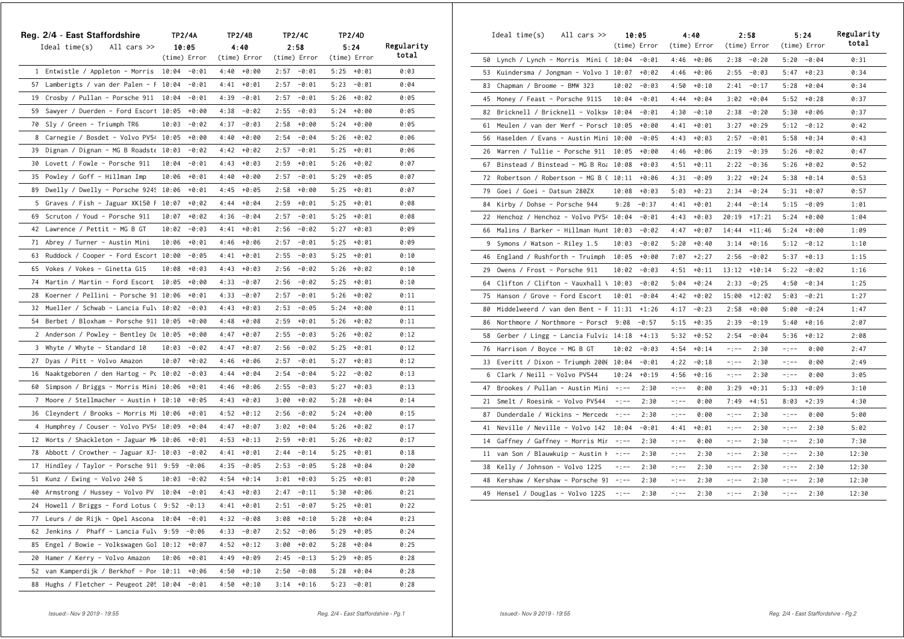|    | Reg. 2/4 - East Staffordshire           |       | <b>TP2/4A</b> |      | TP2/4B       | <b>TP2/4C</b> |               |      | TP2/4D       |            |
|----|-----------------------------------------|-------|---------------|------|--------------|---------------|---------------|------|--------------|------------|
|    | Ideal time(s)<br>All cars $\gg$         |       | 10:05         |      | 4:40         |               | 2:58          |      | 5:24         | Regularity |
|    |                                         |       | (time) Error  |      | (time) Error |               | (time) Error  |      | (time) Error | total      |
|    | 1 Entwistle / Appleton - Morris 10:04   |       | -0:01         | 4:40 | $+0:00$      | 2:57          | -0:01         | 5:25 | +0:01        | 0:03       |
|    | 57 Lamberigts / van der Palen - F 10:04 |       | -0:01         | 4:41 | $+0:01$      | 2:57          | $-0:01$       | 5:23 | $-0:01$      | 0:04       |
|    | 19 Crosby / Pullan - Porsche 911 10:04  |       | $-0:01$       | 4:39 | $-0:01$      | 2:57          | $-0:01$       | 5:26 | $+0:02$      | 0:05       |
| 59 | Sawyer / Duerden - Ford Escort 10:05    |       | $+0:00$       | 4:38 | $-0:02$      | 2:55          | -0:03         | 5:24 | +0:00        | 0:05       |
| 70 | Sly / Green - Triumph TR6               | 10:03 | -0:02         | 4:37 | $-0:03$      | 2:58          | +0:00         | 5:24 | +0:00        | 0:05       |
|    | 8 Carnegie / Bosdet - Volvo PV54 10:05  |       | $+0:00$       | 4:40 | $+0:00$      | 2:54          | $-0:04$       | 5:26 | $+0:02$      | 0:06       |
|    | 39 Dignan / Dignan - MG B Roadste 10:03 |       | -0:02         | 4:42 | $+0:02$      | 2:57          | $-0:01$       | 5:25 | $+0:01$      | 0:06       |
|    | 30 Lovett / Fowle - Porsche 911         | 10:04 | $-0:01$       | 4:43 | $+0:03$      | 2:59          | $+0:01$       | 5:26 | $+0:02$      | 0:07       |
|    | 35 Powley / Goff - Hillman Imp          | 10:06 | $+0:01$       | 4:40 | $+0:00$      | 2:57          | $-0:01$       | 5:29 | $+0:05$      | 0:07       |
|    | 89 Dwelly / Dwelly - Porsche 9245 10:06 |       | $+0:01$       | 4:45 | $+0:05$      | 2:58          | +0:00         | 5:25 | +0:01        | 0:07       |
|    | 5 Graves / Fish - Jaguar XK150 F 10:07  |       | +0:02         | 4:44 | $+0:04$      | 2:59          | +0:01         | 5:25 | +0:01        | 0:08       |
| 69 | Scruton / Youd - Porsche 911            | 10:07 | $+0:02$       | 4:36 | $-0:04$      | 2:57          | $-0:01$       | 5:25 | $+0:01$      | 0:08       |
|    | 42 Lawrence / Pettit - MG B GT          | 10:02 | $-0:03$       | 4:41 | $+0:01$      | 2:56          | $-0:02$       | 5:27 | $+0:03$      | 0:09       |
|    | 71 Abrey / Turner - Austin Mini         | 10:06 | $+0:01$       | 4:46 | $+0:06$      | 2:57          | $-0:01$       | 5:25 | $+0:01$      | 0:09       |
| 63 | Ruddock / Cooper - Ford Escort 10:00    |       | $-0:05$       | 4:41 | $+0:01$      | 2:55          | $-0:03$       | 5:25 | $+0:01$      | 0:10       |
| 65 | Vokes / Vokes - Ginetta G15             | 10:08 | $+0:03$       | 4:43 | $+0:03$      | 2:56          | $-0:02$       | 5:26 | $+0:02$      | 0:10       |
| 74 | Martin / Martin - Ford Escort           | 10:05 | $+0:00$       | 4:33 | $-0:07$      | 2:56          | -0:02         | 5:25 | +0:01        | 0:10       |
| 28 | Koerner / Pellini - Porsche 91 10:06    |       | $+0:01$       | 4:33 | $-0:07$      | 2:57          | $-0:01$       | 5:26 | $+0:02$      | 0:11       |
|    | 32 Mueller / Schwab - Lancia Fulv 10:02 |       | $-0:03$       | 4:43 | $+0:03$      | 2:53          | $-0:05$       | 5:24 | $+0:00$      | 0:11       |
| 54 | Berbet / Bloxham - Porsche 911 10:05    |       | $+0:00$       | 4:48 | $+0:08$      | 2:59          | $+0:01$       | 5:26 | $+0:02$      | 0:11       |
|    | 2 Anderson / Powley - Bentley De 10:05  |       | $+0:00$       | 4:47 | $+0:07$      | 2:55          | $-0:03$       | 5:26 | $+0:02$      | 0:12       |
| 3  | Whyte / Whyte - Standard 10             | 10:03 | -0:02         | 4:47 | +0:07        | 2:56          | -0:02         | 5:25 | +0:01        | 0:12       |
| 27 | Dyas / Pitt - Volvo Amazon              | 10:07 | +0:02         | 4:46 | $+0:06$      | 2:57          | -0:01         | 5:27 | $+0:03$      | 0:12       |
| 16 | Naaktgeboren / den Hartog - Pc 10:02    |       | $-0:03$       | 4:44 | $+0:04$      | 2:54          | $-0:04$       | 5:22 | $-0:02$      | 0:13       |
| 60 | Simpson / Briggs - Morris Mini 10:06    |       | $+0:01$       | 4:46 | $+0:06$      | 2:55          | $-0:03$       | 5:27 | $+0:03$      | 0:13       |
| 7  | Moore / Stellmacher - Austin + 10:10    |       | $+0:05$       | 4:43 | $+0:03$      | 3:00          | $+0:02$       | 5:28 | $+0:04$      | 0:14       |
| 36 | Cleyndert / Brooks - Morris Mi 10:06    |       | $+0:01$       | 4:52 | $+0:12$      | 2:56          | $-0:02$       | 5:24 | +0:00        | 0:15       |
| 4  | Humphrey / Couser - Volvo PV54 10:09    |       | $+0:04$       | 4:47 | $+0:07$      | 3:02          | $+0:04$       | 5:26 | $+0:02$      | 0:17       |
| 12 | Worts / Shackleton - Jaguar Mk 10:06    |       | $+0:01$       | 4:53 | $+0:13$      | 2:59          | +0:01         | 5:26 | $+0:02$      | 0:17       |
| 78 | Abbott / Crowther - Jaguar XJ- 10:03    |       | $-0:02$       | 4:41 | $+0:01$      | 2:44          | $-0:14$       | 5:25 | $+0:01$      | 0:18       |
| 17 | Hindley / Taylor - Porsche 911 9:59     |       | $-0:06$       | 4:35 | $-0:05$      | 2:53          | $-0:05$       | 5:28 | $+0:04$      | 0:20       |
| 51 | Kunz / Ewing - Volvo 240 S              | 10:03 | -0:02         | 4:54 | $+0:14$      | 3:01          | $+0:03$       | 5:25 | $+0:01$      | 0:20       |
|    | 40 Armstrong / Hussey - Volvo PV        | 10:04 | $-0:01$       | 4:43 | $+0:03$      | 2:47          | $-0:11$       | 5:30 | +0:06        | 0:21       |
| 24 | Howell / Briggs - Ford Lotus (9:52      |       | -0:13         | 4:41 | +0:01        | 2:51          | -0:07         | 5:25 | $+0:01$      | 0:22       |
| 77 | Leurs / de Rijk - Opel Ascona           | 10:04 | $-0:01$       | 4:32 | $-0:08$      | 3:08          | $+0:10$       | 5:28 | $+0:04$      | 0:23       |
| 62 | Jenkins / Phaff - Lancia Fulv           | 9:59  | $-0:06$       | 4:33 | $-0:07$      | 2:52          | $-0:06$       | 5:29 | $+0:05$      | 0:24       |
| 85 | Engel / Bowie - Volkswagen Gol 10:12    |       | $+0:07$       | 4:52 | $+0:12$      | 3:00          | $+0:02$       | 5:28 | $+0:04$      | 0:25       |
| 20 | Hamer / Kerry - Volvo Amazon            | 10:06 | $+0:01$       | 4:49 | $+0:09$      | 2:45          | $-0:13$       | 5:29 | $+0:05$      | 0:28       |
| 52 | van Kamperdijk / Berkhof - Por 10:11    |       | $+0:06$       | 4:50 | $+0:10$      | 2:50          | $-0:08$       | 5:28 | $+0:04$      | 0:28       |
| 88 | Hughs / Fletcher - Peugeot 205 10:04    |       | $-0:01$       | 4:50 | $+0:10$      |               | $3:14 + 0:16$ | 5:23 | $-0:01$      | 0:28       |

|    | All cars $\gg$<br>Ideal time(s)         |          | 10:05<br>(time) Error |           | 4:40<br>(time) Error |          | 2:58<br>(time) Error |          | 5:24<br>(time) Error | Regularity<br>total |
|----|-----------------------------------------|----------|-----------------------|-----------|----------------------|----------|----------------------|----------|----------------------|---------------------|
| 50 | Lynch / Lynch - Morris Mini ( 10:04     |          | $-0:01$               | 4:46      | $+0:06$              | 2:38     | $-0:20$              | 5:20     | $-0:04$              | 0:31                |
| 53 | Kuindersma / Jongman - Volvo 1 10:07    |          | $+0:02$               | 4:46      | $+0:06$              | 2:55     | $-0:03$              | 5:47     | $+0:23$              | 0:34                |
| 83 | Chapman / Broome - BMW 323              | 10:02    | $-0:03$               | 4:50      | $+0:10$              | 2:41     | $-0:17$              | 5:28     | $+0:04$              | 0:34                |
| 45 | Money / Feast - Porsche 911S            | 10:04    | $-0:01$               | 4:44      | $+0:04$              | 3:02     | $+0:04$              | 5:52     | $+0:28$              | 0:37                |
| 82 | Bricknell / Bricknell - Volksv 10:04    |          | $-0:01$               | 4:30      | $-0:10$              | 2:38     | $-0:20$              | 5:30     | $+0:06$              | 0:37                |
| 61 | Meulen / van der Werf - Porsch          | 10:05    | $+0:00$               | 4:41      | $+0:01$              | 3:27     | $+0:29$              | 5:12     | $-0:12$              | 0:42                |
| 56 | Haselden / Evans - Austin Mini 10:00    |          | $-0:05$               | 4:43      | $+0:03$              | 2:57     | $-0:01$              | 5:58     | $+0:34$              | 0:43                |
| 26 | Warren / Tullie - Porsche 911           | 10:05    | $+0:00$               | 4:46      | $+0:06$              | 2:19     | $-0:39$              | 5:26     | $+0:02$              | 0:47                |
| 67 | Binstead / Binstead - MG B Roa 10:08    |          | $+0:03$               | 4:51      | $+0:11$              | 2:22     | $-0:36$              | 5:26     | $+0:02$              | 0:52                |
| 72 | Robertson / Robertson - MG B ( 10:11    |          | $+0:06$               | 4:31      | $-0:09$              | 3:22     | $+0:24$              | 5:38     | $+0:14$              | 0:53                |
| 79 | Goei / Goei - Datsun 280ZX              | 10:08    | $+0:03$               | 5:03      | $+0:23$              | 2:34     | $-0:24$              | 5:31     | $+0:07$              | 0:57                |
| 84 | Kirby / Dohse - Porsche 944             | 9:28     | $-0:37$               | 4:41      | $+0:01$              | 2:44     | $-0:14$              | 5:15     | $-0:09$              | 1:01                |
| 22 | Henchoz / Henchoz - Volvo PV54 10:04    |          | $-0:01$               | 4:43      | $+0:03$              | 20:19    | $+17:21$             | 5:24     | $+0:00$              | 1:04                |
| 66 | Malins / Barker - Hillman Hunt 10:03    |          | $-0:02$               | 4:47      | $+0:07$              | 14:44    | $+11:46$             | 5:24     | $+0:00$              | 1:09                |
| 9  | Symons / Watson - Riley 1.5             | 10:03    | $-0:02$               | 5:20      | $+0:40$              | 3:14     | $+0:16$              | 5:12     | $-0:12$              | 1:10                |
| 46 | England / Rushforth - Truimph           | 10:05    | $+0:00$               | 7:07      | $+2:27$              | 2:56     | $-0:02$              | 5:37     | $+0:13$              | 1:15                |
| 29 | Owens / Frost - Porsche 911             | 10:02    | $-0:03$               | 4:51      | $+0:11$              | 13:12    | $+10:14$             | 5:22     | $-0:02$              | 1:16                |
| 64 | Clifton / Clifton - Vauxhall \ $10:03$  |          | $-0:02$               | 5:04      | $+0:24$              | 2:33     | $-0:25$              | 4:50     | $-0:34$              | 1:25                |
| 75 | Hanson / Grove - Ford Escort            | 10:01    | $-0:04$               | 4:42      | $+0:02$              | 15:00    | $+12:02$             | 5:03     | $-0:21$              | 1:27                |
| 80 | Middelweerd / van den Bent - F 11:31    |          | $+1:26$               | 4:17      | $-0:23$              | 2:58     | $+0:00$              | 5:00     | $-0:24$              | 1:47                |
| 86 | Northmore / Northmore - Porsch 9:08     |          | $-0:57$               | 5:15      | $+0:35$              | 2:39     | $-0:19$              | 5:40     | $+0:16$              | 2:07                |
| 58 | Gerber / Lingg - Lancia Fulvia 14:18    |          | $+4:13$               | 5:32      | $+0:52$              | 2:54     | $-0:04$              | 5:36     | $+0:12$              | 2:08                |
| 76 | Harrison / Boyce - MG B GT              | 10:02    | $-0:03$               | 4:54      | $+0:14$              | $-:--$   | 2:30                 | $-:--$   | 0:00                 | 2:47                |
|    | 33 Everitt / Dixon - Triumph 2000 10:04 |          | $-0:01$               | 4:22      | $-0:18$              | $-:--$   | 2:30                 | $-:--$   | 0:00                 | 2:49                |
| 6  | Clark / Neill - Volvo PV544             | 10:24    | $+0:19$               | 4:56      | $+0:16$              | $-:--$   | 2:30                 | $-:--$   | 0:00                 | 3:05                |
| 47 | Brookes / Pullan - Austin Mini          | $-:--$   | 2:30                  | $-1 - -$  | 0:00                 | 3:29     | $+0:31$              | 5:33     | $+0:09$              | 3:10                |
| 21 | Smelt / Roesink - Volvo PV544           | $-:--$   | 2:30                  | $-:--$    | 0:00                 | 7:49     | $+4:51$              | 8:03     | $+2:39$              | 4:30                |
| 87 | Dunderdale / Wickins - Mercede          | $-:--$   | 2:30                  | $-:--$    | 0:00                 | $-:--$   | 2:30                 | $-:--$   | 0:00                 | 5:00                |
| 41 | Neville / Neville - Volvo 142           | 10:04    | $-0:01$               | 4:41      | $+0:01$              | $-:--$   | 2:30                 | $-:--$   | 2:30                 | 5:02                |
| 14 | Gaffney / Gaffney - Morris Mir          | $-:--$   | 2:30                  | $-1 - -$  | 0:00                 | $-1 - -$ | 2:30                 | $-:--$   | 2:30                 | 7:30                |
| 11 | van Son / Blauwkuip - Austin H          | $-1 - -$ | 2:30                  | $-1 - -$  | 2:30                 | $-:--$   | 2:30                 | $-1 - -$ | 2:30                 | 12:30               |
| 38 | Kelly / Johnson - Volvo 122S            | $-:--$   | 2:30                  | $-$ : $-$ | 2:30                 | $-1 - -$ | 2:30                 | $-:--$   | 2:30                 | 12:30               |
| 48 | Kershaw / Kershaw - Porsche 91          | $-:--$   | 2:30                  | $-:--$    | 2:30                 | $-:--$   | 2:30                 | $-:--$   | 2:30                 | 12:30               |
| 49 | Hensel / Douglas - Volvo 122S           | $-:--$   | 2:30                  | $-:--$    | 2:30                 | -:--     | 2:30                 | $-:--$   | 2:30                 | 12:30               |
|    |                                         |          |                       |           |                      |          |                      |          |                      |                     |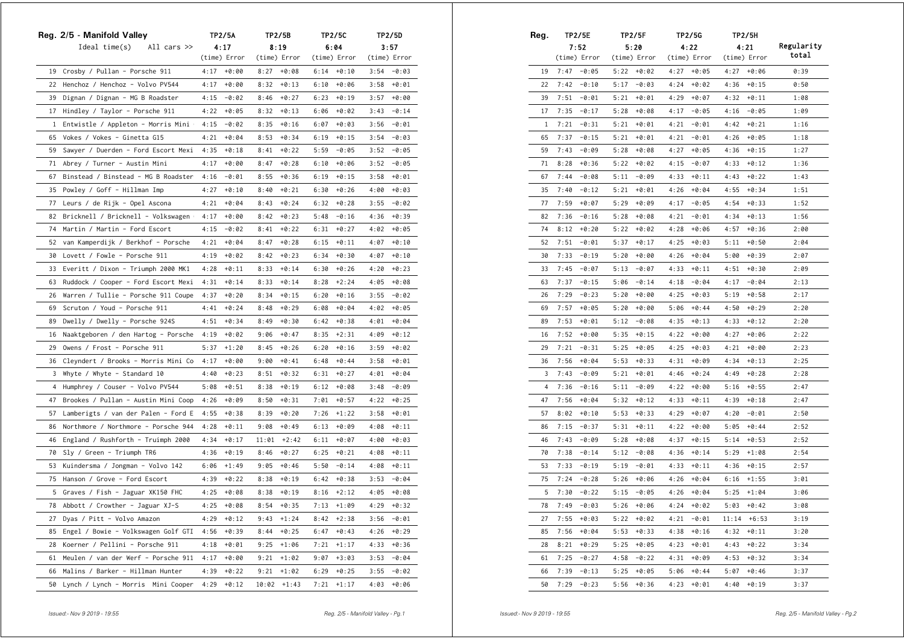|                | Reg. 2/5 - Manifold Valley             |      | TP2/5A        |       | TP2/5B       | <b>TP2/5C</b> |              |      | TP2/5D        |  |  |
|----------------|----------------------------------------|------|---------------|-------|--------------|---------------|--------------|------|---------------|--|--|
|                | Ideal time(s)<br>All cars $\gg$        |      | 4:17          |       | 8:19         |               | 6:04         |      | 3:57          |  |  |
|                |                                        |      | (time) Error  |       | (time) Error |               | (time) Error |      | (time) Error  |  |  |
|                | 19 Crosby / Pullan - Porsche 911       |      | $4:17 + 0:00$ | 8:27  | $+0:08$      |               | $6:14$ +0:10 |      | $3:54 - 0:03$ |  |  |
| 22             | Henchoz / Henchoz - Volvo PV544        | 4:17 | +0:00         | 8:32  | $+0:13$      | 6:10          | $+0:06$      | 3:58 | +0:01         |  |  |
| 39             | Dignan / Dignan - MG B Roadster        | 4:15 | -0:02         | 8:46  | $+0:27$      | 6:23          | $+0:19$      | 3:57 | $+0:00$       |  |  |
|                | 17 Hindley / Taylor - Porsche 911      | 4:22 | +0:05         | 8:32  | $+0:13$      | 6:06          | $+0:02$      | 3:43 | $-0:14$       |  |  |
|                | 1 Entwistle / Appleton - Morris Mini + | 4:15 | -0:02         | 8:35  | $+0:16$      | 6:07          | $+0:03$      | 3:56 | $-0:01$       |  |  |
| 65             | Vokes / Vokes - Ginetta G15            | 4:21 | $+0:04$       | 8:53  | $+0:34$      | 6:19          | $+0:15$      | 3:54 | $-0:03$       |  |  |
| 59             | Sawyer / Duerden - Ford Escort Mexi    |      | $4:35 + 0:18$ | 8:41  | $+0:22$      | 5:59          | -0:05        | 3:52 | $-0:05$       |  |  |
| 71             | Abrey / Turner - Austin Mini           | 4:17 | $+0:00$       | 8:47  | $+0:28$      | 6:10          | $+0:06$      | 3:52 | $-0:05$       |  |  |
| 67             | Binstead / Binstead - MG B Roadster    | 4:16 | -0:01         | 8:55  | $+0:36$      | 6:19          | $+0:15$      | 3:58 | $+0:01$       |  |  |
| 35             | Powley / Goff - Hillman Imp            | 4:27 | +0:10         | 8:40  | $+0:21$      | 6:30          | $+0:26$      | 4:00 | $+0:03$       |  |  |
|                | 77 Leurs / de Rijk - Opel Ascona       | 4:21 | $+0:04$       | 8:43  | $+0:24$      | 6:32          | $+0:28$      | 3:55 | $-0:02$       |  |  |
| 82             | Bricknell / Bricknell - Volkswagen +   | 4:17 | +0:00         | 8:42  | $+0:23$      | 5:48          | $-0:16$      | 4:36 | $+0:39$       |  |  |
| 74             | Martin / Martin - Ford Escort          | 4:15 | -0:02         | 8:41  | $+0:22$      | 6:31          | $+0:27$      | 4:02 | $+0:05$       |  |  |
| 52             | van Kamperdijk / Berkhof - Porsche     | 4:21 | $+0:04$       | 8:47  | $+0:28$      | 6:15          | $+0:11$      | 4:07 | $+0:10$       |  |  |
| 30             | Lovett / Fowle - Porsche 911           | 4:19 | $+0:02$       | 8:42  | $+0:23$      | 6:34          | $+0:30$      | 4:07 | $+0:10$       |  |  |
| 33             | Everitt / Dixon - Triumph 2000 MK1     | 4:28 | $+0:11$       | 8:33  | $+0:14$      | 6:30          | $+0:26$      | 4:20 | $+0:23$       |  |  |
| 63             | Ruddock / Cooper - Ford Escort Mexi    | 4:31 | $+0:14$       | 8:33  | $+0:14$      | 8:28          | $+2:24$      | 4:05 | $+0:08$       |  |  |
| 26             | Warren / Tullie - Porsche 911 Coupe    | 4:37 | +0:20         | 8:34  | $+0:15$      | 6:20          | $+0:16$      | 3:55 | $-0:02$       |  |  |
| 69             | Scruton / Youd - Porsche 911           | 4:41 | $+0:24$       | 8:48  | $+0:29$      | 6:08          | +0:04        | 4:02 | $+0:05$       |  |  |
| 89             | Dwelly / Dwelly - Porsche 924S         | 4:51 | $+0:34$       | 8:49  | $+0:30$      | 6:42          | +0:38        | 4:01 | $+0:04$       |  |  |
| 16             | Naaktgeboren / den Hartog - Porsche    | 4:19 | $+0:02$       | 9:06  | $+0:47$      | 8:35          | $+2:31$      | 4:09 | $+0:12$       |  |  |
| 29             | Owens / Frost - Porsche 911            | 5:37 | $+1:20$       | 8:45  | $+0:26$      | 6:20          | $+0:16$      | 3:59 | $+0:02$       |  |  |
| 36             | Cleyndert / Brooks - Morris Mini Co    | 4:17 | $+0:00$       | 9:00  | $+0:41$      | 6:48          | $+0:44$      | 3:58 | $+0:01$       |  |  |
| 3              | Whyte / Whyte - Standard 10            | 4:40 | $+0:23$       | 8:51  | $+0:32$      | 6:31          | $+0:27$      | 4:01 | $+0:04$       |  |  |
| $\overline{4}$ | Humphrey / Couser - Volvo PV544        | 5:08 | $+0:51$       | 8:38  | $+0:19$      | 6:12          | $+0:08$      | 3:48 | $-0:09$       |  |  |
| 47             | Brookes / Pullan - Austin Mini Coop    | 4:26 | $+0:09$       | 8:50  | $+0:31$      | 7:01          | $+0:57$      | 4:22 | $+0:25$       |  |  |
| 57             | Lamberigts / van der Palen - Ford E    | 4:55 | $+0:38$       | 8:39  | $+0:20$      | 7:26          | $+1:22$      | 3:58 | $+0:01$       |  |  |
| 86             | Northmore / Northmore - Porsche 944    | 4:28 | $+0:11$       | 9:08  | $+0:49$      | 6:13          | $+0:09$      | 4:08 | $+0:11$       |  |  |
| 46             | England / Rushforth - Truimph 2000     | 4:34 | $+0:17$       | 11:01 | $+2:42$      | 6:11          | $+0:07$      | 4:00 | $+0:03$       |  |  |
|                | 70 Sly / Green - Triumph TR6           |      | $4:36 + 0:19$ | 8:46  | $+0:27$      | 6:25          | +0:21        | 4:08 | $+0:11$       |  |  |
| 53             | Kuindersma / Jongman - Volvo 142       | 6:06 | +1:49         | 9:05  | $+0:46$      | 5:50          | $-0:14$      | 4:08 | $+0:11$       |  |  |
| 75             | Hanson / Grove - Ford Escort           | 4:39 | $+0:22$       | 8:38  | $+0:19$      | 6:42          | +0:38        | 3:53 | -0:04         |  |  |
|                | 5 Graves / Fish - Jaguar XK150 FHC     | 4:25 | $+0:08$       | 8:38  | $+0:19$      |               | $8:16$ +2:12 | 4:05 | $+0:08$       |  |  |
| 78             | Abbott / Crowther - Jaguar XJ-S        | 4:25 | $+0:08$       | 8:54  | $+0:35$      | 7:13          | $+1:09$      | 4:29 | $+0:32$       |  |  |
| 27             | Dyas / Pitt - Volvo Amazon             | 4:29 | $+0:12$       | 9:43  | $+1:24$      | 8:42          | $+2:38$      | 3:56 | $-0:01$       |  |  |
| 85             | Engel / Bowie - Volkswagen Golf GTI    | 4:56 | $+0:39$       | 8:44  | $+0:25$      | 6:47          | $+0:43$      | 4:26 | $+0:29$       |  |  |
| 28             | Koerner / Pellini - Porsche 911        | 4:18 | $+0:01$       | 9:25  | $+1:06$      | 7:21          | $+1:17$      | 4:33 | $+0:36$       |  |  |
| 61             | Meulen / van der Werf - Porsche 911    | 4:17 | $+0:00$       | 9:21  | $+1:02$      | 9:07          | $+3:03$      | 3:53 | $-0:04$       |  |  |
| 66             | Malins / Barker - Hillman Hunter       | 4:39 | $+0:22$       | 9:21  | $+1:02$      | 6:29          | $+0:25$      | 3:55 | $-0:02$       |  |  |
| 50             | Lynch / Lynch - Morris Mini Cooper     | 4:29 | $+0:12$       | 10:02 | $+1:43$      | 7:21          | $+1:17$      | 4:03 | $+0:06$       |  |  |

| Reg. | <b>TP2/5E</b>   | TP2/5F          | TP2/5G          | TP2/5H          |            |
|------|-----------------|-----------------|-----------------|-----------------|------------|
|      | 7:52            | 5:20            | 4:22            | 4:21            | Regularity |
|      | (time) Error    | (time) Error    | (time) Error    | (time) Error    | total      |
| 19   | 7:47<br>$-0:05$ | $+0:02$<br>5:22 | 4:27<br>+0:05   | 4:27<br>$+0:06$ | 0:39       |
| 22   | 7:42<br>$-0:10$ | 5:17<br>$-0:03$ | 4:24<br>$+0:02$ | 4:36<br>$+0:15$ | 0:50       |
| 39   | 7:51<br>$-0:01$ | 5:21<br>$+0:01$ | 4:29<br>$+0:07$ | 4:32<br>+0:11   | 1:08       |
| 17   | 7:35<br>$-0:17$ | 5:28<br>$+0:08$ | 4:17<br>$-0:05$ | $-0:05$<br>4:16 | 1:09       |
| 1    | 7:21<br>$-0:31$ | 5:21<br>$+0:01$ | $-0:01$<br>4:21 | 4:42<br>$+0:21$ | 1:16       |
| 65   | 7:37<br>$-0:15$ | 5:21<br>$+0:01$ | 4:21<br>$-0:01$ | 4:26<br>$+0:05$ | 1:18       |
| 59   | 7:43<br>$-0:09$ | 5:28<br>$+0:08$ | 4:27<br>$+0:05$ | 4:36<br>$+0:15$ | 1:27       |
| 71   | 8:28<br>$+0:36$ | 5:22<br>$+0:02$ | 4:15<br>$-0:07$ | 4:33<br>$+0:12$ | 1:36       |
| 67   | 7:44<br>$-0:08$ | 5:11<br>$-0:09$ | 4:33<br>+0:11   | 4:43<br>$+0:22$ | 1:43       |
| 35   | 7:40<br>$-0:12$ | 5:21<br>+0:01   | 4:26<br>$+0:04$ | 4:55<br>$+0:34$ | 1:51       |
| 77   | 7:59<br>$+0:07$ | 5:29<br>$+0:09$ | 4:17<br>$-0:05$ | 4:54<br>$+0:33$ | 1:52       |
| 82   | 7:36<br>$-0:16$ | 5:28<br>$+0:08$ | 4:21<br>-0:01   | 4:34<br>$+0:13$ | 1:56       |
| 74   | 8:12<br>$+0:20$ | 5:22<br>$+0:02$ | 4:28<br>+0:06   | 4:57<br>+0:36   | 2:00       |
| 52   | 7:51<br>$-0:01$ | 5:37<br>$+0:17$ | 4:25<br>$+0:03$ | 5:11<br>$+0:50$ | 2:04       |
| 30   | 7:33<br>$-0:19$ | 5:20<br>$+0:00$ | 4:26<br>$+0:04$ | 5:00<br>$+0:39$ | 2:07       |
| 33   | 7:45<br>$-0:07$ | 5:13<br>$-0:07$ | 4:33<br>$+0:11$ | 4:51<br>$+0:30$ | 2:09       |
| 63   | 7:37<br>$-0:15$ | 5:06<br>$-0:14$ | 4:18<br>$-0:04$ | 4:17<br>-0:04   | 2:13       |
| 26   | 7:29<br>$-0:23$ | 5:20<br>$+0:00$ | 4:25<br>$+0:03$ | 5:19<br>$+0:58$ | 2:17       |
| 69   | 7:57<br>$+0:05$ | 5:20<br>+0:00   | 5:06<br>+0:44   | 4:50<br>+0:29   | 2:20       |
| 89   | 7:53<br>+0:01   | 5:12<br>$-0:08$ | 4:35<br>$+0:13$ | 4:33<br>$+0:12$ | 2:20       |
| 16   | 7:52<br>$+0:00$ | 5:35<br>$+0:15$ | 4:22<br>$+0:00$ | 4:27<br>$+0:06$ | 2:22       |
| 29   | 7:21<br>$-0:31$ | 5:25<br>$+0:05$ | 4:25<br>$+0:03$ | 4:21<br>+0:00   | 2:23       |
| 36   | 7:56<br>$+0:04$ | 5:53<br>$+0:33$ | 4:31<br>$+0:09$ | 4:34<br>$+0:13$ | 2:25       |
| 3    | 7:43<br>$-0:09$ | 5:21<br>$+0:01$ | 4:46<br>$+0:24$ | 4:49<br>+0:28   | 2:28       |
| 4    | 7:36<br>$-0:16$ | 5:11<br>$-0:09$ | 4:22<br>$+0:00$ | 5:16<br>$+0:55$ | 2:47       |
| 47   | 7:56<br>$+0:04$ | 5:32<br>$+0:12$ | 4:33<br>+0:11   | 4:39<br>$+0:18$ | 2:47       |
| 57   | 8:02<br>+0:10   | 5:53<br>$+0:33$ | 4:29<br>$+0:07$ | 4:20<br>$-0:01$ | 2:50       |
| 86   | 7:15<br>$-0:37$ | 5:31<br>$+0:11$ | 4:22<br>$+0:00$ | 5:05<br>$+0:44$ | 2:52       |
| 46   | 7:43<br>$-0:09$ | 5:28<br>$+0:08$ | 4:37<br>$+0:15$ | 5:14<br>$+0:53$ | 2:52       |
| 70   | 7:38<br>$-0:14$ | 5:12<br>$-0:08$ | 4:36<br>$+0:14$ | 5:29<br>$+1:08$ | 2:54       |
| 53   | 7:33<br>$-0:19$ | 5:19<br>$-0:01$ | 4:33<br>$+0:11$ | 4:36<br>$+0:15$ | 2:57       |
| 75   | 7:24<br>$-0:28$ | 5:26<br>$+0:06$ | 4:26<br>$+0:04$ | 6:16<br>$+1:55$ | 3:01       |
| 5    | 7:30<br>$-0:22$ | 5:15<br>$-0:05$ | 4:26<br>$+0:04$ | 5:25<br>$+1:04$ | 3:06       |
| 78   | 7:49<br>$-0:03$ | 5:26<br>$+0:06$ | 4:24<br>+0:02   | 5:03<br>$+0:42$ | 3:08       |
| 27   | $7:55 + 0:03$   | $5:22 + 0:02$   | $4:21 - 0:01$   | $11:14$ +6:53   | 3:19       |
| 85   | 7:56<br>$+0:04$ | 5:53<br>+0:33   | 4:38<br>$+0:16$ | $4:32 + 0:11$   | 3:20       |
| 28   | 8:21<br>$+0:29$ | 5:25<br>$+0:05$ | 4:23<br>$+0:01$ | 4:43<br>$+0:22$ | 3:34       |
| 61   | 7:25<br>$-0:27$ | 4:58<br>$-0:22$ | 4:31<br>$+0:09$ | 4:53<br>$+0:32$ | 3:34       |
| 66   | 7:39<br>$-0:13$ | 5:25<br>$+0:05$ | 5:06<br>$+0:44$ | 5:07<br>$+0:46$ | 3:37       |
| 50   | 7:29<br>$-0:23$ | 5:56<br>+0:36   | 4:23<br>+0:01   | 4:40<br>$+0:19$ | 3:37       |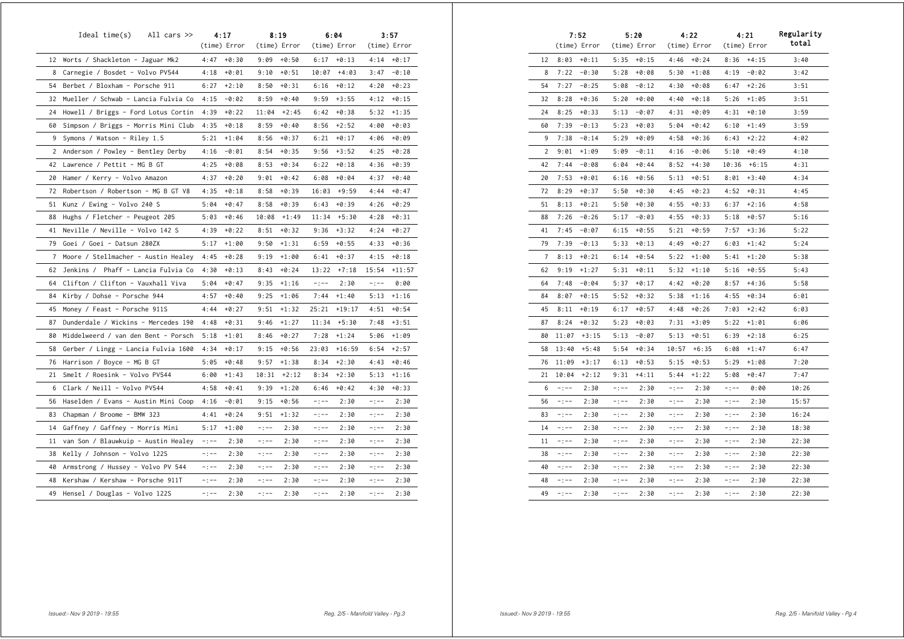|    | $Ideal time(s)$ All cars $\gg$        |           | 4:17<br>(time) Error |          | 8:19<br>(time) Error |          | 6:04<br>(time) Error |          | 3:57<br>(time) Error |
|----|---------------------------------------|-----------|----------------------|----------|----------------------|----------|----------------------|----------|----------------------|
|    | 12 Worts / Shackleton - Jaguar Mk2    |           | $4:47 + 0:30$        |          | $9:09 + 0:50$        | 6:17     | $+0:13$              |          | $4:14 + 0:17$        |
|    | 8 Carnegie / Bosdet - Volvo PV544     | 4:18      | $+0:01$              | 9:10     | $+0:51$              | 10:07    | $+4:03$              | 3:47     | $-0:10$              |
| 54 | Berbet / Bloxham - Porsche 911        | 6:27      | $+2:10$              | 8:50     | $+0:31$              | 6:16     | $+0:12$              | 4:20     | $+0:23$              |
| 32 | Mueller / Schwab - Lancia Fulvia Co   | 4:15      | $-0:02$              | 8:59     | $+0:40$              | 9:59     | $+3:55$              | 4:12     | $+0:15$              |
| 24 | Howell / Briggs - Ford Lotus Cortin   | 4:39      | $+0:22$              | 11:04    | $+2:45$              | 6:42     | $+0:38$              | 5:32     | $+1:35$              |
| 60 | Simpson / Briggs - Morris Mini Clubr  | 4:35      | $+0:18$              | 8:59     | $+0:40$              | 8:56     | $+2:52$              | 4:00     | $+0:03$              |
| 9  | Symons / Watson - Riley 1.5           | 5:21      | $+1:04$              | 8:56     | $+0:37$              | 6:21     | $+0:17$              | 4:06     | $+0:09$              |
|    | 2 Anderson / Powley - Bentley Derby   | 4:16      | $-0:01$              | 8:54     | $+0:35$              | 9:56     | $+3:52$              | 4:25     | $+0:28$              |
| 42 | Lawrence / Pettit - MG B GT           | 4:25      | $+0:08$              | 8:53     | $+0:34$              | 6:22     | $+0:18$              | 4:36     | $+0:39$              |
| 20 | Hamer / Kerry - Volvo Amazon          | 4:37      | $+0:20$              | 9:01     | $+0:42$              | 6:08     | $+0:04$              | 4:37     | $+0:40$              |
| 72 | Robertson / Robertson - MG B GT V8    | 4:35      | $+0:18$              | 8:58     | $+0:39$              | 16:03    | $+9:59$              | 4:44     | $+0:47$              |
| 51 | Kunz / Ewing - Volvo 240 S            | 5:04      | $+0:47$              | 8:58     | $+0:39$              | 6:43     | $+0:39$              | 4:26     | $+0:29$              |
| 88 | Hughs / Fletcher - Peugeot 205        | 5:03      | $+0:46$              | 10:08    | $+1:49$              | 11:34    | $+5:30$              | 4:28     | $+0:31$              |
| 41 | Neville / Neville - Volvo 142 S       | 4:39      | $+0:22$              | 8:51     | $+0:32$              | 9:36     | $+3:32$              | 4:24     | $+0:27$              |
|    | 79 Goei / Goei - Datsun 280ZX         | 5:17      | $+1:00$              | 9:50     | $+1:31$              | 6:59     | $+0:55$              | 4:33     | $+0:36$              |
|    | 7 Moore / Stellmacher - Austin Healey | 4:45      | $+0:28$              | 9:19     | $+1:00$              | 6:41     | $+0:37$              | 4:15     | $+0:18$              |
| 62 | Jenkins / Phaff - Lancia Fulvia Co    | 4:30      | $+0:13$              | 8:43     | $+0:24$              | 13:22    | $+7:18$              | 15:54    | $+11:57$             |
|    | 64 Clifton / Clifton - Vauxhall Viva  | 5:04      | $+0:47$              | 9:35     | $+1:16$              | $-:--$   | 2:30                 | $-1 - -$ | 0:00                 |
| 84 | Kirby / Dohse - Porsche 944           | 4:57      | $+0:40$              | 9:25     | $+1:06$              | 7:44     | $+1:40$              | 5:13     | $+1:16$              |
| 45 | Money / Feast - Porsche 911S          | 4:44      | $+0:27$              | 9:51     | $+1:32$              | 25:21    | $+19:17$             | 4:51     | $+0:54$              |
| 87 | Dunderdale / Wickins - Mercedes 190   | 4:48      | $+0:31$              | 9:46     | $+1:27$              | 11:34    | $+5:30$              | 7:48     | $+3:51$              |
| 80 | Middelweerd / van den Bent - Porsch   | 5:18      | $+1:01$              | 8:46     | $+0:27$              | 7:28     | $+1:24$              | 5:06     | $+1:09$              |
| 58 | Gerber / Lingg - Lancia Fulvia 1600   | 4:34      | $+0:17$              | 9:15     | $+0:56$              | 23:03    | $+16:59$             | 6:54     | $+2:57$              |
| 76 | Harrison / Boyce - MG B GT            | 5:05      | $+0:48$              | 9:57     | $+1:38$              | 8:34     | $+2:30$              | 4:43     | $+0:46$              |
| 21 | Smelt / Roesink - Volvo PV544         | 6:00      | $+1:43$              | 10:31    | $+2:12$              | 8:34     | $+2:30$              | 5:13     | $+1:16$              |
| 6  | Clark / Neill - Volvo PV544           | 4:58      | $+0:41$              | 9:39     | $+1:20$              | 6:46     | $+0:42$              | 4:30     | $+0:33$              |
| 56 | Haselden / Evans - Austin Mini Coop   | 4:16      | $-0:01$              | 9:15     | $+0:56$              | $-:--$   | 2:30                 | $-:--$   | 2:30                 |
| 83 | Chapman / Broome - BMW 323            | 4:41      | $+0:24$              | 9:51     | $+1:32$              | $-:--$   | 2:30                 | $-:--$   | 2:30                 |
| 14 | Gaffney / Gaffney - Morris Mini       | 5:17      | $+1:00$              | $-1 - -$ | 2:30                 | $-1 - -$ | 2:30                 | $-:--$   | 2:30                 |
| 11 | van Son / Blauwkuip - Austin Healey   | $-1 - -$  | 2:30                 | $-:--$   | 2:30                 | $-:--$   | 2:30                 | $-:--$   | 2:30                 |
| 38 | Kelly / Johnson - Volvo 122S          | $- : - -$ | 2:30                 | $-:--$   | 2:30                 | $-:--$   | 2:30                 | -:--     | 2:30                 |
| 40 | Armstrong / Hussey - Volvo PV 544     | $- : - -$ | 2:30                 | $-:--$   | 2:30                 | -:--     | 2:30                 | -:--     | 2:30                 |
| 48 | Kershaw / Kershaw - Porsche 911T      | -:--      | 2:30                 | $-:--$   | 2:30                 | -:--     | 2:30                 | -:--     | 2:30                 |
| 49 | Hensel / Douglas - Volvo 122S         | $-:--$    | 2:30                 | $-:--$   | 2:30                 | $-:--$   | 2:30                 | -:--     | 2:30                 |

|    |        | 7:52<br>(time) Error |        | 5:20<br>(time) Error |        | 4:22<br>(time) Error |        | 4:21<br>(time) Error | Regularity<br>total |
|----|--------|----------------------|--------|----------------------|--------|----------------------|--------|----------------------|---------------------|
| 12 | 8:03   | $+0:11$              | 5:35   | $+0:15$              | 4:46   | $+0:24$              | 8:36   | $+4:15$              | 3:40                |
| 8  | 7:22   | $-0:30$              | 5:28   | $+0:08$              | 5:30   | $+1:08$              | 4:19   | $-0:02$              | 3:42                |
| 54 | 7:27   | $-0:25$              | 5:08   | -0:12                | 4:30   | +0:08                | 6:47   | +2:26                | 3:51                |
| 32 | 8:28   | $+0:36$              | 5:20   | +0:00                | 4:40   | $+0:18$              | 5:26   | +1:05                | 3:51                |
| 24 | 8:25   | $+0:33$              | 5:13   | $-0:07$              | 4:31   | $+0:09$              | 4:31   | $+0:10$              | 3:59                |
| 60 | 7:39   | $-0:13$              | 5:23   | $+0:03$              | 5:04   | $+0:42$              | 6:10   | $+1:49$              | 3:59                |
| 9  | 7:38   | $-0:14$              | 5:29   | $+0:09$              | 4:58   | $+0:36$              | 6:43   | $+2:22$              | 4:02                |
| 2  | 9:01   | $+1:09$              | 5:09   | -0:11                | 4:16   | -0:06                | 5:10   | +0:49                | 4:10                |
| 42 | 7:44   | $-0:08$              | 6:04   | +0:44                | 8:52   | +4:30                | 10:36  | $+6:15$              | 4:31                |
| 20 | 7:53   | +0:01                | 6:16   | +0:56                | 5:13   | +0:51                | 8:01   | +3:40                | 4:34                |
| 72 | 8:29   | $+0:37$              | 5:50   | $+0:30$              | 4:45   | $+0:23$              | 4:52   | $+0:31$              | 4:45                |
| 51 | 8:13   | $+0:21$              | 5:50   | $+0:30$              | 4:55   | $+0:33$              | 6:37   | $+2:16$              | 4:58                |
| 88 | 7:26   | $-0:26$              | 5:17   | $-0:03$              | 4:55   | $+0:33$              | 5:18   | $+0:57$              | 5:16                |
| 41 | 7:45   | -0:07                | 6:15   | +0:55                | 5:21   | +0:59                | 7:57   | $+3:36$              | 5:22                |
| 79 | 7:39   | $-0:13$              | 5:33   | $+0:13$              | 4:49   | +0:27                | 6:03   | $+1:42$              | 5:24                |
| 7  | 8:13   | $+0:21$              | 6:14   | $+0:54$              | 5:22   | $+1:00$              | 5:41   | +1:20                | 5:38                |
| 62 | 9:19   | $+1:27$              | 5:31   | $+0:11$              | 5:32   | +1:10                | 5:16   | $+0:55$              | 5:43                |
| 64 | 7:48   | -0:04                | 5:37   | +0:17                | 4:42   | +0:20                | 8:57   | +4:36                | 5:58                |
| 84 | 8:07   | $+0:15$              | 5:52   | $+0:32$              | 5:38   | $+1:16$              | 4:55   | +0:34                | 6:01                |
| 45 | 8:11   | $+0:19$              | 6:17   | $+0:57$              | 4:48   | $+0:26$              | 7:03   | +2:42                | 6:03                |
| 87 | 8:24   | $+0:32$              | 5:23   | $+0:03$              | 7:31   | $+3:09$              | 5:22   | +1:01                | 6:06                |
| 80 | 11:07  | $+3:15$              | 5:13   | $-0:07$              | 5:13   | +0:51                | 6:39   | +2:18                | 6:25                |
| 58 | 13:40  | $+5:48$              | 5:54   | $+0:34$              | 10:57  | $+6:35$              | 6:08   | $+1:47$              | 6:47                |
| 76 | 11:09  | $+3:17$              | 6:13   | $+0:53$              | 5:15   | $+0:53$              | 5:29   | $+1:08$              | 7:20                |
| 21 | 10:04  | $+2:12$              | 9:31   | $+4:11$              | 5:44   | $+1:22$              | 5:08   | $+0:47$              | 7:47                |
| 6  | $-:--$ | 2:30                 | $-:--$ | 2:30                 | -:--   | 2:30                 | $-:--$ | 0:00                 | 10:26               |
| 56 | -:--   | 2:30                 | -:--   | 2:30                 | -:--   | 2:30                 | $-:--$ | 2:30                 | 15:57               |
| 83 | -:--   | 2:30                 | -:--   | 2:30                 | -:--   | 2:30                 | $-:--$ | 2:30                 | 16:24               |
| 14 | $-:--$ | 2:30                 | $-:--$ | 2:30                 | $-:--$ | 2:30                 | $-:--$ | 2:30                 | 18:30               |
| 11 | $-:--$ | 2:30                 | -:--   | 2:30                 | $-:--$ | 2:30                 | $-:--$ | 2:30                 | 22:30               |
| 38 | $-:--$ | 2:30                 | $-:--$ | 2:30                 | $-:--$ | 2:30                 | $-:--$ | 2:30                 | 22:30               |
| 40 | -:--   | 2:30                 | -:--   | 2:30                 | -:--   | 2:30                 | -:--   | 2:30                 | 22:30               |
| 48 | -:--   | 2:30                 | -:--   | 2:30                 | -:--   | 2:30                 | -:--   | 2:30                 | 22:30               |
| 49 | -:--   | 2:30                 | -:--   | 2:30                 | -:--   | 2:30                 | -:--   | 2:30                 | 22:30               |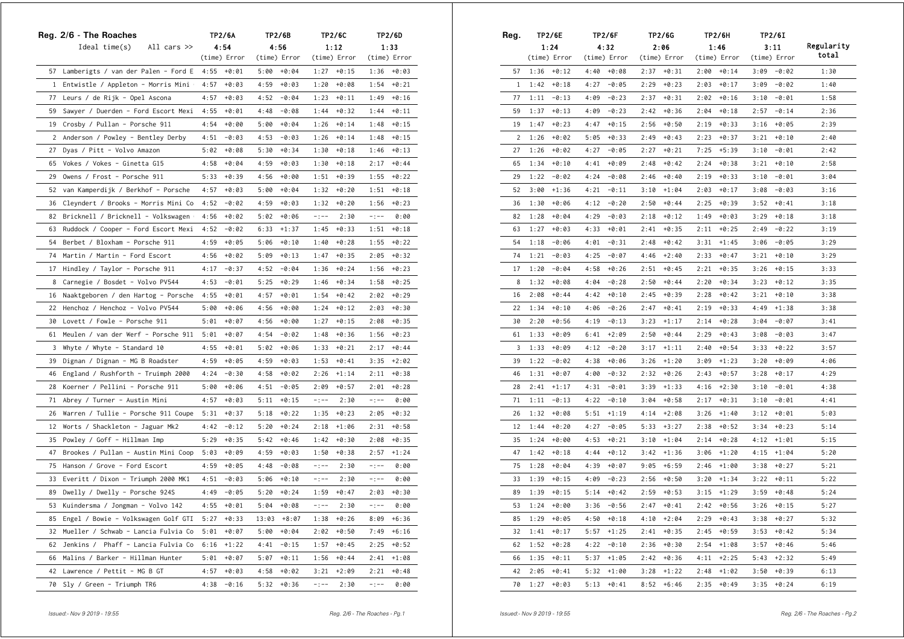|    | Reg. 2/6 - The Roaches                 |      | TP2/6A       |       | TP2/6B       |          | TP2/6C        | TP2/6D    |               |  |  |
|----|----------------------------------------|------|--------------|-------|--------------|----------|---------------|-----------|---------------|--|--|
|    | Ideal $time(s)$<br>All cars $\gg$      |      | 4:54         |       | 4:56         |          | 1:12          |           | 1:33          |  |  |
|    |                                        |      | (time) Error |       | (time) Error |          | (time) Error  |           | (time) Error  |  |  |
|    | 57 Lamberigts / van der Palen - Ford E | 4:55 | +0:01        | 5:00  | $+0:04$      | 1:27     | $+0:15$       |           | $1:36 + 0:03$ |  |  |
|    | 1 Entwistle / Appleton - Morris Mini + | 4:57 | $+0:03$      | 4:59  | $+0:03$      | 1:20     | $+0:08$       | 1:54      | $+0:21$       |  |  |
|    | 77  Leurs / de Rijk – Opel Ascona      | 4:57 | $+0:03$      | 4:52  | $-0:04$      | 1:23     | $+0:11$       | 1:49      | $+0:16$       |  |  |
|    | 59 Sawyer / Duerden - Ford Escort Mexi | 4:55 | +0:01        | 4:48  | -0:08        | 1:44     | +0:32         | 1:44      | $+0:11$       |  |  |
| 19 | Crosby / Pullan - Porsche 911          | 4:54 | +0:00        | 5:00  | $+0:04$      | 1:26     | $+0:14$       | 1:48      | $+0:15$       |  |  |
|    | 2 Anderson / Powley - Bentley Derby    | 4:51 | -0:03        | 4:53  | $-0:03$      | 1:26     | $+0:14$       | 1:48      | $+0:15$       |  |  |
| 27 | Dyas / Pitt - Volvo Amazon             | 5:02 | $+0:08$      | 5:30  | $+0:34$      | 1:30     | $+0:18$       | 1:46      | $+0:13$       |  |  |
| 65 | Vokes / Vokes - Ginetta G15            | 4:58 | $+0:04$      | 4:59  | $+0:03$      | 1:30     | $+0:18$       | 2:17      | $+0:44$       |  |  |
| 29 | Owens / Frost - Porsche 911            | 5:33 | $+0:39$      | 4:56  | +0:00        | 1:51     | $+0:39$       | 1:55      | $+0:22$       |  |  |
| 52 | van Kamperdijk / Berkhof - Porsche     | 4:57 | $+0:03$      | 5:00  | $+0:04$      | 1:32     | +0:20         | 1:51      | $+0:18$       |  |  |
| 36 | Cleyndert / Brooks - Morris Mini Co    | 4:52 | -0:02        | 4:59  | $+0:03$      | 1:32     | +0:20         | 1:56      | $+0:23$       |  |  |
| 82 | Bricknell / Bricknell - Volkswagen +   | 4:56 | +0:02        | 5:02  | $+0:06$      | $-1 - -$ | 2:30          | $-1 - -$  | 0:00          |  |  |
| 63 | Ruddock / Cooper - Ford Escort Mexi    | 4:52 | $-0:02$      | 6:33  | $+1:37$      | 1:45     | +0:33         | 1:51      | $+0:18$       |  |  |
| 54 | Berbet / Bloxham - Porsche 911         | 4:59 | $+0:05$      | 5:06  | $+0:10$      | 1:40     | $+0:28$       | 1:55      | $+0:22$       |  |  |
| 74 | Martin / Martin - Ford Escort          | 4:56 | +0:02        | 5:09  | $+0:13$      | 1:47     | $+0:35$       | 2:05      | $+0:32$       |  |  |
| 17 | Hindley / Taylor - Porsche 911         | 4:17 | $-0:37$      | 4:52  | -0:04        | 1:36     | +0:24         | 1:56      | $+0:23$       |  |  |
| 8  | Carnegie / Bosdet - Volvo PV544        | 4:53 | -0:01        | 5:25  | $+0:29$      | 1:46     | $+0:34$       | 1:58      | $+0:25$       |  |  |
| 16 | Naaktgeboren / den Hartog - Porsche    | 4:55 | $+0:01$      | 4:57  | $+0:01$      | 1:54     | $+0:42$       | 2:02      | $+0:29$       |  |  |
|    | 22 Henchoz / Henchoz - Volvo PV544     | 5:00 | $+0:06$      | 4:56  | $+0:00$      | 1:24     | $+0:12$       | 2:03      | $+0:30$       |  |  |
|    | 30 Lovett / Fowle - Porsche 911        | 5:01 | $+0:07$      | 4:56  | $+0:00$      | 1:27     | $+0:15$       | 2:08      | $+0:35$       |  |  |
| 61 | Meulen / van der Werf - Porsche 911    | 5:01 | $+0:07$      | 4:54  | $-0:02$      | 1:48     | $+0:36$       | 1:56      | $+0:23$       |  |  |
| 3  | Whyte / Whyte - Standard 10            | 4:55 | +0:01        | 5:02  | $+0:06$      | 1:33     | $+0:21$       | 2:17      | $+0:44$       |  |  |
| 39 | Dignan / Dignan - MG B Roadster        | 4:59 | $+0:05$      | 4:59  | $+0:03$      | 1:53     | $+0:41$       | 3:35      | $+2:02$       |  |  |
| 46 | England / Rushforth - Truimph 2000     | 4:24 | $-0:30$      | 4:58  | $+0:02$      | 2:26     | $+1:14$       | 2:11      | $+0:38$       |  |  |
|    | 28 Koerner / Pellini - Porsche 911     | 5:00 | $+0:06$      | 4:51  | $-0:05$      | 2:09     | $+0:57$       | 2:01      | +0:28         |  |  |
| 71 | Abrey / Turner – Austin Mini           | 4:57 | $+0:03$      | 5:11  | $+0:15$      | $-1 - -$ | 2:30          | $- : - -$ | 0:00          |  |  |
| 26 | Warren / Tullie - Porsche 911 Coupe    | 5:31 | +0:37        | 5:18  | $+0:22$      | 1:35     | $+0:23$       | 2:05      | $+0:32$       |  |  |
| 12 | Worts / Shackleton - Jaguar Mk2        | 4:42 | $-0:12$      | 5:20  | $+0:24$      | 2:18     | $+1:06$       | 2:31      | $+0:58$       |  |  |
| 35 | Powley / Goff - Hillman Imp            | 5:29 | $+0:35$      | 5:42  | $+0:46$      | 1:42     | $+0:30$       | 2:08      | $+0:35$       |  |  |
| 47 | Brookes / Pullan - Austin Mini Coop    | 5:03 | $+0:09$      | 4:59  | $+0:03$      |          | $1:50 + 0:38$ | 2:57      | $+1:24$       |  |  |
| 75 | Hanson / Grove - Ford Escort           | 4:59 | $+0:05$      | 4:48  | $-0:08$      | $-1 - -$ | 2:30          | $-1 - -$  | 0:00          |  |  |
| 33 | Everitt / Dixon - Triumph 2000 MK1     | 4:51 | $-0:03$      | 5:06  | $+0:10$      | $-1 - -$ | 2:30          | $-1 - -$  | 0:00          |  |  |
| 89 | Dwelly / Dwelly - Porsche 924S         | 4:49 | $-0:05$      | 5:20  | $+0:24$      | 1:59     | $+0:47$       | 2:03      | $+0:30$       |  |  |
| 53 | Kuindersma / Jongman - Volvo 142       | 4:55 | +0:01        | 5:04  | +0:08        | -:--     | 2:30          | -:--      | 0:00          |  |  |
| 85 | Engel / Bowie - Volkswagen Golf GTI    | 5:27 | $+0:33$      | 13:03 | $+8:07$      | 1:38     | $+0:26$       | 8:09      | $+6:36$       |  |  |
| 32 | Mueller / Schwab - Lancia Fulvia Co    | 5:01 | $+0:07$      | 5:00  | $+0:04$      | 2:02     | $+0:50$       | 7:49      | $+6:16$       |  |  |
| 62 | Jenkins / Phaff - Lancia Fulvia Co     | 6:16 | $+1:22$      | 4:41  | $-0:15$      | 1:57     | $+0:45$       | 2:25      | $+0:52$       |  |  |
| 66 | Malins / Barker - Hillman Hunter       | 5:01 | $+0:07$      | 5:07  | $+0:11$      | 1:56     | $+0:44$       | 2:41      | $+1:08$       |  |  |
| 42 | Lawrence / Pettit - MG B GT            | 4:57 | $+0:03$      | 4:58  | $+0:02$      | 3:21     | $+2:09$       | 2:21      | $+0:48$       |  |  |
| 70 | Sly / Green - Triumph TR6              | 4:38 | $-0:16$      | 5:32  | +0:36        | $-1 - -$ | 2:30          | $-1 - -$  | 0:00          |  |  |

| Reg. |      | <b>TP2/6E</b> |      | TP2/6F        |      | TP2/6G        |      | TP2/6H        | TP2/6I |               |                     |
|------|------|---------------|------|---------------|------|---------------|------|---------------|--------|---------------|---------------------|
|      |      | 1:24          |      | 4:32          |      | 2:06          |      | 1:46          |        | 3:11          | Regularity<br>total |
|      |      | (time) Error  |      | (time) Error  |      | (time) Error  |      | (time) Error  |        | (time) Error  |                     |
| 57   | 1:36 | $+0:12$       | 4:40 | $+0:08$       | 2:37 | $+0:31$       | 2:00 | $+0:14$       | 3:09   | $-0:02$       | 1:30                |
| 1    | 1:42 | $+0:18$       | 4:27 | $-0:05$       | 2:29 | $+0:23$       | 2:03 | $+0:17$       | 3:09   | $-0:02$       | 1:40                |
| 77   | 1:11 | $-0:13$       | 4:09 | $-0:23$       | 2:37 | $+0:31$       | 2:02 | $+0:16$       | 3:10   | $-0:01$       | 1:58                |
| 59   | 1:37 | $+0:13$       | 4:09 | $-0:23$       | 2:42 | $+0:36$       | 2:04 | $+0:18$       | 2:57   | $-0:14$       | 2:36                |
| 19   | 1:47 | $+0:23$       | 4:47 | $+0:15$       | 2:56 | $+0:50$       | 2:19 | $+0:33$       | 3:16   | +0:05         | 2:39                |
| 2    | 1:26 | $+0:02$       | 5:05 | $+0:33$       | 2:49 | $+0:43$       | 2:23 | $+0:37$       | 3:21   | $+0:10$       | 2:40                |
| 27   | 1:26 | $+0:02$       | 4:27 | $-0:05$       | 2:27 | $+0:21$       | 7:25 | $+5:39$       | 3:10   | $-0:01$       | 2:42                |
| 65   | 1:34 | $+0:10$       | 4:41 | $+0:09$       | 2:48 | $+0:42$       | 2:24 | $+0:38$       | 3:21   | +0:10         | 2:58                |
| 29   | 1:22 | $-0:02$       | 4:24 | $-0:08$       | 2:46 | $+0:40$       | 2:19 | $+0:33$       | 3:10   | $-0:01$       | 3:04                |
| 52   | 3:00 | $+1:36$       | 4:21 | $-0:11$       | 3:10 | $+1:04$       | 2:03 | $+0:17$       | 3:08   | $-0:03$       | 3:16                |
| 36   | 1:30 | $+0:06$       | 4:12 | -0:20         | 2:50 | $+0:44$       | 2:25 | $+0:39$       | 3:52   | +0:41         | 3:18                |
| 82   | 1:28 | $+0:04$       | 4:29 | $-0:03$       | 2:18 | $+0:12$       | 1:49 | $+0:03$       | 3:29   | $+0:18$       | 3:18                |
| 63   | 1:27 | $+0:03$       | 4:33 | $+0:01$       | 2:41 | $+0:35$       | 2:11 | $+0:25$       | 2:49   | $-0:22$       | 3:19                |
| 54   | 1:18 | $-0:06$       | 4:01 | $-0:31$       | 2:48 | $+0:42$       | 3:31 | $+1:45$       | 3:06   | $-0:05$       | 3:29                |
| 74   | 1:21 | $-0:03$       | 4:25 | -0:07         | 4:46 | $+2:40$       | 2:33 | $+0:47$       | 3:21   | +0:10         | 3:29                |
| 17   | 1:20 | $-0:04$       | 4:58 | $+0:26$       | 2:51 | $+0:45$       | 2:21 | $+0:35$       | 3:26   | $+0:15$       | 3:33                |
| 8    | 1:32 | $+0:08$       | 4:04 | $-0:28$       | 2:50 | $+0:44$       | 2:20 | $+0:34$       | 3:23   | $+0:12$       | 3:35                |
| 16   | 2:08 | $+0:44$       | 4:42 | +0:10         | 2:45 | $+0:39$       | 2:28 | $+0:42$       | 3:21   | +0:10         | 3:38                |
| 22   | 1:34 | $+0:10$       | 4:06 | $-0:26$       | 2:47 | $+0:41$       | 2:19 | $+0:33$       | 4:49   | $+1:38$       | 3:38                |
| 30   | 2:20 | $+0:56$       | 4:19 | $-0:13$       | 3:23 | $+1:17$       | 2:14 | $+0:28$       | 3:04   | $-0:07$       | 3:41                |
| 61   | 1:33 | $+0:09$       | 6:41 | $+2:09$       | 2:50 | $+0:44$       | 2:29 | $+0:43$       | 3:08   | $-0:03$       | 3:47                |
| 3    | 1:33 | +0:09         | 4:12 | $-0:20$       | 3:17 | $+1:11$       | 2:40 | $+0:54$       | 3:33   | $+0:22$       | 3:57                |
| 39   | 1:22 | $-0:02$       | 4:38 | $+0:06$       | 3:26 | $+1:20$       | 3:09 | $+1:23$       | 3:20   | $+0:09$       | 4:06                |
| 46   | 1:31 | $+0:07$       | 4:00 | $-0:32$       | 2:32 | $+0:26$       | 2:43 | $+0:57$       | 3:28   | $+0:17$       | 4:29                |
| 28   | 2:41 | $+1:17$       | 4:31 | $-0:01$       | 3:39 | $+1:33$       | 4:16 | $+2:30$       | 3:10   | $-0:01$       | 4:38                |
| 71   | 1:11 | $-0:13$       | 4:22 | $-0:10$       | 3:04 | $+0:58$       | 2:17 | $+0:31$       | 3:10   | $-0:01$       | 4:41                |
| 26   | 1:32 | $+0:08$       | 5:51 | $+1:19$       | 4:14 | $+2:08$       | 3:26 | $+1:40$       | 3:12   | $+0:01$       | 5:03                |
| 12   | 1:44 | $+0:20$       | 4:27 | $-0:05$       | 5:33 | $+3:27$       | 2:38 | $+0:52$       | 3:34   | $+0:23$       | 5:14                |
| 35   | 1:24 | $+0:00$       | 4:53 | $+0:21$       | 3:10 | $+1:04$       | 2:14 | $+0:28$       | 4:12   | $+1:01$       | 5:15                |
| 47   | 1:42 | $+0:18$       | 4:44 | $+0:12$       | 3:42 | $+1:36$       | 3:06 | $+1:20$       | 4:15   | $+1:04$       | 5:20                |
| 75   | 1:28 | $+0:04$       | 4:39 | $+0:07$       | 9:05 | $+6:59$       | 2:46 | $+1:00$       | 3:38   | $+0:27$       | 5:21                |
| 33   | 1:39 | $+0:15$       | 4:09 | $-0:23$       | 2:56 | $+0:50$       | 3:20 | $+1:34$       | 3:22   | $+0:11$       | 5:22                |
| 89   | 1:39 | $+0:15$       | 5:14 | $+0:42$       | 2:59 | $+0:53$       | 3:15 | $+1:29$       | 3:59   | $+0:48$       | 5:24                |
| 53   |      | $1:24 + 0:00$ |      | $3:36 - 0:56$ |      | $2:47 + 0:41$ |      | $2:42 + 0:56$ |        | $3:26 + 0:15$ | 5:27                |
| 85   |      | $1:29 + 0:05$ |      | $4:50 + 0:18$ |      | $4:10 + 2:04$ |      | $2:29 + 0:43$ | 3:38   | $+0:27$       | 5:32                |
| 32   |      | $1:41 + 0:17$ | 5:57 | $+1:25$       |      | $2:41 + 0:35$ | 2:45 | $+0:59$       | 3:53   | $+0:42$       | 5:34                |
| 62   |      | $1:52 + 0:28$ | 4:22 | -0:10         |      | $2:36 + 0:30$ |      | $2:54$ +1:08  | 3:57   | +0:46         | 5:46                |
| 66   |      | $1:35 + 0:11$ | 5:37 | $+1:05$       |      | $2:42 + 0:36$ |      | $4:11 +2:25$  | 5:43   | $+2:32$       | 5:49                |
| 42   | 2:05 | $+0:41$       | 5:32 | $+1:00$       |      | $3:28$ +1:22  |      | $2:48 +1:02$  | 3:50   | +0:39         | 6:13                |
| 70   |      | $1:27 + 0:03$ | 5:13 | $+0:41$       |      | $8:52 + 6:46$ |      | $2:35 + 0:49$ | 3:35   | $+0:24$       | 6:19                |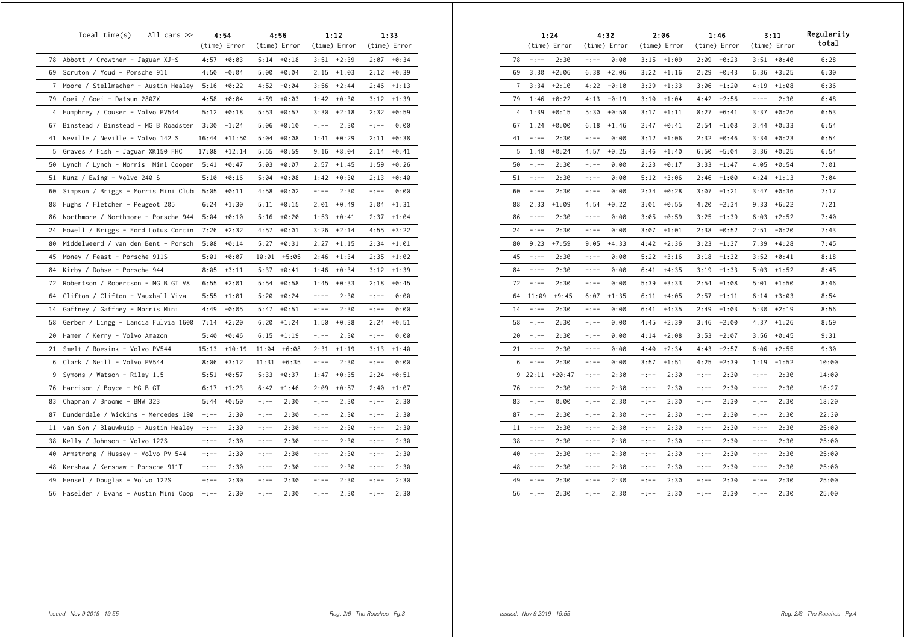|    | Ideal time(s)<br>All cars $\gg$      |           | 4:54<br>(time) Error |          | 4:56<br>(time) Error |           | 1:12<br>(time) Error |           | 1:33<br>(time) Error |
|----|--------------------------------------|-----------|----------------------|----------|----------------------|-----------|----------------------|-----------|----------------------|
|    | 78 Abbott / Crowther - Jaguar XJ-S   | 4:57      | $+0:03$              | 5:14     | $+0:18$              | 3:51      | $+2:39$              | 2:07      | $+0:34$              |
| 69 | Scruton / Youd - Porsche 911         | 4:50      | $-0:04$              | 5:00     | $+0:04$              | 2:15      | $+1:03$              | 2:12      | $+0:39$              |
| 7  | Moore / Stellmacher - Austin Healey  | 5:16      | $+0:22$              | 4:52     | $-0:04$              | 3:56      | $+2:44$              | 2:46      | $+1:13$              |
| 79 | Goei / Goei - Datsun 280ZX           | 4:58      | $+0:04$              | 4:59     | $+0:03$              | 1:42      | $+0:30$              | 3:12      | $+1:39$              |
| 4  | Humphrey / Couser - Volvo PV544      | 5:12      | $+0:18$              | 5:53     | $+0:57$              | 3:30      | $+2:18$              | 2:32      | $+0:59$              |
| 67 | Binstead / Binstead - MG B Roadster  | 3:30      | $-1:24$              | 5:06     | $+0:10$              | $-1 - -$  | 2:30                 | $-:--$    | 0:00                 |
| 41 | Neville / Neville - Volvo 142 S      | 16:44     | $+11:50$             | 5:04     | $+0:08$              | 1:41      | $+0:29$              | 2:11      | $+0:38$              |
| 5  | Graves / Fish - Jaguar XK150 FHC     | 17:08     | $+12:14$             | 5:55     | $+0:59$              | 9:16      | $+8:04$              | 2:14      | $+0:41$              |
| 50 | Lynch / Lynch - Morris Mini Cooper   | 5:41      | $+0:47$              | 5:03     | $+0:07$              | 2:57      | $+1:45$              | 1:59      | $+0:26$              |
| 51 | Kunz / Ewing - Volvo 240 S           | 5:10      | $+0:16$              | 5:04     | $+0:08$              | 1:42      | $+0:30$              | 2:13      | $+0:40$              |
| 60 | Simpson / Briggs - Morris Mini Clubr | 5:05      | $+0:11$              | 4:58     | $+0:02$              | $-1 - -$  | 2:30                 | $-:--$    | 0:00                 |
| 88 | Hughs / Fletcher - Peugeot 205       | 6:24      | $+1:30$              | 5:11     | $+0:15$              | 2:01      | $+0:49$              | 3:04      | $+1:31$              |
| 86 | Northmore / Northmore - Porsche 944  | 5:04      | $+0:10$              | 5:16     | $+0:20$              | 1:53      | $+0:41$              | 2:37      | $+1:04$              |
| 24 | Howell / Briggs - Ford Lotus Cortin  | 7:26      | $+2:32$              | 4:57     | $+0:01$              | 3:26      | $+2:14$              | 4:55      | $+3:22$              |
| 80 | Middelweerd / van den Bent - Porsch  | 5:08      | $+0:14$              | 5:27     | $+0:31$              | 2:27      | $+1:15$              | 2:34      | $+1:01$              |
| 45 | Money / Feast - Porsche 911S         | 5:01      | $+0:07$              | 10:01    | $+5:05$              | 2:46      | $+1:34$              | 2:35      | $+1:02$              |
| 84 | Kirby / Dohse - Porsche 944          | 8:05      | $+3:11$              | 5:37     | $+0:41$              | 1:46      | $+0:34$              | 3:12      | $+1:39$              |
| 72 | Robertson / Robertson - MG B GT V8   | 6:55      | $+2:01$              | 5:54     | $+0:58$              | 1:45      | $+0:33$              | 2:18      | $+0:45$              |
| 64 | Clifton / Clifton - Vauxhall Viva    | 5:55      | $+1:01$              | 5:20     | $+0:24$              | $-:--$    | 2:30                 | $-:--$    | 0:00                 |
| 14 | Gaffney / Gaffney - Morris Mini      | 4:49      | $-0:05$              | 5:47     | $+0:51$              | $-1 - -$  | 2:30                 | $-1 - -$  | 0:00                 |
| 58 | Gerber / Lingg - Lancia Fulvia 1600  | 7:14      | $+2:20$              | 6:20     | $+1:24$              | 1:50      | $+0:38$              | 2:24      | $+0:51$              |
| 20 | Hamer / Kerry - Volvo Amazon         | 5:40      | $+0:46$              | 6:15     | $+1:19$              | $- : - -$ | 2:30                 | $-$ : $-$ | 0:00                 |
| 21 | Smelt / Roesink - Volvo PV544        | 15:13     | $+10:19$             | 11:04    | $+6:08$              | 2:31      | $+1:19$              | 3:13      | $+1:40$              |
| 6  | Clark / Neill - Volvo PV544          | 8:06      | $+3:12$              | 11:31    | $+6:35$              | $-1 - -$  | 2:30                 | $-:--$    | 0:00                 |
| 9  | Symons / Watson - Riley 1.5          | 5:51      | $+0:57$              | 5:33     | $+0:37$              | 1:47      | $+0:35$              | 2:24      | $+0:51$              |
| 76 | Harrison / Boyce - MG B GT           | 6:17      | $+1:23$              | 6:42     | $+1:46$              | 2:09      | $+0:57$              | 2:40      | $+1:07$              |
| 83 | Chapman / Broome - BMW 323           | 5:44      | $+0:50$              | $-:--$   | 2:30                 | $-:--$    | 2:30                 | $-:--$    | 2:30                 |
| 87 | Dunderdale / Wickins - Mercedes 190  | $-:--$    | 2:30                 | -:--     | 2:30                 | $-:--$    | 2:30                 | -:--      | 2:30                 |
| 11 | van Son / Blauwkuip - Austin Healey  | $-1 - -$  | 2:30                 | $-:--$   | 2:30                 | $-1 - -$  | 2:30                 | $-:--$    | 2:30                 |
| 38 | Kelly / Johnson - Volvo 122S         | $-:--$    | 2:30                 | $-1 - -$ | 2:30                 | $-:--$    | 2:30                 | $-:--$    | 2:30                 |
| 40 | Armstrong / Hussey - Volvo PV 544    | $-:--$    | 2:30                 | $-1 - -$ | 2:30                 | $-:--$    | 2:30                 | $-:--$    | 2:30                 |
| 48 | Kershaw / Kershaw - Porsche 911T     | $-:--$    | 2:30                 | -:--     | 2:30                 | $-$ : $-$ | 2:30                 | $-$ : $-$ | 2:30                 |
| 49 | Hensel / Douglas - Volvo 122S        | $-$ : $-$ | 2:30                 | -:--     | 2:30                 | $-$ : $-$ | 2:30                 | $-$ : $-$ | 2:30                 |
| 56 | Haselden / Evans - Austin Mini Coop  | $-:--$    | 2:30                 | $-1 - -$ | 2:30                 | $-:--$    | 2:30                 | $-$ : $-$ | 2:30                 |

|    |           | 1:24<br>(time) Error |           | 4:32<br>(time) Error |             | 2:06<br>(time) Error |        | 1:46<br>(time) Error |           | 3:11<br>(time) Error | Regularity<br>total |
|----|-----------|----------------------|-----------|----------------------|-------------|----------------------|--------|----------------------|-----------|----------------------|---------------------|
| 78 | $-:--$    | 2:30                 | $-:--$    | 0:00                 | 3:15        | $+1:09$              | 2:09   | $+0:23$              | 3:51      | $+0:40$              | 6:28                |
| 69 | 3:30      | $+2:06$              | 6:38      | $+2:06$              | 3:22        | $+1:16$              | 2:29   | $+0:43$              | 6:36      | $+3:25$              | 6:30                |
| 7  | 3:34      | $+2:10$              | 4:22      | $-0:10$              | 3:39        | $+1:33$              | 3:06   | $+1:20$              | 4:19      | $+1:08$              | 6:36                |
| 79 | 1:46      | $+0:22$              | 4:13      | $-0:19$              | 3:10        | $+1:04$              | 4:42   | $+2:56$              | $-1 - -$  | 2:30                 | 6:48                |
| 4  | 1:39      | $+0:15$              | 5:30      | $+0:58$              | 3:17        | $+1:11$              | 8:27   | $+6:41$              | 3:37      | $+0:26$              | 6:53                |
| 67 | 1:24      | $+0:00$              | 6:18      | $+1:46$              | 2:47        | $+0:41$              | 2:54   | $+1:08$              | 3:44      | $+0:33$              | 6:54                |
| 41 | $-1 - -$  | 2:30                 | $-$ : $-$ | 0:00                 | 3:12        | $+1:06$              | 2:32   | $+0:46$              | 3:34      | $+0:23$              | 6:54                |
| 5  | 1:48      | $+0:24$              | 4:57      | $+0:25$              | 3:46        | $+1:40$              | 6:50   | $+5:04$              | 3:36      | $+0:25$              | 6:54                |
| 50 | $-:--$    | 2:30                 | $-:--$    | 0:00                 | 2:23        | $+0:17$              | 3:33   | $+1:47$              | 4:05      | $+0:54$              | 7:01                |
| 51 | $-:--$    | 2:30                 | $-:--$    | 0:00                 | 5:12        | $+3:06$              | 2:46   | $+1:00$              | 4:24      | $+1:13$              | 7:04                |
| 60 | $-:--$    | 2:30                 | $-:--$    | 0:00                 | 2:34        | $+0:28$              | 3:07   | $+1:21$              | 3:47      | $+0:36$              | 7:17                |
| 88 | 2:33      | $+1:09$              | 4:54      | $+0:22$              | 3:01        | $+0:55$              | 4:20   | $+2:34$              | 9:33      | $+6:22$              | 7:21                |
| 86 | $-:--$    | 2:30                 | $-:--$    | 0:00                 | 3:05        | $+0:59$              | 3:25   | $+1:39$              | 6:03      | $+2:52$              | 7:40                |
| 24 | $-$ : $-$ | 2:30                 | $-:--$    | 0:00                 | 3:07        | $+1:01$              | 2:38   | $+0:52$              | 2:51      | $-0:20$              | 7:43                |
| 80 | 9:23      | $+7:59$              | 9:05      | $+4:33$              | 4:42        | $+2:36$              | 3:23   | $+1:37$              | 7:39      | $+4:28$              | 7:45                |
| 45 | $-:--$    | 2:30                 | $-:--$    | 0:00                 | 5:22        | $+3:16$              | 3:18   | $+1:32$              | 3:52      | $+0:41$              | 8:18                |
| 84 | $-$ : $-$ | 2:30                 | $-:--$    | 0:00                 | 6:41        | $+4:35$              | 3:19   | $+1:33$              | 5:03      | $+1:52$              | 8:45                |
| 72 | $-$ : $-$ | 2:30                 | $-:--$    | 0:00                 | 5:39        | $+3:33$              | 2:54   | $+1:08$              | 5:01      | $+1:50$              | 8:46                |
| 64 | 11:09     | $+9:45$              | 6:07      | $+1:35$              | 6:11        | $+4:05$              | 2:57   | $+1:11$              | 6:14      | $+3:03$              | 8:54                |
| 14 | $-$ : $-$ | 2:30                 | $-:--$    | 0:00                 | 6:41        | $+4:35$              | 2:49   | $+1:03$              | 5:30      | $+2:19$              | 8:56                |
| 58 | $-:--$    | 2:30                 | $-:--$    | 0:00                 | 4:45        | $+2:39$              | 3:46   | $+2:00$              | 4:37      | $+1:26$              | 8:59                |
| 20 | $-:--$    | 2:30                 | $-:--$    | 0:00                 | 4:14        | $+2:08$              | 3:53   | $+2:07$              | 3:56      | $+0:45$              | 9:31                |
| 21 | $-:--$    | 2:30                 | $-:--$    | 0:00                 | 4:40        | $+2:34$              | 4:43   | $+2:57$              | 6:06      | $+2:55$              | 9:30                |
| 6  | $-:--$    | 2:30                 | $-:--$    | 0:00                 | 3:57        | $+1:51$              | 4:25   | $+2:39$              | 1:19      | $-1:52$              | 10:00               |
| 9  | 22:11     | $+20:47$             | $-:--$    | 2:30                 | $-$ ; $-$ – | 2:30                 | $-:--$ | 2:30                 | $-1 - -$  | 2:30                 | 14:00               |
| 76 | $-:--$    | 2:30                 | $-:--$    | 2:30                 | $-$ : $-$   | 2:30                 | -:--   | 2:30                 | -:--      | 2:30                 | 16:27               |
| 83 | $-$ : $-$ | 0:00                 | $-:--$    | 2:30                 | $-:--$      | 2:30                 | -:--   | 2:30                 | $-:--$    | 2:30                 | 18:20               |
| 87 | $-:--$    | 2:30                 | $-:--$    | 2:30                 | $-:--$      | 2:30                 | -:--   | 2:30                 | $-:--$    | 2:30                 | 22:30               |
| 11 | -:--      | 2:30                 | -:--      | 2:30                 | -:--        | 2:30                 | -:--   | 2:30                 | -:--      | 2:30                 | 25:00               |
| 38 | $-:--$    | 2:30                 | -:--      | 2:30                 | $-:--$      | 2:30                 | -:--   | 2:30                 | $-:--$    | 2:30                 | 25:00               |
| 40 | $-:--$    | 2:30                 | $-:--$    | 2:30                 | $-:--$      | 2:30                 | $-:--$ | 2:30                 | $-:--$    | 2:30                 | 25:00               |
| 48 | $-:--$    | 2:30                 | $-:--$    | 2:30                 | $-:--$      | 2:30                 | $-:--$ | 2:30                 | $-:--$    | 2:30                 | 25:00               |
| 49 | $-:--$    | 2:30                 | $-:--$    | 2:30                 | $-$ : $-$   | 2:30                 | $-:--$ | 2:30                 | -:--      | 2:30                 | 25:00               |
| 56 | $-1 - -$  | 2:30                 | $-:--$    | 2:30                 | $-:--$      | 2:30                 | $-:--$ | 2:30                 | $-$ : $-$ | 2:30                 | 25:00               |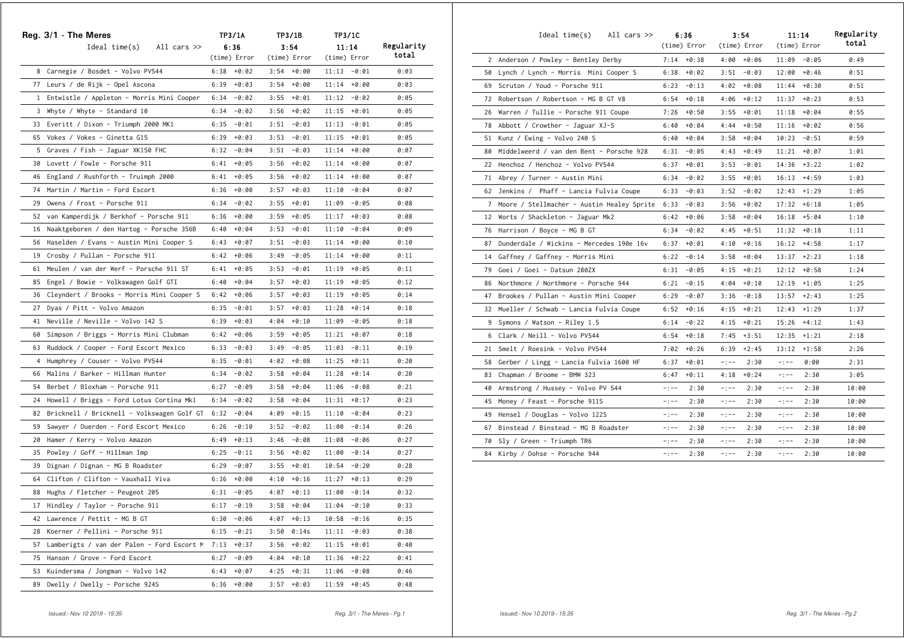|    | Reg. 3/1 - The Meres                          | TP3/1A |              | TP3/1B |               | TP3/1C         |         |            |
|----|-----------------------------------------------|--------|--------------|--------|---------------|----------------|---------|------------|
|    | Ideal time(s)<br>All cars $\gg$               |        | 6:36         |        | 3:54          |                | 11:14   | Regularity |
|    |                                               |        | (time) Error |        | (time) Error  | (time) Error   |         | total      |
|    | 8 Carnegie / Bosdet - Volvo PV544             | 6:38   | +0:02        |        | $3:54 + 0:00$ | $11:13 - 0:01$ |         | 0:03       |
|    | 77 Leurs / de Rijk - Opel Ascona              | 6:39   | $+0:03$      |        | $3:54 + 0:00$ | 11:14          | $+0:00$ | 0:03       |
|    | 1 Entwistle / Appleton - Morris Mini Cooper   | 6:34   | -0:02        |        | $3:55 + 0:01$ | 11:12          | -0:02   | 0:05       |
|    | 3 Whyte / Whyte - Standard 10                 | 6:34   | -0:02        |        | $3:56 + 0:02$ | $11:15 + 0:01$ |         | 0:05       |
|    | 33 Everitt / Dixon - Triumph 2000 MK1         | 6:35   | -0:01        | 3:51   | -0:03         | 11:13          | -0:01   | 0:05       |
|    | 65 Vokes / Vokes - Ginetta G15                | 6:39   | $+0:03$      | 3:53   | -0:01         | 11:15          | +0:01   | 0:05       |
|    | 5 Graves / Fish - Jaguar XK150 FHC            | 6:32   | -0:04        | 3:51   | -0:03         | 11:14          | $+0:00$ | 0:07       |
|    | 30 Lovett / Fowle - Porsche 911               | 6:41   | $+0:05$      | 3:56   | +0:02         | 11:14          | $+0:00$ | 0:07       |
|    | 46 England / Rushforth - Truimph 2000         | 6:41   | $+0:05$      | 3:56   | +0:02         | 11:14          | +0:00   | 0:07       |
|    | 74 Martin / Martin - Ford Escort              | 6:36   | $+0:00$      | 3:57   | +0:03         | 11:10          | -0:04   | 0:07       |
| 29 | Owens / Frost - Porsche 911                   | 6:34   | -0:02        | 3:55   | +0:01         | 11:09          | $-0:05$ | 0:08       |
| 52 | van Kamperdijk / Berkhof - Porsche 911        | 6:36   | $+0:00$      |        | $3:59 + 0:05$ | 11:17          | $+0:03$ | 0:08       |
| 16 | Naaktgeboren / den Hartog - Porsche 356B      | 6:40   | $+0:04$      | 3:53   | -0:01         | 11:10          | $-0:04$ | 0:09       |
| 56 | Haselden / Evans - Austin Mini Cooper S       | 6:43   | +0:07        |        | $3:51 - 0:03$ | 11:14          | +0:00   | 0:10       |
| 19 | Crosby / Pullan - Porsche 911                 | 6:42   | +0:06        |        | $3:49 - 0:05$ | 11:14          | +0:00   | 0:11       |
| 61 | Meulen / van der Werf - Porsche 911 ST        | 6:41   | +0:05        |        | $3:53 - 0:01$ | 11:19          | +0:05   | 0:11       |
| 85 | Engel / Bowie - Volkswagen Golf GTI           | 6:40   | +0:04        |        | $3:57 + 0:03$ | 11:19          | +0:05   | 0:12       |
| 36 | Cleyndert / Brooks - Morris Mini Cooper S     | 6:42   | +0:06        | 3:57   | $+0:03$       | 11:19          | $+0:05$ | 0:14       |
| 27 | Dyas / Pitt - Volvo Amazon                    | 6:35   | -0:01        | 3:57   | +0:03         | 11:28          | $+0:14$ | 0:18       |
| 41 | Neville / Neville - Volvo 142 S               | 6:39   | $+0:03$      |        | $4:04 + 0:10$ | 11:09          | $-0:05$ | 0:18       |
| 60 | Simpson / Briggs - Morris Mini Clubman        | 6:42   | +0:06        |        | $3:59 + 0:05$ | 11:21          | $+0:07$ | 0:18       |
| 63 | Ruddock / Cooper - Ford Escort Mexico         | 6:33   | -0:03        |        | $3:49 - 0:05$ | 11:03          | $-0:11$ | 0:19       |
| 4  | Humphrey / Couser - Volvo PV544               | 6:35   | -0:01        | 4:02   | +0:08         | 11:25          | $+0:11$ | 0:20       |
| 66 | Malins / Barker - Hillman Hunter              | 6:34   | -0:02        | 3:58   | +0:04         | 11:28          | $+0:14$ | 0:20       |
| 54 | Berbet / Bloxham - Porsche 911                | 6:27   | $-0:09$      | 3:58   | +0:04         | 11:06          | -0:08   | 0:21       |
| 24 | Howell / Briggs - Ford Lotus Cortina Mk1      | 6:34   | -0:02        | 3:58   | +0:04         | 11:31          | $+0:17$ | 0:23       |
|    | 82 Bricknell / Bricknell - Volkswagen Golf GT | 6:32   | -0:04        |        | $4:09 + 0:15$ | 11:10          | -0:04   | 0:23       |
| 59 | Sawyer / Duerden - Ford Escort Mexico         | 6:26   | -0:10        | 3:52   | -0:02         | 11:00          | $-0:14$ | 0:26       |
| 20 | Hamer / Kerry - Volvo Amazon                  | 6:49   | $+0:13$      | 3:46   | -0:08         | 11:08          | -0:06   | 0:27       |
| 35 | Powley / Goff - Hillman Imp                   | 6:25   | $-0:11$      | 3:56   | $+0:02$       | 11:00          | $-0:14$ | 0:27       |
| 39 | Dignan / Dignan - MG B Roadster               | 6:29   | $-0:07$      |        | $3:55 + 0:01$ | 10:54          | -0:20   | 0:28       |
| 64 | Clifton / Clifton - Vauxhall Viva             | 6:36   | +0:00        | 4:10   | $+0:16$       | 11:27          | $+0:13$ | 0:29       |
|    | 88 Hughs / Fletcher - Peugeot 205             | 6:31   | -0:05        | 4:07   | $+0:13$       | 11:00          | $-0:14$ | 0:32       |
| 17 | Hindley / Taylor - Porsche 911                | 6:17   | $-0:19$      | 3:58   | $+0:04$       | 11:04          | -0:10   | 0:33       |
| 42 | Lawrence / Pettit - MG B GT                   | 6:30   | $-0:06$      | 4:07   | $+0:13$       | 10:58          | $-0:16$ | 0:35       |
| 28 | Koerner / Pellini - Porsche 911               | 6:15   | $-0:21$      | 3:50   | 0:14s         | 11:11          | $-0:03$ | 0:38       |
| 57 | Lamberigts / van der Palen - Ford Escort M    | 7:13   | $+0:37$      | 3:56   | +0:02         | 11:15          | $+0:01$ | 0:40       |
| 75 | Hanson / Grove - Ford Escort                  | 6:27   | $-0:09$      | 4:04   | $+0:10$       | 11:36          | $+0:22$ | 0:41       |
| 53 | Kuindersma / Jongman - Volvo 142              | 6:43   | $+0:07$      | 4:25   | $+0:31$       | 11:06          | $-0:08$ | 0:46       |
| 89 | Dwelly / Dwelly - Porsche 924S                | 6:36   | $+0:00$      | 3:57   | $+0:03$       | 11:59          | $+0:45$ | 0:48       |

|    | Ideal time(s)<br>All cars >>                 |             | 6:36<br>(time) Error |          | 3:54<br>(time) Error |          | 11:14<br>(time) Error | Regularity<br>total |
|----|----------------------------------------------|-------------|----------------------|----------|----------------------|----------|-----------------------|---------------------|
|    | 2 Anderson / Powley - Bentley Derby          |             | $7:14 + 0:38$        |          | $4:00 + 0:06$        |          | $11:09 - 0:05$        | 0:49                |
|    | 50 Lynch / Lynch - Morris Mini Cooper S      | 6:38        | $+0:02$              | 3:51     | -0:03                | 12:00    | $+0:46$               | 0:51                |
|    | 69 Scruton / Youd - Porsche 911              | 6:23        | $-0:13$              |          | $4:02 + 0:08$        |          | $11:44 + 0:30$        | 0:51                |
| 72 | Robertson / Robertson - MG B GT V8           | 6:54        | $+0:18$              |          | $4:06 + 0:12$        | 11:37    | $+0:23$               | 0:53                |
|    | 26 Warren / Tullie - Porsche 911 Coupe       | 7:26        | $+0:50$              | 3:55     | +0:01                | 11:18    | $+0:04$               | 0:55                |
|    | 78 Abbott / Crowther - Jaguar XJ-S           | 6:40        | $+0:04$              | 4:44     | $+0:50$              | 11:16    | $+0:02$               | 0:56                |
|    | 51 Kunz / Ewing - Volvo 240 S                | 6:40        | $+0:04$              |          | $3:58 + 0:04$        |          | $10:23 - 0:51$        | 0:59                |
|    | 80 Middelweerd / van den Bent - Porsche 928  | 6:31        | $-0:05$              |          | $4:43 + 0:49$        | 11:21    | $+0:07$               | 1:01                |
|    | 22 Henchoz / Henchoz - Volvo PV544           | 6:37        | $+0:01$              | 3:53     | -0:01                | 14:36    | $+3:22$               | 1:02                |
|    | 71 Abrey / Turner – Austin Mini              | 6:34        | $-0:02$              |          | $3:55 + 0:01$        | 16:13    | $+4:59$               | 1:03                |
|    | 62 Jenkins / Phaff - Lancia Fulvia Coupe     | 6:33        | -0:03                | 3:52     | -0:02                |          | $12:43 + 1:29$        | 1:05                |
|    | 7 Moore / Stellmacher - Austin Healey Sprite | 6:33        | $-0:03$              | 3:56     | $+0:02$              | 17:32    | $+6:18$               | 1:05                |
|    | 12 Worts / Shackleton - Jaguar Mk2           | 6:42        | $+0:06$              | 3:58     | +0:04                | 16:18    | $+5:04$               | 1:10                |
|    | 76 Harrison / Boyce - MG B GT                | 6:34        | $-0:02$              | 4:45     | $+0:51$              | 11:32    | $+0:18$               | 1:11                |
| 87 | Dunderdale / Wickins - Mercedes 190e 16v     | 6:37        | $+0:01$              |          | $4:10 + 0:16$        |          | $16:12 +4:58$         | 1:17                |
|    | 14 Gaffney / Gaffney - Morris Mini           | 6:22        | $-0:14$              |          | $3:58 + 0:04$        | 13:37    | $+2:23$               | 1:18                |
|    | 79 Goei / Goei - Datsun 280ZX                | 6:31        | $-0:05$              |          | $4:15 + 0:21$        | 12:12    | $+0:58$               | 1:24                |
| 86 | Northmore / Northmore - Porsche 944          | 6:21        | $-0:15$              | 4:04     | $+0:10$              | 12:19    | $+1:05$               | 1:25                |
| 47 | Brookes / Pullan - Austin Mini Cooper        | 6:29        | $-0:07$              | 3:36     | $-0:18$              | 13:57    | $+2:43$               | 1:25                |
|    | 32 Mueller / Schwab - Lancia Fulvia Coupe    | 6:52        | $+0:16$              |          | $4:15 + 0:21$        | 12:43    | $+1:29$               | 1:37                |
| 9  | Symons / Watson - Riley 1.5                  | 6:14        | $-0:22$              | 4:15     | $+0:21$              | 15:26    | $+4:12$               | 1:43                |
|    | 6 Clark / Neill - Volvo PV544                | 6:54        | $+0:18$              | 7:45     | $+3:51$              | 12:35    | $+1:21$               | 2:18                |
|    | 21 Smelt / Roesink - Volvo PV544             | 7:02        | $+0:26$              | 6:39     | $+2:45$              | 13:12    | $+1:58$               | 2:26                |
|    | 58 Gerber / Lingg - Lancia Fulvia 1600 HF    | 6:37        | $+0:01$              | $-:--$   | 2:30                 | $-:--$   | 0:00                  | 2:31                |
| 83 | Chapman / Broome - BMW 323                   | 6:47        | $+0:11$              | 4:18     | $+0:24$              | $-:--$   | 2:30                  | 3:05                |
|    | 40 Armstrong / Hussey - Volvo PV 544         | $-:--$      | 2:30                 | $-1 - -$ | 2:30                 | $-1 - -$ | 2:30                  | 10:00               |
|    | 45 Money / Feast - Porsche 911S              | $-1 - -$    | 2:30                 | $-:--$   | 2:30                 | $-:--$   | 2:30                  | 10:00               |
| 49 | Hensel / Douglas - Volvo 122S                | $-1 - -$    | 2:30                 | $-1 - -$ | 2:30                 | $-:--$   | 2:30                  | 10:00               |
| 67 | Binstead / Binstead - MG B Roadster          | $-:--$      | 2:30                 | $-:--$   | 2:30                 | $-:--$   | 2:30                  | 10:00               |
| 70 | Sly / Green - Triumph TR6                    | $-:--$      | 2:30                 | $-:--$   | 2:30                 | $-:--$   | 2:30                  | 10:00               |
|    | 84 Kirby / Dohse - Porsche 944               | $-$ ; $-$ – | 2:30                 | $-1 - -$ | 2:30                 | $-:--$   | 2:30                  | 10:00               |
|    |                                              |             |                      |          |                      |          |                       |                     |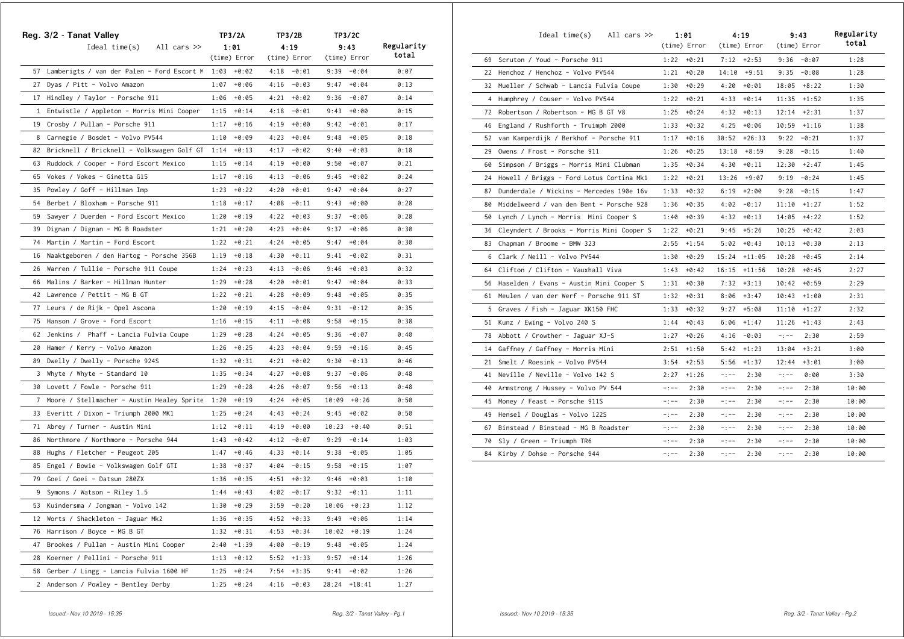|              | Reg. 3/2 - Tanat Valley                       |      | TP3/2A       |      | TP3/2B        |       | TP3/2C        |            |  |
|--------------|-----------------------------------------------|------|--------------|------|---------------|-------|---------------|------------|--|
|              | Ideal time(s)<br>All cars >>                  |      | 1:01         |      | 4:19          |       | 9:43          | Regularity |  |
|              |                                               |      | (time) Error |      | (time) Error  |       | (time) Error  | total      |  |
|              | 57 Lamberigts / van der Palen - Ford Escort M | 1:03 | +0:02        |      | $4:18 - 0:01$ |       | $9:39 - 0:04$ | 0:07       |  |
|              | 27 Dyas / Pitt - Volvo Amazon                 | 1:07 | $+0:06$      |      | $4:16 - 0:03$ | 9:47  | +0:04         | 0:13       |  |
|              | 17 Hindley / Taylor - Porsche 911             | 1:06 | $+0:05$      | 4:21 | +0:02         | 9:36  | -0:07         | 0:14       |  |
|              | 1 Entwistle / Appleton - Morris Mini Cooper   | 1:15 | $+0:14$      | 4:18 | -0:01         | 9:43  | +0:00         | 0:15       |  |
|              | 19 Crosby / Pullan - Porsche 911              | 1:17 | $+0:16$      |      | $4:19 + 0:00$ | 9:42  | -0:01         | 0:17       |  |
|              | 8 Carnegie / Bosdet - Volvo PV544             | 1:10 | $+0:09$      |      | $4:23 + 0:04$ | 9:48  | $+0:05$       | 0:18       |  |
|              | 82 Bricknell / Bricknell - Volkswagen Golf GT | 1:14 | $+0:13$      |      | $4:17 - 0:02$ | 9:40  | $-0:03$       | 0:18       |  |
| 63           | Ruddock / Cooper - Ford Escort Mexico         | 1:15 | $+0:14$      |      | $4:19 + 0:00$ | 9:50  | +0:07         | 0:21       |  |
| 65           | Vokes / Vokes - Ginetta G15                   | 1:17 | $+0:16$      | 4:13 | -0:06         | 9:45  | +0:02         | 0:24       |  |
| 35           | Powley / Goff - Hillman Imp                   | 1:23 | $+0:22$      | 4:20 | +0:01         | 9:47  | $+0:04$       | 0:27       |  |
| 54           | Berbet / Bloxham - Porsche 911                | 1:18 | $+0:17$      | 4:08 | -0:11         | 9:43  | +0:00         | 0:28       |  |
| 59           | Sawyer / Duerden - Ford Escort Mexico         | 1:20 | $+0:19$      |      | $4:22 + 0:03$ | 9:37  | -0:06         | 0:28       |  |
| 39           | Dignan / Dignan - MG B Roadster               | 1:21 | +0:20        |      | $4:23 + 0:04$ | 9:37  | -0:06         | 0:30       |  |
| 74           | Martin / Martin - Ford Escort                 | 1:22 | +0:21        |      | $4:24 + 0:05$ | 9:47  | +0:04         | 0:30       |  |
| 16           | Naaktgeboren / den Hartog - Porsche 356B      | 1:19 | $+0:18$      | 4:30 | $+0:11$       | 9:41  | $-0:02$       | 0:31       |  |
| 26           | Warren / Tullie - Porsche 911 Coupe           | 1:24 | $+0:23$      | 4:13 | -0:06         | 9:46  | $+0:03$       | 0:32       |  |
| 66           | Malins / Barker - Hillman Hunter              | 1:29 | $+0:28$      | 4:20 | +0:01         | 9:47  | $+0:04$       | 0:33       |  |
|              | 42 Lawrence / Pettit - MG B GT                | 1:22 | $+0:21$      | 4:28 | +0:09         | 9:48  | +0:05         | 0:35       |  |
| 77           | Leurs / de Rijk - Opel Ascona                 | 1:20 | $+0:19$      |      | $4:15 - 0:04$ | 9:31  | $-0:12$       | 0:35       |  |
|              | 75 Hanson / Grove - Ford Escort               | 1:16 | $+0:15$      | 4:11 | -0:08         | 9:58  | $+0:15$       | 0:38       |  |
| 62           | Jenkins / Phaff - Lancia Fulvia Coupe         | 1:29 | $+0:28$      | 4:24 | +0:05         | 9:36  | -0:07         | 0:40       |  |
| 20           | Hamer / Kerry - Volvo Amazon                  | 1:26 | $+0:25$      | 4:23 | +0:04         | 9:59  | $+0:16$       | 0:45       |  |
| 89           | Dwelly / Dwelly - Porsche 924S                | 1:32 | $+0:31$      | 4:21 | +0:02         | 9:30  | $-0:13$       | 0:46       |  |
| 3            | Whyte / Whyte - Standard 10                   | 1:35 | $+0:34$      | 4:27 | +0:08         | 9:37  | $-0:06$       | 0:48       |  |
| 30           | Lovett / Fowle - Porsche 911                  | 1:29 | $+0:28$      | 4:26 | +0:07         | 9:56  | $+0:13$       | 0:48       |  |
| $7^{\circ}$  | Moore / Stellmacher - Austin Healey Sprite    | 1:20 | $+0:19$      |      | $4:24 + 0:05$ | 10:09 | $+0:26$       | 0:50       |  |
| 33           | Everitt / Dixon – Triumph 2000 MK1            | 1:25 | $+0:24$      | 4:43 | $+0:24$       | 9:45  | +0:02         | 0:50       |  |
| 71           | Abrey / Turner - Austin Mini                  | 1:12 | $+0:11$      |      | $4:19 + 0:00$ | 10:23 | $+0:40$       | 0:51       |  |
| 86           | Northmore / Northmore - Porsche 944           | 1:43 | $+0:42$      | 4:12 | -0:07         | 9:29  | $-0:14$       | 1:03       |  |
| 88           | Hughs / Fletcher - Peugeot 205                | 1:47 | $+0:46$      |      | $4:33 + 0:14$ | 9:38  | $-0:05$       | 1:05       |  |
| 85           | Engel / Bowie - Volkswagen Golf GTI           | 1:38 | $+0:37$      |      | $4:04 - 0:15$ | 9:58  | $+0:15$       | 1:07       |  |
| 79           | Goei / Goei - Datsun 280ZX                    | 1:36 | $+0:35$      | 4:51 | $+0:32$       | 9:46  | $+0:03$       | 1:10       |  |
| 9            | Symons / Watson - Riley 1.5                   | 1:44 | $+0:43$      |      | $4:02 - 0:17$ | 9:32  | $-0:11$       | 1:11       |  |
| 53           | Kuindersma / Jongman - Volvo 142              | 1:30 | +0:29        | 3:59 | -0:20         | 10:06 | $+0:23$       | 1:12       |  |
| 12           | Worts / Shackleton - Jaguar Mk2               | 1:36 | $+0:35$      |      | $4:52 + 0:33$ | 9:49  | $+0:06$       | 1:14       |  |
| 76           | Harrison / Boyce - MG B GT                    | 1:32 | $+0:31$      |      | $4:53 + 0:34$ | 10:02 | $+0:19$       | 1:24       |  |
| 47           | Brookes / Pullan - Austin Mini Cooper         | 2:40 | $+1:39$      |      | $4:00 - 0:19$ | 9:48  | $+0:05$       | 1:24       |  |
| 28           | Koerner / Pellini - Porsche 911               | 1:13 | $+0:12$      |      | $5:52 +1:33$  | 9:57  | $+0:14$       | 1:26       |  |
| 58           | Gerber / Lingg - Lancia Fulvia 1600 HF        | 1:25 | $+0:24$      | 7:54 | $+3:35$       | 9:41  | -0:02         | 1:26       |  |
| $\mathbf{2}$ | Anderson / Powley - Bentley Derby             | 1:25 | $+0:24$      | 4:16 | $-0:03$       | 28:24 | $+18:41$      | 1:27       |  |

|    | Ideal time(s)<br>All cars $\gg$              |           | 1:01<br>(time) Error |          | 4:19<br>(time) Error | (time) Error | 9:43    | Regularity<br>total |
|----|----------------------------------------------|-----------|----------------------|----------|----------------------|--------------|---------|---------------------|
|    | 69 Scruton / Youd - Porsche 911              |           | $1:22 + 0:21$        |          | $7:12 +2:53$         | 9:36         | -0:07   | 1:28                |
|    | 22 Henchoz / Henchoz - Volvo PV544           | 1:21      | +0:20                |          | $14:10 + 9:51$       | 9:35         | $-0:08$ | 1:28                |
| 32 | Mueller / Schwab - Lancia Fulvia Coupe       | 1:30      | $+0:29$              | 4:20     | $+0:01$              | 18:05        | $+8:22$ | 1:30                |
| 4  | Humphrey / Couser - Volvo PV544              | 1:22      | $+0:21$              | 4:33     | $+0:14$              | 11:35        | $+1:52$ | 1:35                |
| 72 | Robertson / Robertson - MG B GT V8           | 1:25      | $+0:24$              | 4:32     | $+0:13$              | 12:14        | $+2:31$ | 1:37                |
| 46 | England / Rushforth - Truimph 2000           | 1:33      | $+0:32$              | 4:25     | +0:06                | 10:59        | $+1:16$ | 1:38                |
| 52 | van Kamperdijk / Berkhof - Porsche 911       | 1:17      | $+0:16$              | 30:52    | $+26:33$             | 9:22         | $-0:21$ | 1:37                |
| 29 | Owens / Frost - Porsche 911                  | 1:26      | $+0:25$              |          | $13:18 + 8:59$       | 9:28         | $-0:15$ | 1:40                |
| 60 | Simpson / Briggs - Morris Mini Clubman       | 1:35      | $+0:34$              | 4:30     | $+0:11$              | 12:30        | $+2:47$ | 1:45                |
| 24 | Howell / Briggs - Ford Lotus Cortina Mk1     | 1:22      | $+0:21$              | 13:26    | +9:07                | 9:19         | $-0:24$ | 1:45                |
| 87 | Dunderdale / Wickins - Mercedes 190e 16v     | 1:33      | $+0:32$              | 6:19     | $+2:00$              | 9:28         | $-0:15$ | 1:47                |
| 80 | Middelweerd / van den Bent - Porsche 928     | 1:36      | $+0:35$              | 4:02     | $-0:17$              | 11:10        | $+1:27$ | 1:52                |
| 50 | Lynch / Lynch - Morris Mini Cooper S         | 1:40      | $+0:39$              | 4:32     | $+0:13$              | 14:05        | $+4:22$ | 1:52                |
|    | 36 Cleyndert / Brooks - Morris Mini Cooper S | 1:22      | $+0:21$              | 9:45     | $+5:26$              | 10:25        | $+0:42$ | 2:03                |
| 83 | Chapman / Broome - BMW 323                   | 2:55      | $+1:54$              | 5:02     | $+0:43$              | 10:13        | $+0:30$ | 2:13                |
| 6  | Clark / Neill - Volvo PV544                  | 1:30      | $+0:29$              | 15:24    | $+11:05$             | 10:28        | $+0:45$ | 2:14                |
| 64 | Clifton / Clifton - Vauxhall Viva            | 1:43      | $+0:42$              | 16:15    | $+11:56$             | 10:28        | $+0:45$ | 2:27                |
|    | 56 Haselden / Evans - Austin Mini Cooper S   | 1:31      | $+0:30$              | 7:32     | $+3:13$              | 10:42        | $+0:59$ | 2:29                |
| 61 | Meulen / van der Werf - Porsche 911 ST       | 1:32      | $+0:31$              | 8:06     | $+3:47$              | 10:43        | $+1:00$ | 2:31                |
|    | 5 Graves / Fish - Jaguar XK150 FHC           | 1:33      | $+0:32$              | 9:27     | $+5:08$              | 11:10        | $+1:27$ | 2:32                |
|    | 51  Kunz / Ewing - Volvo 240 S               | 1:44      | $+0:43$              | 6:06     | $+1:47$              | 11:26        | $+1:43$ | 2:43                |
| 78 | Abbott / Crowther - Jaguar XJ-S              | 1:27      | $+0:26$              | 4:16     | -0:03                | $-:--$       | 2:30    | 2:59                |
| 14 | Gaffney / Gaffney - Morris Mini              | 2:51      | $+1:50$              | 5:42     | $+1:23$              | 13:04        | $+3:21$ | 3:00                |
| 21 | Smelt / Roesink - Volvo PV544                | 3:54      | $+2:53$              | 5:56     | $+1:37$              | 12:44        | $+3:01$ | 3:00                |
| 41 | Neville / Neville - Volvo 142 S              | 2:27      | $+1:26$              | $-1 - -$ | 2:30                 | $-:--$       | 0:00    | 3:30                |
| 40 | Armstrong / Hussey - Volvo PV 544            | $-$ : $-$ | 2:30                 | $-1 - -$ | 2:30                 | $-:--$       | 2:30    | 10:00               |
| 45 | Money / Feast - Porsche 911S                 | $-:--$    | 2:30                 | $-:--$   | 2:30                 | $-:--$       | 2:30    | 10:00               |
| 49 | Hensel / Douglas - Volvo 122S                | $-:--$    | 2:30                 | $-1 - -$ | 2:30                 | $-:--$       | 2:30    | 10:00               |
| 67 | Binstead / Binstead - MG B Roadster          | $-:--$    | 2:30                 | $-1 - -$ | 2:30                 | $-:--$       | 2:30    | 10:00               |
| 70 | Sly / Green - Triumph TR6                    | $-:--$    | 2:30                 | $-1 - -$ | 2:30                 | $-:--$       | 2:30    | 10:00               |
| 84 | Kirby / Dohse - Porsche 944                  | $-:--$    | 2:30                 | $-1 - -$ | 2:30                 | $-:--$       | 2:30    | 10:00               |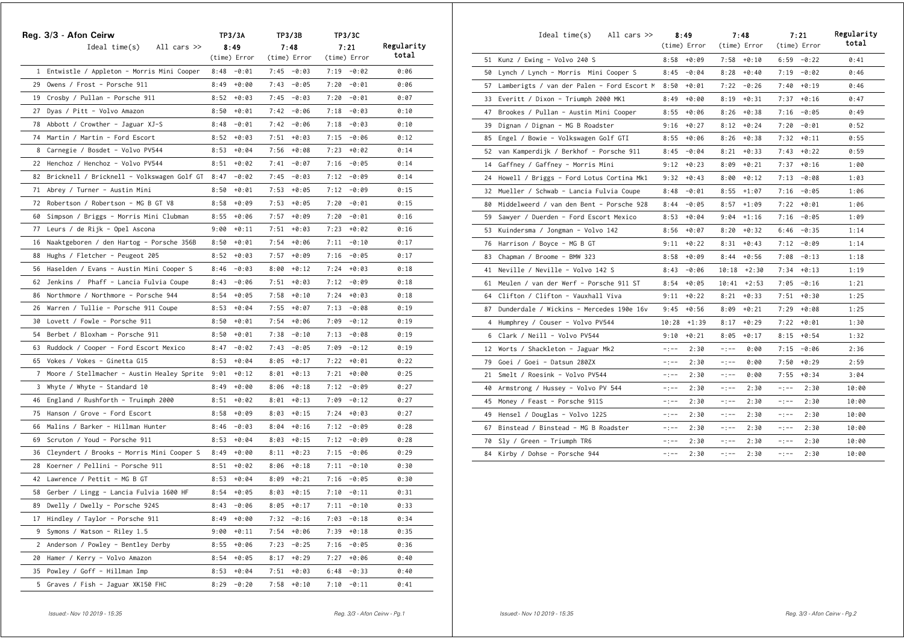|              | Reg. 3/3 - Afon Ceirw                       |      | TP3/3A        |      | TP3/3B        |      | TP3/3C        |            |
|--------------|---------------------------------------------|------|---------------|------|---------------|------|---------------|------------|
|              | $Ideal time(s)$ All cars $\gg$              |      | 8:49          |      | 7:48          |      | 7:21          | Regularity |
|              |                                             |      | (time) Error  |      | (time) Error  |      | (time) Error  | total      |
|              | 1 Entwistle / Appleton - Morris Mini Cooper |      | $8:48 - 0:01$ |      | $7:45 - 0:03$ |      | $7:19 - 0:02$ | 0:06       |
|              | 29 Owens / Frost - Porsche 911              | 8:49 | +0:00         |      | $7:43 - 0:05$ |      | $7:20 - 0:01$ | 0:06       |
|              | 19 Crosby / Pullan - Porsche 911            | 8:52 | +0:03         |      | $7:45 - 0:03$ | 7:20 | -0:01         | 0:07       |
|              | 27 Dyas / Pitt - Volvo Amazon               | 8:50 | +0:01         |      | $7:42 - 0:06$ | 7:18 | -0:03         | 0:10       |
|              | 78 Abbott / Crowther - Jaguar XJ-S          | 8:48 | -0:01         |      | $7:42 - 0:06$ | 7:18 | -0:03         | 0:10       |
|              | 74 Martin / Martin - Ford Escort            | 8:52 | $+0:03$       | 7:51 | +0:03         | 7:15 | -0:06         | 0:12       |
|              | 8 Carnegie / Bosdet - Volvo PV544           | 8:53 | $+0:04$       |      | $7:56 + 0:08$ | 7:23 | +0:02         | 0:14       |
|              | 22 Henchoz / Henchoz - Volvo PV544          | 8:51 | $+0:02$       |      | $7:41 - 0:07$ | 7:16 | -0:05         | 0:14       |
| 82           | Bricknell / Bricknell - Volkswagen Golf GT  | 8:47 | -0:02         |      | $7:45 - 0:03$ | 7:12 | -0:09         | 0:14       |
| 71           | Abrey / Turner - Austin Mini                | 8:50 | $+0:01$       |      | $7:53 + 0:05$ | 7:12 | -0:09         | 0:15       |
| 72           | Robertson / Robertson - MG B GT V8          | 8:58 | $+0:09$       |      | $7:53 + 0:05$ | 7:20 | -0:01         | 0:15       |
| 60           | Simpson / Briggs - Morris Mini Clubman      | 8:55 | $+0:06$       |      | $7:57 + 0:09$ | 7:20 | -0:01         | 0:16       |
| 77           | Leurs / de Rijk - Opel Ascona               | 9:00 | $+0:11$       |      | $7:51 + 0:03$ | 7:23 | +0:02         | 0:16       |
| 16           | Naaktgeboren / den Hartog - Porsche 356B    | 8:50 | +0:01         |      | $7:54 + 0:06$ | 7:11 | -0:10         | 0:17       |
| 88           | Hughs / Fletcher - Peugeot 205              | 8:52 | +0:03         |      | $7:57 + 0:09$ | 7:16 | -0:05         | 0:17       |
| 56           | Haselden / Evans - Austin Mini Cooper S     | 8:46 | -0:03         |      | $8:00 + 0:12$ | 7:24 | +0:03         | 0:18       |
| 62           | Jenkins / Phaff - Lancia Fulvia Coupe       | 8:43 | -0:06         | 7:51 | $+0:03$       | 7:12 | -0:09         | 0:18       |
| 86           | Northmore / Northmore - Porsche 944         | 8:54 | $+0:05$       | 7:58 | +0:10         | 7:24 | $+0:03$       | 0:18       |
| 26           | Warren / Tullie - Porsche 911 Coupe         | 8:53 | $+0:04$       | 7:55 | +0:07         | 7:13 | $-0:08$       | 0:19       |
| 30           | Lovett / Fowle - Porsche 911                | 8:50 | $+0:01$       |      | $7:54 + 0:06$ | 7:09 | $-0:12$       | 0:19       |
| 54           | Berbet / Bloxham - Porsche 911              | 8:50 | $+0:01$       |      | $7:38 - 0:10$ | 7:13 | -0:08         | 0:19       |
| 63           | Ruddock / Cooper - Ford Escort Mexico       | 8:47 | -0:02         | 7:43 | -0:05         | 7:09 | $-0:12$       | 0:19       |
| 65           | Vokes / Vokes - Ginetta G15                 | 8:53 | $+0:04$       | 8:05 | $+0:17$       | 7:22 | +0:01         | 0:22       |
| $7^{\circ}$  | Moore / Stellmacher - Austin Healey Sprite  | 9:01 | $+0:12$       |      | $8:01 + 0:13$ | 7:21 | +0:00         | 0:25       |
| 3            | Whyte / Whyte - Standard 10                 | 8:49 | $+0:00$       |      | $8:06 + 0:18$ |      | $7:12 - 0:09$ | 0:27       |
|              | 46 England / Rushforth - Truimph 2000       | 8:51 | $+0:02$       |      | $8:01 + 0:13$ | 7:09 | $-0:12$       | 0:27       |
|              | 75 Hanson / Grove - Ford Escort             | 8:58 | +0:09         |      | $8:03 + 0:15$ |      | $7:24 + 0:03$ | 0:27       |
| 66           | Malins / Barker - Hillman Hunter            | 8:46 | $-0:03$       |      | $8:04 + 0:16$ | 7:12 | -0:09         | 0:28       |
| 69           | Scruton / Youd - Porsche 911                | 8:53 | $+0:04$       |      | $8:03 + 0:15$ | 7:12 | -0:09         | 0:28       |
| 36           | Cleyndert / Brooks - Morris Mini Cooper S   | 8:49 | $+0:00$       |      | $8:11 + 0:23$ |      | $7:15 - 0:06$ | 0:29       |
| 28           | Koerner / Pellini - Porsche 911             | 8:51 | $+0:02$       |      | $8:06 + 0:18$ |      | $7:11 - 0:10$ | 0:30       |
| 42           | Lawrence / Pettit - MG B GT                 | 8:53 | $+0:04$       | 8:09 | $+0:21$       |      | $7:16 - 0:05$ | 0:30       |
| 58           | Gerber / Lingg - Lancia Fulvia 1600 HF      | 8:54 | $+0:05$       | 8:03 | $+0:15$       | 7:10 | $-0:11$       | 0:31       |
| 89           | Dwelly / Dwelly - Porsche 924S              | 8:43 | -0:06         | 8:05 | $+0:17$       | 7:11 | -0:10         | 0:33       |
| 17           | Hindley / Taylor - Porsche 911              | 8:49 | $+0:00$       | 7:32 | $-0:16$       | 7:03 | $-0:18$       | 0:34       |
| 9            | Symons / Watson - Riley 1.5                 | 9:00 | $+0:11$       |      | $7:54 + 0:06$ | 7:39 | $+0:18$       | 0:35       |
| $\mathbf{2}$ | Anderson / Powley - Bentley Derby           | 8:55 | $+0:06$       | 7:23 | $-0:25$       | 7:16 | $-0:05$       | 0:36       |
| 20           | Hamer / Kerry - Volvo Amazon                | 8:54 | $+0:05$       | 8:17 | $+0:29$       | 7:27 | $+0:06$       | 0:40       |
| 35           | Powley / Goff - Hillman Imp                 | 8:53 | $+0:04$       | 7:51 | $+0:03$       | 6:48 | $-0:33$       | 0:40       |
| 5            | Graves / Fish - Jaguar XK150 FHC            | 8:29 | $-0:20$       | 7:58 | $+0:10$       | 7:10 | $-0:11$       | 0:41       |

|    | $Ideal$ time(s)<br>All cars $\gg$             |          | 8:49<br>(time) Error |          | 7:48<br>(time) Error |        | 7:21<br>(time) Error | Regularity<br>total |
|----|-----------------------------------------------|----------|----------------------|----------|----------------------|--------|----------------------|---------------------|
|    | 51 Kunz / Ewing - Volvo 240 S                 |          | $8:58 + 0:09$        |          | $7:58 + 0:10$        | 6:59   | $-0:22$              | 0:41                |
|    | 50 Lynch / Lynch - Morris Mini Cooper S       |          | $8:45 - 0:04$        |          | $8:28 + 0:40$        | 7:19   | $-0:02$              | 0:46                |
|    | 57 Lamberigts / van der Palen - Ford Escort M | 8:50     | $+0:01$              | 7:22     | $-0:26$              | 7:40   | $+0:19$              | 0:46                |
| 33 | Everitt / Dixon - Triumph 2000 MK1            | 8:49     | $+0:00$              | 8:19     | $+0:31$              | 7:37   | $+0:16$              | 0:47                |
| 47 | Brookes / Pullan - Austin Mini Cooper         | 8:55     | $+0:06$              | 8:26     | $+0:38$              | 7:16   | $-0:05$              | 0:49                |
|    | 39 Dignan / Dignan - MG B Roadster            |          | $9:16 + 0:27$        |          | $8:12 + 0:24$        | 7:20   | $-0:01$              | 0:52                |
|    | 85 Engel / Bowie – Volkswagen Golf GTI        |          | $8:55 + 0:06$        | 8:26     | +0:38                | 7:32   | $+0:11$              | 0:55                |
|    | 52 van Kamperdijk / Berkhof - Porsche 911     | 8:45     | $-0:04$              | 8:21     | $+0:33$              | 7:43   | $+0:22$              | 0:59                |
| 14 | Gaffney / Gaffney - Morris Mini               | 9:12     | $+0:23$              | 8:09     | $+0:21$              | 7:37   | $+0:16$              | 1:00                |
| 24 | Howell / Briggs - Ford Lotus Cortina Mk1      |          | $9:32 + 0:43$        | 8:00     | $+0:12$              | 7:13   | $-0:08$              | 1:03                |
|    | 32 Mueller / Schwab - Lancia Fulvia Coupe     | 8:48     | $-0:01$              | 8:55     | $+1:07$              | 7:16   | $-0:05$              | 1:06                |
| 80 | Middelweerd / van den Bent - Porsche 928      | 8:44     | $-0:05$              | 8:57     | $+1:09$              | 7:22   | $+0:01$              | 1:06                |
| 59 | Sawyer / Duerden - Ford Escort Mexico         | 8:53     | $+0:04$              | 9:04     | $+1:16$              | 7:16   | $-0:05$              | 1:09                |
|    | 53 Kuindersma / Jongman - Volvo 142           | 8:56     | +0:07                | 8:20     | $+0:32$              | 6:46   | $-0:35$              | 1:14                |
|    | 76 Harrison / Boyce - MG B GT                 |          | $9:11 + 0:22$        | 8:31     | $+0:43$              | 7:12   | $-0:09$              | 1:14                |
| 83 | Chapman / Broome - BMW 323                    | 8:58     | +0:09                | 8:44     | $+0:56$              | 7:08   | $-0:13$              | 1:18                |
|    | 41 Neville / Neville - Volvo 142 S            | 8:43     | $-0:06$              | 10:18    | $+2:30$              | 7:34   | $+0:13$              | 1:19                |
|    | 61 Meulen / van der Werf - Porsche 911 ST     | 8:54     | $+0:05$              | 10:41    | $+2:53$              | 7:05   | $-0:16$              | 1:21                |
|    | 64 Clifton / Clifton - Vauxhall Viva          | 9:11     | $+0:22$              | 8:21     | $+0:33$              | 7:51   | $+0:30$              | 1:25                |
| 87 | Dunderdale / Wickins - Mercedes 190e 16v      | 9:45     | $+0:56$              | 8:09     | $+0:21$              | 7:29   | $+0:08$              | 1:25                |
|    | 4 Humphrey / Couser - Volvo PV544             | 10:28    | $+1:39$              | 8:17     | $+0:29$              | 7:22   | $+0:01$              | 1:30                |
|    | 6 Clark / Neill - Volvo PV544                 | 9:10     | $+0:21$              | 8:05     | $+0:17$              | 8:15   | $+0:54$              | 1:32                |
|    | 12 Worts / Shackleton - Jaguar Mk2            | $-:--$   | 2:30                 | $-:--$   | 0:00                 | 7:15   | $-0:06$              | 2:36                |
| 79 | Goei / Goei - Datsun 280ZX                    | $-:--$   | 2:30                 | $-:--$   | 0:00                 | 7:50   | $+0:29$              | 2:59                |
| 21 | Smelt / Roesink - Volvo PV544                 | $-1 - -$ | 2:30                 | $-1 - -$ | 0:00                 | 7:55   | $+0:34$              | 3:04                |
| 40 | Armstrong / Hussey - Volvo PV 544             | $-1 - -$ | 2:30                 | $-1 - -$ | 2:30                 | $-:--$ | 2:30                 | 10:00               |
| 45 | Money / Feast - Porsche 911S                  | $-:--$   | 2:30                 | $-:--$   | 2:30                 | $-:--$ | 2:30                 | 10:00               |
| 49 | Hensel / Douglas - Volvo 122S                 | $-:--$   | 2:30                 | $-1 - -$ | 2:30                 | -:--   | 2:30                 | 10:00               |
| 67 | Binstead / Binstead - MG B Roadster           | $-1 - -$ | 2:30                 | $-:--$   | 2:30                 | $-:--$ | 2:30                 | 10:00               |
| 70 | Sly / Green - Triumph TR6                     | $-:--$   | 2:30                 | $-1 - -$ | 2:30                 | $-:--$ | 2:30                 | 10:00               |
| 84 | Kirby / Dohse - Porsche 944                   | $-:--$   | 2:30                 | $-1 - -$ | 2:30                 | $-:--$ | 2:30                 | 10:00               |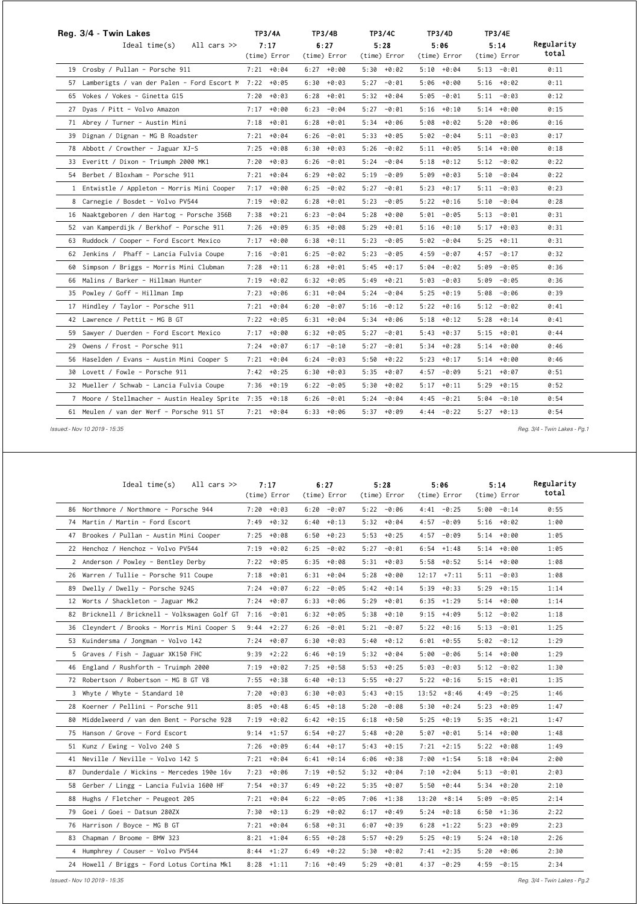| Reg. 3/4 - Twin Lakes                                   |               | <b>TP3/4A</b> | TP3/4B        |              |      | <b>TP3/4C</b> |      | TP3/4D<br><b>TP3/4E</b> |      |               |            |
|---------------------------------------------------------|---------------|---------------|---------------|--------------|------|---------------|------|-------------------------|------|---------------|------------|
| All cars $\gg$<br>Ideal time(s)                         | 7:17          |               | 6:27          |              |      | 5:28          |      | 5:06                    |      | 5:14          | Regularity |
|                                                         | (time) Error  |               |               | (time) Error |      | (time) Error  |      | (time) Error            |      | (time) Error  | total      |
| 19 Crosby / Pullan - Porsche 911                        | $7:21 + 0:04$ |               | $6:27 + 0:00$ |              |      | $5:30 + 0:02$ |      | $5:10 + 0:04$           |      | $5:13 - 0:01$ | 0:11       |
| 57 Lamberigts / van der Palen - Ford Escort M           | $7:22 + 0:05$ |               | 6:30          | $+0:03$      | 5:27 | $-0:01$       | 5:06 | +0:00                   |      | $5:16 + 0:02$ | 0:11       |
| 65 Vokes / Vokes - Ginetta G15                          | 7:20          | $+0:03$       | 6:28          | $+0:01$      |      | $5:32 + 0:04$ |      | $5:05 - 0:01$           |      | $5:11 - 0:03$ | 0:12       |
| 27 Dyas / Pitt - Volvo Amazon                           | $7:17 + 0:00$ |               | 6:23          | $-0:04$      | 5:27 | $-0:01$       |      | $5:16 + 0:10$           |      | $5:14 + 0:00$ | 0:15       |
| 71 Abrey / Turner - Austin Mini                         | 7:18          | $+0:01$       | 6:28          | $+0:01$      |      | $5:34 + 0:06$ | 5:08 | +0:02                   |      | $5:20 + 0:06$ | 0:16       |
| 39 Dignan / Dignan - MG B Roadster                      | $7:21 + 0:04$ |               | 6:26          | $-0:01$      |      | $5:33 + 0:05$ |      | $5:02 - 0:04$           |      | $5:11 - 0:03$ | 0:17       |
| 78 Abbott / Crowther - Jaguar XJ-S                      | 7:25          | $+0:08$       | 6:30          | $+0:03$      | 5:26 | $-0:02$       |      | $5:11 + 0:05$           |      | $5:14 + 0:00$ | 0:18       |
| 33 Everitt / Dixon - Triumph 2000 MK1                   | $7:20 + 0:03$ |               | 6:26          | -0:01        |      | $5:24 - 0:04$ |      | $5:18 + 0:12$           |      | $5:12 - 0:02$ | 0:22       |
| 54 Berbet / Bloxham - Porsche 911                       | $7:21 + 0:04$ |               | 6:29          | $+0:02$      |      | $5:19 - 0:09$ |      | $5:09 + 0:03$           |      | $5:10 - 0:04$ | 0:22       |
| 1 Entwistle / Appleton - Morris Mini Cooper             | 7:17          | $+0:00$       | 6:25          | $-0:02$      | 5:27 | $-0:01$       | 5:23 | $+0:17$                 |      | $5:11 - 0:03$ | 0:23       |
| 8 Carnegie / Bosdet - Volvo PV544                       | 7:19          | $+0:02$       | 6:28          | $+0:01$      | 5:23 | $-0:05$       |      | $5:22 + 0:16$           |      | $5:10 - 0:04$ | 0:28       |
| 16 Naaktgeboren / den Hartog - Porsche 356B             | 7:38          | $+0:21$       | 6:23          | -0:04        |      | $5:28 + 0:00$ |      | $5:01 - 0:05$           |      | $5:13 - 0:01$ | 0:31       |
| 52 van Kamperdijk / Berkhof - Porsche 911               | 7:26          | $+0:09$       | 6:35          | $+0:08$      | 5:29 | $+0:01$       |      | $5:16 + 0:10$           |      | $5:17 + 0:03$ | 0:31       |
| 63 Ruddock / Cooper - Ford Escort Mexico                | 7:17          | $+0:00$       | 6:38          | $+0:11$      | 5:23 | $-0:05$       | 5:02 | $-0:04$                 | 5:25 | $+0:11$       | 0:31       |
| 62 Jenkins / Phaff - Lancia Fulvia Coupe                | $7:16 - 0:01$ |               | 6:25          | -0:02        | 5:23 | -0:05         |      | $4:59 - 0:07$           |      | $4:57 - 0:17$ | 0:32       |
| 60 Simpson / Briggs - Morris Mini Clubman               | 7:28          | $+0:11$       | 6:28          | $+0:01$      |      | $5:45 + 0:17$ | 5:04 | $-0:02$                 | 5:09 | $-0:05$       | 0:36       |
| 66 Malins / Barker - Hillman Hunter                     | 7:19          | $+0:02$       | 6:32          | $+0:05$      |      | $5:49 + 0:21$ |      | $5:03 - 0:03$           | 5:09 | -0:05         | 0:36       |
| 35 Powley / Goff - Hillman Imp                          | 7:23          | $+0:06$       | $6:31 + 0:04$ |              |      | $5:24 - 0:04$ |      | $5:25 + 0:19$           | 5:08 | $-0:06$       | 0:39       |
| 17 Hindley / Taylor - Porsche 911                       | 7:21          | $+0:04$       | 6:20          | $-0:07$      | 5:16 | $-0:12$       |      | $5:22 + 0:16$           |      | $5:12 - 0:02$ | 0:41       |
| 42 Lawrence / Pettit - MG B GT                          | $7:22 + 0:05$ |               | $6:31 + 0:04$ |              |      | $5:34 + 0:06$ | 5:18 | $+0:12$                 | 5:28 | $+0:14$       | 0:41       |
| 59 Sawyer / Duerden - Ford Escort Mexico                | 7:17          | $+0:00$       | $6:32 + 0:05$ |              | 5:27 | $-0:01$       |      | $5:43 + 0:37$           |      | $5:15 + 0:01$ | 0:44       |
| 29 Owens / Frost - Porsche 911                          | $7:24 + 0:07$ |               | $6:17 - 0:10$ |              | 5:27 | $-0:01$       |      | $5:34 + 0:28$           |      | $5:14 + 0:00$ | 0:46       |
| 56 Haselden / Evans - Austin Mini Cooper S              | 7:21          | $+0:04$       | 6:24          | $-0:03$      | 5:50 | $+0:22$       | 5:23 | $+0:17$                 |      | $5:14 + 0:00$ | 0:46       |
| 30 Lovett / Fowle - Porsche 911                         | $7:42 + 0:25$ |               | $6:30 + 0:03$ |              |      | $5:35 + 0:07$ | 4:57 | -0:09                   |      | $5:21 + 0:07$ | 0:51       |
| 32 Mueller / Schwab - Lancia Fulvia Coupe               | 7:36          | $+0:19$       | 6:22          | $-0:05$      | 5:30 | $+0:02$       | 5:17 | $+0:11$                 | 5:29 | $+0:15$       | 0:52       |
| 7 Moore / Stellmacher - Austin Healey Sprite 7:35 +0:18 |               |               | 6:26          | $-0:01$      | 5:24 | $-0:04$       | 4:45 | $-0:21$                 |      | $5:04 - 0:10$ | 0:54       |
| 61 Meulen / van der Werf - Porsche 911 ST               | $7:21 + 0:04$ |               | $6:33 + 0:06$ |              |      | $5:37 + 0:09$ |      | $4:44 - 0:22$           |      | $5:27 + 0:13$ | 0:54       |

 *Issued:- Nov 10 2019 - 15:35 Reg. 3/4 - Twin Lakes - Pg.1*

| Ideal $time(s)$<br>All cars $\gg$             | 7:17<br>(time) Error |      | 6:27<br>(time) Error |      | 5:28<br>(time) Error |       | 5:06<br>(time) Error |      | 5:14<br>(time) Error | Regularity<br>total |
|-----------------------------------------------|----------------------|------|----------------------|------|----------------------|-------|----------------------|------|----------------------|---------------------|
| 86 Northmore / Northmore - Porsche 944        | $7:20 + 0:03$        | 6:20 | $-0:07$              |      | $5:22 - 0:06$        |       | $4:41 - 0:25$        |      | $5:00 - 0:14$        | 0:55                |
| 74 Martin / Martin - Ford Escort              | $7:49 + 0:32$        | 6:40 | $+0:13$              |      | $5:32 + 0:04$        | 4:57  | $-0:09$              |      | $5:16 + 0:02$        | 1:00                |
| 47 Brookes / Pullan - Austin Mini Cooper      | $7:25 + 0:08$        | 6:50 | $+0:23$              |      | $5:53 + 0:25$        | 4:57  | $-0:09$              |      | $5:14 + 0:00$        | 1:05                |
| 22 Henchoz / Henchoz - Volvo PV544            | $7:19 + 0:02$        | 6:25 | -0:02                |      | $5:27 - 0:01$        |       | $6:54$ $+1:48$       |      | $5:14 + 0:00$        | 1:05                |
| 2 Anderson / Powley - Bentley Derby           | $7:22 + 0:05$        | 6:35 | $+0:08$              |      | $5:31 + 0:03$        |       | $5:58 + 0:52$        |      | $5:14 + 0:00$        | 1:08                |
| 26 Warren / Tullie - Porsche 911 Coupe        | $7:18 + 0:01$        | 6:31 | $+0:04$              | 5:28 | +0:00                | 12:17 | $+7:11$              |      | $5:11 - 0:03$        | 1:08                |
| 89 Dwelly / Dwelly - Porsche 924S             | $7:24 + 0:07$        | 6:22 | $-0:05$              |      | $5:42 + 0:14$        | 5:39  | $+0:33$              |      | $5:29 + 0:15$        | 1:14                |
| 12 Worts / Shackleton - Jaguar Mk2            | $7:24 + 0:07$        |      | $6:33 + 0:06$        |      | $5:29 + 0:01$        |       | $6:35 +1:29$         |      | $5:14 + 0:00$        | 1:14                |
| 82 Bricknell / Bricknell - Volkswagen Golf GT | 7:16<br>-0:01        |      | $6:32 + 0:05$        |      | 5:38 +0:10           |       | $9:15 + 4:09$        |      | $5:12 - 0:02$        | 1:18                |
| 36 Cleyndert / Brooks - Morris Mini Cooper S  | $+2:27$<br>9:44      | 6:26 | $-0:01$              | 5:21 | $-0:07$              | 5:22  | $+0:16$              | 5:13 | $-0:01$              | 1:25                |
| 53 Kuindersma / Jongman - Volvo 142           | $7:24 + 0:07$        | 6:30 | $+0:03$              |      | $5:40 + 0:12$        |       | $6:01 + 0:55$        |      | $5:02 - 0:12$        | 1:29                |
| 5 Graves / Fish - Jaguar XK150 FHC            | $9:39 +2:22$         | 6:46 | $+0:19$              |      | $5:32 + 0:04$        | 5:00  | $-0:06$              |      | $5:14 + 0:00$        | 1:29                |
| 46 England / Rushforth - Truimph 2000         | $7:19 + 0:02$        | 7:25 | $+0:58$              |      | $5:53 + 0:25$        | 5:03  | $-0:03$              |      | $5:12 - 0:02$        | 1:30                |
| 72 Robertson / Robertson - MG B GT V8         | 7:55<br>$+0:38$      | 6:40 | $+0:13$              | 5:55 | $+0:27$              | 5:22  | $+0:16$              |      | $5:15 + 0:01$        | 1:35                |
| 3 Whyte / Whyte - Standard 10                 | 7:20<br>$+0:03$      | 6:30 | $+0:03$              |      | $5:43 + 0:15$        |       | $13:52 + 8:46$       | 4:49 | $-0:25$              | 1:46                |
| 28 Koerner / Pellini - Porsche 911            | 8:05<br>$+0:48$      | 6:45 | $+0:18$              | 5:20 | $-0:08$              | 5:30  | $+0:24$              | 5:23 | +0:09                | 1:47                |
| 80 Middelweerd / van den Bent - Porsche 928   | $7:19 + 0:02$        |      | $6:42 + 0:15$        |      | $6:18 + 0:50$        | 5:25  | $+0:19$              |      | $5:35 + 0:21$        | 1:47                |
| 75 Hanson / Grove - Ford Escort               | $9:14$ +1:57         | 6:54 | $+0:27$              | 5:48 | +0:20                | 5:07  | $+0:01$              |      | $5:14 + 0:00$        | 1:48                |
| 51 Kunz / Ewing - Volvo 240 S                 | $7:26 + 0:09$        | 6:44 | $+0:17$              |      | $5:43 + 0:15$        |       | $7:21 +2:15$         |      | $5:22 + 0:08$        | 1:49                |
| 41 Neville / Neville - Volvo 142 S            | $7:21 + 0:04$        |      | $6:41 + 0:14$        |      | $6:06 + 0:38$        |       | $7:00 + 1:54$        |      | $5:18 + 0:04$        | 2:00                |
| 87 Dunderdale / Wickins - Mercedes 190e 16v   | $7:23 + 0:06$        |      | $7:19 + 0:52$        |      | $5:32 + 0:04$        |       | $7:10 + 2:04$        |      | $5:13 - 0:01$        | 2:03                |
| 58 Gerber / Lingg - Lancia Fulvia 1600 HF     | $7:54 + 0:37$        | 6:49 | $+0:22$              |      | $5:35 + 0:07$        | 5:50  | $+0:44$              |      | $5:34 + 0:20$        | 2:10                |
| 88 Hughs / Fletcher - Peugeot 205             | +0:04<br>7:21        | 6:22 | $-0:05$              | 7:06 | $+1:38$              | 13:20 | $+8:14$              | 5:09 | $-0:05$              | 2:14                |
| 79 Goei / Goei - Datsun 280ZX                 | $7:30 + 0:13$        | 6:29 | $+0:02$              |      | $6:17 + 0:49$        |       | $5:24 + 0:18$        |      | $6:50 + 1:36$        | 2:22                |
| 76 Harrison / Boyce - MG B GT                 | $7:21 + 0:04$        | 6:58 | $+0:31$              | 6:07 | $+0:39$              | 6:28  | $+1:22$              | 5:23 | +0:09                | 2:23                |
| 83 Chapman / Broome - BMW 323                 | $8:21 +1:04$         | 6:55 | $+0:28$              |      | $5:57 + 0:29$        |       | $5:25 + 0:19$        |      | $5:24 + 0:10$        | 2:26                |
| 4 Humphrey / Couser - Volvo PV544             | $8:44$ +1:27         | 6:49 | $+0:22$              | 5:30 | $+0:02$              |       | $7:41 +2:35$         | 5:20 | +0:06                | 2:30                |
| 24 Howell / Briggs - Ford Lotus Cortina Mk1   | $8:28$ +1:11         |      | $7:16 + 0:49$        |      | $5:29 + 0:01$        |       | $4:37 - 0:29$        |      | $4:59 - 0:15$        | 2:34                |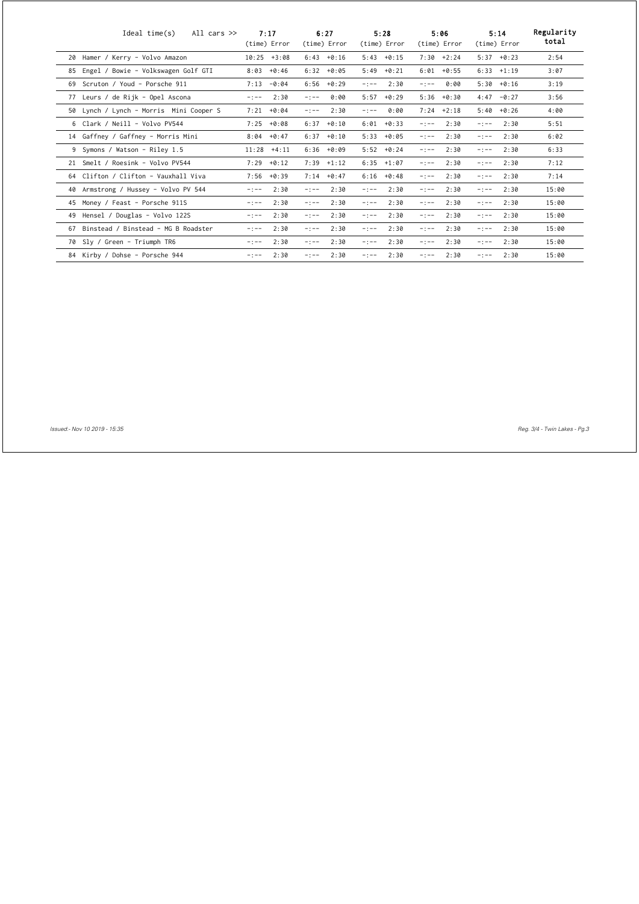|    | Ideal time(s)<br>All cars $\gg$         | 7:17<br>(time) Error | 6:27<br>(time) Error | 5:28<br>(time) Error | 5:06<br>(time) Error | 5:14<br>(time) Error | Regularity<br>total |
|----|-----------------------------------------|----------------------|----------------------|----------------------|----------------------|----------------------|---------------------|
| 20 | Hamer / Kerry - Volvo Amazon            | 10:25<br>$+3:08$     | 6:43<br>$+0:16$      | $5:43 + 0:15$        | $7:30 + 2:24$        | 5:37<br>+0:23        | 2:54                |
| 85 | Engel / Bowie - Volkswagen Golf GTI     | 8:03<br>$+0:46$      | 6:32<br>$+0:05$      | 5:49<br>$+0:21$      | 6:01<br>$+0:55$      | 6:33<br>$+1:19$      | 3:07                |
| 69 | Scruton / Youd - Porsche 911            | 7:13<br>$-0:04$      | 6:56<br>$+0:29$      | 2:30<br>$-1 - -$     | 0:00<br>$-1 - -$     | 5:30<br>$+0:16$      | 3:19                |
| 77 | Leurs / de Rijk - Opel Ascona           | 2:30<br>$-:--$       | 0:00<br>$-1 - -$     | 5:57<br>$+0:29$      | 5:36<br>$+0:30$      | 4:47<br>$-0:27$      | 3:56                |
|    | 50 Lynch / Lynch - Morris Mini Cooper S | 7:21<br>$+0:04$      | 2:30<br>$-1 - -$     | 0:00<br>$-1 - -$     | 7:24<br>$+2:18$      | 5:40<br>$+0:26$      | 4:00                |
|    | 6 Clark / Neill - Volvo PV544           | 7:25<br>$+0:08$      | 6:37<br>$+0:10$      | 6:01<br>$+0:33$      | 2:30<br>$-1 - -$     | 2:30<br>$-1 - -$     | 5:51                |
|    | 14 Gaffney / Gaffney - Morris Mini      | $+0:47$<br>8:04      | 6:37<br>$+0:10$      | $+0:05$<br>5:33      | 2:30<br>$-1 - -$     | 2:30<br>$-1 - -$     | 6:02                |
|    | 9 Symons / Watson - Riley 1.5           | 11:28<br>$+4:11$     | 6:36<br>$+0:09$      | $5:52 + 0:24$        | 2:30<br>$-1 - -$     | 2:30<br>$-1 - -$     | 6:33                |
|    | 21 Smelt / Roesink - Volvo PV544        | 7:29<br>$+0:12$      | $7:39$ $+1:12$       | $6:35$ $+1:07$       | 2:30<br>$-1 - -$     | 2:30<br>$-1 - -$     | 7:12                |
|    | 64 Clifton / Clifton - Vauxhall Viva    | 7:56<br>$+0:39$      | 7:14<br>$+0:47$      | 6:16<br>$+0:48$      | 2:30<br>$-1 - -$     | 2:30<br>$-:--$       | 7:14                |
|    | 40 Armstrong / Hussey - Volvo PV 544    | 2:30<br>$-:--$       | 2:30<br>$-1 - -$     | 2:30<br>$-1 - -$     | 2:30<br>$-1 - -$     | 2:30<br>$-1 - -$     | 15:00               |
|    | 45 Money / Feast - Porsche 911S         | 2:30<br>$-:--$       | 2:30<br>$-1 - -$     | 2:30<br>$-:--$       | 2:30<br>$-1 - -$     | 2:30<br>$-1 - -$     | 15:00               |
| 49 | Hensel / Douglas - Volvo 122S           | 2:30<br>$-:--$       | 2:30<br>$-1 - -$     | 2:30<br>$-:--$       | 2:30<br>$-1 - -$     | 2:30<br>$-1 - -$     | 15:00               |
| 67 | Binstead / Binstead - MG B Roadster     | 2:30<br>$-:--$       | 2:30<br>$-1 - -$     | 2:30<br>$-:--$       | 2:30<br>$-1 - -$     | 2:30<br>$-1 - -$     | 15:00               |
|    | 70 Sly / Green - Triumph TR6            | 2:30<br>$-:--$       | 2:30<br>$-1 - -$     | 2:30<br>$-1 - -$     | 2:30<br>$-1 - -$     | 2:30<br>$-1 - -$     | 15:00               |
|    | 84 Kirby / Dohse - Porsche 944          | 2:30<br>$-:--$       | 2:30<br>$-1 - -$     | 2:30<br>$-1 - -$     | 2:30<br>$-1 - -$     | 2:30<br>$-1 - -$     | 15:00               |

 *Issued:- Nov 10 2019 - 15:35 Reg. 3/4 - Twin Lakes - Pg.3*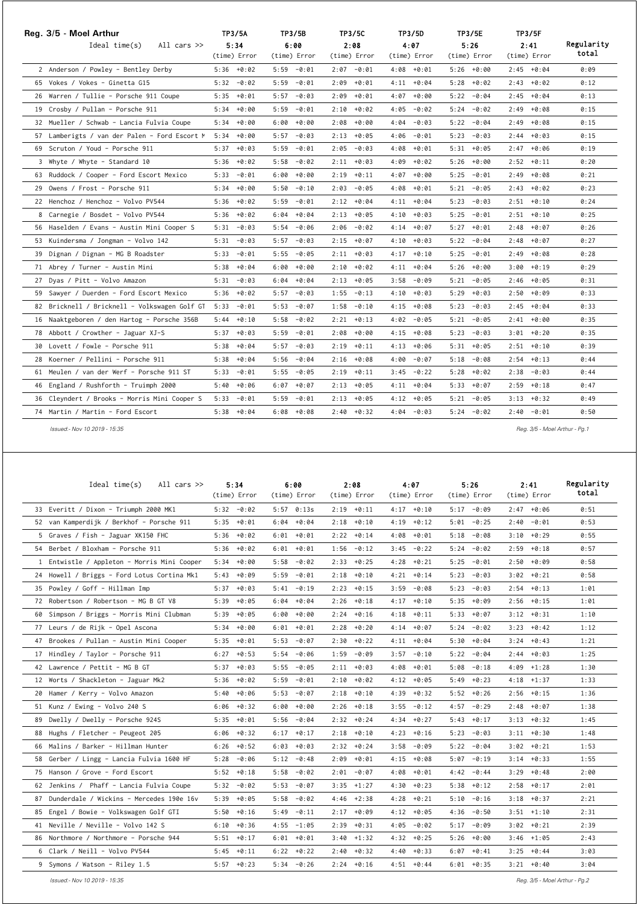| Reg. 3/5 - Moel Arthur<br>All cars $\gg$<br>Ideal time(s) | <b>TP3/5A</b><br>5:34 | TP3/5B<br>6:00  | <b>TP3/5C</b><br>2:08 | TP3/5D<br>4:07 | <b>TP3/5E</b><br>5:26 | <b>TP3/5F</b><br>2:41 | Regularity |
|-----------------------------------------------------------|-----------------------|-----------------|-----------------------|----------------|-----------------------|-----------------------|------------|
|                                                           | (time) Error          | (time) Error    | (time) Error          | (time) Error   | (time) Error          | (time) Error          | total      |
| 2 Anderson / Powley - Bentley Derby                       | $5:36 + 0:02$         | $5:59 - 0:01$   | $2:07 - 0:01$         | $4:08 + 0:01$  | $5:26 + 0:00$         | $2:45 + 0:04$         | 0:09       |
| 65 Vokes / Vokes - Ginetta G15                            | $5:32 - 0:02$         | $5:59 - 0:01$   | $2:09 + 0:01$         | $4:11 + 0:04$  | $5:28 + 0:02$         | $2:43 + 0:02$         | 0:12       |
| 26 Warren / Tullie - Porsche 911 Coupe                    | $5:35 + 0:01$         | 5:57<br>$-0:03$ | $2:09 + 0:01$         | $4:07 + 0:00$  | $5:22 - 0:04$         | $2:45 + 0:04$         | 0:13       |
| 19 Crosby / Pullan - Porsche 911                          | $5:34 + 0:00$         | 5:59<br>-0:01   | $2:10 + 0:02$         | $4:05 - 0:02$  | $5:24 -0:02$          | $2:49 + 0:08$         | 0:15       |
| 32 Mueller / Schwab - Lancia Fulvia Coupe                 | $5:34 + 0:00$         | 6:00<br>$+0:00$ | $2:08 + 0:00$         | $4:04 - 0:03$  | $5:22 - 0:04$         | $2:49 + 0:08$         | 0:15       |
| 57 Lamberigts / van der Palen - Ford Escort M             | $5:34 + 0:00$         | 5:57<br>$-0:03$ | $2:13 + 0:05$         | $4:06 - 0:01$  | $5:23 - 0:03$         | $2:44 + 0:03$         | 0:15       |
| 69 Scruton / Youd - Porsche 911                           | $5:37 + 0:03$         | 5:59<br>$-0:01$ | $2:05 - 0:03$         | $4:08 + 0:01$  | $5:31 + 0:05$         | $2:47 + 0:06$         | 0:19       |
| 3 Whyte / Whyte - Standard 10                             | $5:36 + 0:02$         | 5:58<br>$-0:02$ | $2:11 + 0:03$         | $4:09 + 0:02$  | $5:26 + 0:00$         | $2:52 + 0:11$         | 0:20       |
| 63 Ruddock / Cooper - Ford Escort Mexico                  | $5:33 - 0:01$         | 6:00<br>$+0:00$ | $2:19 + 0:11$         | $4:07 + 0:00$  | $5:25 - 0:01$         | $2:49 + 0:08$         | 0:21       |
| 29 Owens / Frost - Porsche 911                            | $5:34 + 0:00$         | $5:50 - 0:10$   | $2:03 - 0:05$         | $4:08 + 0:01$  | $5:21 - 0:05$         | $2:43 + 0:02$         | 0:23       |
| 22 Henchoz / Henchoz - Volvo PV544                        | $5:36 + 0:02$         | 5:59<br>$-0:01$ | $2:12 + 0:04$         | $4:11 + 0:04$  | $5:23 - 0:03$         | $2:51 + 0:10$         | 0:24       |
| 8 Carnegie / Bosdet - Volvo PV544                         | $5:36 + 0:02$         | $6:04 + 0:04$   | $2:13 + 0:05$         | $4:10 + 0:03$  | $5:25 - 0:01$         | $2:51 + 0:10$         | 0:25       |
| 56 Haselden / Evans - Austin Mini Cooper S                | $5:31 - 0:03$         | 5:54<br>-0:06   | $2:06 - 0:02$         | $4:14 + 0:07$  | $5:27 + 0:01$         | $2:48 + 0:07$         | 0:26       |
| 53 Kuindersma / Jongman - Volvo 142                       | $5:31 - 0:03$         | $5:57 - 0:03$   | $2:15 + 0:07$         | $4:10 + 0:03$  | $5:22 - 0:04$         | $2:48 + 0:07$         | 0:27       |
| 39 Dignan / Dignan - MG B Roadster                        | $5:33 - 0:01$         | 5:55<br>$-0:05$ | $2:11 + 0:03$         | $4:17 + 0:10$  | $5:25 - 0:01$         | $2:49 + 0:08$         | 0:28       |
| 71 Abrey / Turner - Austin Mini                           | $5:38 + 0:04$         | $6:00 + 0:00$   | $2:10 + 0:02$         | $4:11 + 0:04$  | $5:26 + 0:00$         | $3:00 + 0:19$         | 0:29       |
| 27 Dyas / Pitt - Volvo Amazon                             | $5:31 - 0:03$         | $+0:04$<br>6:04 | $2:13 + 0:05$         | $3:58 - 0:09$  | $5:21 - 0:05$         | $2:46 + 0:05$         | 0:31       |
| 59 Sawyer / Duerden - Ford Escort Mexico                  | $5:36 + 0:02$         | $5:57 - 0:03$   | $1:55 - 0:13$         | $4:10 + 0:03$  | $5:29 + 0:03$         | $2:50 + 0:09$         | 0:33       |
| 82 Bricknell / Bricknell - Volkswagen Golf GT             | $5:33 - 0:01$         | $-0:07$<br>5:53 | $1:58 - 0:10$         | $4:15 + 0:08$  | $5:23 - 0:03$         | $2:45 + 0:04$         | 0:33       |
| 16 Naaktgeboren / den Hartog - Porsche 356B               | 5:44 +0:10            | 5:58<br>$-0:02$ | $2:21 + 0:13$         | $4:02 - 0:05$  | $5:21 - 0:05$         | $2:41 + 0:00$         | 0:35       |
| 78 Abbott / Crowther - Jaguar XJ-S                        | $5:37 + 0:03$         | 5:59<br>$-0:01$ | $2:08 + 0:00$         | $4:15 + 0:08$  | $5:23 - 0:03$         | $3:01 + 0:20$         | 0:35       |
| 30 Lovett / Fowle - Porsche 911                           | $5:38 + 0:04$         | $5:57 - 0:03$   | $2:19 + 0:11$         | $4:13 + 0:06$  | $5:31 + 0:05$         | $2:51 + 0:10$         | 0:39       |
| 28 Koerner / Pellini - Porsche 911                        | $5:38 + 0:04$         | 5:56<br>$-0:04$ | $2:16 + 0:08$         | $4:00 - 0:07$  | $5:18 - 0:08$         | 2:54<br>$+0:13$       | 0:44       |
| 61 Meulen / van der Werf - Porsche 911 ST                 | 5:33 -0:01            | $5:55 - 0:05$   | $2:19 + 0:11$         | $3:45 - 0:22$  | $5:28 + 0:02$         | $2:38 - 0:03$         | 0:44       |
| 46 England / Rushforth - Truimph 2000                     | $5:40 + 0:06$         | 6:07<br>$+0:07$ | $2:13 + 0:05$         | $4:11 + 0:04$  | $5:33 + 0:07$         | $2:59 + 0:18$         | 0:47       |
| 36 Cleyndert / Brooks - Morris Mini Cooper S              | $5:33 - 0:01$         | 5:59<br>-0:01   | $2:13 + 0:05$         | $4:12 + 0:05$  | $5:21 - 0:05$         | $3:13 + 0:32$         | 0:49       |
| 74 Martin / Martin - Ford Escort                          | $5:38 + 0:04$         | $6:08 + 0:08$   | $2:40 + 0:32$         | $4:04 - 0:03$  | $5:24 -0:02$          | $2:40 - 0:01$         | 0:50       |

 *Issued:- Nov 10 2019 - 15:35 Reg. 3/5 - Moel Arthur - Pg.1*

| Ideal $time(s)$<br>All cars $\gg$           | 5:34<br>(time) Error | 6:00<br>(time) Error | 2:08<br>(time) Error | 4:07<br>(time) Error | 5:26<br>(time) Error | 2:41<br>(time) Error | Regularity<br>total |
|---------------------------------------------|----------------------|----------------------|----------------------|----------------------|----------------------|----------------------|---------------------|
| 33 Everitt / Dixon - Triumph 2000 MK1       | $5:32 - 0:02$        | $5:57$ 0:13s         | $2:19 + 0:11$        | $4:17 + 0:10$        | $5:17 - 0:09$        | $2:47 + 0:06$        | 0:51                |
| 52 van Kamperdijk / Berkhof - Porsche 911   | $5:35 + 0:01$        | $6:04 + 0:04$        | $2:18 + 0:10$        | $4:19 + 0:12$        | $5:01 - 0:25$        | $2:40 - 0:01$        | 0:53                |
| 5 Graves / Fish - Jaguar XK150 FHC          | $5:36 + 0:02$        | $6:01 + 0:01$        | $2:22 + 0:14$        | $4:08 + 0:01$        | $5:18 - 0:08$        | $3:10 + 0:29$        | 0:55                |
| 54 Berbet / Bloxham - Porsche 911           | $5:36 + 0:02$        | $6:01 + 0:01$        | $1:56 - 0:12$        | $3:45 - 0:22$        | 5:24<br>$-0:02$      | $2:59 + 0:18$        | 0:57                |
| 1 Entwistle / Appleton - Morris Mini Cooper | $5:34 + 0:00$        | $5:58 - 0:02$        | $2:33 + 0:25$        | $4:28 + 0:21$        | 5:25<br>$-0:01$      | $2:50 + 0:09$        | 0:58                |
| 24 Howell / Briggs - Ford Lotus Cortina Mk1 | +0:09<br>5:43        | 5:59<br>$-0:01$      | $2:18 + 0:10$        | $4:21 + 0:14$        | 5:23<br>$-0:03$      | $3:02 + 0:21$        | 0:58                |
| 35 Powley / Goff - Hillman Imp              | $5:37 + 0:03$        | $5:41 - 0:19$        | $2:23 + 0:15$        | 3:59<br>-0:08        | 5:23<br>$-0:03$      | $2:54 + 0:13$        | 1:01                |
| 72 Robertson / Robertson - MG B GT V8       | $5:39 + 0:05$        | $+0:04$<br>6:04      | $2:26 + 0:18$        | $4:17 + 0:10$        | $+0:09$<br>5:35      | $2:56 + 0:15$        | 1:01                |
| 60 Simpson / Briggs - Morris Mini Clubman   | $5:39 + 0:05$        | $6:00 + 0:00$        | $2:24 + 0:16$        | $4:18 + 0:11$        | $5:33 + 0:07$        | $3:12 + 0:31$        | 1:10                |
| 77 Leurs / de Rijk - Opel Ascona            | $+0:00$<br>5:34      | $6:01 + 0:01$        | $2:28 + 0:20$        | $4:14 + 0:07$        | 5:24<br>$-0:02$      | $3:23 + 0:42$        | 1:12                |
| 47 Brookes / Pullan - Austin Mini Cooper    | $5:35 + 0:01$        | $5:53 - 0:07$        | $2:30 + 0:22$        | $4:11 + 0:04$        | $5:30 + 0:04$        | $3:24 + 0:43$        | 1:21                |
| 17 Hindley / Taylor - Porsche 911           | $6:27 + 0:53$        | 5:54<br>$-0:06$      | $1:59 - 0:09$        | $3:57 - 0:10$        | 5:22<br>$-0:04$      | $2:44 + 0:03$        | 1:25                |
| 42 Lawrence / Pettit - MG B GT              | $5:37 + 0:03$        | $5:55 - 0:05$        | $2:11 + 0:03$        | $4:08 + 0:01$        | $5:08 - 0:18$        | $4:09 +1:28$         | 1:30                |
| 12 Worts / Shackleton - Jaguar Mk2          | $5:36 + 0:02$        | 5:59<br>$-0:01$      | $2:10 + 0:02$        | $4:12 + 0:05$        | 5:49<br>$+0:23$      | $4:18$ $+1:37$       | 1:33                |
| 20 Hamer / Kerry - Volvo Amazon             | $5:40 + 0:06$        | $5:53 -0:07$         | $2:18 + 0:10$        | $4:39 + 0:32$        | $5:52 + 0:26$        | $2:56 + 0:15$        | 1:36                |
| 51 Kunz / Ewing - Volvo 240 S               | $6:06 + 0:32$        | 6:00<br>+0:00        | $2:26 + 0:18$        | 3:55<br>$-0:12$      | 4:57<br>$-0:29$      | $2:48 + 0:07$        | 1:38                |
| 89 Dwelly / Dwelly - Porsche 924S           | $5:35 + 0:01$        | $5:56 - 0:04$        | $2:32 + 0:24$        | $4:34 + 0:27$        | $5:43 + 0:17$        | $3:13 + 0:32$        | 1:45                |
| 88 Hughs / Fletcher - Peugeot 205           | $6:06 + 0:32$        | $6:17 + 0:17$        | $2:18 + 0:10$        | $4:23 + 0:16$        | 5:23<br>$-0:03$      | $3:11 + 0:30$        | 1:48                |
| 66 Malins / Barker - Hillman Hunter         | $6:26 + 0:52$        | $6:03 + 0:03$        | $2:32 + 0:24$        | 3:58<br>$-0:09$      | 5:22<br>$-0:04$      | $3:02 + 0:21$        | 1:53                |
| 58 Gerber / Lingg - Lancia Fulvia 1600 HF   | $5:28 - 0:06$        | $5:12 - 0:48$        | $2:09 + 0:01$        | $4:15 + 0:08$        | $5:07 - 0:19$        | $3:14 + 0:33$        | 1:55                |
| 75 Hanson / Grove - Ford Escort             | $5:52 + 0:18$        | 5:58<br>$-0:02$      | $2:01 - 0:07$        | $4:08 + 0:01$        | $4:42 - 0:44$        | $3:29 + 0:48$        | 2:00                |
| 62 Jenkins / Phaff - Lancia Fulvia Coupe    | $5:32 - 0:02$        | 5:53<br>-0:07        | $3:35 +1:27$         | $4:30 + 0:23$        | $5:38 + 0:12$        | $2:58 + 0:17$        | 2:01                |
| 87 Dunderdale / Wickins - Mercedes 190e 16v | $5:39 + 0:05$        | 5:58<br>-0:02        | $4:46 +2:38$         | $4:28 + 0:21$        | 5:10<br>$-0:16$      | $3:18 + 0:37$        | 2:21                |
| 85 Engel / Bowie - Volkswagen Golf GTI      | $5:50 + 0:16$        | $5:49 - 0:11$        | $2:17 + 0:09$        | $4:12 + 0:05$        | 4:36<br>-0:50        | $3:51 + 1:10$        | 2:31                |
| 41 Neville / Neville - Volvo 142 S          | $6:10 + 0:36$        | $4:55 - 1:05$        | $2:39 + 0:31$        | $4:05 - 0:02$        | $5:17 - 0:09$        | $3:02 + 0:21$        | 2:39                |
| 86 Northmore / Northmore - Porsche 944      | $5:51 + 0:17$        | $6:01 + 0:01$        | $3:40 +1:32$         | $4:32 + 0:25$        | $5:26 + 0:00$        | $3:46 + 1:05$        | 2:43                |
| 6 Clark / Neill - Volvo PV544               | +0:11<br>5:45        | $6:22 + 0:22$        | $2:40 + 0:32$        | $4:40 + 0:33$        | $6:07 + 0:41$        | $3:25 + 0:44$        | 3:03                |
| 9 Symons / Watson - Riley 1.5               | $5:57 + 0:23$        | $5:34 - 0:26$        | $2:24 + 0:16$        | $4:51 + 0:44$        | $6:01 + 0:35$        | $3:21 + 0:40$        | 3:04                |